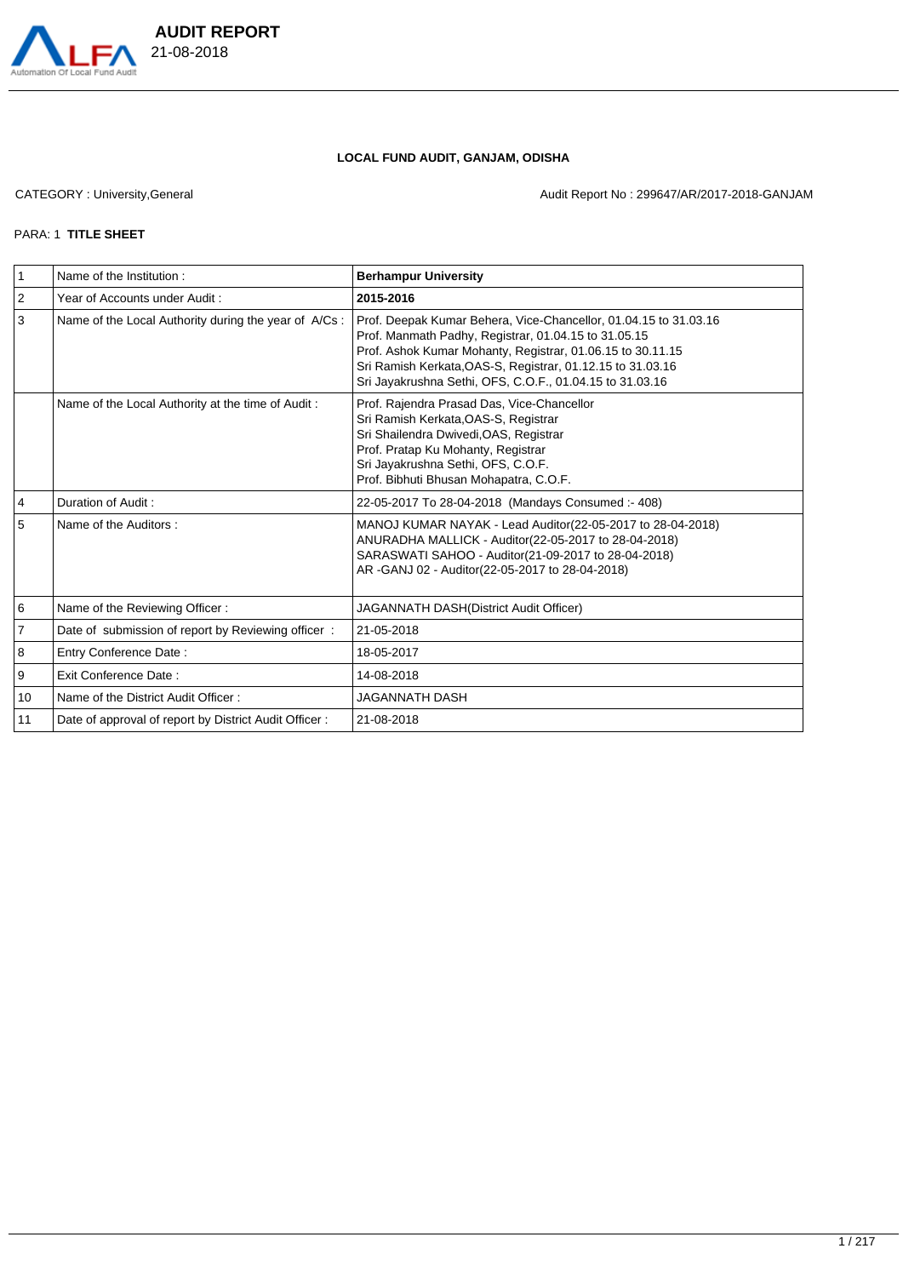

## **LOCAL FUND AUDIT, GANJAM, ODISHA**

CATEGORY : University, General **Audit Report No : 299647/AR/2017-2018-GANJAM** 

### PARA: 1 **TITLE SHEET**

| 1  | Name of the Institution:                              | <b>Berhampur University</b>                                                                                                                                                                                                                                                                                      |
|----|-------------------------------------------------------|------------------------------------------------------------------------------------------------------------------------------------------------------------------------------------------------------------------------------------------------------------------------------------------------------------------|
| 2  | Year of Accounts under Audit:                         | 2015-2016                                                                                                                                                                                                                                                                                                        |
| 3  | Name of the Local Authority during the year of A/Cs:  | Prof. Deepak Kumar Behera, Vice-Chancellor, 01.04.15 to 31.03.16<br>Prof. Manmath Padhy, Registrar, 01.04.15 to 31.05.15<br>Prof. Ashok Kumar Mohanty, Registrar, 01.06.15 to 30.11.15<br>Sri Ramish Kerkata, OAS-S, Registrar, 01.12.15 to 31.03.16<br>Sri Jayakrushna Sethi, OFS, C.O.F., 01.04.15 to 31.03.16 |
|    | Name of the Local Authority at the time of Audit:     | Prof. Rajendra Prasad Das, Vice-Chancellor<br>Sri Ramish Kerkata, OAS-S, Registrar<br>Sri Shailendra Dwivedi, OAS, Registrar<br>Prof. Pratap Ku Mohanty, Registrar<br>Sri Jayakrushna Sethi, OFS, C.O.F.<br>Prof. Bibhuti Bhusan Mohapatra, C.O.F.                                                               |
| 4  | Duration of Audit:                                    | 22-05-2017 To 28-04-2018 (Mandays Consumed :- 408)                                                                                                                                                                                                                                                               |
| 5  | Name of the Auditors:                                 | MANOJ KUMAR NAYAK - Lead Auditor(22-05-2017 to 28-04-2018)<br>ANURADHA MALLICK - Auditor(22-05-2017 to 28-04-2018)<br>SARASWATI SAHOO - Auditor(21-09-2017 to 28-04-2018)<br>AR -GANJ 02 - Auditor(22-05-2017 to 28-04-2018)                                                                                     |
| 6  | Name of the Reviewing Officer:                        | JAGANNATH DASH(District Audit Officer)                                                                                                                                                                                                                                                                           |
| 7  | Date of submission of report by Reviewing officer:    | 21-05-2018                                                                                                                                                                                                                                                                                                       |
| 8  | Entry Conference Date:                                | 18-05-2017                                                                                                                                                                                                                                                                                                       |
| 9  | Exit Conference Date:                                 | 14-08-2018                                                                                                                                                                                                                                                                                                       |
| 10 | Name of the District Audit Officer:                   | <b>JAGANNATH DASH</b>                                                                                                                                                                                                                                                                                            |
| 11 | Date of approval of report by District Audit Officer: | 21-08-2018                                                                                                                                                                                                                                                                                                       |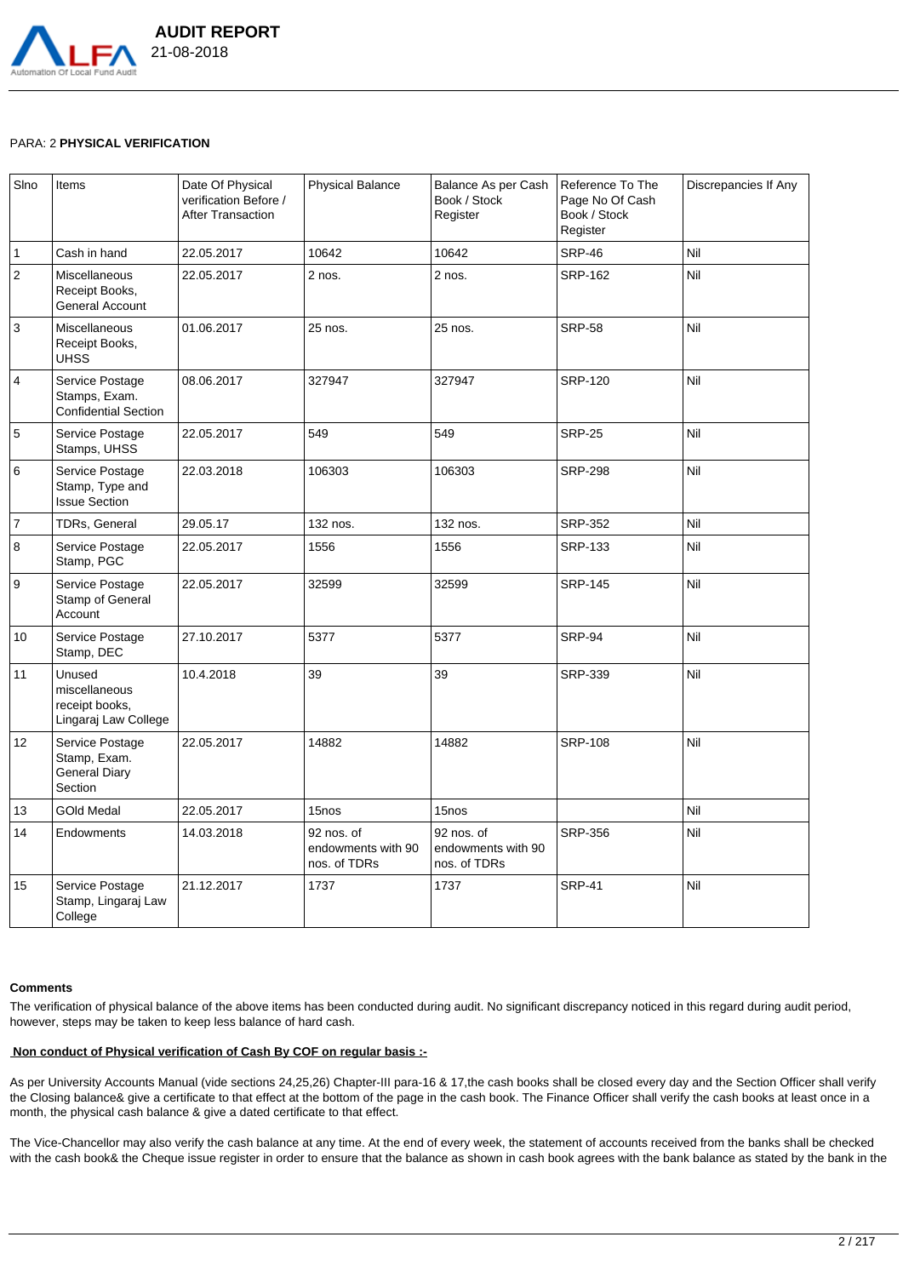

### PARA: 2 **PHYSICAL VERIFICATION**

| Sino           | Items                                                              | Date Of Physical<br>verification Before /<br><b>After Transaction</b> | <b>Physical Balance</b>                          | Balance As per Cash<br>Book / Stock<br>Register  | Reference To The<br>Page No Of Cash<br>Book / Stock<br>Register | Discrepancies If Any |
|----------------|--------------------------------------------------------------------|-----------------------------------------------------------------------|--------------------------------------------------|--------------------------------------------------|-----------------------------------------------------------------|----------------------|
| $\mathbf{1}$   | Cash in hand                                                       | 22.05.2017                                                            | 10642                                            | 10642                                            | <b>SRP-46</b>                                                   | Nil                  |
| $\overline{2}$ | <b>Miscellaneous</b><br>Receipt Books,<br>General Account          | 22.05.2017                                                            | 2 nos.                                           | 2 nos.                                           | SRP-162                                                         | Nil                  |
| 3              | <b>Miscellaneous</b><br>Receipt Books,<br><b>UHSS</b>              | 01.06.2017                                                            | 25 nos.                                          | 25 nos.                                          | <b>SRP-58</b>                                                   | Nil                  |
| 4              | Service Postage<br>Stamps, Exam.<br><b>Confidential Section</b>    | 08.06.2017                                                            | 327947                                           | 327947                                           | <b>SRP-120</b>                                                  | Nil                  |
| $\mathbf 5$    | Service Postage<br>Stamps, UHSS                                    | 22.05.2017                                                            | 549                                              | 549                                              | <b>SRP-25</b>                                                   | Nil                  |
| 6              | Service Postage<br>Stamp, Type and<br><b>Issue Section</b>         | 22.03.2018                                                            | 106303                                           | 106303                                           | <b>SRP-298</b>                                                  | Nil                  |
| $\overline{7}$ | <b>TDRs, General</b>                                               | 29.05.17                                                              | 132 nos.                                         | 132 nos.                                         | SRP-352                                                         | Nil                  |
| $\bf 8$        | Service Postage<br>Stamp, PGC                                      | 22.05.2017                                                            | 1556                                             | 1556                                             | SRP-133                                                         | Nil                  |
| 9              | Service Postage<br>Stamp of General<br>Account                     | 22.05.2017                                                            | 32599                                            | 32599                                            | <b>SRP-145</b>                                                  | Nil                  |
| 10             | Service Postage<br>Stamp, DEC                                      | 27.10.2017                                                            | 5377                                             | 5377                                             | <b>SRP-94</b>                                                   | Nil                  |
| 11             | Unused<br>miscellaneous<br>receipt books,<br>Lingaraj Law College  | 10.4.2018                                                             | 39                                               | 39                                               | SRP-339                                                         | Nil                  |
| 12             | Service Postage<br>Stamp, Exam.<br><b>General Diary</b><br>Section | 22.05.2017                                                            | 14882                                            | 14882                                            | <b>SRP-108</b>                                                  | Nil                  |
| 13             | <b>GOld Medal</b>                                                  | 22.05.2017                                                            | 15 <sub>nos</sub>                                | 15nos                                            |                                                                 | Nil                  |
| 14             | Endowments                                                         | 14.03.2018                                                            | 92 nos. of<br>endowments with 90<br>nos. of TDRs | 92 nos. of<br>endowments with 90<br>nos. of TDRs | <b>SRP-356</b>                                                  | Nil                  |
| 15             | Service Postage<br>Stamp, Lingaraj Law<br>College                  | 21.12.2017                                                            | 1737                                             | 1737                                             | <b>SRP-41</b>                                                   | Nil                  |

#### **Comments**

The verification of physical balance of the above items has been conducted during audit. No significant discrepancy noticed in this regard during audit period, however, steps may be taken to keep less balance of hard cash.

### **Non conduct of Physical verification of Cash By COF on regular basis :-**

As per University Accounts Manual (vide sections 24,25,26) Chapter-III para-16 & 17,the cash books shall be closed every day and the Section Officer shall verify the Closing balance& give a certificate to that effect at the bottom of the page in the cash book. The Finance Officer shall verify the cash books at least once in a month, the physical cash balance & give a dated certificate to that effect.

The Vice-Chancellor may also verify the cash balance at any time. At the end of every week, the statement of accounts received from the banks shall be checked with the cash book& the Cheque issue register in order to ensure that the balance as shown in cash book agrees with the bank balance as stated by the bank in the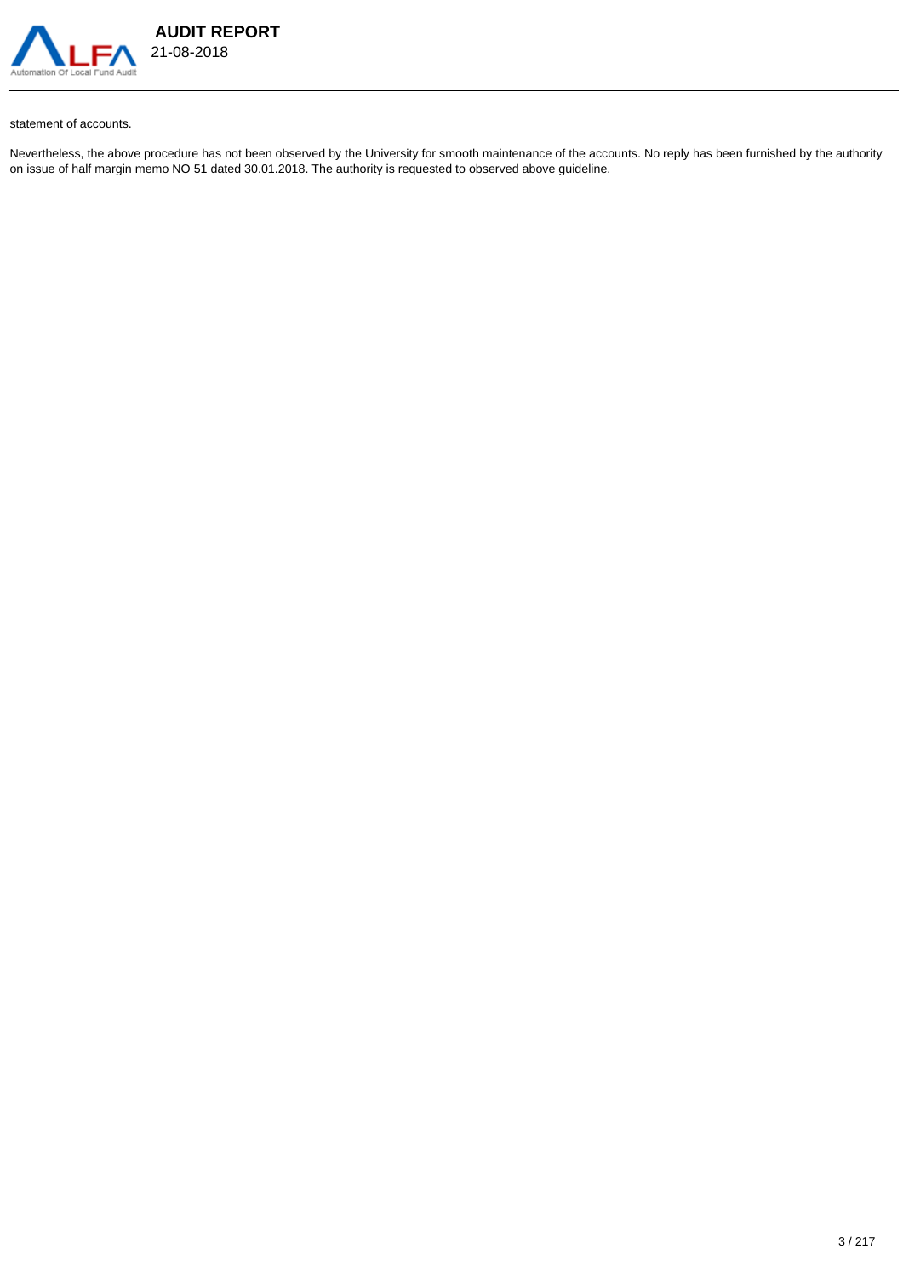

# **AUDIT REPORT**  21-08-2018

#### statement of accounts.

Nevertheless, the above procedure has not been observed by the University for smooth maintenance of the accounts. No reply has been furnished by the authority on issue of half margin memo NO 51 dated 30.01.2018. The authority is requested to observed above guideline.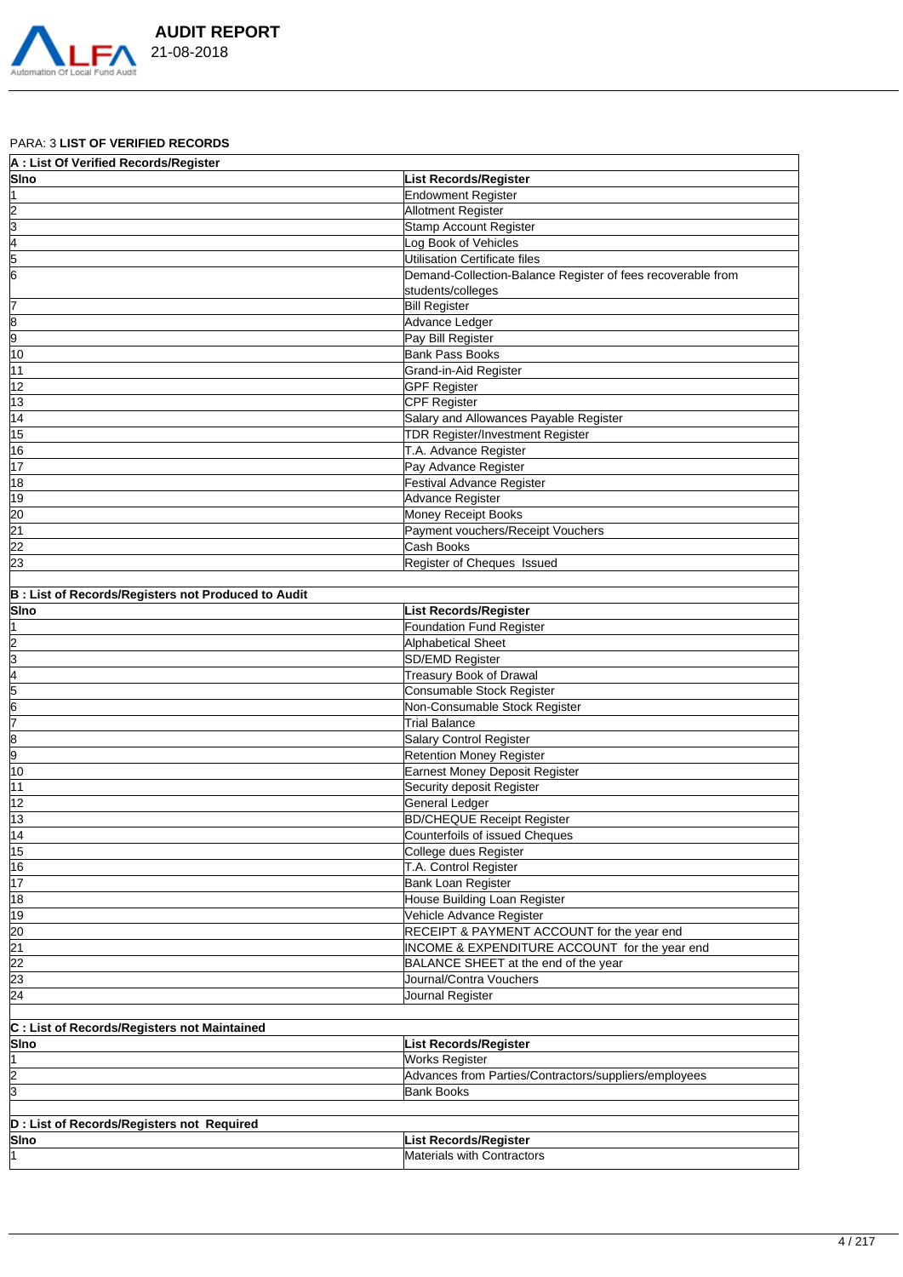

# PARA: 3 **LIST OF VERIFIED RECORDS**

| A: List Of Verified Records/Register                       |                                                                   |
|------------------------------------------------------------|-------------------------------------------------------------------|
| <b>Sino</b>                                                | <b>List Records/Register</b>                                      |
|                                                            | <b>Endowment Register</b>                                         |
|                                                            | Allotment Register                                                |
|                                                            | Stamp Account Register                                            |
|                                                            | Log Book of Vehicles                                              |
| $\frac{2}{3}$ $\frac{3}{4}$ $\frac{4}{5}$ $\frac{6}{6}$    | Utilisation Certificate files                                     |
|                                                            | Demand-Collection-Balance Register of fees recoverable from       |
|                                                            | students/colleges                                                 |
| 7                                                          | <b>Bill Register</b>                                              |
|                                                            | Advance Ledger                                                    |
| $\frac{8}{9}$                                              |                                                                   |
|                                                            | Pay Bill Register                                                 |
| $\overline{10}$                                            | <b>Bank Pass Books</b>                                            |
| $\overline{11}$                                            | Grand-in-Aid Register                                             |
| $\overline{12}$                                            | <b>GPF Register</b>                                               |
| $\overline{13}$                                            | CPF Register                                                      |
| $\overline{14}$                                            | Salary and Allowances Payable Register                            |
| $\frac{15}{16}$                                            | <b>TDR Register/Investment Register</b>                           |
|                                                            | T.A. Advance Register                                             |
| $\overline{17}$                                            | Pay Advance Register                                              |
| 18                                                         | <b>Festival Advance Register</b>                                  |
|                                                            | Advance Register                                                  |
| $\frac{19}{20}$<br>$\frac{21}{22}$<br>$\frac{22}{23}$      | Money Receipt Books                                               |
|                                                            | Payment vouchers/Receipt Vouchers                                 |
|                                                            | Cash Books                                                        |
|                                                            |                                                                   |
|                                                            | Register of Cheques Issued                                        |
|                                                            |                                                                   |
| <b>B</b> : List of Records/Registers not Produced to Audit |                                                                   |
| Sino                                                       | <b>List Records/Register</b>                                      |
|                                                            | <b>Foundation Fund Register</b>                                   |
|                                                            | <b>Alphabetical Sheet</b>                                         |
|                                                            | <b>SD/EMD Register</b>                                            |
|                                                            | <b>Treasury Book of Drawal</b>                                    |
|                                                            |                                                                   |
|                                                            |                                                                   |
|                                                            | Consumable Stock Register                                         |
|                                                            | Non-Consumable Stock Register<br><b>Trial Balance</b>             |
| $\frac{2}{3}$ $\frac{3}{4}$ $\frac{4}{5}$ $\frac{6}{7}$    |                                                                   |
|                                                            | Salary Control Register                                           |
|                                                            | Retention Money Register                                          |
| $\frac{8}{9}$ $\frac{9}{10}$                               | Earnest Money Deposit Register                                    |
| $\overline{11}$                                            | Security deposit Register                                         |
| 12                                                         | General Ledger                                                    |
| $\overline{13}$                                            | <b>BD/CHEQUE Receipt Register</b>                                 |
| $\overline{14}$                                            | Counterfoils of issued Cheques                                    |
|                                                            | College dues Register                                             |
| $\frac{15}{16}$                                            | T.A. Control Register                                             |
| $\overline{17}$                                            | Bank Loan Register                                                |
|                                                            | House Building Loan Register                                      |
| 18                                                         |                                                                   |
|                                                            | Vehicle Advance Register                                          |
|                                                            | RECEIPT & PAYMENT ACCOUNT for the year end                        |
|                                                            | INCOME & EXPENDITURE ACCOUNT for the year end                     |
|                                                            | BALANCE SHEET at the end of the year                              |
|                                                            | Journal/Contra Vouchers                                           |
| $\frac{19}{20} \frac{21}{21} \frac{22}{23} \frac{23}{24}$  | Journal Register                                                  |
|                                                            |                                                                   |
| C : List of Records/Registers not Maintained               |                                                                   |
| <b>Sino</b>                                                | <b>List Records/Register</b>                                      |
| 1                                                          | Works Register                                                    |
|                                                            | Advances from Parties/Contractors/suppliers/employees             |
| $\frac{2}{3}$                                              | <b>Bank Books</b>                                                 |
|                                                            |                                                                   |
|                                                            |                                                                   |
| D : List of Records/Registers not Required                 |                                                                   |
| Sino<br>11                                                 | <b>List Records/Register</b><br><b>Materials with Contractors</b> |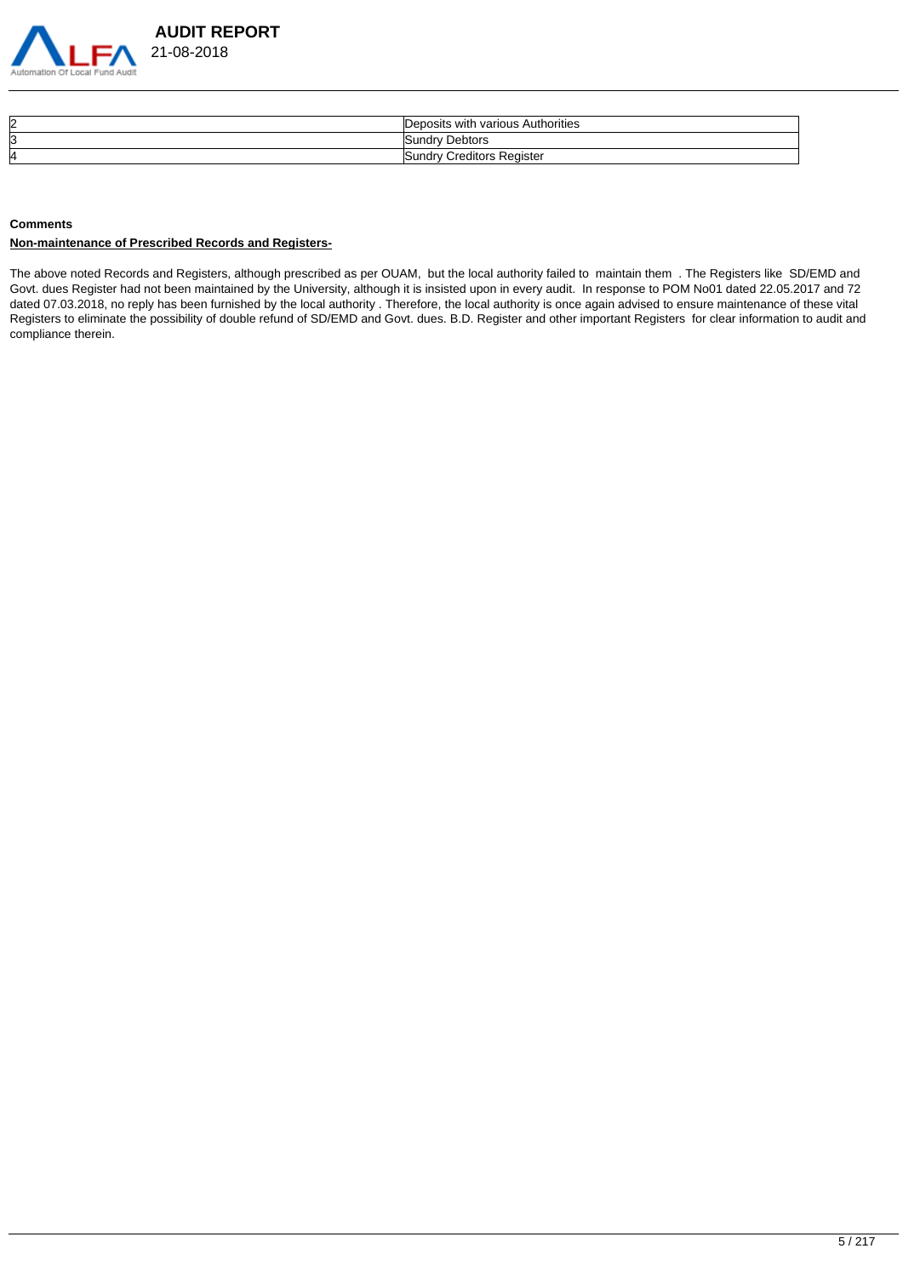

| 12 | ı various Authorities<br>⊃eposits with |
|----|----------------------------------------|
| 13 | <b>Debtors</b><br>iindrv<br>.          |
| 14 | Register<br>≿reditors F<br>indri       |

#### **Comments**

### **Non-maintenance of Prescribed Records and Registers-**

The above noted Records and Registers, although prescribed as per OUAM, but the local authority failed to maintain them . The Registers like SD/EMD and Govt. dues Register had not been maintained by the University, although it is insisted upon in every audit. In response to POM No01 dated 22.05.2017 and 72 dated 07.03.2018, no reply has been furnished by the local authority . Therefore, the local authority is once again advised to ensure maintenance of these vital Registers to eliminate the possibility of double refund of SD/EMD and Govt. dues. B.D. Register and other important Registers for clear information to audit and compliance therein.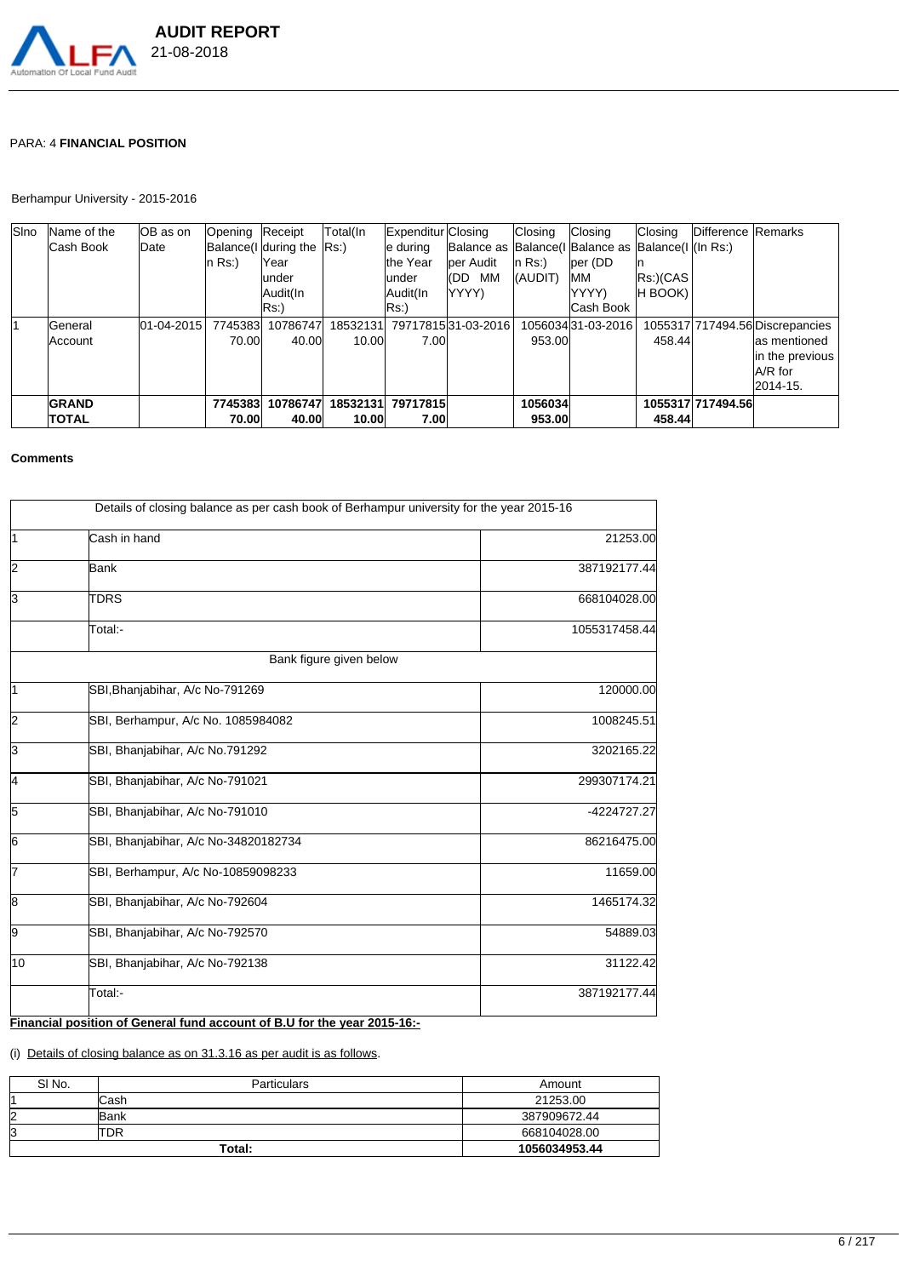

# PARA: 4 **FINANCIAL POSITION**

# Berhampur University - 2015-2016

| <b>S</b> lno | Name of the  | IOB as on          | Opening Receipt |                            | Total(In | Expenditur Closing |                                                      | Closing    | Closing           | Closing         | <b>IDifference Remarks</b> |                                 |
|--------------|--------------|--------------------|-----------------|----------------------------|----------|--------------------|------------------------------------------------------|------------|-------------------|-----------------|----------------------------|---------------------------------|
|              | lCash Book   | Date               |                 | Balance (I during the Rs.) |          | le durina          | Balance as Balance (I Balance as Balance (I (In Rs.) |            |                   |                 |                            |                                 |
|              |              |                    | $\ln$ Rs:)      | Year                       |          | lthe Year          | lper Audit                                           | $\ln$ Rs:) | per (DD           |                 |                            |                                 |
|              |              |                    |                 | lunder                     |          | lunder             | MМ<br>(DD)                                           | (AUDIT)    | MМ                | $Rs$ :)( $CAS$  |                            |                                 |
|              |              |                    |                 | Audit(In                   |          | lAudit(In          | lYYYY).                                              |            | YYYY)             | <b>IH BOOK)</b> |                            |                                 |
|              |              |                    |                 | Rs:)                       |          | (Rs:)              |                                                      |            | Cash Book         |                 |                            |                                 |
|              | lGeneral     | $[01 - 04 - 2015]$ | 7745383         | 10786747                   | 18532131 |                    | 7971781531-03-2016                                   |            | 105603431-03-2016 |                 |                            | 1055317 717494.56 Discrepancies |
|              | Account      |                    | 70.00           | 40.00l                     | 10.00l   | 7.00l              |                                                      | 953.00     |                   | 458.44          |                            | las mentioned                   |
|              |              |                    |                 |                            |          |                    |                                                      |            |                   |                 |                            | in the previous                 |
|              |              |                    |                 |                            |          |                    |                                                      |            |                   |                 |                            | $A/R$ for                       |
|              |              |                    |                 |                            |          |                    |                                                      |            |                   |                 |                            | 2014-15.                        |
|              | <b>GRAND</b> |                    | 7745383         | 10786747                   | 18532131 | 79717815           |                                                      | 1056034    |                   |                 | 1055317 717494.56          |                                 |
|              | <b>TOTAL</b> |                    | 70.00           | 40.00                      | 10.00    | 7.00I              |                                                      | 953.00     |                   | 458.44          |                            |                                 |

### **Comments**

|    | Details of closing balance as per cash book of Berhampur university for the year 2015-16 |               |
|----|------------------------------------------------------------------------------------------|---------------|
| 1  | Cash in hand                                                                             | 21253.00      |
| 12 | <b>Bank</b>                                                                              | 387192177.44  |
| lЗ | <b>TDRS</b>                                                                              | 668104028.00  |
|    | Total:-                                                                                  | 1055317458.44 |
|    | Bank figure given below                                                                  |               |
| 1  | SBI, Bhanjabihar, A/c No-791269                                                          | 120000.00     |
| l2 | SBI, Berhampur, A/c No. 1085984082                                                       | 1008245.51    |
| 3  | SBI, Bhanjabihar, A/c No.791292                                                          | 3202165.22    |
| l4 | SBI, Bhanjabihar, A/c No-791021                                                          | 299307174.21  |
| 5  | SBI, Bhanjabihar, A/c No-791010                                                          | -4224727.27   |
| 6  | SBI, Bhanjabihar, A/c No-34820182734                                                     | 86216475.00   |
| 17 | SBI, Berhampur, A/c No-10859098233                                                       | 11659.00      |
| 18 | SBI, Bhanjabihar, A/c No-792604                                                          | 1465174.32    |
| 9  | SBI, Bhanjabihar, A/c No-792570                                                          | 54889.03      |
| 10 | SBI, Bhanjabihar, A/c No-792138                                                          | 31122.42      |
|    | Total:-                                                                                  | 387192177.44  |

# **Financial position of General fund account of B.U for the year 2015-16:-**

(i) Details of closing balance as on 31.3.16 as per audit is as follows.

| SI No. | <b>Particulars</b> | Amount        |
|--------|--------------------|---------------|
|        | lCash              | 21253.00      |
| 12     | <b>Bank</b>        | 387909672.44  |
| IЗ     | TDR                | 668104028.00  |
|        | Total:             | 1056034953.44 |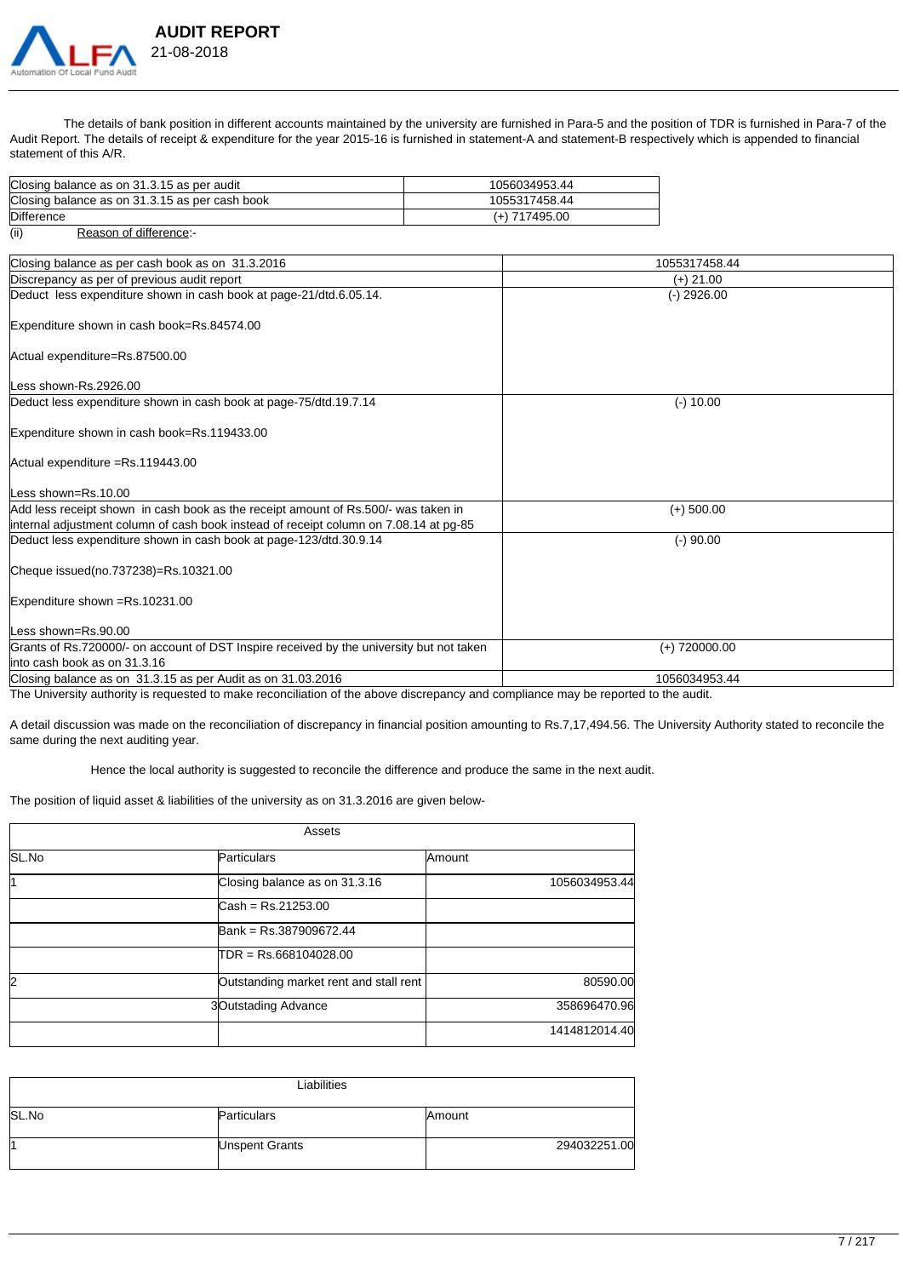

 The details of bank position in different accounts maintained by the university are furnished in Para-5 and the position of TDR is furnished in Para-7 of the Audit Report. The details of receipt & expenditure for the year 2015-16 is furnished in statement-A and statement-B respectively which is appended to financial statement of this A/R.

| Closing balance as on 31.3.15 as per audit     | 1056034953.44   |
|------------------------------------------------|-----------------|
| Closing balance as on 31.3.15 as per cash book | 1055317458.44   |
| Difference                                     | $(+)$ 717495.00 |

| Closing balance as per cash book as on 31.3.2016                                         | 1055317458.44   |
|------------------------------------------------------------------------------------------|-----------------|
| Discrepancy as per of previous audit report                                              | $(+)$ 21.00     |
| Deduct less expenditure shown in cash book at page-21/dtd.6.05.14.                       | $(-)$ 2926.00   |
| Expenditure shown in cash book=Rs.84574.00                                               |                 |
| Actual expenditure=Rs.87500.00                                                           |                 |
| Less shown-Rs.2926.00                                                                    |                 |
| Deduct less expenditure shown in cash book at page-75/dtd.19.7.14                        | $(-) 10.00$     |
| Expenditure shown in cash book=Rs.119433.00                                              |                 |
| Actual expenditure =Rs.119443.00                                                         |                 |
| Less shown= $Rs.10.00$                                                                   |                 |
| Add less receipt shown in cash book as the receipt amount of Rs.500/- was taken in       | $(+)$ 500.00    |
| internal adjustment column of cash book instead of receipt column on 7.08.14 at pg-85    |                 |
| Deduct less expenditure shown in cash book at page-123/dtd.30.9.14                       | $(-)$ 90.00     |
| Cheque issued(no.737238)=Rs.10321.00                                                     |                 |
| Expenditure shown =Rs.10231.00                                                           |                 |
| Less shown= $Rs.90.00$                                                                   |                 |
| Grants of Rs.720000/- on account of DST Inspire received by the university but not taken | $(+)$ 720000.00 |
| linto cash book as on 31.3.16                                                            |                 |
| Closing balance as on 31.3.15 as per Audit as on 31.03.2016                              | 1056034953.44   |

The University authority is requested to make reconciliation of the above discrepancy and compliance may be reported to the audit.

A detail discussion was made on the reconciliation of discrepancy in financial position amounting to Rs.7,17,494.56. The University Authority stated to reconcile the same during the next auditing year.

Hence the local authority is suggested to reconcile the difference and produce the same in the next audit.

The position of liquid asset & liabilities of the university as on 31.3.2016 are given below-

| Assets                                 |               |  |  |  |
|----------------------------------------|---------------|--|--|--|
| Particulars                            | Amount        |  |  |  |
| Closing balance as on 31.3.16          | 1056034953.44 |  |  |  |
| <b>Cash = Rs.21253.00</b>              |               |  |  |  |
| Bank = Rs.387909672.44                 |               |  |  |  |
| $TPR = Rs.668104028.00$                |               |  |  |  |
| Outstanding market rent and stall rent | 80590.00      |  |  |  |
| 3Outstading Advance                    | 358696470.96  |  |  |  |
|                                        | 1414812014.40 |  |  |  |
|                                        |               |  |  |  |

| Liabilities |                |        |              |  |  |
|-------------|----------------|--------|--------------|--|--|
| SL.No       | Particulars    | Amount |              |  |  |
|             | Unspent Grants |        | 294032251.00 |  |  |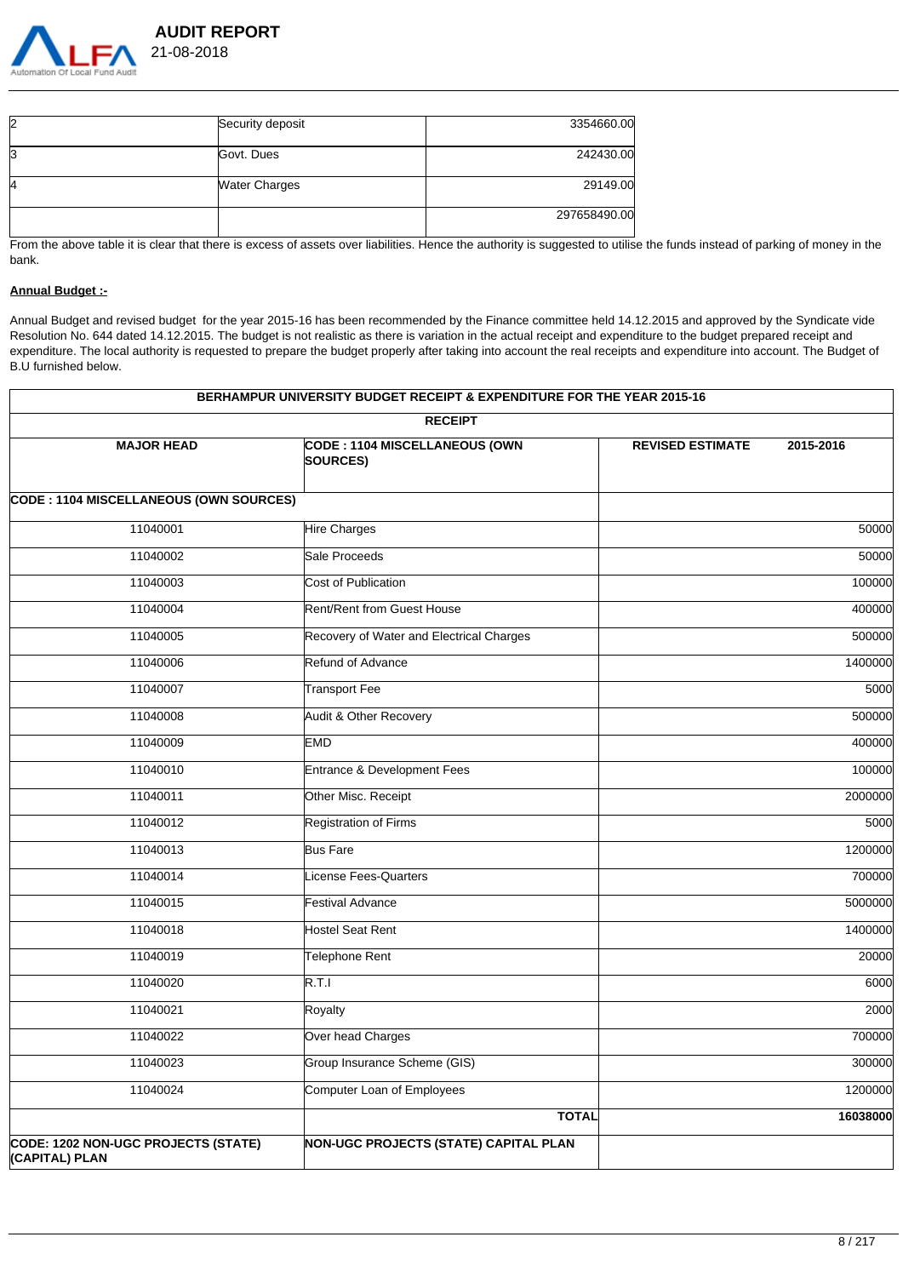

| l2 | Security deposit     | 3354660.00   |
|----|----------------------|--------------|
| lЗ | Govt. Dues           | 242430.00    |
| 14 | <b>Water Charges</b> | 29149.00     |
|    |                      | 297658490.00 |

From the above table it is clear that there is excess of assets over liabilities. Hence the authority is suggested to utilise the funds instead of parking of money in the bank.

### **Annual Budget :-**

Annual Budget and revised budget for the year 2015-16 has been recommended by the Finance committee held 14.12.2015 and approved by the Syndicate vide Resolution No. 644 dated 14.12.2015. The budget is not realistic as there is variation in the actual receipt and expenditure to the budget prepared receipt and expenditure. The local authority is requested to prepare the budget properly after taking into account the real receipts and expenditure into account. The Budget of B.U furnished below.

#### **BERHAMPUR UNIVERSITY BUDGET RECEIPT & EXPENDITURE FOR THE YEAR 2015-16**

**RECEIPT**

| <b>MAJOR HEAD</b>                                     | CODE: 1104 MISCELLANEOUS (OWN<br><b>SOURCES)</b> | <b>REVISED ESTIMATE</b><br>2015-2016 |
|-------------------------------------------------------|--------------------------------------------------|--------------------------------------|
| <b>CODE : 1104 MISCELLANEOUS (OWN SOURCES)</b>        |                                                  |                                      |
| 11040001                                              | <b>Hire Charges</b>                              | 50000                                |
| 11040002                                              | Sale Proceeds                                    | 50000                                |
| 11040003                                              | Cost of Publication                              | 100000                               |
| 11040004                                              | <b>Rent/Rent from Guest House</b>                | 400000                               |
| 11040005                                              | Recovery of Water and Electrical Charges         | 500000                               |
| 11040006                                              | Refund of Advance                                | 1400000                              |
| 11040007                                              | <b>Transport Fee</b>                             | 5000                                 |
| 11040008                                              | Audit & Other Recovery                           | 500000                               |
| 11040009                                              | <b>EMD</b>                                       | 400000                               |
| 11040010                                              | Entrance & Development Fees                      | 100000                               |
| 11040011                                              | Other Misc. Receipt                              | 2000000                              |
| 11040012                                              | <b>Registration of Firms</b>                     | 5000                                 |
| 11040013                                              | <b>Bus Fare</b>                                  | 1200000                              |
| 11040014                                              | icense Fees-Quarters                             | 700000                               |
| 11040015                                              | <b>Festival Advance</b>                          | 5000000                              |
| 11040018                                              | <b>Hostel Seat Rent</b>                          | 1400000                              |
| 11040019                                              | Telephone Rent                                   | 20000                                |
| 11040020                                              | R.T.l                                            | 6000                                 |
| 11040021                                              | Royalty                                          | 2000                                 |
| 11040022                                              | Over head Charges                                | 700000                               |
| 11040023                                              | Group Insurance Scheme (GIS)                     | 300000                               |
| 11040024                                              | Computer Loan of Employees                       | 1200000                              |
|                                                       | <b>TOTAL</b>                                     | 16038000                             |
| CODE: 1202 NON-UGC PROJECTS (STATE)<br>(CAPITAL) PLAN | NON-UGC PROJECTS (STATE) CAPITAL PLAN            |                                      |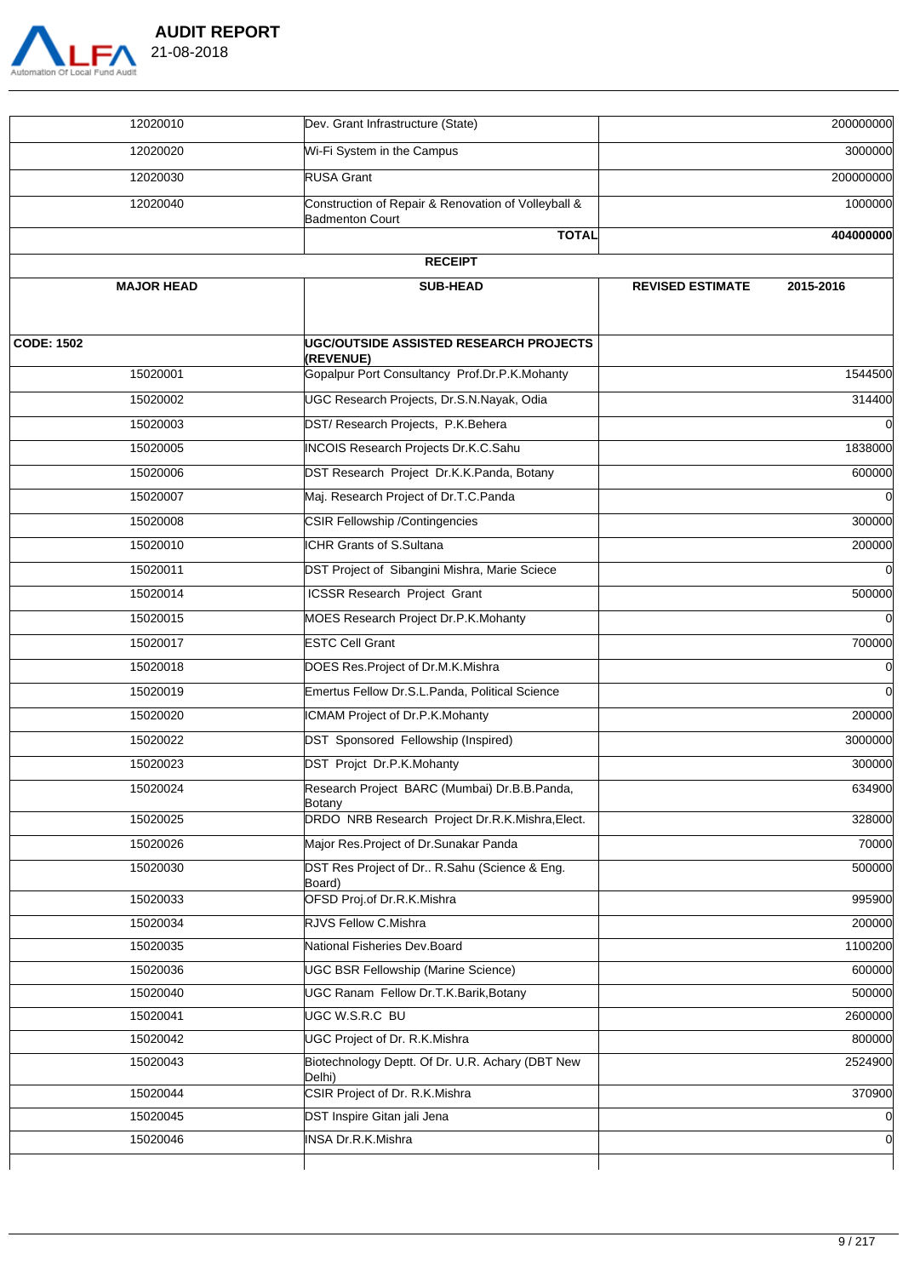

| 12020010             | Dev. Grant Infrastructure (State)                                             |                         | 200000000     |
|----------------------|-------------------------------------------------------------------------------|-------------------------|---------------|
| 12020020             | Wi-Fi System in the Campus                                                    |                         | 3000000       |
| 12020030             | <b>RUSA Grant</b>                                                             |                         | 200000000     |
| 12020040             | Construction of Repair & Renovation of Volleyball &<br><b>Badmenton Court</b> | 1000000                 |               |
|                      | <b>TOTAL</b>                                                                  |                         | 404000000     |
|                      | <b>RECEIPT</b>                                                                |                         |               |
| <b>MAJOR HEAD</b>    | <b>SUB-HEAD</b>                                                               | <b>REVISED ESTIMATE</b> | 2015-2016     |
| <b>CODE: 1502</b>    | <b>UGC/OUTSIDE ASSISTED RESEARCH PROJECTS</b>                                 |                         |               |
| 15020001             | (REVENUE)<br>Gopalpur Port Consultancy Prof.Dr.P.K.Mohanty                    |                         | 1544500       |
| 15020002             | UGC Research Projects, Dr.S.N.Nayak, Odia                                     |                         | 314400        |
| 15020003             | DST/ Research Projects, P.K.Behera                                            |                         |               |
| 15020005             | <b>INCOIS Research Projects Dr.K.C.Sahu</b>                                   |                         | 1838000       |
| 15020006             | DST Research Project Dr.K.K.Panda, Botany                                     |                         | 600000        |
| 15020007             | Maj. Research Project of Dr.T.C.Panda                                         |                         |               |
| 15020008             | <b>CSIR Fellowship / Contingencies</b>                                        |                         | 300000        |
| 15020010             | <b>ICHR Grants of S.Sultana</b>                                               |                         | 200000        |
| 15020011             | DST Project of Sibangini Mishra, Marie Sciece                                 |                         |               |
| 15020014             | <b>ICSSR Research Project Grant</b>                                           |                         | 500000        |
| 15020015             | MOES Research Project Dr.P.K.Mohanty                                          |                         |               |
| 15020017             | <b>ESTC Cell Grant</b>                                                        |                         | 700000        |
| 15020018             | DOES Res.Project of Dr.M.K.Mishra                                             |                         | 0             |
| 15020019             | Emertus Fellow Dr.S.L.Panda, Political Science                                |                         |               |
| 15020020             | <b>ICMAM Project of Dr.P.K.Mohanty</b>                                        |                         | 200000        |
| 15020022             | <b>DST</b> Sponsored Fellowship (Inspired)                                    |                         | 3000000       |
| 15020023             | <b>DST Projct Dr.P.K.Mohanty</b>                                              |                         | 300000        |
| 15020024             | Research Project BARC (Mumbai) Dr.B.B.Panda,                                  |                         | 634900        |
| 15020025             | Botany<br>DRDO NRB Research Project Dr.R.K.Mishra, Elect.                     |                         | 328000        |
| 15020026             | Major Res. Project of Dr. Sunakar Panda                                       |                         | 70000         |
| 15020030             | DST Res Project of Dr R.Sahu (Science & Eng.<br>Board)                        |                         | 500000        |
| 15020033             | OFSD Proj.of Dr.R.K.Mishra                                                    |                         | 995900        |
| 15020034             | RJVS Fellow C.Mishra                                                          |                         | 200000        |
| 15020035             | National Fisheries Dev. Board                                                 |                         | 1100200       |
| 15020036             | UGC BSR Fellowship (Marine Science)                                           |                         | 600000        |
| 15020040             | UGC Ranam Fellow Dr.T.K.Barik,Botany                                          |                         | 500000        |
| 15020041             | UGC W.S.R.C BU                                                                |                         | 2600000       |
| 15020042             | UGC Project of Dr. R.K.Mishra                                                 |                         | 800000        |
| 15020043             | Biotechnology Deptt. Of Dr. U.R. Achary (DBT New<br>Delhi)                    |                         | 2524900       |
| 15020044             | CSIR Project of Dr. R.K.Mishra                                                |                         | 370900        |
| 15020045<br>15020046 | DST Inspire Gitan jali Jena<br>INSA Dr.R.K.Mishra                             |                         | O<br>$\Omega$ |
|                      |                                                                               |                         |               |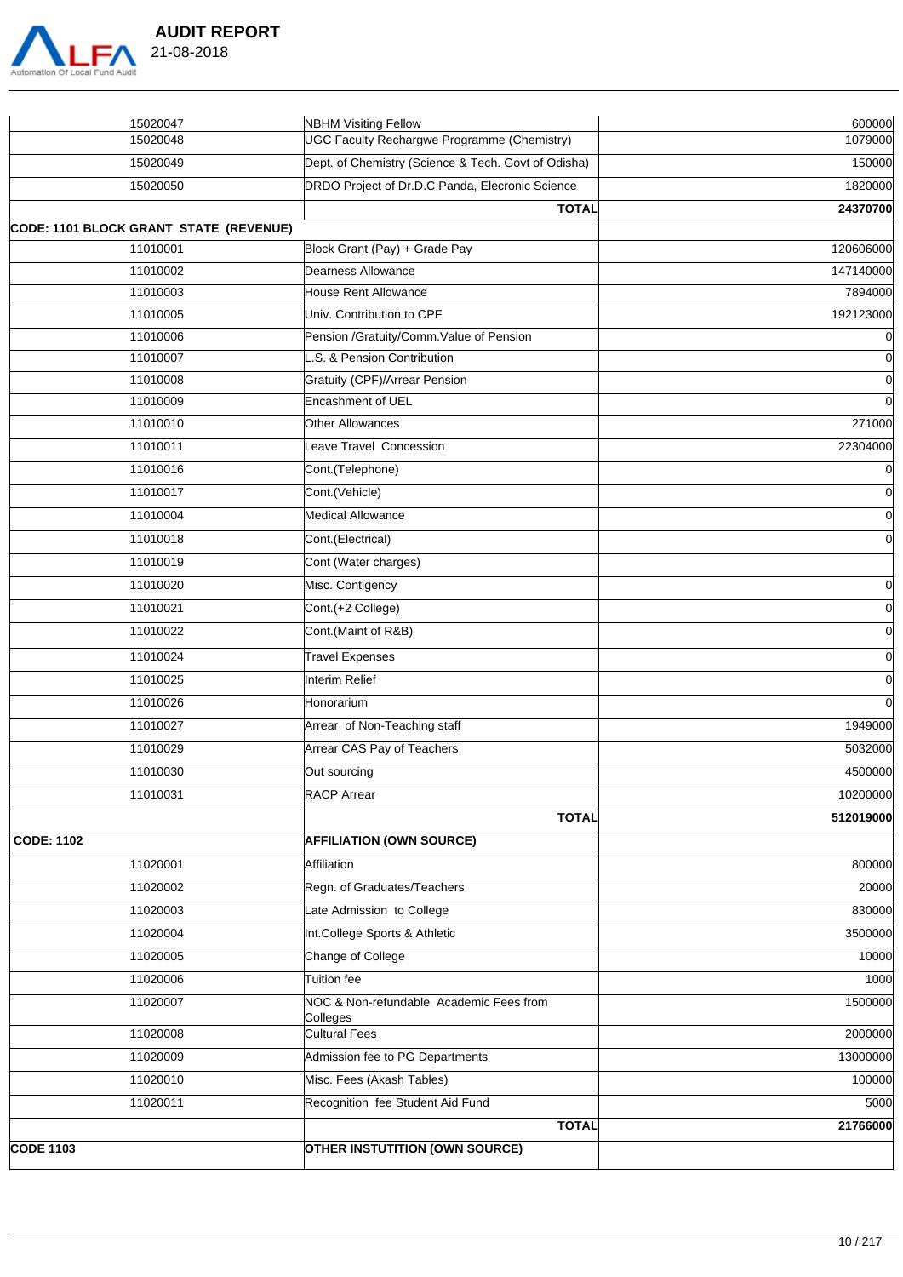

 **AUDIT REPORT** 

| <b>CODE 1103</b>                              | <b>OTHER INSTUTITION (OWN SOURCE)</b>                                |               |
|-----------------------------------------------|----------------------------------------------------------------------|---------------|
|                                               | <b>TOTAL</b>                                                         | 21766000      |
| 11020011                                      | Recognition fee Student Aid Fund                                     | 5000          |
| 11020010                                      | Misc. Fees (Akash Tables)                                            | 100000        |
| 11020009                                      | Admission fee to PG Departments                                      | 13000000      |
| 11020008                                      | <b>Cultural Fees</b>                                                 | 2000000       |
|                                               | Colleges                                                             |               |
| 11020007                                      | NOC & Non-refundable Academic Fees from                              | 1500000       |
| 11020006                                      | <b>Tuition fee</b>                                                   | 1000          |
| 11020005                                      | Change of College                                                    | 10000         |
| 11020004                                      | Int.College Sports & Athletic                                        | 3500000       |
| 11020003                                      | Late Admission to College                                            | 830000        |
| 11020002                                      | Regn. of Graduates/Teachers                                          | 20000         |
| 11020001                                      | Affiliation                                                          | 800000        |
| <b>CODE: 1102</b>                             | <b>AFFILIATION (OWN SOURCE)</b>                                      |               |
|                                               | <b>TOTAL</b>                                                         | 512019000     |
| 11010031                                      | <b>RACP Arrear</b>                                                   | 10200000      |
| 11010030                                      | Out sourcing                                                         | 4500000       |
| 11010029                                      | Arrear CAS Pay of Teachers                                           | 5032000       |
| 11010027                                      | Arrear of Non-Teaching staff                                         | 1949000       |
| 11010026                                      | Honorarium                                                           | C             |
| 11010025                                      | <b>Interim Relief</b>                                                | C             |
| 11010024                                      | <b>Travel Expenses</b>                                               | C             |
| 11010022                                      | Cont.(Maint of R&B)                                                  | C             |
| 11010021                                      | Cont.(+2 College)                                                    | C             |
| 11010020                                      | Misc. Contigency                                                     | C             |
| 11010019                                      | Cont (Water charges)                                                 |               |
| 11010018                                      | Cont.(Electrical)                                                    | C             |
| 11010004                                      | <b>Medical Allowance</b>                                             | C             |
| 11010017                                      | Cont.(Vehicle)                                                       | C             |
| 11010016                                      | Cont.(Telephone)                                                     | C             |
| 11010011                                      | Leave Travel Concession                                              | 22304000      |
| 11010010                                      | <b>Other Allowances</b>                                              | 271000        |
| 11010009                                      | Encashment of UEL                                                    | $\mathcal{C}$ |
| 11010008                                      | Gratuity (CPF)/Arrear Pension                                        | C             |
| 11010007                                      | L.S. & Pension Contribution                                          | C<br>C        |
| 11010005<br>11010006                          | Univ. Contribution to CPF<br>Pension /Gratuity/Comm.Value of Pension | 192123000     |
| 11010003                                      | <b>House Rent Allowance</b>                                          | 7894000       |
| 11010002                                      | Dearness Allowance                                                   | 147140000     |
| 11010001                                      | Block Grant (Pay) + Grade Pay                                        | 120606000     |
| <b>CODE: 1101 BLOCK GRANT STATE (REVENUE)</b> |                                                                      |               |
|                                               | <b>TOTAL</b>                                                         | 24370700      |
| 15020050                                      | DRDO Project of Dr.D.C.Panda, Elecronic Science                      | 1820000       |
| 15020049                                      | Dept. of Chemistry (Science & Tech. Govt of Odisha)                  | 150000        |
| 15020048                                      | <b>UGC Faculty Rechargwe Programme (Chemistry)</b>                   | 1079000       |
| 15020047                                      | <b>NBHM Visiting Fellow</b>                                          | 600000        |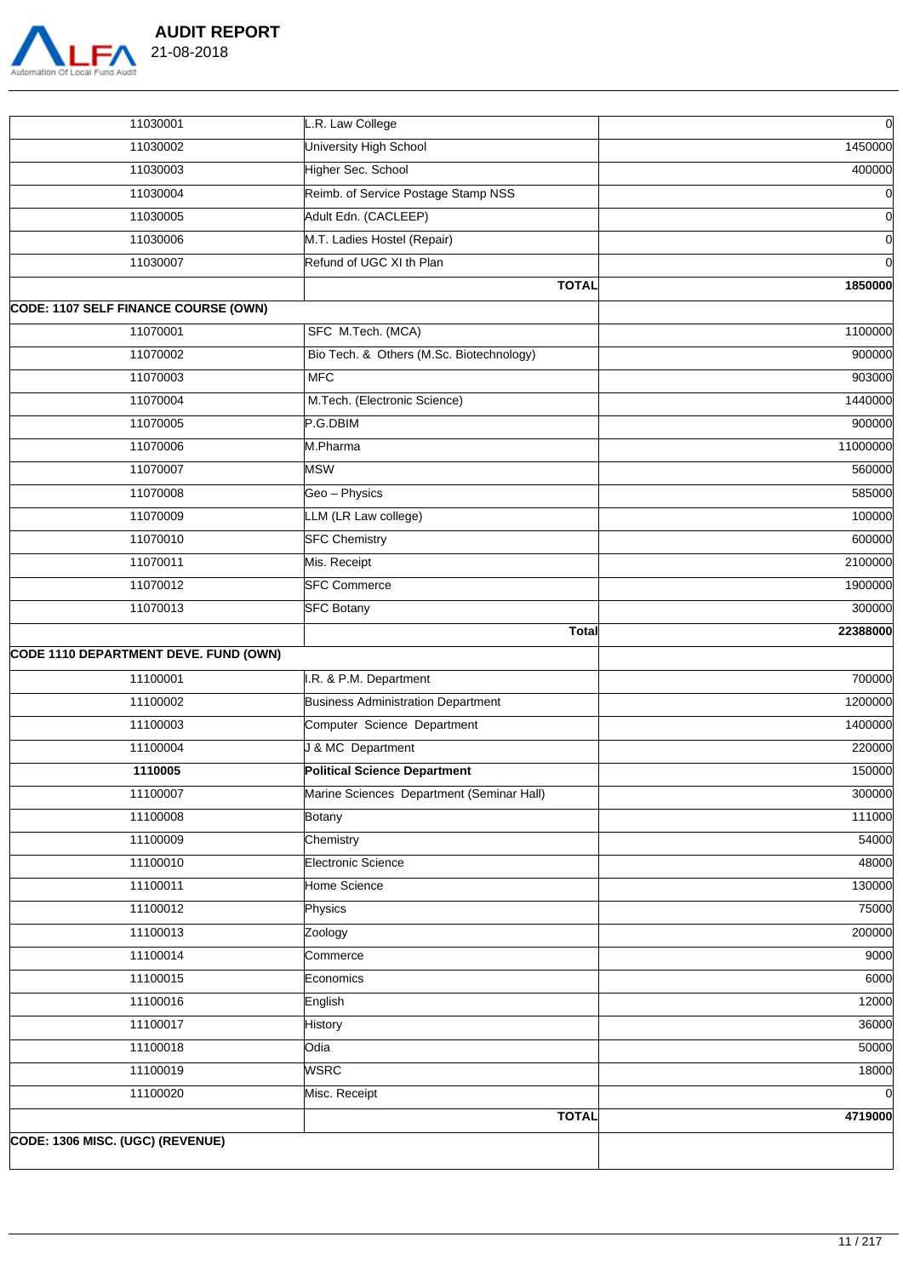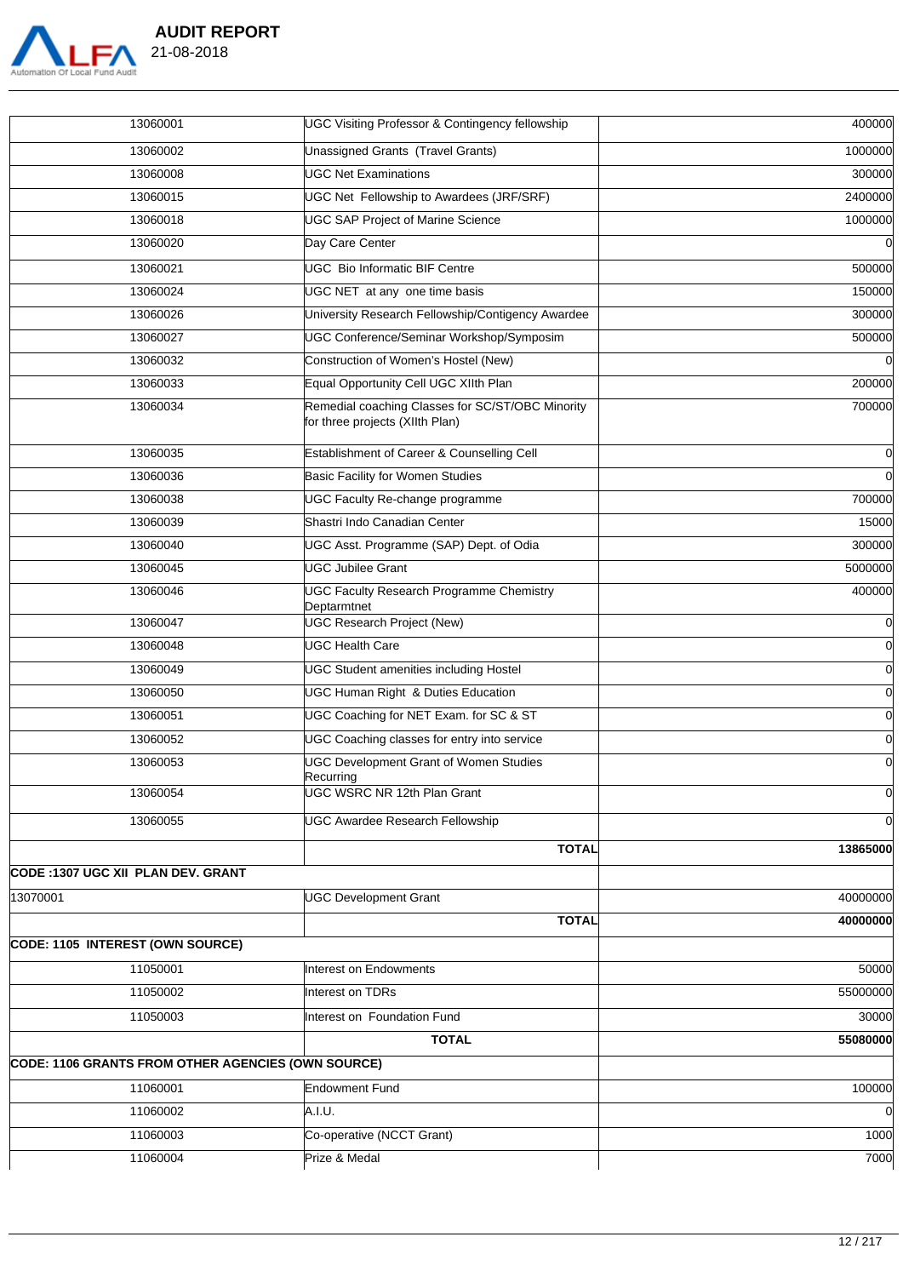

| 13060001                                           | UGC Visiting Professor & Contingency fellowship                                     | 40000C     |
|----------------------------------------------------|-------------------------------------------------------------------------------------|------------|
| 13060002                                           | Unassigned Grants (Travel Grants)                                                   | 1000000    |
| 13060008                                           | <b>UGC Net Examinations</b>                                                         | 300000     |
| 13060015                                           | UGC Net Fellowship to Awardees (JRF/SRF)                                            | 2400000    |
| 13060018                                           | UGC SAP Project of Marine Science                                                   | 1000000    |
| 13060020                                           | Day Care Center                                                                     | C          |
| 13060021                                           | <b>UGC</b> Bio Informatic BIF Centre                                                | 500000     |
| 13060024                                           | UGC NET at any one time basis                                                       | 150000     |
| 13060026                                           | University Research Fellowship/Contigency Awardee                                   | 300000     |
| 13060027                                           | UGC Conference/Seminar Workshop/Symposim                                            | 500000     |
| 13060032                                           | Construction of Women's Hostel (New)                                                | C          |
| 13060033                                           | Equal Opportunity Cell UGC XIIth Plan                                               | 200000     |
| 13060034                                           | Remedial coaching Classes for SC/ST/OBC Minority<br>for three projects (XIIth Plan) | 700000     |
| 13060035                                           | Establishment of Career & Counselling Cell                                          | C          |
| 13060036                                           | Basic Facility for Women Studies                                                    | C          |
| 13060038                                           | <b>UGC Faculty Re-change programme</b>                                              | 700000     |
| 13060039                                           | Shastri Indo Canadian Center                                                        | 15000      |
| 13060040                                           | UGC Asst. Programme (SAP) Dept. of Odia                                             | 300000     |
| 13060045                                           | <b>UGC Jubilee Grant</b>                                                            | 5000000    |
| 13060046                                           | <b>UGC Faculty Research Programme Chemistry</b>                                     | 40000C     |
| 13060047                                           | Deptarmtnet<br><b>UGC Research Project (New)</b>                                    | C          |
| 13060048                                           | UGC Health Care                                                                     | C          |
| 13060049                                           | UGC Student amenities including Hostel                                              | C          |
| 13060050                                           | <b>UGC Human Right &amp; Duties Education</b>                                       | C          |
| 13060051                                           | UGC Coaching for NET Exam. for SC & ST                                              | C          |
| 13060052                                           | UGC Coaching classes for entry into service                                         | C          |
| 13060053                                           | <b>UGC Development Grant of Women Studies</b><br>Recurring                          | C          |
| 13060054                                           | UGC WSRC NR 12th Plan Grant                                                         | C          |
| 13060055                                           | <b>UGC Awardee Research Fellowship</b>                                              | $\sqrt{ }$ |
|                                                    | <b>TOTAL</b>                                                                        | 13865000   |
| CODE: 1307 UGC XII PLAN DEV. GRANT                 |                                                                                     |            |
| 13070001                                           | <b>UGC Development Grant</b>                                                        | 40000000   |
|                                                    | <b>TOTAL</b>                                                                        | 40000000   |
| <b>CODE: 1105 INTEREST (OWN SOURCE)</b>            |                                                                                     |            |
| 11050001                                           | Interest on Endowments                                                              | 50000      |
| 11050002                                           | Interest on TDRs                                                                    | 55000000   |
| 11050003                                           | Interest on Foundation Fund                                                         | 30000      |
|                                                    | <b>TOTAL</b>                                                                        | 55080000   |
| CODE: 1106 GRANTS FROM OTHER AGENCIES (OWN SOURCE) |                                                                                     |            |
| 11060001                                           | <b>Endowment Fund</b>                                                               | 100000     |
| 11060002                                           | A.I.U.                                                                              | C          |
| 11060003                                           | Co-operative (NCCT Grant)                                                           | 1000       |
| 11060004                                           | Prize & Medal                                                                       | 7000       |
|                                                    |                                                                                     |            |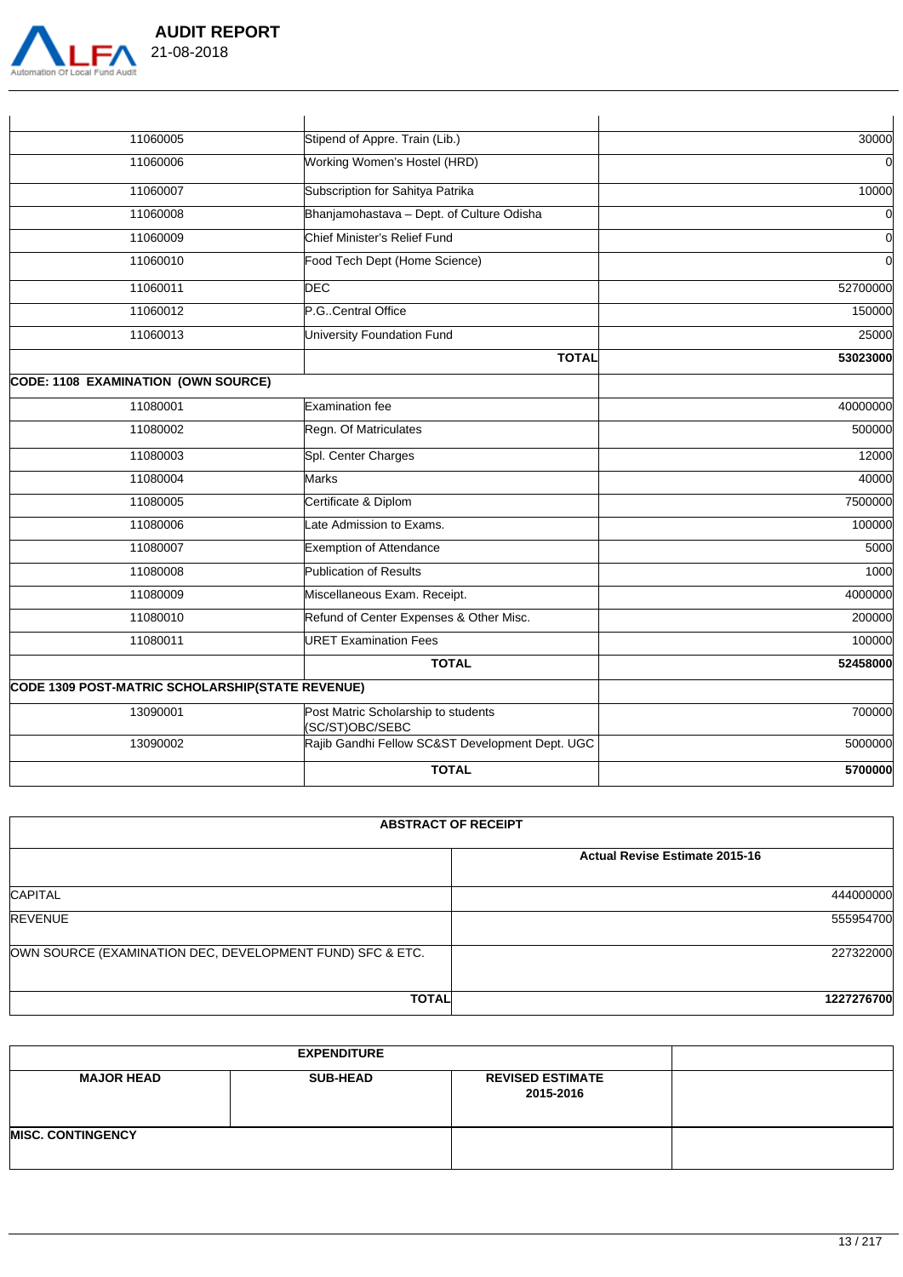

 **AUDIT REPORT** 

| 11060005                                         | Stipend of Appre. Train (Lib.)                         | 30000          |
|--------------------------------------------------|--------------------------------------------------------|----------------|
| 11060006                                         | Working Women's Hostel (HRD)                           | 0              |
| 11060007                                         | Subscription for Sahitya Patrika                       | 10000          |
| 11060008                                         | Bhanjamohastava - Dept. of Culture Odisha              | $\mathbf 0$    |
| 11060009                                         | Chief Minister's Relief Fund                           | $\overline{0}$ |
| 11060010                                         | Food Tech Dept (Home Science)                          | $\overline{0}$ |
| 11060011                                         | <b>DEC</b>                                             | 52700000       |
| 11060012                                         | P.G. Central Office                                    | 150000         |
| 11060013                                         | University Foundation Fund                             | 25000          |
|                                                  | <b>TOTAL</b>                                           | 53023000       |
| <b>CODE: 1108 EXAMINATION (OWN SOURCE)</b>       |                                                        |                |
| 11080001                                         | <b>Examination fee</b>                                 | 40000000       |
| 11080002                                         | Regn. Of Matriculates                                  | 500000         |
| 11080003                                         | Spl. Center Charges                                    | 12000          |
| 11080004                                         | <b>Marks</b>                                           | 40000          |
| 11080005                                         | Certificate & Diplom                                   | 7500000        |
| 11080006                                         | Late Admission to Exams.                               | 100000         |
| 11080007                                         | <b>Exemption of Attendance</b>                         | 5000           |
| 11080008                                         | Publication of Results                                 | 1000           |
| 11080009                                         | Miscellaneous Exam. Receipt.                           | 4000000        |
| 11080010                                         | Refund of Center Expenses & Other Misc.                | 200000         |
| 11080011                                         | <b>URET Examination Fees</b>                           | 100000         |
|                                                  | <b>TOTAL</b>                                           | 52458000       |
| CODE 1309 POST-MATRIC SCHOLARSHIP(STATE REVENUE) |                                                        |                |
| 13090001                                         | Post Matric Scholarship to students<br>(SC/ST)OBC/SEBC |                |
| 13090002                                         | Rajib Gandhi Fellow SC&ST Development Dept. UGC        | 5000000        |
|                                                  | <b>TOTAL</b>                                           | 5700000        |

| <b>ABSTRACT OF RECEIPT</b>                                |                                       |  |
|-----------------------------------------------------------|---------------------------------------|--|
|                                                           | <b>Actual Revise Estimate 2015-16</b> |  |
| <b>CAPITAL</b>                                            | 444000000                             |  |
| <b>REVENUE</b>                                            | 555954700                             |  |
| OWN SOURCE (EXAMINATION DEC, DEVELOPMENT FUND) SFC & ETC. | 227322000                             |  |
| <b>TOTAL</b>                                              | 1227276700                            |  |

| <b>EXPENDITURE</b>       |                 |                                      |  |
|--------------------------|-----------------|--------------------------------------|--|
| <b>MAJOR HEAD</b>        | <b>SUB-HEAD</b> | <b>REVISED ESTIMATE</b><br>2015-2016 |  |
| <b>MISC. CONTINGENCY</b> |                 |                                      |  |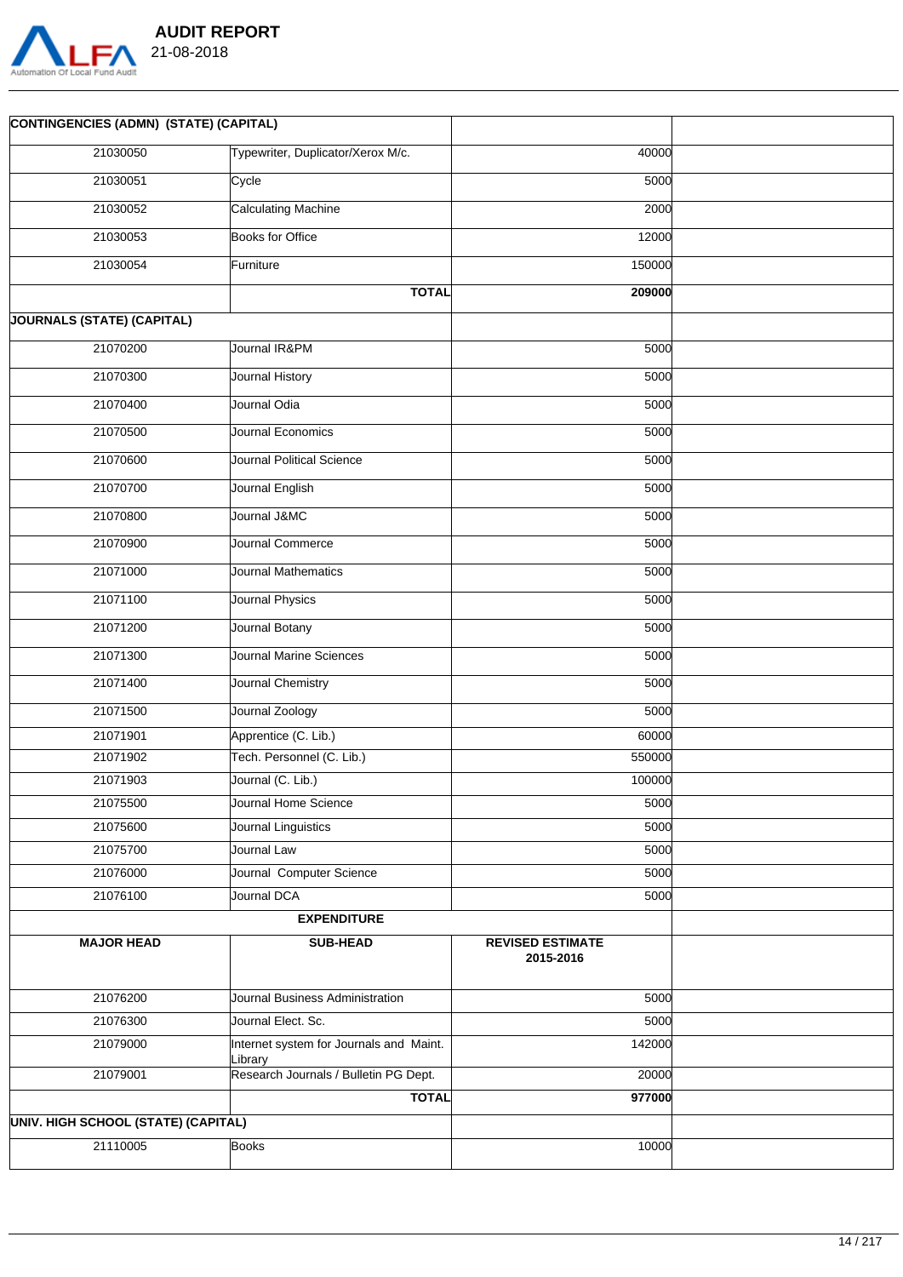

|         | <b>AUDIT REPORT</b> |  |
|---------|---------------------|--|
|         | $21-08-2018$        |  |
| 1 Audit |                     |  |

| <b>CONTINGENCIES (ADMN) (STATE) (CAPITAL)</b> |                                                    |                                      |  |
|-----------------------------------------------|----------------------------------------------------|--------------------------------------|--|
| 21030050                                      | Typewriter, Duplicator/Xerox M/c.                  | 40000                                |  |
| 21030051                                      | Cycle                                              | $\overline{5000}$                    |  |
| 21030052                                      | Calculating Machine                                | 2000                                 |  |
| 21030053                                      | <b>Books for Office</b>                            | 12000                                |  |
| 21030054                                      | Furniture                                          | 150000                               |  |
|                                               | <b>TOTAL</b>                                       | 209000                               |  |
| <b>JOURNALS (STATE) (CAPITAL)</b>             |                                                    |                                      |  |
| 21070200                                      | Journal IR&PM                                      | 5000                                 |  |
| 21070300                                      | Journal History                                    | 5000                                 |  |
| 21070400                                      | Journal Odia                                       | 5000                                 |  |
| 21070500                                      | Journal Economics                                  | 5000                                 |  |
| 21070600                                      | Journal Political Science                          | 5000                                 |  |
| 21070700                                      | Journal English                                    | 5000                                 |  |
| 21070800                                      | Journal J&MC                                       | 5000                                 |  |
| 21070900                                      | Journal Commerce                                   | 5000                                 |  |
| 21071000                                      | Journal Mathematics                                | 5000                                 |  |
| 21071100                                      | Journal Physics                                    | 5000                                 |  |
| 21071200                                      | Journal Botany                                     | 5000                                 |  |
| 21071300                                      | Journal Marine Sciences                            | 5000                                 |  |
| 21071400                                      | Journal Chemistry                                  | 5000                                 |  |
| 21071500                                      | Journal Zoology                                    | 5000                                 |  |
| 21071901                                      | Apprentice (C. Lib.)                               | 60000                                |  |
| 21071902                                      | Tech. Personnel (C. Lib.)                          | 550000                               |  |
| 21071903                                      | Journal (C. Lib.)                                  | 100000                               |  |
| 21075500                                      | Journal Home Science                               | 5000                                 |  |
| 21075600                                      | Journal Linguistics                                | 5000                                 |  |
| 21075700                                      | Journal Law                                        | 5000                                 |  |
| 21076000                                      | Journal Computer Science                           | 5000                                 |  |
| 21076100                                      | Journal DCA                                        | 5000                                 |  |
|                                               | <b>EXPENDITURE</b>                                 |                                      |  |
| <b>MAJOR HEAD</b>                             | <b>SUB-HEAD</b>                                    | <b>REVISED ESTIMATE</b><br>2015-2016 |  |
| 21076200                                      | Journal Business Administration                    | 5000                                 |  |
| 21076300                                      | Journal Elect. Sc.                                 | 5000                                 |  |
| 21079000                                      | Internet system for Journals and Maint.<br>Library | 142000                               |  |
| 21079001                                      | Research Journals / Bulletin PG Dept.              | 20000                                |  |
|                                               | <b>TOTAL</b>                                       | 977000                               |  |
| UNIV. HIGH SCHOOL (STATE) (CAPITAL)           |                                                    |                                      |  |
| 21110005                                      | <b>Books</b>                                       | 10000                                |  |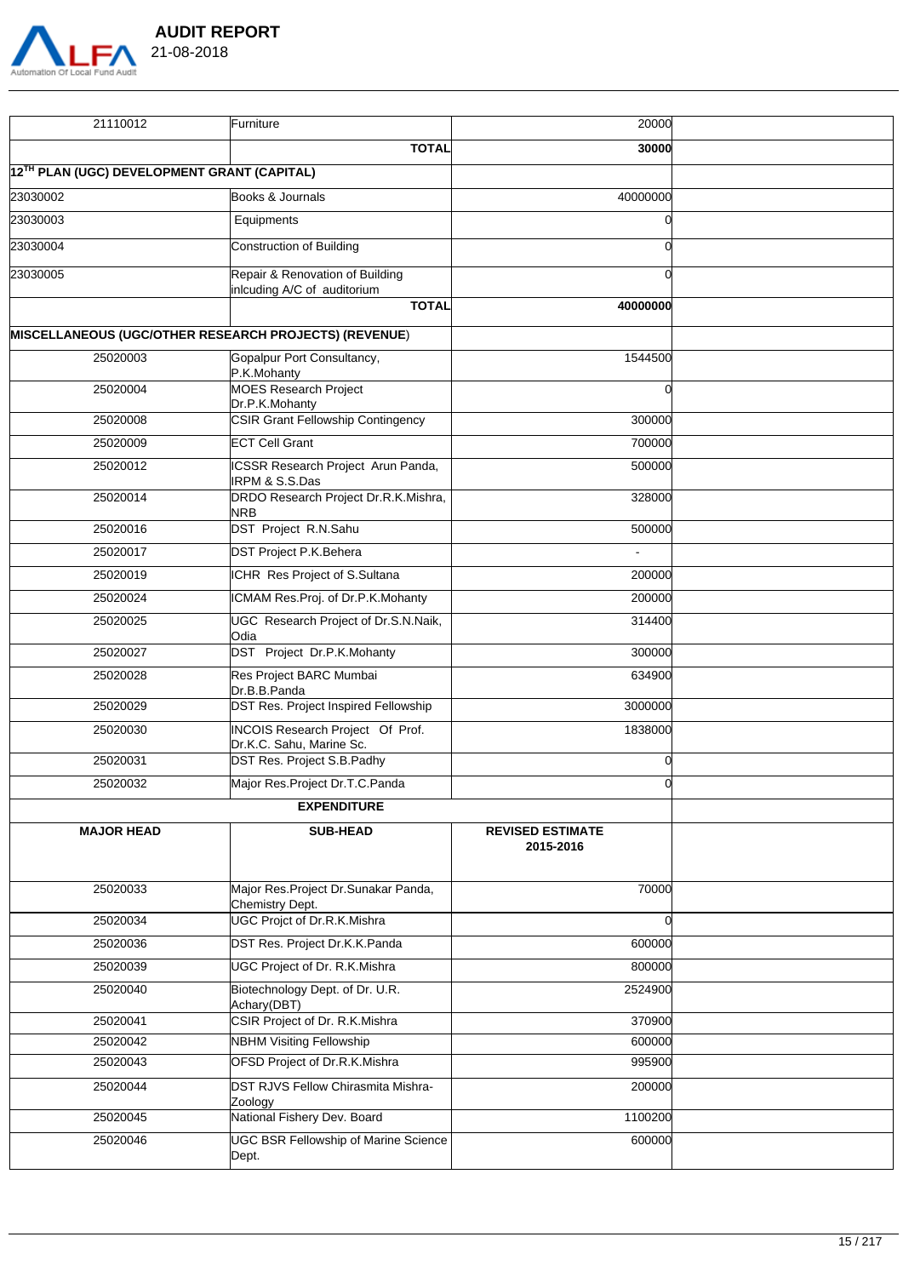

 $\overline{\phantom{a}}$ 

 $\Box$ 

| 21110012                                    | Furniture                                                    | 20000                                |  |
|---------------------------------------------|--------------------------------------------------------------|--------------------------------------|--|
|                                             | <b>TOTAL</b>                                                 | 30000                                |  |
| 12TH PLAN (UGC) DEVELOPMENT GRANT (CAPITAL) |                                                              |                                      |  |
| 23030002                                    | Books & Journals                                             | 40000000                             |  |
| 23030003                                    | Equipments                                                   | $\sqrt{ }$                           |  |
| 23030004                                    | Construction of Building                                     | ſ                                    |  |
| 23030005                                    | Repair & Renovation of Building                              |                                      |  |
|                                             | inlcuding A/C of auditorium                                  |                                      |  |
|                                             | <b>TOTAL</b>                                                 | 40000000                             |  |
|                                             | MISCELLANEOUS (UGC/OTHER RESEARCH PROJECTS) (REVENUE)        |                                      |  |
| 25020003                                    | Gopalpur Port Consultancy,<br>P.K.Mohanty                    | 1544500                              |  |
| 25020004                                    | <b>MOES Research Project</b><br>Dr.P.K.Mohanty               | ſ                                    |  |
| 25020008                                    | CSIR Grant Fellowship Contingency                            | 300000                               |  |
| 25020009                                    | <b>ECT Cell Grant</b>                                        | 700000                               |  |
| 25020012                                    | ICSSR Research Project Arun Panda,<br>IRPM & S.S.Das         | 500000                               |  |
| 25020014                                    | DRDO Research Project Dr.R.K.Mishra,<br><b>NRB</b>           | 328000                               |  |
| 25020016                                    | DST Project R.N.Sahu                                         | 500000                               |  |
| 25020017                                    | <b>DST Project P.K.Behera</b>                                | $\sim$                               |  |
| 25020019                                    | <b>ICHR</b> Res Project of S.Sultana                         | 200000                               |  |
| 25020024                                    | ICMAM Res.Proj. of Dr.P.K.Mohanty                            | 200000                               |  |
| 25020025                                    | UGC Research Project of Dr.S.N.Naik,<br>Odia                 | 314400                               |  |
| 25020027                                    | DST Project Dr.P.K.Mohanty                                   | 300000                               |  |
| 25020028                                    | Res Project BARC Mumbai<br>Dr.B.B.Panda                      | 634900                               |  |
| 25020029                                    | <b>DST Res. Project Inspired Fellowship</b>                  | 3000000                              |  |
| 25020030                                    | INCOIS Research Project Of Prof.<br>Dr.K.C. Sahu, Marine Sc. | 1838000                              |  |
| 25020031                                    | DST Res. Project S.B. Padhy                                  | $\Omega$                             |  |
| 25020032                                    | Major Res.Project Dr.T.C.Panda                               | $\Omega$                             |  |
|                                             | <b>EXPENDITURE</b>                                           |                                      |  |
| <b>MAJOR HEAD</b>                           | <b>SUB-HEAD</b>                                              | <b>REVISED ESTIMATE</b><br>2015-2016 |  |
| 25020033                                    | Major Res. Project Dr. Sunakar Panda,<br>Chemistry Dept.     | 70000                                |  |
| 25020034                                    | UGC Projct of Dr.R.K.Mishra                                  |                                      |  |
| 25020036                                    | DST Res. Project Dr.K.K.Panda                                | 600000                               |  |
| 25020039                                    | UGC Project of Dr. R.K.Mishra                                | 800000                               |  |
| 25020040                                    | Biotechnology Dept. of Dr. U.R.<br>Achary(DBT)               | 2524900                              |  |
| 25020041                                    | CSIR Project of Dr. R.K.Mishra                               | 370900                               |  |
| 25020042                                    | NBHM Visiting Fellowship                                     | 600000                               |  |
| 25020043                                    | OFSD Project of Dr.R.K.Mishra                                | 995900                               |  |
| 25020044                                    | <b>DST RJVS Fellow Chirasmita Mishra-</b><br>Zoology         | 200000                               |  |
| 25020045                                    | National Fishery Dev. Board                                  | 1100200                              |  |
| 25020046                                    | <b>UGC BSR Fellowship of Marine Science</b><br>Dept.         | 600000                               |  |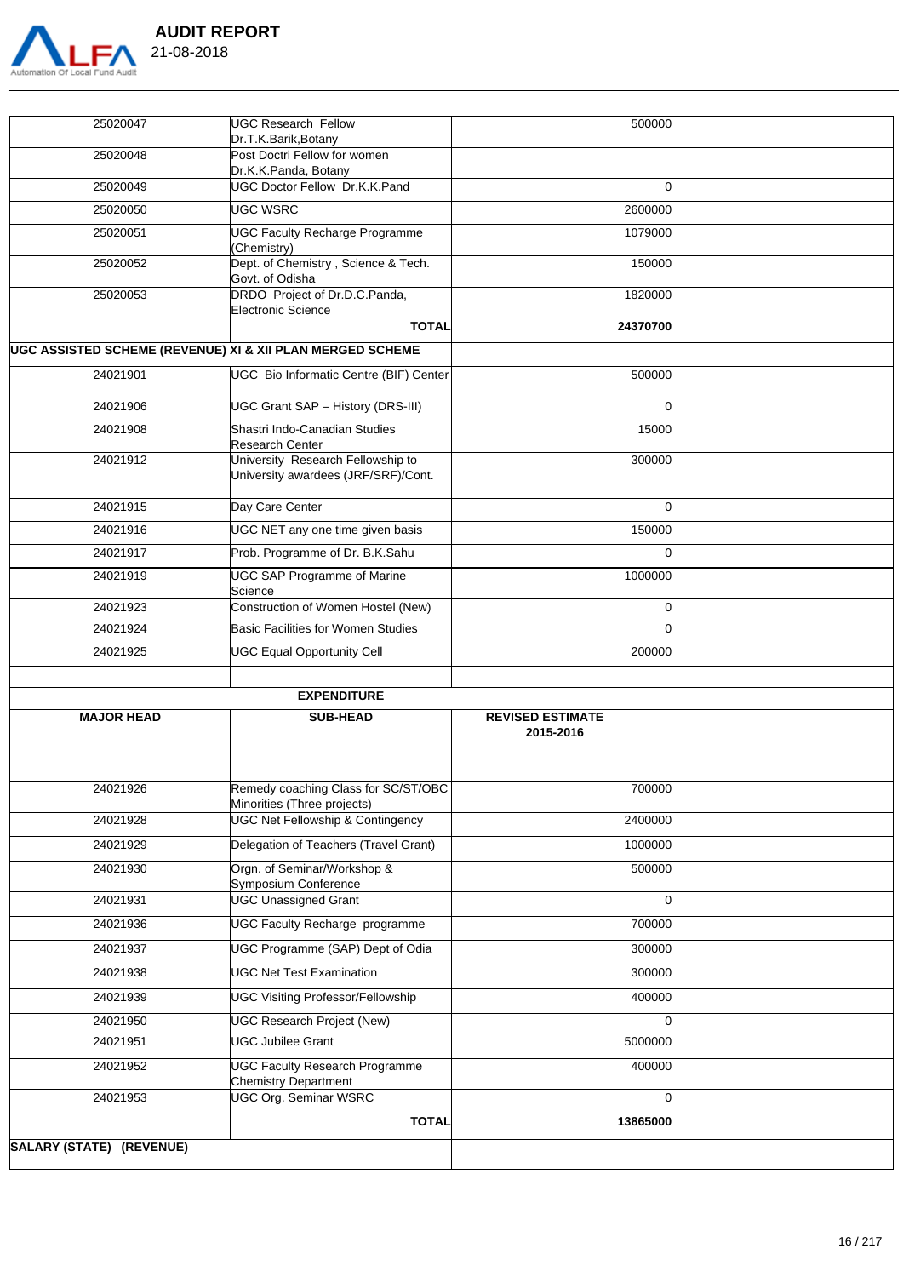

|            | <b>AUDIT REPORT</b> |
|------------|---------------------|
| 21-08-2018 |                     |

| 25020047                 | UGC Research Fellow<br>Dr.T.K.Barik, Botany                              | 500000                  |  |
|--------------------------|--------------------------------------------------------------------------|-------------------------|--|
| 25020048                 | Post Doctri Fellow for women                                             |                         |  |
|                          | Dr.K.K.Panda, Botany                                                     |                         |  |
| 25020049                 | <b>UGC Doctor Fellow Dr.K.K.Pand</b>                                     | $\Omega$                |  |
| 25020050                 | UGC WSRC                                                                 | 2600000                 |  |
| 25020051                 | <b>UGC Faculty Recharge Programme</b><br>(Chemistry)                     | 1079000                 |  |
| 25020052                 | Dept. of Chemistry, Science & Tech.<br>Govt. of Odisha                   | 150000                  |  |
| 25020053                 | DRDO Project of Dr.D.C.Panda,<br>Electronic Science                      | 1820000                 |  |
|                          | <b>TOTAL</b>                                                             | 24370700                |  |
|                          | UGC ASSISTED SCHEME (REVENUE) XI & XII PLAN MERGED SCHEME                |                         |  |
| 24021901                 | UGC Bio Informatic Centre (BIF) Center                                   | 500000                  |  |
| 24021906                 | <b>UGC Grant SAP - History (DRS-III)</b>                                 | $\overline{0}$          |  |
| 24021908                 | Shastri Indo-Canadian Studies<br>Research Center                         | 15000                   |  |
| 24021912                 | University Research Fellowship to<br>University awardees (JRF/SRF)/Cont. | 300000                  |  |
| 24021915                 | Day Care Center                                                          | $\Omega$                |  |
| 24021916                 | UGC NET any one time given basis                                         | 150000                  |  |
| 24021917                 | Prob. Programme of Dr. B.K.Sahu                                          | $\Omega$                |  |
| 24021919                 | <b>UGC SAP Programme of Marine</b><br>Science                            | 1000000                 |  |
| 24021923                 | Construction of Women Hostel (New)                                       | O                       |  |
| 24021924                 | Basic Facilities for Women Studies                                       | <sub>0</sub>            |  |
| 24021925                 | <b>UGC Equal Opportunity Cell</b>                                        | 200000                  |  |
|                          |                                                                          |                         |  |
|                          | <b>EXPENDITURE</b>                                                       | <b>REVISED ESTIMATE</b> |  |
| <b>MAJOR HEAD</b>        | <b>SUB-HEAD</b>                                                          | 2015-2016               |  |
| 24021926                 | Remedy coaching Class for SC/ST/OBC<br>Minorities (Three projects)       | 700000                  |  |
| 24021928                 | <b>UGC Net Fellowship &amp; Contingency</b>                              | 2400000                 |  |
| 24021929                 | Delegation of Teachers (Travel Grant)                                    | 1000000                 |  |
| 24021930                 | Orgn. of Seminar/Workshop &<br>Symposium Conference                      | 500000                  |  |
| 24021931                 | <b>UGC Unassigned Grant</b>                                              | 0                       |  |
| 24021936                 | UGC Faculty Recharge programme                                           | 700000                  |  |
| 24021937                 | UGC Programme (SAP) Dept of Odia                                         | 300000                  |  |
| 24021938                 | <b>UGC Net Test Examination</b>                                          | 300000                  |  |
| 24021939                 | <b>UGC Visiting Professor/Fellowship</b>                                 | 400000                  |  |
| 24021950                 | UGC Research Project (New)                                               | $\Omega$                |  |
| 24021951                 | <b>UGC Jubilee Grant</b>                                                 | 5000000                 |  |
| 24021952                 | <b>UGC Faculty Research Programme</b><br><b>Chemistry Department</b>     | 400000                  |  |
| 24021953                 | <b>UGC Org. Seminar WSRC</b>                                             | $\Omega$                |  |
|                          | <b>TOTAL</b>                                                             | 13865000                |  |
| SALARY (STATE) (REVENUE) |                                                                          |                         |  |
|                          |                                                                          |                         |  |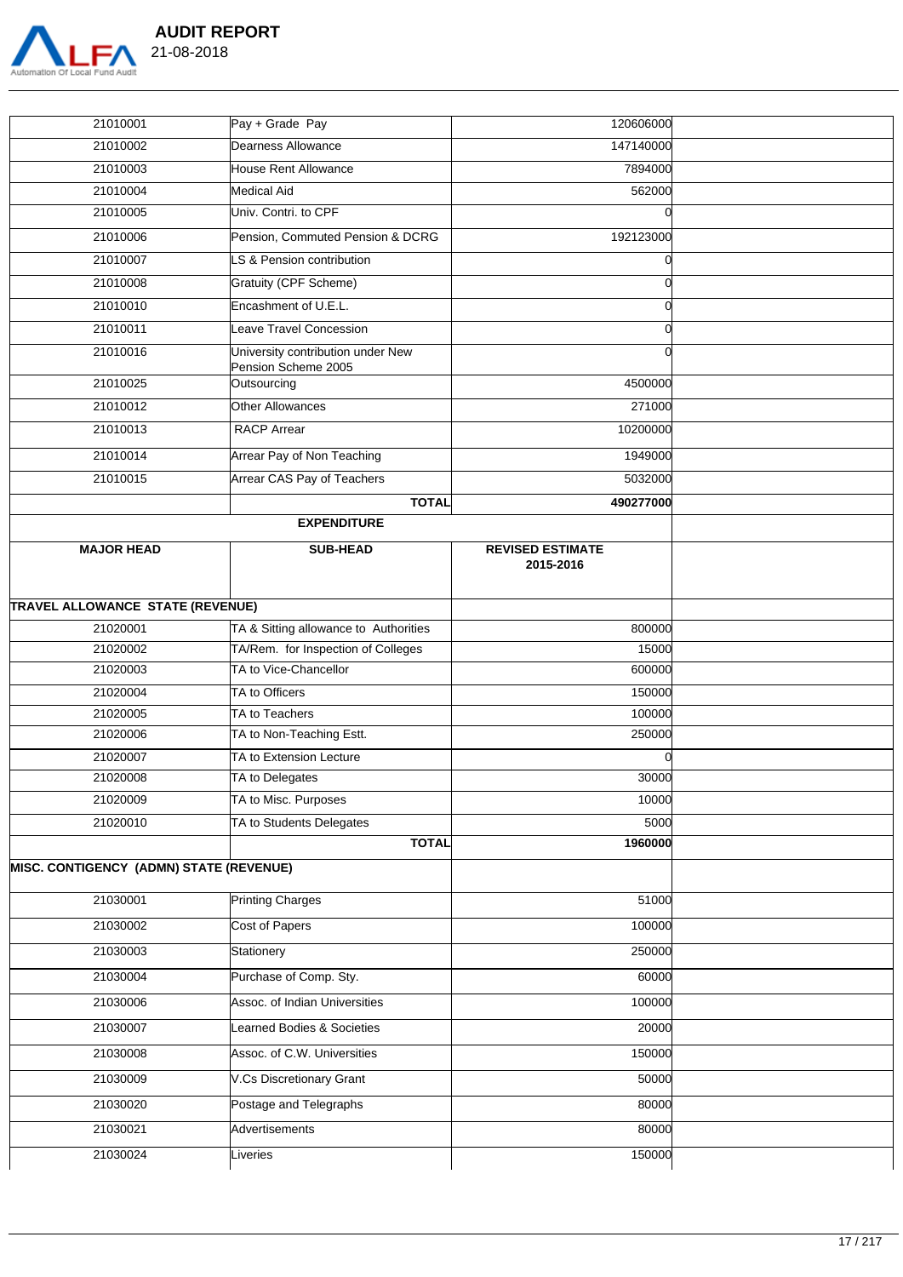

| 21010001                                       | Pay + Grade Pay                                          | 120606000                            |  |
|------------------------------------------------|----------------------------------------------------------|--------------------------------------|--|
| 21010002                                       | Dearness Allowance                                       | 147140000                            |  |
| 21010003                                       | House Rent Allowance                                     | 7894000                              |  |
| 21010004                                       | Medical Aid                                              | 562000                               |  |
| 21010005                                       | Univ. Contri. to CPF                                     | O                                    |  |
| 21010006                                       | Pension, Commuted Pension & DCRG                         | 192123000                            |  |
| 21010007                                       | S & Pension contribution                                 |                                      |  |
| 21010008                                       | Gratuity (CPF Scheme)                                    | O                                    |  |
| 21010010                                       | Encashment of U.E.L.                                     | U                                    |  |
| 21010011                                       | Leave Travel Concession                                  | ∩                                    |  |
| 21010016                                       | University contribution under New<br>Pension Scheme 2005 | ∩                                    |  |
| 21010025                                       | Outsourcing                                              | 4500000                              |  |
| 21010012                                       | Other Allowances                                         | 271000                               |  |
| 21010013                                       | <b>RACP Arrear</b>                                       | 10200000                             |  |
| 21010014                                       | Arrear Pay of Non Teaching                               | 1949000                              |  |
| 21010015                                       | Arrear CAS Pay of Teachers                               | 5032000                              |  |
|                                                | <b>TOTAL</b>                                             | 490277000                            |  |
|                                                | <b>EXPENDITURE</b>                                       |                                      |  |
| <b>MAJOR HEAD</b>                              | <b>SUB-HEAD</b>                                          | <b>REVISED ESTIMATE</b><br>2015-2016 |  |
| TRAVEL ALLOWANCE STATE (REVENUE)               |                                                          |                                      |  |
| 21020001                                       | TA & Sitting allowance to Authorities                    | 800000                               |  |
| 21020002                                       | TA/Rem. for Inspection of Colleges                       | 15000                                |  |
| 21020003                                       | TA to Vice-Chancellor                                    | 600000                               |  |
| 21020004                                       | TA to Officers                                           | 150000                               |  |
| 21020005                                       | TA to Teachers                                           | 100000                               |  |
| 21020006                                       | TA to Non-Teaching Estt.                                 | 250000                               |  |
| 21020007                                       | TA to Extension Lecture                                  | O                                    |  |
| 21020008                                       | TA to Delegates                                          | 30000                                |  |
| 21020009                                       | TA to Misc. Purposes<br>TA to Students Delegates         | 10000<br>5000                        |  |
| 21020010                                       | <b>TOTAL</b>                                             | 1960000                              |  |
| <b>MISC. CONTIGENCY (ADMN) STATE (REVENUE)</b> |                                                          |                                      |  |
| 21030001                                       | <b>Printing Charges</b>                                  | 51000                                |  |
| 21030002                                       | Cost of Papers                                           | 100000                               |  |
| 21030003                                       | Stationery                                               | 250000                               |  |
| 21030004                                       | Purchase of Comp. Sty.                                   | 60000                                |  |
| 21030006                                       | Assoc. of Indian Universities                            | 100000                               |  |
|                                                | earned Bodies & Societies                                |                                      |  |
| 21030007                                       |                                                          | 20000                                |  |
| 21030008                                       | Assoc. of C.W. Universities                              | 150000                               |  |
| 21030009                                       | V.Cs Discretionary Grant                                 | 50000                                |  |
| 21030020                                       | Postage and Telegraphs                                   | 80000                                |  |
| 21030021                                       | Advertisements                                           | 80000                                |  |
| 21030024                                       | Liveries                                                 | 150000                               |  |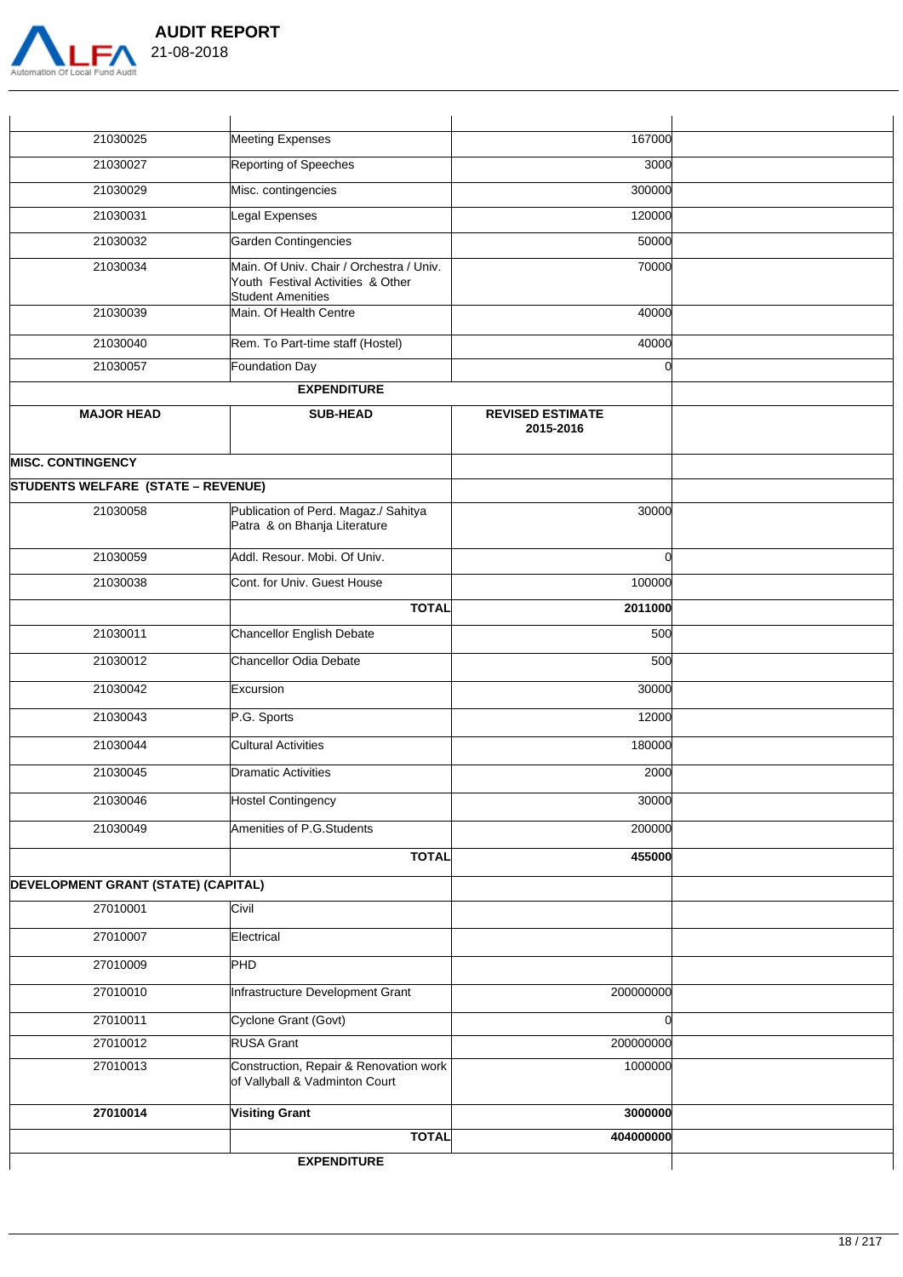

| 21030025                                   | Meeting Expenses                                                                                   | 167000                               |  |
|--------------------------------------------|----------------------------------------------------------------------------------------------------|--------------------------------------|--|
| 21030027                                   | Reporting of Speeches                                                                              | 3000                                 |  |
| 21030029                                   | Misc. contingencies                                                                                | 300000                               |  |
| 21030031                                   | Legal Expenses                                                                                     | 120000                               |  |
| 21030032                                   | Garden Contingencies                                                                               | 50000                                |  |
| 21030034                                   | Main. Of Univ. Chair / Orchestra / Univ.<br>Youth Festival Activities & Other<br>Student Amenities | 70000                                |  |
| 21030039                                   | Main. Of Health Centre                                                                             | 40000                                |  |
| 21030040                                   | Rem. To Part-time staff (Hostel)                                                                   | 40000                                |  |
| 21030057                                   | Foundation Day                                                                                     | $\Omega$                             |  |
|                                            | <b>EXPENDITURE</b>                                                                                 |                                      |  |
| <b>MAJOR HEAD</b>                          | <b>SUB-HEAD</b>                                                                                    | <b>REVISED ESTIMATE</b><br>2015-2016 |  |
| <b>MISC. CONTINGENCY</b>                   |                                                                                                    |                                      |  |
| <b>STUDENTS WELFARE (STATE - REVENUE)</b>  |                                                                                                    |                                      |  |
| 21030058                                   | Publication of Perd. Magaz./ Sahitya<br>Patra & on Bhanja Literature                               | 30000                                |  |
| 21030059                                   | Addl. Resour. Mobi. Of Univ.                                                                       | $\Omega$                             |  |
| 21030038                                   | Cont. for Univ. Guest House                                                                        | 100000                               |  |
|                                            | <b>TOTAL</b>                                                                                       | 2011000                              |  |
| 21030011                                   | Chancellor English Debate                                                                          | 500                                  |  |
| 21030012                                   | Chancellor Odia Debate                                                                             | 500                                  |  |
| 21030042                                   | Excursion                                                                                          | 30000                                |  |
| 21030043                                   | P.G. Sports                                                                                        | 12000                                |  |
| 21030044                                   | Cultural Activities                                                                                | 180000                               |  |
| 21030045                                   | Dramatic Activities                                                                                | 2000                                 |  |
| 21030046                                   | Hostel Contingency                                                                                 | 30000                                |  |
| 21030049                                   | Amenities of P.G.Students                                                                          | 200000                               |  |
|                                            | <b>TOTAL</b>                                                                                       | 455000                               |  |
| <b>DEVELOPMENT GRANT (STATE) (CAPITAL)</b> |                                                                                                    |                                      |  |
| 27010001                                   | Civil                                                                                              |                                      |  |
| 27010007                                   | Electrical                                                                                         |                                      |  |
| 27010009                                   | PHD                                                                                                |                                      |  |
| 27010010                                   | Infrastructure Development Grant                                                                   | 200000000                            |  |
| 27010011                                   | Cyclone Grant (Govt)                                                                               | $\overline{0}$                       |  |
| 27010012                                   | <b>RUSA Grant</b>                                                                                  | 200000000                            |  |
| 27010013                                   | Construction, Repair & Renovation work<br>of Vallyball & Vadminton Court                           | 1000000                              |  |
| 27010014                                   | <b>Visiting Grant</b>                                                                              | 3000000                              |  |
|                                            | <b>TOTAL</b>                                                                                       | 404000000                            |  |
|                                            | <b>EXPENDITURE</b>                                                                                 |                                      |  |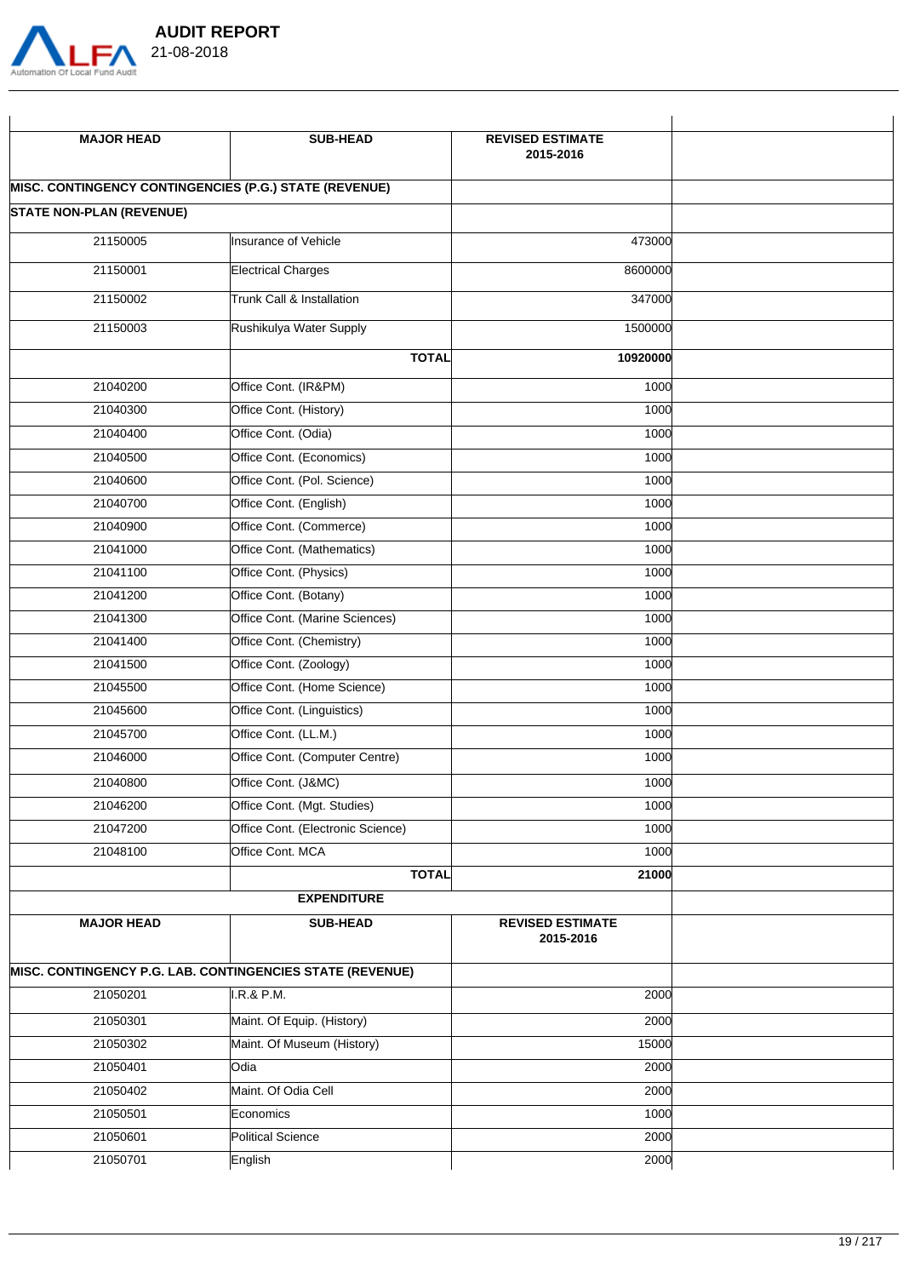

|            | <b>AUDIT REPORT</b> |
|------------|---------------------|
| 21-08-2018 |                     |

| <b>MAJOR HEAD</b>                                      | <b>SUB-HEAD</b>                                           | <b>REVISED ESTIMATE</b>              |  |
|--------------------------------------------------------|-----------------------------------------------------------|--------------------------------------|--|
|                                                        |                                                           | 2015-2016                            |  |
| MISC. CONTINGENCY CONTINGENCIES (P.G.) STATE (REVENUE) |                                                           |                                      |  |
| <b>STATE NON-PLAN (REVENUE)</b>                        |                                                           |                                      |  |
| 21150005                                               | Insurance of Vehicle                                      | 473000                               |  |
| 21150001                                               | Electrical Charges                                        | 8600000                              |  |
| 21150002                                               | Trunk Call & Installation                                 | 347000                               |  |
| 21150003                                               | Rushikulya Water Supply                                   | 1500000                              |  |
|                                                        | <b>TOTAL</b>                                              | 10920000                             |  |
| 21040200                                               | Office Cont. (IR&PM)                                      | 1000                                 |  |
| 21040300                                               | Office Cont. (History)                                    | 1000                                 |  |
| 21040400                                               | Office Cont. (Odia)                                       | 1000                                 |  |
| 21040500                                               | Office Cont. (Economics)                                  | 1000                                 |  |
| 21040600                                               | Office Cont. (Pol. Science)                               | 1000                                 |  |
| 21040700                                               | Office Cont. (English)                                    | 1000                                 |  |
| 21040900                                               | Office Cont. (Commerce)                                   | 1000                                 |  |
| 21041000                                               | Office Cont. (Mathematics)                                | 1000                                 |  |
| 21041100                                               | Office Cont. (Physics)                                    | 1000                                 |  |
| 21041200                                               | Office Cont. (Botany)                                     | 1000                                 |  |
| 21041300                                               | Office Cont. (Marine Sciences)                            | 1000                                 |  |
| 21041400                                               | Office Cont. (Chemistry)                                  | 1000                                 |  |
| 21041500                                               | Office Cont. (Zoology)                                    | 1000                                 |  |
| 21045500                                               | Office Cont. (Home Science)                               | 1000                                 |  |
| 21045600                                               | Office Cont. (Linguistics)                                | 1000                                 |  |
| 21045700                                               | Office Cont. (LL.M.)                                      | 1000                                 |  |
| 21046000                                               | Office Cont. (Computer Centre)                            | 1000                                 |  |
| 21040800                                               | Office Cont. (J&MC)                                       | 1000                                 |  |
| 21046200                                               | Office Cont. (Mgt. Studies)                               | 1000                                 |  |
| 21047200                                               | Office Cont. (Electronic Science)                         | 1000                                 |  |
| 21048100                                               | Office Cont. MCA                                          | 1000                                 |  |
|                                                        | <b>TOTAL</b>                                              | 21000                                |  |
|                                                        | <b>EXPENDITURE</b>                                        |                                      |  |
|                                                        |                                                           |                                      |  |
| <b>MAJOR HEAD</b>                                      | <b>SUB-HEAD</b>                                           | <b>REVISED ESTIMATE</b><br>2015-2016 |  |
|                                                        | MISC. CONTINGENCY P.G. LAB. CONTINGENCIES STATE (REVENUE) |                                      |  |
| 21050201                                               | I.R.& P.M.                                                | 2000                                 |  |
| 21050301                                               | Maint. Of Equip. (History)                                | 2000                                 |  |
| 21050302                                               | Maint. Of Museum (History)                                | 15000                                |  |
| 21050401                                               | Odia                                                      | 2000                                 |  |
| 21050402                                               | Maint. Of Odia Cell                                       | 2000                                 |  |
| 21050501                                               | Economics                                                 | 1000                                 |  |
| 21050601                                               | Political Science                                         | 2000                                 |  |
| 21050701                                               | English                                                   | 2000                                 |  |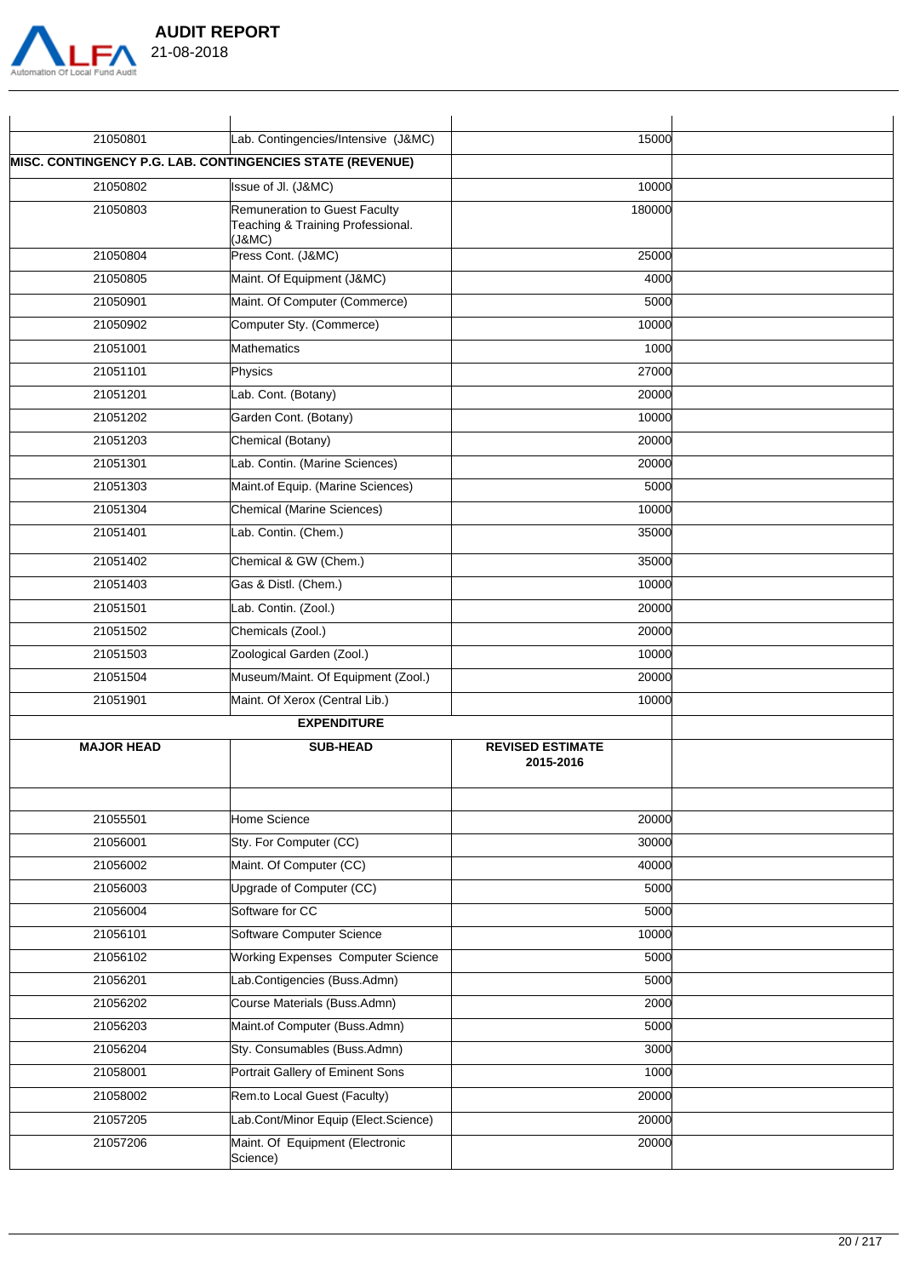

|            | <b>AUDIT REPORT</b> |
|------------|---------------------|
| 21-08-2018 |                     |

| 21050801             | Lab. Contingencies/Intensive (J&MC)                                          | 15000                                |  |
|----------------------|------------------------------------------------------------------------------|--------------------------------------|--|
|                      | MISC. CONTINGENCY P.G. LAB. CONTINGENCIES STATE (REVENUE)                    |                                      |  |
| 21050802             | Issue of Jl. (J&MC)                                                          | 10000                                |  |
| 21050803             | Remuneration to Guest Faculty<br>Teaching & Training Professional.<br>(J&MC) | 180000                               |  |
| 21050804             | Press Cont. (J&MC)                                                           | 25000                                |  |
| 21050805             | Maint. Of Equipment (J&MC)                                                   | 4000                                 |  |
| 21050901             | Maint. Of Computer (Commerce)                                                | 5000                                 |  |
| 21050902             | Computer Sty. (Commerce)                                                     | 10000                                |  |
| 21051001             | Mathematics                                                                  | 1000                                 |  |
| 21051101             | Physics                                                                      | 27000                                |  |
| 21051201             | Lab. Cont. (Botany)                                                          | 20000                                |  |
| 21051202             | Garden Cont. (Botany)                                                        | 10000                                |  |
| 21051203             | Chemical (Botany)                                                            | 20000                                |  |
| 21051301             | Lab. Contin. (Marine Sciences)                                               | 20000                                |  |
| 21051303             | Maint.of Equip. (Marine Sciences)                                            | 5000                                 |  |
| 21051304             | Chemical (Marine Sciences)                                                   | 10000                                |  |
| 21051401             | Lab. Contin. (Chem.)                                                         | 35000                                |  |
| 21051402             | Chemical & GW (Chem.)                                                        | 35000                                |  |
| 21051403             | Gas & Distl. (Chem.)                                                         | 10000                                |  |
| 21051501             | Lab. Contin. (Zool.)                                                         | 20000                                |  |
| 21051502             | Chemicals (Zool.)                                                            | 20000                                |  |
| 21051503             | Zoological Garden (Zool.)                                                    | 10000                                |  |
| 21051504             | Museum/Maint. Of Equipment (Zool.)                                           | 20000                                |  |
| 21051901             | Maint. Of Xerox (Central Lib.)                                               | 10000                                |  |
|                      | <b>EXPENDITURE</b>                                                           |                                      |  |
| <b>MAJOR HEAD</b>    | <b>SUB-HEAD</b>                                                              | <b>REVISED ESTIMATE</b><br>2015-2016 |  |
|                      |                                                                              |                                      |  |
| 21055501             | Home Science                                                                 | 20000                                |  |
| 21056001             | Sty. For Computer (CC)                                                       | 30000                                |  |
| 21056002             | Maint. Of Computer (CC)                                                      | 40000                                |  |
| 21056003             | Upgrade of Computer (CC)                                                     | 5000                                 |  |
| 21056004             | Software for CC                                                              | 5000                                 |  |
| 21056101<br>21056102 | Software Computer Science                                                    | 10000                                |  |
|                      | <b>Working Expenses Computer Science</b>                                     | 5000                                 |  |
| 21056201             | Lab.Contigencies (Buss.Admn)                                                 | 5000                                 |  |
| 21056202             | Course Materials (Buss.Admn)                                                 | 2000                                 |  |
| 21056203             | Maint.of Computer (Buss.Admn)                                                | 5000                                 |  |
| 21056204             | Sty. Consumables (Buss.Admn)                                                 | 3000                                 |  |
| 21058001             | Portrait Gallery of Eminent Sons                                             | 1000                                 |  |
| 21058002             | Rem.to Local Guest (Faculty)                                                 | 20000                                |  |
| 21057205             | Lab.Cont/Minor Equip (Elect.Science)                                         | 20000                                |  |
| 21057206             | Maint. Of Equipment (Electronic<br>Science)                                  | 20000                                |  |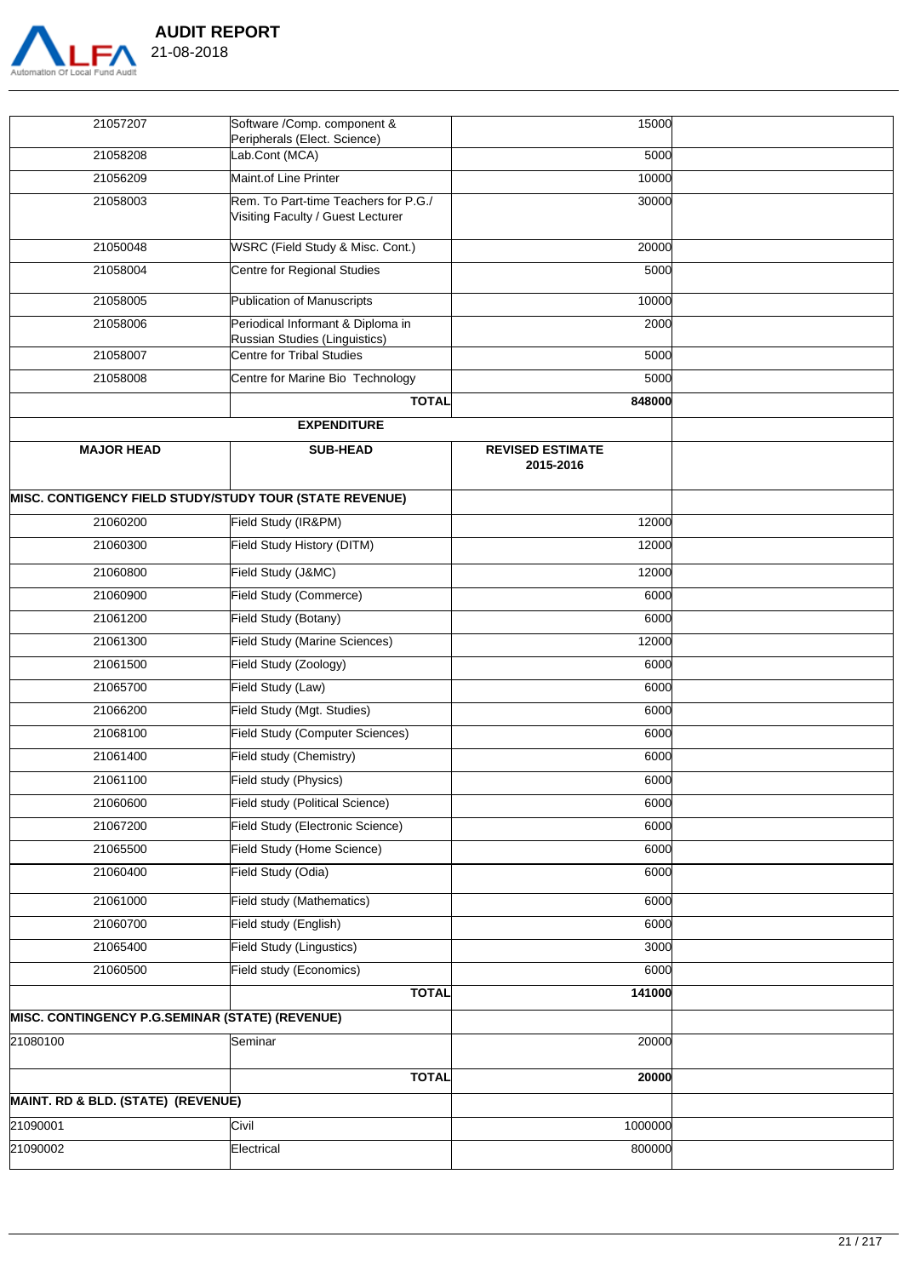

 $\lceil$ 

| 21057207                                                | Software /Comp. component &<br>Peripherals (Elect. Science)               | 15000                                |  |
|---------------------------------------------------------|---------------------------------------------------------------------------|--------------------------------------|--|
| 21058208                                                | Lab.Cont (MCA)                                                            | 5000                                 |  |
| 21056209                                                | Maint.of Line Printer                                                     | 10000                                |  |
| 21058003                                                | Rem. To Part-time Teachers for P.G./<br>Visiting Faculty / Guest Lecturer | 30000                                |  |
| 21050048                                                | WSRC (Field Study & Misc. Cont.)                                          | 20000                                |  |
| 21058004                                                | Centre for Regional Studies                                               | 5000                                 |  |
| 21058005                                                | Publication of Manuscripts                                                | 10000                                |  |
| 21058006                                                | Periodical Informant & Diploma in<br>Russian Studies (Linguistics)        | 2000                                 |  |
| 21058007                                                | <b>Centre for Tribal Studies</b>                                          | 5000                                 |  |
| 21058008                                                | Centre for Marine Bio Technology                                          | 5000                                 |  |
|                                                         | <b>TOTAL</b>                                                              | 848000                               |  |
|                                                         | <b>EXPENDITURE</b>                                                        |                                      |  |
| <b>MAJOR HEAD</b>                                       | <b>SUB-HEAD</b>                                                           | <b>REVISED ESTIMATE</b><br>2015-2016 |  |
| MISC. CONTIGENCY FIELD STUDY/STUDY TOUR (STATE REVENUE) |                                                                           |                                      |  |
| 21060200                                                | Field Study (IR&PM)                                                       | 12000                                |  |
| 21060300                                                | Field Study History (DITM)                                                | 12000                                |  |
| 21060800                                                | Field Study (J&MC)                                                        | 12000                                |  |
| 21060900                                                | Field Study (Commerce)                                                    | 6000                                 |  |
| 21061200                                                | <b>Field Study (Botany)</b>                                               | 6000                                 |  |
| 21061300                                                | <b>Field Study (Marine Sciences)</b>                                      | 12000                                |  |
| 21061500                                                | Field Study (Zoology)                                                     | 6000                                 |  |
| 21065700                                                | Field Study (Law)                                                         | 6000                                 |  |
| 21066200                                                | Field Study (Mgt. Studies)                                                | 6000                                 |  |
| 21068100                                                | Field Study (Computer Sciences)                                           | 6000                                 |  |
| 21061400                                                | Field study (Chemistry)                                                   | 6000                                 |  |
| 21061100                                                | Field study (Physics)                                                     | 6000                                 |  |
| 21060600                                                | Field study (Political Science)                                           | 6000                                 |  |
| 21067200                                                | Field Study (Electronic Science)                                          | 6000                                 |  |
| 21065500                                                | Field Study (Home Science)                                                | 6000                                 |  |
| 21060400                                                | Field Study (Odia)                                                        | 6000                                 |  |
| 21061000                                                | Field study (Mathematics)                                                 | 6000                                 |  |
| 21060700                                                | Field study (English)                                                     | 6000                                 |  |
| 21065400                                                | <b>Field Study (Lingustics)</b>                                           | 3000                                 |  |
| 21060500                                                | Field study (Economics)                                                   | 6000                                 |  |
|                                                         | <b>TOTAL</b>                                                              | 141000                               |  |
| MISC. CONTINGENCY P.G.SEMINAR (STATE) (REVENUE)         |                                                                           |                                      |  |
| 21080100                                                | Seminar                                                                   | 20000                                |  |
|                                                         | <b>TOTAL</b>                                                              | 20000                                |  |
| MAINT. RD & BLD. (STATE) (REVENUE)                      |                                                                           |                                      |  |
| 21090001                                                | Civil                                                                     | 1000000                              |  |
| 21090002                                                | Electrical                                                                | 800000                               |  |
|                                                         |                                                                           |                                      |  |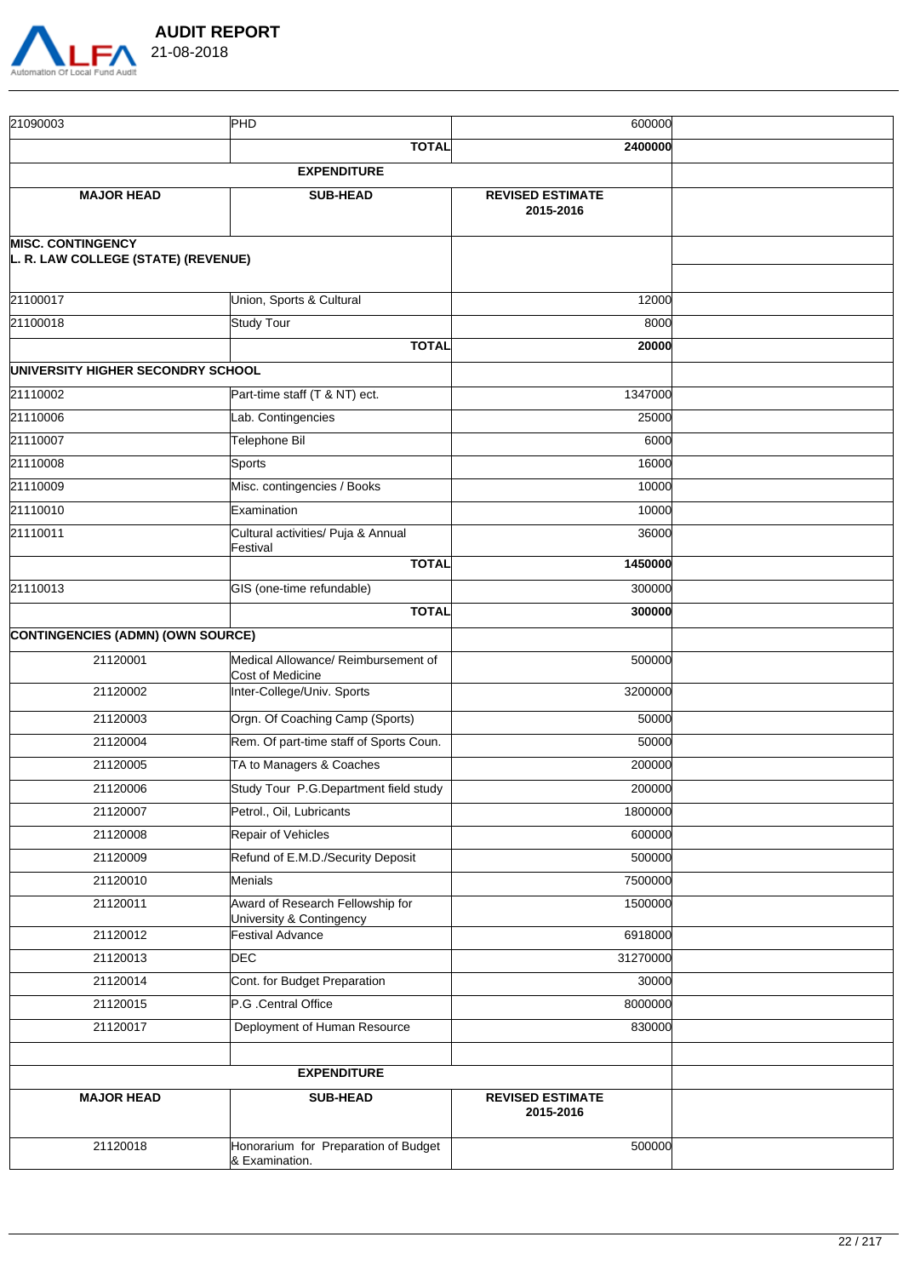

| <b>AUDIT REPORT</b> |
|---------------------|
| 21-08-2018          |
|                     |

| 21090003                                                        | <b>PHD</b>                                                   | 600000                               |  |
|-----------------------------------------------------------------|--------------------------------------------------------------|--------------------------------------|--|
|                                                                 | <b>TOTAL</b>                                                 | 2400000                              |  |
|                                                                 |                                                              |                                      |  |
| <b>MAJOR HEAD</b>                                               | <b>SUB-HEAD</b>                                              | <b>REVISED ESTIMATE</b><br>2015-2016 |  |
| <b>MISC. CONTINGENCY</b><br>L. R. LAW COLLEGE (STATE) (REVENUE) |                                                              |                                      |  |
| 21100017                                                        | Union, Sports & Cultural                                     | 12000                                |  |
| 21100018                                                        | Study Tour                                                   | 8000                                 |  |
|                                                                 | <b>TOTAL</b>                                                 | 20000                                |  |
| UNIVERSITY HIGHER SECONDRY SCHOOL                               |                                                              |                                      |  |
| 21110002                                                        | Part-time staff (T & NT) ect.                                | 1347000                              |  |
| 21110006                                                        | Lab. Contingencies                                           | 25000                                |  |
| 21110007                                                        | Telephone Bil                                                | 6000                                 |  |
| 21110008                                                        | Sports                                                       | 16000                                |  |
| 21110009                                                        | Misc. contingencies / Books                                  | 10000                                |  |
| 21110010                                                        | Examination                                                  | 10000                                |  |
| 21110011                                                        | Cultural activities/ Puja & Annual<br>Festival               | 36000                                |  |
|                                                                 | <b>TOTAL</b>                                                 | 1450000                              |  |
| 21110013                                                        | GIS (one-time refundable)                                    | 300000                               |  |
|                                                                 | <b>TOTAL</b>                                                 | 300000                               |  |
| CONTINGENCIES (ADMN) (OWN SOURCE)                               |                                                              |                                      |  |
| 21120001                                                        | Medical Allowance/ Reimbursement of<br>Cost of Medicine      | 500000                               |  |
| 21120002                                                        | Inter-College/Univ. Sports                                   | 3200000                              |  |
| 21120003                                                        | Orgn. Of Coaching Camp (Sports)                              | 50000                                |  |
| 21120004                                                        | Rem. Of part-time staff of Sports Coun.                      | 50000                                |  |
| 21120005                                                        | TA to Managers & Coaches                                     | 200000                               |  |
| 21120006                                                        | Study Tour P.G.Department field study                        | 200000                               |  |
| 21120007                                                        | Petrol., Oil, Lubricants                                     | 1800000                              |  |
| 21120008                                                        | Repair of Vehicles                                           | 600000                               |  |
| 21120009                                                        | Refund of E.M.D./Security Deposit                            | 500000                               |  |
| 21120010                                                        | Menials                                                      | 7500000                              |  |
| 21120011                                                        | Award of Research Fellowship for<br>University & Contingency | 1500000                              |  |
| 21120012                                                        | Festival Advance                                             | 6918000                              |  |
| 21120013                                                        | DEC                                                          | 31270000                             |  |
| 21120014                                                        | Cont. for Budget Preparation                                 | 30000                                |  |
| 21120015                                                        | P.G .Central Office                                          | 8000000                              |  |
| 21120017                                                        | Deployment of Human Resource                                 | 830000                               |  |
|                                                                 | <b>EXPENDITURE</b>                                           |                                      |  |
| <b>MAJOR HEAD</b>                                               | <b>SUB-HEAD</b>                                              | <b>REVISED ESTIMATE</b>              |  |
|                                                                 |                                                              | 2015-2016                            |  |
| 21120018                                                        | Honorarium for Preparation of Budget<br>& Examination.       | 500000                               |  |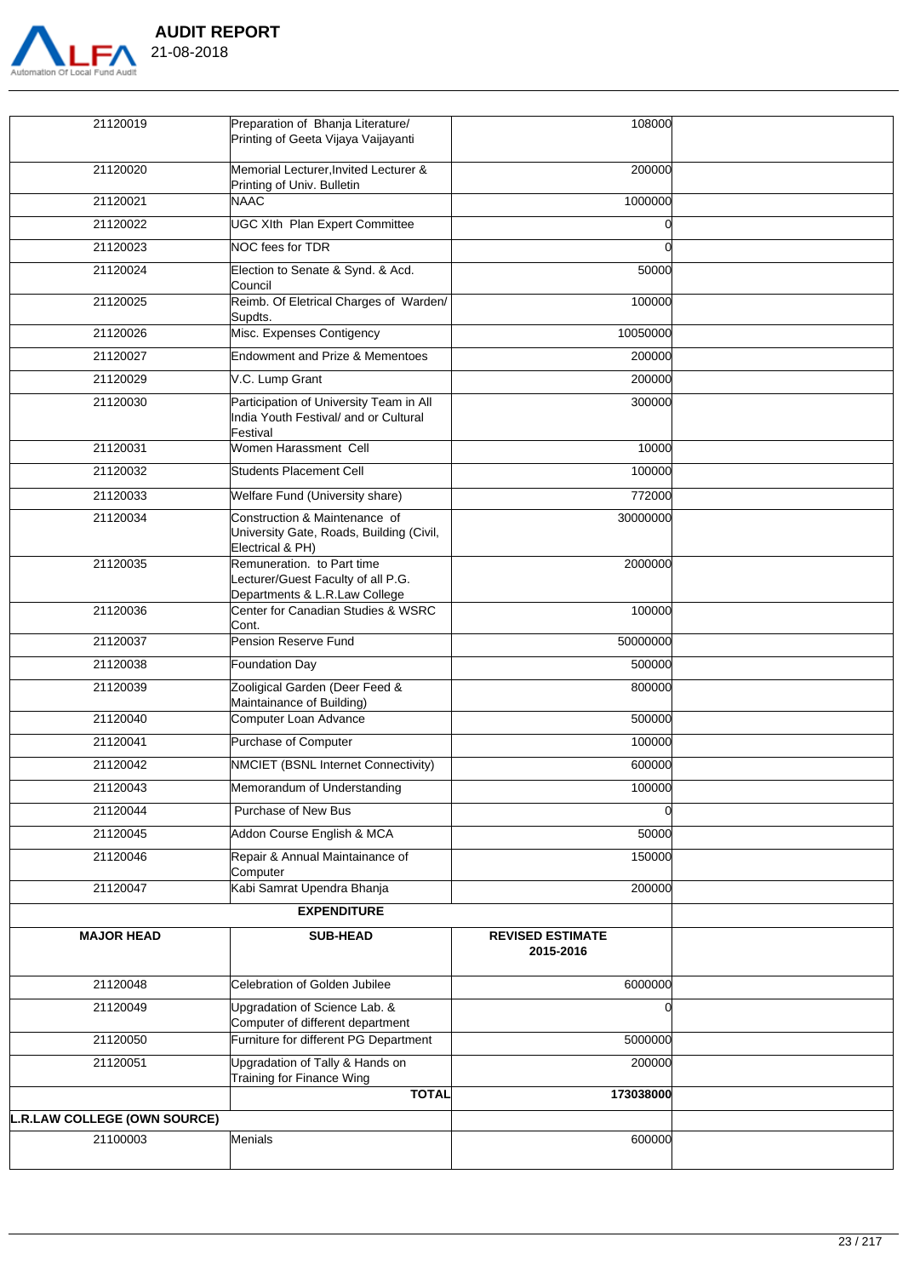

| 21120019                            | Preparation of Bhanja Literature/<br>Printing of Geeta Vijaya Vaijayanti                          | 108000                               |  |
|-------------------------------------|---------------------------------------------------------------------------------------------------|--------------------------------------|--|
| 21120020                            | Memorial Lecturer, Invited Lecturer &<br>Printing of Univ. Bulletin                               | 200000                               |  |
| 21120021                            | NAAC                                                                                              | 1000000                              |  |
| 21120022                            | UGC XIth Plan Expert Committee                                                                    |                                      |  |
| 21120023                            | NOC fees for TDR                                                                                  | U                                    |  |
| 21120024                            | Election to Senate & Synd. & Acd.<br>Council                                                      | 50000                                |  |
| 21120025                            | Reimb. Of Eletrical Charges of Warden/<br>Supdts.                                                 | 100000                               |  |
| 21120026                            | Misc. Expenses Contigency                                                                         | 10050000                             |  |
| 21120027                            | Endowment and Prize & Mementoes                                                                   | 200000                               |  |
| 21120029                            | V.C. Lump Grant                                                                                   | 200000                               |  |
| 21120030                            | Participation of University Team in All<br>India Youth Festival/ and or Cultural<br>Festival      | 300000                               |  |
| 21120031                            | Women Harassment Cell                                                                             | 10000                                |  |
| 21120032                            | Students Placement Cell                                                                           | 100000                               |  |
| 21120033                            | Welfare Fund (University share)                                                                   | 772000                               |  |
| 21120034                            | Construction & Maintenance of<br>University Gate, Roads, Building (Civil,<br>Electrical & PH)     | 30000000                             |  |
| 21120035                            | Remuneration. to Part time<br>Lecturer/Guest Faculty of all P.G.<br>Departments & L.R.Law College | 2000000                              |  |
| 21120036                            | Center for Canadian Studies & WSRC<br>Cont.                                                       | 100000                               |  |
| 21120037                            | Pension Reserve Fund                                                                              | 50000000                             |  |
| 21120038                            | <b>Foundation Day</b>                                                                             | 500000                               |  |
| 21120039                            | Zooligical Garden (Deer Feed &<br>Maintainance of Building)                                       | 800000                               |  |
| 21120040                            | Computer Loan Advance                                                                             | 500000                               |  |
| 21120041                            | Purchase of Computer                                                                              | 100000                               |  |
| 21120042                            | NMCIET (BSNL Internet Connectivity)                                                               | 600000                               |  |
| 21120043                            | Memorandum of Understanding                                                                       | 100000                               |  |
| 21120044                            | Purchase of New Bus                                                                               | <sub>0</sub>                         |  |
| 21120045                            | Addon Course English & MCA                                                                        | 50000                                |  |
| 21120046                            | Repair & Annual Maintainance of<br>Computer                                                       | 150000                               |  |
| 21120047                            | Kabi Samrat Upendra Bhanja                                                                        | 200000                               |  |
|                                     | <b>EXPENDITURE</b>                                                                                |                                      |  |
| <b>MAJOR HEAD</b>                   | <b>SUB-HEAD</b>                                                                                   | <b>REVISED ESTIMATE</b><br>2015-2016 |  |
| 21120048                            | Celebration of Golden Jubilee                                                                     | 6000000                              |  |
| 21120049                            | Upgradation of Science Lab. &<br>Computer of different department                                 | 0l                                   |  |
| 21120050                            | Furniture for different PG Department                                                             | 5000000                              |  |
| 21120051                            | Upgradation of Tally & Hands on<br>Training for Finance Wing                                      | 200000                               |  |
|                                     | <b>TOTAL</b>                                                                                      | 173038000                            |  |
| <b>L.R.LAW COLLEGE (OWN SOURCE)</b> |                                                                                                   |                                      |  |
| 21100003                            | Menials                                                                                           | 600000                               |  |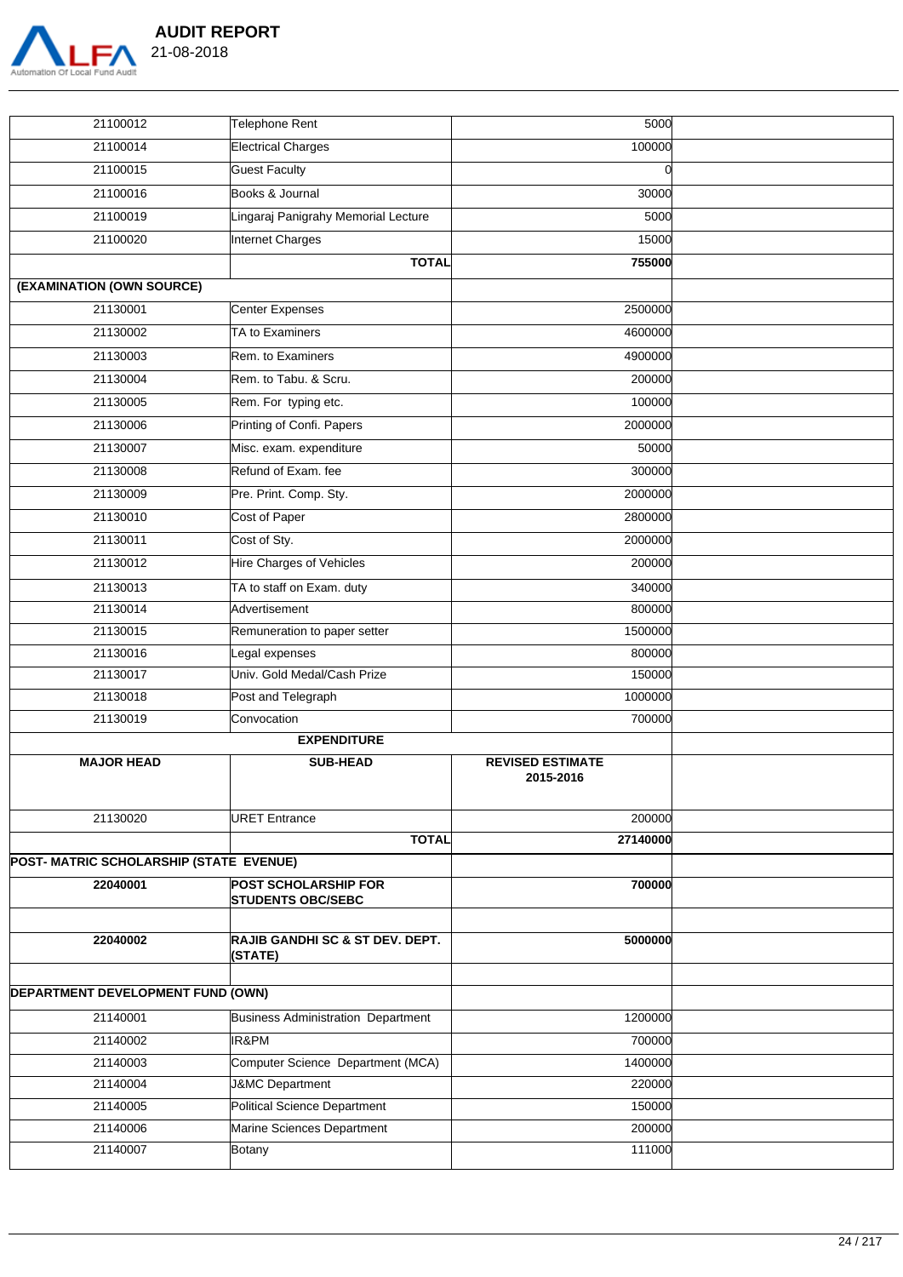

| <b>AUDIT REPORT</b> |  |
|---------------------|--|
| 21-08-2018          |  |

| 21100012                                | Telephone Rent                      | 5000                    |  |
|-----------------------------------------|-------------------------------------|-------------------------|--|
| 21100014                                | <b>Electrical Charges</b>           | 100000                  |  |
| 21100015                                | <b>Guest Faculty</b>                | $\Omega$                |  |
| 21100016                                | Books & Journal                     | 30000                   |  |
| 21100019                                | Lingaraj Panigrahy Memorial Lecture | 5000                    |  |
| 21100020                                | Internet Charges                    | 15000                   |  |
|                                         | <b>TOTAL</b>                        | 755000                  |  |
| (EXAMINATION (OWN SOURCE)               |                                     |                         |  |
| 21130001                                | Center Expenses                     | 2500000                 |  |
| 21130002                                | TA to Examiners                     | 4600000                 |  |
| 21130003                                | Rem. to Examiners                   | 4900000                 |  |
| 21130004                                | Rem. to Tabu. & Scru.               | 200000                  |  |
| 21130005                                | Rem. For typing etc.                | 100000                  |  |
|                                         | Printing of Confi. Papers           | 2000000                 |  |
| 21130006                                |                                     |                         |  |
| 21130007                                | Misc. exam. expenditure             | 50000                   |  |
| 21130008                                | Refund of Exam. fee                 | 300000                  |  |
| 21130009                                | Pre. Print. Comp. Sty.              | 2000000                 |  |
| 21130010                                | Cost of Paper                       | 2800000                 |  |
| 21130011                                | Cost of Sty.                        | 2000000                 |  |
| 21130012                                | Hire Charges of Vehicles            | 200000                  |  |
| 21130013                                | TA to staff on Exam. duty           | 340000                  |  |
| 21130014                                | Advertisement                       | 800000                  |  |
| 21130015                                | Remuneration to paper setter        | 1500000                 |  |
| 21130016                                | Legal expenses                      | 800000                  |  |
| 21130017                                | Univ. Gold Medal/Cash Prize         | 150000                  |  |
| 21130018                                | Post and Telegraph                  | 1000000                 |  |
| 21130019                                | Convocation                         | 700000                  |  |
|                                         | <b>EXPENDITURE</b>                  |                         |  |
| <b>MAJOR HEAD</b>                       | <b>SUB-HEAD</b>                     | <b>REVISED ESTIMATE</b> |  |
|                                         |                                     | 2015-2016               |  |
| 21130020                                | <b>URET Entrance</b>                | 200000                  |  |
|                                         | <b>TOTAL</b>                        | 27140000                |  |
| POST- MATRIC SCHOLARSHIP (STATE EVENUE) |                                     |                         |  |
| 22040001                                | <b>POST SCHOLARSHIP FOR</b>         | 700000                  |  |
|                                         | <b>STUDENTS OBC/SEBC</b>            |                         |  |
|                                         |                                     |                         |  |
| 22040002                                | RAJIB GANDHI SC & ST DEV. DEPT.     | 5000000                 |  |
|                                         | (STATE)                             |                         |  |
| DEPARTMENT DEVELOPMENT FUND (OWN)       |                                     |                         |  |
| 21140001                                | Business Administration Department  | 1200000                 |  |
|                                         | IR&PM                               | 700000                  |  |
| 21140002<br>21140003                    | Computer Science Department (MCA)   | 1400000                 |  |
|                                         |                                     |                         |  |
| 21140004<br>21140005                    | <b>J&amp;MC Department</b>          | 220000<br>150000        |  |
|                                         | Political Science Department        |                         |  |
| 21140006                                | Marine Sciences Department          | 200000                  |  |
| 21140007                                | Botany                              | 111000                  |  |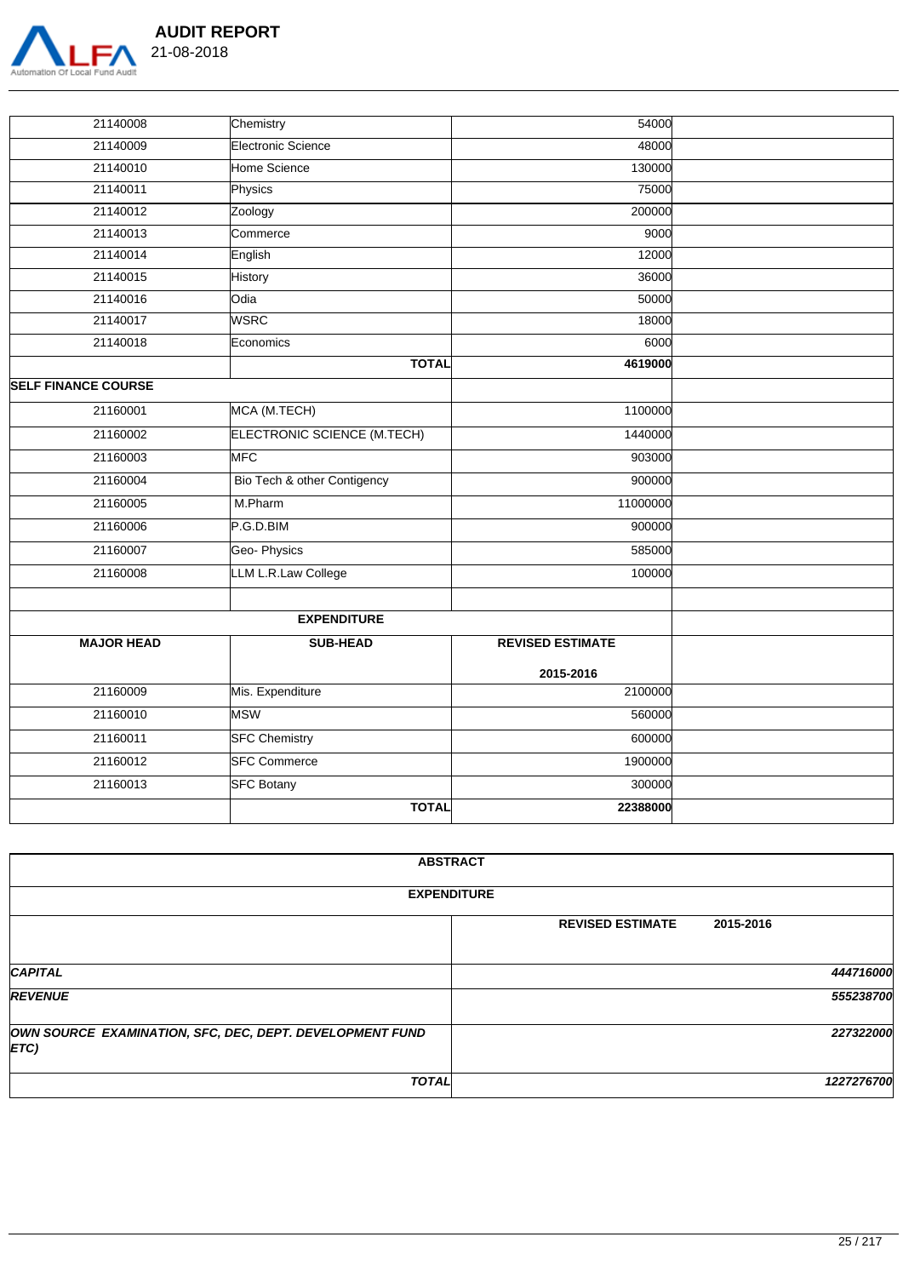

| 21140008                   | Chemistry                   | 54000                   |  |
|----------------------------|-----------------------------|-------------------------|--|
| 21140009                   | Electronic Science          | 48000                   |  |
| 21140010                   | Home Science                | 130000                  |  |
| 21140011                   | Physics                     | 75000                   |  |
| 21140012                   | Zoology                     | 200000                  |  |
| 21140013                   | <b>C</b> ommerce            | 9000                    |  |
| 21140014                   | English                     | 12000                   |  |
| 21140015                   | History                     | 36000                   |  |
| 21140016                   | Odia                        | 50000                   |  |
| 21140017                   | <b>WSRC</b>                 | 18000                   |  |
| 21140018                   | Economics                   | 6000                    |  |
|                            | <b>TOTAL</b>                | 4619000                 |  |
| <b>SELF FINANCE COURSE</b> |                             |                         |  |
| 21160001                   | MCA (M.TECH)                | 1100000                 |  |
| 21160002                   | ELECTRONIC SCIENCE (M.TECH) | 1440000                 |  |
| 21160003                   | <b>MFC</b>                  | 903000                  |  |
| 21160004                   | Bio Tech & other Contigency | 900000                  |  |
| 21160005                   | M.Pharm                     | 11000000                |  |
| 21160006                   | P.G.D.BIM                   | 900000                  |  |
| 21160007                   | Geo-Physics                 | 585000                  |  |
| 21160008                   | LLM L.R.Law College         | 100000                  |  |
|                            |                             |                         |  |
|                            | <b>EXPENDITURE</b>          |                         |  |
| <b>MAJOR HEAD</b>          | <b>SUB-HEAD</b>             | <b>REVISED ESTIMATE</b> |  |
|                            |                             | 2015-2016               |  |
| 21160009                   | Mis. Expenditure            | 2100000                 |  |
| 21160010                   | <b>MSW</b>                  | 560000                  |  |
| 21160011                   | <b>SFC Chemistry</b>        | 600000                  |  |
| 21160012                   | <b>SFC Commerce</b>         | 1900000                 |  |
| 21160013                   | <b>SFC Botany</b>           | 300000                  |  |
|                            | <b>TOTAL</b>                | 22388000                |  |

| <b>ABSTRACT</b>                                                  |                                      |
|------------------------------------------------------------------|--------------------------------------|
| <b>EXPENDITURE</b>                                               |                                      |
|                                                                  | <b>REVISED ESTIMATE</b><br>2015-2016 |
| <b>CAPITAL</b>                                                   | 444716000                            |
| <b>REVENUE</b>                                                   | 555238700                            |
| OWN SOURCE EXAMINATION, SFC, DEC, DEPT. DEVELOPMENT FUND<br>ETC) | 227322000                            |
| <b>TOTAL</b>                                                     | 1227276700                           |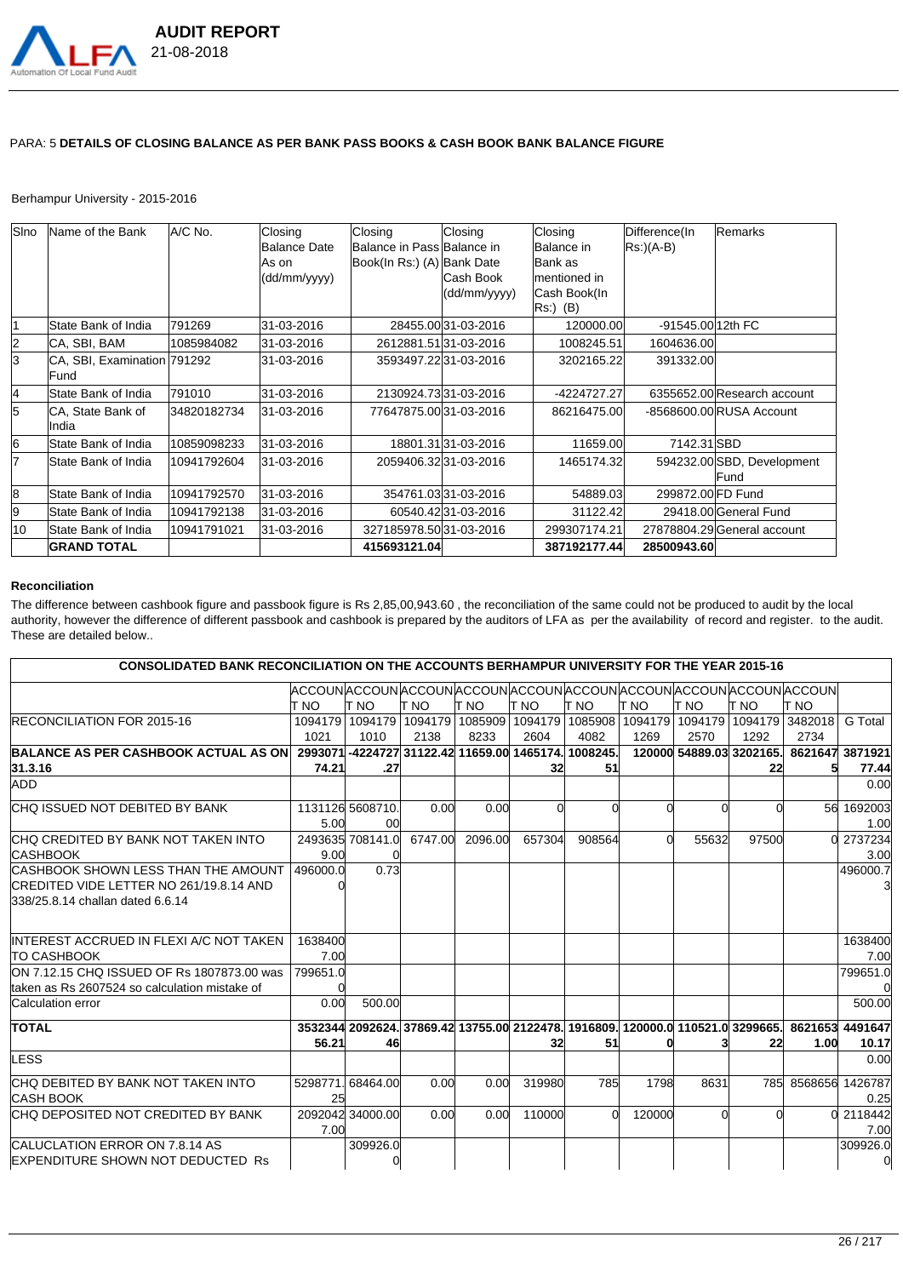

### PARA: 5 **DETAILS OF CLOSING BALANCE AS PER BANK PASS BOOKS & CASH BOOK BANK BALANCE FIGURE**

#### Berhampur University - 2015-2016

| <b>S</b> lno | Name of the Bank            | IA/C No.    | Closing             | Closing                    | Closing               | Closing      | Difference(In     | Remarks                     |
|--------------|-----------------------------|-------------|---------------------|----------------------------|-----------------------|--------------|-------------------|-----------------------------|
|              |                             |             | <b>Balance Date</b> | Balance in Pass Balance in |                       | Balance in   | $Rs$ : $(A-B)$    |                             |
|              |                             |             | lAs on              | Book(In Rs:) (A) Bank Date |                       | Bank as      |                   |                             |
|              |                             |             | (dd/mm/yyyy)        |                            | Cash Book             | mentioned in |                   |                             |
|              |                             |             |                     |                            | (dd/mm/yyyy)          | Cash Book(In |                   |                             |
|              |                             |             |                     |                            |                       | Rs:) (B)     |                   |                             |
|              | State Bank of India         | 791269      | 31-03-2016          |                            | 28455.00 31-03-2016   | 120000.00    | -91545.00 12th FC |                             |
| 2            | CA, SBI, BAM                | 1085984082  | 31-03-2016          |                            | 2612881.51 31-03-2016 | 1008245.51   | 1604636.00        |                             |
| l3           | CA, SBI, Examination 791292 |             | 31-03-2016          |                            | 3593497.22l31-03-2016 | 3202165.22   | 391332.00         |                             |
|              | Fund                        |             |                     |                            |                       |              |                   |                             |
| 14           | State Bank of India         | 791010      | 31-03-2016          | 2130924.7331-03-2016       |                       | -4224727.27  |                   | 6355652.00 Research account |
| 15           | CA, State Bank of           | 34820182734 | 31-03-2016          | 77647875.00 31-03-2016     |                       | 86216475.00  |                   | -8568600.00 RUSA Account    |
|              | India                       |             |                     |                            |                       |              |                   |                             |
| l6           | State Bank of India         | 10859098233 | 31-03-2016          |                            | 18801.3131-03-2016    | 11659.00     | 7142.31 SBD       |                             |
| 7            | <b>State Bank of India</b>  | 10941792604 | 31-03-2016          |                            | 2059406.3231-03-2016  | 1465174.32   |                   | 594232.00 SBD, Development  |
|              |                             |             |                     |                            |                       |              |                   | Fund                        |
| 18           | <b>State Bank of India</b>  | 10941792570 | 31-03-2016          |                            | 354761.0331-03-2016   | 54889.03     | 299872.00 FD Fund |                             |
| 19           | State Bank of India         | 10941792138 | 31-03-2016          |                            | 60540.4231-03-2016    | 31122.42     |                   | 29418.00 General Fund       |
| 10           | State Bank of India         | 10941791021 | 31-03-2016          | 327185978.50 31-03-2016    |                       | 299307174.21 |                   | 27878804.29 General account |
|              | IGRAND TOTAL                |             |                     | 415693121.04               |                       | 387192177.44 | 28500943.60       |                             |

#### **Reconciliation**

The difference between cashbook figure and passbook figure is Rs 2,85,00,943.60 , the reconciliation of the same could not be produced to audit by the local authority, however the difference of different passbook and cashbook is prepared by the auditors of LFA as per the availability of record and register. to the audit. These are detailed below..

| CONSOLIDATED BANK RECONCILIATION ON THE ACCOUNTS BERHAMPUR UNIVERSITY FOR THE YEAR 2015-16 |          |                  |                                                                                                 |                   |         |              |        |                          |         |             |                 |
|--------------------------------------------------------------------------------------------|----------|------------------|-------------------------------------------------------------------------------------------------|-------------------|---------|--------------|--------|--------------------------|---------|-------------|-----------------|
|                                                                                            |          |                  | Accounlaccounlaccounlaccounlaccounlaccounlaccounlaccounlaccounlaccounl                          |                   |         |              |        |                          |         |             |                 |
|                                                                                            | T NO     | IT NO            | IT NO                                                                                           | T NO              | IT NO   | IT NO        | T NO   | IT NO                    | T NO    | IT NO       |                 |
| <b>RECONCILIATION FOR 2015-16</b>                                                          |          | 1094179 1094179  |                                                                                                 | 1094179 1085909   | 1094179 |              |        | 1085908 1094179 1094179  | 1094179 | 3482018     | G Total         |
|                                                                                            | 1021     | 1010             | 2138                                                                                            | 8233              | 2604    | 4082         | 1269   | 2570                     | 1292    | 2734        |                 |
| BALANCE AS PER CASHBOOK ACTUAL AS ON 2993071-4224727 31122.42 11659.00 1465174 1008245.    |          |                  |                                                                                                 |                   |         |              |        | 120000 54889.03 3202165. |         |             | 8621647 3871921 |
| 31.3.16                                                                                    | 74.21    | .27              |                                                                                                 |                   | 32      | 51           |        |                          | 22      |             | 77.44           |
| ADD.                                                                                       |          |                  |                                                                                                 |                   |         |              |        |                          |         |             | 0.00            |
| CHQ ISSUED NOT DEBITED BY BANK                                                             |          | 1131126 5608710. | 0.00                                                                                            | 0.00              |         |              |        |                          |         |             | 56 1692003      |
|                                                                                            | 5.00     | 00               |                                                                                                 |                   |         |              |        |                          |         |             | 1.00            |
| CHO CREDITED BY BANK NOT TAKEN INTO                                                        |          | 2493635 708141.0 | 6747.00                                                                                         | 2096.00           | 657304  | 908564       |        | 55632                    | 97500   |             | 2737234         |
| <b>CASHBOOK</b>                                                                            | 9.00     |                  |                                                                                                 |                   |         |              |        |                          |         |             | 3.00            |
| CASHBOOK SHOWN LESS THAN THE AMOUNT                                                        | 496000.0 | 0.73             |                                                                                                 |                   |         |              |        |                          |         |             | 496000.7        |
| CREDITED VIDE LETTER NO 261/19.8.14 AND                                                    |          |                  |                                                                                                 |                   |         |              |        |                          |         |             | 3               |
| 338/25.8.14 challan dated 6.6.14                                                           |          |                  |                                                                                                 |                   |         |              |        |                          |         |             |                 |
|                                                                                            |          |                  |                                                                                                 |                   |         |              |        |                          |         |             |                 |
| INTEREST ACCRUED IN FLEXI A/C NOT TAKEN                                                    | 1638400  |                  |                                                                                                 |                   |         |              |        |                          |         |             | 1638400         |
| <b>TO CASHBOOK</b>                                                                         | 7.00     |                  |                                                                                                 |                   |         |              |        |                          |         |             | 7.00            |
| ON 7.12.15 CHQ ISSUED OF Rs 1807873.00 was                                                 | 799651.0 |                  |                                                                                                 |                   |         |              |        |                          |         |             | 799651.0        |
| taken as Rs 2607524 so calculation mistake of                                              |          |                  |                                                                                                 |                   |         |              |        |                          |         |             | 0               |
| Calculation error                                                                          | 0.00     | 500.00           |                                                                                                 |                   |         |              |        |                          |         |             | 500.00          |
| <b>TOTAL</b>                                                                               |          |                  | 3532344 2092624. 37869.42 13755.00 2122478. 1916809. 120000.0 110521.0 3299665. 8621653 4491647 |                   |         |              |        |                          |         |             |                 |
|                                                                                            | 56.21    | 46               |                                                                                                 |                   | 32      | 51           |        |                          | 22      | 1.00        | 10.17           |
| <b>LESS</b>                                                                                |          |                  |                                                                                                 |                   |         |              |        |                          |         |             | 0.00            |
| CHQ DEBITED BY BANK NOT TAKEN INTO                                                         | 5298771  | 68464.00         | 0.00                                                                                            | 0.00              | 319980  | 785          | 1798   | 8631                     |         | 785 8568656 | 1426787         |
| <b>CASH BOOK</b>                                                                           | 25       |                  |                                                                                                 |                   |         |              |        |                          |         |             | 0.25            |
| CHQ DEPOSITED NOT CREDITED BY BANK                                                         |          | 2092042 34000.00 | 0.00                                                                                            | 0.00 <sub>l</sub> | 110000  | <sup>o</sup> | 120000 |                          |         |             | 2118442         |
|                                                                                            | 7.00     |                  |                                                                                                 |                   |         |              |        |                          |         |             | 7.00            |
| CALUCLATION ERROR ON 7.8.14 AS                                                             |          | 309926.0         |                                                                                                 |                   |         |              |        |                          |         |             | 309926.0        |
| EXPENDITURE SHOWN NOT DEDUCTED Rs                                                          |          |                  |                                                                                                 |                   |         |              |        |                          |         |             | 0               |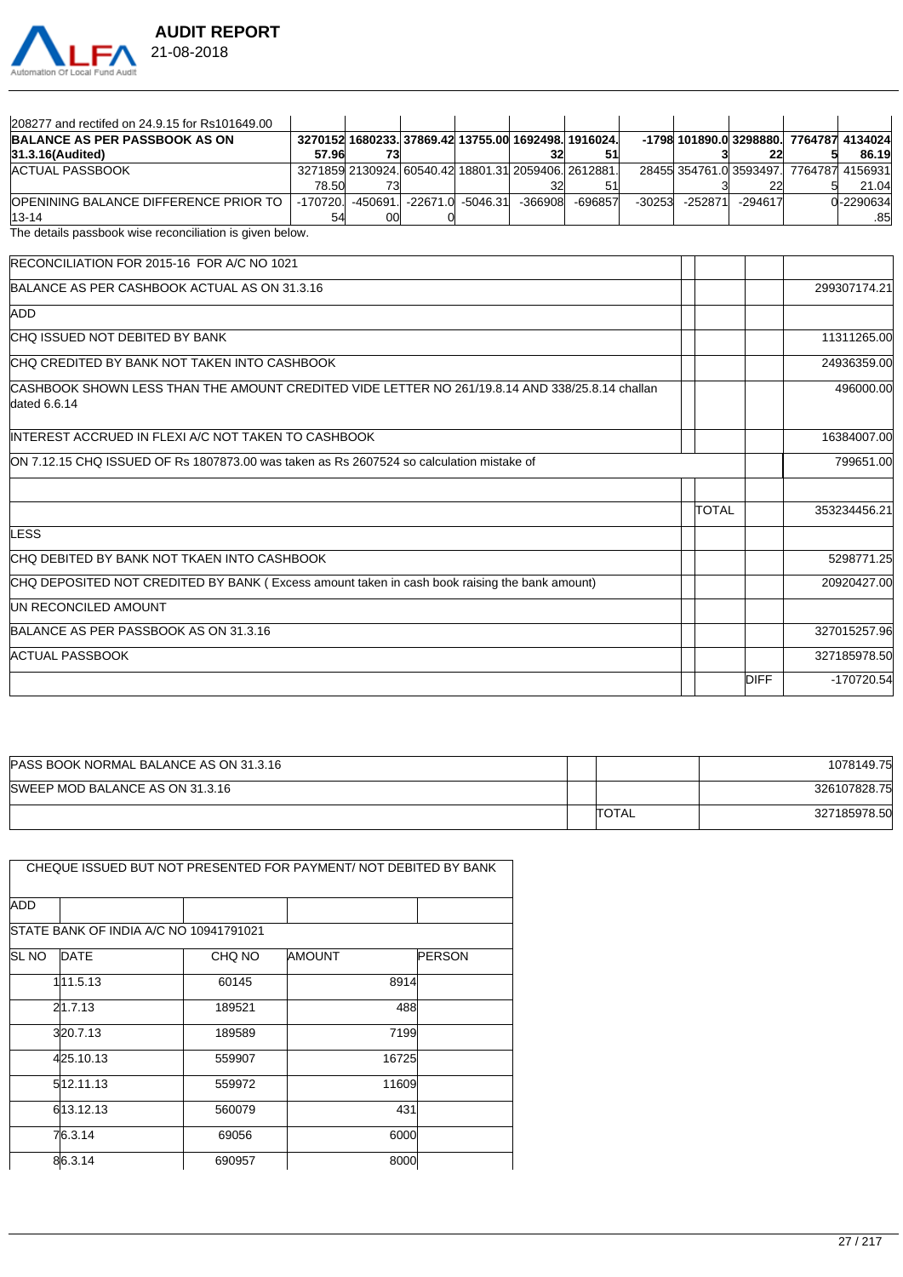

| 208277 and rectifed on 24.9.15 for Rs101649.00 |       |                                     |  |                                                      |         |          |         |                                         |           |
|------------------------------------------------|-------|-------------------------------------|--|------------------------------------------------------|---------|----------|---------|-----------------------------------------|-----------|
| <b>BALANCE AS PER PASSBOOK AS ON</b>           |       |                                     |  | 3270152 1680233. 37869.42 13755.00 1692498. 1916024. |         |          |         | -1798 101890.0 3298880. 7764787 4134024 |           |
| 31.3.16(Audited)                               | 57.96 |                                     |  |                                                      |         |          |         |                                         | 86.19     |
| ACTUAL PASSBOOK                                |       |                                     |  | 3271859 2130924. 60540.42 18801.31 2059406. 2612881. |         |          |         | 28455 354761.0 3593497. 7764787 4156931 |           |
|                                                | 78.50 |                                     |  |                                                      |         |          |         |                                         | 21.04     |
| OPENINING BALANCE DIFFERENCE PRIOR TO          |       | -170720. -450691. -22671.0 -5046.31 |  | -366908                                              | -696857 | $-30253$ | -252871 | $-294617$                               | 0-2290634 |
| $13 - 14$                                      | 54    | 00                                  |  |                                                      |         |          |         |                                         | .85       |

The details passbook wise reconciliation is given below.

| <b>RECONCILIATION FOR 2015-16 FOR A/C NO 1021</b>                                                               |              |             |              |
|-----------------------------------------------------------------------------------------------------------------|--------------|-------------|--------------|
| BALANCE AS PER CASHBOOK ACTUAL AS ON 31.3.16                                                                    |              |             | 299307174.21 |
| <b>ADD</b>                                                                                                      |              |             |              |
| CHO ISSUED NOT DEBITED BY BANK                                                                                  |              |             | 11311265.00  |
| ICHO CREDITED BY BANK NOT TAKEN INTO CASHBOOK                                                                   |              |             | 24936359.00  |
| CASHBOOK SHOWN LESS THAN THE AMOUNT CREDITED VIDE LETTER NO 261/19.8.14 AND 338/25.8.14 challan<br>dated 6.6.14 |              |             | 496000.00    |
| INTEREST ACCRUED IN FLEXI A/C NOT TAKEN TO CASHBOOK                                                             |              |             | 16384007.00  |
| ON 7.12.15 CHQ ISSUED OF Rs 1807873.00 was taken as Rs 2607524 so calculation mistake of                        |              |             | 799651.00    |
|                                                                                                                 | <b>TOTAL</b> |             | 353234456.21 |
| LESS                                                                                                            |              |             |              |
| CHO DEBITED BY BANK NOT TKAEN INTO CASHBOOK                                                                     |              |             | 5298771.25   |
| CHQ DEPOSITED NOT CREDITED BY BANK (Excess amount taken in cash book raising the bank amount)                   |              |             | 20920427.00  |
| UN RECONCILED AMOUNT                                                                                            |              |             |              |
| BALANCE AS PER PASSBOOK AS ON 31.3.16                                                                           |              |             | 327015257.96 |
| <b>ACTUAL PASSBOOK</b>                                                                                          |              |             | 327185978.50 |
|                                                                                                                 |              | <b>DIFF</b> | -170720.54   |

| <b>PASS BOOK NORMAL BALANCE AS ON 31.3.16</b> |              | 1078149.75   |
|-----------------------------------------------|--------------|--------------|
| SWEEP MOD BALANCE AS ON 31.3.16               |              | 326107828.75 |
|                                               | <b>TOTAL</b> | 327185978.50 |

| ADD          |                                        |        |               |               |
|--------------|----------------------------------------|--------|---------------|---------------|
|              | STATE BANK OF INDIA A/C NO 10941791021 |        |               |               |
| <b>SL NO</b> | <b>DATE</b>                            | CHQ NO | <b>AMOUNT</b> | <b>PERSON</b> |
|              | 111.5.13                               | 60145  | 8914          |               |
|              | 21.7.13                                | 189521 | 488           |               |
|              | 320.7.13                               | 189589 | 7199          |               |
|              | 425.10.13                              | 559907 | 16725         |               |
|              | 512.11.13                              | 559972 | 11609         |               |
|              | 613.12.13                              | 560079 | 431           |               |
|              | 76.3.14                                | 69056  | 6000          |               |
|              | 86.3.14                                | 690957 | 8000          |               |

CHEQUE ISSUED BUT NOT PRESENTED FOR PAYMENT/ NOT DEBITED BY BANK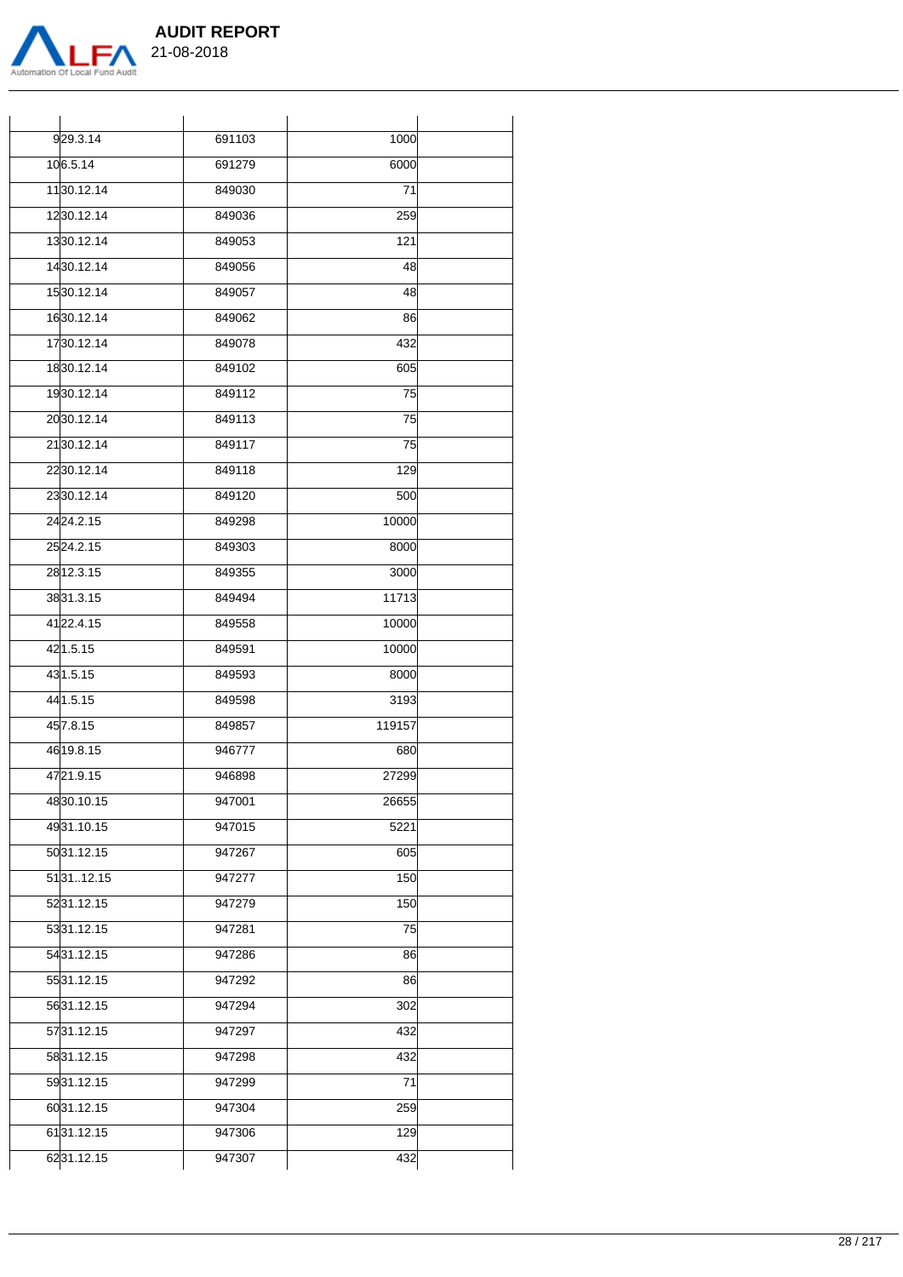

21-08-2018

| 929.3.14   | 691103 | 1000   |  |
|------------|--------|--------|--|
| 106.5.14   | 691279 | 6000   |  |
| 1130.12.14 | 849030 | 71     |  |
| 1230.12.14 | 849036 | 259    |  |
| 1330.12.14 | 849053 | 121    |  |
| 1430.12.14 | 849056 | 48     |  |
| 1530.12.14 | 849057 | 48     |  |
| 1630.12.14 | 849062 | 86     |  |
| 1730.12.14 | 849078 | 432    |  |
| 1830.12.14 | 849102 | 605    |  |
| 1930.12.14 | 849112 | 75     |  |
| 2030.12.14 | 849113 | 75     |  |
| 2130.12.14 | 849117 | 75     |  |
| 2230.12.14 | 849118 | 129    |  |
| 2330.12.14 | 849120 | 500    |  |
| 2424.2.15  | 849298 | 10000  |  |
| 2524.2.15  | 849303 | 8000   |  |
| 2812.3.15  | 849355 | 3000   |  |
| 3831.3.15  | 849494 | 11713  |  |
| 4122.4.15  | 849558 | 10000  |  |
| 421.5.15   | 849591 | 10000  |  |
| 431.5.15   | 849593 | 8000   |  |
| 441.5.15   | 849598 | 3193   |  |
| 457.8.15   | 849857 | 119157 |  |
| 4619.8.15  | 946777 | 680    |  |
| 4721.9.15  | 946898 | 27299  |  |
| 4830.10.15 | 947001 | 26655  |  |
| 4931.10.15 | 947015 | 5221   |  |
| 5031.12.15 | 947267 | 605    |  |
| 5131.12.15 | 947277 | 150    |  |
| 5231.12.15 | 947279 | 150    |  |
| 5331.12.15 | 947281 | 75     |  |
| 5431.12.15 | 947286 | 86     |  |
| 5531.12.15 | 947292 | 86     |  |
| 5631.12.15 | 947294 | 302    |  |
| 5731.12.15 | 947297 | 432    |  |
| 5831.12.15 | 947298 | 432    |  |
| 5931.12.15 | 947299 | 71     |  |
| 6031.12.15 | 947304 | 259    |  |
| 6131.12.15 | 947306 | 129    |  |
| 6231.12.15 | 947307 | 432    |  |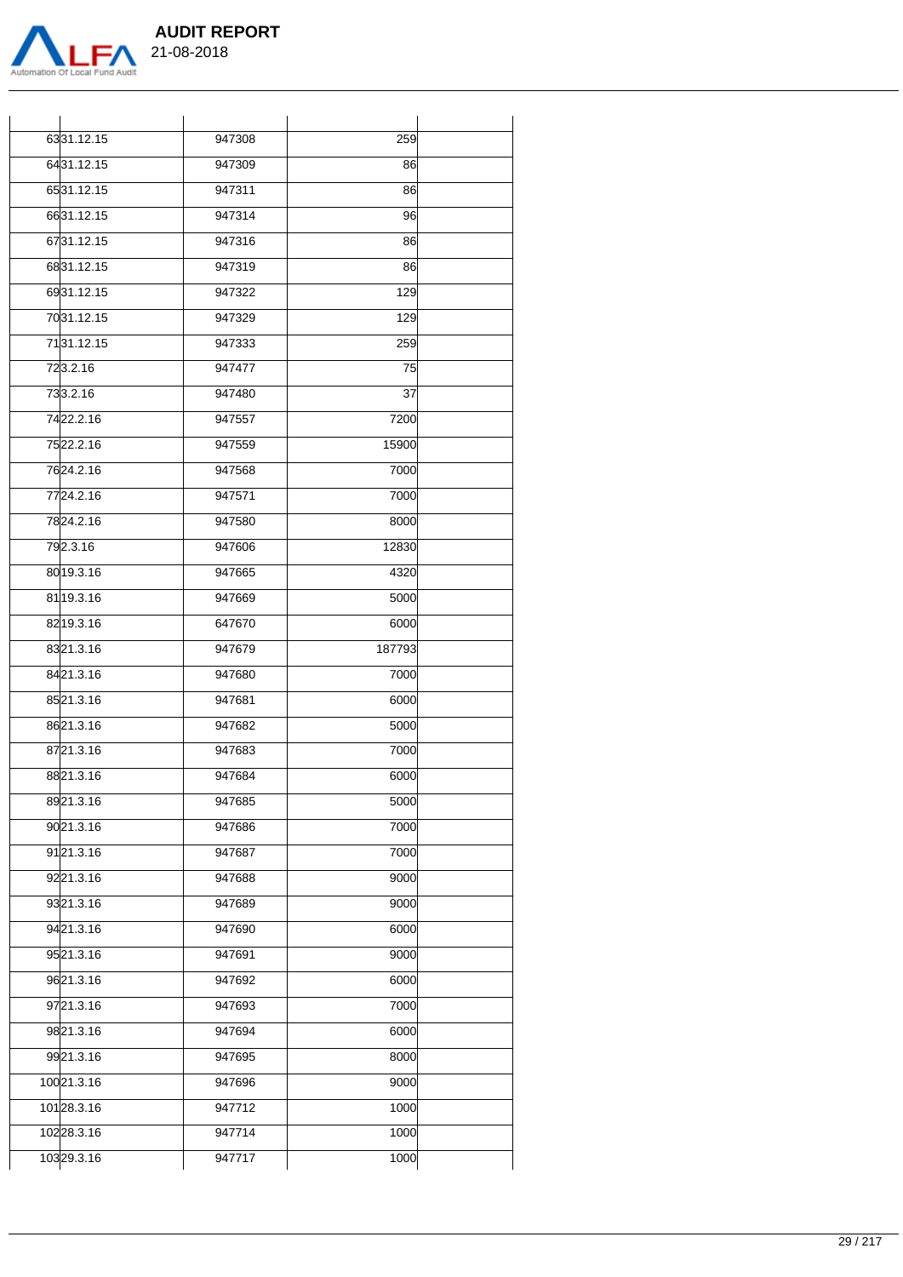

21-08-2018

| 6331.12.15 | 947308 | 259    |
|------------|--------|--------|
| 6431.12.15 | 947309 | 86     |
| 6531.12.15 | 947311 | 86     |
| 6631.12.15 | 947314 | 96     |
| 6731.12.15 | 947316 | 86     |
| 6831.12.15 | 947319 | 86     |
| 6931.12.15 | 947322 | 129    |
| 7031.12.15 | 947329 | 129    |
| 7131.12.15 | 947333 | 259    |
| 723.2.16   | 947477 | 75     |
| 733.2.16   | 947480 | 37     |
| 7422.2.16  | 947557 | 7200   |
| 7522.2.16  | 947559 | 15900  |
| 7624.2.16  | 947568 | 7000   |
| 7724.2.16  | 947571 | 7000   |
| 7824.2.16  | 947580 | 8000   |
| 792.3.16   | 947606 | 12830  |
| 80 19.3.16 | 947665 | 4320   |
| 8119.3.16  | 947669 | 5000   |
| 8219.3.16  | 647670 | 6000   |
| 8321.3.16  | 947679 | 187793 |
| 8421.3.16  | 947680 | 7000   |
| 8521.3.16  | 947681 | 6000   |
| 8621.3.16  | 947682 | 5000   |
| 8721.3.16  | 947683 | 7000   |
| 8821.3.16  | 947684 | 6000   |
| 8921.3.16  | 947685 | 5000   |
| 9021.3.16  | 947686 | 7000   |
| 9121.3.16  | 947687 | 7000   |
| 9221.3.16  | 947688 | 9000   |
| 9321.3.16  | 947689 | 9000   |
| 9421.3.16  | 947690 | 6000   |
| 9521.3.16  | 947691 | 9000   |
| 9621.3.16  | 947692 | 6000   |
| 9721.3.16  | 947693 | 7000   |
| 9821.3.16  | 947694 | 6000   |
| 9921.3.16  | 947695 | 8000   |
| 10021.3.16 | 947696 | 9000   |
| 10128.3.16 | 947712 | 1000   |
| 10228.3.16 | 947714 | 1000   |
| 10329.3.16 | 947717 | 1000   |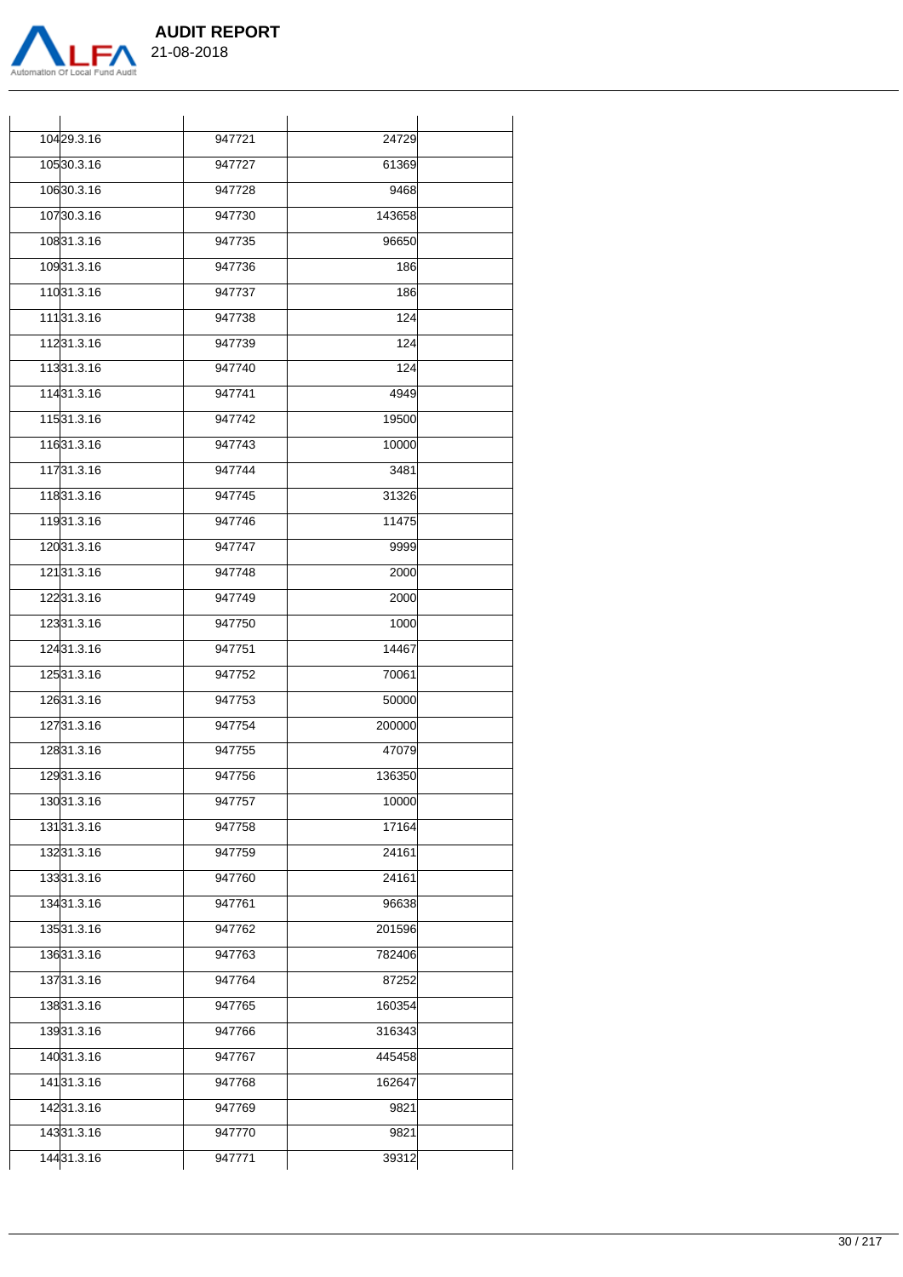

| 10429.3.16 | 947721 | 24729  |
|------------|--------|--------|
| 10530.3.16 | 947727 | 61369  |
| 10630.3.16 | 947728 | 9468   |
| 10730.3.16 | 947730 | 143658 |
| 10831.3.16 | 947735 | 96650  |
| 10931.3.16 | 947736 | 186    |
| 11031.3.16 | 947737 | 186    |
| 11131.3.16 | 947738 | 124    |
| 11231.3.16 | 947739 | 124    |
| 11331.3.16 | 947740 | 124    |
| 11431.3.16 | 947741 | 4949   |
| 11531.3.16 | 947742 | 19500  |
| 11631.3.16 | 947743 | 10000  |
| 11731.3.16 | 947744 | 3481   |
| 11831.3.16 | 947745 | 31326  |
| 11931.3.16 | 947746 | 11475  |
| 12031.3.16 | 947747 | 9999   |
| 12131.3.16 | 947748 | 2000   |
| 12231.3.16 | 947749 | 2000   |
| 12331.3.16 | 947750 | 1000   |
| 12431.3.16 | 947751 | 14467  |
| 12531.3.16 | 947752 | 70061  |
| 12631.3.16 | 947753 | 50000  |
| 12731.3.16 | 947754 | 200000 |
| 12831.3.16 | 947755 | 47079  |
| 12931.3.16 | 947756 | 136350 |
| 13031.3.16 | 947757 | 10000  |
| 13131.3.16 | 947758 | 17164  |
| 13231.3.16 | 947759 | 24161  |
| 13331.3.16 | 947760 | 24161  |
| 13431.3.16 | 947761 | 96638  |
| 13531.3.16 | 947762 | 201596 |
| 13631.3.16 | 947763 | 782406 |
| 13731.3.16 | 947764 | 87252  |
| 13831.3.16 | 947765 | 160354 |
| 13931.3.16 | 947766 | 316343 |
| 14031.3.16 | 947767 | 445458 |
| 14131.3.16 | 947768 | 162647 |
| 14231.3.16 | 947769 | 9821   |
| 14331.3.16 | 947770 | 9821   |
| 14431.3.16 | 947771 | 39312  |
|            |        |        |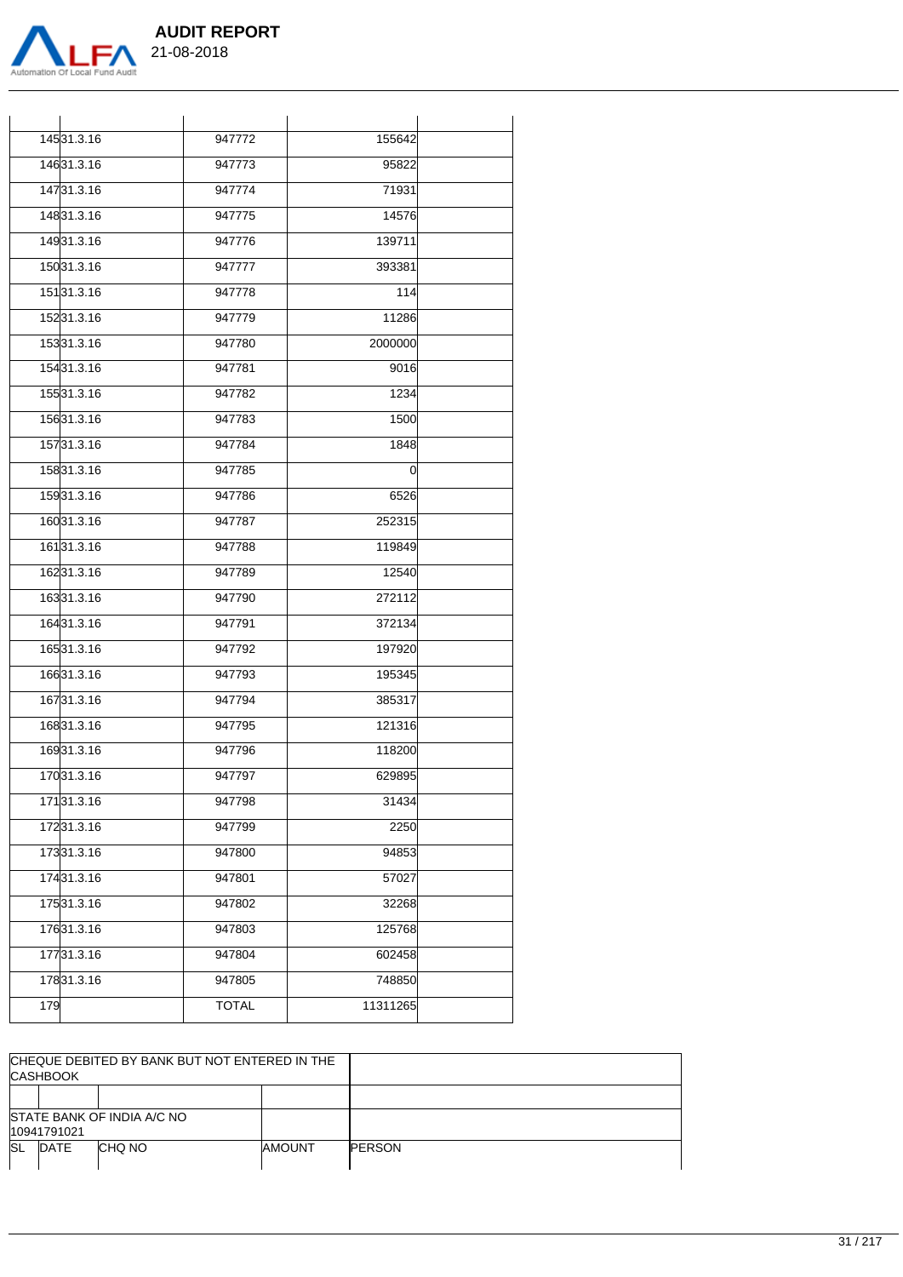

21-08-2018

|     | 14531.3.16 | 947772       | 155642   |  |
|-----|------------|--------------|----------|--|
|     | 14631.3.16 | 947773       | 95822    |  |
|     | 14731.3.16 | 947774       | 71931    |  |
|     | 14831.3.16 | 947775       | 14576    |  |
|     | 14931.3.16 | 947776       | 139711   |  |
|     | 15031.3.16 | 947777       | 393381   |  |
|     | 15131.3.16 | 947778       | 114      |  |
|     | 15231.3.16 | 947779       | 11286    |  |
|     | 15331.3.16 | 947780       | 2000000  |  |
|     | 15431.3.16 | 947781       | 9016     |  |
|     | 15531.3.16 | 947782       | 1234     |  |
|     | 15631.3.16 | 947783       | 1500     |  |
|     | 15731.3.16 | 947784       | 1848     |  |
|     | 15831.3.16 | 947785       | 0        |  |
|     | 15931.3.16 | 947786       | 6526     |  |
|     | 16031.3.16 | 947787       | 252315   |  |
|     | 16131.3.16 | 947788       | 119849   |  |
|     | 16231.3.16 | 947789       | 12540    |  |
|     | 16331.3.16 | 947790       | 272112   |  |
|     | 16431.3.16 | 947791       | 372134   |  |
|     | 16531.3.16 | 947792       | 197920   |  |
|     | 16631.3.16 | 947793       | 195345   |  |
|     | 16731.3.16 | 947794       | 385317   |  |
|     | 16831.3.16 | 947795       | 121316   |  |
|     | 16931.3.16 | 947796       | 118200   |  |
|     | 17031.3.16 | 947797       | 629895   |  |
|     | 17131.3.16 | 947798       | 31434    |  |
|     | 17231.3.16 | 947799       | 2250     |  |
|     | 17331.3.16 | 947800       | 94853    |  |
|     | 17431.3.16 | 947801       | 57027    |  |
|     | 17531.3.16 | 947802       | 32268    |  |
|     | 17631.3.16 | 947803       | 125768   |  |
|     | 17731.3.16 | 947804       | 602458   |  |
|     | 17831.3.16 | 947805       | 748850   |  |
| 179 |            | <b>TOTAL</b> | 11311265 |  |

|            | <b>CASHBOOK</b> | CHEQUE DEBITED BY BANK BUT NOT ENTERED IN THE |               |                |
|------------|-----------------|-----------------------------------------------|---------------|----------------|
|            |                 |                                               |               |                |
|            | 10941791021     | STATE BANK OF INDIA A/C NO                    |               |                |
| <b>ISL</b> | DATE            | CHQ NO                                        | <b>AMOUNT</b> | <b>IPERSON</b> |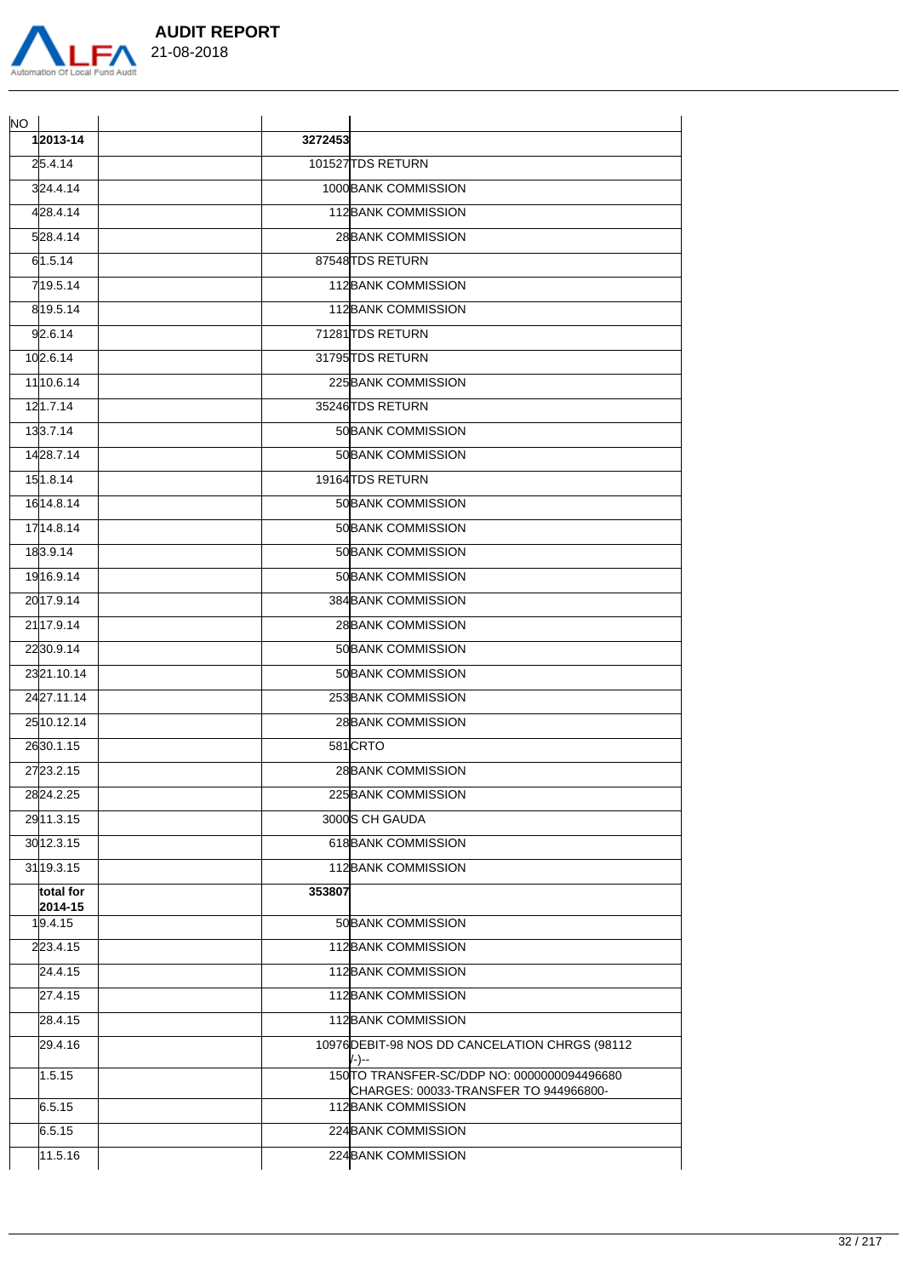

| NO |                         |         |                                                             |
|----|-------------------------|---------|-------------------------------------------------------------|
|    | 12013-14                | 3272453 |                                                             |
|    | 25.4.14                 |         | 101527TDS RETURN                                            |
|    | 324.4.14                |         | 1000 BANK COMMISSION                                        |
|    | 428.4.14                |         | 112BANK COMMISSION                                          |
|    | 528.4.14                |         | 28 BANK COMMISSION                                          |
|    | 61.5.14                 |         | 87548 TDS RETURN                                            |
|    | 719.5.14                |         | 112BANK COMMISSION                                          |
|    | 819.5.14                |         | 112 BANK COMMISSION                                         |
|    | 92.6.14                 |         | 71281TDS RETURN                                             |
|    | 102.6.14                |         | 31795TDS RETURN                                             |
|    | 11 10.6.14              |         | 225 BANK COMMISSION                                         |
|    | 121.7.14                |         | 35246 TDS RETURN                                            |
|    | 133.7.14                |         | 50 BANK COMMISSION                                          |
|    | 1428.7.14               |         | 50 BANK COMMISSION                                          |
|    | 151.8.14                |         | 19164TDS RETURN                                             |
|    | 1614.8.14               |         | 50 BANK COMMISSION                                          |
|    | 1714.8.14               |         | 50 BANK COMMISSION                                          |
|    | 183.9.14                |         | 50 BANK COMMISSION                                          |
|    | 1916.9.14               |         | 50 BANK COMMISSION                                          |
|    | 20 17.9.14              |         | 384 BANK COMMISSION                                         |
|    | 2117.9.14               |         | 28 BANK COMMISSION                                          |
|    | 2230.9.14               |         | 50 BANK COMMISSION                                          |
|    | 2321.10.14              |         | 50 BANK COMMISSION                                          |
|    | 2427.11.14              |         | 253 BANK COMMISSION                                         |
|    | 2510.12.14              |         | 28 BANK COMMISSION                                          |
|    | 2630.1.15               |         | 581CRTO                                                     |
|    | 2723.2.15               |         | 28 BANK COMMISSION                                          |
|    | 2824.2.25               |         | 225 BANK COMMISSION                                         |
|    | 2911.3.15               |         | 3000 S CH GAUDA                                             |
|    | $30 12.3.\overline{15}$ |         | 618 BANK COMMISSION                                         |
|    | 3119.3.15               |         | 112BANK COMMISSION                                          |
|    | total for               | 353807  |                                                             |
|    | 2014-15<br>19.4.15      |         | 50 BANK COMMISSION                                          |
|    | 223.4.15                |         | 112BANK COMMISSION                                          |
|    | 24.4.15                 |         | 112BANK COMMISSION                                          |
|    | 27.4.15                 |         | 112BANK COMMISSION                                          |
|    | 28.4.15                 |         | 112 BANK COMMISSION                                         |
|    | 29.4.16                 |         | 10976 DEBIT-98 NOS DD CANCELATION CHRGS (98112              |
|    | 1.5.15                  |         | /-)--<br>150 TO TRANSFER-SC/DDP NO: 0000000094496680        |
|    | 6.5.15                  |         | CHARGES: 00033-TRANSFER TO 944966800-<br>112BANK COMMISSION |
|    |                         |         |                                                             |
|    | 6.5.15                  |         | 224 BANK COMMISSION                                         |
|    | 11.5.16                 |         | 224 BANK COMMISSION                                         |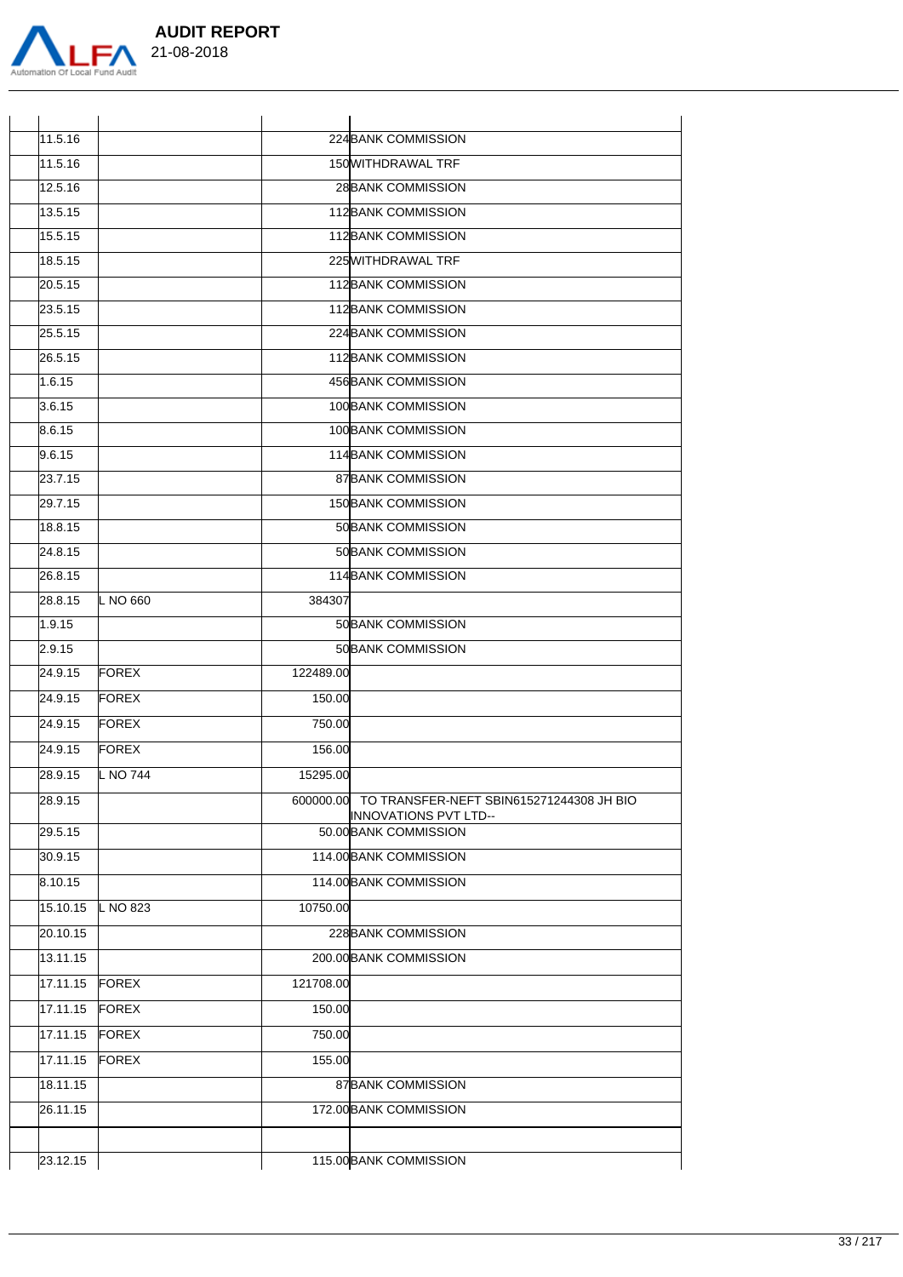

| 11.5.16  |              |           | 224 BANK COMMISSION                                                                |
|----------|--------------|-----------|------------------------------------------------------------------------------------|
| 11.5.16  |              |           | 150 WITHDRAWAL TRF                                                                 |
| 12.5.16  |              |           | 28 BANK COMMISSION                                                                 |
| 13.5.15  |              |           | <b>112BANK COMMISSION</b>                                                          |
| 15.5.15  |              |           | 112BANK COMMISSION                                                                 |
| 18.5.15  |              |           | 225 WITHDRAWAL TRF                                                                 |
| 20.5.15  |              |           | <b>112BANK COMMISSION</b>                                                          |
| 23.5.15  |              |           | 112BANK COMMISSION                                                                 |
| 25.5.15  |              |           | 224 BANK COMMISSION                                                                |
| 26.5.15  |              |           | <b>112BANK COMMISSION</b>                                                          |
| 1.6.15   |              |           | 456 BANK COMMISSION                                                                |
| 3.6.15   |              |           | 100 BANK COMMISSION                                                                |
| 8.6.15   |              |           | 100 BANK COMMISSION                                                                |
| 9.6.15   |              |           | 114 BANK COMMISSION                                                                |
| 23.7.15  |              |           | 87 BANK COMMISSION                                                                 |
| 29.7.15  |              |           | <b>150BANK COMMISSION</b>                                                          |
| 18.8.15  |              |           | 50 BANK COMMISSION                                                                 |
| 24.8.15  |              |           | 50 BANK COMMISSION                                                                 |
| 26.8.15  |              |           | 114 BANK COMMISSION                                                                |
| 28.8.15  | L NO 660     | 384307    |                                                                                    |
| 1.9.15   |              |           | 50 BANK COMMISSION                                                                 |
| 2.9.15   |              |           | 50 BANK COMMISSION                                                                 |
| 24.9.15  | <b>FOREX</b> | 122489.00 |                                                                                    |
| 24.9.15  | <b>FOREX</b> | 150.00    |                                                                                    |
| 24.9.15  | <b>FOREX</b> | 750.00    |                                                                                    |
| 24.9.15  | FOREX        | 156.00    |                                                                                    |
| 28.9.15  | L NO 744     | 15295.00  |                                                                                    |
| 28.9.15  |              |           | 600000.00 TO TRANSFER-NEFT SBIN615271244308 JH BIO<br><b>INNOVATIONS PVT LTD--</b> |
| 29.5.15  |              |           | 50.00 BANK COMMISSION                                                              |
| 30.9.15  |              |           | 114.00 BANK COMMISSION                                                             |
| 8.10.15  |              |           | 114.00 BANK COMMISSION                                                             |
| 15.10.15 | L NO 823     | 10750.00  |                                                                                    |
| 20.10.15 |              |           | 228 BANK COMMISSION                                                                |
| 13.11.15 |              |           | 200.00 BANK COMMISSION                                                             |
| 17.11.15 | <b>FOREX</b> | 121708.00 |                                                                                    |
| 17.11.15 | <b>FOREX</b> | 150.00    |                                                                                    |
| 17.11.15 | <b>FOREX</b> | 750.00    |                                                                                    |
| 17.11.15 | <b>FOREX</b> | 155.00    |                                                                                    |
| 18.11.15 |              |           | 87 BANK COMMISSION                                                                 |
| 26.11.15 |              |           | 172.00 BANK COMMISSION                                                             |
|          |              |           |                                                                                    |
| 23.12.15 |              |           | 115.00 BANK COMMISSION                                                             |
|          |              |           |                                                                                    |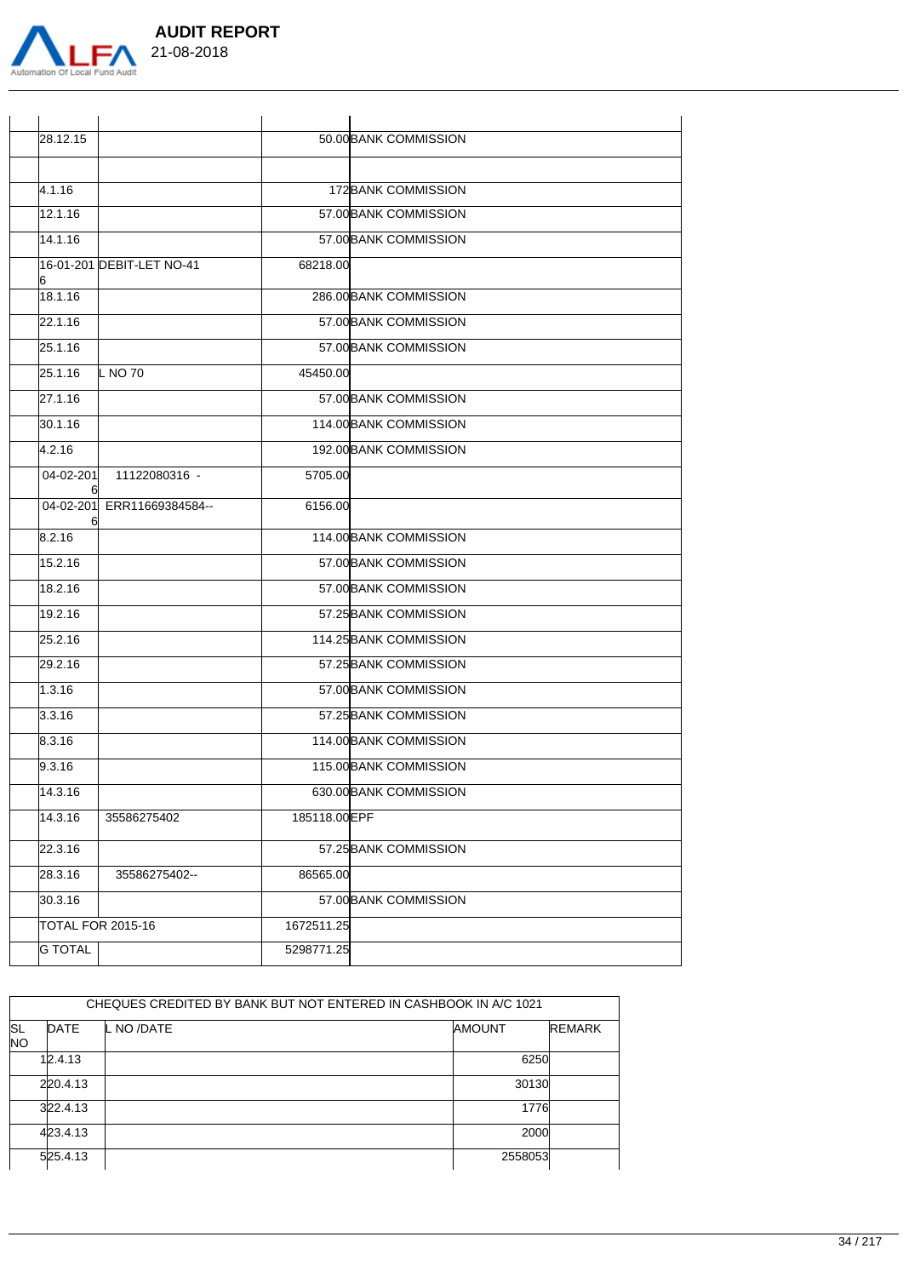

| 28.12.15       |                            |              | 50.00 BANK COMMISSION  |
|----------------|----------------------------|--------------|------------------------|
|                |                            |              |                        |
| 4.1.16         |                            |              | 172 BANK COMMISSION    |
| 12.1.16        |                            |              | 57.00 BANK COMMISSION  |
| 14.1.16        |                            |              | 57.00 BANK COMMISSION  |
| 6              | 16-01-201 DEBIT-LET NO-41  | 68218.00     |                        |
| 18.1.16        |                            |              | 286.00 BANK COMMISSION |
| 22.1.16        |                            |              | 57.00 BANK COMMISSION  |
| 25.1.16        |                            |              | 57.00 BANK COMMISSION  |
| 25.1.16        | L NO 70                    | 45450.00     |                        |
| 27.1.16        |                            |              | 57.00 BANK COMMISSION  |
| 30.1.16        |                            |              | 114.00 BANK COMMISSION |
| 4.2.16         |                            |              | 192.00 BANK COMMISSION |
| 04-02-201      | 11122080316 -              | 5705.00      |                        |
| 6              | 04-02-201 ERR11669384584-- | 6156.00      |                        |
| 8.2.16         |                            |              | 114.00 BANK COMMISSION |
| 15.2.16        |                            |              | 57.00 BANK COMMISSION  |
| 18.2.16        |                            |              | 57.00 BANK COMMISSION  |
| 19.2.16        |                            |              | 57.25 BANK COMMISSION  |
| 25.2.16        |                            |              | 114.25 BANK COMMISSION |
| 29.2.16        |                            |              | 57.25 BANK COMMISSION  |
| 1.3.16         |                            |              | 57.00 BANK COMMISSION  |
| 3.3.16         |                            |              | 57.25 BANK COMMISSION  |
| 8.3.16         |                            |              | 114.00 BANK COMMISSION |
| 9.3.16         |                            |              | 115.00 BANK COMMISSION |
| 14.3.16        |                            |              | 630.00 BANK COMMISSION |
| 14.3.16        | 35586275402                | 185118.00EPF |                        |
| 22.3.16        |                            |              | 57.25 BANK COMMISSION  |
| 28.3.16        | 35586275402-               | 86565.00     |                        |
| 30.3.16        |                            |              | 57.00 BANK COMMISSION  |
|                | TOTAL FOR 2015-16          | 1672511.25   |                        |
| <b>G TOTAL</b> |                            | 5298771.25   |                        |
|                |                            |              |                        |

|           |          | CHEQUES CREDITED BY BANK BUT NOT ENTERED IN CASHBOOK IN A/C 1021 |               |               |
|-----------|----------|------------------------------------------------------------------|---------------|---------------|
| <b>SL</b> | DATE     | L NO /DATE                                                       | <b>AMOUNT</b> | <b>REMARK</b> |
| <b>NO</b> |          |                                                                  |               |               |
|           | 12.4.13  |                                                                  | 6250          |               |
|           | 220.4.13 |                                                                  | 30130         |               |
|           | 322.4.13 |                                                                  | 1776          |               |
|           | 423.4.13 |                                                                  | 2000          |               |
|           | 525.4.13 |                                                                  | 2558053       |               |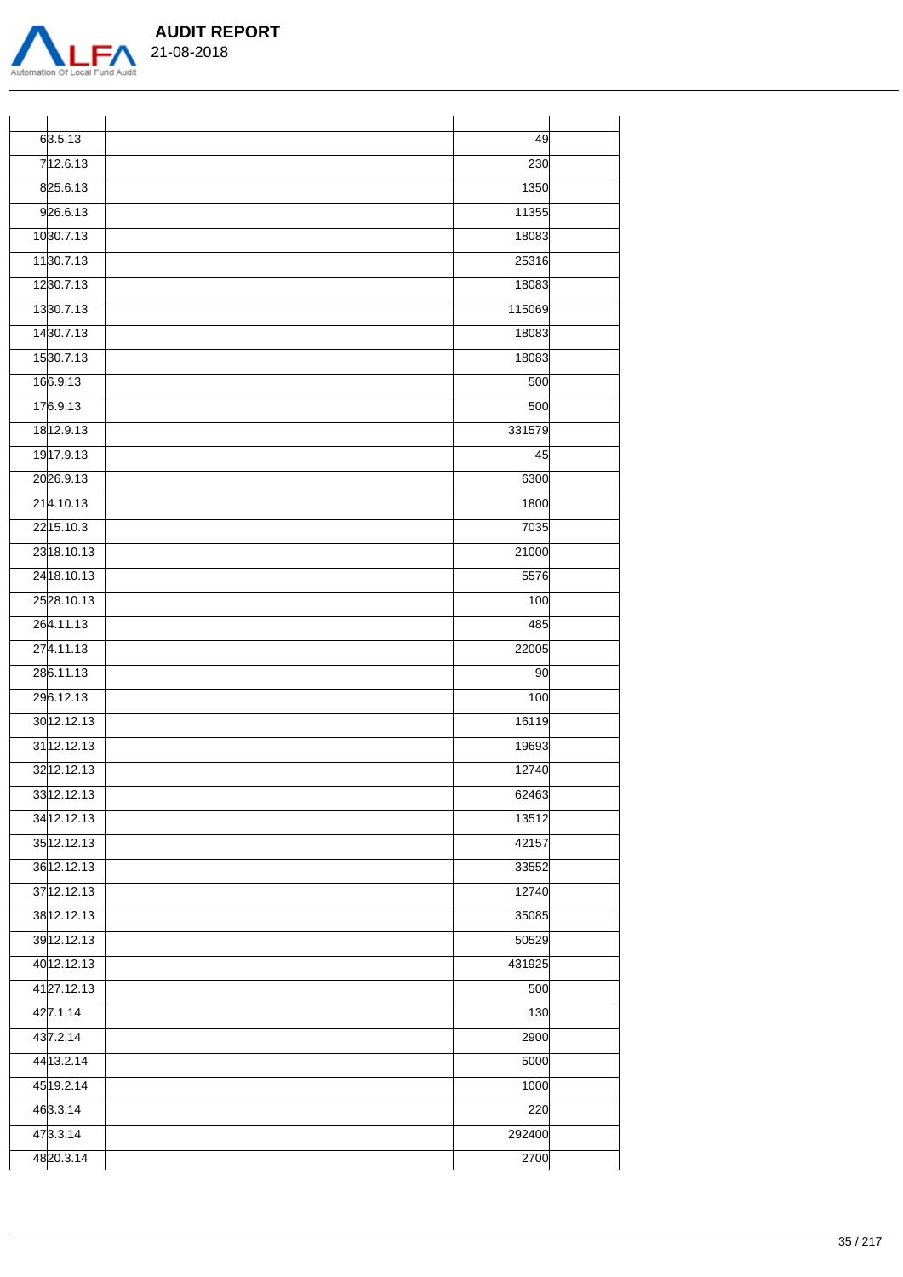

| 63.5.13     | 49            |
|-------------|---------------|
| 712.6.13    | 230           |
| 825.6.13    | 1350          |
| 926.6.13    | 11355         |
| 1030.7.13   | 18083         |
| 1130.7.13   | 25316         |
| 1230.7.13   | 18083         |
| 1330.7.13   | 115069        |
| 1430.7.13   | 18083         |
| 1530.7.13   | 18083         |
| 166.9.13    | 500           |
| 176.9.13    | 500           |
| 1812.9.13   | 331579        |
| 1917.9.13   | 45            |
| 2026.9.13   | 6300          |
| 214.10.13   | 1800          |
| 2215.10.3   | 7035          |
| 23 18.10.13 | 21000         |
| 24 18.10.13 | 5576          |
| 2528.10.13  | 100           |
| 264.11.13   | 485           |
| 274.11.13   | 22005         |
| 286.11.13   | 90            |
| 296.12.13   | 100           |
| 30 12.12.13 | 16119         |
| 31 12.12.13 | 19693         |
| 32 12.12.13 | 12740         |
| 3312.12.13  | 62463         |
| 34 12.12.13 | 13512         |
| 35 12.12.13 | 42157         |
| 36 12.12.13 | 33552         |
| 3712.12.13  | 12740         |
| 38 12.12.13 | 35085         |
| 39 12.12.13 | 50529         |
| 40 12.12.13 | 431925        |
| 4127.12.13  | 500           |
| 427.1.14    | 130           |
| 437.2.14    | 2900          |
| 44 13.2.14  | 5000          |
| 45 19.2.14  | 1000          |
| 463.3.14    |               |
|             |               |
| 473.3.14    | 220<br>292400 |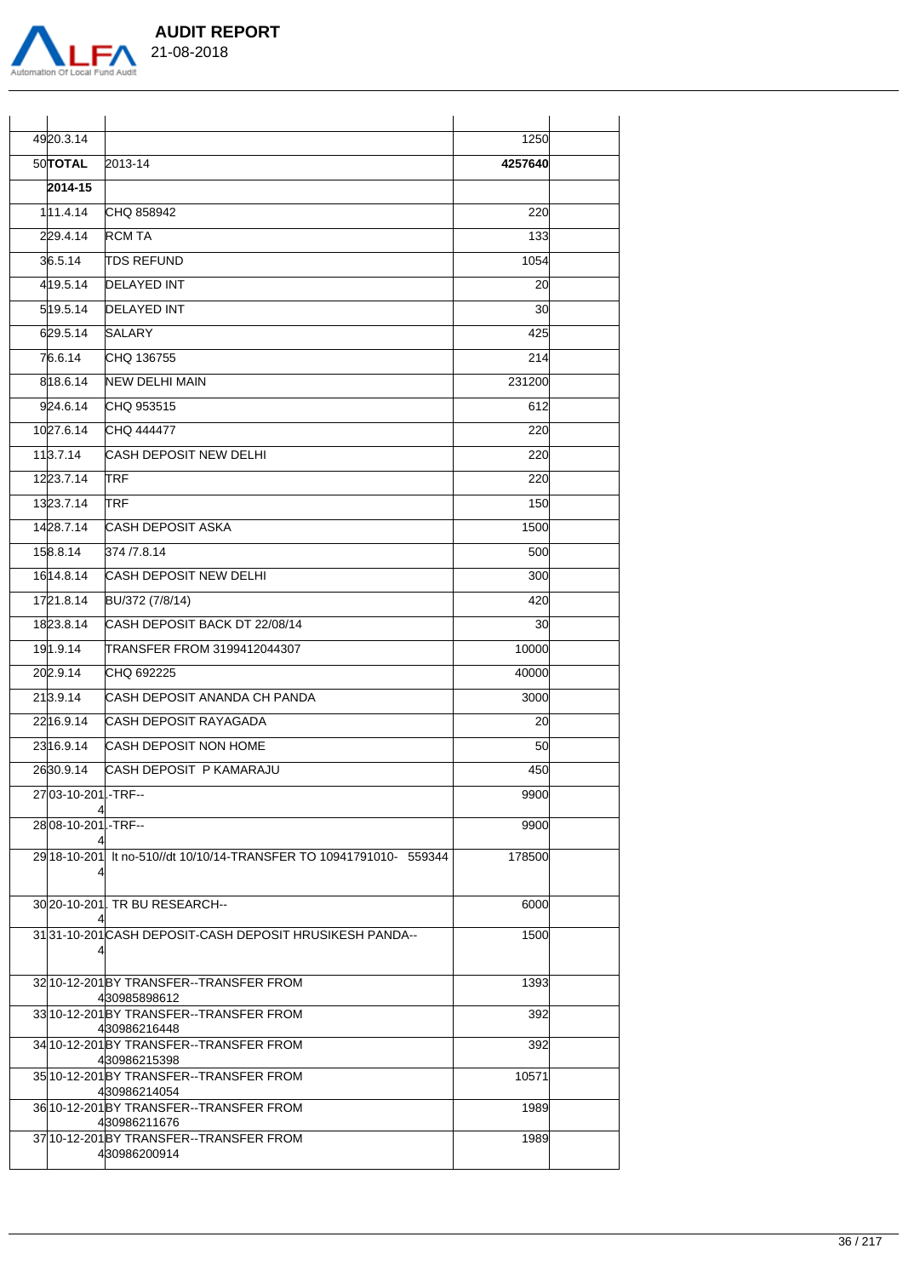

4920.3.14 1250 50**TOTAL** 2013-14 **4257640 2014-15** 111.4.14 CHQ 858942 220 229.4.14 **RCM TA** 133 36.5.14 TDS REFUND 1054 419.5.14 DELAYED INT 20 519.5.14 DELAYED INT 30 629.5.14 SALARY 425 76.6.14 CHQ 136755 214 8| 18.6.14 NEW DELHI MAIN 231200 924.6.14 CHQ 953515 612 1027.6.14 CHQ 444477 220 113.7.14 CASH DEPOSIT NEW DELHI 220 1223.7.14 TRF 220 13<mark>23.7.14 TRF 150 من المركز التي يتم التي تترجم التي تترجم التي تترجم التي تترجم التي تترجم التي تترجم التي ت</mark> 1428.7.14 CASH DEPOSIT ASKA 1500 158.8.14 374 /7.8.14 500 16<sup>14</sup> 8.14 CASH DEPOSIT NEW DELHI 300 1721.8.14 BU/372 (7/8/14) 420 1823.8.14 CASH DEPOSIT BACK DT 22/08/14 30 19 1.9.14 TRANSFER FROM 3199412044307 10000 20 2.9.14 CHQ 692225 40000 213.9.14 CASH DEPOSIT ANANDA CH PANDA 3000 2216.9.14 CASH DEPOSIT RAYAGADA 20 2316.9.14 CASH DEPOSIT NON HOME 2630.9.14 CASH DEPOSIT P KAMARAJU 450 2703-10-201.-TRF-4 .-TRF-- 9900 28 08-10-201. TRF-4 .-TRF-- 9900 29 18-10-201 4 lt no-510//dt 10/10/14-TRANSFER TO 10941791010- 559344 178500 30 20-10-201 . TR BU RESEARCH-- 6000 4 31 31-10-201 CASH DEPOSIT-CASH DEPOSIT HRUSIKESH PANDA-- 1500 4 32 10-12-201 BY TRANSFER--TRANSFER FROM 4 30985898612 1393 33 10-12-201 BY TRANSFER--TRANSFER FROM 4 30986216448 392 34 10-12-201 BY TRANSFER--TRANSFER FROM 4 30986215398 392 35 10-12-201 BY TRANSFER--TRANSFER FROM 4 30986214054 10571 36 10-12-201 BY TRANSFER--TRANSFER FROM 4 30986211676 1989 37 10-12-201 BY TRANSFER--TRANSFER FROM 4 30986200914 1989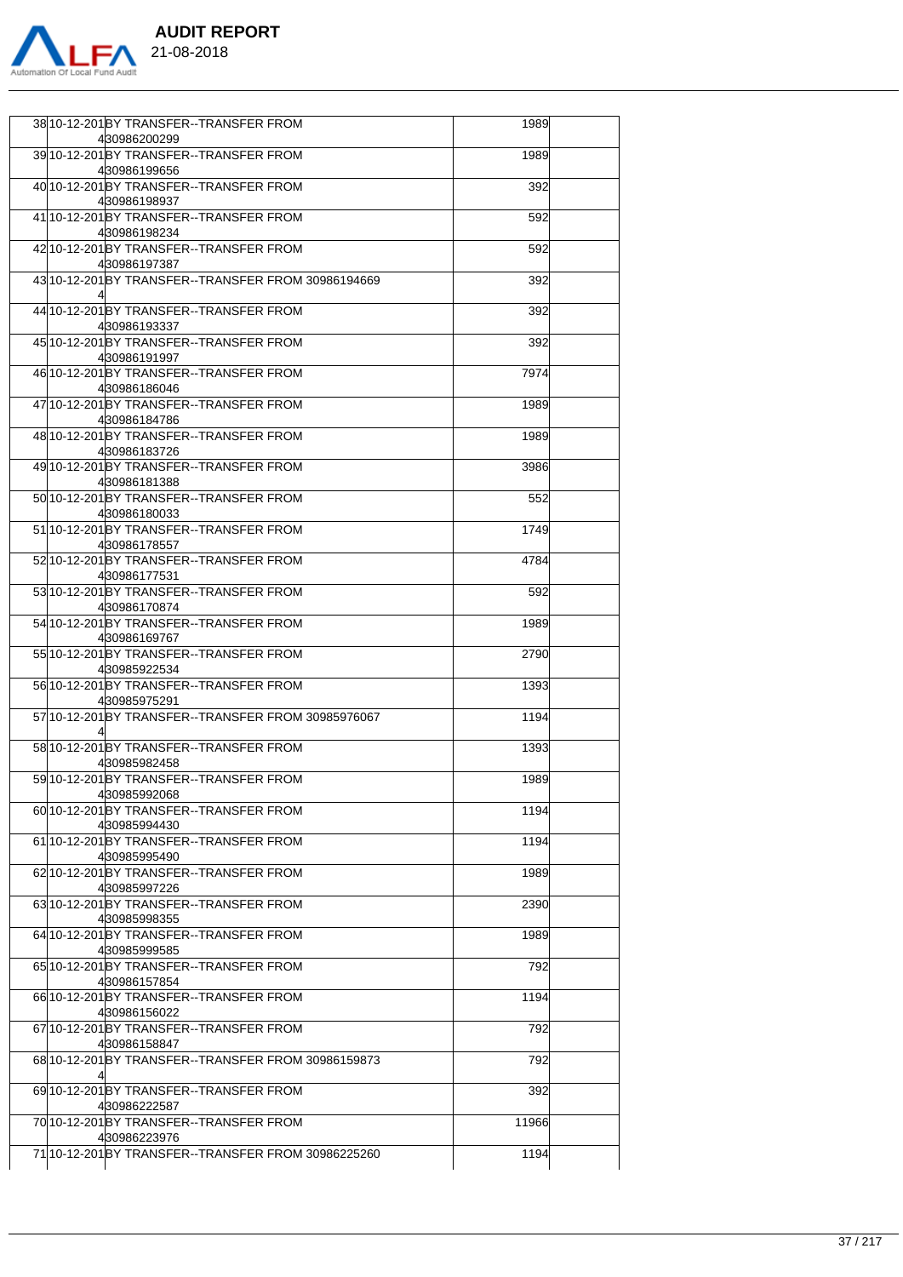

| 38 10-12-201 BY TRANSFER--TRANSFER FROM<br>430986200299  | 1989  |  |
|----------------------------------------------------------|-------|--|
| 39 10-12-201 BY TRANSFER--TRANSFER FROM<br>430986199656  | 1989  |  |
| 40 10-12-201 BY TRANSFER--TRANSFER FROM<br>430986198937  | 392   |  |
| 4110-12-201BY TRANSFER--TRANSFER FROM<br>430986198234    | 592   |  |
| 42 10-12-201 BY TRANSFER--TRANSFER FROM<br>430986197387  | 592   |  |
| 43 10-12-201 BY TRANSFER--TRANSFER FROM 30986194669      | 392   |  |
| 44 10-12-201 BY TRANSFER--TRANSFER FROM<br>430986193337  | 392   |  |
| 45 10-12-201 BY TRANSFER--TRANSFER FROM<br>430986191997  | 392   |  |
| 46 10-12-201 BY TRANSFER--TRANSFER FROM<br>430986186046  | 7974  |  |
| 47 10-12-201 BY TRANSFER--TRANSFER FROM<br>430986184786  | 1989  |  |
| 48 10-12-201 BY TRANSFER--TRANSFER FROM<br>430986183726  | 1989  |  |
| 49 10-12-201 BY TRANSFER--TRANSFER FROM<br>430986181388  | 3986  |  |
| 50 10-12-201 BY TRANSFER--TRANSFER FROM<br>430986180033  | 552   |  |
| 5110-12-201BY TRANSFER--TRANSFER FROM<br>430986178557    | 1749  |  |
| 52 10-12-201 BY TRANSFER--TRANSFER FROM<br>430986177531  | 4784  |  |
| 53 10-12-201 BY TRANSFER--TRANSFER FROM<br>430986170874  | 592   |  |
| 54 10-12-201 BY TRANSFER--TRANSFER FROM<br>430986169767  | 1989  |  |
| 55 10-12-201 BY TRANSFER--TRANSFER FROM<br>430985922534  | 2790  |  |
| 56 10-12-201 BY TRANSFER--TRANSFER FROM<br>430985975291  | 1393  |  |
| 57 10-12-201 BY TRANSFER--TRANSFER FROM 30985976067      | 1194  |  |
| 58 10-12-201BY TRANSFER--TRANSFER FROM<br>430985982458   | 1393  |  |
| 59 10-12-201 BY TRANSFER--TRANSFER FROM<br>430985992068  | 1989  |  |
| 60 10-12-201 BY TRANSFER--TRANSFER FROM<br>430985994430  | 1194  |  |
| 6110-12-201BY TRANSFER--TRANSFER FROM<br>430985995490    | 1194  |  |
| 62 10-12-201 BY TRANSFER--TRANSFER FROM<br>430985997226  | 1989  |  |
| 63 10-12-201 BY TRANSFER--TRANSFER FROM<br>430985998355  | 2390  |  |
| 6410-12-201BY TRANSFER--TRANSFER FROM<br>430985999585    | 1989  |  |
| 65 10-12-201 BY TRANSFER--TRANSFER FROM<br>430986157854  | 792   |  |
| 66 10-12-201 BY TRANSFER--TRANSFER FROM<br>430986156022  | 1194  |  |
| 6710-12-201BY TRANSFER--TRANSFER FROM<br>430986158847    | 792   |  |
| 68 10-12-201 BY TRANSFER-TRANSFER FROM 30986159873<br>41 | 792   |  |
| 69 10-12-201 BY TRANSFER--TRANSFER FROM<br>430986222587  | 392   |  |
| 70 10-12-201 BY TRANSFER--TRANSFER FROM<br>430986223976  | 11966 |  |
| 7110-12-201BY TRANSFER--TRANSFER FROM 30986225260        | 1194  |  |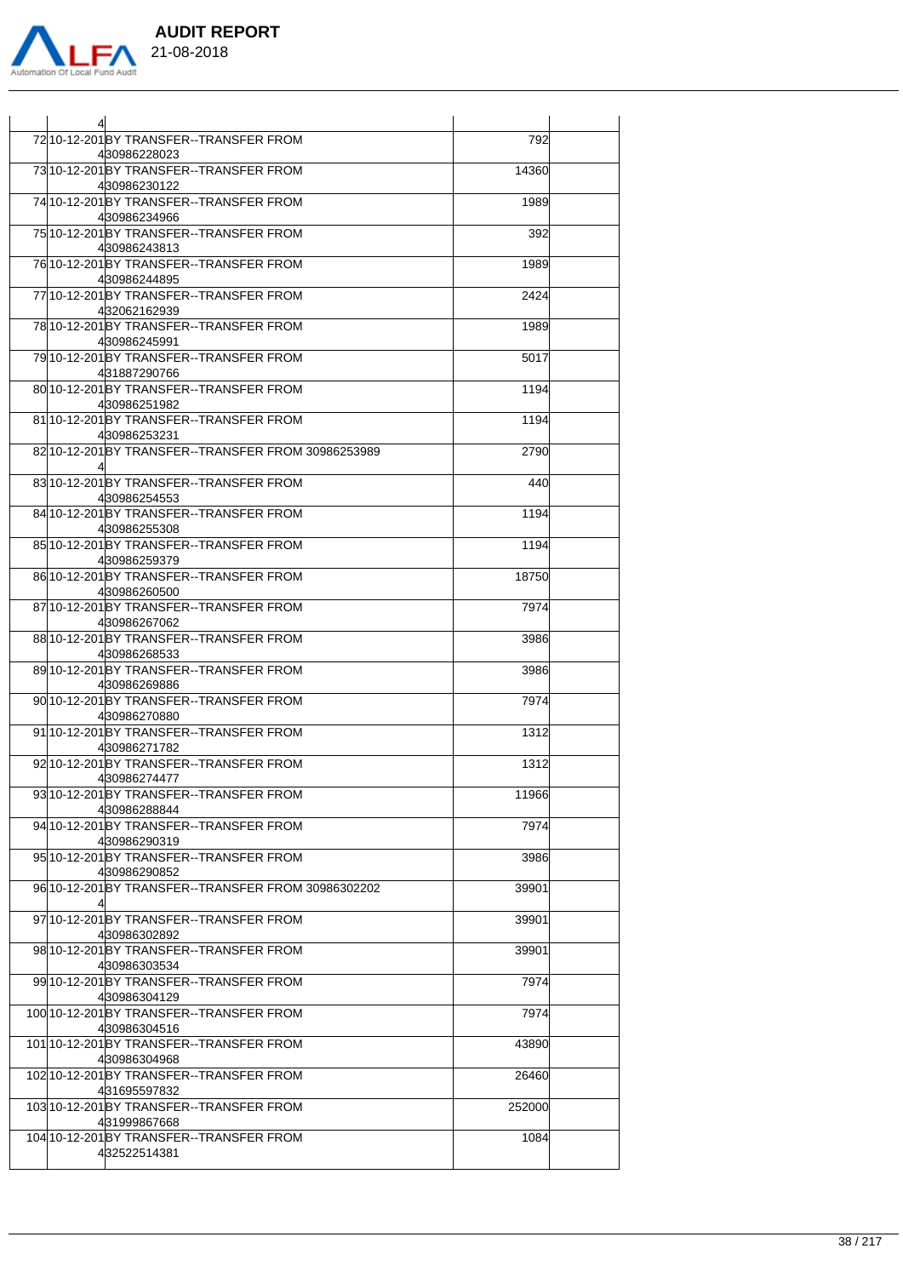

| $\overline{4}$ |                                                                       |        |  |
|----------------|-----------------------------------------------------------------------|--------|--|
|                | 7210-12-201BY TRANSFER--TRANSFER FROM<br>430986228023                 | 792    |  |
|                | 73 10-12-201 BY TRANSFER--TRANSFER FROM<br>430986230122               | 14360  |  |
|                | 7410-12-201BY TRANSFER--TRANSFER FROM<br>430986234966                 | 1989   |  |
|                | 75 10-12-201 BY TRANSFER--TRANSFER FROM<br>430986243813               | 392    |  |
|                | 7610-12-201BY TRANSFER--TRANSFER FROM<br>430986244895                 | 1989   |  |
|                | 7710-12-201BY TRANSFER--TRANSFER FROM<br>432062162939                 | 2424   |  |
|                | 78 10-12-201 BY TRANSFER--TRANSFER FROM<br>430986245991               | 1989   |  |
|                | 79 10-12-201 BY TRANSFER--TRANSFER FROM<br>431887290766               | 5017   |  |
|                | 80 10-12-201 BY TRANSFER--TRANSFER FROM                               | 1194   |  |
|                | 430986251982<br>8110-12-201BY TRANSFER--TRANSFER FROM<br>430986253231 | 1194   |  |
|                | 82 10-12-201 BY TRANSFER--TRANSFER FROM 30986253989                   | 2790   |  |
|                | 83 10-12-201 BY TRANSFER--TRANSFER FROM                               | 440    |  |
|                | 430986254553<br>8410-12-201BY TRANSFER--TRANSFER FROM<br>430986255308 | 1194   |  |
|                | 85 10-12-201 BY TRANSFER--TRANSFER FROM<br>430986259379               | 1194   |  |
|                | 86 10-12-201 BY TRANSFER--TRANSFER FROM<br>430986260500               | 18750  |  |
|                | 8710-12-201BY TRANSFER--TRANSFER FROM<br>430986267062                 | 7974   |  |
|                | 88 10-12-201 BY TRANSFER--TRANSFER FROM<br>430986268533               | 3986   |  |
|                | 89 10-12-201 BY TRANSFER--TRANSFER FROM<br>430986269886               | 3986   |  |
|                | 90 10-12-201 BY TRANSFER--TRANSFER FROM<br>430986270880               | 7974   |  |
|                | 9110-12-201BY TRANSFER--TRANSFER FROM<br>430986271782                 | 1312   |  |
|                | 9210-12-201BY TRANSFER--TRANSFER FROM<br>430986274477                 | 1312   |  |
|                | 9310-12-201BY TRANSFER--TRANSFER FROM<br>430986288844                 | 11966  |  |
|                | 9410-12-201BY TRANSFER--TRANSFER FROM<br>430986290319                 | 7974   |  |
|                | 95 10-12-201 BY TRANSFER--TRANSFER FROM<br>430986290852               | 3986   |  |
|                | 96 10-12-201 BY TRANSFER--TRANSFER FROM 30986302202                   | 39901  |  |
|                | 9710-12-201BY TRANSFER--TRANSFER FROM<br>430986302892                 | 39901  |  |
|                | 98 10-12-201 BY TRANSFER--TRANSFER FROM<br>430986303534               | 39901  |  |
|                | 99 10-12-201 BY TRANSFER--TRANSFER FROM<br>430986304129               | 7974   |  |
|                | 100 10-12-201 BY TRANSFER--TRANSFER FROM<br>430986304516              | 7974   |  |
|                | 101 10-12-201 BY TRANSFER-- TRANSFER FROM<br>430986304968             | 43890  |  |
|                | 102 10-12-201 BY TRANSFER--TRANSFER FROM<br>431695597832              | 26460  |  |
|                | 103 10-12-201 BY TRANSFER--TRANSFER FROM<br>431999867668              | 252000 |  |
|                | 10410-12-201BY TRANSFER--TRANSFER FROM<br>432522514381                | 1084   |  |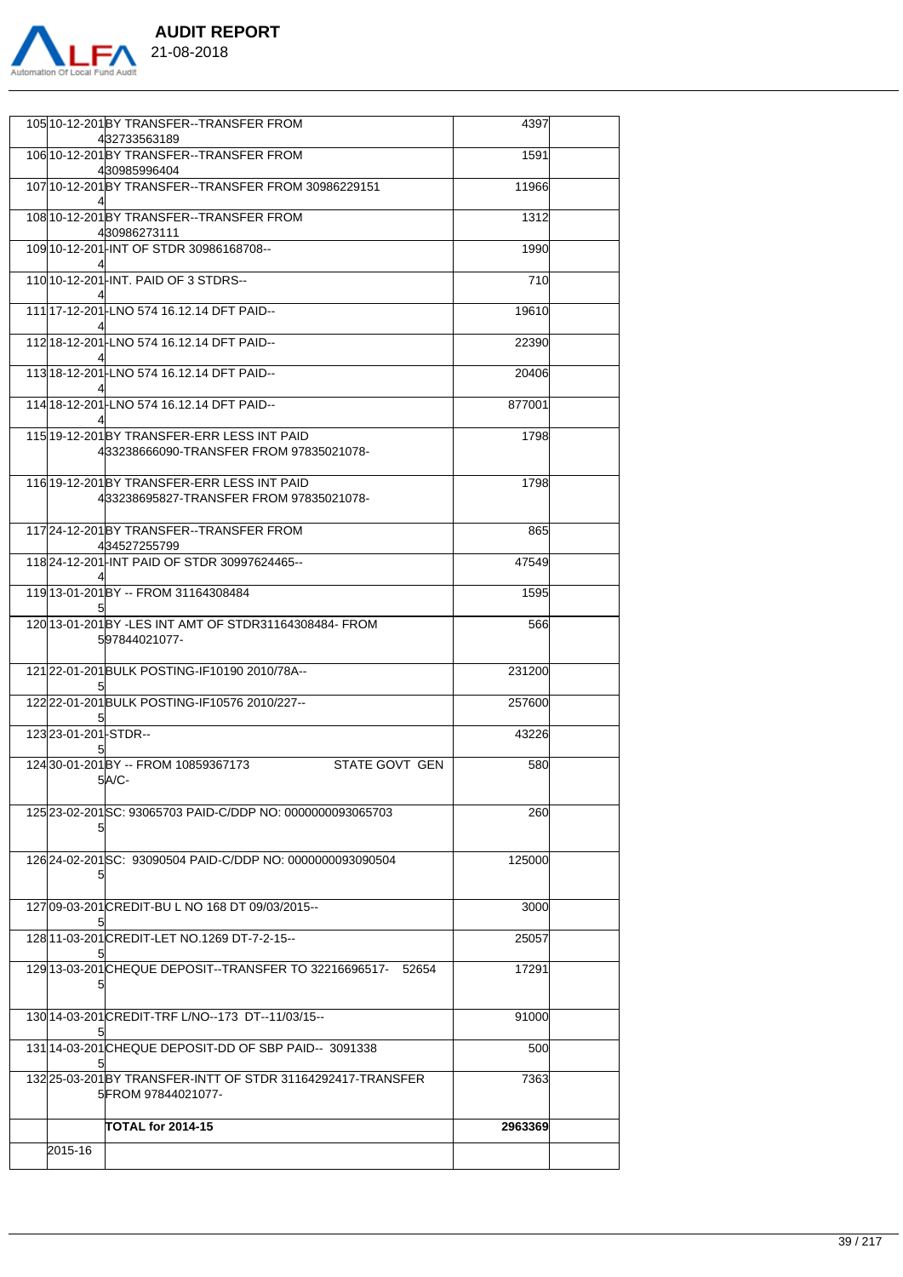

| 106 10-12-201 BY TRANSFER--TRANSFER FROM<br>1591<br>430985996404<br>10710-12-201BY TRANSFER--TRANSFER FROM 30986229151<br>11966<br>108 10-12-201 BY TRANSFER--TRANSFER FROM<br>1312<br>430986273111<br>109 10-12-201 INT OF STDR 30986168708--<br>1990<br>110 10-12-201 - INT. PAID OF 3 STDRS--<br>710<br>111 17-12-201 LNO 574 16.12.14 DFT PAID--<br>19610<br>112 18-12-201 LNO 574 16.12.14 DFT PAID--<br>22390<br>113 18-12-201 LNO 574 16.12.14 DFT PAID--<br>20406<br>11418-12-201-LNO 574 16.12.14 DFT PAID--<br>877001<br>115 19-12-201 BY TRANSFER-ERR LESS INT PAID<br>1798<br>433238666090-TRANSFER FROM 97835021078-<br>116 19-12-201 BY TRANSFER-ERR LESS INT PAID<br>1798<br>433238695827-TRANSFER FROM 97835021078-<br>11724-12-201BY TRANSFER--TRANSFER FROM<br>865<br>434527255799<br>11824-12-201-INT PAID OF STDR 30997624465--<br>47549<br>119 13-01-201 BY -- FROM 31164308484<br>1595<br>120 13-01-201 BY - LES INT AMT OF STDR31164308484 - FROM<br>566<br>597844021077-<br>12122-01-201BULK POSTING-IF10190 2010/78A--<br>231200<br>122 22-01-201 BULK POSTING-IF10576 2010/227--<br>257600<br>123 23-01-201 - STDR--<br>43226<br>12430-01-201BY -- FROM 10859367173<br>STATE GOVT GEN<br>580<br>5 A/C-<br>125 23 - 02 - 201 SC: 930 65703 PAID - C/DDP NO: 00000000930 65703<br>260<br>126 24-02-201 SC: 93090504 PAID-C/DDP NO: 0000000093090504<br>125000<br>12709-03-201 CREDIT-BUL NO 168 DT 09/03/2015--<br>3000<br>128 11-03-201 CREDIT-LET NO.1269 DT-7-2-15--<br>25057<br>129 13-03-201 CHEQUE DEPOSIT-- TRANSFER TO 32216696517- 52654<br>17291<br>130 14-03-201 CREDIT-TRF L/NO--173 DT--11/03/15--<br>91000<br>13114-03-201 CHEQUE DEPOSIT-DD OF SBP PAID-- 3091338<br>500<br>132 25-03-201 BY TRANSFER-INTT OF STDR 31164 292417-TRANSFER<br>7363<br>5FROM 97844021077-<br>TOTAL for 2014-15<br>2963369 | 105 10-12-201 BY TRANSFER--TRANSFER FROM | 4397 |  |
|-----------------------------------------------------------------------------------------------------------------------------------------------------------------------------------------------------------------------------------------------------------------------------------------------------------------------------------------------------------------------------------------------------------------------------------------------------------------------------------------------------------------------------------------------------------------------------------------------------------------------------------------------------------------------------------------------------------------------------------------------------------------------------------------------------------------------------------------------------------------------------------------------------------------------------------------------------------------------------------------------------------------------------------------------------------------------------------------------------------------------------------------------------------------------------------------------------------------------------------------------------------------------------------------------------------------------------------------------------------------------------------------------------------------------------------------------------------------------------------------------------------------------------------------------------------------------------------------------------------------------------------------------------------------------------------------------------------------------------------------------------------------------------------------------------------------------------------------------|------------------------------------------|------|--|
|                                                                                                                                                                                                                                                                                                                                                                                                                                                                                                                                                                                                                                                                                                                                                                                                                                                                                                                                                                                                                                                                                                                                                                                                                                                                                                                                                                                                                                                                                                                                                                                                                                                                                                                                                                                                                                               | 432733563189                             |      |  |
|                                                                                                                                                                                                                                                                                                                                                                                                                                                                                                                                                                                                                                                                                                                                                                                                                                                                                                                                                                                                                                                                                                                                                                                                                                                                                                                                                                                                                                                                                                                                                                                                                                                                                                                                                                                                                                               |                                          |      |  |
|                                                                                                                                                                                                                                                                                                                                                                                                                                                                                                                                                                                                                                                                                                                                                                                                                                                                                                                                                                                                                                                                                                                                                                                                                                                                                                                                                                                                                                                                                                                                                                                                                                                                                                                                                                                                                                               |                                          |      |  |
|                                                                                                                                                                                                                                                                                                                                                                                                                                                                                                                                                                                                                                                                                                                                                                                                                                                                                                                                                                                                                                                                                                                                                                                                                                                                                                                                                                                                                                                                                                                                                                                                                                                                                                                                                                                                                                               |                                          |      |  |
|                                                                                                                                                                                                                                                                                                                                                                                                                                                                                                                                                                                                                                                                                                                                                                                                                                                                                                                                                                                                                                                                                                                                                                                                                                                                                                                                                                                                                                                                                                                                                                                                                                                                                                                                                                                                                                               |                                          |      |  |
|                                                                                                                                                                                                                                                                                                                                                                                                                                                                                                                                                                                                                                                                                                                                                                                                                                                                                                                                                                                                                                                                                                                                                                                                                                                                                                                                                                                                                                                                                                                                                                                                                                                                                                                                                                                                                                               |                                          |      |  |
|                                                                                                                                                                                                                                                                                                                                                                                                                                                                                                                                                                                                                                                                                                                                                                                                                                                                                                                                                                                                                                                                                                                                                                                                                                                                                                                                                                                                                                                                                                                                                                                                                                                                                                                                                                                                                                               |                                          |      |  |
|                                                                                                                                                                                                                                                                                                                                                                                                                                                                                                                                                                                                                                                                                                                                                                                                                                                                                                                                                                                                                                                                                                                                                                                                                                                                                                                                                                                                                                                                                                                                                                                                                                                                                                                                                                                                                                               |                                          |      |  |
|                                                                                                                                                                                                                                                                                                                                                                                                                                                                                                                                                                                                                                                                                                                                                                                                                                                                                                                                                                                                                                                                                                                                                                                                                                                                                                                                                                                                                                                                                                                                                                                                                                                                                                                                                                                                                                               |                                          |      |  |
|                                                                                                                                                                                                                                                                                                                                                                                                                                                                                                                                                                                                                                                                                                                                                                                                                                                                                                                                                                                                                                                                                                                                                                                                                                                                                                                                                                                                                                                                                                                                                                                                                                                                                                                                                                                                                                               |                                          |      |  |
|                                                                                                                                                                                                                                                                                                                                                                                                                                                                                                                                                                                                                                                                                                                                                                                                                                                                                                                                                                                                                                                                                                                                                                                                                                                                                                                                                                                                                                                                                                                                                                                                                                                                                                                                                                                                                                               |                                          |      |  |
|                                                                                                                                                                                                                                                                                                                                                                                                                                                                                                                                                                                                                                                                                                                                                                                                                                                                                                                                                                                                                                                                                                                                                                                                                                                                                                                                                                                                                                                                                                                                                                                                                                                                                                                                                                                                                                               |                                          |      |  |
|                                                                                                                                                                                                                                                                                                                                                                                                                                                                                                                                                                                                                                                                                                                                                                                                                                                                                                                                                                                                                                                                                                                                                                                                                                                                                                                                                                                                                                                                                                                                                                                                                                                                                                                                                                                                                                               |                                          |      |  |
|                                                                                                                                                                                                                                                                                                                                                                                                                                                                                                                                                                                                                                                                                                                                                                                                                                                                                                                                                                                                                                                                                                                                                                                                                                                                                                                                                                                                                                                                                                                                                                                                                                                                                                                                                                                                                                               |                                          |      |  |
|                                                                                                                                                                                                                                                                                                                                                                                                                                                                                                                                                                                                                                                                                                                                                                                                                                                                                                                                                                                                                                                                                                                                                                                                                                                                                                                                                                                                                                                                                                                                                                                                                                                                                                                                                                                                                                               |                                          |      |  |
|                                                                                                                                                                                                                                                                                                                                                                                                                                                                                                                                                                                                                                                                                                                                                                                                                                                                                                                                                                                                                                                                                                                                                                                                                                                                                                                                                                                                                                                                                                                                                                                                                                                                                                                                                                                                                                               |                                          |      |  |
|                                                                                                                                                                                                                                                                                                                                                                                                                                                                                                                                                                                                                                                                                                                                                                                                                                                                                                                                                                                                                                                                                                                                                                                                                                                                                                                                                                                                                                                                                                                                                                                                                                                                                                                                                                                                                                               |                                          |      |  |
|                                                                                                                                                                                                                                                                                                                                                                                                                                                                                                                                                                                                                                                                                                                                                                                                                                                                                                                                                                                                                                                                                                                                                                                                                                                                                                                                                                                                                                                                                                                                                                                                                                                                                                                                                                                                                                               |                                          |      |  |
|                                                                                                                                                                                                                                                                                                                                                                                                                                                                                                                                                                                                                                                                                                                                                                                                                                                                                                                                                                                                                                                                                                                                                                                                                                                                                                                                                                                                                                                                                                                                                                                                                                                                                                                                                                                                                                               |                                          |      |  |
|                                                                                                                                                                                                                                                                                                                                                                                                                                                                                                                                                                                                                                                                                                                                                                                                                                                                                                                                                                                                                                                                                                                                                                                                                                                                                                                                                                                                                                                                                                                                                                                                                                                                                                                                                                                                                                               |                                          |      |  |
|                                                                                                                                                                                                                                                                                                                                                                                                                                                                                                                                                                                                                                                                                                                                                                                                                                                                                                                                                                                                                                                                                                                                                                                                                                                                                                                                                                                                                                                                                                                                                                                                                                                                                                                                                                                                                                               |                                          |      |  |
|                                                                                                                                                                                                                                                                                                                                                                                                                                                                                                                                                                                                                                                                                                                                                                                                                                                                                                                                                                                                                                                                                                                                                                                                                                                                                                                                                                                                                                                                                                                                                                                                                                                                                                                                                                                                                                               |                                          |      |  |
|                                                                                                                                                                                                                                                                                                                                                                                                                                                                                                                                                                                                                                                                                                                                                                                                                                                                                                                                                                                                                                                                                                                                                                                                                                                                                                                                                                                                                                                                                                                                                                                                                                                                                                                                                                                                                                               |                                          |      |  |
|                                                                                                                                                                                                                                                                                                                                                                                                                                                                                                                                                                                                                                                                                                                                                                                                                                                                                                                                                                                                                                                                                                                                                                                                                                                                                                                                                                                                                                                                                                                                                                                                                                                                                                                                                                                                                                               |                                          |      |  |
|                                                                                                                                                                                                                                                                                                                                                                                                                                                                                                                                                                                                                                                                                                                                                                                                                                                                                                                                                                                                                                                                                                                                                                                                                                                                                                                                                                                                                                                                                                                                                                                                                                                                                                                                                                                                                                               |                                          |      |  |
|                                                                                                                                                                                                                                                                                                                                                                                                                                                                                                                                                                                                                                                                                                                                                                                                                                                                                                                                                                                                                                                                                                                                                                                                                                                                                                                                                                                                                                                                                                                                                                                                                                                                                                                                                                                                                                               |                                          |      |  |
|                                                                                                                                                                                                                                                                                                                                                                                                                                                                                                                                                                                                                                                                                                                                                                                                                                                                                                                                                                                                                                                                                                                                                                                                                                                                                                                                                                                                                                                                                                                                                                                                                                                                                                                                                                                                                                               |                                          |      |  |
|                                                                                                                                                                                                                                                                                                                                                                                                                                                                                                                                                                                                                                                                                                                                                                                                                                                                                                                                                                                                                                                                                                                                                                                                                                                                                                                                                                                                                                                                                                                                                                                                                                                                                                                                                                                                                                               |                                          |      |  |
|                                                                                                                                                                                                                                                                                                                                                                                                                                                                                                                                                                                                                                                                                                                                                                                                                                                                                                                                                                                                                                                                                                                                                                                                                                                                                                                                                                                                                                                                                                                                                                                                                                                                                                                                                                                                                                               |                                          |      |  |
| 2015-16                                                                                                                                                                                                                                                                                                                                                                                                                                                                                                                                                                                                                                                                                                                                                                                                                                                                                                                                                                                                                                                                                                                                                                                                                                                                                                                                                                                                                                                                                                                                                                                                                                                                                                                                                                                                                                       |                                          |      |  |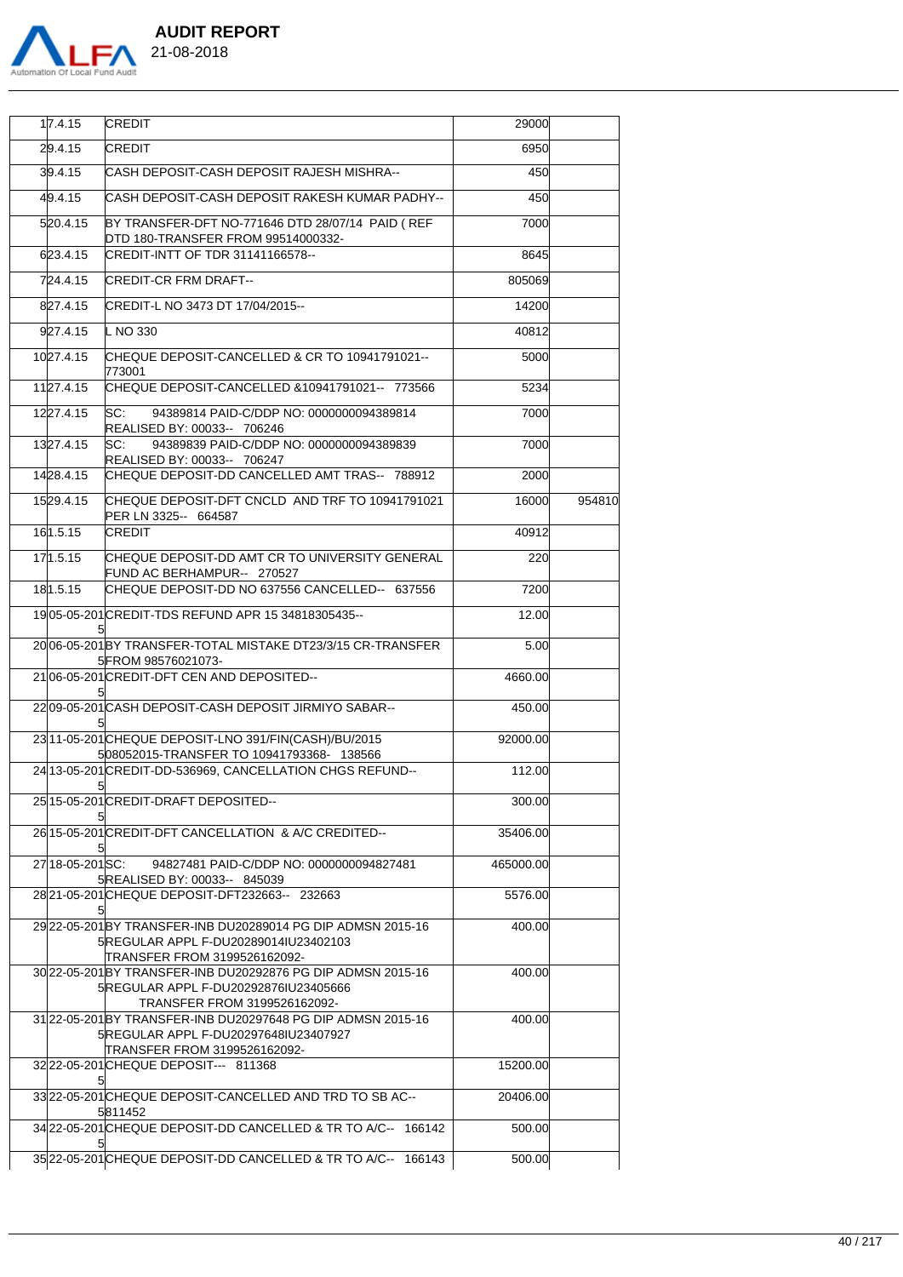

| 17.4.15        | CREDIT                                                                                                                                | 29000     |        |
|----------------|---------------------------------------------------------------------------------------------------------------------------------------|-----------|--------|
| 29.4.15        | <b>CREDIT</b>                                                                                                                         | 6950      |        |
| 39.4.15        | ICASH DEPOSIT-CASH DEPOSIT RAJESH MISHRA--                                                                                            | 450       |        |
| 49.4.15        | CASH DEPOSIT-CASH DEPOSIT RAKESH KUMAR PADHY--                                                                                        | 450       |        |
| 520.4.15       | BY TRANSFER-DFT NO-771646 DTD 28/07/14 PAID (REF<br>DTD 180-TRANSFER FROM 99514000332-                                                | 7000      |        |
| 623.4.15       | CREDIT-INTT OF TDR 31141166578--                                                                                                      | 8645      |        |
| 724.4.15       | ICREDIT-CR FRM DRAFT--                                                                                                                | 805069    |        |
| 827.4.15       | CREDIT-L NO 3473 DT 17/04/2015--                                                                                                      | 14200     |        |
| 927.4.15       | L NO 330                                                                                                                              | 40812     |        |
| 1027.4.15      | CHEQUE DEPOSIT-CANCELLED & CR TO 10941791021--<br>773001                                                                              | 5000      |        |
| 1127.4.15      | CHEQUE DEPOSIT-CANCELLED &10941791021-- 773566                                                                                        | 5234      |        |
| 1227.4.15      | lSC:<br>94389814 PAID-C/DDP NO: 0000000094389814<br>REALISED BY: 00033-- 706246                                                       | 7000      |        |
| 1327.4.15      | 94389839 PAID-C/DDP NO: 0000000094389839<br>lSC:<br>REALISED BY: 00033-- 706247                                                       | 7000      |        |
| 1428.4.15      | CHEQUE DEPOSIT-DD CANCELLED AMT TRAS-- 788912                                                                                         | 2000      |        |
| 1529.4.15      | CHEQUE DEPOSIT-DFT CNCLD AND TRF TO 10941791021<br>PER LN 3325-- 664587                                                               | 16000     | 954810 |
| 161.5.15       | <b>CREDIT</b>                                                                                                                         | 40912     |        |
| 171.5.15       | CHEQUE DEPOSIT-DD AMT CR TO UNIVERSITY GENERAL<br>FUND AC BERHAMPUR-- 270527                                                          | 220       |        |
| 181.5.15       | CHEQUE DEPOSIT-DD NO 637556 CANCELLED-- 637556                                                                                        | 7200      |        |
|                | 1905-05-201 CREDIT-TDS REFUND APR 15 34818305435--                                                                                    | 12.00     |        |
|                | 2006-05-201 BY TRANSFER-TOTAL MISTAKE DT23/3/15 CR-TRANSFER<br>5FROM 98576021073-                                                     | 5.00      |        |
|                | 2106-05-201CREDIT-DFT CEN AND DEPOSITED--                                                                                             | 4660.00   |        |
|                | 2209-05-201 CASH DEPOSIT-CASH DEPOSIT JIRMIYO SABAR--                                                                                 | 450.00    |        |
|                | 23 11-05-201 CHEQUE DEPOSIT-LNO 391/FIN(CASH)/BU/2015<br>508052015-TRANSFER TO 10941793368- 138566                                    | 92000.00  |        |
|                | 24 13-05-201 CREDIT-DD-536969, CANCELLATION CHGS REFUND-                                                                              | 112.00    |        |
|                | 51<br>25 15-05-201 CREDIT-DRAFT DEPOSITED--                                                                                           | 300.00    |        |
|                | 26 15-05-201 CREDIT-DFT CANCELLATION & A/C CREDITED-                                                                                  | 35406.00  |        |
|                |                                                                                                                                       |           |        |
| 2718-05-201SC: | 94827481 PAID-C/DDP NO: 0000000094827481<br>5 REALISED BY: 00033-- 845039                                                             | 465000.00 |        |
|                | 28 21 - 05 - 201 CHEQUE DEPOSIT - DFT 232663 - 232663                                                                                 | 5576.00   |        |
|                | 2922-05-201BY TRANSFER-INB DU20289014 PG DIP ADMSN 2015-16<br>5REGULAR APPL F-DU20289014IU23402103<br> TRANSFER FROM 3199526162092-   | 400.00    |        |
|                | 3022-05-201BY TRANSFER-INB DU20292876 PG DIP ADMSN 2015-16<br>5 REGULAR APPL F-DU20292876 IU 23405666<br>TRANSFER FROM 3199526162092- | 400.00    |        |
|                | 31 22-05-201 BY TRANSFER-INB DU20297648 PG DIP ADMSN 2015-16<br>5REGULAR APPL F-DU20297648IU23407927<br>TRANSFER FROM 3199526162092-  | 400.00    |        |
|                | 32 22 - 05 - 201 CHEQUE DEPOSIT --- 811368                                                                                            | 15200.00  |        |
|                | 3322-05-201 CHEQUE DEPOSIT-CANCELLED AND TRD TO SB AC--<br>5811452                                                                    | 20406.00  |        |
|                | 3422-05-201 CHEQUE DEPOSIT-DD CANCELLED & TR TO A/C-- 166142                                                                          | 500.00    |        |
|                | 3522-05-201 CHEQUE DEPOSIT-DD CANCELLED & TR TO A/C-- 166143                                                                          | 500.00    |        |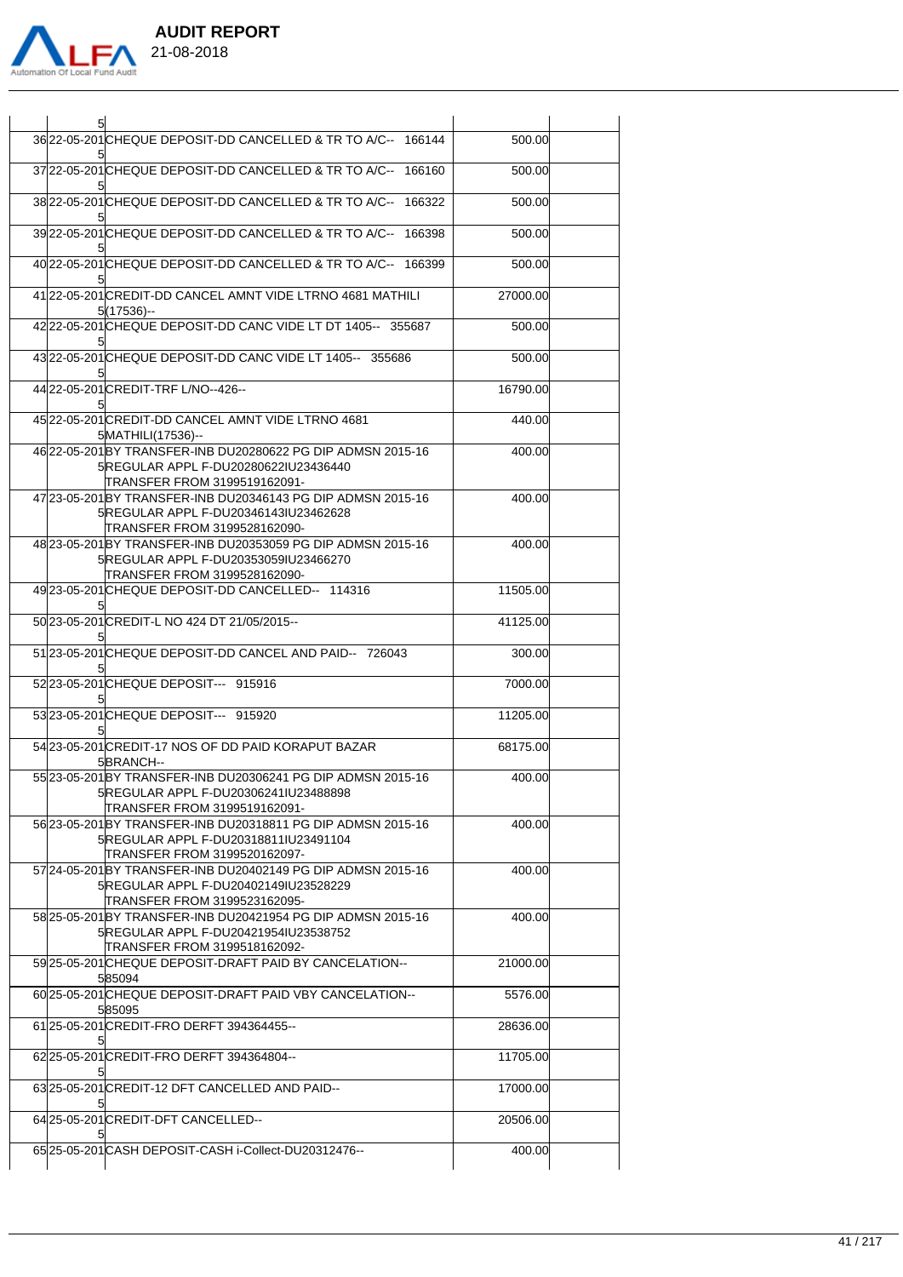

| 51 |                                                                                                                                                    |          |
|----|----------------------------------------------------------------------------------------------------------------------------------------------------|----------|
|    | 3622-05-201 CHEQUE DEPOSIT-DD CANCELLED & TR TO A/C-- 166144                                                                                       | 500.00   |
|    | 3722-05-201CHEQUE DEPOSIT-DD CANCELLED & TR TO A/C-- 166160                                                                                        | 500.00   |
|    | 3822-05-201 CHEQUE DEPOSIT-DD CANCELLED & TR TO A/C-- 166322                                                                                       | 500.00   |
|    | 39 22-05-201 CHEQUE DEPOSIT-DD CANCELLED & TR TO A/C-- 166398                                                                                      | 500.00   |
|    | 40 22-05-201 CHEQUE DEPOSIT-DD CANCELLED & TR TO A/C-- 166399                                                                                      | 500.00   |
|    | 41 22-05-201 CREDIT-DD CANCEL AMNT VIDE LTRNO 4681 MATHILI                                                                                         | 27000.00 |
|    | 5(17536)--<br>4222-05-201 CHEQUE DEPOSIT-DD CANC VIDE LT DT 1405-- 355687                                                                          | 500.00   |
|    | 43 22-05-201 CHEQUE DEPOSIT-DD CANC VIDE LT 1405-- 355686                                                                                          | 500.00   |
|    | 4422-05-201CREDIT-TRF L/NO--426--                                                                                                                  | 16790.00 |
|    | 45 22-05-201 CREDIT-DD CANCEL AMNT VIDE LTRNO 4681                                                                                                 | 440.00   |
|    | 5MATHILI(17536)--<br>46 22-05-201 BY TRANSFER-INB DU 20280622 PG DIP ADMSN 2015-16                                                                 | 400.00   |
|    | 5 REGULAR APPL F-DU20280622 IU 23436440<br>TRANSFER FROM 3199519162091-                                                                            |          |
|    | 47 23 - 05 - 201 BY TRANSFER-INB DU 2034 6143 PG DIP ADMSN 2015 - 16<br>5 REGULAR APPL F-DU20346143 IU 2346 2628<br> TRANSFER FROM 3199528162090-  | 400.00   |
|    | 48 23-05-201 BY TRANSFER-INB DU 20353059 PG DIP ADMSN 2015-16<br>5REGULAR APPL F-DU20353059IU23466270<br> TRANSFER FROM 3199528162090-             | 400.00   |
|    | 4923-05-201CHEQUE DEPOSIT-DD CANCELLED-- 114316                                                                                                    | 11505.00 |
|    | 50 23-05-201 CREDIT-L NO 424 DT 21/05/2015--                                                                                                       | 41125.00 |
|    | 5123-05-201 CHEQUE DEPOSIT-DD CANCEL AND PAID-- 726043                                                                                             | 300.00   |
|    | 52 23 - 05 - 201 CHEQUE DEPOSIT --- 915916                                                                                                         | 7000.00  |
|    | 5323-05-201CHEQUE DEPOSIT--- 915920                                                                                                                | 11205.00 |
|    | 54 23-05-201 CREDIT-17 NOS OF DD PAID KORAPUT BAZAR                                                                                                | 68175.00 |
|    | 5BRANCH--<br>55 23-05-201 BY TRANSFER-INB DU 20306241 PG DIP ADMSN 2015-16<br>5REGULAR APPL F-DU20306241IU23488898<br>TRANSFER FROM 3199519162091- | 400.00   |
|    | 56 23-05-201 BY TRANSFER-INB DU20318811 PG DIP ADMSN 2015-16<br>5REGULAR APPL F-DU20318811IU23491104<br>TRANSFER FROM 3199520162097-               | 400.00   |
|    | 5724-05-201BY TRANSFER-INB DU20402149 PG DIP ADMSN 2015-16<br>5REGULAR APPL F-DU20402149IU23528229<br>TRANSFER FROM 3199523162095-                 | 400.00   |
|    | 5825-05-201BY TRANSFER-INB DU20421954 PG DIP ADMSN 2015-16<br>5 REGULAR APPL F-DU20421954 IU23538752<br>TRANSFER FROM 3199518162092-               | 400.00   |
|    | 5925-05-201 CHEQUE DEPOSIT-DRAFT PAID BY CANCELATION--<br>585094                                                                                   | 21000.00 |
|    | 60 25-05-201 CHEQUE DEPOSIT-DRAFT PAID VBY CANCELATION-<br>585095                                                                                  | 5576.00  |
|    | 61 25-05-201 CREDIT-FRO DERFT 394364455--                                                                                                          | 28636.00 |
|    | 62 25-05-201 CREDIT-FRO DERFT 394364804--                                                                                                          | 11705.00 |
|    | 6325-05-201CREDIT-12 DFT CANCELLED AND PAID--                                                                                                      | 17000.00 |
|    | 6425-05-201 CREDIT-DFT CANCELLED--                                                                                                                 | 20506.00 |
|    |                                                                                                                                                    |          |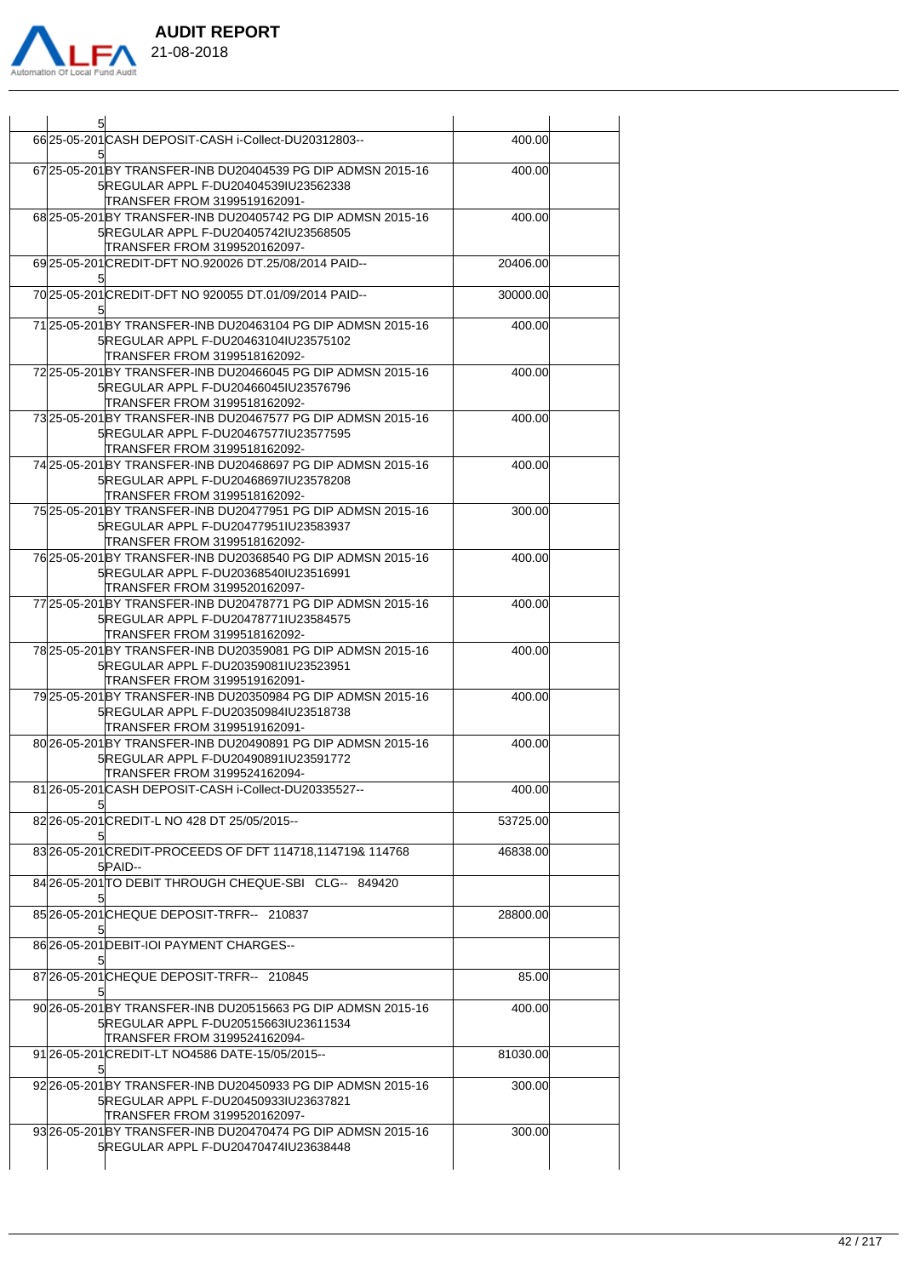

|            | <b>AUDIT REPORT</b> |
|------------|---------------------|
| 21-08-2018 |                     |

| 51                                                                                                                                        |          |  |
|-------------------------------------------------------------------------------------------------------------------------------------------|----------|--|
| 66 25-05-201 CASH DEPOSIT-CASH i-Collect-DU20312803--                                                                                     | 400.00   |  |
| 67 25-05-201 BY TRANSFER-INB DU20404539 PG DIP ADMSN 2015-16<br>5 REGULAR APPL F-DU20404539 IU23562338<br> TRANSFER FROM 3199519162091-   | 400.00   |  |
| 6825-05-201BY TRANSFER-INB DU20405742 PG DIP ADMSN 2015-16<br>5 REGULAR APPL F-DU20405742 1U23568505<br> TRANSFER FROM 3199520162097-     | 400.00   |  |
| 6925-05-201 CREDIT-DFT NO.920026 DT.25/08/2014 PAID--                                                                                     | 20406.00 |  |
| 70 25-05-201 CREDIT-DFT NO 920055 DT.01/09 / 2014 PAID--                                                                                  | 30000.00 |  |
| 71 25-05-201 BY TRANSFER-INB DU20463104 PG DIP ADMSN 2015-16<br>5 REGULAR APPL F-DU20463104 IU 23575102<br> TRANSFER FROM 3199518162092-  | 400.00   |  |
| 7225-05-201BY TRANSFER-INB DU20466045 PG DIP ADMSN 2015-16<br>5REGULAR APPL F-DU20466045IU23576796<br>TRANSFER FROM 3199518162092-        | 400.00   |  |
| 7325-05-201BY TRANSFER-INB DU20467577 PG DIP ADMSN 2015-16<br>5 REGULAR APPL F-DU20467577 IU 23577595<br> TRANSFER FROM 3199518162092-    | 400.00   |  |
| 7425-05-201BY TRANSFER-INB DU20468697 PG DIP ADMSN 2015-16<br>5REGULAR APPL F-DU20468697IU23578208<br> TRANSFER FROM 3199518162092-       | 400.00   |  |
| 75 25-05-201 BY TRANSFER-INB DU 20477951 PG DIP ADMSN 2015-16<br>5 REGULAR APPL F-DU20477951 IU 23583937<br> TRANSFER FROM 3199518162092- | 300.00   |  |
| 76 25-05-201 BY TRANSFER-INB DU20368540 PG DIP ADMSN 2015-16<br>5 REGULAR APPL F-DU20368540 IU23516991<br> TRANSFER FROM 3199520162097-   | 400.00   |  |
| 77 25-05-201 BY TRANSFER-INB DU20478771 PG DIP ADMSN 2015-16<br>5REGULAR APPL F-DU20478771IU23584575<br>TRANSFER FROM 3199518162092-      | 400.00   |  |
| 7825-05-201BY TRANSFER-INB DU20359081 PG DIP ADMSN 2015-16<br>5 REGULAR APPL F-DU20359081 IU 23523951<br> TRANSFER FROM 3199519162091-    | 400.00   |  |
| 79 25-05-201 BY TRANSFER-INB DU20350984 PG DIP ADMSN 2015-16<br>5 REGULAR APPL F-DU20350984 IU 23518738<br> TRANSFER FROM 3199519162091-  | 400.00   |  |
| 8026-05-201BY TRANSFER-INB DU20490891 PG DIP ADMSN 2015-16<br>5REGULAR APPL F-DU20490891IU23591772<br> TRANSFER FROM 3199524162094-       | 400.00   |  |
| 81 26-05-201 CASH DEPOSIT-CASH i-Collect-DU20335527--                                                                                     | 400.00   |  |
| 82 26-05-201 CREDIT-L NO 428 DT 25/05/2015--                                                                                              | 53725.00 |  |
| 8326-05-201 CREDIT-PROCEEDS OF DFT 114718.114719& 114768<br>5PAID--                                                                       | 46838.00 |  |
| 8426-05-201 TO DEBIT THROUGH CHEQUE-SBI CLG-- 849420                                                                                      |          |  |
| 85 26-05-201 CHEQUE DEPOSIT-TRFR- 210837                                                                                                  | 28800.00 |  |
| 86 26-05-201 DEBIT-IOI PAYMENT CHARGES--<br>87 26-05-201 CHEQUE DEPOSIT-TRFR- 210845                                                      | 85.00    |  |
| 90 26-05-201 BY TRANSFER-INB DU20515663 PG DIP ADMSN 2015-16                                                                              |          |  |
| 5 REGULAR APPL F-DU20515663 IU23611534<br>TRANSFER FROM 3199524162094-                                                                    | 400.00   |  |
| 9126-05-201 CREDIT-LT NO4586 DATE-15/05/2015--<br>51                                                                                      | 81030.00 |  |
| 92 26-05-201 BY TRANSFER-INB DU20450933 PG DIP ADMSN 2015-16<br>5JREGULAR APPL F-DU20450933IU23637821<br> TRANSFER FROM 3199520162097-    | 300.00   |  |
| 9326-05-201BY TRANSFER-INB DU20470474 PG DIP ADMSN 2015-16<br>5REGULAR APPL F-DU20470474IU23638448                                        | 300.00   |  |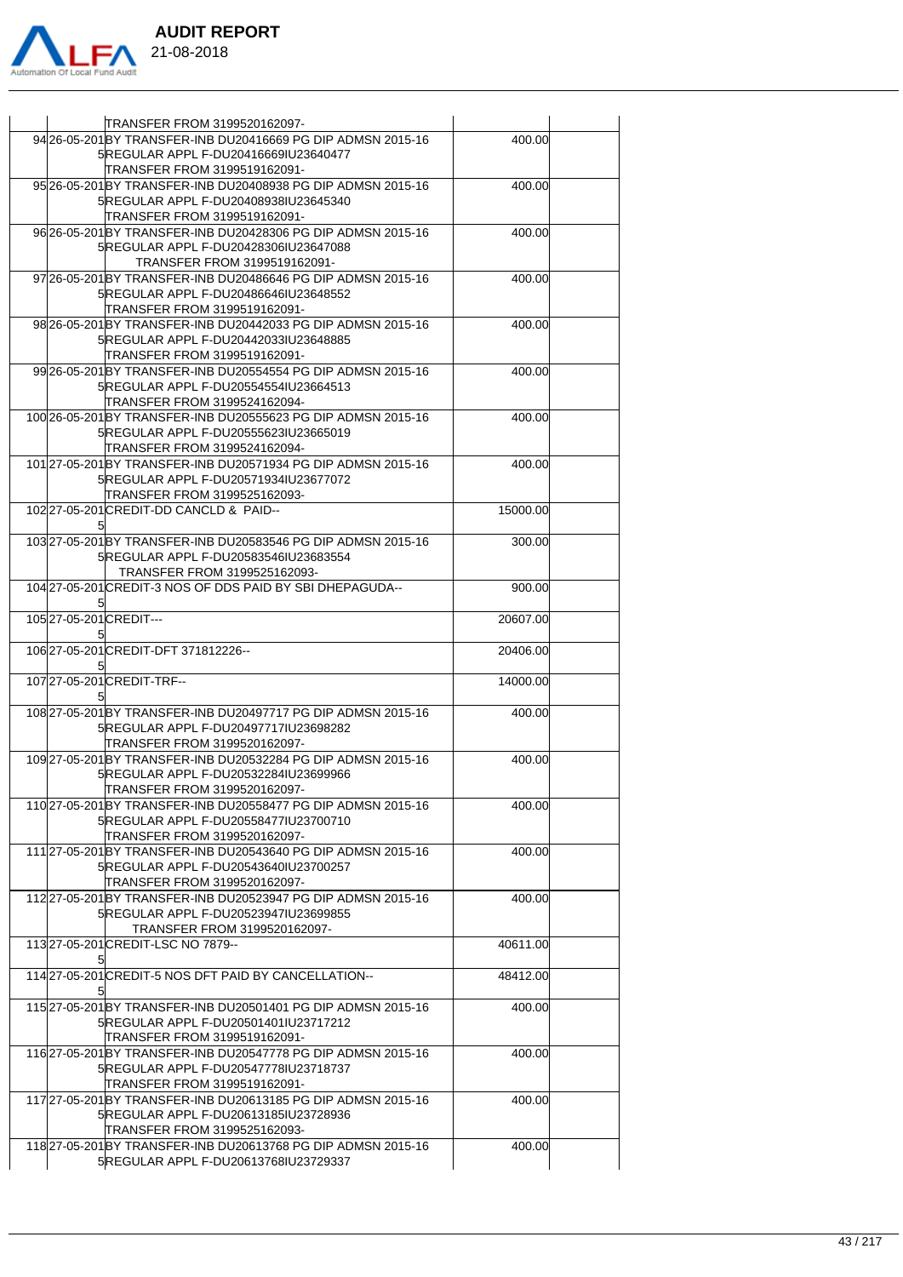

94 26-05-201

5

TRANSFER FROM 3199520162097-

REGULAR APPL F-DU20416669IU23640477

BY TRANSFER-INB DU20416669 PG DIP ADMSN 2015-16

400.00

|  | TRANSFER FROM 3199519162091-                                                                                                              |          |  |
|--|-------------------------------------------------------------------------------------------------------------------------------------------|----------|--|
|  | 9526-05-201BY TRANSFER-INB DU20408938 PG DIP ADMSN 2015-16<br>5 REGULAR APPL F-DU20408938 IU23645340                                      | 400.00   |  |
|  | ITRANSFER FROM 3199519162091-<br>96 26-05-201 BY TRANSFER-INB DU20428306 PG DIP ADMSN 2015-16<br>5REGULAR APPL F-DU20428306IU23647088     | 400.00   |  |
|  | TRANSFER FROM 3199519162091-<br>97 26-05-201 BY TRANSFER-INB DU20486646 PG DIP ADMSN 2015-16                                              | 400.00   |  |
|  | 5 REGULAR APPL F-DU20486646 IU 23648552<br> TRANSFER FROM 3199519162091-                                                                  |          |  |
|  | 98 26-05-201 BY TRANSFER-INB DU20442033 PG DIP ADMSN 2015-16<br>5 REGULAR APPL F-DU20442033 IU 23648885<br> TRANSFER FROM 3199519162091-  | 400.00   |  |
|  | 99 26-05-201 BY TRANSFER-INB DU 20554554 PG DIP ADMSN 2015-16<br>5REGULAR APPL F-DU20554554IU23664513<br>TRANSFER FROM 3199524162094-     | 400.00   |  |
|  | 100 26-05-201 BY TRANSFER-INB DU 20555623 PG DIP ADMSN 2015-16<br>5REGULAR APPL F-DU20555623IU23665019<br> TRANSFER FROM 3199524162094-   | 400.00   |  |
|  | 101 27-05-201 BY TRANSFER-INB DU 20571934 PG DIP ADMSN 2015-16<br>5 REGULAR APPL F-DU20571934 IU 23677072<br>TRANSFER FROM 3199525162093- | 400.00   |  |
|  | 10227-05-201 CREDIT-DD CANCLD & PAID--                                                                                                    | 15000.00 |  |
|  | 103 27-05-201 BY TRANSFER-INB DU20583546 PG DIP ADMSN 2015-16<br>5 REGULAR APPL F-DU20583546 IU23683554<br>TRANSFER FROM 3199525162093-   | 300.00   |  |
|  | 10427-05-201 CREDIT-3 NOS OF DDS PAID BY SBI DHEPAGUDA--                                                                                  | 900.00   |  |
|  | 105 27-05-201 CREDIT---                                                                                                                   | 20607.00 |  |
|  | 106 27-05-201 CREDIT-DFT 371812226--                                                                                                      | 20406.00 |  |
|  | 10727-05-201CREDIT-TRF--                                                                                                                  | 14000.00 |  |
|  | 108 27-05-201 BY TRANSFER-INB DU20497717 PG DIP ADMSN 2015-16<br>5 REGULAR APPL F-DU20497717 IU 23698282<br> TRANSFER FROM 3199520162097- | 400.00   |  |
|  | 109 27-05-201 BY TRANSFER-INB DU20532284 PG DIP ADMSN 2015-16<br>5REGULAR APPL F-DU20532284IU23699966<br>TRANSFER FROM 3199520162097-     | 400.00   |  |
|  | 110 27-05-201 BY TRANSFER-INB DU20558477 PG DIP ADMSN 2015-16<br>5REGULAR APPL F-DU20558477IU23700710<br>TRANSFER FROM 3199520162097-     | 400.00   |  |
|  | 111 27-05-201 BY TRANSFER-INB DU20543640 PG DIP ADMSN 2015-16<br>5REGULAR APPL F-DU20543640IU23700257<br> TRANSFER FROM 3199520162097-    | 400.00   |  |
|  | 11227-05-201BY TRANSFER-INB DU20523947 PG DIP ADMSN 2015-16<br>5REGULAR APPL F-DU20523947IU23699855<br>TRANSFER FROM 3199520162097-       | 400.00   |  |
|  | 113 27-05-201 CREDIT-LSC NO 7879--                                                                                                        | 40611.00 |  |
|  | 11427-05-201 CREDIT-5 NOS DFT PAID BY CANCELLATION-                                                                                       | 48412.00 |  |
|  | 115 27-05-201 BY TRANSFER-INB DU20501401 PG DIP ADMSN 2015-16<br>5 REGULAR APPL F-DU20501401 IU23717212<br> TRANSFER FROM 3199519162091-  | 400.00   |  |
|  | 116 27-05-201 BY TRANSFER-INB DU 20547778 PG DIP ADMSN 2015-16<br>5 REGULAR APPL F-DU20547778 IU 23718737                                 | 400.00   |  |
|  | TRANSFER FROM 3199519162091-                                                                                                              |          |  |
|  | 117 27-05-201 BY TRANSFER-INB DU20613185 PG DIP ADMSN 2015-16<br>5 REGULAR APPL F-DU20613185 IU23728936<br>TRANSFER FROM 3199525162093-   | 400.00   |  |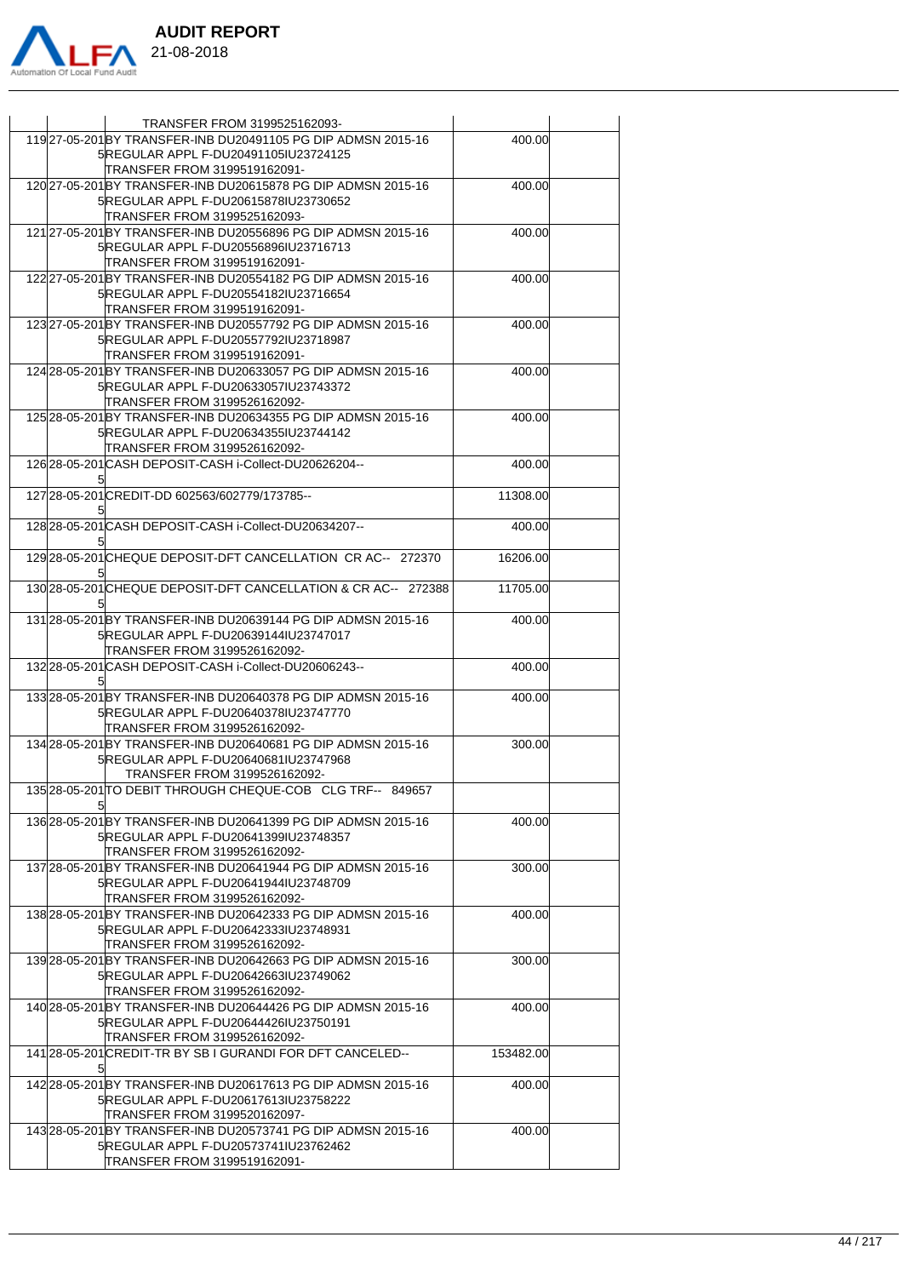

|  | TRANSFER FROM 3199525162093-                                                                                                                                            |           |  |
|--|-------------------------------------------------------------------------------------------------------------------------------------------------------------------------|-----------|--|
|  | 119 27-05-201 BY TRANSFER-INB DU 20491105 PG DIP ADMSN 2015-16<br>5 REGULAR APPL F-DU20491105 IU23724125                                                                | 400.00    |  |
|  | TRANSFER FROM 3199519162091-                                                                                                                                            |           |  |
|  | 120 27-05-201 BY TRANSFER-INB DU 20615878 PG DIP ADMSN 2015-16<br>5 REGULAR APPL F-DU20615878 IU 23730652<br> TRANSFER FROM 3199525162093-                              | 400.00    |  |
|  | 12127-05-201BY TRANSFER-INB DU20556896 PG DIP ADMSN 2015-16                                                                                                             | 400.00    |  |
|  | 5 REGULAR APPL F-DU20556896 1 U23716713<br> TRANSFER FROM 3199519162091-                                                                                                |           |  |
|  | 12227-05-201BY TRANSFER-INB DU20554182 PG DIP ADMSN 2015-16<br>5REGULAR APPL F-DU20554182IU23716654<br> TRANSFER FROM 3199519162091-                                    | 400.00    |  |
|  | 123 27-05-201 BY TRANSFER-INB DU 20557792 PG DIP ADMSN 2015-16<br>5 REGULAR APPL F-DU20557792 IU23718987<br> TRANSFER FROM 3199519162091-                               | 400.00    |  |
|  | 124 28-05-201 BY TRANSFER-INB DU20633057 PG DIP ADMSN 2015-16<br>5 REGULAR APPL F-DU20633057 IU 23743372                                                                | 400.00    |  |
|  | ITRANSFER FROM 3199526162092-<br>125 28-05-201 BY TRANSFER-INB DU 2063 4355 PG DIP ADMSN 2015-16<br>5REGULAR APPL F-DU20634355IU23744142                                | 400.00    |  |
|  | ITRANSFER FROM 3199526162092-<br>126 28-05-201 CASH DEPOSIT-CASH i-Collect-DU20626204--                                                                                 |           |  |
|  |                                                                                                                                                                         | 400.00    |  |
|  | 127 28-05-201 CREDIT-DD 602563/602779/173785--                                                                                                                          | 11308.00  |  |
|  | 128 28-05-201 CASH DEPOSIT-CASH i-Collect-DU20634207--                                                                                                                  | 400.00    |  |
|  | 129 28-05-201 CHEQUE DEPOSIT-DFT CANCELLATION CR AC-- 272370                                                                                                            | 16206.00  |  |
|  | 130 28-05-201 CHEQUE DEPOSIT-DFT CANCELLATION & CR AC-- 272388                                                                                                          | 11705.00  |  |
|  | 131 28-05-201 BY TRANSFER-INB DU 20639144 PG DIP ADMSN 2015-16<br>5REGULAR APPL F-DU20639144IU23747017<br> TRANSFER FROM 3199526162092-                                 | 400.00    |  |
|  | 132 28-05-201 CASH DEPOSIT-CASH i-Collect-DU20606243--                                                                                                                  | 400.00    |  |
|  | 133 28-05-201 BY TRANSFER-INB DU 20640378 PG DIP ADMSN 2015-16<br>5 REGULAR APPL F-DU20640378 IU 23747770<br> TRANSFER FROM 3199526162092-                              | 400.00    |  |
|  | 134 28-05-201 BY TRANSFER-INB DU20640681 PG DIP ADMSN 2015-16<br>5 REGULAR APPL F-DU20640681 IU 23747968<br>TRANSFER FROM 3199526162092-                                | 300.00    |  |
|  | 135 28-05-201 TO DEBIT THROUGH CHEQUE-COB CLG TRF-- 849657                                                                                                              |           |  |
|  | 136 28-05-201 BY TRANSFER-INB DU20641399 PG DIP ADMSN 2015-16<br>5 REGULAR APPL F-DU20641399 IU23748357<br> TRANSFER FROM 3199526162092-                                | 400.00    |  |
|  | 137 28-05-201 BY TRANSFER-INB DU 2064 1944 PG DIP ADMSN 2015-16<br>5 REGULAR APPL F-DU20641944 IU 23748709                                                              | 300.00    |  |
|  | TRANSFER FROM 3199526162092-<br>138 28-05-201 BY TRANSFER-INB DU20642333 PG DIP ADMSN 2015-16<br>5 REGULAR APPL F-DU20642333 1 U23748931                                | 400.00    |  |
|  | TRANSFER FROM 3199526162092-<br>139 28-05-201 BY TRANSFER-INB DU 2064 2663 PG DIP ADMSN 2015-16<br>5 REGULAR APPL F-DU20642663 1 U23749062                              | 300.00    |  |
|  | TRANSFER FROM 3199526162092-<br>140 28-05-201 BY TRANSFER-INB DU 20644426 PG DIP ADMSN 2015-16<br>5REGULAR APPL F-DU20644426IU23750191<br> TRANSFER FROM 3199526162092- | 400.00    |  |
|  | 141 28-05-201 CREDIT-TR BY SB I GURANDI FOR DFT CANCELED--                                                                                                              | 153482.00 |  |
|  | 142 28-05-201 BY TRANSFER-INB DU20617613 PG DIP ADMSN 2015-16<br>5 REGULAR APPL F-DU20617613 IU 23758222<br> TRANSFER FROM 3199520162097-                               | 400.00    |  |
|  | 143 28-05-201 BY TRANSFER-INB DU 20573741 PG DIP ADMSN 2015-16<br>5REGULAR APPL F-DU20573741IU23762462<br> TRANSFER FROM 3199519162091-                                 | 400.00    |  |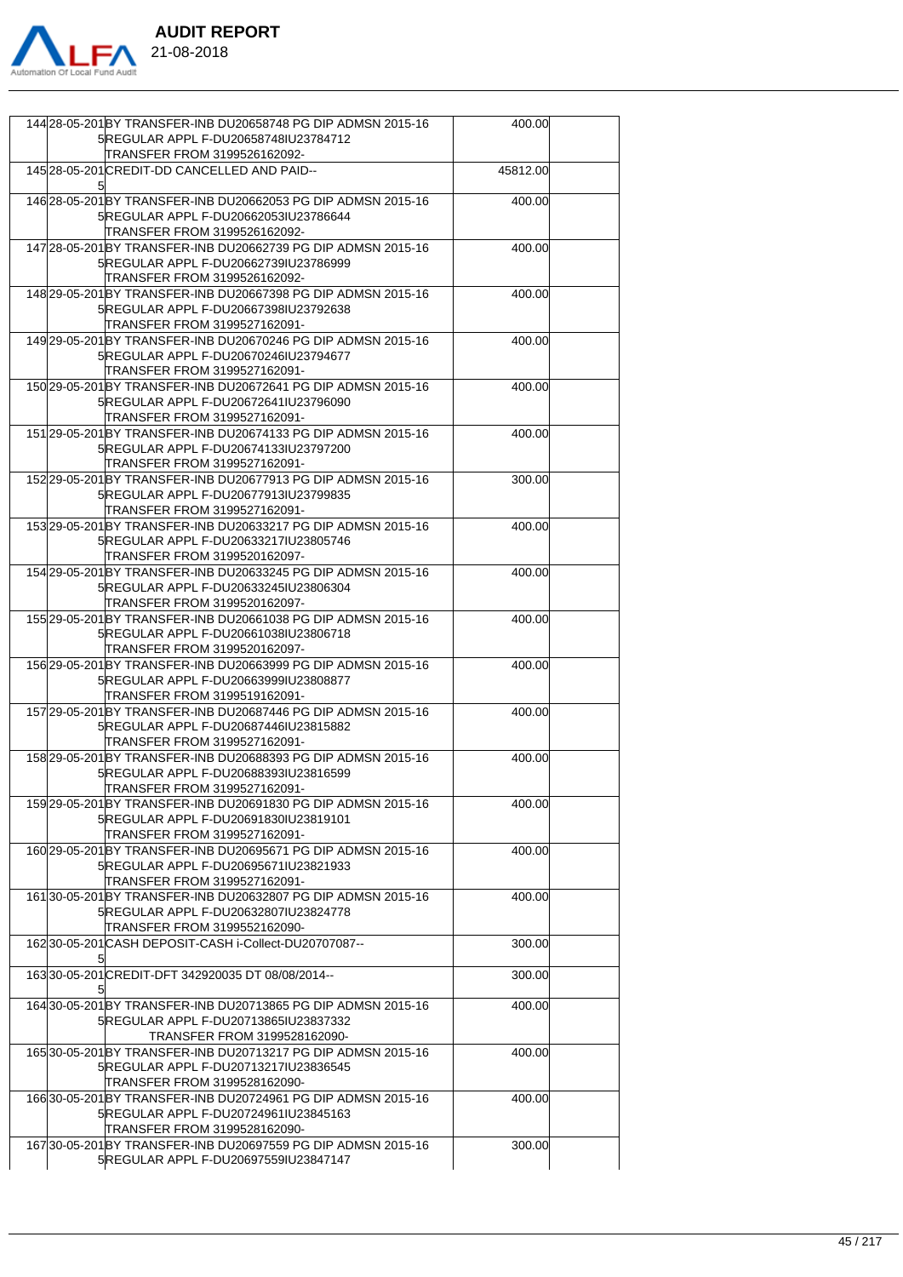

 **AUDIT REPORT** 

144 28-05-201 BY TRANSFER-INB DU20658748 PG DIP ADMSN 2015-16

400.00

| 5 REGULAR APPL F-DU20658748 IU 23784712                                                                |          |  |
|--------------------------------------------------------------------------------------------------------|----------|--|
| TRANSFER FROM 3199526162092-                                                                           |          |  |
| 145 28-05-201 CREDIT-DD CANCELLED AND PAID--                                                           | 45812.00 |  |
| 146 28-05-201 BY TRANSFER-INB DU20662053 PG DIP ADMSN 2015-16                                          | 400.00   |  |
| 5 REGULAR APPL F-DU20662053 IU 23786644                                                                |          |  |
| TRANSFER FROM 3199526162092-                                                                           |          |  |
| 147 28-05-201 BY TRANSFER-INB DU20662739 PG DIP ADMSN 2015-16                                          | 400.00   |  |
| 5REGULAR APPL F-DU20662739IU23786999                                                                   |          |  |
| TRANSFER FROM 3199526162092-                                                                           |          |  |
| 148 29-05-201 BY TRANSFER-INB DU 20667398 PG DIP ADMSN 2015-16                                         | 400.00   |  |
| 5REGULAR APPL F-DU20667398IU23792638                                                                   |          |  |
| TRANSFER FROM 3199527162091-                                                                           |          |  |
| 149 29-05-201 BY TRANSFER-INB DU 20670 246 PG DIP ADMSN 2015-16                                        | 400.00   |  |
| 5 REGULAR APPL F-DU20670246 IU 23794677                                                                |          |  |
| TRANSFER FROM 3199527162091-                                                                           |          |  |
| 150 29-05-201 BY TRANSFER-INB DU 20672641 PG DIP ADMSN 2015-16                                         | 400.00   |  |
| 5REGULAR APPL F-DU20672641IU23796090                                                                   |          |  |
| TRANSFER FROM 3199527162091-                                                                           |          |  |
| 151 29-05-201 BY TRANSFER-INB DU20674133 PG DIP ADMSN 2015-16<br>5REGULAR APPL F-DU20674133IU23797200  | 400.00   |  |
| TRANSFER FROM 3199527162091-                                                                           |          |  |
| 152 29-05-201 BY TRANSFER-INB DU 20677913 PG DIP ADMSN 2015-16                                         |          |  |
| 5 REGULAR APPL F-DU20677913 IU 23799835                                                                | 300.00   |  |
| TRANSFER FROM 3199527162091-                                                                           |          |  |
| 153 29-05-201 BY TRANSFER-INB DU 2063 3217 PG DIP ADMSN 2015-16                                        | 400.00   |  |
| 5REGULAR APPL F-DU20633217IU23805746                                                                   |          |  |
| TRANSFER FROM 3199520162097-                                                                           |          |  |
| 154 29-05-201 BY TRANSFER-INB DU20633245 PG DIP ADMSN 2015-16                                          | 400.00   |  |
| 5 REGULAR APPL F-DU20633245 IU 23806304                                                                |          |  |
| TRANSFER FROM 3199520162097-                                                                           |          |  |
| 155 29-05-201 BY TRANSFER-INB DU20661038 PG DIP ADMSN 2015-16                                          | 400.00   |  |
| 5REGULAR APPL F-DU20661038IU23806718                                                                   |          |  |
| TRANSFER FROM 3199520162097-                                                                           |          |  |
| 156 29-05-201 BY TRANSFER-INB DU20663999 PG DIP ADMSN 2015-16                                          | 400.00   |  |
| 5REGULAR APPL F-DU20663999IU23808877                                                                   |          |  |
| TRANSFER FROM 3199519162091-                                                                           |          |  |
| 157 29-05-201 BY TRANSFER-INB DU20687446 PG DIP ADMSN 2015-16                                          | 400.00   |  |
| 5 REGULAR APPL F-DU20687446 IU 23815882                                                                |          |  |
| TRANSFER FROM 3199527162091-                                                                           |          |  |
| 158 29-05-201 BY TRANSFER-INB DU 2068 8393 PG DIP ADMSN 2015-16                                        | 400.00   |  |
| 5 REGULAR APPL F-DU20688393 IU 23816599                                                                |          |  |
| TRANSFER FROM 3199527162091-                                                                           |          |  |
| 159 29-05-201 BY TRANSFER-INB DU20691830 PG DIP ADMSN 2015-16<br>5 REGULAR APPL F-DU20691830IU23819101 | 400.00   |  |
| TRANSFER FROM 3199527162091-                                                                           |          |  |
| 160 29-05-201 BY TRANSFER-INB DU 20695671 PG DIP ADMSN 2015-16                                         | 400.00   |  |
| 5REGULAR APPL F-DU20695671IU23821933                                                                   |          |  |
| TRANSFER FROM 3199527162091-                                                                           |          |  |
| 161 30-05-201 BY TRANSFER-INB DU 2063 2807 PG DIP ADMSN 2015-16                                        | 400.00   |  |
| 5 REGULAR APPL F-DU20632807 IU 23824778                                                                |          |  |
| TRANSFER FROM 3199552162090-                                                                           |          |  |
| 16230-05-201 CASH DEPOSIT-CASH i-Collect-DU20707087--                                                  | 300.00   |  |
|                                                                                                        |          |  |
| 16330-05-201 CREDIT-DFT 342920035 DT 08/08/2014--                                                      | 300.00   |  |
|                                                                                                        |          |  |
| 164 30-05-201 BY TRANSFER-INB DU20713865 PG DIP ADMSN 2015-16                                          | 400.00   |  |
| 5 REGULAR APPL F-DU20713865 IU23837332                                                                 |          |  |
| TRANSFER FROM 3199528162090-                                                                           |          |  |
| 165 30-05-201 BY TRANSFER-INB DU20713217 PG DIP ADMSN 2015-16                                          | 400.00   |  |
| 5 REGULAR APPL F-DU20713217 IU 23836545                                                                |          |  |
| TRANSFER FROM 3199528162090-                                                                           |          |  |
| 166 30-05-201 BY TRANSFER-INB DU 20724961 PG DIP ADMSN 2015-16                                         | 400.00   |  |
| 5REGULAR APPL F-DU20724961IU23845163                                                                   |          |  |
| TRANSFER FROM 3199528162090-                                                                           |          |  |
| 167 30-05-201 BY TRANSFER-INB DU20697559 PG DIP ADMSN 2015-16                                          | 300.00   |  |
| 5REGULAR APPL F-DU20697559IU23847147                                                                   |          |  |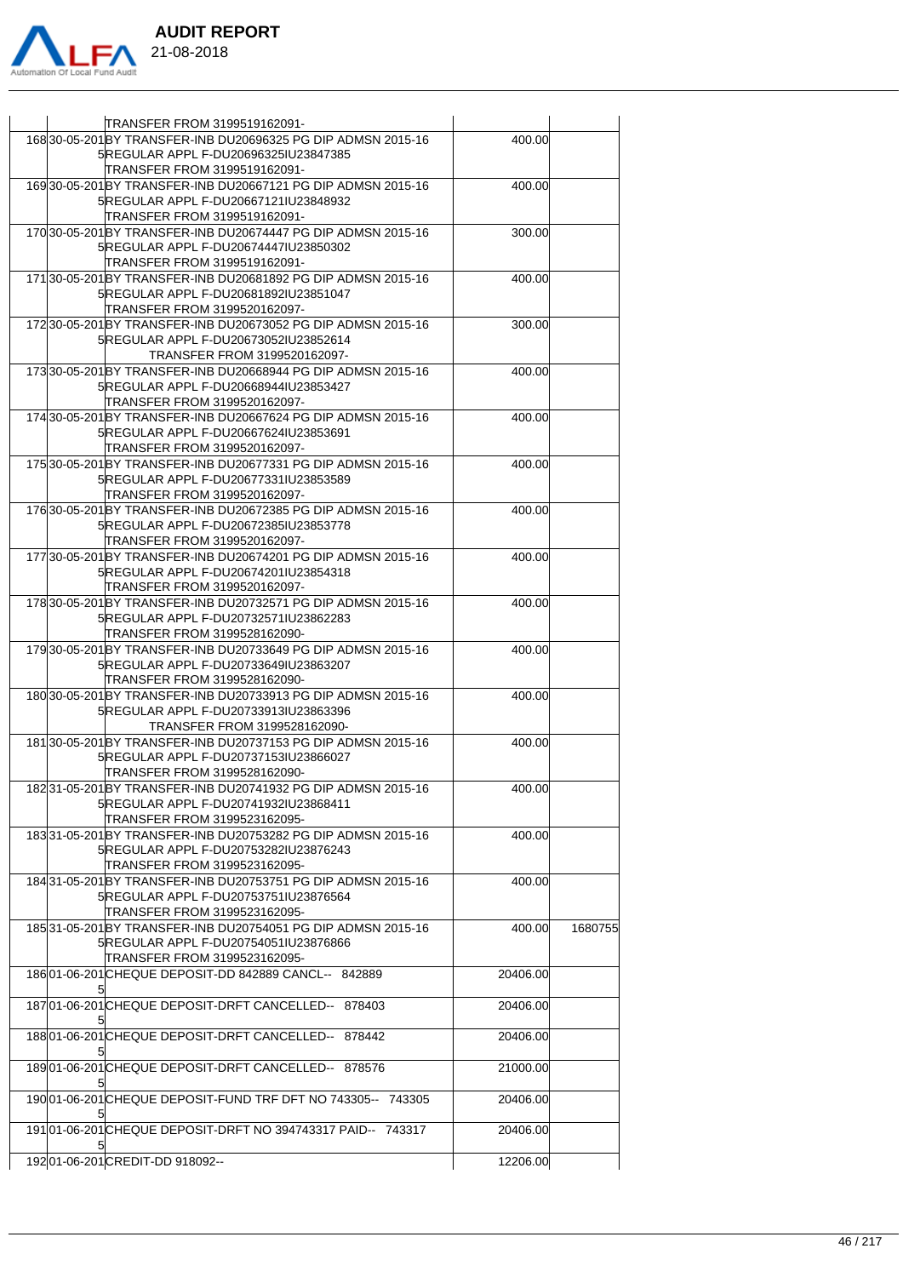

 $\overline{\phantom{a}}$ 

|  | 168 30-05-201 BY TRANSFER-INB DU20696325 PG DIP ADMSN 2015-16                                            | 400.00   |         |
|--|----------------------------------------------------------------------------------------------------------|----------|---------|
|  | 5 REGULAR APPL F-DU20696325 IU23847385                                                                   |          |         |
|  | TRANSFER FROM 3199519162091-<br>169 30-05-201 BY TRANSFER-INB DU20667121 PG DIP ADMSN 2015-16            | 400.00   |         |
|  | 5 REGULAR APPL F-DU20667121 IU23848932                                                                   |          |         |
|  | TRANSFER FROM 3199519162091-                                                                             |          |         |
|  | 170 30-05-201 BY TRANSFER-INB DU20674447 PG DIP ADMSN 2015-16                                            | 300.00   |         |
|  | 5 REGULAR APPL F-DU20674447 1 U23850302                                                                  |          |         |
|  | TRANSFER FROM 3199519162091-                                                                             |          |         |
|  | 171 30-05-201 BY TRANSFER-INB DU 2068 1892 PG DIP ADMSN 2015-16                                          | 400.00   |         |
|  | 5 REGULAR APPL F-DU20681892 IU23851047                                                                   |          |         |
|  | TRANSFER FROM 3199520162097-                                                                             |          |         |
|  | 17230-05-201 BY TRANSFER-INB DU20673052 PG DIP ADMSN 2015-16                                             | 300.00   |         |
|  | 5REGULAR APPL F-DU20673052IU23852614                                                                     |          |         |
|  | TRANSFER FROM 3199520162097-                                                                             |          |         |
|  | 173 30-05-201 BY TRANSFER-INB DU 20668944 PG DIP ADMSN 2015-16                                           | 400.00   |         |
|  | 5REGULAR APPL F-DU20668944IU23853427                                                                     |          |         |
|  | TRANSFER FROM 3199520162097-                                                                             |          |         |
|  | 17430-05-201BY TRANSFER-INB DU20667624 PG DIP ADMSN 2015-16                                              | 400.00   |         |
|  | 5 REGULAR APPL F-DU20667624 1 U23853691                                                                  |          |         |
|  | TRANSFER FROM 3199520162097-                                                                             |          |         |
|  | 175 30-05-201 BY TRANSFER-INB DU20677331 PG DIP ADMSN 2015-16<br>5 REGULAR APPL F-DU20677331 IU 23853589 | 400.00   |         |
|  | TRANSFER FROM 3199520162097-                                                                             |          |         |
|  | 176 30-05-201 BY TRANSFER-INB DU20672385 PG DIP ADMSN 2015-16                                            | 400.00   |         |
|  | 5 REGULAR APPL F-DU20672385 IU 23853778                                                                  |          |         |
|  | TRANSFER FROM 3199520162097-                                                                             |          |         |
|  | 177 30-05-201 BY TRANSFER-INB DU20674201 PG DIP ADMSN 2015-16                                            | 400.00   |         |
|  | 5 REGULAR APPL F-DU20674201 IU 23854318                                                                  |          |         |
|  | TRANSFER FROM 3199520162097-                                                                             |          |         |
|  | 178 30-05-201 BY TRANSFER-INB DU 2073 2571 PG DIP ADMSN 2015-16                                          | 400.00   |         |
|  | 5REGULAR APPL F-DU20732571IU23862283                                                                     |          |         |
|  | TRANSFER FROM 3199528162090-                                                                             |          |         |
|  | 179 30-05-201 BY TRANSFER-INB DU 20733649 PG DIP ADMSN 2015-16                                           | 400.00   |         |
|  | 5 REGULAR APPL F-DU20733649 IU23863207                                                                   |          |         |
|  | TRANSFER FROM 3199528162090-                                                                             |          |         |
|  | 180 30-05-201 BY TRANSFER-INB DU20733913 PG DIP ADMSN 2015-16                                            | 400.00   |         |
|  | 5 REGULAR APPL F-DU20733913 IU 23863396                                                                  |          |         |
|  | TRANSFER FROM 3199528162090-                                                                             |          |         |
|  | 18130-05-201 BY TRANSFER-INB DU20737153 PG DIP ADMSN 2015-16                                             | 400.00   |         |
|  | 5 REGULAR APPL F-DU20737153 IU 23866027                                                                  |          |         |
|  | TRANSFER FROM 3199528162090-                                                                             |          |         |
|  | 18231-05-201BY TRANSFER-INB DU20741932 PG DIP ADMSN 2015-16<br>5REGULAR APPL F-DU20741932IU23868411      | 400.00   |         |
|  | TRANSFER FROM 3199523162095-                                                                             |          |         |
|  | 183 31-05-201 BY TRANSFER-INB DU20753282 PG DIP ADMSN 2015-16                                            | 400.00   |         |
|  | 5REGULAR APPL F-DU20753282IU23876243                                                                     |          |         |
|  | TRANSFER FROM 3199523162095-                                                                             |          |         |
|  | 184 31-05-201 BY TRANSFER-INB DU20753751 PG DIP ADMSN 2015-16                                            | 400.00   |         |
|  | 5REGULAR APPL F-DU20753751IU23876564                                                                     |          |         |
|  | TRANSFER FROM 3199523162095-                                                                             |          |         |
|  | 185 31-05-201 BY TRANSFER-INB DU20754051 PG DIP ADMSN 2015-16                                            | 400.00   | 1680755 |
|  | 5 REGULAR APPL F-DU20754051 IU 23876866                                                                  |          |         |
|  | TRANSFER FROM 3199523162095-                                                                             |          |         |
|  | 18601-06-201 CHEQUE DEPOSIT-DD 842889 CANCL-- 842889                                                     | 20406.00 |         |
|  |                                                                                                          |          |         |
|  | 18701-06-201CHEQUE DEPOSIT-DRFT CANCELLED-- 878403                                                       | 20406.00 |         |
|  |                                                                                                          |          |         |
|  | 18801-06-201CHEQUE DEPOSIT-DRFT CANCELLED-- 878442                                                       | 20406.00 |         |
|  |                                                                                                          |          |         |
|  | 18901-06-201CHEQUE DEPOSIT-DRFT CANCELLED-- 878576                                                       | 21000.00 |         |
|  |                                                                                                          |          |         |
|  | 19001-06-201 CHEQUE DEPOSIT-FUND TRF DFT NO 743305-- 743305                                              | 20406.00 |         |
|  |                                                                                                          |          |         |
|  | 19101-06-201CHEQUE DEPOSIT-DRFT NO 394743317 PAID-- 743317                                               | 20406.00 |         |
|  | 19201-06-201CREDIT-DD 918092--                                                                           | 12206.00 |         |
|  |                                                                                                          |          |         |

TRANSFER FROM 3199519162091-

 $\overline{\phantom{a}}$ 

 $\overline{\phantom{a}}$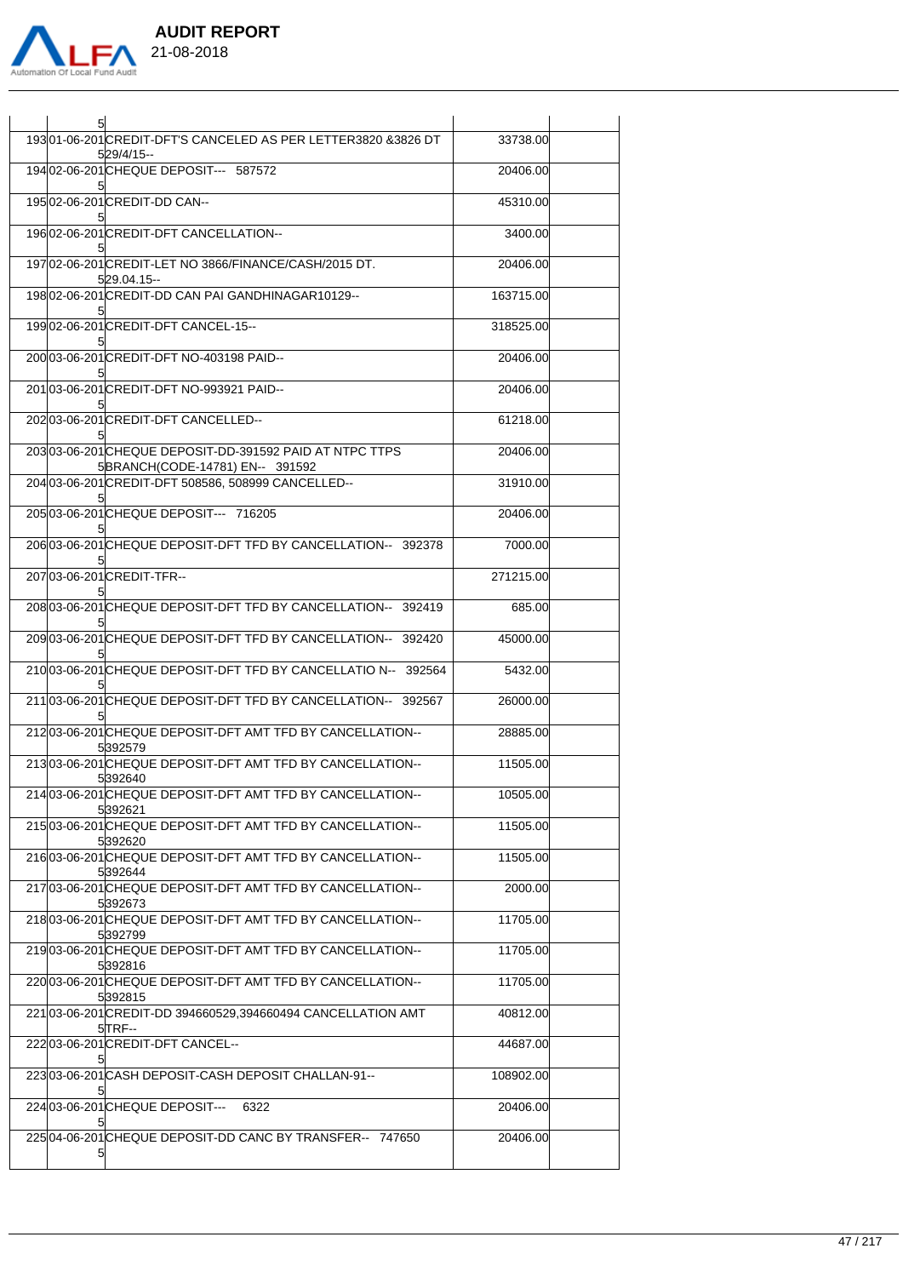

| 51                                                                                        |           |  |
|-------------------------------------------------------------------------------------------|-----------|--|
| 19301-06-201CREDIT-DFT'S CANCELED AS PER LETTER3820 &3826 DT<br>529/4/15--                | 33738.00  |  |
| 19402-06-201CHEQUE DEPOSIT--- 587572                                                      | 20406.00  |  |
| 19502-06-201CREDIT-DD CAN--                                                               | 45310.00  |  |
| 19602-06-201CREDIT-DFT CANCELLATION--                                                     | 3400.00   |  |
| 19702-06-201 CREDIT-LET NO 3866/FINANCE/CASH/2015 DT.<br>$529.04.15 -$                    | 20406.00  |  |
| 19802-06-201CREDIT-DD CAN PAI GANDHINAGAR10129--                                          | 163715.00 |  |
| 19902-06-201CREDIT-DFT CANCEL-15--                                                        | 318525.00 |  |
| 200 03-06-201 CREDIT-DFT NO-403198 PAID--                                                 | 20406.00  |  |
| 20103-06-201CREDIT-DFT NO-993921 PAID--                                                   | 20406.00  |  |
| 20203-06-201CREDIT-DFT CANCELLED--                                                        | 61218.00  |  |
| 20303-06-201CHEQUE DEPOSIT-DD-391592 PAID AT NTPC TTPS<br>5BRANCH(CODE-14781) EN-- 391592 | 20406.00  |  |
| 20403-06-201CREDIT-DFT 508586, 508999 CANCELLED--                                         | 31910.00  |  |
| 20503-06-201CHEQUE DEPOSIT--- 716205                                                      | 20406.00  |  |
| 20603-06-201CHEQUE DEPOSIT-DFT TFD BY CANCELLATION- 392378                                | 7000.00   |  |
| 20703-06-201CREDIT-TFR--                                                                  | 271215.00 |  |
| 20803-06-201CHEQUE DEPOSIT-DFT TFD BY CANCELLATION-- 392419                               | 685.00    |  |
| 20903-06-201CHEQUE DEPOSIT-DFT TFD BY CANCELLATION-- 392420                               | 45000.00  |  |
| 210 03-06-201 CHEQUE DEPOSIT-DFT TFD BY CANCELLATIO N-- 392564                            | 5432.00   |  |
| 21103-06-201CHEQUE DEPOSIT-DFT TFD BY CANCELLATION-- 392567                               | 26000.00  |  |
| 21203-06-201CHEQUE DEPOSIT-DFT AMT TFD BY CANCELLATION--<br>5392579                       | 28885.00  |  |
| 21303-06-201CHEQUE DEPOSIT-DFT AMT TFD BY CANCELLATION--<br>5392640                       | 11505.00  |  |
| 214 03-06-201 CHEQUE DEPOSIT-DFT AMT TFD BY CANCELLATION--<br>5392621                     | 10505.00  |  |
| 21503-06-201 CHEQUE DEPOSIT-DFT AMT TFD BY CANCELLATION-<br>5392620                       | 11505.00  |  |
| 216 03-06-201 CHEQUE DEPOSIT-DFT AMT TFD BY CANCELLATION--<br>5392644                     | 11505.00  |  |
| 21703-06-201CHEQUE DEPOSIT-DFT AMT TFD BY CANCELLATION--<br>5392673                       | 2000.00   |  |
| 21803-06-201CHEQUE DEPOSIT-DFT AMT TFD BY CANCELLATION--<br>5392799                       | 11705.00  |  |
| 21903-06-201CHEQUE DEPOSIT-DFT AMT TFD BY CANCELLATION--<br>5392816                       | 11705.00  |  |
| 220 03-06-201 CHEQUE DEPOSIT-DFT AMT TFD BY CANCELLATION--<br>5392815                     | 11705.00  |  |
| 221 03-06-201 CREDIT-DD 394660529, 394660494 CANCELLATION AMT<br>5TRF--                   | 40812.00  |  |
| 22203-06-201CREDIT-DFT CANCEL--                                                           | 44687.00  |  |
| 223 03-06-201 CASH DEPOSIT-CASH DEPOSIT CHALLAN-91--                                      | 108902.00 |  |
| 22403-06-201CHEQUE DEPOSIT---<br>6322                                                     | 20406.00  |  |
| 22504-06-201CHEQUE DEPOSIT-DD CANC BY TRANSFER-- 747650<br>5                              | 20406.00  |  |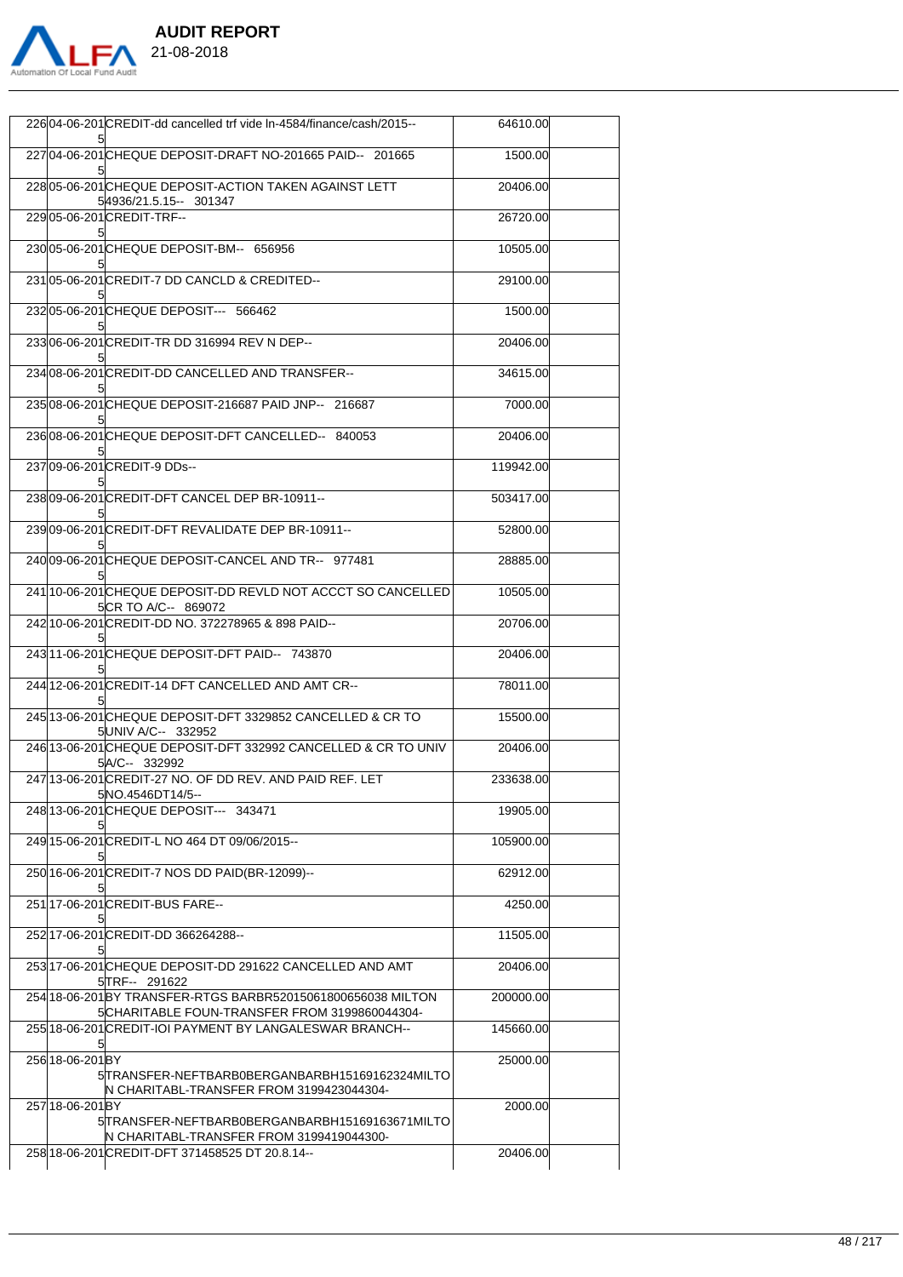

|                 | 226 04-06-201 CREDIT-dd cancelled trf vide In-4584/finance/cash/2015--                                        | 64610.00  |  |
|-----------------|---------------------------------------------------------------------------------------------------------------|-----------|--|
|                 | 227 04-06-201 CHEQUE DEPOSIT-DRAFT NO-201665 PAID-- 201665                                                    | 1500.00   |  |
|                 | 22805-06-201 CHEQUE DEPOSIT-ACTION TAKEN AGAINST LETT<br>5 4936/21.5.15-- 301347                              | 20406.00  |  |
|                 | 229 05-06-201 CREDIT-TRF--                                                                                    | 26720.00  |  |
|                 | 23005-06-201CHEQUE DEPOSIT-BM-- 656956                                                                        | 10505.00  |  |
|                 | 23105-06-201 CREDIT-7 DD CANCLD & CREDITED--                                                                  | 29100.00  |  |
|                 | 23205-06-201CHEQUE DEPOSIT--- 566462                                                                          | 1500.00   |  |
|                 | 23306-06-201 CREDIT-TR DD 316994 REV N DEP--                                                                  | 20406.00  |  |
|                 | 234 08-06-201 CREDIT-DD CANCELLED AND TRANSFER--                                                              | 34615.00  |  |
|                 | 235 08-06-201 CHEQUE DEPOSIT-216687 PAID JNP- 216687                                                          | 7000.00   |  |
|                 | 236 08-06-201 CHEQUE DEPOSIT-DFT CANCELLED-- 840053                                                           | 20406.00  |  |
|                 | 23709-06-201CREDIT-9 DDs--                                                                                    | 119942.00 |  |
|                 | 23809-06-201 CREDIT-DFT CANCEL DEP BR-10911--                                                                 | 503417.00 |  |
|                 | 239 09 - 06 - 201 CREDIT - DFT REVALIDATE DEP BR - 10911 - -                                                  | 52800.00  |  |
|                 | 240 09-06-201 CHEQUE DEPOSIT-CANCEL AND TR-- 977481                                                           | 28885.00  |  |
|                 | 24110-06-201CHEQUE DEPOSIT-DD REVLD NOT ACCCT SO CANCELLED<br>5CR TO A/C-- 869072                             | 10505.00  |  |
|                 | 242 10-06-201 CREDIT-DD NO. 372278965 & 898 PAID--                                                            | 20706.00  |  |
|                 | 243 11-06-201 CHEQUE DEPOSIT-DFT PAID-- 743870                                                                | 20406.00  |  |
|                 | 244 12-06-201 CREDIT-14 DFT CANCELLED AND AMT CR--                                                            | 78011.00  |  |
|                 | 245 13-06-201 CHEQUE DEPOSIT-DFT 3329852 CANCELLED & CR TO<br>5UNIV A/C-- 332952                              | 15500.00  |  |
|                 | 246 13-06-201 CHEQUE DEPOSIT-DFT 332992 CANCELLED & CR TO UNIV<br>5A/C- 332992                                | 20406.00  |  |
|                 | 247 13-06-201 CREDIT-27 NO. OF DD REV. AND PAID REF. LET<br>5NO.4546DT14/5                                    | 233638.00 |  |
|                 | 248 13-06-201 CHEQUE DEPOSIT--- 343471                                                                        | 19905.00  |  |
|                 | 249 15-06-201 CREDIT-L NO 464 DT 09/06/2015--                                                                 | 105900.00 |  |
|                 | 250 16-06-201 CREDIT-7 NOS DD PAID (BR-12099)--                                                               | 62912.00  |  |
|                 | 251 17-06-201 CREDIT-BUS FARE--                                                                               | 4250.00   |  |
|                 | 25217-06-201 CREDIT-DD 366264288--                                                                            | 11505.00  |  |
|                 | 253 17-06-201 CHEQUE DEPOSIT-DD 291622 CANCELLED AND AMT<br>5TRF- 291622                                      | 20406.00  |  |
|                 | 254118-06-201 BY TRANSFER-RTGS BARBR52015061800656038 MILTON<br>5CHARITABLE FOUN-TRANSFER FROM 3199860044304- | 200000.00 |  |
|                 | 255 18-06-201 CREDIT-IOI PAYMENT BY LANGALESWAR BRANCH--                                                      | 145660.00 |  |
| 256 18-06-201BY | 5TRANSFER-NEFTBARB0BERGANBARBH15169162324MILTO<br>N CHARITABL-TRANSFER FROM 3199423044304-                    | 25000.00  |  |
| 257118-06-201BY |                                                                                                               | 2000.00   |  |
|                 | 5TRANSFER-NEFTBARB0BERGANBARBH15169163671MILTO<br>N CHARITABL-TRANSFER FROM 3199419044300-                    |           |  |
|                 | 258 18-06-201 CREDIT-DFT 371458525 DT 20.8.14--                                                               | 20406.00  |  |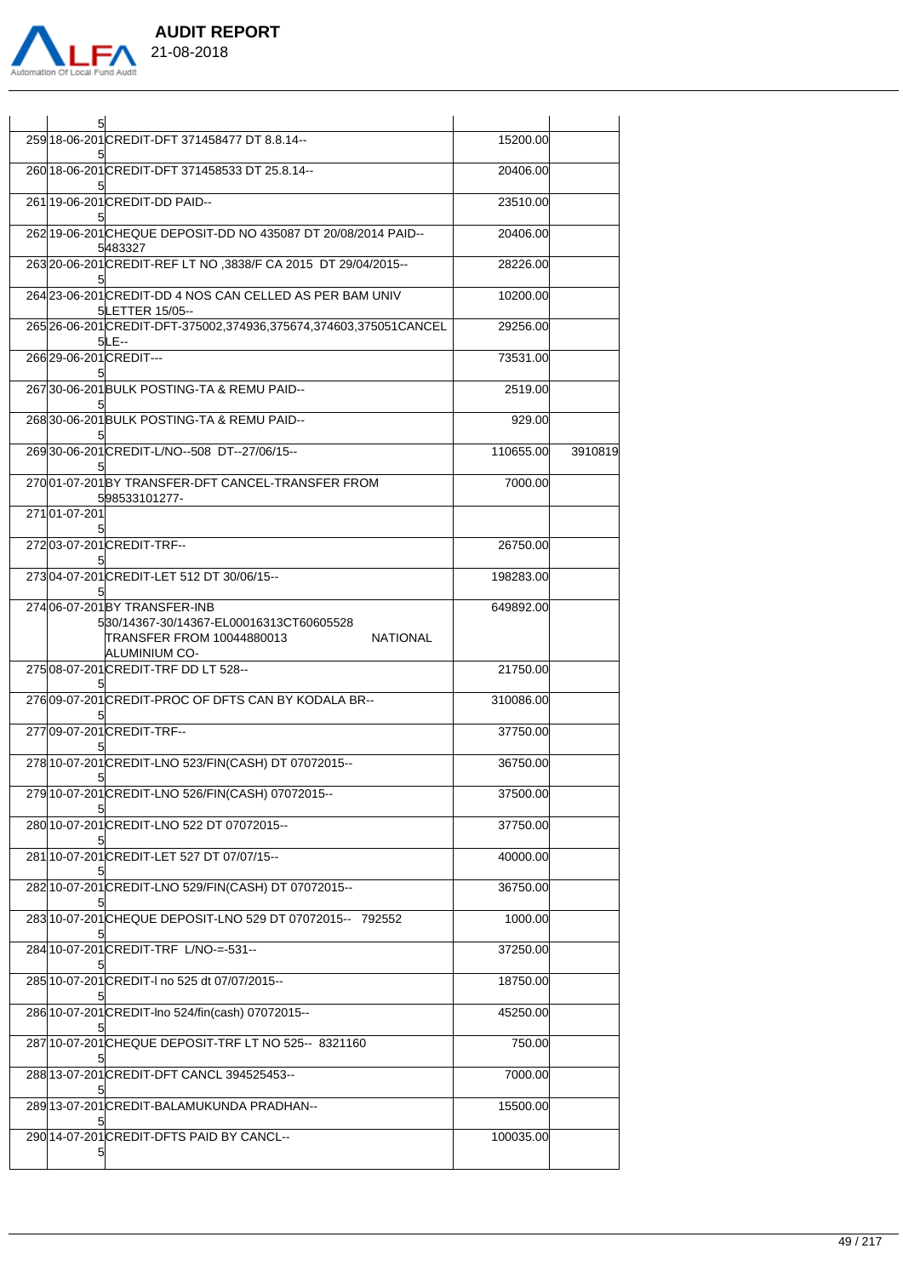

| 259 18-06-201 CREDIT-DFT 371458477 DT 8.8.14--                                                           | 15200.00  |         |
|----------------------------------------------------------------------------------------------------------|-----------|---------|
| 260 18-06-201 CREDIT-DFT 371458533 DT 25.8.14--                                                          | 20406.00  |         |
| 26119-06-201CREDIT-DD PAID--                                                                             | 23510.00  |         |
| 262 19-06-201 CHEQUE DEPOSIT-DD NO 435087 DT 20/08/2014 PAID--<br>5483327                                | 20406.00  |         |
| 263 20-06-201 CREDIT-REF LT NO , 3838/F CA 2015 DT 29/04/2015--                                          | 28226.00  |         |
| 26423-06-201 CREDIT-DD 4 NOS CAN CELLED AS PER BAM UNIV<br>5LETTER 15/05--                               | 10200.00  |         |
| 265 26-06-201 CREDIT-DFT-375002, 374936, 375674, 374603, 375051 CANCEL<br>5ILE--                         | 29256.00  |         |
| 266 29-06-201 CREDIT-                                                                                    | 73531.00  |         |
| 267 30-06-201 BULK POSTING-TA & REMU PAID--                                                              | 2519.00   |         |
| 26830-06-201BULK POSTING-TA & REMU PAID--                                                                | 929.00    |         |
| 26930-06-201CREDIT-L/NO--508 DT--27/06/15--                                                              | 110655.00 | 3910819 |
| 27001-07-201BY TRANSFER-DFT CANCEL-TRANSFER FROM<br>598533101277-                                        | 7000.00   |         |
| 27101-07-201                                                                                             |           |         |
| 27203-07-201CREDIT-TRF--                                                                                 | 26750.00  |         |
| 27304-07-201 CREDIT-LET 512 DT 30/06/15--                                                                | 198283.00 |         |
| 27406-07-201BY TRANSFER-INB                                                                              | 649892.00 |         |
| 530/14367-30/14367-EL00016313CT60605528<br>TRANSFER FROM 10044880013<br><b>NATIONAL</b><br>ALUMINIUM CO- |           |         |
| 275 08-07-201 CREDIT-TRF DD LT 528--                                                                     | 21750.00  |         |
| 276 09-07-201 CREDIT-PROC OF DFTS CAN BY KODALA BR--                                                     | 310086.00 |         |
| 27709-07-201CREDIT-TRF--                                                                                 | 37750.00  |         |
| 278 10-07-201 CREDIT-LNO 523/FIN(CASH) DT 07072015--                                                     | 36750.00  |         |
| 279 10-07-201 CREDIT-LNO 526/FIN(CASH) 07072015--                                                        | 37500.00  |         |
| 280 10-07-201 CREDIT-LNO 522 DT 07072015--                                                               | 37750.00  |         |
| 281 10-07-201 CREDIT-LET 527 DT 07/07/15--                                                               | 40000.00  |         |
| 282 10-07-201 CREDIT-LNO 529/FIN(CASH) DT 07072015--                                                     | 36750.00  |         |
| 283 10-07-201 CHEQUE DEPOSIT-LNO 529 DT 07072015-- 792552                                                | 1000.00   |         |
| 284 10-07-201 CREDIT-TRF L/NO-=-531--                                                                    | 37250.00  |         |
| 285 10-07-201 CREDIT-I no 525 dt 07/07/2015--                                                            | 18750.00  |         |
| 286 10-07-201 CREDIT-Ino 524/fin(cash) 07072015--                                                        | 45250.00  |         |
| 287 10-07-201 CHEQUE DEPOSIT-TRF LT NO 525-- 8321160                                                     | 750.00    |         |
| 288 13-07-201 CREDIT-DFT CANCL 394525453--                                                               | 7000.00   |         |
| 289 13-07-201 CREDIT-BALAMUKUNDA PRADHAN--                                                               | 15500.00  |         |
| 290 14-07-201 CREDIT-DFTS PAID BY CANCL--                                                                | 100035.00 |         |
|                                                                                                          |           |         |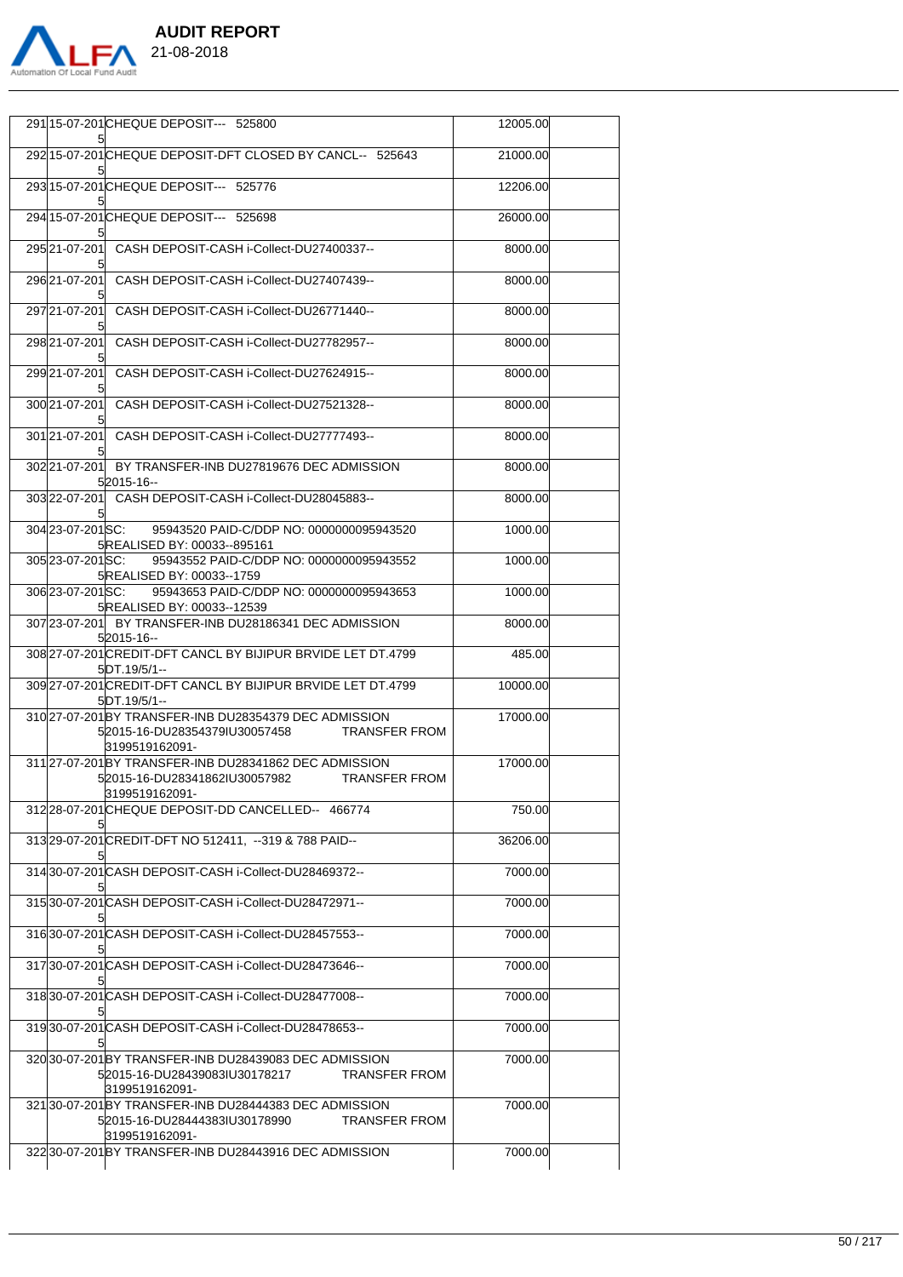

|  | 29115-07-201CHEQUE DEPOSIT--- 525800                                                                                         | 12005.00 |  |
|--|------------------------------------------------------------------------------------------------------------------------------|----------|--|
|  | 292 15-07-201 CHEQUE DEPOSIT-DFT CLOSED BY CANCL- 525643                                                                     | 21000.00 |  |
|  | 293 15-07-201 CHEQUE DEPOSIT--- 525776                                                                                       | 12206.00 |  |
|  | 29415-07-201CHEQUE DEPOSIT--- 525698                                                                                         | 26000.00 |  |
|  | 295 21-07-201 CASH DEPOSIT-CASH i-Collect-DU27400337--                                                                       | 8000.00  |  |
|  | 296 21-07-201 CASH DEPOSIT-CASH i-Collect-DU27407439--                                                                       | 8000.00  |  |
|  | 297 21-07-201 CASH DEPOSIT-CASH i-Collect-DU26771440--                                                                       | 8000.00  |  |
|  | 298 21-07-201 CASH DEPOSIT-CASH i-Collect-DU27782957--                                                                       | 8000.00  |  |
|  | 299 21-07-201 CASH DEPOSIT-CASH i-Collect-DU27624915--                                                                       | 8000.00  |  |
|  | 300 21-07-201 CASH DEPOSIT-CASH i-Collect-DU27521328--                                                                       | 8000.00  |  |
|  | 30121-07-201 CASH DEPOSIT-CASH i-Collect-DU27777493--                                                                        | 8000.00  |  |
|  | 302 21-07-201 BY TRANSFER-INB DU27819676 DEC ADMISSION<br>52015-16--                                                         | 8000.00  |  |
|  | 303 22-07-201 CASH DEPOSIT-CASH i-Collect-DU28045883--                                                                       | 8000.00  |  |
|  | 304 23 - 07 - 201 SC: 959 435 20 PAID - C/DDP NO: 00000000959 435 20<br>5REALISED BY: 00033--895161                          | 1000.00  |  |
|  | 305 23-07-201 SC: 95943552 PAID-C/DDP NO: 0000000095943552<br>5REALISED BY: 00033--1759                                      | 1000.00  |  |
|  | 306 23-07-201 SC: 95943653 PAID-C / DDP NO: 0000000095943653<br>5REALISED BY: 00033--12539                                   | 1000.00  |  |
|  | 307 23-07-201 BY TRANSFER-INB DU28186341 DEC ADMISSION<br>52015-16--                                                         | 8000.00  |  |
|  | 308 27-07-201 CREDIT-DFT CANCL BY BIJIPUR BRVIDE LET DT.4799<br>$5DT.19/5/1 -$                                               | 485.00   |  |
|  | 309 27-07-201 CREDIT-DFT CANCL BY BIJIPUR BRVIDE LET DT.4799<br>5DT.19/5/1--                                                 | 10000.00 |  |
|  | 310 27-07-201 BY TRANSFER-INB DU28354379 DEC ADMISSION<br>52015-16-DU28354379IU30057458 TRANSFER FROM<br>3199519162091-      | 17000.00 |  |
|  | 311 27-07-201 BY TRANSFER-INB DU28341862 DEC ADMISSION<br>52015-16-DU28341862IU30057982 TRANSFER FROM<br> 3199519162091-     | 17000.00 |  |
|  | 312 28-07-201 CHEQUE DEPOSIT-DD CANCELLED-- 466774                                                                           | 750.00   |  |
|  | 313 29-07-201 CREDIT-DFT NO 512411, --319 & 788 PAID--                                                                       | 36206.00 |  |
|  | 31430-07-201 CASH DEPOSIT-CASH i-Collect-DU28469372--                                                                        | 7000.00  |  |
|  | 315 30-07-201 CASH DEPOSIT-CASH i-Collect-DU28472971--                                                                       | 7000.00  |  |
|  | 316 30-07-201 CASH DEPOSIT-CASH i-Collect-DU28457553--                                                                       | 7000.00  |  |
|  | 317 30-07-201 CASH DEPOSIT-CASH i-Collect-DU28473646--                                                                       | 7000.00  |  |
|  | 318 30-07-201 CASH DEPOSIT-CASH i-Collect-DU28477008--                                                                       | 7000.00  |  |
|  | 319 30-07-201 CASH DEPOSIT-CASH i-Collect-DU28478653--                                                                       | 7000.00  |  |
|  | 320 30-07-201 BY TRANSFER-INB DU28439083 DEC ADMISSION<br>52015-16-DU28439083IU30178217<br>TRANSFER FROM<br>3199519162091-   | 7000.00  |  |
|  | 321 30-07-201 BY TRANSFER-INB DU28444383 DEC ADMISSION<br>5 2015-16-DU28444383 U30178990<br>TRANSFER FROM<br> 3199519162091- | 7000.00  |  |
|  | 322 30-07-201 BY TRANSFER-INB DU28443916 DEC ADMISSION                                                                       | 7000.00  |  |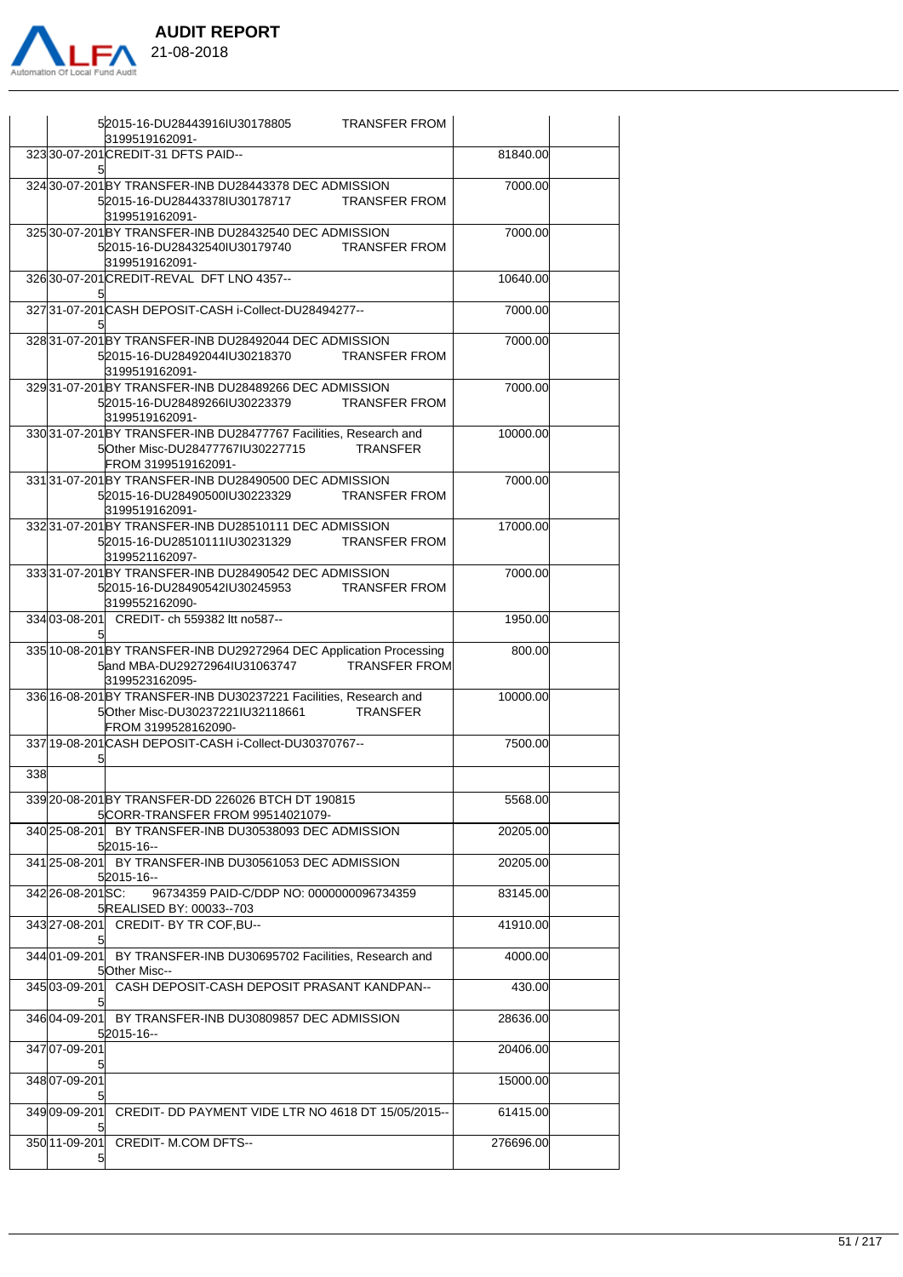

| 52015-16-DU28443916IU30178805 TRANSFER FROM<br>3199519162091-                                                                         |           |
|---------------------------------------------------------------------------------------------------------------------------------------|-----------|
| 32330-07-201 CREDIT-31 DFTS PAID--                                                                                                    | 81840.00  |
| 32430-07-201BY TRANSFER-INB DU28443378 DEC ADMISSION<br>52015-16-DU28443378IU30178717 TRANSFER FROM<br>3199519162091-                 | 7000.00   |
| 325 30-07-201 BY TRANSFER-INB DU28432540 DEC ADMISSION<br>52015-16-DU28432540IU30179740 TRANSFER FROM<br>3199519162091-               | 7000.00   |
| 32630-07-201CREDIT-REVAL DFT LNO 4357--                                                                                               | 10640.00  |
| 327 31-07-201 CASH DEPOSIT-CASH i-Collect-DU28494277--                                                                                | 7000.00   |
| 32831-07-201BY TRANSFER-INB DU28492044 DEC ADMISSION<br>52015-16-DU28492044IU30218370 TRANSFER FROM<br>3199519162091-                 | 7000.00   |
| 329 31-07-201 BY TRANSFER-INB DU28489266 DEC ADMISSION<br>52015-16-DU28489266IU30223379 TRANSFER FROM<br>3199519162091-               | 7000.00   |
| 33031-07-201 BY TRANSFER-INB DU28477767 Facilities, Research and<br>5Other Misc-DU28477767IU30227715 TRANSFER<br>FROM 3199519162091-  | 10000.00  |
| 33131-07-201BY TRANSFER-INB DU28490500 DEC ADMISSION<br>52015-16-DU28490500IU30223329 TRANSFER FROM<br>3199519162091-                 | 7000.00   |
| 332 31-07-201 BY TRANSFER-INB DU28510111 DEC ADMISSION<br>52015-16-DU28510111IU30231329 TRANSFER FROM<br>3199521162097-               | 17000.00  |
| 33331-07-201BY TRANSFER-INB DU28490542 DEC ADMISSION<br>52015-16-DU28490542IU30245953 TRANSFER FROM<br>3199552162090-                 | 7000.00   |
| 334 03-08-201 CREDIT- ch 559382 ltt no 587--                                                                                          | 1950.00   |
| 335 10-08-201 BY TRANSFER-INB DU29272964 DEC Application Processing<br>5and MBA-DU29272964IU31063747 TRANSFER FROM<br>3199523162095-  | 800.00    |
| 336 16-08-201 BY TRANSFER-INB DU30237221 Facilities, Research and<br>5Other Misc-DU30237221IU32118661 TRANSFER<br>FROM 3199528162090- | 10000.00  |
| 337 19-08-201 CASH DEPOSIT-CASH i-Collect-DU30370767--                                                                                | 7500.00   |
| 338                                                                                                                                   |           |
| 339 20-08-201 BY TRANSFER-DD 226026 BTCH DT 190815<br>5CORR-TRANSFER FROM 99514021079-                                                | 5568.00   |
| 340 25-08-201 BY TRANSFER-INB DU30538093 DEC ADMISSION<br>52015-16--                                                                  | 20205.00  |
| 341 25-08-201 BY TRANSFER-INB DU30561053 DEC ADMISSION<br>52015-16--                                                                  | 20205.00  |
| 342 26 - 08 - 201 SC:<br>96734359 PAID-C/DDP NO: 0000000096734359<br>5REALISED BY: 00033--703                                         | 83145.00  |
| 343 27-08-201 CREDIT- BY TR COF, BU--<br>51                                                                                           | 41910.00  |
| 344 01-09-201 BY TRANSFER-INB DU30695702 Facilities, Research and<br>5Other Misc--                                                    | 4000.00   |
| 34503-09-201 CASH DEPOSIT-CASH DEPOSIT PRASANT KANDPAN--                                                                              | 430.00    |
| 346 04-09-201 BY TRANSFER-INB DU30809857 DEC ADMISSION<br>52015-16--                                                                  | 28636.00  |
| 34707-09-201                                                                                                                          | 20406.00  |
| 34807-09-201                                                                                                                          | 15000.00  |
| CREDIT- DD PAYMENT VIDE LTR NO 4618 DT 15/05/2015--<br>349 09-09-201                                                                  | 61415.00  |
| 350 11-09-201<br><b>CREDIT- M.COM DFTS--</b>                                                                                          | 276696.00 |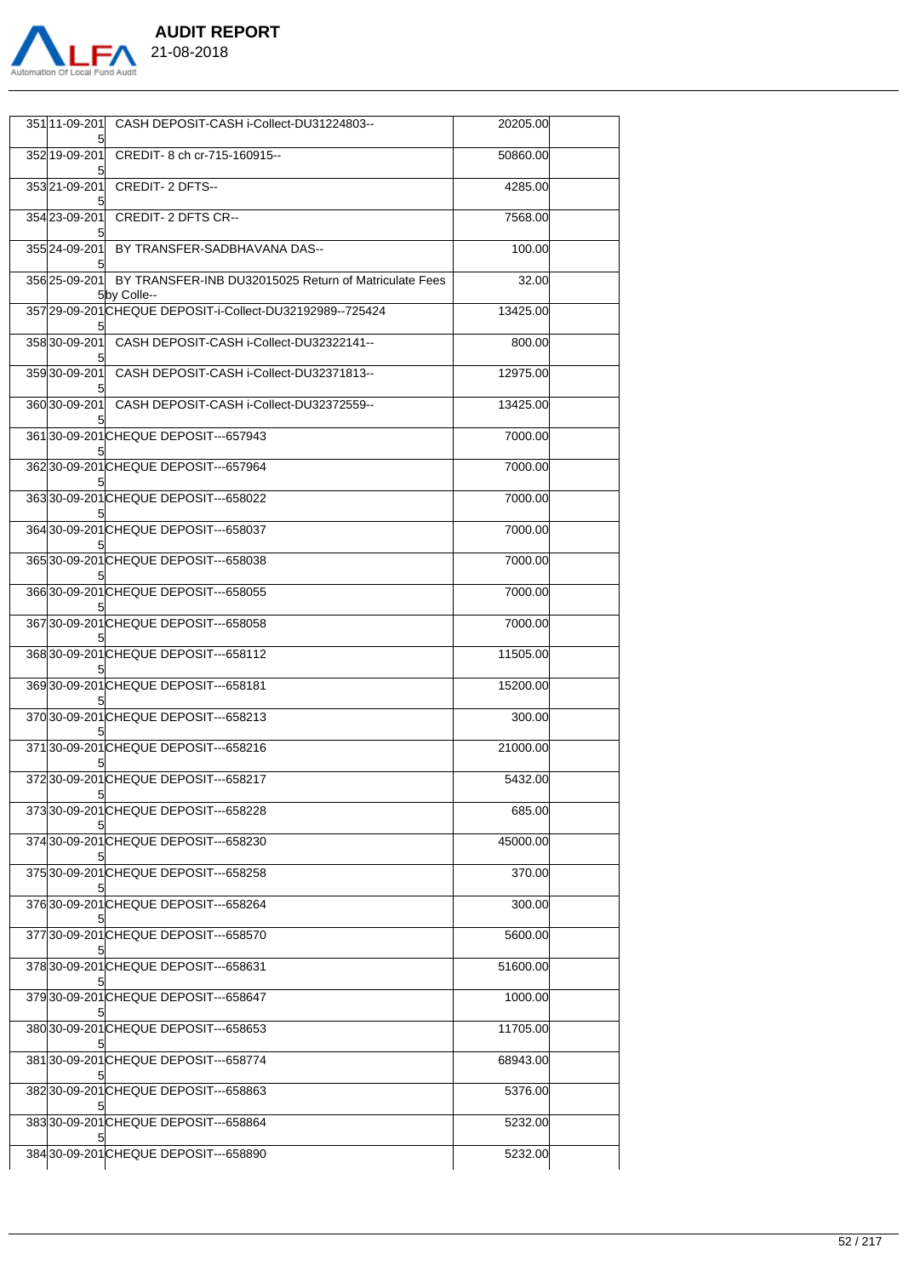

 11-09-201 CASH DEPOSIT-CASH i-Collect-DU31224803-- 20205.00 19-09-201 CREDIT-8 ch cr-715-160915-- 50860.00 21-09-201 CREDIT- 2 DFTS-- 4285.00 23-09-201 CREDIT- 2 DFTS CR-- 7568.00 24-09-201 BY TRANSFER-SADBHAVANA DAS-- 100.00 25-09-201 BY TRANSFER-INB DU32015025 Return of Matriculate Fees by Colle-- 32.00 29-09-201 CHEQUE DEPOSIT-i-Collect-DU32192989--725424 13425.00 30-09-201 CASH DEPOSIT-CASH i-Collect-DU32322141-- 800.00 30-09-201 CASH DEPOSIT-CASH i-Collect-DU32371813-- 12975.00 30-09-201 CASH DEPOSIT-CASH i-Collect-DU32372559-- 13425.00 30-09-201 CHEQUE DEPOSIT---657943 7000.00 30-09-201 CHEQUE DEPOSIT---657964 7000.00 30-09-201 CHEQUE DEPOSIT---658022 7000.00 30-09-201 CHEQUE DEPOSIT---658037 7000.00 30-09-201 CHEQUE DEPOSIT---658038 7000.00 30-09-201 CHEQUE DEPOSIT---658055 7000.00 30-09-201 CHEQUE DEPOSIT---658058 7000.00 30-09-201 CHEQUE DEPOSIT---658112 11505.00 30-09-201 CHEQUE DEPOSIT---658181 15200.00 30-09-201 CHEQUE DEPOSIT---658213 300.00 30-09-201 CHEQUE DEPOSIT---658216 21000.00 30-09-201 CHEQUE DEPOSIT---658217 5432.00 30-09-201 CHEQUE DEPOSIT---658228 685.00 30-09-201 CHEQUE DEPOSIT---658230 45000.00 30-09-201 CHEQUE DEPOSIT---658258 370.00 30-09-201 CHEQUE DEPOSIT---658264 300.00 30-09-201 CHEQUE DEPOSIT---658570 5600.00 30-09-201 CHEQUE DEPOSIT---658631 51600.00 379|30-09-201|CHEQUE DEPOSIT---658647 | 1000.00 30-09-201 CHEQUE DEPOSIT---658653 11705.00 30-09-201 CHEQUE DEPOSIT---658774 68943.00 30-09-201 CHEQUE DEPOSIT---658863 5376.00 30-09-201 CHEQUE DEPOSIT---658864 5232.00 384 30-09-201 CHEQUE DEPOSIT---658890 5232.00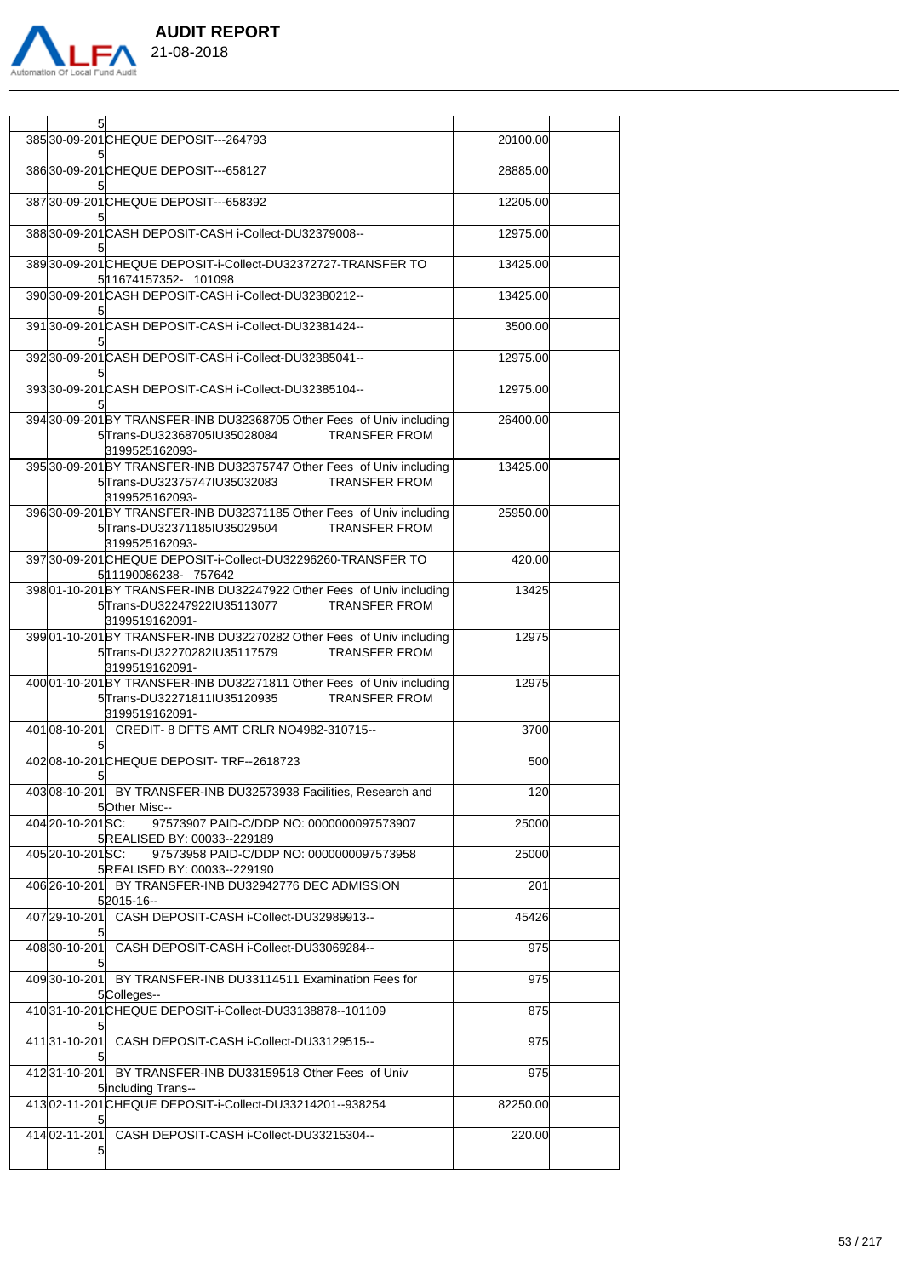

| 5                                                                                                                                              |          |  |
|------------------------------------------------------------------------------------------------------------------------------------------------|----------|--|
| 38530-09-201CHEQUE DEPOSIT---264793                                                                                                            | 20100.00 |  |
| 38630-09-201CHEQUE DEPOSIT---658127                                                                                                            | 28885.00 |  |
| 38730-09-201 CHEQUE DEPOSIT---658392                                                                                                           | 12205.00 |  |
| 38830-09-201 CASH DEPOSIT-CASH i-Collect-DU32379008--                                                                                          | 12975.00 |  |
| 38930-09-201CHEQUE DEPOSIT-i-Collect-DU32372727-TRANSFER TO                                                                                    | 13425.00 |  |
| 511674157352-101098<br>390 30-09-201 CASH DEPOSIT-CASH i-Collect-DU32380212--                                                                  | 13425.00 |  |
| 39130-09-201 CASH DEPOSIT-CASH i-Collect-DU32381424--                                                                                          | 3500.00  |  |
| 39230-09-201CASH DEPOSIT-CASH i-Collect-DU32385041--                                                                                           | 12975.00 |  |
| 39330-09-201 CASH DEPOSIT-CASH i-Collect-DU32385104--                                                                                          | 12975.00 |  |
| 39430-09-201BY TRANSFER-INB DU32368705 Other Fees of Univ including<br><b>TRANSFER FROM</b><br>5 Trans-DU32368705 IU35028084<br>3199525162093- | 26400.00 |  |
| 395 30-09-201 BY TRANSFER-INB DU32375747 Other Fees of Univ including<br>5 Trans-DU32375747 IU35032083 TRANSFER FROM<br>3199525162093-         | 13425.00 |  |
| 396 30-09-201 BY TRANSFER-INB DU32371185 Other Fees of Univ including<br>5 Trans-DU32371185 IU35029504 TRANSFER FROM<br>3199525162093-         | 25950.00 |  |
| 39730-09-201CHEQUE DEPOSIT-i-Collect-DU32296260-TRANSFER TO<br>511190086238-757642                                                             | 420.00   |  |
| 39801-10-201BY TRANSFER-INB DU32247922 Other Fees of Univ including<br>5 Trans-DU322479221 U35113077 TRANSFER FROM<br>3199519162091-           | 13425    |  |
| 399 01-10-201 BY TRANSFER-INB DU32270282 Other Fees of Univ including<br>5 Trans-DU32270282IU35117579 TRANSFER FROM<br>3199519162091-          | 12975    |  |
| 40001-10-201BY TRANSFER-INB DU32271811 Other Fees of Univ including<br>5 Trans-DU32271811 IU35120935 TRANSFER FROM<br>3199519162091-           | 12975    |  |
| 40108-10-201 CREDIT- 8 DFTS AMT CRLR NO4982-310715--                                                                                           | 3700     |  |
| 40208-10-201CHEQUE DEPOSIT-TRF--2618723                                                                                                        | 500      |  |
| 40308-10-201 BY TRANSFER-INB DU32573938 Facilities, Research and<br>5Other Misc--                                                              | 120      |  |
| 404 20-10-201 SC:<br>97573907 PAID-C/DDP NO: 0000000097573907<br>5REALISED BY: 00033--229189                                                   | 25000    |  |
| 405 20-10-201 SC:<br>97573958 PAID-C/DDP NO: 0000000097573958<br>5REALISED BY: 00033--229190                                                   | 25000    |  |
| 406 26-10-201 BY TRANSFER-INB DU32942776 DEC ADMISSION<br>52015-16--                                                                           | 201      |  |
| 407 29-10-201 CASH DEPOSIT-CASH i-Collect-DU32989913--                                                                                         | 45426    |  |
| 408 30-10-201 CASH DEPOSIT-CASH i-Collect-DU33069284--<br>ы                                                                                    | 975      |  |
| 409 30-10-201 BY TRANSFER-INB DU33114511 Examination Fees for<br>5Colleges--                                                                   | 975      |  |
| 41031-10-201CHEQUE DEPOSIT-i-Collect-DU33138878--101109                                                                                        | 875      |  |
| 411 31-10-201 CASH DEPOSIT-CASH i-Collect-DU33129515--                                                                                         | 975      |  |
| 41231-10-201 BY TRANSFER-INB DU33159518 Other Fees of Univ<br>5 including Trans--                                                              | 975      |  |
| 41302-11-201CHEQUE DEPOSIT-i-Collect-DU33214201--938254                                                                                        | 82250.00 |  |
| 414 02 - 11 - 201<br>CASH DEPOSIT-CASH i-Collect-DU33215304--<br>51                                                                            | 220.00   |  |
|                                                                                                                                                |          |  |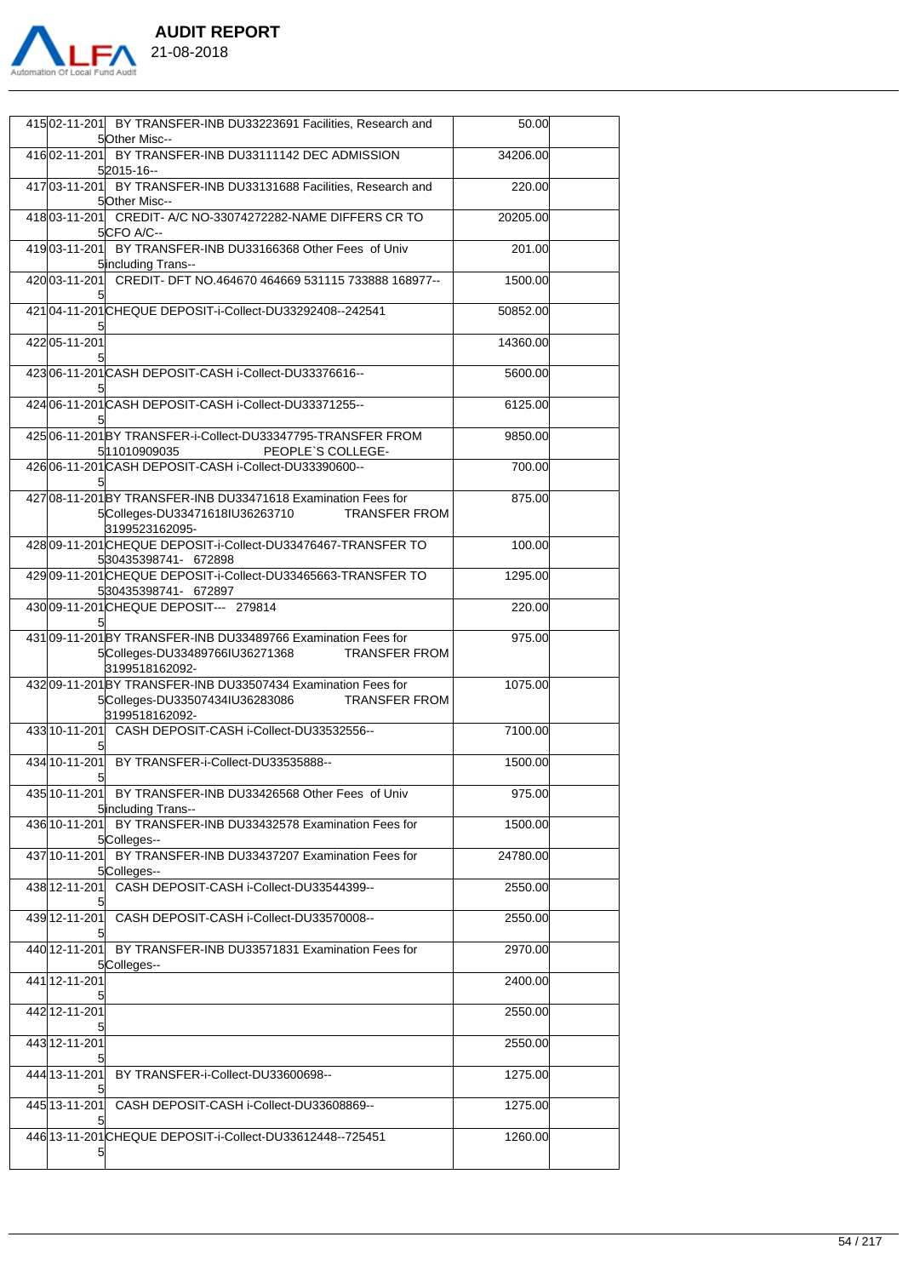

|                    | 41502-11-201 BY TRANSFER-INB DU33223691 Facilities, Research and<br>5Other Misc--                                                       | 50.00    |  |
|--------------------|-----------------------------------------------------------------------------------------------------------------------------------------|----------|--|
|                    | 41602-11-201 BY TRANSFER-INB DU33111142 DEC ADMISSION<br>$52015 - 16 -$                                                                 | 34206.00 |  |
|                    | 41703-11-201 BY TRANSFER-INB DU33131688 Facilities, Research and<br>5Other Misc--                                                       | 220.00   |  |
|                    | 41803-11-201 CREDIT- A/C NO-33074272282-NAME DIFFERS CR TO<br>5CFO A/C--                                                                | 20205.00 |  |
|                    | 41903-11-201 BY TRANSFER-INB DU33166368 Other Fees of Univ<br>5 including Trans--                                                       | 201.00   |  |
|                    | 42003-11-201 CREDIT- DFT NO.464670 464669 531115 733888 168977--                                                                        | 1500.00  |  |
|                    | 42104-11-201CHEQUE DEPOSIT-i-Collect-DU33292408--242541                                                                                 | 50852.00 |  |
| 42205-11-201       |                                                                                                                                         | 14360.00 |  |
|                    | 42306-11-201 CASH DEPOSIT-CASH i-Collect-DU33376616--                                                                                   | 5600.00  |  |
|                    | 424 06-11-201 CASH DEPOSIT-CASH i-Collect-DU33371255--                                                                                  | 6125.00  |  |
|                    | 42506-11-201BY TRANSFER-i-Collect-DU33347795-TRANSFER FROM<br>511010909035<br>PEOPLE'S COLLEGE-                                         | 9850.00  |  |
|                    | 42606-11-201CASH DEPOSIT-CASH i-Collect-DU33390600--                                                                                    | 700.00   |  |
|                    | 42708-11-201BY TRANSFER-INB DU33471618 Examination Fees for<br>5Colleges-DU33471618IU36263710 TRANSFER FROM<br>3199523162095-           | 875.00   |  |
|                    | 42809-11-201CHEQUE DEPOSIT-i-Collect-DU33476467-TRANSFER TO<br>530435398741- 672898                                                     | 100.00   |  |
|                    | 42909-11-201CHEQUE DEPOSIT-i-Collect-DU33465663-TRANSFER TO<br>530435398741- 672897                                                     | 1295.00  |  |
|                    | 43009-11-201CHEQUE DEPOSIT--- 279814                                                                                                    | 220.00   |  |
|                    | 43109-11-201BY TRANSFER-INB DU33489766 Examination Fees for<br><b>TRANSFER FROM</b><br>5Colleges-DU33489766IU36271368<br>3199518162092- | 975.00   |  |
|                    | 43209-11-201BY TRANSFER-INB DU33507434 Examination Fees for<br>5Colleges-DU33507434IU36283086<br><b>TRANSFER FROM</b><br>3199518162092- | 1075.00  |  |
| 433 10-11-201      | CASH DEPOSIT-CASH i-Collect-DU33532556--                                                                                                | 7100.00  |  |
|                    | 434 10-11-201 BY TRANSFER-i-Collect-DU33535888--                                                                                        | 1500.00  |  |
|                    | 435 10-11-201 BY TRANSFER-INB DU33426568 Other Fees of Univ<br>5 Sincluding Trans--                                                     | 975.00   |  |
| 436 10 - 11 - 201  | BY TRANSFER-INB DU33432578 Examination Fees for<br>5Colleges--                                                                          | 1500.00  |  |
| 437 10 - 11 - 201  | BY TRANSFER-INB DU33437207 Examination Fees for<br>5Colleges--                                                                          | 24780.00 |  |
| 438 12-11-201      | CASH DEPOSIT-CASH i-Collect-DU33544399--                                                                                                | 2550.00  |  |
| 439 12-11-201      | CASH DEPOSIT-CASH i-Collect-DU33570008--                                                                                                | 2550.00  |  |
| 440 12-11-201      | BY TRANSFER-INB DU33571831 Examination Fees for<br>5Colleges--                                                                          | 2970.00  |  |
| 441 12-11-201      |                                                                                                                                         | 2400.00  |  |
| 442 12-11-201      |                                                                                                                                         | 2550.00  |  |
| 443 12-11-201      |                                                                                                                                         | 2550.00  |  |
| 444 13-11-201<br>5 | BY TRANSFER-i-Collect-DU33600698--                                                                                                      | 1275.00  |  |
| 445 13-11-201      | CASH DEPOSIT-CASH i-Collect-DU33608869--                                                                                                | 1275.00  |  |
| 5                  | 446 13-11-201 CHEQUE DEPOSIT-i-Collect-DU33612448--725451                                                                               | 1260.00  |  |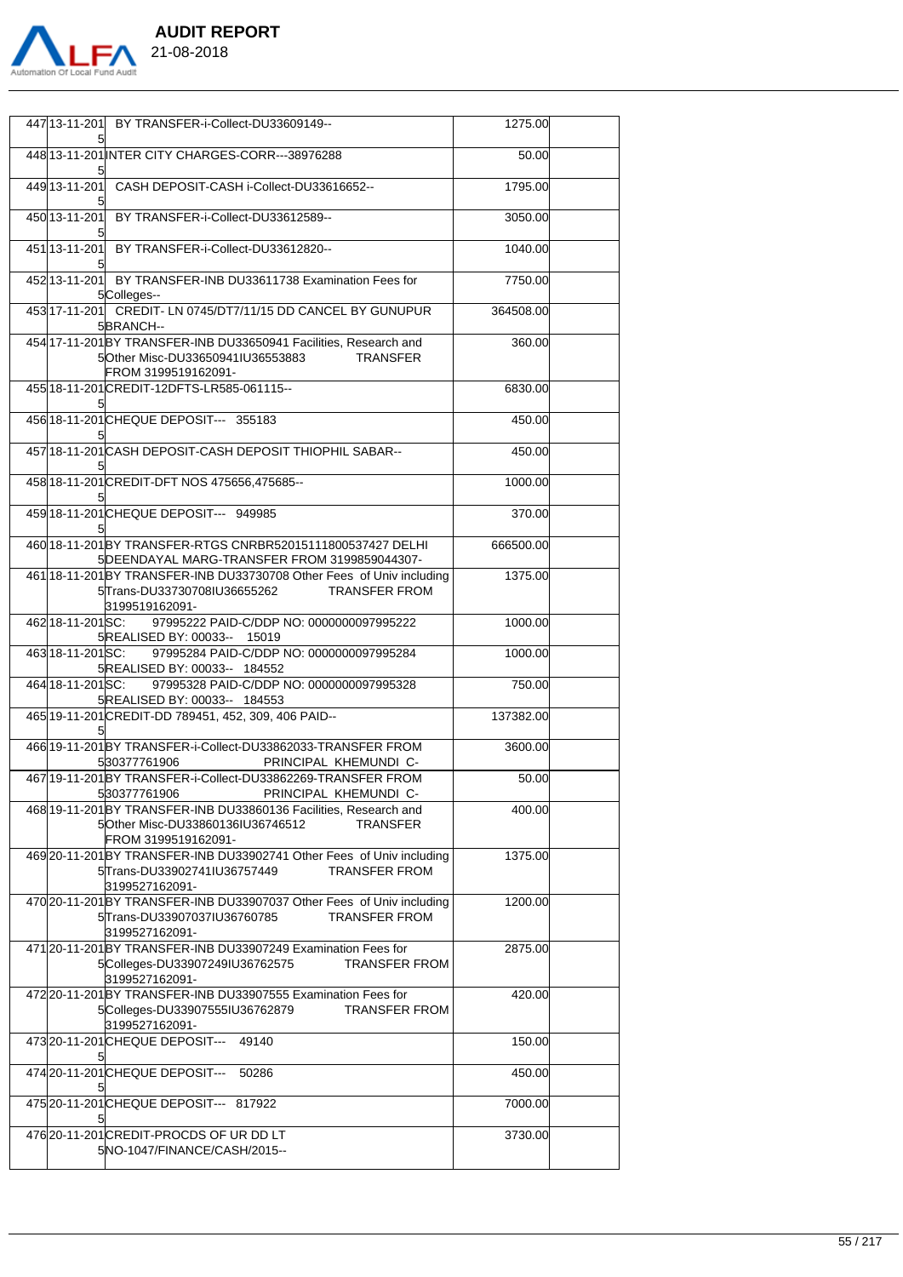

|  |                       | 447 13-11-201 BY TRANSFER-i-Collect-DU33609149--                                                                                                | 1275.00   |  |
|--|-----------------------|-------------------------------------------------------------------------------------------------------------------------------------------------|-----------|--|
|  |                       | 448 13-11-201 INTER CITY CHARGES-CORR---38976288                                                                                                | 50.00     |  |
|  |                       | 449 13-11-201 CASH DEPOSIT-CASH i-Collect-DU33616652--                                                                                          | 1795.00   |  |
|  |                       | 450 13-11-201 BY TRANSFER-i-Collect-DU33612589--                                                                                                | 3050.00   |  |
|  |                       | 45113-11-201 BY TRANSFER-i-Collect-DU33612820--                                                                                                 | 1040.00   |  |
|  |                       | 452 13-11-201 BY TRANSFER-INB DU33611738 Examination Fees for<br>5Colleges--                                                                    | 7750.00   |  |
|  |                       | 453 17-11-201 CREDIT- LN 0745/DT7/11/15 DD CANCEL BY GUNUPUR<br>5BRANCH--                                                                       | 364508.00 |  |
|  |                       | 454 17-11-201 BY TRANSFER-INB DU33650941 Facilities, Research and<br>5Other Misc-DU33650941IU36553883<br><b>TRANSFER</b><br>FROM 3199519162091- | 360.00    |  |
|  |                       | 455 18-11-201 CREDIT-12DFTS-LR585-061115--                                                                                                      | 6830.00   |  |
|  |                       | 456 18-11-201 CHEQUE DEPOSIT--- 355183                                                                                                          | 450.00    |  |
|  |                       | 457 18-11-201 CASH DEPOSIT-CASH DEPOSIT THIOPHIL SABAR--                                                                                        | 450.00    |  |
|  |                       | 458 18-11-201 CREDIT-DFT NOS 475656,475685--                                                                                                    | 1000.00   |  |
|  |                       | 459 18-11-201 CHEQUE DEPOSIT--- 949985                                                                                                          | 370.00    |  |
|  |                       | 460 18-11-201 BY TRANSFER-RTGS CNRBR52015111800537427 DELHI<br>5DEENDAYAL MARG-TRANSFER FROM 3199859044307-                                     | 666500.00 |  |
|  |                       | 461 18-11-201 BY TRANSFER-INB DU33730708 Other Fees of Univ including<br>5 Trans-DU33730708 IU36655262 TRANSFER FROM<br>3199519162091-          | 1375.00   |  |
|  |                       | 462 18-11-201 SC: 97995222 PAID-C/DDP NO: 0000000097995222<br>5REALISED BY: 00033-- 15019                                                       | 1000.00   |  |
|  | 463 18 - 11 - 201 SC: | 97995284 PAID-C/DDP NO: 0000000097995284<br>5REALISED BY: 00033-- 184552                                                                        | 1000.00   |  |
|  | 464 18-11-201 SC:     | 97995328 PAID-C/DDP NO: 0000000097995328<br>5REALISED BY: 00033-- 184553                                                                        | 750.00    |  |
|  |                       | 465 19-11-201 CREDIT-DD 789451, 452, 309, 406 PAID--                                                                                            | 137382.00 |  |
|  |                       | 466 19-11-201 BY TRANSFER-i-Collect-DU33862033-TRANSFER FROM<br>530377761906<br>PRINCIPAL KHEMUNDI C-                                           | 3600.00   |  |
|  |                       | 467 19-11-201 BY TRANSFER-i-Collect-DU33862269-TRANSFER FROM<br>530377761906<br>PRINCIPAL KHEMUNDI C-                                           | 50.00     |  |
|  |                       | 468 19-11-201 BY TRANSFER-INB DU33860136 Facilities, Research and<br>5Other Misc-DU33860136IU36746512<br><b>TRANSFER</b><br>FROM 3199519162091- | 400.00    |  |
|  |                       | 469 20-11-201 BY TRANSFER-INB DU33902741 Other Fees of Univ including<br><b>TRANSFER FROM</b><br>5Trans-DU33902741IU36757449<br>3199527162091-  | 1375.00   |  |
|  |                       | 470 20-11-201 BY TRANSFER-INB DU33907037 Other Fees of Univ including<br><b>TRANSFER FROM</b><br>5Trans-DU33907037IU36760785<br>3199527162091-  | 1200.00   |  |
|  |                       | 471 20-11-201 BY TRANSFER-INB DU33907249 Examination Fees for<br>5Colleges-DU33907249IU36762575<br><b>TRANSFER FROM</b><br>3199527162091-       | 2875.00   |  |
|  |                       | 472 20-11-201 BY TRANSFER-INB DU33907555 Examination Fees for<br>5Colleges-DU33907555IU36762879<br><b>TRANSFER FROM</b><br>3199527162091-       | 420.00    |  |
|  |                       | 473 20-11-201 CHEQUE DEPOSIT--- 49140                                                                                                           | 150.00    |  |
|  |                       | 474 20-11-201 CHEQUE DEPOSIT--- 50286                                                                                                           | 450.00    |  |
|  |                       | 475 20-11-201 CHEQUE DEPOSIT--- 817922                                                                                                          | 7000.00   |  |
|  |                       | 476 20-11-201 CREDIT-PROCDS OF UR DD LT<br>5NO-1047/FINANCE/CASH/2015--                                                                         | 3730.00   |  |
|  |                       |                                                                                                                                                 |           |  |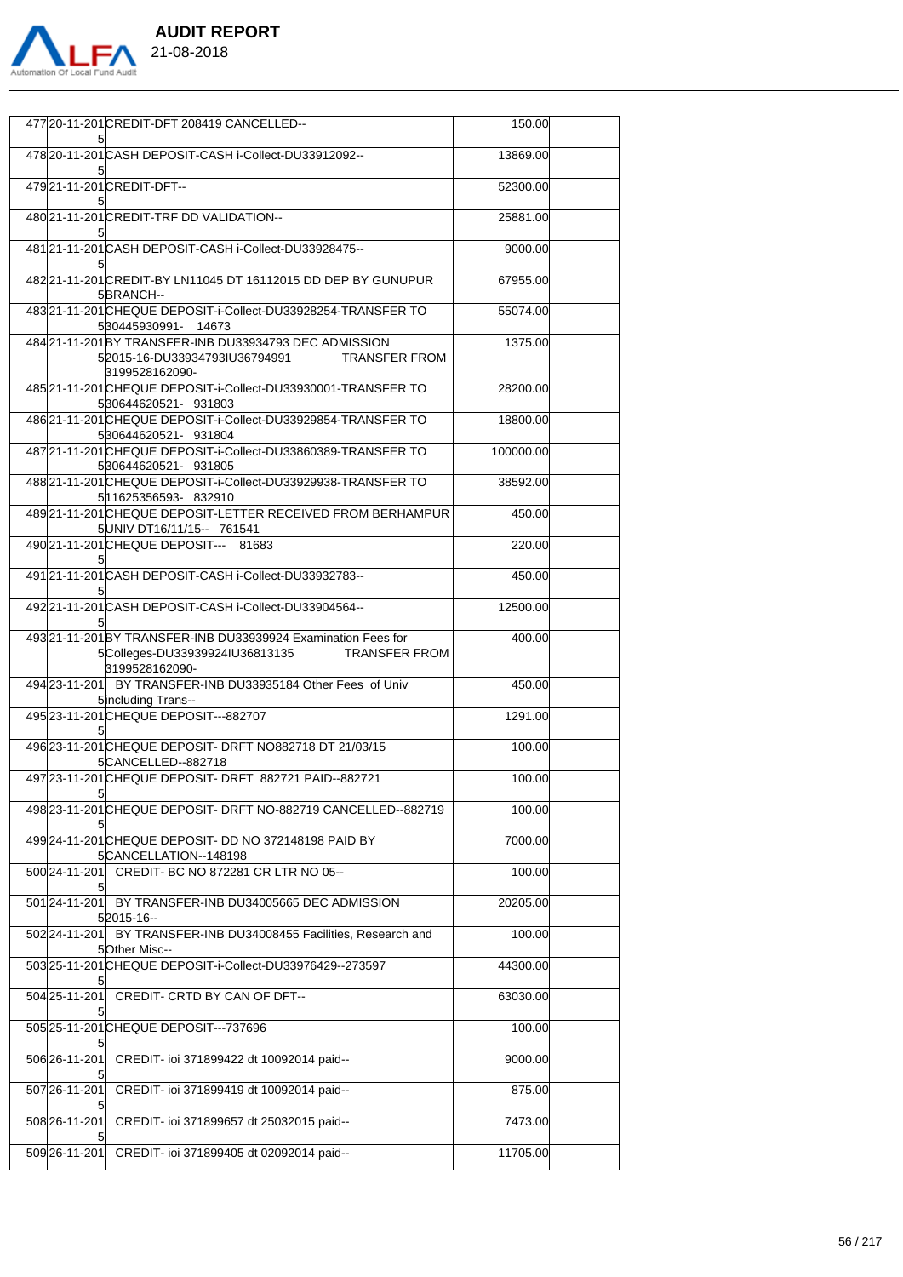

| 477 20-11-201 CREDIT-DFT 208419 CANCELLED--                                                                                                            | 150.00    |  |
|--------------------------------------------------------------------------------------------------------------------------------------------------------|-----------|--|
| 478 20-11-201 CASH DEPOSIT-CASH i-Collect-DU33912092--                                                                                                 | 13869.00  |  |
| 479 21-11-201 CREDIT-DFT--                                                                                                                             | 52300.00  |  |
| 480 21-11-201 CREDIT-TRF DD VALIDATION--                                                                                                               | 25881.00  |  |
| 481 21-11-201 CASH DEPOSIT-CASH i-Collect-DU33928475--                                                                                                 | 9000.00   |  |
| 482 21-11-201 CREDIT-BY LN11045 DT 16112015 DD DEP BY GUNUPUR                                                                                          | 67955.00  |  |
| 5BRANCH--<br>483 21-11-201 CHEQUE DEPOSIT-i-Collect-DU33928254-TRANSFER TO                                                                             | 55074.00  |  |
| 530445930991- 14673<br>48421-11-201BY TRANSFER-INB DU33934793 DEC ADMISSION<br><b>TRANSFER FROM</b><br>52015-16-DU33934793IU36794991<br>3199528162090- | 1375.00   |  |
| 485 21-11-201 CHEQUE DEPOSIT-i-Collect-DU33930001-TRANSFER TO<br>530644620521- 931803                                                                  | 28200.00  |  |
| 486 21-11-201 CHEQUE DEPOSIT-i-Collect-DU33929854-TRANSFER TO<br>530644620521- 931804                                                                  | 18800.00  |  |
| 48721-11-201CHEQUE DEPOSIT-i-Collect-DU33860389-TRANSFER TO                                                                                            | 100000.00 |  |
| 530644620521- 931805<br>488 21-11-201 CHEQUE DEPOSIT-i-Collect-DU33929938-TRANSFER TO                                                                  | 38592.00  |  |
| 511625356593-832910<br>489 21-11-201 CHEQUE DEPOSIT-LETTER RECEIVED FROM BERHAMPUR                                                                     | 450.00    |  |
| 5UNIV DT16/11/15-- 761541<br>490 21-11-201 CHEQUE DEPOSIT--- 81683                                                                                     | 220.00    |  |
| 491 21-11-201 CASH DEPOSIT-CASH i-Collect-DU33932783--                                                                                                 | 450.00    |  |
| 492 21-11-201 CASH DEPOSIT-CASH i-Collect-DU33904564--                                                                                                 | 12500.00  |  |
| 49321-11-201 BY TRANSFER-INB DU33939924 Examination Fees for<br>5Colleges-DU33939924IU36813135 TRANSFER FROM<br>3199528162090-                         | 400.00    |  |
| 494 23-11-201 BY TRANSFER-INB DU33935184 Other Fees of Univ<br>5including Trans--                                                                      | 450.00    |  |
| 495 23-11-201 CHEQUE DEPOSIT---882707                                                                                                                  | 1291.00   |  |
| 496 23-11-201 CHEQUE DEPOSIT - DRFT NO882718 DT 21/03/15<br>5CANCELLED--882718                                                                         | 100.00    |  |
| 497 23-11-201 CHEQUE DEPOSIT- DRFT 882721 PAID--882721                                                                                                 | 100.00    |  |
| 498 23-11-201 CHEQUE DEPOSIT- DRFT NO-882719 CANCELLED--882719                                                                                         | 100.00    |  |
| 499 24-11-201 CHEQUE DEPOSIT- DD NO 3721 48198 PAID BY<br>5CANCELLATION--148198                                                                        | 7000.00   |  |
| 500 24-11-201 CREDIT- BC NO 872281 CR LTR NO 05--                                                                                                      | 100.00    |  |
| 501 24-11-201 BY TRANSFER-INB DU34005665 DEC ADMISSION<br>52015-16--                                                                                   | 20205.00  |  |
| 502 24-11-201 BY TRANSFER-INB DU34008455 Facilities, Research and<br>5Other Misc--                                                                     | 100.00    |  |
| 503 25-11-201 CHEQUE DEPOSIT-i-Collect-DU33976429--273597                                                                                              | 44300.00  |  |
| 504 25-11-201 CREDIT- CRTD BY CAN OF DFT--                                                                                                             | 63030.00  |  |
| 505 25-11-201 CHEQUE DEPOSIT--- 737696                                                                                                                 | 100.00    |  |
| 506 26-11-201<br>CREDIT- ioi 371899422 dt 10092014 paid--                                                                                              | 9000.00   |  |
| 507 26-11-201<br>CREDIT- ioi 371899419 dt 10092014 paid--                                                                                              | 875.00    |  |
|                                                                                                                                                        |           |  |
| 508 26-11-201<br>CREDIT- ioi 371899657 dt 25032015 paid--                                                                                              | 7473.00   |  |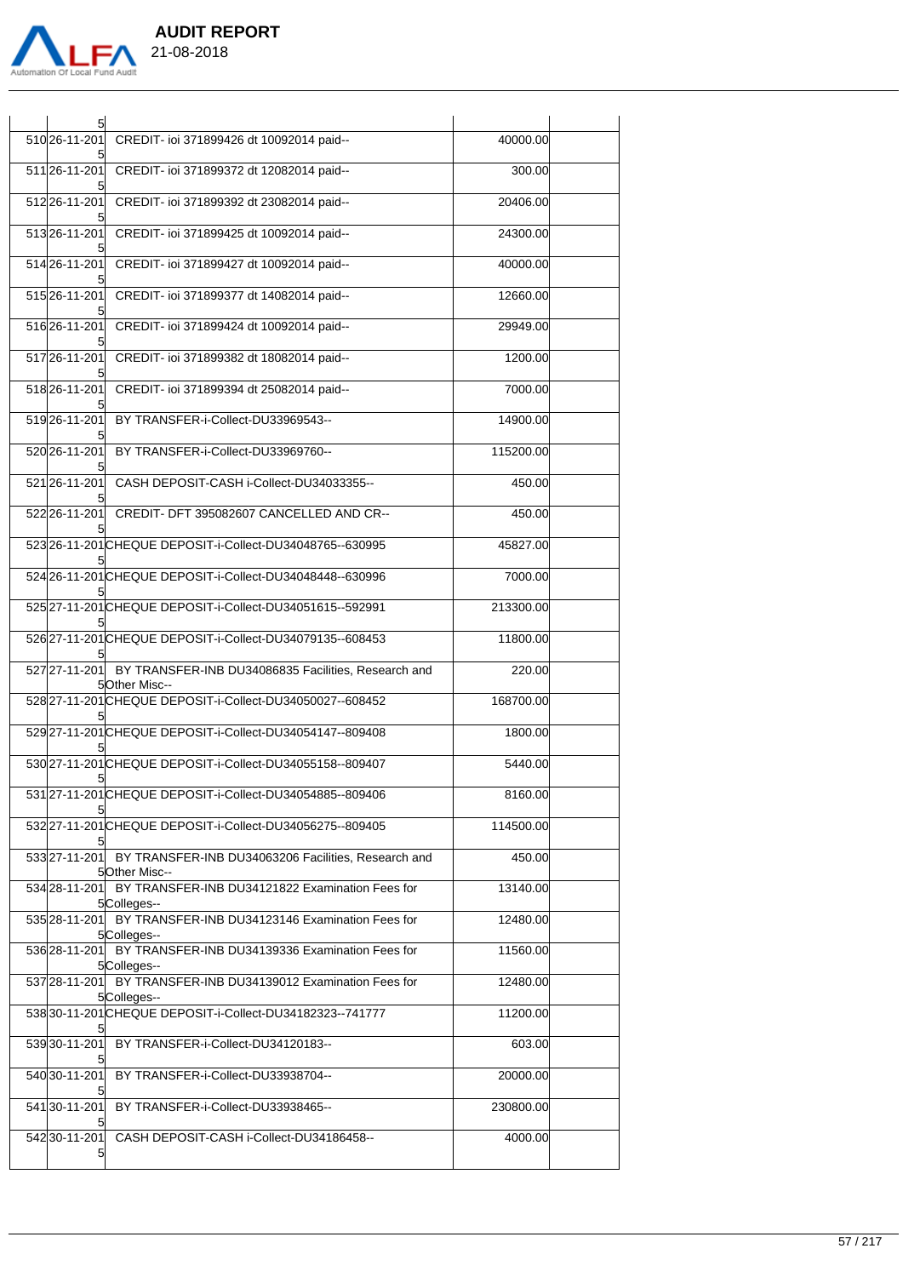

| 5                |                                                                                    |           |  |
|------------------|------------------------------------------------------------------------------------|-----------|--|
| 510 26-11-201    | CREDIT- ioi 371899426 dt 10092014 paid--                                           | 40000.00  |  |
|                  | 511 26-11-201 CREDIT- ioi 371899372 dt 12082014 paid--                             | 300.00    |  |
| 512 26-11-201    | CREDIT- ioi 371899392 dt 23082014 paid--                                           | 20406.00  |  |
| 513 26-11-201    | CREDIT- ioi 371899425 dt 10092014 paid--                                           | 24300.00  |  |
| 514 26-11-201    | CREDIT- ioi 371899427 dt 10092014 paid--                                           | 40000.00  |  |
| $515 26-11-201 $ | CREDIT- ioi 371899377 dt 14082014 paid--                                           | 12660.00  |  |
| 516 26-11-201    | CREDIT- ioi 371899424 dt 10092014 paid--                                           | 29949.00  |  |
| 517 26-11-201    | CREDIT- ioi 371899382 dt 18082014 paid--                                           | 1200.00   |  |
| 518 26-11-201    | CREDIT- ioi 371899394 dt 25082014 paid--                                           | 7000.00   |  |
| 519 26-11-201    | BY TRANSFER-i-Collect-DU33969543--                                                 | 14900.00  |  |
| 520 26-11-201    | BY TRANSFER-i-Collect-DU33969760--                                                 | 115200.00 |  |
| 521 26-11-201    | CASH DEPOSIT-CASH i-Collect-DU34033355--                                           | 450.00    |  |
|                  | 522 26-11-201 CREDIT- DFT 395082607 CANCELLED AND CR--                             | 450.00    |  |
|                  | 523 26-11-201 CHEQUE DEPOSIT-i-Collect-DU34048765--630995                          | 45827.00  |  |
|                  | 524 26-11-201 CHEQUE DEPOSIT-i-Collect-DU34048448--630996                          | 7000.00   |  |
|                  | 525 27-11-201 CHEQUE DEPOSIT-i-Collect-DU34051615--592991                          | 213300.00 |  |
|                  | 526 27-11-201 CHEQUE DEPOSIT-i-Collect-DU34079135--608453                          | 11800.00  |  |
| 527 27-11-201    | BY TRANSFER-INB DU34086835 Facilities, Research and<br>5Other Misc--               | 220.00    |  |
|                  | 528 27-11-201 CHEQUE DEPOSIT-i-Collect-DU34050027--608452                          | 168700.00 |  |
|                  | 529 27-11-201 CHEQUE DEPOSIT-i-Collect-DU34054147--809408                          | 1800.00   |  |
|                  | 530 27-11-201 CHEQUE DEPOSIT-i-Collect-DU34055158--809407                          | 5440.00   |  |
|                  | 531 27-11-201 CHEQUE DEPOSIT-i-Collect-DU34054885--809406                          | 8160.00   |  |
|                  | 532 27-11-201 CHEQUE DEPOSIT-i-Collect-DU34056275--809405                          | 114500.00 |  |
|                  | 533 27-11-201 BY TRANSFER-INB DU34063206 Facilities, Research and<br>5Other Misc-- | 450.00    |  |
|                  | 534 28-11-201 BY TRANSFER-INB DU34121822 Examination Fees for<br>5Colleges--       | 13140.00  |  |
|                  | 535 28-11-201 BY TRANSFER-INB DU34123146 Examination Fees for                      | 12480.00  |  |
|                  | 5Colleges--<br>536 28-11-201 BY TRANSFER-INB DU34139336 Examination Fees for       | 11560.00  |  |
|                  | 5Colleges--<br>537 28-11-201 BY TRANSFER-INB DU34139012 Examination Fees for       | 12480.00  |  |
|                  | 5Colleges--<br>53830-11-201CHEQUE DEPOSIT-i-Collect-DU34182323--741777             | 11200.00  |  |
| 53930-11-201     | BY TRANSFER-i-Collect-DU34120183--                                                 | 603.00    |  |
|                  | 540 30-11-201 BY TRANSFER-i-Collect-DU33938704--                                   | 20000.00  |  |
| 54130-11-201     | BY TRANSFER-i-Collect-DU33938465--                                                 | 230800.00 |  |
| 54230-11-201     | CASH DEPOSIT-CASH i-Collect-DU34186458--                                           | 4000.00   |  |
|                  |                                                                                    |           |  |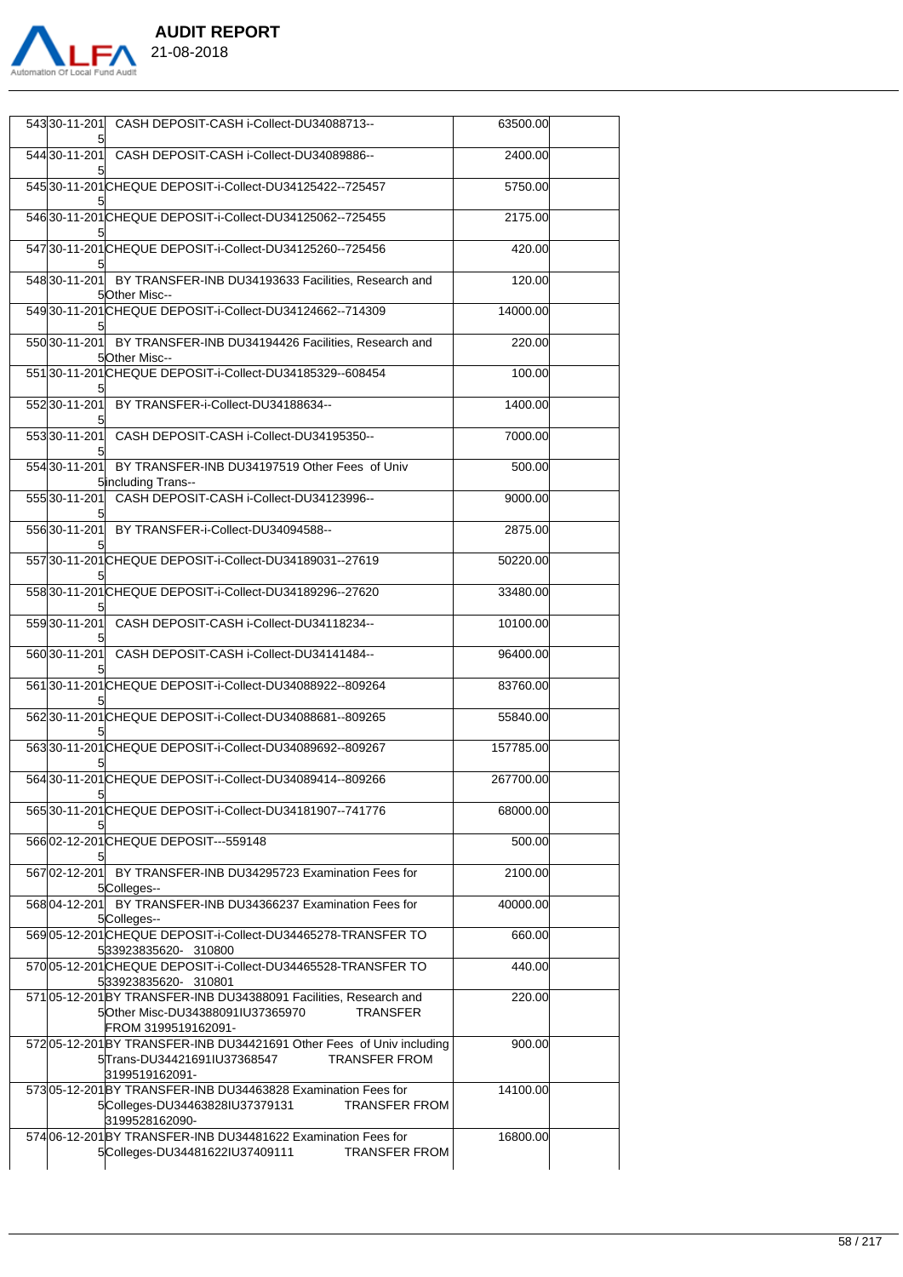

|              | 543 30-11-201 CASH DEPOSIT-CASH i-Collect-DU34088713--                                                                                          | 63500.00  |  |
|--------------|-------------------------------------------------------------------------------------------------------------------------------------------------|-----------|--|
|              | 54430-11-201 CASH DEPOSIT-CASH i-Collect-DU34089886--                                                                                           | 2400.00   |  |
|              | 545 30-11-201 CHEQUE DEPOSIT-i-Collect-DU34125422--725457                                                                                       | 5750.00   |  |
|              | 54630-11-201CHEQUE DEPOSIT-i-Collect-DU34125062--725455                                                                                         | 2175.00   |  |
|              | 547 30-11-201 CHEQUE DEPOSIT-i-Collect-DU34125260--725456                                                                                       | 420.00    |  |
|              | 548 30-11-201 BY TRANSFER-INB DU34193633 Facilities, Research and<br>5Other Misc--                                                              | 120.00    |  |
|              | 54930-11-201CHEQUE DEPOSIT-i-Collect-DU34124662--714309                                                                                         | 14000.00  |  |
|              | 550 30-11-201 BY TRANSFER-INB DU34194426 Facilities, Research and<br>5Other Misc--                                                              | 220.00    |  |
|              | 55130-11-201CHEQUE DEPOSIT-i-Collect-DU34185329--608454                                                                                         | 100.00    |  |
|              | 55230-11-201 BY TRANSFER-i-Collect-DU34188634--                                                                                                 | 1400.00   |  |
|              | 553 30-11-201 CASH DEPOSIT-CASH i-Collect-DU34195350--                                                                                          | 7000.00   |  |
| 55430-11-201 | BY TRANSFER-INB DU34197519 Other Fees of Univ<br>5 including Trans--                                                                            | 500.00    |  |
|              | 555 30-11-201 CASH DEPOSIT-CASH i-Collect-DU34123996--                                                                                          | 9000.00   |  |
|              | 556 30-11-201 BY TRANSFER-i-Collect-DU34094588--                                                                                                | 2875.00   |  |
|              | 557 30-11-201 CHEQUE DEPOSIT-i-Collect-DU34189031--27619                                                                                        | 50220.00  |  |
|              | 55830-11-201CHEQUE DEPOSIT-i-Collect-DU34189296--27620                                                                                          | 33480.00  |  |
|              | 559 30-11-201 CASH DEPOSIT-CASH i-Collect-DU34118234--                                                                                          | 10100.00  |  |
|              | 560 30-11-201 CASH DEPOSIT-CASH i-Collect-DU34141484--                                                                                          | 96400.00  |  |
|              | 56130-11-201CHEQUE DEPOSIT-i-Collect-DU34088922--809264                                                                                         | 83760.00  |  |
|              | 56230-11-201CHEQUE DEPOSIT-i-Collect-DU34088681--809265                                                                                         | 55840.00  |  |
|              | 56330-11-201CHEQUE DEPOSIT-i-Collect-DU34089692--809267                                                                                         | 157785.00 |  |
|              | 56430-11-201CHEQUE DEPOSIT-i-Collect-DU34089414--809266                                                                                         | 267700.00 |  |
|              | 56530-11-201CHEQUE DEPOSIT-i-Collect-DU34181907--741776                                                                                         | 68000.00  |  |
|              | 56602-12-201CHEQUE DEPOSIT---559148                                                                                                             | 500.00    |  |
|              | 56702-12-201 BY TRANSFER-INB DU34295723 Examination Fees for<br>5Colleges--                                                                     | 2100.00   |  |
|              | 56804-12-201 BY TRANSFER-INB DU34366237 Examination Fees for<br>5Colleges--                                                                     | 40000.00  |  |
|              | 56905-12-201CHEQUE DEPOSIT-i-Collect-DU34465278-TRANSFER TO<br>533923835620-310800                                                              | 660.00    |  |
|              | 57005-12-201CHEQUE DEPOSIT-i-Collect-DU34465528-TRANSFER TO<br>533923835620-310801                                                              | 440.00    |  |
|              | 571 05-12-201 BY TRANSFER-INB DU34388091 Facilities, Research and<br>5Other Misc-DU34388091IU37365970<br><b>TRANSFER</b><br>FROM 3199519162091- | 220.00    |  |
|              | 572 05-12-201 BY TRANSFER-INB DU34421691 Other Fees of Univ including<br>5Trans-DU34421691IU37368547<br><b>TRANSFER FROM</b><br>3199519162091-  | 900.00    |  |
|              | 57305-12-201BY TRANSFER-INB DU34463828 Examination Fees for<br>5Colleges-DU34463828IU37379131<br><b>TRANSFER FROM</b><br>3199528162090-         | 14100.00  |  |
|              | 57406-12-201BY TRANSFER-INB DU34481622 Examination Fees for<br>5Colleges-DU34481622IU37409111<br>TRANSFER FROM                                  | 16800.00  |  |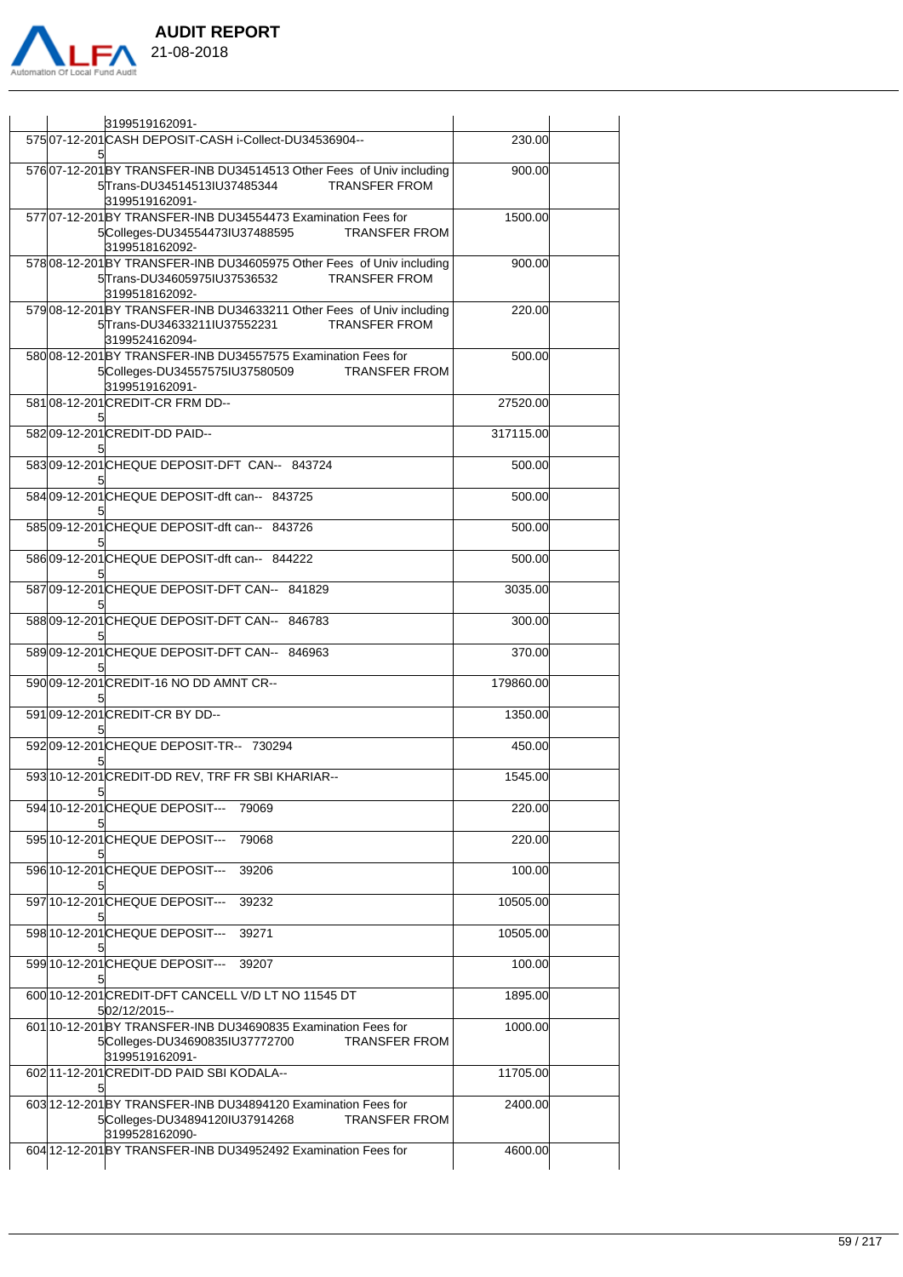

|  | 3199519162091-                                                                                                                                   |           |  |
|--|--------------------------------------------------------------------------------------------------------------------------------------------------|-----------|--|
|  | 57507-12-201CASH DEPOSIT-CASH i-Collect-DU34536904--                                                                                             | 230.00    |  |
|  | 576 07-12-201 BY TRANSFER-INB DU34514513 Other Fees of Univ including<br><b>TRANSFER FROM</b><br>5 Trans-DU34514513 IU37485344<br>3199519162091- | 900.00    |  |
|  | 57707-12-201BY TRANSFER-INB DU34554473 Examination Fees for<br><b>TRANSFER FROM</b><br>5Colleges-DU34554473IU37488595<br>3199518162092-          | 1500.00   |  |
|  | 578 08-12-201 BY TRANSFER-INB DU34605975 Other Fees of Univ including<br>5Trans-DU34605975IU37536532<br><b>TRANSFER FROM</b><br>3199518162092-   | 900.00    |  |
|  | 579 08-12-201 BY TRANSFER-INB DU34633211 Other Fees of Univ including<br>5Trans-DU34633211IU37552231<br><b>TRANSFER FROM</b><br>3199524162094-   | 220.00    |  |
|  | 580 08-12-201 BY TRANSFER-INB DU34557575 Examination Fees for<br>5Colleges-DU345575751U37580509 TRANSFER FROM<br>3199519162091-                  | 500.00    |  |
|  | 58108-12-201CREDIT-CR FRM DD--                                                                                                                   | 27520.00  |  |
|  | 582 09-12-201 CREDIT-DD PAID--                                                                                                                   | 317115.00 |  |
|  | 58309-12-201CHEQUE DEPOSIT-DFT CAN-- 843724                                                                                                      | 500.00    |  |
|  | 584 09-12-201 CHEQUE DEPOSIT-dft can-- 843725                                                                                                    | 500.00    |  |
|  | 585 09-12-201 CHEQUE DEPOSIT-dft can-- 843726                                                                                                    | 500.00    |  |
|  | 58609-12-201CHEQUE DEPOSIT-dft can-- 844222                                                                                                      | 500.00    |  |
|  | 58709-12-201CHEQUE DEPOSIT-DFT CAN-- 841829                                                                                                      | 3035.00   |  |
|  | 58809-12-201CHEQUE DEPOSIT-DFT CAN-- 846783                                                                                                      | 300.00    |  |
|  | 58909-12-201CHEQUE DEPOSIT-DFT CAN-- 846963                                                                                                      | 370.00    |  |
|  | 590 09-12-201 CREDIT-16 NO DD AMNT CR--                                                                                                          | 179860.00 |  |
|  | 59109-12-201CREDIT-CR BY DD--                                                                                                                    | 1350.00   |  |
|  | 59209-12-201CHEQUE DEPOSIT-TR- 730294                                                                                                            | 450.00    |  |
|  | 593 10-12-201 CREDIT-DD REV, TRF FR SBI KHARIAR--                                                                                                | 1545.00   |  |
|  | 594 10-12-201 CHEQUE DEPOSIT---<br>79069                                                                                                         | 220.00    |  |
|  | 595 10-12-201 CHEQUE DEPOSIT---<br>79068                                                                                                         | 220.00    |  |
|  | 596 10-12-201 CHEQUE DEPOSIT---<br>39206                                                                                                         | 100.00    |  |
|  | 59710-12-201CHEQUE DEPOSIT---<br>39232                                                                                                           | 10505.00  |  |
|  | 598 10-12-201 CHEQUE DEPOSIT---<br>39271                                                                                                         | 10505.00  |  |
|  | 599 10-12-201 CHEQUE DEPOSIT---<br>39207                                                                                                         | 100.00    |  |
|  | 600 10-12-201 CREDIT-DFT CANCELL V/D LT NO 11545 DT<br>502/12/2015--                                                                             | 1895.00   |  |
|  | 601 10-12-201 BY TRANSFER-INB DU34690835 Examination Fees for<br>5Colleges-DU34690835IU37772700<br><b>TRANSFER FROM</b><br>3199519162091-        | 1000.00   |  |
|  | 60211-12-201CREDIT-DD PAID SBI KODALA--                                                                                                          | 11705.00  |  |
|  | 603 12-12-201 BY TRANSFER-INB DU34894120 Examination Fees for<br>5Colleges-DU34894120IU37914268<br><b>TRANSFER FROM</b><br>3199528162090-        | 2400.00   |  |
|  | 604 12-12-201 BY TRANSFER-INB DU34952492 Examination Fees for                                                                                    | 4600.00   |  |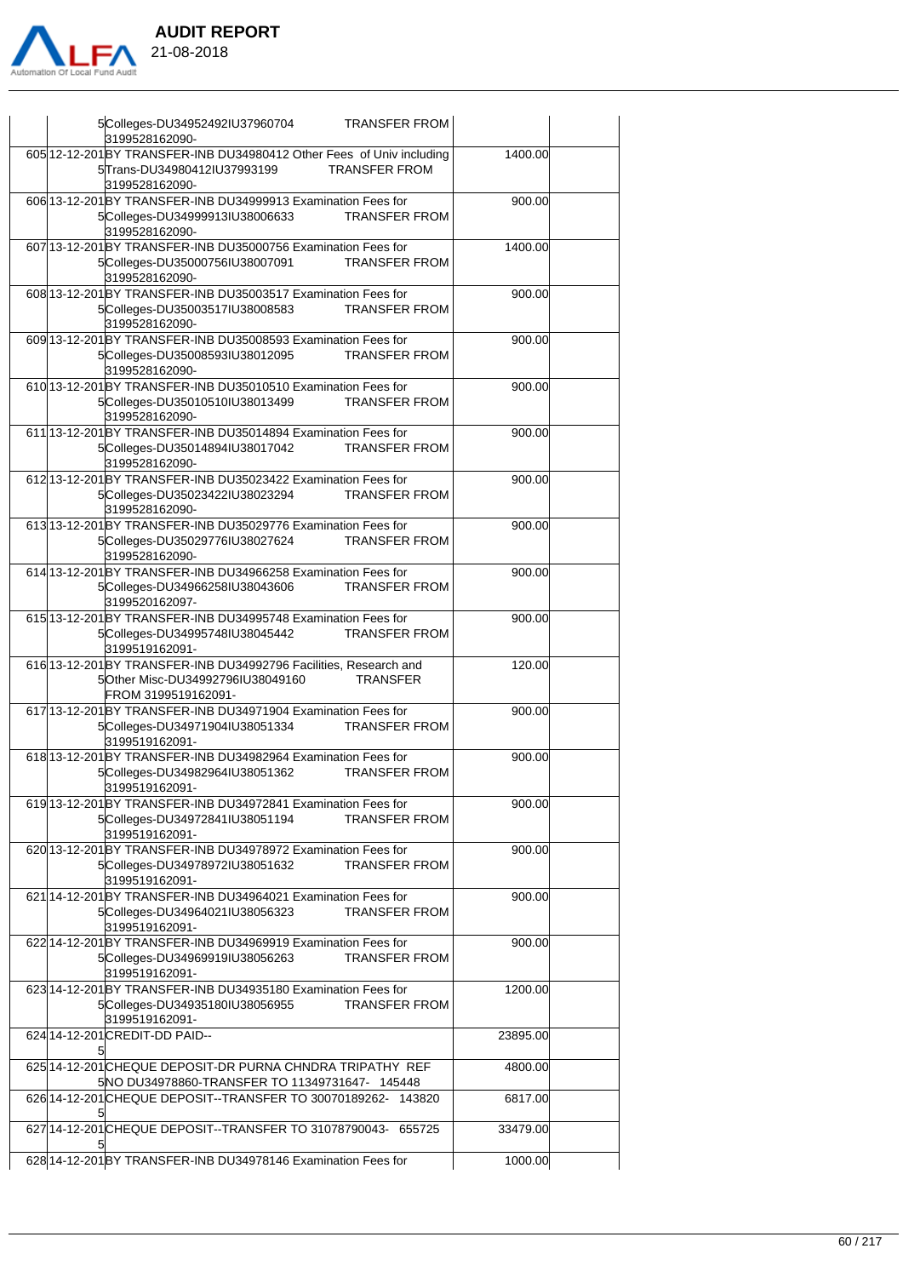

 **AUDIT REPORT** 

|   | 5Colleges-DU34952492IU37960704<br><b>TRANSFER FROM</b><br>3199528162090-                                                                       |          |  |
|---|------------------------------------------------------------------------------------------------------------------------------------------------|----------|--|
|   | 605 12-12-201 BY TRANSFER-INB DU34980412 Other Fees of Univ including<br>5Trans-DU34980412IU37993199<br><b>TRANSFER FROM</b><br>3199528162090- | 1400.00  |  |
|   | 606 13-12-201 BY TRANSFER-INB DU34999913 Examination Fees for<br>5Colleges-DU34999913IU38006633<br><b>TRANSFER FROM</b><br>3199528162090-      | 900.00   |  |
|   | 607 13-12-201 BY TRANSFER-INB DU35000756 Examination Fees for<br>5Colleges-DU35000756IU38007091 TRANSFER FROM<br>3199528162090-                | 1400.00  |  |
|   | 608 13-12-201 BY TRANSFER-INB DU35003517 Examination Fees for<br>5Colleges-DU35003517IU38008583 TRANSFER FROM<br>3199528162090-                | 900.00   |  |
|   | 609 13-12-201 BY TRANSFER-INB DU35008593 Examination Fees for<br>5Colleges-DU35008593IU38012095 TRANSFER FROM<br>3199528162090-                | 900.00   |  |
|   | 610 13-12-201 BY TRANSFER-INB DU35010510 Examination Fees for<br>5Colleges-DU35010510IU38013499 TRANSFER FROM<br>3199528162090-                | 900.00   |  |
|   | 61113-12-201BY TRANSFER-INB DU35014894 Examination Fees for<br>5Colleges-DU35014894IU38017042<br><b>TRANSFER FROM</b><br>3199528162090-        | 900.00   |  |
|   | 61213-12-201BY TRANSFER-INB DU35023422 Examination Fees for<br>5Colleges-DU35023422IU38023294 TRANSFER FROM<br>3199528162090-                  | 900.00   |  |
|   | 613 13-12-201 BY TRANSFER-INB DU35029776 Examination Fees for<br>5Colleges-DU35029776IU38027624 TRANSFER FROM<br>3199528162090-                | 900.00   |  |
|   | 614 13-12-201 BY TRANSFER-INB DU34966258 Examination Fees for<br><b>TRANSFER FROM</b><br>5Colleges-DU34966258IU38043606<br>3199520162097-      | 900.00   |  |
|   | 615 13-12-201 BY TRANSFER-INB DU34995748 Examination Fees for<br><b>TRANSFER FROM</b><br>5Colleges-DU34995748IU38045442<br>3199519162091-      | 900.00   |  |
|   | 616 13-12-201 BY TRANSFER-INB DU34992796 Facilities, Research and<br>5Other Misc-DU34992796IU38049160<br>TRANSFER<br>FROM 3199519162091-       | 120.00   |  |
|   | 617 13-12-201 BY TRANSFER-INB DU34971904 Examination Fees for<br>5Colleges-DU34971904IU38051334 TRANSFER FROM<br>3199519162091-                | 900.00   |  |
|   | 618 13-12-201 BY TRANSFER-INB DU34982964 Examination Fees for<br>5Colleges-DU34982964IU38051362 TRANSFER FROM<br>l3199519162091-               | 900.00   |  |
|   | 619 13-12-201 BY TRANSFER-INB DU34972841 Examination Fees for<br><b>TRANSFER FROM</b><br>5Colleges-DU34972841IU38051194<br>3199519162091-      | 900.00   |  |
|   | 620 13-12-201 BY TRANSFER-INB DU34978972 Examination Fees for<br>5Colleges-DU34978972IU38051632<br><b>TRANSFER FROM</b><br>3199519162091-      | 900.00   |  |
|   | 621 14-12-201 BY TRANSFER-INB DU34964021 Examination Fees for<br><b>TRANSFER FROM</b><br>5Colleges-DU34964021IU38056323<br>3199519162091-      | 900.00   |  |
|   | 622 14-12-201 BY TRANSFER-INB DU34969919 Examination Fees for<br>5Colleges-DU34969919IU38056263<br><b>TRANSFER FROM</b><br>3199519162091-      | 900.00   |  |
|   | 623 14-12-201 BY TRANSFER-INB DU34935180 Examination Fees for<br>5Colleges-DU34935180IU38056955<br><b>TRANSFER FROM</b><br>3199519162091-      | 1200.00  |  |
| 5 | 624 14-12-201 CREDIT-DD PAID--                                                                                                                 | 23895.00 |  |
|   | 625 14-12-201 CHEQUE DEPOSIT-DR PURNA CHNDRA TRIPATHY REF<br>5NO DU34978860-TRANSFER TO 11349731647- 145448                                    | 4800.00  |  |
|   | 626 14-12-201 CHEQUE DEPOSIT--TRANSFER TO 30070189262- 143820                                                                                  | 6817.00  |  |
| 5 | 627 14-12-201 CHEQUE DEPOSIT--TRANSFER TO 31078790043- 655725                                                                                  | 33479.00 |  |
|   | 628 14-12-201 BY TRANSFER-INB DU34978146 Examination Fees for                                                                                  | 1000.00  |  |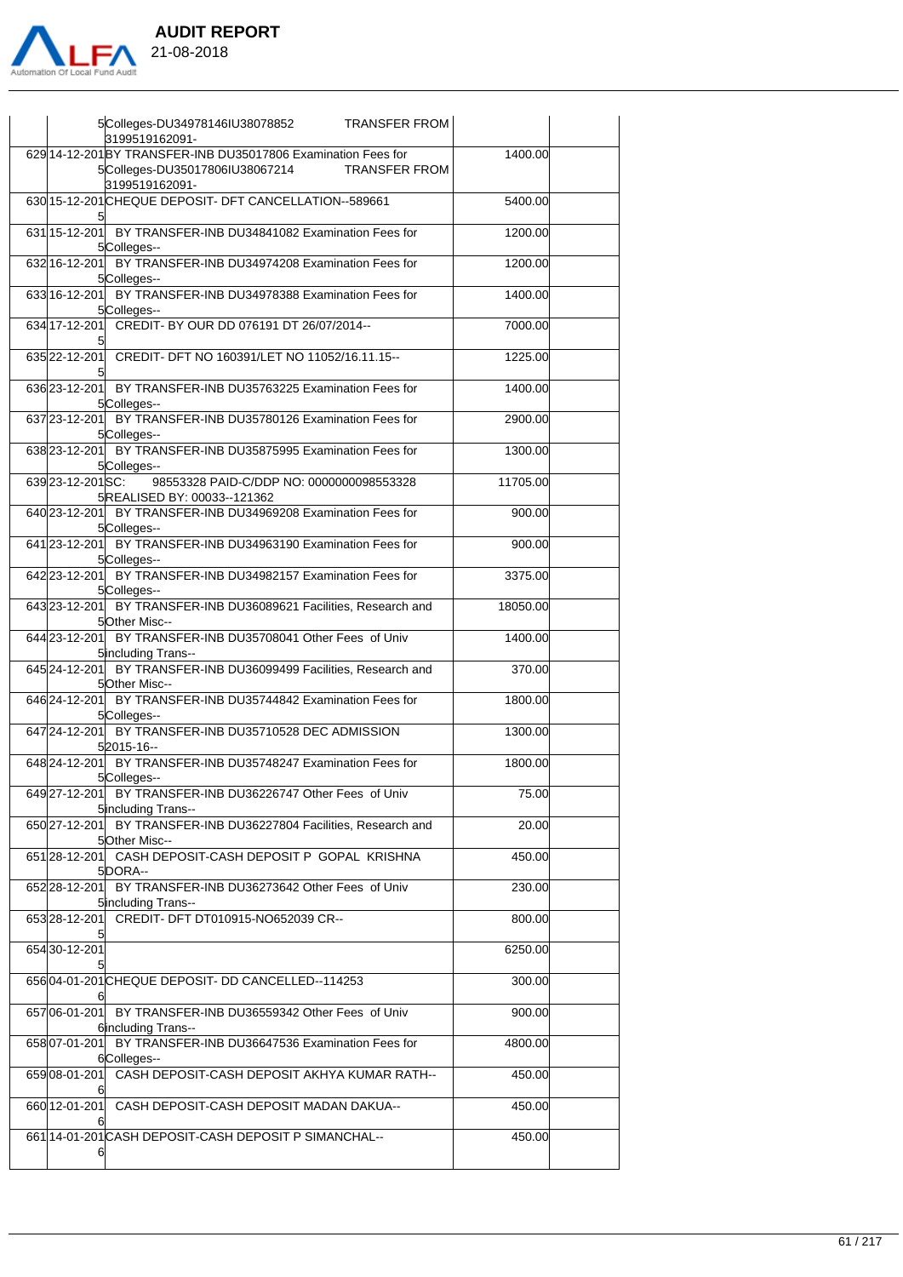

|                   | 5Colleges-DU34978146IU38078852<br><b>TRANSFER FROM</b><br>3199519162091-                                                                  |          |  |
|-------------------|-------------------------------------------------------------------------------------------------------------------------------------------|----------|--|
|                   | 629 14-12-201 BY TRANSFER-INB DU35017806 Examination Fees for<br>5Colleges-DU35017806IU38067214<br><b>TRANSFER FROM</b><br>3199519162091- | 1400.00  |  |
|                   | 630 15-12-201 CHEQUE DEPOSIT- DFT CANCELLATION--589661                                                                                    | 5400.00  |  |
|                   | 631 15-12-201 BY TRANSFER-INB DU34841082 Examination Fees for<br>5Colleges--                                                              | 1200.00  |  |
|                   | 632 16-12-201 BY TRANSFER-INB DU34974208 Examination Fees for<br>5Colleges--                                                              | 1200.00  |  |
|                   | 633 16-12-201 BY TRANSFER-INB DU34978388 Examination Fees for<br>5Colleges--                                                              | 1400.00  |  |
|                   | 634 17-12-201 CREDIT- BY OUR DD 076191 DT 26/07/2014--                                                                                    | 7000.00  |  |
| 5                 | 635 22-12-201 CREDIT- DFT NO 160391/LET NO 11052/16.11.15--                                                                               | 1225.00  |  |
|                   | 636 23-12-201 BY TRANSFER-INB DU35763225 Examination Fees for<br>5Colleges--                                                              | 1400.00  |  |
|                   | 637 23-12-201 BY TRANSFER-INB DU35780126 Examination Fees for<br>5Colleges--                                                              | 2900.00  |  |
|                   | 638 23-12-201 BY TRANSFER-INB DU35875995 Examination Fees for<br>5Colleges--                                                              | 1300.00  |  |
| 639 23-12-201 SC: | 98553328 PAID-C/DDP NO: 0000000098553328<br>5REALISED BY: 00033--121362                                                                   | 11705.00 |  |
|                   | 640 23-12-201 BY TRANSFER-INB DU34969208 Examination Fees for<br>5Colleges--                                                              | 900.00   |  |
|                   | 641 23-12-201 BY TRANSFER-INB DU34963190 Examination Fees for<br>5Colleges--                                                              | 900.00   |  |
|                   | 642 23-12-201 BY TRANSFER-INB DU34982157 Examination Fees for<br>5Colleges--                                                              | 3375.00  |  |
|                   | 643 23-12-201 BY TRANSFER-INB DU36089621 Facilities, Research and<br>5Other Misc--                                                        | 18050.00 |  |
|                   | 644 23-12-201 BY TRANSFER-INB DU35708041 Other Fees of Univ<br>5 including Trans--                                                        | 1400.00  |  |
|                   | 645 24-12-201 BY TRANSFER-INB DU36099499 Facilities, Research and<br>5Other Misc--                                                        | 370.00   |  |
|                   | 646 24-12-201 BY TRANSFER-INB DU35744842 Examination Fees for<br>5Colleges--                                                              | 1800.00  |  |
|                   | 647 24-12-201 BY TRANSFER-INB DU35710528 DEC ADMISSION<br>$52015 - 16 -$                                                                  | 1300.00  |  |
|                   | 648 24-12-201 BY TRANSFER-INB DU35748247 Examination Fees for<br>5Colleges--                                                              | 1800.00  |  |
|                   | 649 27-12-201 BY TRANSFER-INB DU36226747 Other Fees of Univ<br>5 including Trans--                                                        | 75.00    |  |
|                   | 650 27-12-201 BY TRANSFER-INB DU36227804 Facilities, Research and<br>5Other Misc--                                                        | 20.00    |  |
|                   | 651 28-12-201 CASH DEPOSIT-CASH DEPOSIT P GOPAL KRISHNA<br>5DORA--                                                                        | 450.00   |  |
| 652 28-12-201     | BY TRANSFER-INB DU36273642 Other Fees of Univ<br>5 including Trans--                                                                      | 230.00   |  |
| 653 28-12-201     | CREDIT- DFT DT010915-NO652039 CR--                                                                                                        | 800.00   |  |
| 65430-12-201      |                                                                                                                                           | 6250.00  |  |
|                   | 65604-01-201CHEQUE DEPOSIT- DD CANCELLED--114253                                                                                          | 300.00   |  |
| 65706-01-201      | BY TRANSFER-INB DU36559342 Other Fees of Univ<br>6 including Trans--                                                                      | 900.00   |  |
| 65807-01-201      | BY TRANSFER-INB DU36647536 Examination Fees for<br>6Colleges--                                                                            | 4800.00  |  |
| 65908-01-201<br>6 | CASH DEPOSIT-CASH DEPOSIT AKHYA KUMAR RATH--                                                                                              | 450.00   |  |
| 660 12-01-201     | CASH DEPOSIT-CASH DEPOSIT MADAN DAKUA--                                                                                                   | 450.00   |  |
|                   | 661 14-01-201 CASH DEPOSIT-CASH DEPOSIT P SIMANCHAL--                                                                                     | 450.00   |  |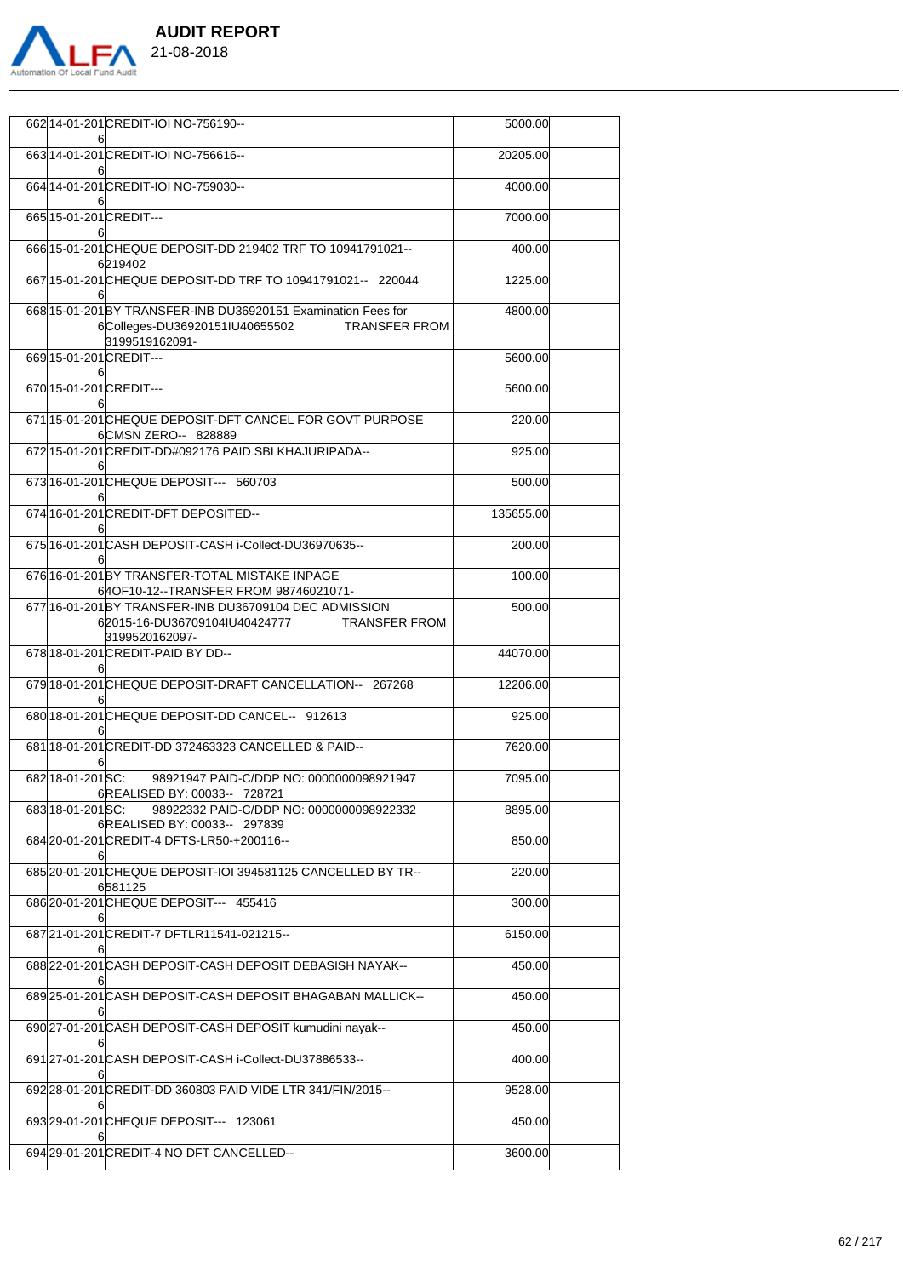

|                       | 662 14-01-201 CREDIT-IOI NO-756190--                                                                                            | 5000.00   |  |
|-----------------------|---------------------------------------------------------------------------------------------------------------------------------|-----------|--|
|                       | 663 14-01-201 CREDIT-IOI NO-756616--                                                                                            | 20205.00  |  |
|                       | 664 14-01-201 CREDIT-IOI NO-759030--                                                                                            | 4000.00   |  |
|                       | 665 15-01-201 CREDIT---                                                                                                         | 7000.00   |  |
|                       | 666 15-01-201 CHEQUE DEPOSIT-DD 219402 TRF TO 10941791021--<br>6219402                                                          | 400.00    |  |
|                       | 66715-01-201CHEQUE DEPOSIT-DD TRF TO 10941791021-- 220044                                                                       | 1225.00   |  |
|                       | 668 15-01-201 BY TRANSFER-INB DU36920151 Examination Fees for<br>6Colleges-DU36920151IU40655502 TRANSFER FROM<br>3199519162091- | 4800.00   |  |
|                       | 669 15-01-201 CREDIT---                                                                                                         | 5600.00   |  |
|                       | 670 15-01-201 CREDIT---                                                                                                         | 5600.00   |  |
|                       | 67115-01-201CHEQUE DEPOSIT-DFT CANCEL FOR GOVT PURPOSE<br>6 CMSN ZERO-- 828889                                                  | 220.00    |  |
|                       | 672 15-01-201 CREDIT-DD#092176 PAID SBI KHAJURIPADA--                                                                           | 925.00    |  |
|                       | 673 16-01-201 CHEQUE DEPOSIT--- 560703                                                                                          | 500.00    |  |
|                       | 67416-01-201CREDIT-DFT DEPOSITED--                                                                                              | 135655.00 |  |
|                       | 675 16-01-201 CASH DEPOSIT-CASH i-Collect-DU36970635--                                                                          | 200.00    |  |
|                       | 676 16-01-201 BY TRANSFER-TOTAL MISTAKE INPAGE<br>64OF10-12--TRANSFER FROM 98746021071-                                         | 100.00    |  |
|                       | 677116-01-201BY TRANSFER-INB DU36709104 DEC ADMISSION<br>62015-16-DU36709104IU40424777<br>TRANSFER FROM<br>3199520162097-       | 500.00    |  |
|                       | 678 18-01-201 CREDIT-PAID BY DD--                                                                                               | 44070.00  |  |
|                       | 67918-01-201CHEQUE DEPOSIT-DRAFT CANCELLATION-- 267268                                                                          | 12206.00  |  |
|                       | 680 18-01-201 CHEQUE DEPOSIT-DD CANCEL-- 912613                                                                                 | 925.00    |  |
|                       | 681 18-01-201 CREDIT-DD 372463323 CANCELLED & PAID--                                                                            | 7620.00   |  |
| 682 18-01-201 SC:     | 98921947 PAID-C/DDP NO: 0000000098921947<br>6REALISED BY: 00033-- 728721                                                        | 7095.00   |  |
| 683 18 - 01 - 201 SC: | 98922332 PAID-C/DDP NO: 0000000098922332<br>6 REALISED BY: 00033-- 297839                                                       | 8895.00   |  |
|                       | 68420-01-201CREDIT-4 DFTS-LR50-+200116--                                                                                        | 850.00    |  |
|                       | 685 20-01-201 CHEQUE DEPOSIT-IOI 394581125 CANCELLED BY TR--<br>6581125                                                         | 220.00    |  |
|                       | 686 20-01-201 CHEQUE DEPOSIT--- 455416                                                                                          | 300.00    |  |
|                       | 68721-01-201CREDIT-7 DFTLR11541-021215--                                                                                        | 6150.00   |  |
|                       | 688 22-01-201 CASH DEPOSIT-CASH DEPOSIT DEBASISH NAYAK--                                                                        | 450.00    |  |
|                       | 689 25-01-201 CASH DEPOSIT-CASH DEPOSIT BHAGABAN MALLICK--                                                                      | 450.00    |  |
|                       | 690 27-01-201 CASH DEPOSIT-CASH DEPOSIT kumudini nayak--                                                                        | 450.00    |  |
|                       | 691 27-01-201 CASH DEPOSIT-CASH i-Collect-DU37886533--                                                                          | 400.00    |  |
|                       | 692 28-01-201 CREDIT-DD 360803 PAID VIDE LTR 341 / FIN / 2015--                                                                 | 9528.00   |  |
|                       | 693 29-01-201 CHEQUE DEPOSIT--- 123061                                                                                          | 450.00    |  |
|                       | 694 29-01-201 CREDIT-4 NO DFT CANCELLED--                                                                                       | 3600.00   |  |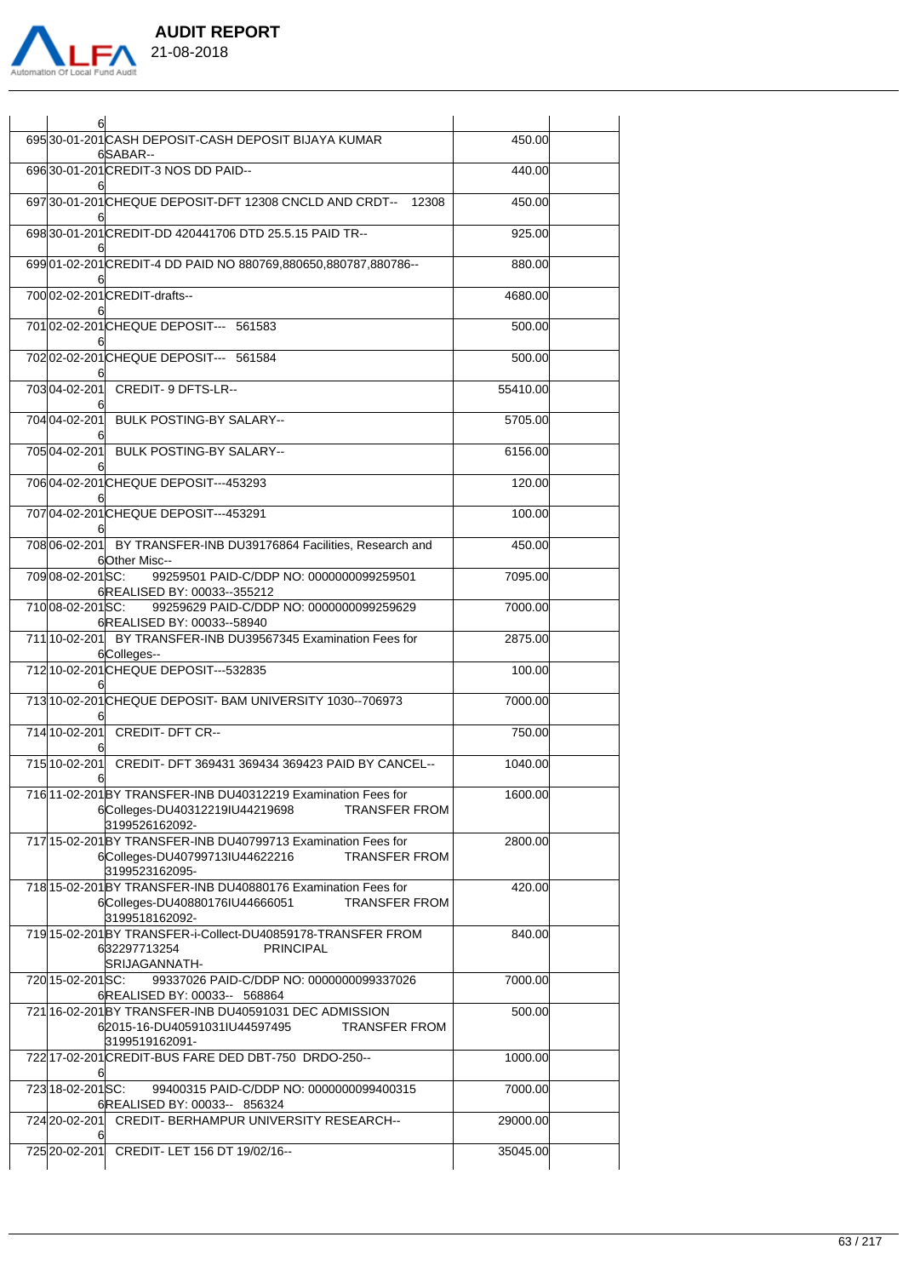

723 18-02-201 SC:

6

724 20-02-201

6 REALISED BY: 00033-- 856324

SC: 99400315 PAID-C/DDP NO: 0000000099400315

725 20-02-201 CREDIT- LET 156 DT 19/02/16-- 35045.00

CREDIT- BERHAMPUR UNIVERSITY RESEARCH-- 29000.00

7000.00

6

695|30-01-201|CASH DEPOSIT-CASH DEPOSIT BIJAYA KUMAR 6 SABAR-- 450.00 696 30-01-201 6 CREDIT-3 NOS DD PAID-- 440.00 697 30-01-201 CHEQUE DEPOSIT-DFT 12308 CNCLD AND CRDT-- 12308 450.00 6 698 30-01-201 CREDIT-DD 420441706 DTD 25.5.15 PAID TR-- 925.00 6 699 01-02-201 CREDIT-4 DD PAID NO 880769,880650,880787,880786-- 880.00 6 700 02-02-201 CREDIT-drafts-- 4680.00 6 701|02-02-201**|CHEQUE DEPOSIT---** 561583 500.00 6 702 02-02-201 CHEQUE DEPOSIT--- 561584 500.00 6 703 04-02-201 6 CREDIT-9 DFTS-LR-- 55410.00 704 04-02-201 6 BULK POSTING-BY SALARY-- 5705.00 705 04-02-201 6 BULK POSTING-BY SALARY-- 6156.00 706 04-02-201 CHEQUE DEPOSIT---453293 120.00 6 707|04-02-201**|CHEQUE DEPOSIT---453291 1**00.00 6 708 06-02-201 6 BY TRANSFER-INB DU39176864 Facilities, Research and Other Misc--  $450.00$ 709 08-02-201 SC: 6 REALISED BY: 00033--355212 SC: 99259501 PAID-C/DDP NO: 0000000099259501 7095.00 710 08-02-201 SC: 6 REALISED BY: 00033--58940 SC: 99259629 PAID-C/DDP NO: 0000000099259629 7000.00 711 10-02-201 6 BY TRANSFER-INB DU39567345 Examination Fees for Colleges-- 2875.00 712|10-02-201**|CHEQUE DEPOSIT---532835 100**.00 6 713 10-02-201 CHEQUE DEPOSIT- BAM UNIVERSITY 1030--706973 7000.00 6 714 10-02-201 6 CREDIT- DFT CR-- 750.00 715 10-02-201 6 CREDIT- DFT 369431 369434 369423 PAID BY CANCEL-- 1040.00 716 11-02-201 BY TRANSFER-INB DU40312219 Examination Fees for 6 Colleges-DU40312219IU44219698 TRANSFER FROM 3199526162092-1600.00 717 15-02-201 BY TRANSFER-INB DU40799713 Examination Fees for 6 Colleges-DU40799713IU44622216 TRANSFER FROM 3199523162095- 2800.00 718 15-02-201 BY TRANSFER-INB DU40880176 Examination Fees for 6 Colleges-DU40880176IU44666051 TRANSFER FROM 3199518162092- 420.00 719 15-02-201 BY TRANSFER-i-Collect-DU40859178-TRANSFER FROM 6 32297713254 PRINCIPAL SRIJAGANNATH- $840.00$ 720 15-02-201 SC: 6 REALISED BY: 00033-- 568864 SC: 99337026 PAID-C/DDP NO: 0000000099337026 7000.00 721 16-02-201 BY TRANSFER-INB DU40591031 DEC ADMISSION 6 2015-16-DU40591031IU44597495 TRANSFER FROM 3199519162091- 500.00 722 17-02-201 CREDIT-BUS FARE DED DBT-750 DRDO-250-- 1000.00 6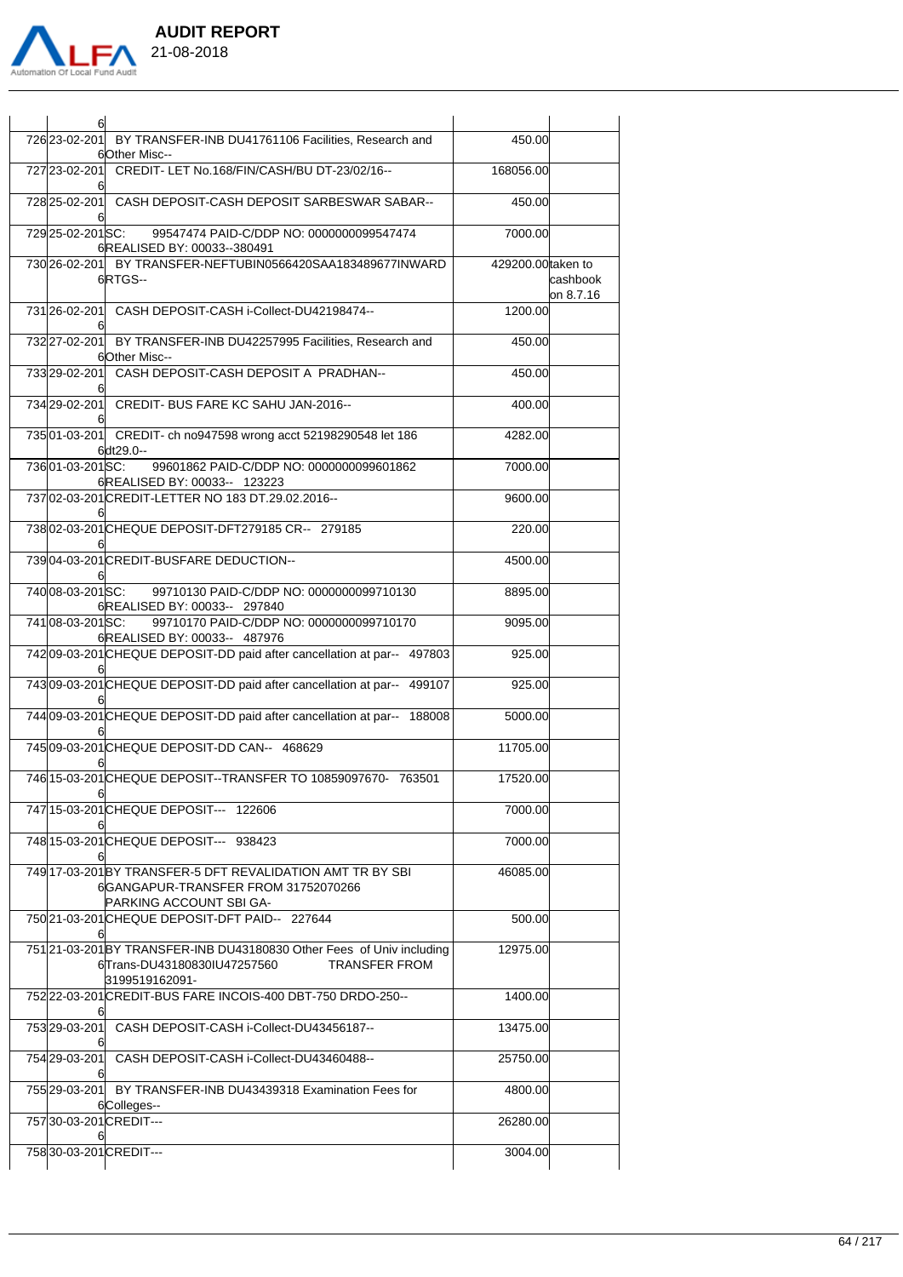

|            | <b>AUDIT REPORT</b> |
|------------|---------------------|
| 21-08-2018 |                     |

| 61                |                                                                                                                              |                    |           |
|-------------------|------------------------------------------------------------------------------------------------------------------------------|--------------------|-----------|
| 726 23-02-201     | BY TRANSFER-INB DU41761106 Facilities, Research and<br>6Other Misc--                                                         | 450.00             |           |
|                   | 727 23-02-201 CREDIT- LET No.168/FIN/CASH/BU DT-23/02/16--                                                                   | 168056.00          |           |
|                   | 728 25-02-201 CASH DEPOSIT-CASH DEPOSIT SARBESWAR SABAR--                                                                    | 450.00             |           |
| 729 25-02-201 SC: | 99547474 PAID-C/DDP NO: 0000000099547474<br>6REALISED BY: 00033--380491                                                      | 7000.00            |           |
|                   | 730 26-02-201 BY TRANSFER-NEFTUBIN0566420SAA183489677INWARD<br>6RTGS--                                                       | 429200.00 taken to | cashbook  |
|                   | 731 26-02-201 CASH DEPOSIT-CASH i-Collect-DU42198474--                                                                       | 1200.00            | on 8.7.16 |
|                   |                                                                                                                              |                    |           |
|                   | 732 27-02-201 BY TRANSFER-INB DU42257995 Facilities, Research and<br>6Other Misc--                                           | 450.00             |           |
|                   | 733 29-02-201 CASH DEPOSIT-CASH DEPOSIT A PRADHAN--                                                                          | 450.00             |           |
|                   | 734 29-02-201 CREDIT- BUS FARE KC SAHU JAN-2016--                                                                            | 400.00             |           |
|                   | 735 01-03-201 CREDIT- ch no947598 wrong acct 52198290548 let 186<br>6dt29.0--                                                | 4282.00            |           |
| 73601-03-201SC:   | 99601862 PAID-C/DDP NO: 0000000099601862<br>6REALISED BY: 00033-- 123223                                                     | 7000.00            |           |
|                   | 73702-03-201CREDIT-LETTER NO 183 DT.29.02.2016--                                                                             | 9600.00            |           |
|                   | 73802-03-201CHEQUE DEPOSIT-DFT279185 CR-- 279185                                                                             | 220.00             |           |
|                   | 73904-03-201CREDIT-BUSFARE DEDUCTION--                                                                                       | 4500.00            |           |
| 740 08-03-201 SC: | 99710130 PAID-C/DDP NO: 0000000099710130                                                                                     | 8895.00            |           |
| 74108-03-201SC:   | 6REALISED BY: 00033-- 297840<br>99710170 PAID-C/DDP NO: 0000000099710170                                                     | 9095.00            |           |
|                   | 6REALISED BY: 00033-- 487976<br>74209-03-201CHEQUE DEPOSIT-DD paid after cancellation at par-- 497803                        | 925.00             |           |
|                   | 74309-03-201CHEQUE DEPOSIT-DD paid after cancellation at par-- 499107                                                        | 925.00             |           |
|                   | 74409-03-201CHEQUE DEPOSIT-DD paid after cancellation at par-- 188008                                                        | 5000.00            |           |
|                   | 74509-03-201CHEQUE DEPOSIT-DD CAN-- 468629                                                                                   | 11705.00           |           |
|                   | 746 15-03-201 CHEQUE DEPOSIT--TRANSFER TO 10859097670- 763501                                                                | 17520.00           |           |
|                   | 747 15-03-201 CHEQUE DEPOSIT--- 122606                                                                                       | 7000.00            |           |
|                   | 748 15-03-201 CHEQUE DEPOSIT--- 938423                                                                                       | 7000.00            |           |
|                   |                                                                                                                              |                    |           |
|                   | 749 17-03-201 BY TRANSFER-5 DFT REVALIDATION AMT TR BY SBI<br>6GANGAPUR-TRANSFER FROM 31752070266<br>PARKING ACCOUNT SBI GA- | 46085.00           |           |
|                   | 750 21-03-201 CHEQUE DEPOSIT-DFT PAID-- 227644                                                                               | 500.00             |           |
|                   | 75121-03-201BY TRANSFER-INB DU43180830 Other Fees of Univ including                                                          | 12975.00           |           |
|                   | <b>TRANSFER FROM</b><br>6Trans-DU43180830IU47257560<br>3199519162091-                                                        |                    |           |
|                   | 752 22-03-201 CREDIT-BUS FARE INCOIS-400 DBT-750 DRDO-250--                                                                  | 1400.00            |           |
| 753 29-03-201     | CASH DEPOSIT-CASH i-Collect-DU43456187--                                                                                     | 13475.00           |           |
| 754 29-03-201     | CASH DEPOSIT-CASH i-Collect-DU43460488--                                                                                     | 25750.00           |           |
|                   | 755 29-03-201 BY TRANSFER-INB DU43439318 Examination Fees for<br>6Colleges--                                                 | 4800.00            |           |
|                   | 75730-03-201CREDIT---                                                                                                        | 26280.00           |           |
| 61                |                                                                                                                              |                    |           |

758 30-03-201CREDIT--- 3004.00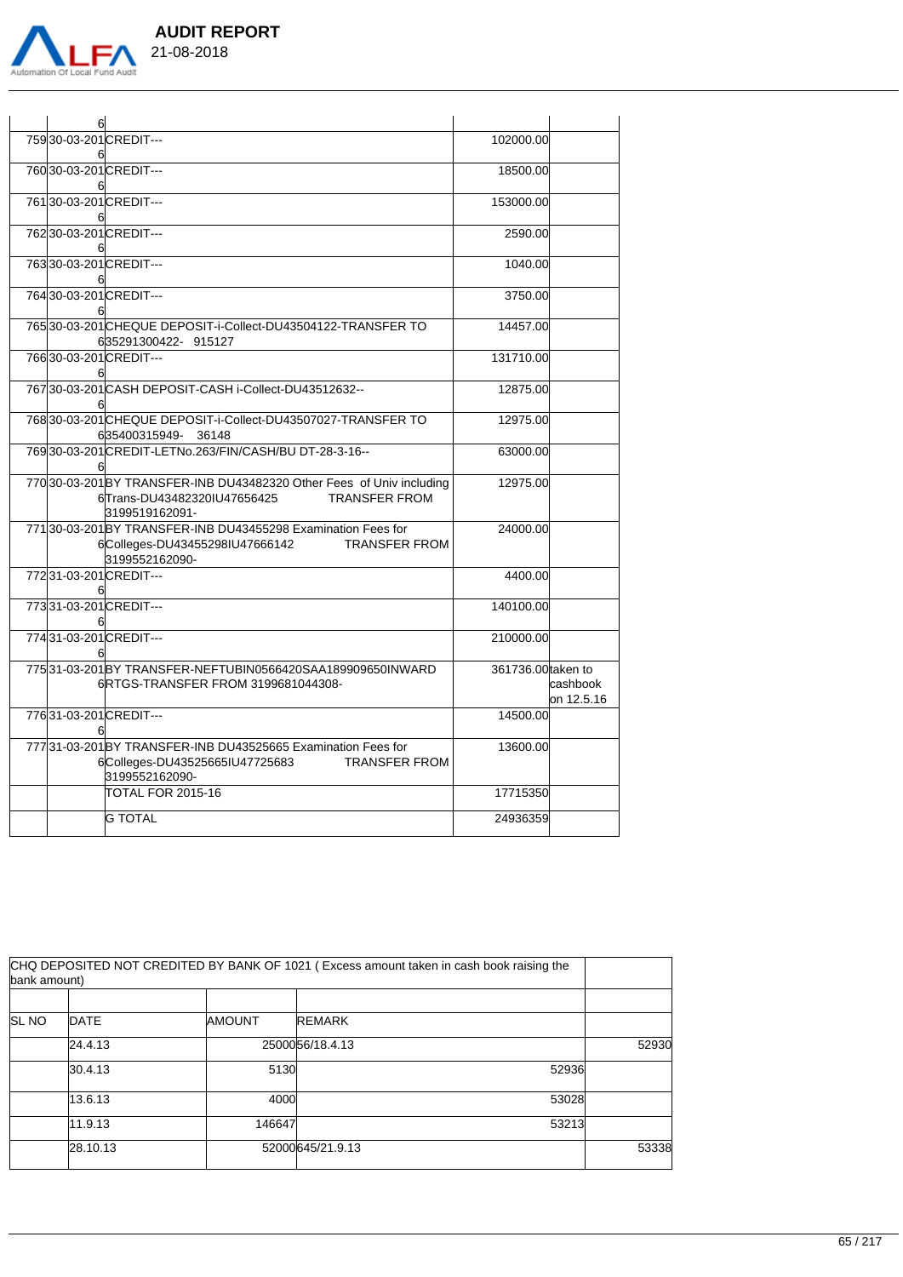

| 61 |                                                                                                                                                 |                    |                        |
|----|-------------------------------------------------------------------------------------------------------------------------------------------------|--------------------|------------------------|
|    | 75930-03-201CREDIT---                                                                                                                           | 102000.00          |                        |
|    | 76030-03-201CREDIT---                                                                                                                           | 18500.00           |                        |
|    | 76130-03-201CREDIT---                                                                                                                           | 153000.00          |                        |
|    | 76230-03-201CREDIT---                                                                                                                           | 2590.00            |                        |
|    | 76330-03-201CREDIT---                                                                                                                           | 1040.00            |                        |
|    | 76430-03-201CREDIT---                                                                                                                           | 3750.00            |                        |
|    | 76530-03-201CHEQUE DEPOSIT-i-Collect-DU43504122-TRANSFER TO                                                                                     | 14457.00           |                        |
|    | 635291300422-915127<br>76630-03-201CREDIT---                                                                                                    | 131710.00          |                        |
|    | 76730-03-201 CASH DEPOSIT-CASH i-Collect-DU43512632--                                                                                           | 12875.00           |                        |
|    | 76830-03-201CHEQUE DEPOSIT-i-Collect-DU43507027-TRANSFER TO<br>635400315949-36148                                                               | 12975.00           |                        |
|    | 769 30-03-201 CREDIT-LETNo. 263 / FIN / CASH / BUDT-28-3-16--                                                                                   | 63000.00           |                        |
|    | 770 30-03-201 BY TRANSFER-INB DU43482320 Other Fees of Univ including<br><b>TRANSFER FROM</b><br>6Trans-DU43482320IU47656425<br>l3199519162091- | 12975.00           |                        |
|    | 77130-03-201BY TRANSFER-INB DU43455298 Examination Fees for<br>6Colleges-DU43455298IU47666142<br><b>TRANSFER FROM</b><br>3199552162090-         | 24000.00           |                        |
|    | 77231-03-201CREDIT---                                                                                                                           | 4400.00            |                        |
|    | 77331-03-201CREDIT---                                                                                                                           | 140100.00          |                        |
|    | 77431-03-201CREDIT---                                                                                                                           | 210000.00          |                        |
|    | 775 31-03-201 BY TRANSFER-NEFTUBIN 0566420 SAA189909650 IN WARD<br>6 RTGS-TRANSFER FROM 3199681044308-                                          | 361736.00 taken to | cashbook<br>on 12.5.16 |
|    | 77631-03-201CREDIT---                                                                                                                           | 14500.00           |                        |
|    | 77731-03-201BY TRANSFER-INB DU43525665 Examination Fees for<br><b>TRANSFER FROM</b><br>6Colleges-DU43525665IU47725683<br>3199552162090-         | 13600.00           |                        |
|    | ТОТАL FOR 2015-16                                                                                                                               | 17715350           |                        |
|    | <b>G TOTAL</b>                                                                                                                                  | 24936359           |                        |

|              | CHQ DEPOSITED NOT CREDITED BY BANK OF 1021 (Excess amount taken in cash book raising the<br>bank amount) |               |                   |       |  |  |
|--------------|----------------------------------------------------------------------------------------------------------|---------------|-------------------|-------|--|--|
|              |                                                                                                          |               |                   |       |  |  |
| <b>SL NO</b> | <b>DATE</b>                                                                                              | <b>AMOUNT</b> | <b>REMARK</b>     |       |  |  |
|              | 24.4.13                                                                                                  |               | 25000 56/18.4.13  | 52930 |  |  |
|              | 30.4.13                                                                                                  | 5130          | 52936             |       |  |  |
|              | 13.6.13                                                                                                  | 4000          | 53028             |       |  |  |
|              | 11.9.13                                                                                                  | 146647        | 53213             |       |  |  |
|              | 28.10.13                                                                                                 |               | 52000 645/21.9.13 | 53338 |  |  |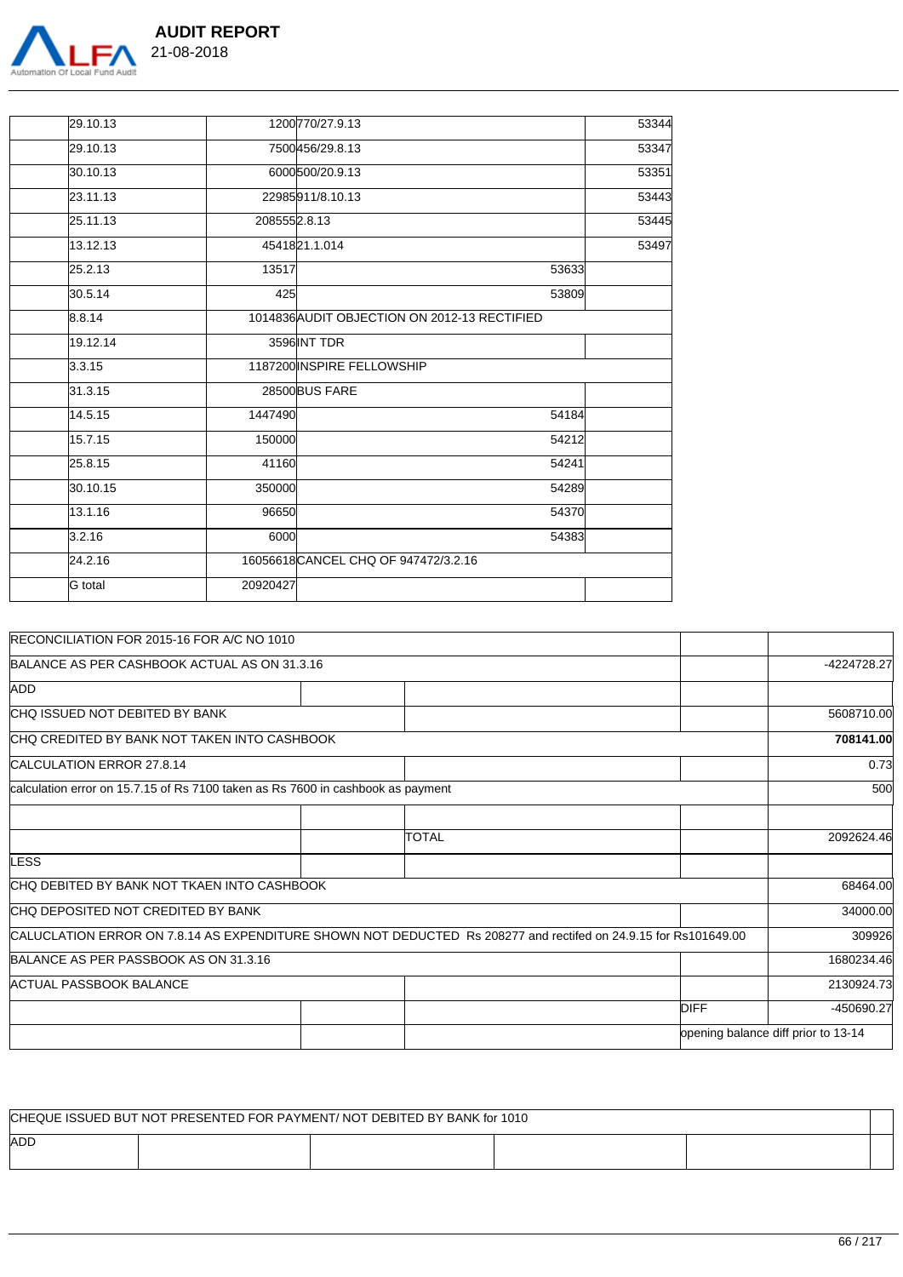

| 29.10.13 |              | 1200770/27.9.13                              | 53344 |
|----------|--------------|----------------------------------------------|-------|
| 29.10.13 |              | 7500456/29.8.13                              | 53347 |
| 30.10.13 |              | 6000500/20.9.13                              | 53351 |
| 23.11.13 |              | 22985911/8.10.13                             | 53443 |
| 25.11.13 | 2085552.8.13 |                                              | 53445 |
| 13.12.13 |              | 4541821.1.014                                | 53497 |
| 25.2.13  | 13517        | 53633                                        |       |
| 30.5.14  | 425          | 53809                                        |       |
| 8.8.14   |              | 1014836 AUDIT OBJECTION ON 2012-13 RECTIFIED |       |
| 19.12.14 |              | 3596 INT TDR                                 |       |
| 3.3.15   |              | 1187200 INSPIRE FELLOWSHIP                   |       |
| 31.3.15  |              | 28500 BUS FARE                               |       |
| 14.5.15  | 1447490      | 54184                                        |       |
| 15.7.15  | 150000       | 54212                                        |       |
| 25.8.15  | 41160        | 54241                                        |       |
| 30.10.15 | 350000       | 54289                                        |       |
| 13.1.16  | 96650        | 54370                                        |       |
| 3.2.16   | 6000         | 54383                                        |       |
| 24.2.16  |              | 16056618 CANCEL CHQ OF 947472/3.2.16         |       |
| G total  | 20920427     |                                              |       |
|          |              |                                              |       |

| RECONCILIATION FOR 2015-16 FOR A/C NO 1010                                                                      |  |              |                                     |             |  |
|-----------------------------------------------------------------------------------------------------------------|--|--------------|-------------------------------------|-------------|--|
| BALANCE AS PER CASHBOOK ACTUAL AS ON 31.3.16                                                                    |  |              |                                     | -4224728.27 |  |
| <b>ADD</b>                                                                                                      |  |              |                                     |             |  |
| CHQ ISSUED NOT DEBITED BY BANK                                                                                  |  |              |                                     | 5608710.00  |  |
| CHQ CREDITED BY BANK NOT TAKEN INTO CASHBOOK                                                                    |  |              |                                     |             |  |
| <b>CALCULATION ERROR 27.8.14</b>                                                                                |  |              |                                     |             |  |
| calculation error on 15.7.15 of Rs 7100 taken as Rs 7600 in cashbook as payment                                 |  |              |                                     | 500         |  |
|                                                                                                                 |  |              |                                     |             |  |
|                                                                                                                 |  | <b>TOTAL</b> |                                     | 2092624.46  |  |
| <b>LESS</b>                                                                                                     |  |              |                                     |             |  |
| CHQ DEBITED BY BANK NOT TKAEN INTO CASHBOOK                                                                     |  |              |                                     | 68464.00    |  |
| CHQ DEPOSITED NOT CREDITED BY BANK                                                                              |  |              |                                     | 34000.00    |  |
| CALUCLATION ERROR ON 7.8.14 AS EXPENDITURE SHOWN NOT DEDUCTED Rs 208277 and rectifed on 24.9.15 for Rs101649.00 |  |              |                                     | 309926      |  |
| BALANCE AS PER PASSBOOK AS ON 31.3.16                                                                           |  |              |                                     | 1680234.46  |  |
| ACTUAL PASSBOOK BALANCE                                                                                         |  |              |                                     | 2130924.73  |  |
|                                                                                                                 |  |              | DIFF                                | -450690.27  |  |
|                                                                                                                 |  |              | opening balance diff prior to 13-14 |             |  |

| CHEQUE ISSUED BUT NOT PRESENTED FOR PAYMENT/ NOT DEBITED BY BANK for 1010 |  |  |  |  |  |
|---------------------------------------------------------------------------|--|--|--|--|--|
| ADD                                                                       |  |  |  |  |  |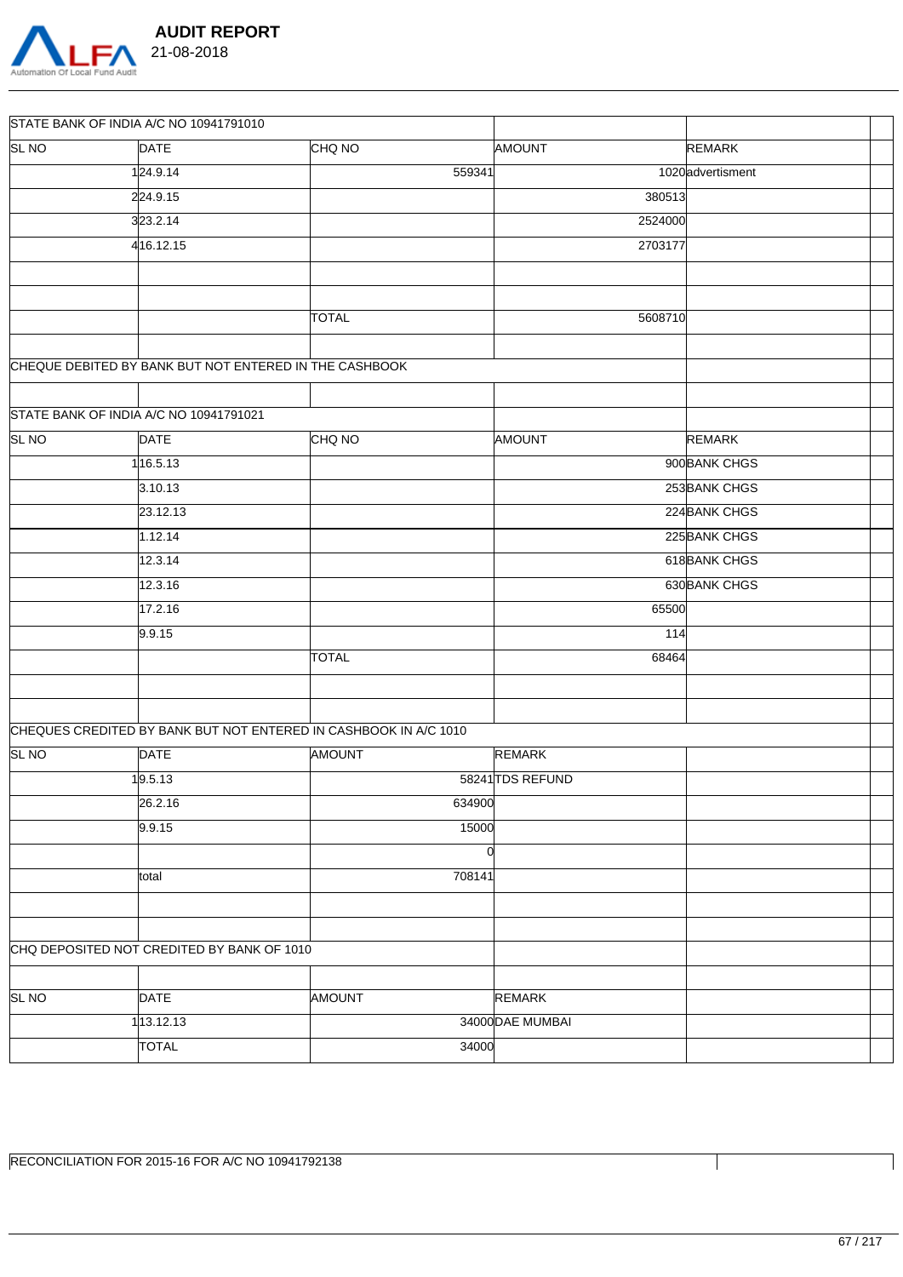

|                  | STATE BANK OF INDIA A/C NO 10941791010     |                                                                  |                  |                   |  |
|------------------|--------------------------------------------|------------------------------------------------------------------|------------------|-------------------|--|
| SL <sub>NO</sub> | <b>DATE</b>                                | CHQ NO                                                           | AMOUNT           | <b>REMARK</b>     |  |
|                  | 124.9.14                                   | 559341                                                           |                  | 1020 advertisment |  |
|                  | 224.9.15                                   |                                                                  | 380513           |                   |  |
|                  | 323.2.14                                   |                                                                  | 2524000          |                   |  |
|                  | 416.12.15                                  |                                                                  | 2703177          |                   |  |
|                  |                                            |                                                                  |                  |                   |  |
|                  |                                            |                                                                  |                  |                   |  |
|                  |                                            | <b>TOTAL</b>                                                     | 5608710          |                   |  |
|                  |                                            |                                                                  |                  |                   |  |
|                  |                                            | CHEQUE DEBITED BY BANK BUT NOT ENTERED IN THE CASHBOOK           |                  |                   |  |
|                  |                                            |                                                                  |                  |                   |  |
|                  | STATE BANK OF INDIA A/C NO 10941791021     |                                                                  |                  |                   |  |
| SL <sub>NO</sub> | <b>DATE</b>                                | CHQ NO                                                           | AMOUNT           | <b>REMARK</b>     |  |
|                  | 116.5.13                                   |                                                                  |                  | 900 BANK CHGS     |  |
|                  | 3.10.13                                    |                                                                  |                  | 253 BANK CHGS     |  |
|                  | 23.12.13                                   |                                                                  |                  | 224 BANK CHGS     |  |
|                  | 1.12.14                                    |                                                                  |                  | 225 BANK CHGS     |  |
|                  | 12.3.14                                    |                                                                  |                  | 618 BANK CHGS     |  |
|                  | 12.3.16                                    |                                                                  |                  | 630 BANK CHGS     |  |
|                  | 17.2.16                                    |                                                                  | 65500            |                   |  |
|                  | 9.9.15                                     |                                                                  | 114              |                   |  |
|                  |                                            | <b>TOTAL</b>                                                     | 68464            |                   |  |
|                  |                                            |                                                                  |                  |                   |  |
|                  |                                            |                                                                  |                  |                   |  |
|                  |                                            | CHEQUES CREDITED BY BANK BUT NOT ENTERED IN CASHBOOK IN A/C 1010 |                  |                   |  |
| SL <sub>NO</sub> | DATE                                       | AMOUNT                                                           | <b>REMARK</b>    |                   |  |
|                  | 19.5.13                                    |                                                                  | 58241 TDS REFUND |                   |  |
|                  | 26.2.16                                    | 634900                                                           |                  |                   |  |
|                  | 9.9.15                                     | 15000                                                            |                  |                   |  |
|                  |                                            | $\overline{0}$                                                   |                  |                   |  |
|                  | total                                      | 708141                                                           |                  |                   |  |
|                  |                                            |                                                                  |                  |                   |  |
|                  |                                            |                                                                  |                  |                   |  |
|                  | CHQ DEPOSITED NOT CREDITED BY BANK OF 1010 |                                                                  |                  |                   |  |
|                  |                                            |                                                                  |                  |                   |  |
| SL <sub>NO</sub> | DATE                                       | <b>AMOUNT</b>                                                    | <b>REMARK</b>    |                   |  |
|                  | 113.12.13                                  |                                                                  | 34000 DAE MUMBAI |                   |  |
|                  | <b>TOTAL</b>                               | 34000                                                            |                  |                   |  |
|                  |                                            |                                                                  |                  |                   |  |

 $\overline{\phantom{a}}$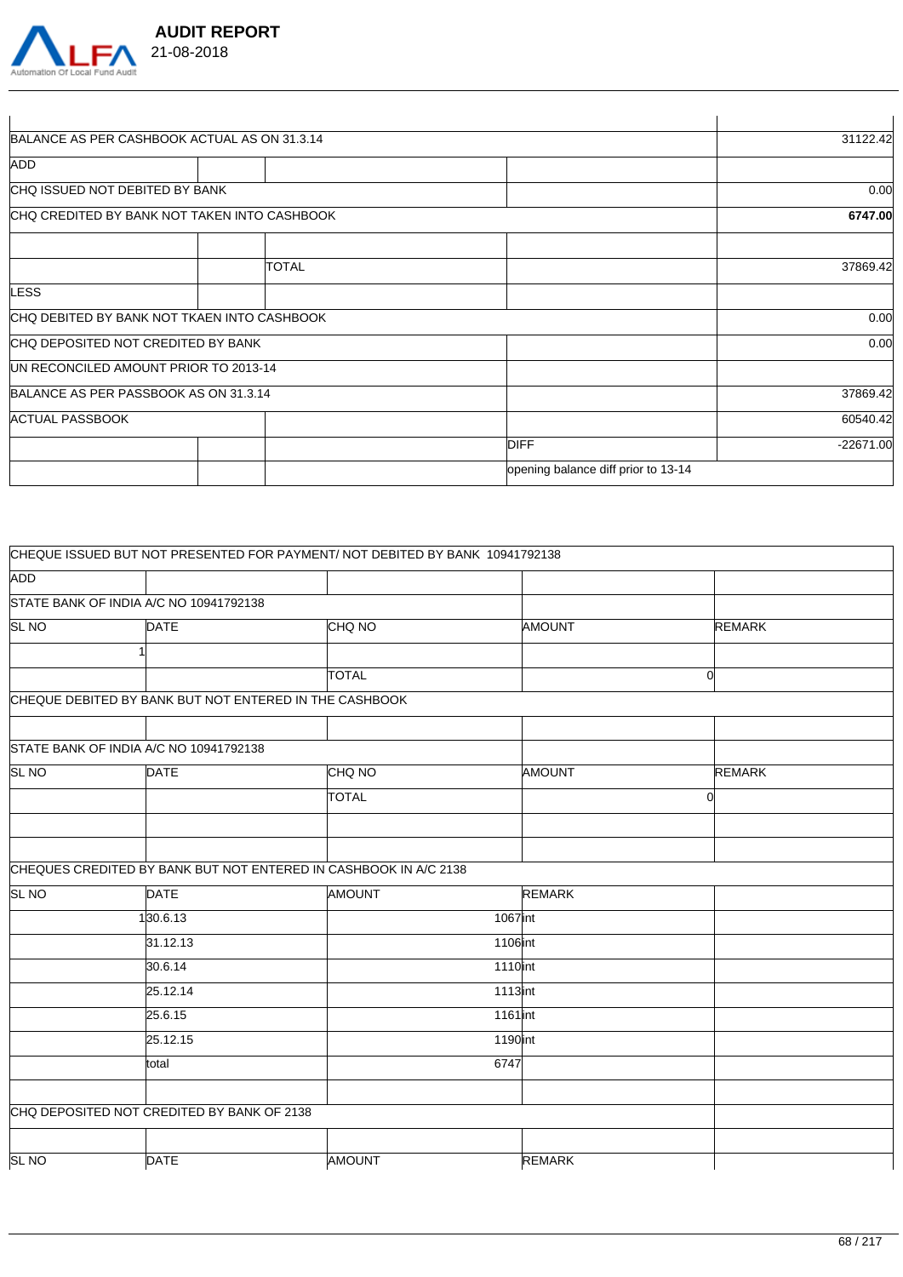

| BALANCE AS PER CASHBOOK ACTUAL AS ON 31.3.14 |              |                                     | 31122.42    |
|----------------------------------------------|--------------|-------------------------------------|-------------|
| ADD                                          |              |                                     |             |
| CHQ ISSUED NOT DEBITED BY BANK               |              |                                     | 0.00        |
| CHQ CREDITED BY BANK NOT TAKEN INTO CASHBOOK |              |                                     | 6747.00     |
|                                              |              |                                     |             |
|                                              | <b>TOTAL</b> |                                     | 37869.42    |
| <b>LESS</b>                                  |              |                                     |             |
| CHQ DEBITED BY BANK NOT TKAEN INTO CASHBOOK  |              |                                     | 0.00        |
| CHQ DEPOSITED NOT CREDITED BY BANK           |              |                                     | 0.00        |
| UN RECONCILED AMOUNT PRIOR TO 2013-14        |              |                                     |             |
| BALANCE AS PER PASSBOOK AS ON 31.3.14        |              |                                     | 37869.42    |
| <b>ACTUAL PASSBOOK</b>                       |              |                                     | 60540.42    |
|                                              |              | <b>DIFF</b>                         | $-22671.00$ |
|                                              |              | opening balance diff prior to 13-14 |             |

|                  |                                                        | CHEQUE ISSUED BUT NOT PRESENTED FOR PAYMENT/ NOT DEBITED BY BANK 10941792138 |          |               |    |               |
|------------------|--------------------------------------------------------|------------------------------------------------------------------------------|----------|---------------|----|---------------|
| <b>ADD</b>       |                                                        |                                                                              |          |               |    |               |
|                  | STATE BANK OF INDIA A/C NO 10941792138                 |                                                                              |          |               |    |               |
| SL <sub>NO</sub> | <b>DATE</b>                                            | CHQ NO                                                                       |          | <b>AMOUNT</b> |    | <b>REMARK</b> |
|                  |                                                        |                                                                              |          |               |    |               |
|                  |                                                        | <b>TOTAL</b>                                                                 |          |               | 0l |               |
|                  | CHEQUE DEBITED BY BANK BUT NOT ENTERED IN THE CASHBOOK |                                                                              |          |               |    |               |
|                  |                                                        |                                                                              |          |               |    |               |
|                  | STATE BANK OF INDIA A/C NO 10941792138                 |                                                                              |          |               |    |               |
| SL <sub>NO</sub> | DATE                                                   | <b>CHQ NO</b>                                                                |          | <b>AMOUNT</b> |    | <b>REMARK</b> |
|                  |                                                        | <b>TOTAL</b>                                                                 |          |               | 0l |               |
|                  |                                                        |                                                                              |          |               |    |               |
|                  |                                                        |                                                                              |          |               |    |               |
|                  |                                                        | CHEQUES CREDITED BY BANK BUT NOT ENTERED IN CASHBOOK IN A/C 2138             |          |               |    |               |
| SL <sub>NO</sub> | <b>DATE</b>                                            | AMOUNT                                                                       |          | <b>REMARK</b> |    |               |
|                  | 130.6.13                                               |                                                                              | 1067int  |               |    |               |
|                  | 31.12.13                                               |                                                                              | 1106 int |               |    |               |
|                  | 30.6.14                                                |                                                                              | 1110 int |               |    |               |
|                  | 25.12.14                                               |                                                                              | 1113int  |               |    |               |
|                  | 25.6.15                                                |                                                                              | 1161 int |               |    |               |
|                  | 25.12.15                                               |                                                                              | 1190 int |               |    |               |
|                  | total                                                  |                                                                              | 6747     |               |    |               |
|                  |                                                        |                                                                              |          |               |    |               |
|                  | CHQ DEPOSITED NOT CREDITED BY BANK OF 2138             |                                                                              |          |               |    |               |
|                  |                                                        |                                                                              |          |               |    |               |
| SL <sub>NO</sub> | <b>DATE</b>                                            | <b>AMOUNT</b>                                                                |          | <b>REMARK</b> |    |               |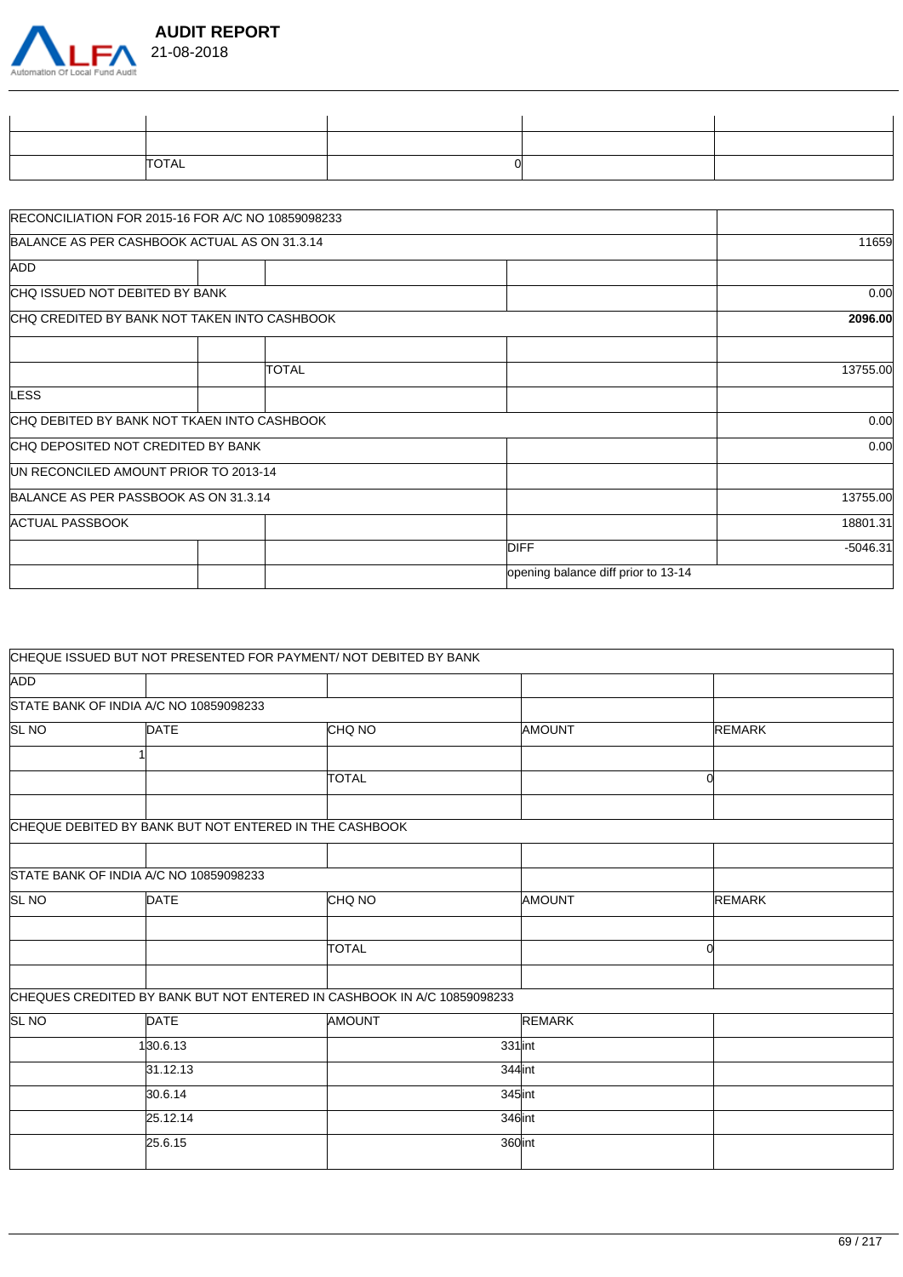

| <b>TOTAL</b> |  |  |
|--------------|--|--|
|              |  |  |

| <b>RECONCILIATION FOR 2015-16 FOR A/C NO 10859098233</b> |              |                                     |            |
|----------------------------------------------------------|--------------|-------------------------------------|------------|
| BALANCE AS PER CASHBOOK ACTUAL AS ON 31.3.14             |              |                                     | 11659      |
| <b>ADD</b>                                               |              |                                     |            |
| CHQ ISSUED NOT DEBITED BY BANK                           |              |                                     | 0.00       |
| CHQ CREDITED BY BANK NOT TAKEN INTO CASHBOOK             |              |                                     | 2096.00    |
|                                                          | <b>TOTAL</b> |                                     | 13755.00   |
| LESS                                                     |              |                                     |            |
| CHQ DEBITED BY BANK NOT TKAEN INTO CASHBOOK              |              |                                     | 0.00       |
| CHQ DEPOSITED NOT CREDITED BY BANK                       |              |                                     | 0.00       |
| UN RECONCILED AMOUNT PRIOR TO 2013-14                    |              |                                     |            |
| BALANCE AS PER PASSBOOK AS ON 31.3.14                    |              |                                     | 13755.00   |
| <b>ACTUAL PASSBOOK</b>                                   |              |                                     | 18801.31   |
|                                                          |              | <b>DIFF</b>                         | $-5046.31$ |
|                                                          |              | opening balance diff prior to 13-14 |            |

|                  |                                        | CHEQUE ISSUED BUT NOT PRESENTED FOR PAYMENT/ NOT DEBITED BY BANK        |               |               |
|------------------|----------------------------------------|-------------------------------------------------------------------------|---------------|---------------|
| <b>ADD</b>       |                                        |                                                                         |               |               |
|                  | STATE BANK OF INDIA A/C NO 10859098233 |                                                                         |               |               |
| SL <sub>NO</sub> | <b>DATE</b>                            | CHQ NO                                                                  | AMOUNT        | <b>REMARK</b> |
|                  |                                        |                                                                         |               |               |
|                  |                                        | <b>TOTAL</b>                                                            |               |               |
|                  |                                        |                                                                         |               |               |
|                  |                                        | CHEQUE DEBITED BY BANK BUT NOT ENTERED IN THE CASHBOOK                  |               |               |
|                  |                                        |                                                                         |               |               |
|                  | STATE BANK OF INDIA A/C NO 10859098233 |                                                                         |               |               |
| SL <sub>NO</sub> | DATE                                   | CHQ NO                                                                  | <b>AMOUNT</b> | <b>REMARK</b> |
|                  |                                        |                                                                         |               |               |
|                  |                                        | <b>TOTAL</b>                                                            |               | ∩             |
|                  |                                        |                                                                         |               |               |
|                  |                                        | CHEQUES CREDITED BY BANK BUT NOT ENTERED IN CASHBOOK IN A/C 10859098233 |               |               |
| SL <sub>NO</sub> | DATE                                   | AMOUNT                                                                  | <b>REMARK</b> |               |
|                  | 130.6.13                               |                                                                         | $331$ int     |               |
|                  | 31.12.13                               |                                                                         | 344 int       |               |
|                  | 30.6.14                                |                                                                         | 345 int       |               |
|                  | 25.12.14                               |                                                                         | 346 int       |               |
|                  | 25.6.15                                |                                                                         | 360int        |               |
|                  |                                        |                                                                         |               |               |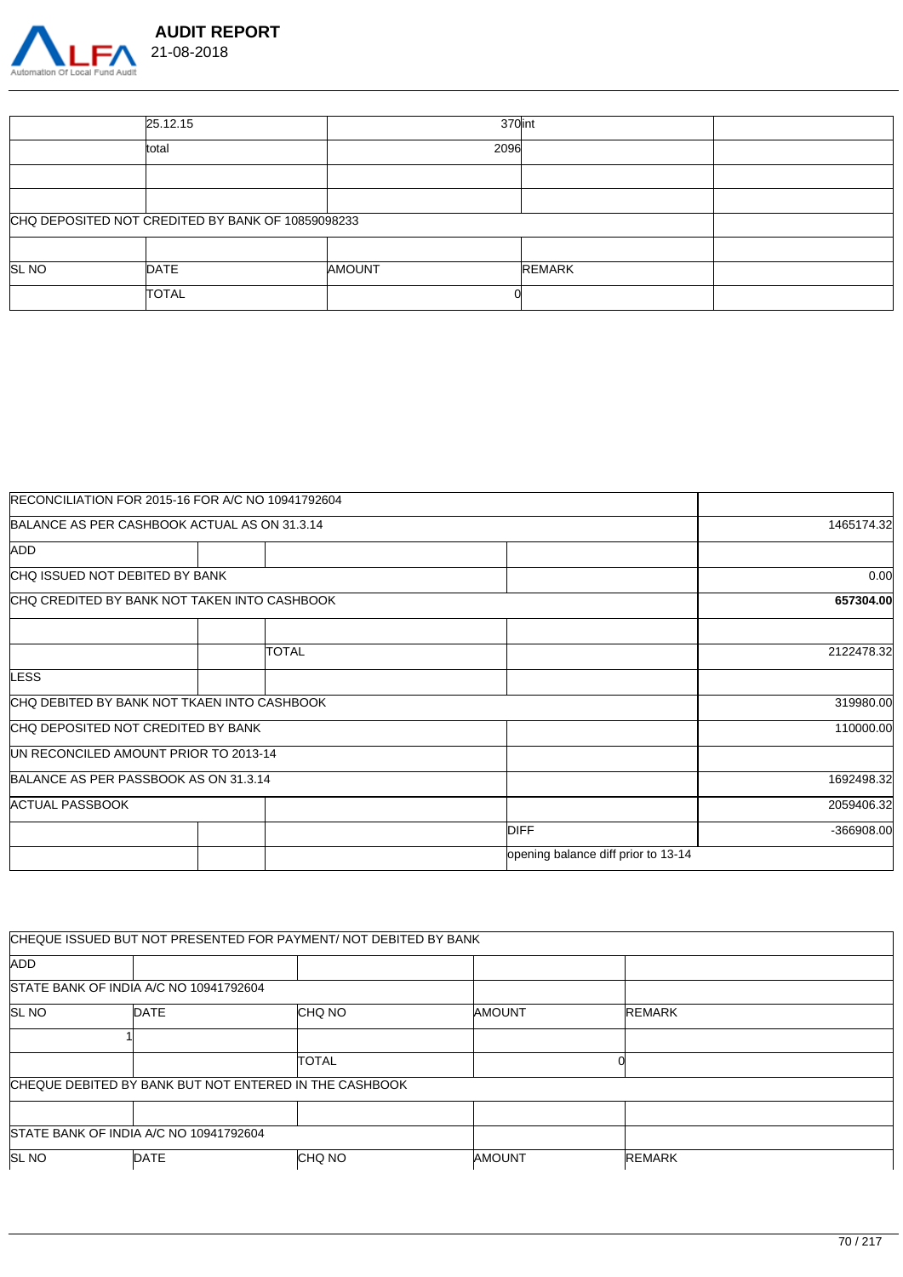

|       | 25.12.15                                          | 370 int       |               |  |
|-------|---------------------------------------------------|---------------|---------------|--|
|       | ttotal                                            | 2096          |               |  |
|       |                                                   |               |               |  |
|       |                                                   |               |               |  |
|       | CHQ DEPOSITED NOT CREDITED BY BANK OF 10859098233 |               |               |  |
|       |                                                   |               |               |  |
| SL NO | DATE                                              | <b>AMOUNT</b> | <b>REMARK</b> |  |
|       | <b>TOTAL</b>                                      |               |               |  |

|                                              | RECONCILIATION FOR 2015-16 FOR A/C NO 10941792604 |                                     |            |
|----------------------------------------------|---------------------------------------------------|-------------------------------------|------------|
| BALANCE AS PER CASHBOOK ACTUAL AS ON 31.3.14 | 1465174.32                                        |                                     |            |
| <b>ADD</b>                                   |                                                   |                                     |            |
| CHQ ISSUED NOT DEBITED BY BANK               |                                                   |                                     | 0.00       |
|                                              | CHQ CREDITED BY BANK NOT TAKEN INTO CASHBOOK      |                                     | 657304.00  |
|                                              | <b>TOTAL</b>                                      |                                     | 2122478.32 |
| <b>LESS</b>                                  |                                                   |                                     |            |
| CHQ DEBITED BY BANK NOT TKAEN INTO CASHBOOK  |                                                   |                                     | 319980.00  |
| CHQ DEPOSITED NOT CREDITED BY BANK           |                                                   |                                     | 110000.00  |
| UN RECONCILED AMOUNT PRIOR TO 2013-14        |                                                   |                                     |            |
| BALANCE AS PER PASSBOOK AS ON 31.3.14        |                                                   |                                     | 1692498.32 |
| ACTUAL PASSBOOK                              |                                                   |                                     | 2059406.32 |
|                                              |                                                   | <b>DIFF</b>                         | -366908.00 |
|                                              |                                                   | opening balance diff prior to 13-14 |            |

|                                        |                                                        | CHEQUE ISSUED BUT NOT PRESENTED FOR PAYMENT/ NOT DEBITED BY BANK |               |               |
|----------------------------------------|--------------------------------------------------------|------------------------------------------------------------------|---------------|---------------|
| ADD                                    |                                                        |                                                                  |               |               |
|                                        | STATE BANK OF INDIA A/C NO 10941792604                 |                                                                  |               |               |
| <b>SL NO</b>                           | <b>DATE</b>                                            | <b>CHQ NO</b>                                                    | <b>AMOUNT</b> | <b>REMARK</b> |
|                                        |                                                        |                                                                  |               |               |
|                                        |                                                        | <b>TOTAL</b>                                                     |               |               |
|                                        | CHEQUE DEBITED BY BANK BUT NOT ENTERED IN THE CASHBOOK |                                                                  |               |               |
|                                        |                                                        |                                                                  |               |               |
| STATE BANK OF INDIA A/C NO 10941792604 |                                                        |                                                                  |               |               |
| <b>SL NO</b>                           | <b>DATE</b>                                            | CHQ NO                                                           | <b>AMOUNT</b> | <b>REMARK</b> |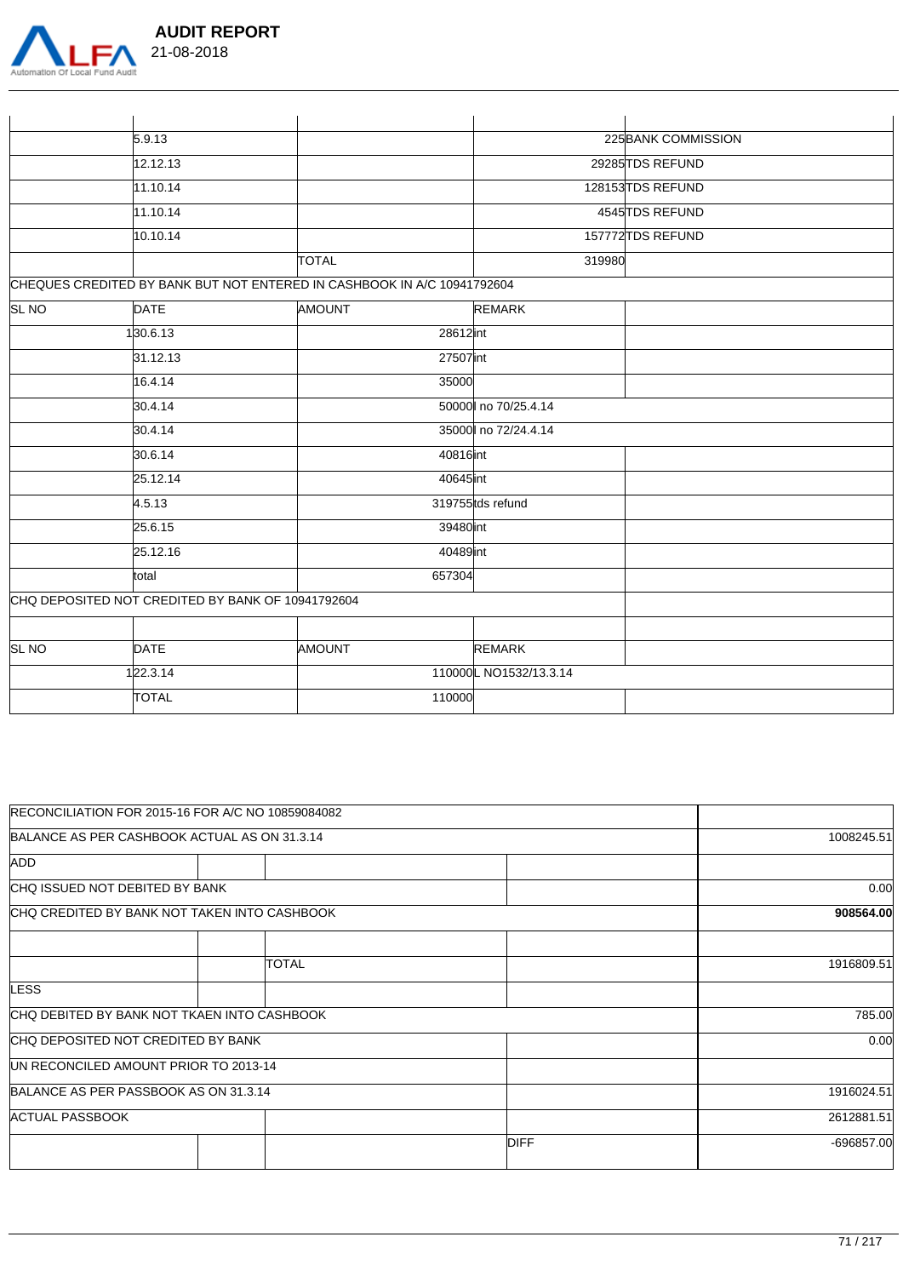

|              | 5.9.13                                            |                                                                         |                        | 225 BANK COMMISSION |
|--------------|---------------------------------------------------|-------------------------------------------------------------------------|------------------------|---------------------|
|              | 12.12.13                                          |                                                                         |                        | 29285 TDS REFUND    |
|              | 11.10.14                                          |                                                                         |                        | 128153TDS REFUND    |
|              | 11.10.14                                          |                                                                         |                        | 4545 TDS REFUND     |
|              | 10.10.14                                          |                                                                         |                        | 157772 TDS REFUND   |
|              |                                                   | <b>TOTAL</b>                                                            | 319980                 |                     |
|              |                                                   | CHEQUES CREDITED BY BANK BUT NOT ENTERED IN CASHBOOK IN A/C 10941792604 |                        |                     |
| <b>SL NO</b> | <b>DATE</b>                                       | <b>AMOUNT</b>                                                           | <b>REMARK</b>          |                     |
|              | 130.6.13                                          | 28612int                                                                |                        |                     |
|              | 31.12.13                                          | 27507int                                                                |                        |                     |
|              | 16.4.14                                           | 35000                                                                   |                        |                     |
|              | 30.4.14                                           |                                                                         | 50000 no 70/25.4.14    |                     |
|              | 30.4.14                                           |                                                                         | 35000 no 72/24.4.14    |                     |
|              | 30.6.14                                           | 40816int                                                                |                        |                     |
|              | 25.12.14                                          | 40645int                                                                |                        |                     |
|              | 4.5.13                                            |                                                                         | 319755 tds refund      |                     |
|              | 25.6.15                                           | 39480 int                                                               |                        |                     |
|              | 25.12.16                                          | 40489int                                                                |                        |                     |
|              | total                                             | 657304                                                                  |                        |                     |
|              | CHQ DEPOSITED NOT CREDITED BY BANK OF 10941792604 |                                                                         |                        |                     |
|              |                                                   |                                                                         |                        |                     |
| <b>SL NO</b> | <b>DATE</b>                                       | <b>AMOUNT</b>                                                           | <b>REMARK</b>          |                     |
|              | 122.3.14                                          |                                                                         | 110000L NO1532/13.3.14 |                     |
|              | <b>TOTAL</b>                                      | 110000                                                                  |                        |                     |

| RECONCILIATION FOR 2015-16 FOR A/C NO 10859084082 |              |            |             |
|---------------------------------------------------|--------------|------------|-------------|
| BALANCE AS PER CASHBOOK ACTUAL AS ON 31.3.14      |              | 1008245.51 |             |
| <b>ADD</b>                                        |              |            |             |
| CHQ ISSUED NOT DEBITED BY BANK                    |              | 0.00       |             |
| CHQ CREDITED BY BANK NOT TAKEN INTO CASHBOOK      |              | 908564.00  |             |
|                                                   | <b>TOTAL</b> | 1916809.51 |             |
| <b>LESS</b>                                       |              |            |             |
| CHQ DEBITED BY BANK NOT TKAEN INTO CASHBOOK       |              | 785.00     |             |
| CHQ DEPOSITED NOT CREDITED BY BANK                |              | 0.00       |             |
| UN RECONCILED AMOUNT PRIOR TO 2013-14             |              |            |             |
| BALANCE AS PER PASSBOOK AS ON 31.3.14             |              | 1916024.51 |             |
| <b>ACTUAL PASSBOOK</b>                            |              | 2612881.51 |             |
|                                                   |              | -696857.00 | <b>DIFF</b> |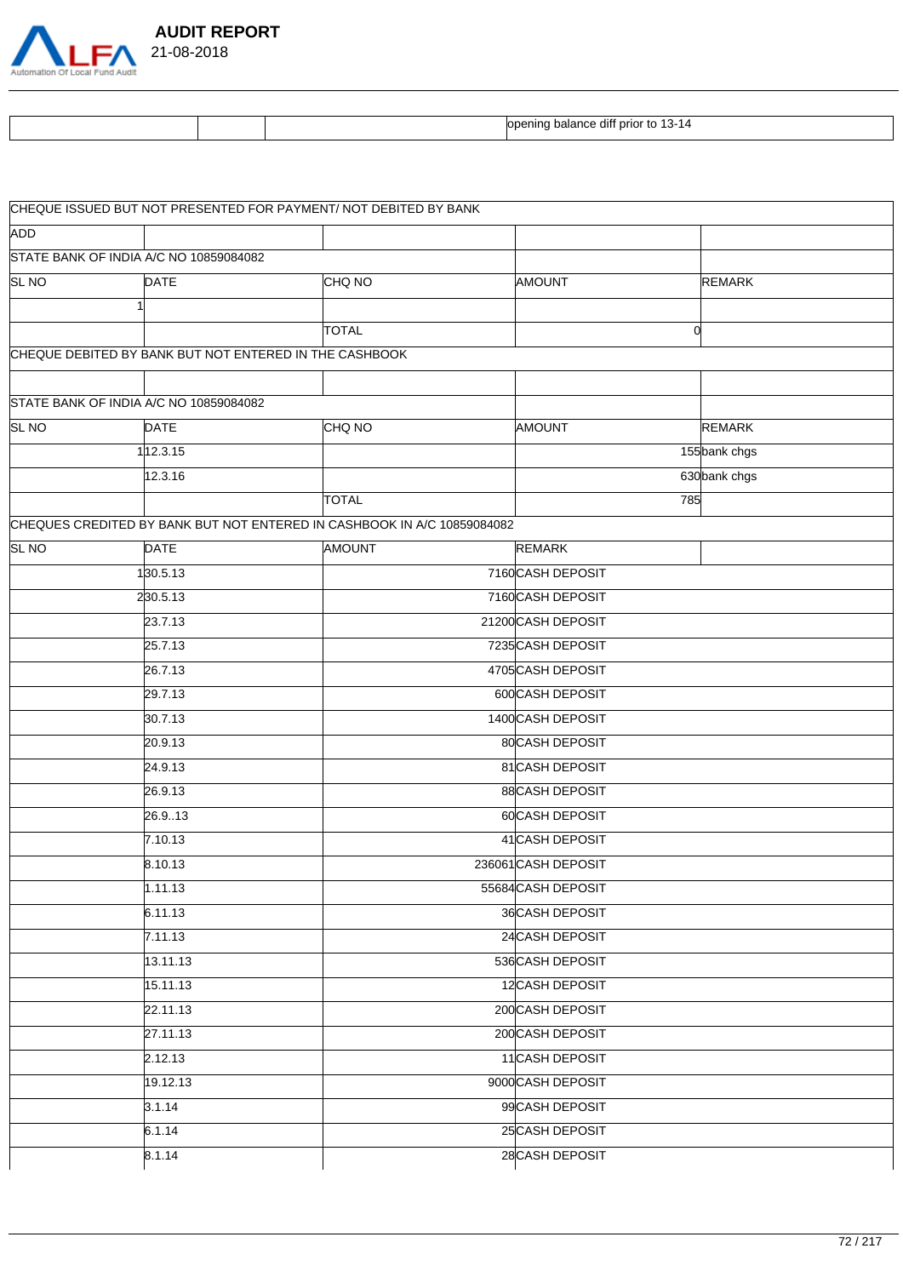

|  | <br>13-14<br>i balance<br>openina<br>: dit<br>prior to |
|--|--------------------------------------------------------|

|                  |                                                        | CHEQUE ISSUED BUT NOT PRESENTED FOR PAYMENT/ NOT DEBITED BY BANK        |                     |              |               |  |
|------------------|--------------------------------------------------------|-------------------------------------------------------------------------|---------------------|--------------|---------------|--|
| <b>ADD</b>       |                                                        |                                                                         |                     |              |               |  |
|                  | STATE BANK OF INDIA A/C NO 10859084082                 |                                                                         |                     |              |               |  |
| <b>SL NO</b>     | <b>DATE</b>                                            | CHQ NO                                                                  | AMOUNT              |              | <b>REMARK</b> |  |
|                  |                                                        |                                                                         |                     |              |               |  |
|                  |                                                        | TOTAL                                                                   |                     | <sub>0</sub> |               |  |
|                  | CHEQUE DEBITED BY BANK BUT NOT ENTERED IN THE CASHBOOK |                                                                         |                     |              |               |  |
|                  |                                                        |                                                                         |                     |              |               |  |
|                  | STATE BANK OF INDIA A/C NO 10859084082                 |                                                                         |                     |              |               |  |
| <b>SL NO</b>     | <b>DATE</b>                                            | CHQ NO                                                                  | AMOUNT              |              | <b>REMARK</b> |  |
|                  | 112.3.15                                               |                                                                         |                     |              | 155 bank chgs |  |
|                  | 12.3.16                                                |                                                                         |                     |              | 630 bank chgs |  |
|                  |                                                        | <b>TOTAL</b>                                                            |                     | 785          |               |  |
|                  |                                                        | CHEQUES CREDITED BY BANK BUT NOT ENTERED IN CASHBOOK IN A/C 10859084082 |                     |              |               |  |
| SL <sub>NO</sub> | DATE                                                   | AMOUNT                                                                  | <b>REMARK</b>       |              |               |  |
|                  | 130.5.13                                               |                                                                         | 7160CASH DEPOSIT    |              |               |  |
|                  | 230.5.13                                               |                                                                         | 7160 CASH DEPOSIT   |              |               |  |
|                  | $\sqrt{23.7.13}$                                       |                                                                         | 21200 CASH DEPOSIT  |              |               |  |
|                  | 25.7.13                                                |                                                                         | 7235 CASH DEPOSIT   |              |               |  |
|                  | 26.7.13                                                |                                                                         | 4705 CASH DEPOSIT   |              |               |  |
|                  | 29.7.13                                                |                                                                         | 600CASH DEPOSIT     |              |               |  |
|                  | 30.7.13                                                |                                                                         | 1400 CASH DEPOSIT   |              |               |  |
|                  | 20.9.13                                                |                                                                         | 80 CASH DEPOSIT     |              |               |  |
|                  | 24.9.13                                                |                                                                         | 81 CASH DEPOSIT     |              |               |  |
|                  | 26.9.13                                                |                                                                         | 88CASH DEPOSIT      |              |               |  |
|                  | 26.913                                                 |                                                                         | 60CASH DEPOSIT      |              |               |  |
|                  | 7.10.13                                                |                                                                         | 41 CASH DEPOSIT     |              |               |  |
|                  | 8.10.13                                                |                                                                         | 236061 CASH DEPOSIT |              |               |  |
|                  | 1.11.13                                                |                                                                         | 55684 CASH DEPOSIT  |              |               |  |
|                  | 6.11.13                                                |                                                                         | 36 CASH DEPOSIT     |              |               |  |
|                  | 7.11.13                                                |                                                                         | 24 CASH DEPOSIT     |              |               |  |
|                  | 13.11.13                                               |                                                                         | 536 CASH DEPOSIT    |              |               |  |
|                  | 15.11.13                                               |                                                                         | 12CASH DEPOSIT      |              |               |  |
|                  | 22.11.13                                               |                                                                         | 200CASH DEPOSIT     |              |               |  |
|                  | 27.11.13                                               |                                                                         | 200CASH DEPOSIT     |              |               |  |
|                  | 2.12.13                                                |                                                                         | 11 CASH DEPOSIT     |              |               |  |
|                  | 19.12.13                                               |                                                                         | 9000CASH DEPOSIT    |              |               |  |
|                  | 3.1.14                                                 |                                                                         | 99CASH DEPOSIT      |              |               |  |
|                  | 6.1.14                                                 |                                                                         | 25 CASH DEPOSIT     |              |               |  |
|                  | 8.1.14                                                 |                                                                         | 28 CASH DEPOSIT     |              |               |  |
|                  |                                                        |                                                                         |                     |              |               |  |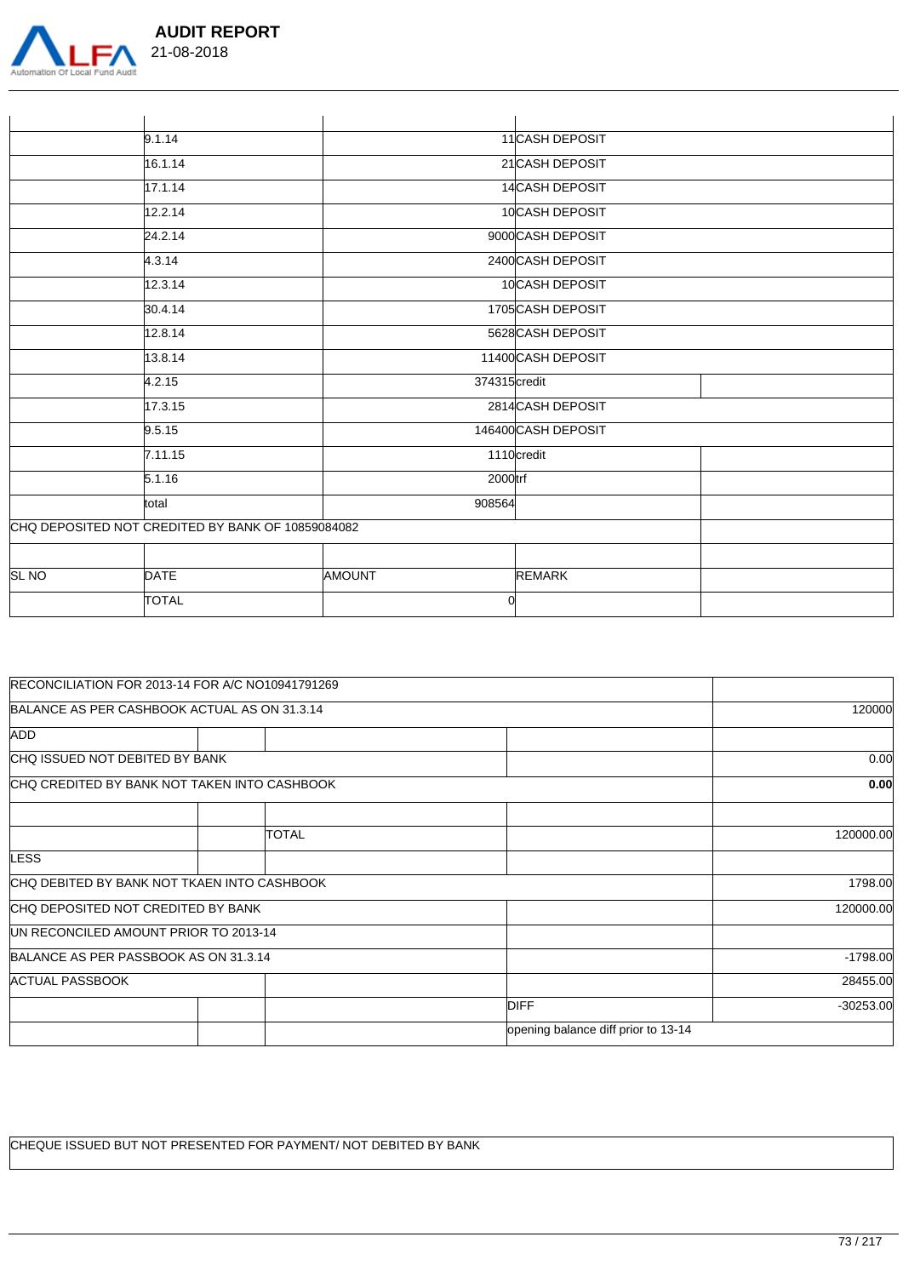

|              | 9.1.14                                            |               |              | 11 CASH DEPOSIT     |  |
|--------------|---------------------------------------------------|---------------|--------------|---------------------|--|
|              | 16.1.14                                           |               |              | 21 CASH DEPOSIT     |  |
|              | 17.1.14                                           |               |              | 14 CASH DEPOSIT     |  |
|              | 12.2.14                                           |               |              | 10CASH DEPOSIT      |  |
|              | 24.2.14                                           |               |              | 9000CASH DEPOSIT    |  |
|              | 4.3.14                                            |               |              | 2400 CASH DEPOSIT   |  |
|              | 12.3.14                                           |               |              | 10 CASH DEPOSIT     |  |
|              | 30.4.14                                           |               |              | 1705CASH DEPOSIT    |  |
|              | 12.8.14                                           |               |              | 5628 CASH DEPOSIT   |  |
|              | 13.8.14                                           |               |              | 11400 CASH DEPOSIT  |  |
|              | 4.2.15                                            |               | 374315credit |                     |  |
|              | 17.3.15                                           |               |              | 2814 CASH DEPOSIT   |  |
|              | 9.5.15                                            |               |              | 146400 CASH DEPOSIT |  |
|              | 7.11.15                                           |               |              | 1110credit          |  |
|              | 5.1.16                                            |               | 2000trf      |                     |  |
|              | total                                             |               | 908564       |                     |  |
|              | CHQ DEPOSITED NOT CREDITED BY BANK OF 10859084082 |               |              |                     |  |
|              |                                                   |               |              |                     |  |
| <b>SL NO</b> | <b>DATE</b>                                       | <b>AMOUNT</b> |              | <b>REMARK</b>       |  |
|              | ltotal                                            |               | ∩            |                     |  |

| RECONCILIATION FOR 2013-14 FOR A/C NO10941791269 |  |              |                                     |             |
|--------------------------------------------------|--|--------------|-------------------------------------|-------------|
| BALANCE AS PER CASHBOOK ACTUAL AS ON 31.3.14     |  |              |                                     | 120000      |
| <b>ADD</b>                                       |  |              |                                     |             |
| CHQ ISSUED NOT DEBITED BY BANK                   |  |              |                                     | 0.00        |
| CHQ CREDITED BY BANK NOT TAKEN INTO CASHBOOK     |  |              |                                     | 0.00        |
|                                                  |  | <b>TOTAL</b> |                                     | 120000.00   |
| <b>LESS</b>                                      |  |              |                                     |             |
| CHQ DEBITED BY BANK NOT TKAEN INTO CASHBOOK      |  |              |                                     | 1798.00     |
| CHQ DEPOSITED NOT CREDITED BY BANK               |  |              |                                     | 120000.00   |
| UN RECONCILED AMOUNT PRIOR TO 2013-14            |  |              |                                     |             |
| BALANCE AS PER PASSBOOK AS ON 31.3.14            |  |              |                                     | $-1798.00$  |
| <b>ACTUAL PASSBOOK</b>                           |  |              |                                     | 28455.00    |
|                                                  |  |              | <b>DIFF</b>                         | $-30253.00$ |
|                                                  |  |              | opening balance diff prior to 13-14 |             |

CHEQUE ISSUED BUT NOT PRESENTED FOR PAYMENT/ NOT DEBITED BY BANK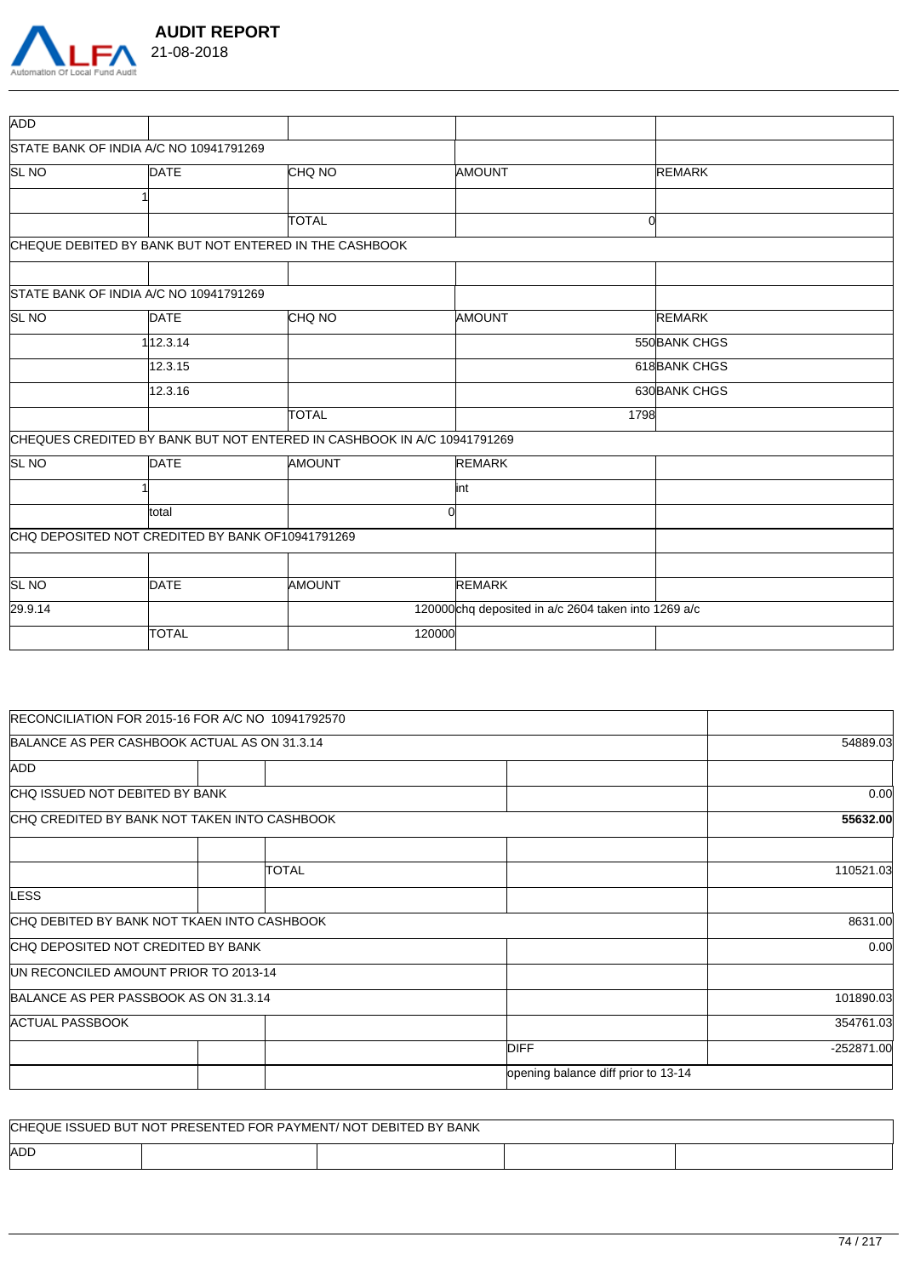

| ADD              |                                                  |                                                                         |                                                     |               |  |
|------------------|--------------------------------------------------|-------------------------------------------------------------------------|-----------------------------------------------------|---------------|--|
|                  | STATE BANK OF INDIA A/C NO 10941791269           |                                                                         |                                                     |               |  |
| SL <sub>NO</sub> | <b>DATE</b>                                      | CHQ NO                                                                  | <b>AMOUNT</b>                                       | <b>REMARK</b> |  |
|                  |                                                  |                                                                         |                                                     |               |  |
|                  |                                                  | <b>TOTAL</b>                                                            |                                                     | $\Omega$      |  |
|                  |                                                  | CHEQUE DEBITED BY BANK BUT NOT ENTERED IN THE CASHBOOK                  |                                                     |               |  |
|                  |                                                  |                                                                         |                                                     |               |  |
|                  | STATE BANK OF INDIA A/C NO 10941791269           |                                                                         |                                                     |               |  |
| SL <sub>NO</sub> | <b>DATE</b>                                      | CHQ NO                                                                  | <b>AMOUNT</b>                                       | <b>REMARK</b> |  |
|                  | 112.3.14                                         |                                                                         |                                                     | 550 BANK CHGS |  |
|                  | 12.3.15                                          |                                                                         |                                                     | 618BANK CHGS  |  |
|                  | 12.3.16                                          |                                                                         |                                                     | 630 BANK CHGS |  |
|                  |                                                  | TOTAL                                                                   |                                                     | 1798          |  |
|                  |                                                  | CHEQUES CREDITED BY BANK BUT NOT ENTERED IN CASHBOOK IN A/C 10941791269 |                                                     |               |  |
| SL <sub>NO</sub> | <b>DATE</b>                                      | AMOUNT                                                                  | <b>REMARK</b>                                       |               |  |
|                  |                                                  |                                                                         | lint                                                |               |  |
|                  | total                                            |                                                                         |                                                     |               |  |
|                  | CHQ DEPOSITED NOT CREDITED BY BANK OF10941791269 |                                                                         |                                                     |               |  |
|                  |                                                  |                                                                         |                                                     |               |  |
| SL <sub>NO</sub> | <b>DATE</b>                                      | <b>AMOUNT</b>                                                           | <b>REMARK</b>                                       |               |  |
| 29.9.14          |                                                  |                                                                         | 120000chq deposited in a/c 2604 taken into 1269 a/c |               |  |
|                  | <b>TOTAL</b>                                     |                                                                         | 120000                                              |               |  |
|                  |                                                  |                                                                         |                                                     |               |  |

| RECONCILIATION FOR 2015-16 FOR A/C NO 10941792570 |              |                                     |              |
|---------------------------------------------------|--------------|-------------------------------------|--------------|
| BALANCE AS PER CASHBOOK ACTUAL AS ON 31.3.14      |              |                                     | 54889.03     |
| ADD                                               |              |                                     |              |
| CHQ ISSUED NOT DEBITED BY BANK                    |              |                                     | 0.00         |
| CHQ CREDITED BY BANK NOT TAKEN INTO CASHBOOK      |              |                                     | 55632.00     |
|                                                   | <b>TOTAL</b> |                                     | 110521.03    |
| <b>LESS</b>                                       |              |                                     |              |
| ICHO DEBITED BY BANK NOT TKAEN INTO CASHBOOK      |              |                                     | 8631.00      |
| CHQ DEPOSITED NOT CREDITED BY BANK                |              |                                     | 0.00         |
| UN RECONCILED AMOUNT PRIOR TO 2013-14             |              |                                     |              |
| BALANCE AS PER PASSBOOK AS ON 31.3.14             |              |                                     | 101890.03    |
| <b>ACTUAL PASSBOOK</b>                            |              |                                     | 354761.03    |
|                                                   |              | <b>DIFF</b>                         | $-252871.00$ |
|                                                   |              | opening balance diff prior to 13-14 |              |

|     | CHEQUE ISSUED BUT NOT PRESENTED FOR PAYMENT/ NOT DEBITED BY BANK |  |  |
|-----|------------------------------------------------------------------|--|--|
| ADD |                                                                  |  |  |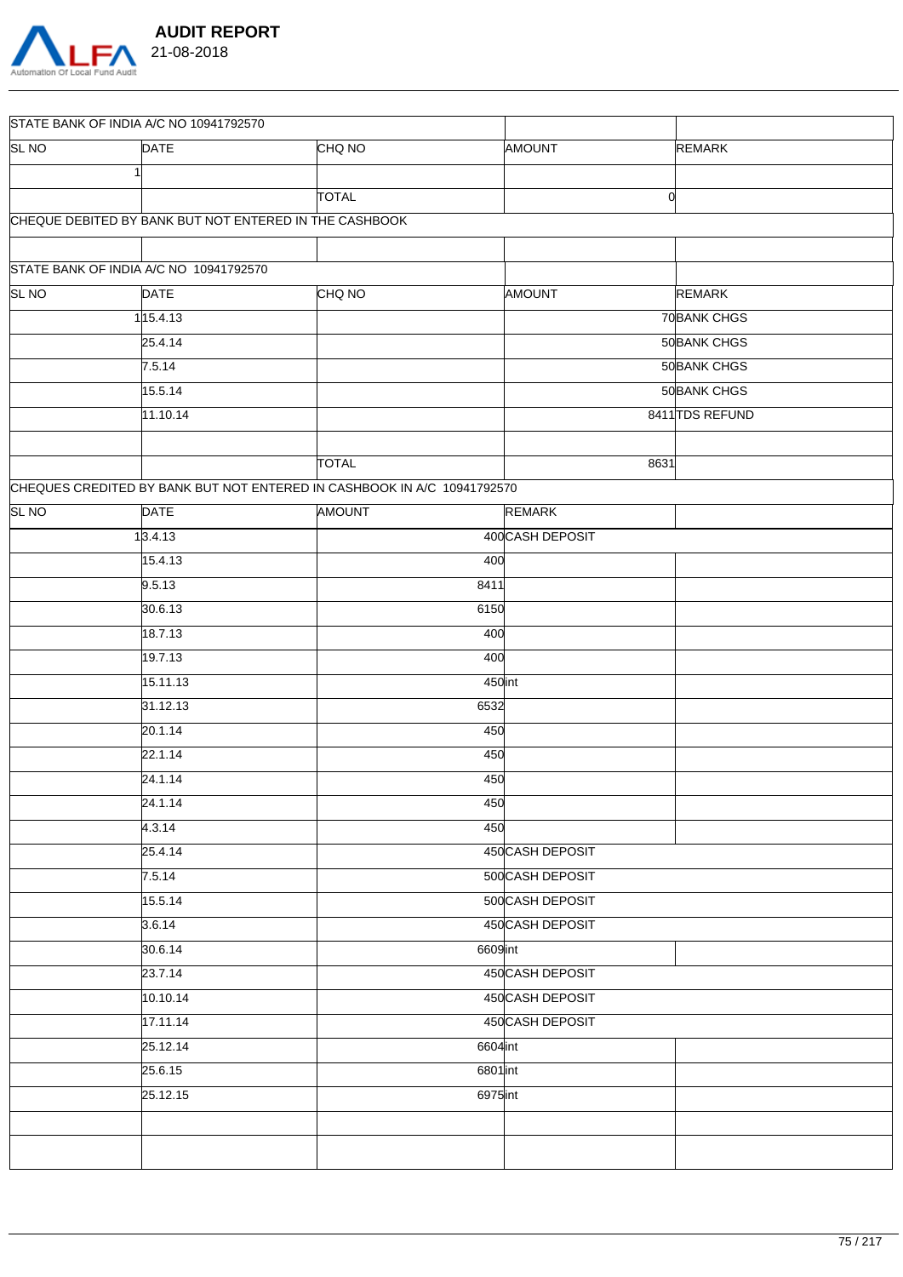

|                  | STATE BANK OF INDIA A/C NO 10941792570 |                                                                         |          |                  |                 |
|------------------|----------------------------------------|-------------------------------------------------------------------------|----------|------------------|-----------------|
| SL <sub>NO</sub> | <b>DATE</b>                            | <b>CHQ NO</b>                                                           |          | AMOUNT           | <b>REMARK</b>   |
|                  |                                        |                                                                         |          |                  |                 |
|                  |                                        | <b>TOTAL</b>                                                            |          |                  | $\overline{0}$  |
|                  |                                        | CHEQUE DEBITED BY BANK BUT NOT ENTERED IN THE CASHBOOK                  |          |                  |                 |
|                  |                                        |                                                                         |          |                  |                 |
|                  | STATE BANK OF INDIA A/C NO 10941792570 |                                                                         |          |                  |                 |
| SL <sub>NO</sub> | <b>DATE</b>                            | CHQ NO                                                                  |          | AMOUNT           | <b>REMARK</b>   |
|                  | 115.4.13                               |                                                                         |          |                  | 70 BANK CHGS    |
|                  | 25.4.14                                |                                                                         |          |                  | 50 BANK CHGS    |
|                  | 7.5.14                                 |                                                                         |          |                  | 50 BANK CHGS    |
|                  | 15.5.14                                |                                                                         |          |                  | 50 BANK CHGS    |
|                  | 11.10.14                               |                                                                         |          |                  | 8411 TDS REFUND |
|                  |                                        |                                                                         |          |                  |                 |
|                  |                                        | <b>TOTAL</b>                                                            |          | 8631             |                 |
|                  |                                        | CHEQUES CREDITED BY BANK BUT NOT ENTERED IN CASHBOOK IN A/C 10941792570 |          |                  |                 |
| SL <sub>NO</sub> | <b>DATE</b>                            | AMOUNT                                                                  |          | <b>REMARK</b>    |                 |
|                  | 1,3.4.13                               |                                                                         |          | 400 CASH DEPOSIT |                 |
|                  | 15.4.13                                |                                                                         | 400      |                  |                 |
|                  | 9.5.13                                 |                                                                         | 8411     |                  |                 |
|                  | 30.6.13                                |                                                                         | 6150     |                  |                 |
|                  | 18.7.13                                |                                                                         | 400      |                  |                 |
|                  | 19.7.13                                |                                                                         | 400      |                  |                 |
|                  | 15.11.13                               |                                                                         | 450int   |                  |                 |
|                  | 31.12.13                               |                                                                         | 6532     |                  |                 |
|                  | 20.1.14                                |                                                                         | 450      |                  |                 |
|                  | $\overline{2}$ 2.1.14                  |                                                                         | 450      |                  |                 |
|                  | 24.1.14                                |                                                                         | 450      |                  |                 |
|                  | 24.1.14                                |                                                                         | 450      |                  |                 |
|                  | 4.3.14                                 |                                                                         | 450      |                  |                 |
|                  | 25.4.14                                |                                                                         |          | 450 CASH DEPOSIT |                 |
|                  | $\sqrt{7.5.14}$                        |                                                                         |          | 500CASH DEPOSIT  |                 |
|                  | 15.5.14                                |                                                                         |          | 500 CASH DEPOSIT |                 |
|                  | 3.6.14                                 |                                                                         |          | 450 CASH DEPOSIT |                 |
|                  | 30.6.14                                |                                                                         | 6609int  |                  |                 |
|                  | 23.7.14                                |                                                                         |          | 450 CASH DEPOSIT |                 |
|                  | 10.10.14                               |                                                                         |          | 450 CASH DEPOSIT |                 |
|                  | 17.11.14                               |                                                                         |          | 450 CASH DEPOSIT |                 |
|                  | 25.12.14                               |                                                                         | 6604int  |                  |                 |
|                  | 25.6.15                                |                                                                         | 6801 int |                  |                 |
|                  | 25.12.15                               |                                                                         | 6975int  |                  |                 |
|                  |                                        |                                                                         |          |                  |                 |
|                  |                                        |                                                                         |          |                  |                 |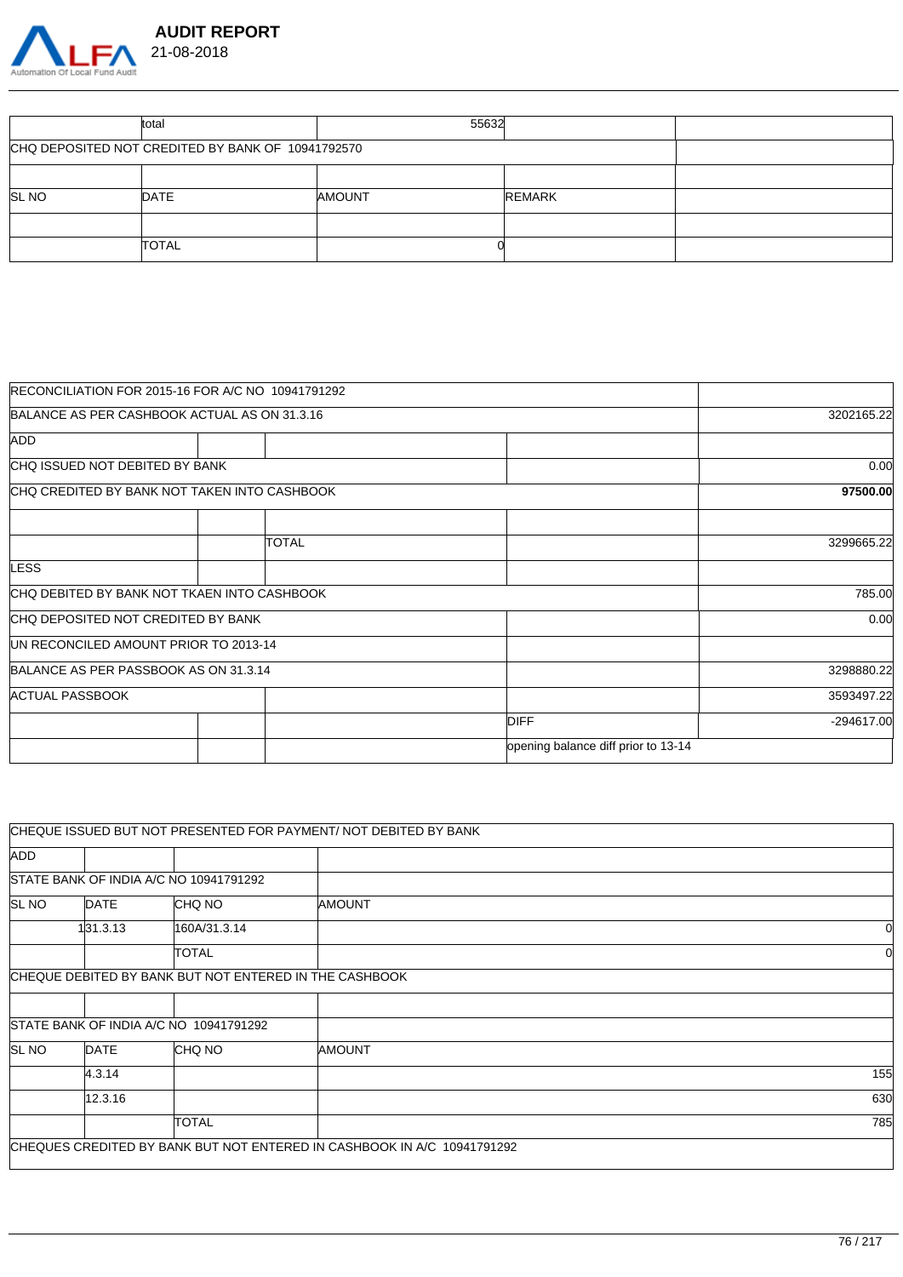

|       | total                                             | 55632         |               |  |
|-------|---------------------------------------------------|---------------|---------------|--|
|       | CHQ DEPOSITED NOT CREDITED BY BANK OF 10941792570 |               |               |  |
|       |                                                   |               |               |  |
| SL NO | DATE                                              | <b>AMOUNT</b> | <b>REMARK</b> |  |
|       |                                                   |               |               |  |
|       | TOTAL                                             |               |               |  |

| <b>IRECONCILIATION FOR 2015-16 FOR A/C NO 10941791292</b> |       |                                     |              |
|-----------------------------------------------------------|-------|-------------------------------------|--------------|
| BALANCE AS PER CASHBOOK ACTUAL AS ON 31.3.16              |       |                                     | 3202165.22   |
| ADD                                                       |       |                                     |              |
| CHQ ISSUED NOT DEBITED BY BANK                            |       |                                     | 0.00         |
| CHQ CREDITED BY BANK NOT TAKEN INTO CASHBOOK              |       |                                     | 97500.00     |
|                                                           | TOTAL |                                     | 3299665.22   |
| <b>LESS</b>                                               |       |                                     |              |
| CHQ DEBITED BY BANK NOT TKAEN INTO CASHBOOK               |       |                                     | 785.00       |
| CHQ DEPOSITED NOT CREDITED BY BANK                        |       |                                     | 0.00         |
| UN RECONCILED AMOUNT PRIOR TO 2013-14                     |       |                                     |              |
| BALANCE AS PER PASSBOOK AS ON 31.3.14                     |       |                                     | 3298880.22   |
| <b>ACTUAL PASSBOOK</b>                                    |       |                                     | 3593497.22   |
|                                                           |       | <b>DIFF</b>                         | $-294617.00$ |
|                                                           |       | opening balance diff prior to 13-14 |              |

|              |          |                                                        | CHEQUE ISSUED BUT NOT PRESENTED FOR PAYMENT/ NOT DEBITED BY BANK        |     |
|--------------|----------|--------------------------------------------------------|-------------------------------------------------------------------------|-----|
| <b>ADD</b>   |          |                                                        |                                                                         |     |
|              |          | STATE BANK OF INDIA A/C NO 10941791292                 |                                                                         |     |
| <b>SL NO</b> | DATE     | CHQ NO                                                 | <b>AMOUNT</b>                                                           |     |
|              | 131.3.13 | 160A/31.3.14                                           |                                                                         |     |
|              |          | <b>TOTAL</b>                                           |                                                                         | 0l  |
|              |          | CHEQUE DEBITED BY BANK BUT NOT ENTERED IN THE CASHBOOK |                                                                         |     |
|              |          |                                                        |                                                                         |     |
|              |          | STATE BANK OF INDIA A/C NO 10941791292                 |                                                                         |     |
| <b>SL NO</b> | DATE     | CHQ NO                                                 | <b>AMOUNT</b>                                                           |     |
|              | 4.3.14   |                                                        |                                                                         | 155 |
|              | 12.3.16  |                                                        |                                                                         | 630 |
|              |          | <b>TOTAL</b>                                           |                                                                         | 785 |
|              |          |                                                        | CHEQUES CREDITED BY BANK BUT NOT ENTERED IN CASHBOOK IN A/C 10941791292 |     |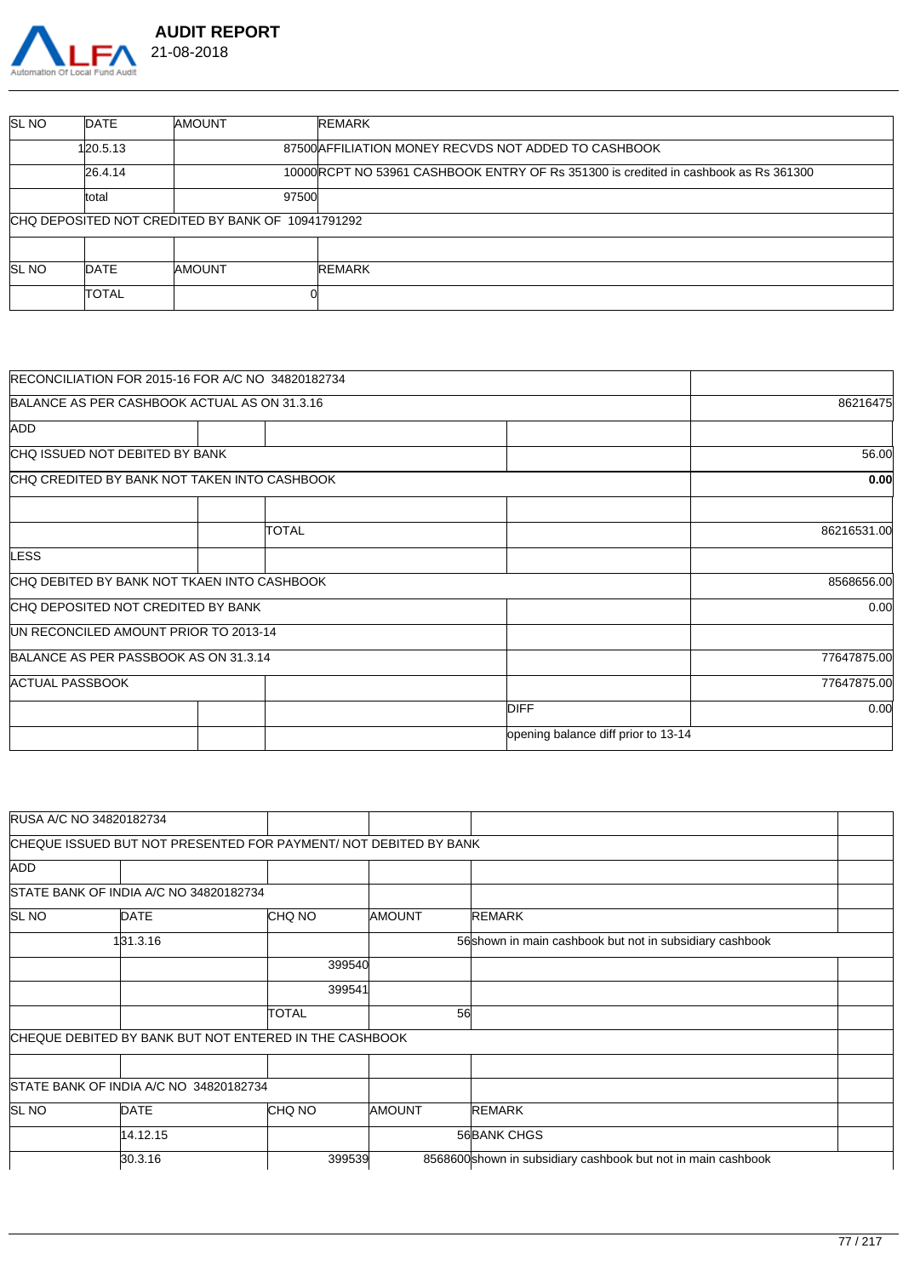

| <b>SL NO</b> | DATE     | <b>AMOUNT</b>                                     | <b>REMARK</b>                                                                        |
|--------------|----------|---------------------------------------------------|--------------------------------------------------------------------------------------|
|              | 120.5.13 |                                                   | 87500 AFFILIATION MONEY RECVDS NOT ADDED TO CASHBOOK                                 |
|              | 26.4.14  |                                                   | 10000 RCPT NO 53961 CASHBOOK ENTRY OF Rs 351300 is credited in cashbook as Rs 361300 |
|              | total    | 97500                                             |                                                                                      |
|              |          | CHQ DEPOSITED NOT CREDITED BY BANK OF 10941791292 |                                                                                      |
|              |          |                                                   |                                                                                      |
| <b>SL NO</b> | DATE     | <b>AMOUNT</b>                                     | <b>REMARK</b>                                                                        |
|              | ITOTAL   |                                                   |                                                                                      |

| <b>RECONCILIATION FOR 2015-16 FOR A/C NO 34820182734</b> |       |                                     |             |
|----------------------------------------------------------|-------|-------------------------------------|-------------|
| BALANCE AS PER CASHBOOK ACTUAL AS ON 31.3.16             |       |                                     | 86216475    |
| <b>ADD</b>                                               |       |                                     |             |
| CHQ ISSUED NOT DEBITED BY BANK                           |       |                                     | 56.00       |
| CHQ CREDITED BY BANK NOT TAKEN INTO CASHBOOK             |       |                                     | 0.00        |
|                                                          | TOTAL |                                     | 86216531.00 |
| <b>LESS</b>                                              |       |                                     |             |
| CHQ DEBITED BY BANK NOT TKAEN INTO CASHBOOK              |       |                                     | 8568656.00  |
| CHQ DEPOSITED NOT CREDITED BY BANK                       |       |                                     | 0.00        |
| UN RECONCILED AMOUNT PRIOR TO 2013-14                    |       |                                     |             |
| BALANCE AS PER PASSBOOK AS ON 31.3.14                    |       |                                     | 77647875.00 |
| <b>ACTUAL PASSBOOK</b>                                   |       |                                     | 77647875.00 |
|                                                          |       | <b>DIFF</b>                         | 0.00        |
|                                                          |       | opening balance diff prior to 13-14 |             |

| <b>RUSA A/C NO 34820182734</b> |                                        |                                                                  |               |                                                               |  |
|--------------------------------|----------------------------------------|------------------------------------------------------------------|---------------|---------------------------------------------------------------|--|
|                                |                                        | CHEQUE ISSUED BUT NOT PRESENTED FOR PAYMENT/ NOT DEBITED BY BANK |               |                                                               |  |
| <b>ADD</b>                     |                                        |                                                                  |               |                                                               |  |
|                                | STATE BANK OF INDIA A/C NO 34820182734 |                                                                  |               |                                                               |  |
| <b>SL NO</b>                   | DATE                                   | CHQ NO                                                           | <b>AMOUNT</b> | <b>REMARK</b>                                                 |  |
|                                | 131.3.16                               |                                                                  |               | 56shown in main cashbook but not in subsidiary cashbook       |  |
|                                |                                        | 399540                                                           |               |                                                               |  |
|                                |                                        | 399541                                                           |               |                                                               |  |
|                                |                                        | TOTAL                                                            |               | 56                                                            |  |
|                                |                                        | CHEQUE DEBITED BY BANK BUT NOT ENTERED IN THE CASHBOOK           |               |                                                               |  |
|                                |                                        |                                                                  |               |                                                               |  |
|                                | STATE BANK OF INDIA A/C NO 34820182734 |                                                                  |               |                                                               |  |
| <b>SL NO</b>                   | <b>DATE</b>                            | CHQ NO                                                           | AMOUNT        | <b>REMARK</b>                                                 |  |
|                                | 14.12.15                               |                                                                  |               | 56BANK CHGS                                                   |  |
|                                | 30.3.16                                | 399539                                                           |               | 8568600 shown in subsidiary cashbook but not in main cashbook |  |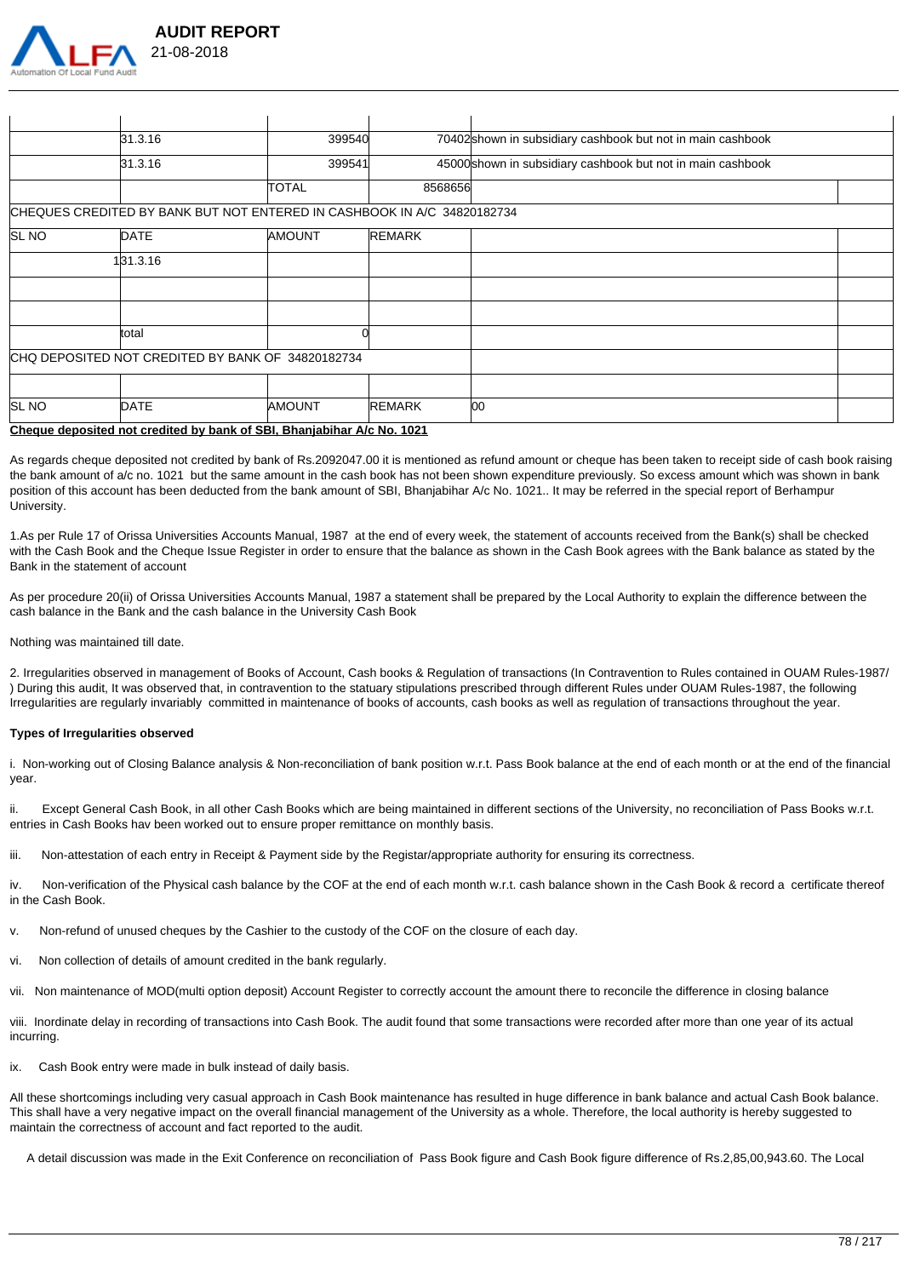

|                  | 31.3.16  | 399540                                                                  |               | 70402shown in subsidiary cashbook but not in main cashbook |  |
|------------------|----------|-------------------------------------------------------------------------|---------------|------------------------------------------------------------|--|
|                  | 31.3.16  | 399541                                                                  |               | 45000shown in subsidiary cashbook but not in main cashbook |  |
|                  |          | TOTAL                                                                   | 8568656       |                                                            |  |
|                  |          | CHEQUES CREDITED BY BANK BUT NOT ENTERED IN CASHBOOK IN A/C 34820182734 |               |                                                            |  |
| SL NO            | DATE     | <b>AMOUNT</b>                                                           | <b>REMARK</b> |                                                            |  |
|                  | 131.3.16 |                                                                         |               |                                                            |  |
|                  |          |                                                                         |               |                                                            |  |
|                  |          |                                                                         |               |                                                            |  |
|                  | total    |                                                                         |               |                                                            |  |
|                  |          | CHQ DEPOSITED NOT CREDITED BY BANK OF 34820182734                       |               |                                                            |  |
|                  |          |                                                                         |               |                                                            |  |
| SL <sub>NO</sub> | DATE     | <b>AMOUNT</b>                                                           | <b>REMARK</b> | 00                                                         |  |
|                  |          | Chesus denocited not credited by houle of CDI Dhonichihor Ale Ne. 4004  |               |                                                            |  |

**Cheque deposited not credited by bank of SBI, Bhanjabihar A/c No. 1021**

As regards cheque deposited not credited by bank of Rs.2092047.00 it is mentioned as refund amount or cheque has been taken to receipt side of cash book raising the bank amount of a/c no. 1021 but the same amount in the cash book has not been shown expenditure previously. So excess amount which was shown in bank position of this account has been deducted from the bank amount of SBI, Bhanjabihar A/c No. 1021.. It may be referred in the special report of Berhampur University.

1.As per Rule 17 of Orissa Universities Accounts Manual, 1987 at the end of every week, the statement of accounts received from the Bank(s) shall be checked with the Cash Book and the Cheque Issue Register in order to ensure that the balance as shown in the Cash Book agrees with the Bank balance as stated by the Bank in the statement of account

As per procedure 20(ii) of Orissa Universities Accounts Manual, 1987 a statement shall be prepared by the Local Authority to explain the difference between the cash balance in the Bank and the cash balance in the University Cash Book

Nothing was maintained till date.

2. Irregularities observed in management of Books of Account, Cash books & Regulation of transactions (In Contravention to Rules contained in OUAM Rules-1987/ ) During this audit, It was observed that, in contravention to the statuary stipulations prescribed through different Rules under OUAM Rules-1987, the following Irregularities are regularly invariably committed in maintenance of books of accounts, cash books as well as regulation of transactions throughout the year.

### **Types of Irregularities observed**

i. Non-working out of Closing Balance analysis & Non-reconciliation of bank position w.r.t. Pass Book balance at the end of each month or at the end of the financial year.

ii. Except General Cash Book, in all other Cash Books which are being maintained in different sections of the University, no reconciliation of Pass Books w.r.t. entries in Cash Books hav been worked out to ensure proper remittance on monthly basis.

iii. Non-attestation of each entry in Receipt & Payment side by the Registar/appropriate authority for ensuring its correctness.

iv. Non-verification of the Physical cash balance by the COF at the end of each month w.r.t. cash balance shown in the Cash Book & record a certificate thereof in the Cash Book.

v. Non-refund of unused cheques by the Cashier to the custody of the COF on the closure of each day.

vi. Non collection of details of amount credited in the bank regularly.

vii. Non maintenance of MOD(multi option deposit) Account Register to correctly account the amount there to reconcile the difference in closing balance

viii. Inordinate delay in recording of transactions into Cash Book. The audit found that some transactions were recorded after more than one year of its actual incurring.

ix. Cash Book entry were made in bulk instead of daily basis.

All these shortcomings including very casual approach in Cash Book maintenance has resulted in huge difference in bank balance and actual Cash Book balance. This shall have a very negative impact on the overall financial management of the University as a whole. Therefore, the local authority is hereby suggested to maintain the correctness of account and fact reported to the audit.

A detail discussion was made in the Exit Conference on reconciliation of Pass Book figure and Cash Book figure difference of Rs.2,85,00,943.60. The Local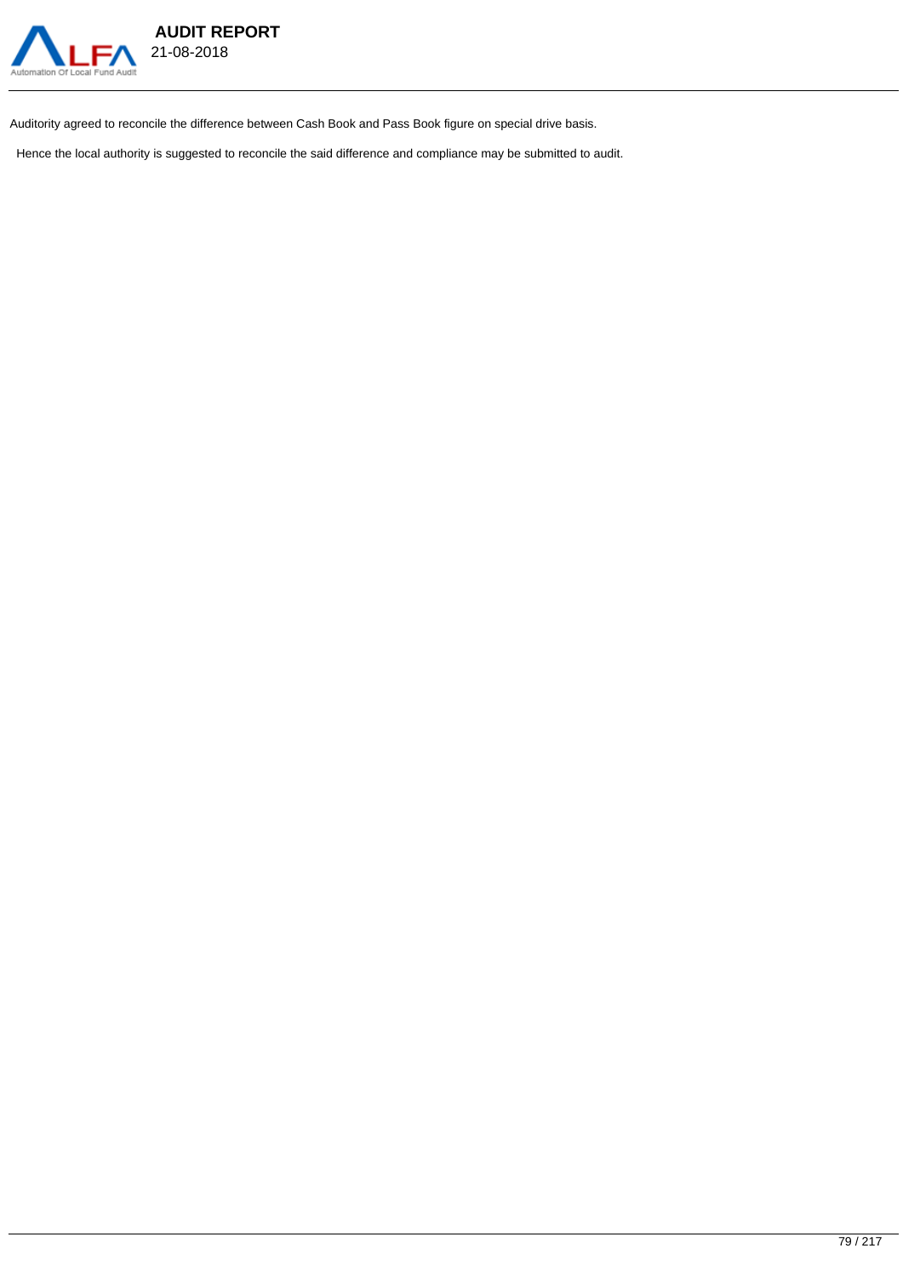

Auditority agreed to reconcile the difference between Cash Book and Pass Book figure on special drive basis.

Hence the local authority is suggested to reconcile the said difference and compliance may be submitted to audit.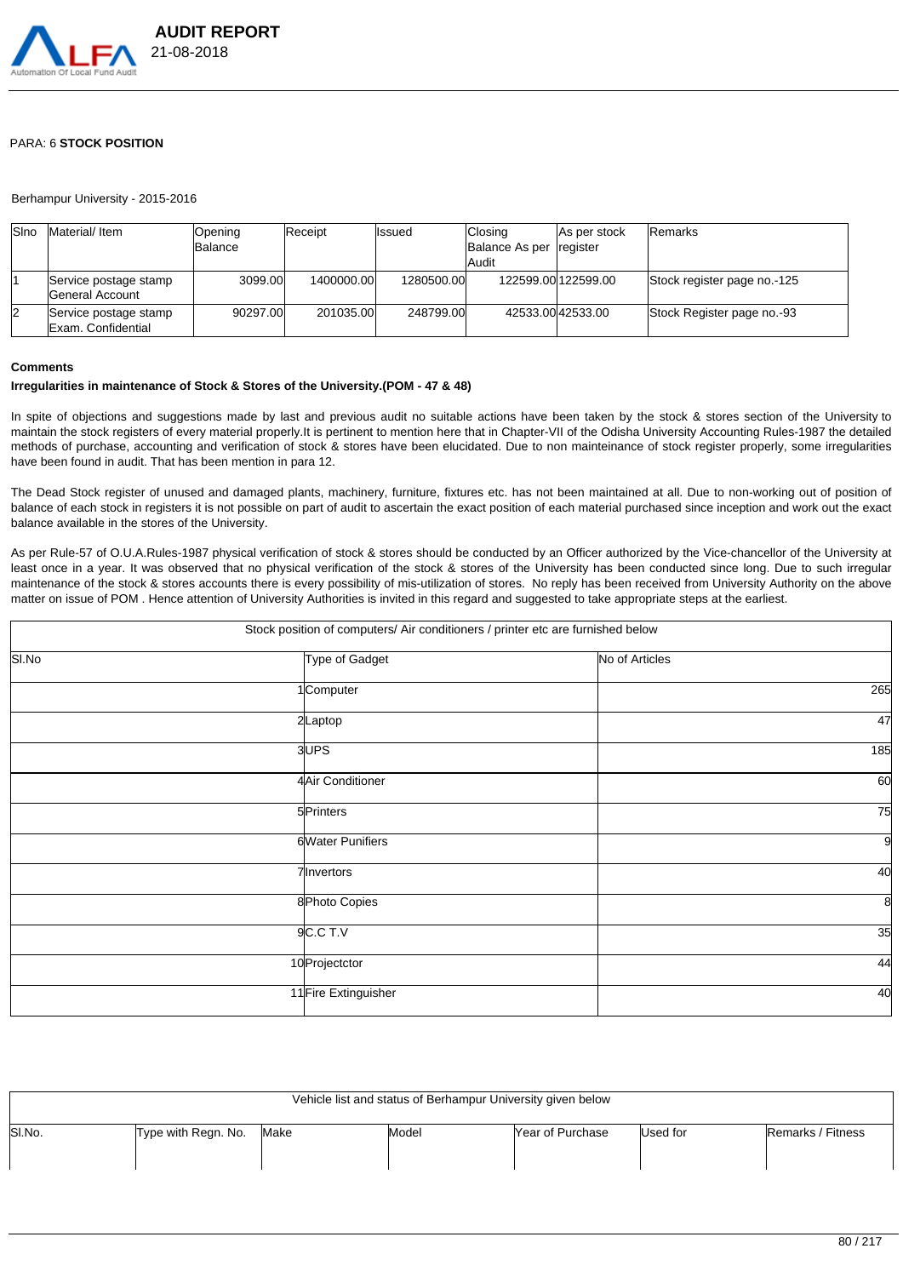

### PARA: 6 **STOCK POSITION**

Berhampur University - 2015-2016

| <b>S</b> Ino | Material/ Item                                   | Opening<br>Balance | Receipt    | <b>Ilssued</b> | Closing<br>Balance As per<br>lAudit | As per stock<br>register | <b>IRemarks</b>             |
|--------------|--------------------------------------------------|--------------------|------------|----------------|-------------------------------------|--------------------------|-----------------------------|
|              | Service postage stamp<br><b>IGeneral Account</b> | 3099.00            | 1400000.00 | 1280500.00     |                                     | 122599.00 122599.00      | Stock register page no.-125 |
| l2           | Service postage stamp<br>Exam. Confidential      | 90297.00           | 201035.00  | 248799.00      |                                     | 42533.00 42533.00        | Stock Register page no.-93  |

#### **Comments**

#### **Irregularities in maintenance of Stock & Stores of the University.(POM - 47 & 48)**

In spite of objections and suggestions made by last and previous audit no suitable actions have been taken by the stock & stores section of the University to maintain the stock registers of every material properly.It is pertinent to mention here that in Chapter-VII of the Odisha University Accounting Rules-1987 the detailed methods of purchase, accounting and verification of stock & stores have been elucidated. Due to non mainteinance of stock register properly, some irregularities have been found in audit. That has been mention in para 12.

The Dead Stock register of unused and damaged plants, machinery, furniture, fixtures etc. has not been maintained at all. Due to non-working out of position of balance of each stock in registers it is not possible on part of audit to ascertain the exact position of each material purchased since inception and work out the exact balance available in the stores of the University.

As per Rule-57 of O.U.A.Rules-1987 physical verification of stock & stores should be conducted by an Officer authorized by the Vice-chancellor of the University at least once in a year. It was observed that no physical verification of the stock & stores of the University has been conducted since long. Due to such irregular maintenance of the stock & stores accounts there is every possibility of mis-utilization of stores. No reply has been received from University Authority on the above matter on issue of POM . Hence attention of University Authorities is invited in this regard and suggested to take appropriate steps at the earliest.

|       | Stock position of computers/ Air conditioners / printer etc are furnished below |                |
|-------|---------------------------------------------------------------------------------|----------------|
| SI.No | Type of Gadget                                                                  | No of Articles |
|       | 1Computer                                                                       | 265            |
|       | 2Laptop                                                                         | 47             |
|       | 3UPS                                                                            | 185            |
|       | 4 Air Conditioner                                                               | 60             |
|       | 5Printers                                                                       | 75             |
|       | 6 Water Punifiers                                                               | 9              |
|       | 7Invertors                                                                      | 40             |
|       | 8 Photo Copies                                                                  | 8              |
|       | 9C.C.T.V                                                                        | 35             |
|       | 10 Projectctor                                                                  | 44             |
|       | 11 Fire Extinguisher                                                            | 40             |

|        |                     |      | Vehicle list and status of Berhampur University given below |                         |          |                   |
|--------|---------------------|------|-------------------------------------------------------------|-------------------------|----------|-------------------|
| SI.No. | Type with Regn. No. | Make | Model                                                       | <b>Near of Purchase</b> | Used for | Remarks / Fitness |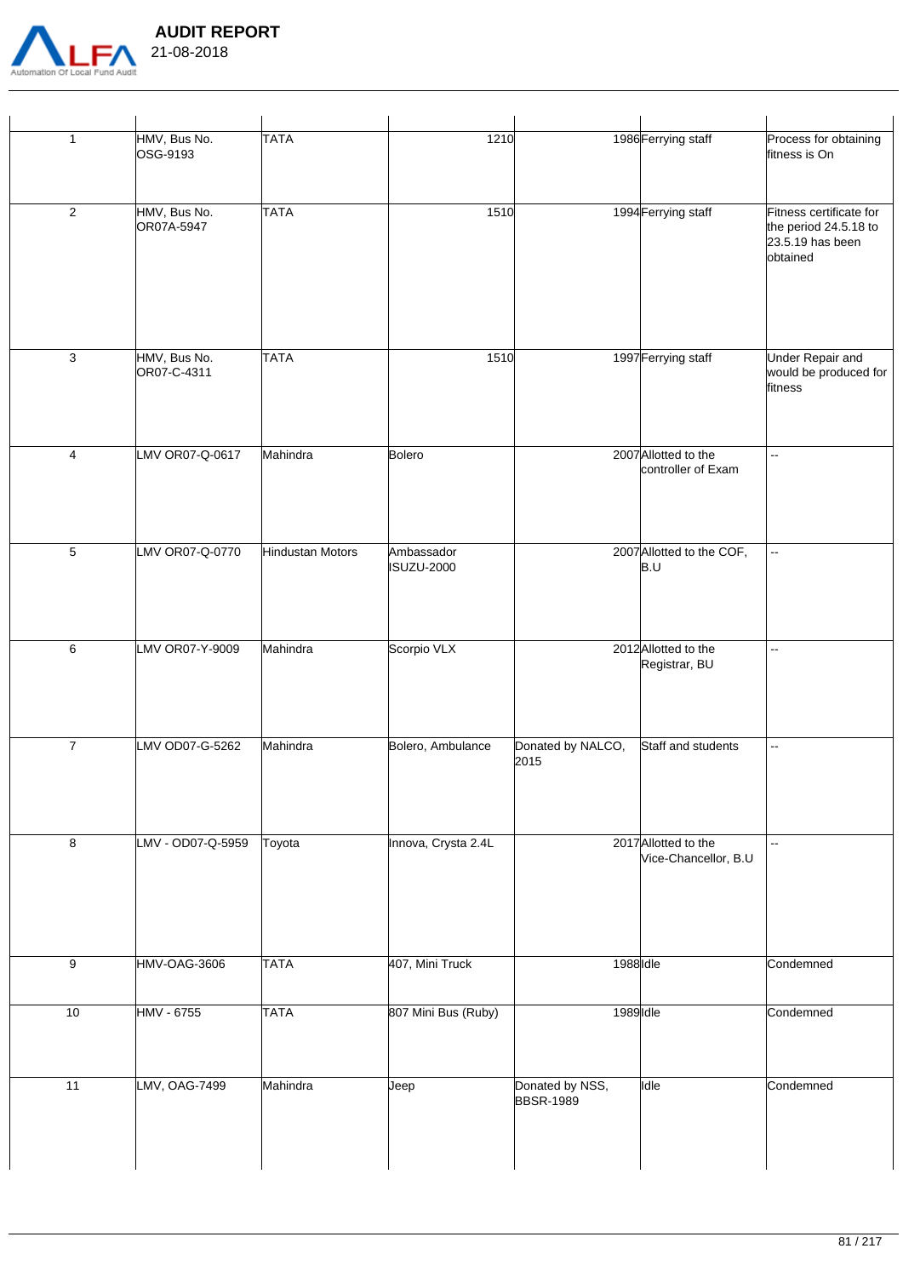

| $\mathbf{1}$    | HMV, Bus No.<br>OSG-9193    | <b>TATA</b>             | 1210                            |                                     | 1986 Ferrying staff                          | Process for obtaining<br>fitness is On                                           |
|-----------------|-----------------------------|-------------------------|---------------------------------|-------------------------------------|----------------------------------------------|----------------------------------------------------------------------------------|
| $\overline{2}$  | HMV, Bus No.<br>OR07A-5947  | <b>TATA</b>             | 1510                            |                                     | 1994 Ferrying staff                          | Fitness certificate for<br>the period 24.5.18 to<br>23.5.19 has been<br>obtained |
| $\mathbf{3}$    | HMV, Bus No.<br>OR07-C-4311 | <b>TATA</b>             | 1510                            |                                     | 1997 Ferrying staff                          | <b>Under Repair and</b><br>would be produced for<br>fitness                      |
| 4               | LMV OR07-Q-0617             | Mahindra                | Bolero                          |                                     | 2007 Allotted to the<br>controller of Exam   | Ξ.                                                                               |
| $\overline{5}$  | LMV OR07-Q-0770             | <b>Hindustan Motors</b> | Ambassador<br><b>ISUZU-2000</b> |                                     | 2007 Allotted to the COF,<br>B.U             | --                                                                               |
| $\,6$           | LMV OR07-Y-9009             | Mahindra                | Scorpio VLX                     |                                     | 2012 Allotted to the<br>Registrar, BU        | u.                                                                               |
| $\overline{7}$  | LMV OD07-G-5262             | Mahindra                | Bolero, Ambulance               | Donated by NALCO,<br>2015           | Staff and students                           | Ξ.                                                                               |
| $\overline{8}$  | LMV - OD07-Q-5959           | Toyota                  | Innova, Crysta 2.4L             |                                     | 2017 Allotted to the<br>Vice-Chancellor, B.U | $\overline{\phantom{a}}$                                                         |
| 9               | HMV-OAG-3606                | <b>TATA</b>             | 407, Mini Truck                 | 1988 Idle                           |                                              | Condemned                                                                        |
| 10              | <b>HMV - 6755</b>           | <b>TATA</b>             | 807 Mini Bus (Ruby)             | 1989 Idle                           |                                              | Condemned                                                                        |
| $\overline{11}$ | LMV, OAG-7499               | Mahindra                | $\overline{\mathsf{J}}$ eep     | Donated by NSS,<br><b>BBSR-1989</b> | Idle                                         | Condemned                                                                        |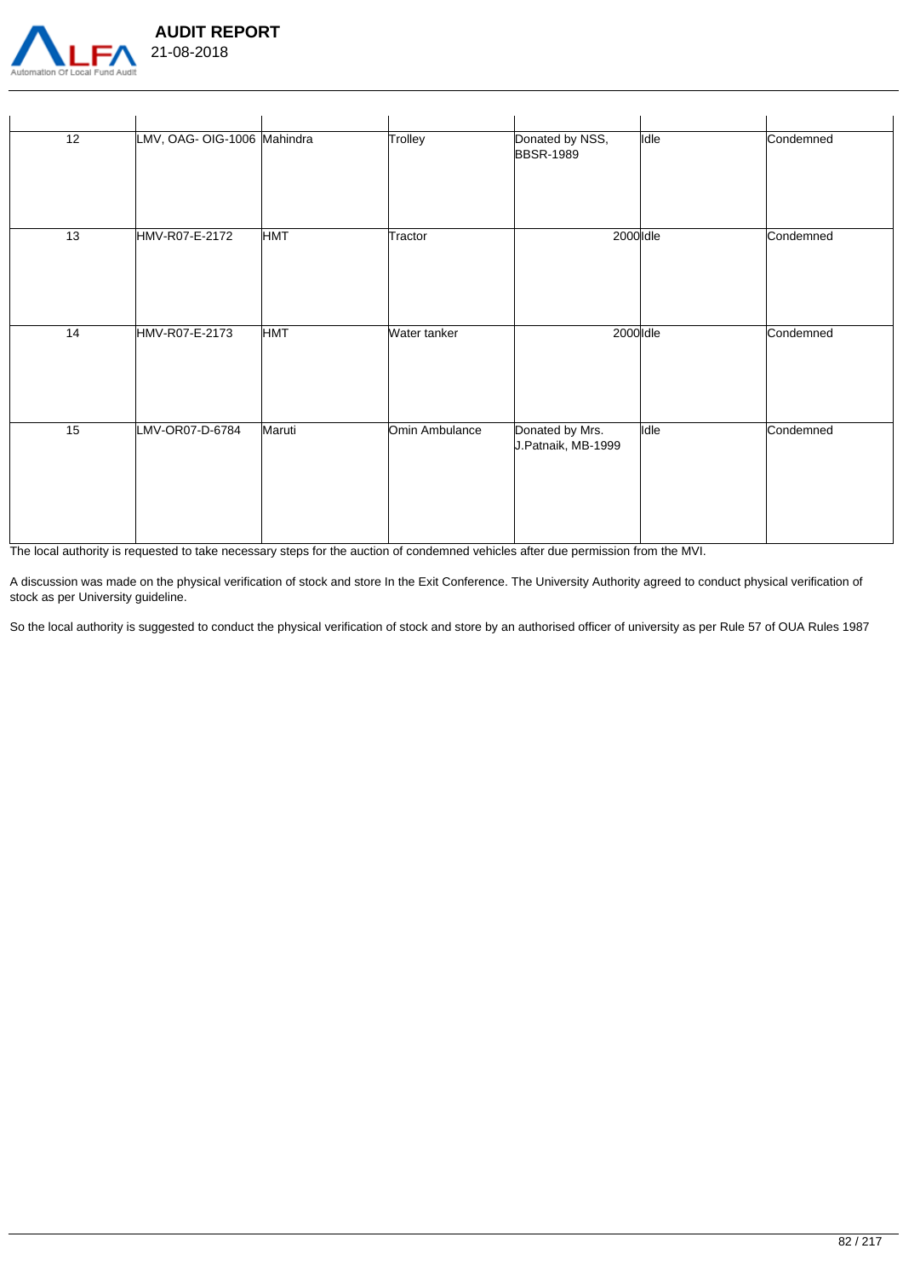

| 12 | LMV, OAG-OIG-1006 Mahindra |            | Trolley        | Donated by NSS,<br><b>BBSR-1989</b>   | Idle | Condemned |
|----|----------------------------|------------|----------------|---------------------------------------|------|-----------|
| 13 | HMV-R07-E-2172             | <b>HMT</b> | Tractor        | 2000 Idle                             |      | Condemned |
| 14 | HMV-R07-E-2173             | <b>HMT</b> | Water tanker   | 2000 Idle                             |      | Condemned |
| 15 | LMV-OR07-D-6784            | Maruti     | Omin Ambulance | Donated by Mrs.<br>J.Patnaik, MB-1999 | Idle | Condemned |

The local authority is requested to take necessary steps for the auction of condemned vehicles after due permission from the MVI.

A discussion was made on the physical verification of stock and store In the Exit Conference. The University Authority agreed to conduct physical verification of stock as per University guideline.

So the local authority is suggested to conduct the physical verification of stock and store by an authorised officer of university as per Rule 57 of OUA Rules 1987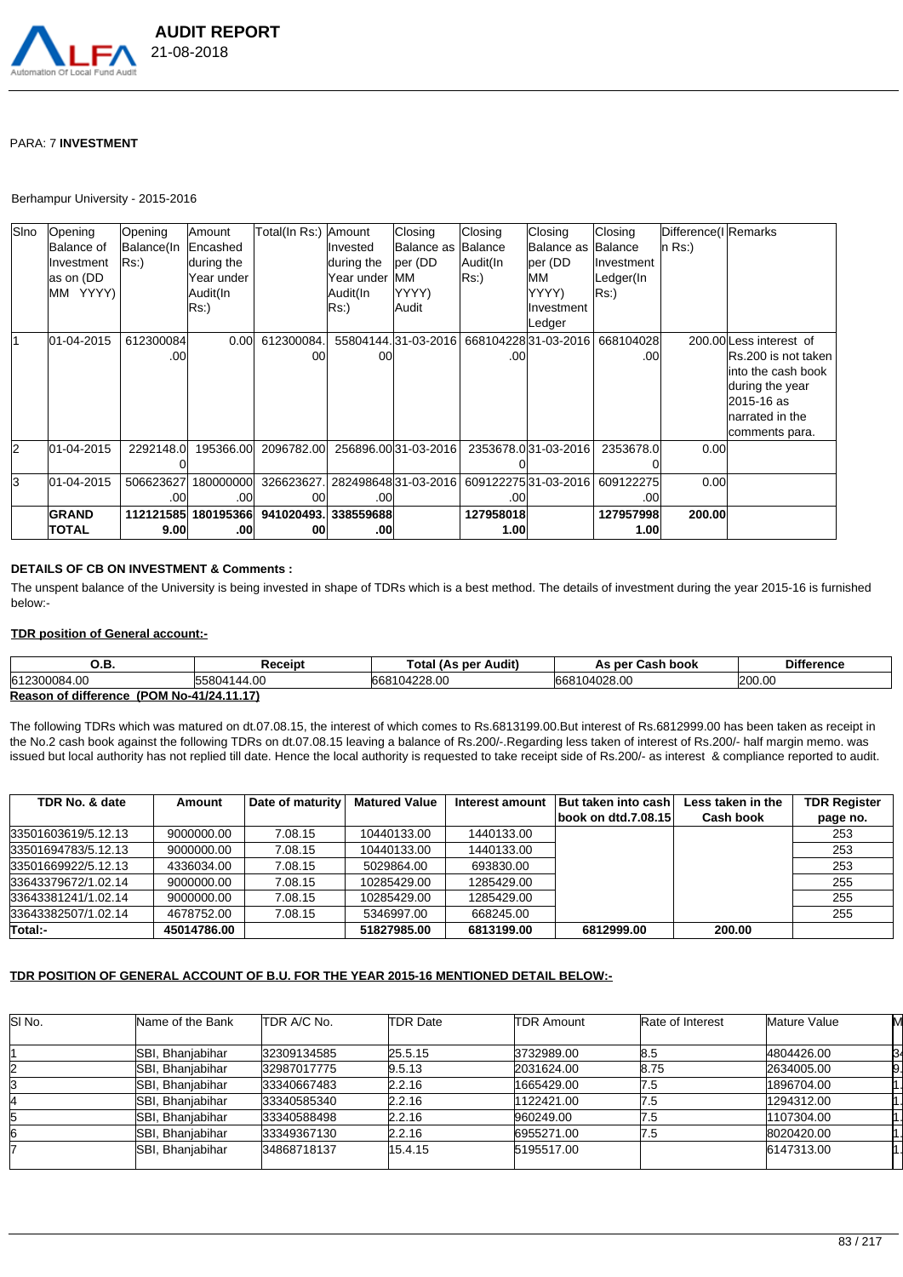

# PARA: 7 **INVESTMENT**

### Berhampur University - 2015-2016

| Sino | Opening      | Opening             | Amount           | Total(In Rs:) Amount |                  | Closing                                            | Closing   | Closing              | Closing           | Difference(I Remarks |                         |
|------|--------------|---------------------|------------------|----------------------|------------------|----------------------------------------------------|-----------|----------------------|-------------------|----------------------|-------------------------|
|      | lBalance of  | Balance(In Encashed |                  |                      | Invested         | Balance as                                         | Balance   | Balance as Balance   |                   | $n$ Rs:)             |                         |
|      | Ilnvestment  | Rs:)                | during the       |                      | during the       | per (DD                                            | Audit(In  | per (DD              | <b>Investment</b> |                      |                         |
|      | as on (DD    |                     | Year under       |                      | Year under       | <b>IMM</b>                                         | Rs.       | MМ                   | Ledger(In         |                      |                         |
|      | MM YYYY)     |                     | Audit(In         |                      | Audit(In         | lYYYY)                                             |           | YYYY)                | Rs.               |                      |                         |
|      |              |                     | (Rs:)            |                      | $Rs$ :)          | Audit                                              |           | Investment           |                   |                      |                         |
|      |              |                     |                  |                      |                  |                                                    |           | Ledger               |                   |                      |                         |
|      | 01-04-2015   | 612300084           | 0.00             | 612300084.           |                  | 55804144.131-03-2016                               |           | 668104228l31-03-2016 | 668104028         |                      | 200.00 Less interest of |
|      |              | .00                 |                  | 00                   | 00               |                                                    | .001      |                      | .00               |                      | IRs.200 is not taken    |
|      |              |                     |                  |                      |                  |                                                    |           |                      |                   |                      | linto the cash book     |
|      |              |                     |                  |                      |                  |                                                    |           |                      |                   |                      | during the year         |
|      |              |                     |                  |                      |                  |                                                    |           |                      |                   |                      | 2015-16 as              |
|      |              |                     |                  |                      |                  |                                                    |           |                      |                   |                      | Inarrated in the        |
|      |              |                     |                  |                      |                  |                                                    |           |                      |                   |                      | comments para.          |
| l2   | 01-04-2015   | 2292148.0           | 195366.00        | 2096782.00           |                  | 256896.00 31-03-2016                               |           | 2353678.031-03-2016  | 2353678.0         | 0.00                 |                         |
|      |              |                     |                  |                      |                  |                                                    |           |                      |                   |                      |                         |
| IЗ   | 01-04-2015   | 506623627           | 180000000        | 326623627            |                  | 28249864831-03-2016 609122275 31-03-2016 609122275 |           |                      |                   | 0.00                 |                         |
|      |              | .00                 | .00              | 00                   | .00              |                                                    | .00       |                      | .00               |                      |                         |
|      | <b>GRAND</b> | 112121585           | 180195366        | 941020493.           | 338559688        |                                                    | 127958018 |                      | 127957998         | 200.00               |                         |
|      | TOTAL        | 9.00                | .00 <sub>l</sub> | 00                   | .00 <sub>l</sub> |                                                    | 1.00      |                      | 1.00              |                      |                         |

### **DETAILS OF CB ON INVESTMENT & Comments :**

The unspent balance of the University is being invested in shape of TDRs which is a best method. The details of investment during the year 2015-16 is furnished below:-

### **TDR position of General account:-**

| O.B.                          | Receipt              | Audit <sup>'</sup><br>Total (As per | <b>Cash book</b><br>As per | <b>Difference</b> |
|-------------------------------|----------------------|-------------------------------------|----------------------------|-------------------|
| 612300084.00                  | 55804144.00          | 104228.00<br>6681                   | 04028.00<br>66810          | 200.00            |
| <br>Reason of<br>difference : | (POM No-41/24.11.17) |                                     |                            |                   |

The following TDRs which was matured on dt.07.08.15, the interest of which comes to Rs.6813199.00.But interest of Rs.6812999.00 has been taken as receipt in the No.2 cash book against the following TDRs on dt.07.08.15 leaving a balance of Rs.200/-.Regarding less taken of interest of Rs.200/- half margin memo. was issued but local authority has not replied till date. Hence the local authority is requested to take receipt side of Rs.200/- as interest & compliance reported to audit.

| TDR No. & date      | Amount      | Date of maturity | <b>Matured Value</b> | Interest amount | <b>But taken into cash</b> | Less taken in the | <b>TDR Register</b> |
|---------------------|-------------|------------------|----------------------|-----------------|----------------------------|-------------------|---------------------|
|                     |             |                  |                      |                 | book on dtd.7.08.15        | Cash book         | page no.            |
| 33501603619/5.12.13 | 9000000.00  | 7.08.15          | 10440133.00          | 1440133.00      |                            |                   | 253                 |
| 33501694783/5.12.13 | 9000000.00  | 7.08.15          | 10440133.00          | 1440133.00      |                            |                   | 253                 |
| 33501669922/5.12.13 | 4336034.00  | 7.08.15          | 5029864.00           | 693830.00       |                            |                   | 253                 |
| 33643379672/1.02.14 | 9000000.00  | 7.08.15          | 10285429.00          | 1285429.00      |                            |                   | 255                 |
| 33643381241/1.02.14 | 9000000.00  | 7.08.15          | 10285429.00          | 1285429.00      |                            |                   | 255                 |
| 33643382507/1.02.14 | 4678752.00  | 7.08.15          | 5346997.00           | 668245.00       |                            |                   | 255                 |
| Total:-             | 45014786.00 |                  | 51827985.00          | 6813199.00      | 6812999.00                 | 200.00            |                     |

# **TDR POSITION OF GENERAL ACCOUNT OF B.U. FOR THE YEAR 2015-16 MENTIONED DETAIL BELOW:-**

| ISI No. | Name of the Bank | ITDR A/C No. | <b>TDR Date</b> | <b>ITDR Amount</b> | Rate of Interest | Mature Value |  |
|---------|------------------|--------------|-----------------|--------------------|------------------|--------------|--|
|         |                  |              |                 |                    |                  |              |  |
|         | SBI, Bhanjabihar | 32309134585  | 25.5.15         | 3732989.00         | 8.5              | 4804426.00   |  |
|         | SBI, Bhanjabihar | 32987017775  | 9.5.13          | 2031624.00         | 8.75             | 2634005.00   |  |
|         | SBI, Bhanjabihar | 33340667483  | 2.2.16          | 1665429.00         | 7.5              | 1896704.00   |  |
|         | SBI, Bhanjabihar | 33340585340  | 2.2.16          | 1122421.00         | 7.5              | 1294312.00   |  |
|         | SBI, Bhanjabihar | 33340588498  | 2.2.16          | 960249.00          | 7.5              | 1107304.00   |  |
|         | SBI, Bhanjabihar | 33349367130  | 2.2.16          | 6955271.00         | 7.5              | 8020420.00   |  |
|         | SBI, Bhanjabihar | 34868718137  | 15.4.15         | 5195517.00         |                  | 6147313.00   |  |
|         |                  |              |                 |                    |                  |              |  |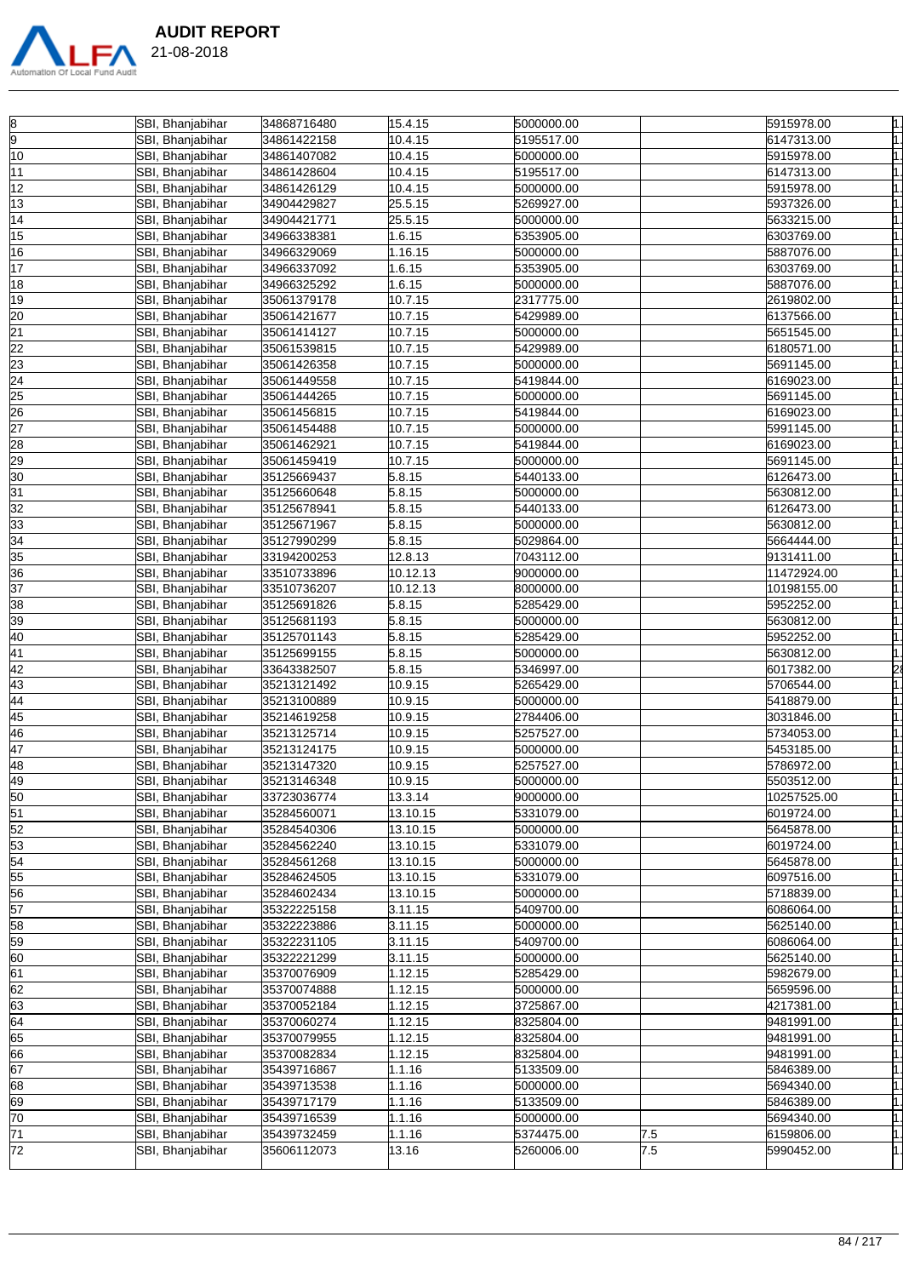

| 8               | SBI, Bhanjabihar | 34868716480 | 15.4.15  | 5000000.00 |     | 5915978.00                              |
|-----------------|------------------|-------------|----------|------------|-----|-----------------------------------------|
| l9              | SBI, Bhanjabihar | 34861422158 | 10.4.15  | 5195517.00 |     | 1.<br>6147313.00                        |
| $\overline{10}$ | SBI, Bhanjabihar | 34861407082 | 10.4.15  | 5000000.00 |     | 1.<br>5915978.00                        |
| 11              | SBI, Bhanjabihar | 34861428604 | 10.4.15  | 5195517.00 |     | 6147313.00                              |
| 12              | SBI, Bhanjabihar | 34861426129 | 10.4.15  | 5000000.00 |     | 5915978.00                              |
| 13              | SBI, Bhanjabihar | 34904429827 | 25.5.15  | 5269927.00 |     | 5937326.00                              |
| 14              | SBI, Bhanjabihar | 34904421771 | 25.5.15  | 5000000.00 |     | 5633215.00                              |
| $\overline{15}$ | SBI, Bhanjabihar | 34966338381 | 1.6.15   | 5353905.00 |     | 6303769.00                              |
| 16              | SBI, Bhanjabihar | 34966329069 | 1.16.15  | 5000000.00 |     | 5887076.00                              |
| 17              | SBI, Bhanjabihar | 34966337092 | 1.6.15   | 5353905.00 |     | 6303769.00                              |
| 18              | SBI, Bhanjabihar | 34966325292 | 1.6.15   | 5000000.00 |     | h.<br>5887076.00                        |
| 19              | SBI, Bhanjabihar | 35061379178 | 10.7.15  | 2317775.00 |     | 1.<br>2619802.00                        |
| 20              | SBI, Bhanjabihar | 35061421677 | 10.7.15  | 5429989.00 |     | 1.<br>6137566.00                        |
| 21              | SBI, Bhanjabihar | 35061414127 | 10.7.15  | 5000000.00 |     | 5651545.00                              |
| 22              | SBI, Bhanjabihar | 35061539815 | 10.7.15  | 5429989.00 |     | 1.<br>6180571.00                        |
| 23              | SBI, Bhanjabihar | 35061426358 | 10.7.15  | 5000000.00 |     | T.<br>5691145.00                        |
| 24              | SBI, Bhanjabihar | 35061449558 | 10.7.15  | 5419844.00 |     | 1.<br>6169023.00                        |
| 25              | SBI, Bhanjabihar | 35061444265 | 10.7.15  | 5000000.00 |     | 1.<br>5691145.00                        |
| 26              | SBI, Bhanjabihar | 35061456815 | 10.7.15  | 5419844.00 |     | 1.<br>6169023.00                        |
| 27              |                  | 35061454488 | 10.7.15  | 5000000.00 |     | T.<br>5991145.00                        |
|                 | SBI, Bhanjabihar |             | 10.7.15  | 5419844.00 |     | 1.                                      |
| 28              | SBI, Bhanjabihar | 35061462921 |          |            |     | 6169023.00<br>1.                        |
| 29              | SBI, Bhanjabihar | 35061459419 | 10.7.15  | 5000000.00 |     | 5691145.00                              |
| 30              | SBI, Bhanjabihar | 35125669437 | 5.8.15   | 5440133.00 |     | 6126473.00                              |
| 31              | SBI, Bhanjabihar | 35125660648 | 5.8.15   | 5000000.00 |     | 1.<br>5630812.00                        |
| 32              | SBI, Bhanjabihar | 35125678941 | 5.8.15   | 5440133.00 |     | 6126473.00                              |
| 33              | SBI, Bhanjabihar | 35125671967 | 5.8.15   | 5000000.00 |     | 5630812.00                              |
| 34              | SBI, Bhanjabihar | 35127990299 | 5.8.15   | 5029864.00 |     | 5664444.00                              |
| 35              | SBI, Bhanjabihar | 33194200253 | 12.8.13  | 7043112.00 |     | 9131411.00                              |
| 36              | SBI, Bhanjabihar | 33510733896 | 10.12.13 | 9000000.00 |     | 11472924.00                             |
| 37              | SBI, Bhanjabihar | 33510736207 | 10.12.13 | 8000000.00 |     | 1.<br>10198155.00                       |
| 38              | SBI, Bhanjabihar | 35125691826 | 5.8.15   | 5285429.00 |     | 5952252.00                              |
| 39              | SBI, Bhanjabihar | 35125681193 | 5.8.15   | 5000000.00 |     | 1.<br>5630812.00                        |
| 40              | SBI, Bhanjabihar | 35125701143 | 5.8.15   | 5285429.00 |     | 1.<br>5952252.00                        |
| 41              | SBI, Bhanjabihar | 35125699155 | 5.8.15   | 5000000.00 |     | 1.<br>5630812.00                        |
| 42              | SBI, Bhanjabihar | 33643382507 | 5.8.15   | 5346997.00 |     | 6017382.00                              |
| 43              | SBI, Bhanjabihar | 35213121492 | 10.9.15  | 5265429.00 |     | ī.<br>5706544.00                        |
| 44              | SBI, Bhanjabihar | 35213100889 | 10.9.15  | 5000000.00 |     | ī.<br>5418879.00                        |
| 45              | SBI, Bhanjabihar | 35214619258 | 10.9.15  | 2784406.00 |     | 1.<br>3031846.00                        |
| 46              | SBI, Bhanjabihar | 35213125714 | 10.9.15  | 5257527.00 |     | 1.<br>5734053.00                        |
| 47              | SBI, Bhanjabihar | 35213124175 | 10.9.15  | 5000000.00 |     | 1.<br>5453185.00                        |
| 48              | SBI, Bhanjabihar | 35213147320 | 10.9.15  | 5257527.00 |     | T.<br>5786972.00                        |
| 49              | SBI, Bhanjabihar | 35213146348 | 10.9.15  | 5000000.00 |     | 1.<br>5503512.00                        |
| 50              | SBI, Bhanjabihar | 33723036774 | 13.3.14  | 9000000.00 |     | 10257525.00                             |
| 51              | SBI, Bhanjabihar | 35284560071 | 13.10.15 | 5331079.00 |     | T1.<br>6019724.00                       |
| 52              | SBI, Bhanjabihar | 35284540306 | 13.10.15 | 5000000.00 |     | 1.<br>5645878.00                        |
| 53              | SBI, Bhanjabihar | 35284562240 | 13.10.15 | 5331079.00 |     | $\overline{1}$ .<br>6019724.00          |
| 54              | SBI, Bhanjabihar | 35284561268 | 13.10.15 | 5000000.00 |     | 5645878.00                              |
| 55              | SBI, Bhanjabihar | 35284624505 | 13.10.15 | 5331079.00 |     | 6097516.00                              |
| 56              | SBI, Bhanjabihar | 35284602434 | 13.10.15 | 5000000.00 |     | 1.<br>5718839.00                        |
| 57              | SBI, Bhanjabihar | 35322225158 | 3.11.15  | 5409700.00 |     | 6086064.00                              |
|                 | SBI, Bhanjabihar |             | 3.11.15  |            |     | 1.                                      |
| 58              |                  | 35322223886 |          | 5000000.00 |     | 5625140.00<br>1.<br>6086064.00          |
| 59              | SBI, Bhanjabihar | 35322231105 | 3.11.15  | 5409700.00 |     | 1.                                      |
| 60              | SBI, Bhanjabihar | 35322221299 | 3.11.15  | 5000000.00 |     | 5625140.00<br>ī.                        |
| 61              | SBI, Bhanjabihar | 35370076909 | 1.12.15  | 5285429.00 |     | 5982679.00                              |
| 62              | SBI, Bhanjabihar | 35370074888 | 1.12.15  | 5000000.00 |     | $\overline{\mathbf{1}}$ .<br>5659596.00 |
| 63              | SBI, Bhanjabihar | 35370052184 | 1.12.15  | 3725867.00 |     | ī.<br>4217381.00                        |
| 64              | SBI, Bhanjabihar | 35370060274 | 1.12.15  | 8325804.00 |     | $\overline{1}$ .<br>9481991.00          |
| 65              | SBI, Bhanjabihar | 35370079955 | 1.12.15  | 8325804.00 |     | 1.<br>9481991.00                        |
| 66              | SBI, Bhanjabihar | 35370082834 | 1.12.15  | 8325804.00 |     | 1.<br>9481991.00                        |
| 67              | SBI, Bhanjabihar | 35439716867 | 1.1.16   | 5133509.00 |     | 1.<br>5846389.00                        |
| 68              | SBI, Bhanjabihar | 35439713538 | 1.1.16   | 5000000.00 |     | 1.<br>5694340.00                        |
| 69              | SBI, Bhanjabihar | 35439717179 | 1.1.16   | 5133509.00 |     | T.<br>5846389.00                        |
| 70              | SBI, Bhanjabihar | 35439716539 | 1.1.16   | 5000000.00 |     | 1.<br>5694340.00                        |
| 71              | SBI, Bhanjabihar | 35439732459 | 1.1.16   | 5374475.00 | 7.5 | 1.<br>6159806.00                        |
| 72              | SBI, Bhanjabihar | 35606112073 | 13.16    | 5260006.00 | 7.5 | 5990452.00                              |
|                 |                  |             |          |            |     |                                         |
|                 |                  |             |          |            |     |                                         |

—<br>—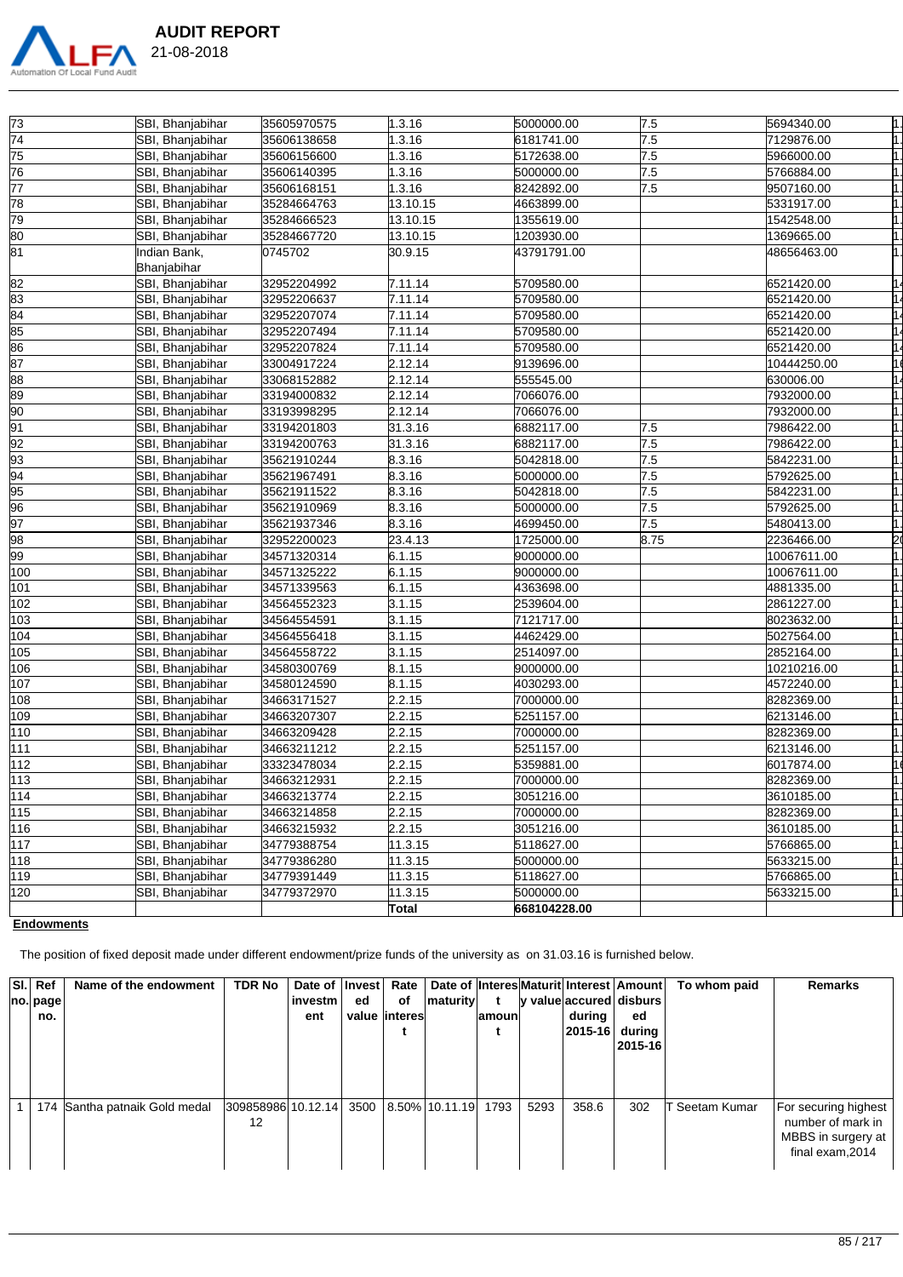

21-08-2018

| 73                     | SBI, Bhanjabihar | 35605970575                | 1.3.16           | 5000000.00               | 7.5  | 5694340.00               |                |
|------------------------|------------------|----------------------------|------------------|--------------------------|------|--------------------------|----------------|
| 74                     | SBI, Bhanjabihar | 35606138658                | .3.16            | 6181741.00               | 7.5  | 7129876.00               | h.             |
| 75                     | SBI, Bhanjabihar | 35606156600                | .3.16            | 5172638.00               | 7.5  | 5966000.00               |                |
| 76                     | SBI, Bhanjabihar | 35606140395                | .3.16            | 5000000.00               | 7.5  | 5766884.00               |                |
| 77                     | SBI, Bhanjabihar | 35606168151                | 1.3.16           | 8242892.00               | 7.5  | 9507160.00               |                |
| 78                     | SBI, Bhanjabihar | 35284664763                | 13.10.15         | 4663899.00               |      | 5331917.00               |                |
| 79                     | SBI, Bhanjabihar | 35284666523                | 13.10.15         | 1355619.00               |      | 1542548.00               |                |
| 80                     | SBI, Bhanjabihar | 35284667720                | 13.10.15         | 1203930.00               |      | 1369665.00               |                |
| 81                     | Indian Bank,     | 0745702                    | 30.9.15          | 43791791.00              |      | 48656463.00              |                |
|                        | Bhanjabihar      |                            |                  |                          |      |                          |                |
| 82                     | SBI, Bhanjabihar | 32952204992                | 7.11.14          | 5709580.00               |      | 6521420.00               |                |
| 83                     | SBI, Bhanjabihar | 32952206637                | 7.11.14          | 5709580.00               |      | 6521420.00               |                |
| 84                     | SBI, Bhanjabihar | 32952207074                | 7.11.14          | 5709580.00               |      | 6521420.00               |                |
| 85                     | SBI, Bhanjabihar | 32952207494                | 7.11.14          | 5709580.00               |      | 6521420.00               |                |
| 86                     | SBI, Bhanjabihar | 32952207824                | 7.11.14          | 5709580.00               |      | 6521420.00               |                |
| 87                     | SBI, Bhanjabihar | 33004917224                | 2.12.14          | 9139696.00               |      | 10444250.00              |                |
| 88                     | SBI, Bhanjabihar | 33068152882                | 2.12.14          | 555545.00                |      | 630006.00                |                |
| 89                     | SBI, Bhanjabihar | 33194000832                | 2.12.14          | 7066076.00               |      | 7932000.00               |                |
| 90                     | SBI, Bhanjabihar | 33193998295                | 2.12.14          | 7066076.00               |      | 7932000.00               |                |
| 91                     | SBI, Bhanjabihar | 33194201803                | 31.3.16          | 6882117.00               | 7.5  | 7986422.00               |                |
| 92                     | SBI, Bhanjabihar | 33194200763                | 31.3.16          | 6882117.00               | 7.5  | 7986422.00               |                |
| 93                     | SBI, Bhanjabihar | 35621910244                | 8.3.16           | 5042818.00               | 7.5  | 5842231.00               |                |
| 94                     | SBI, Bhanjabihar | 35621967491                | 8.3.16           | 5000000.00               | 7.5  | 5792625.00               |                |
| 95                     | SBI, Bhanjabihar | 35621911522                | 8.3.16           | 5042818.00               | 7.5  | 5842231.00               |                |
| 96                     | SBI, Bhanjabihar | 35621910969                | 8.3.16           | 5000000.00               | 7.5  | 5792625.00               | h.             |
| 97                     | SBI, Bhanjabihar | 35621937346                | 8.3.16           | 4699450.00               | 7.5  | 5480413.00               |                |
| 98                     | SBI, Bhanjabihar | 32952200023                | 23.4.13          | 1725000.00               | 8.75 | 2236466.00               | 2              |
| 99                     | SBI, Bhanjabihar | 34571320314                | 6.1.15           | 9000000.00               |      | 10067611.00              |                |
| 100                    | SBI, Bhanjabihar | 34571325222                | 6.1.15           | 9000000.00               |      | 10067611.00              |                |
| 101                    | SBI, Bhanjabihar | 34571339563                | 6.1.15           | 4363698.00               |      | 4881335.00               |                |
| 102                    | SBI, Bhanjabihar | 34564552323                | 3.1.15           | 2539604.00               |      | 2861227.00               |                |
| 103                    |                  | 34564554591                | 3.1.15           | 7121717.00               |      | 8023632.00               |                |
|                        | SBI, Bhanjabihar |                            |                  |                          |      |                          |                |
| 104                    | SBI, Bhanjabihar | 34564556418<br>34564558722 | 3.1.15<br>3.1.15 | 4462429.00<br>2514097.00 |      | 5027564.00<br>2852164.00 |                |
| 105                    | SBI, Bhanjabihar |                            |                  |                          |      |                          |                |
| 106<br>107             | SBI, Bhanjabihar | 34580300769                | 8.1.15           | 9000000.00               |      | 10210216.00              |                |
|                        | SBI, Bhanjabihar | 34580124590                | 8.1.15<br>2.2.15 | 4030293.00               |      | 4572240.00<br>8282369.00 |                |
| 108                    | SBI, Bhanjabihar | 34663171527                |                  | 7000000.00               |      |                          |                |
| 109                    | SBI, Bhanjabihar | 34663207307                | 2.2.15           | 5251157.00               |      | 6213146.00               |                |
| 110                    | SBI, Bhanjabihar | 34663209428                | 2.2.15           | 7000000.00               |      | 8282369.00               | h.             |
| 111                    | SBI, Bhanjabihar | 34663211212                | 2.2.15           | 5251157.00               |      | 6213146.00               |                |
| 112                    | SBI, Bhanjabihar | 33323478034                | 2.2.15           | 5359881.00               |      | 6017874.00               |                |
| 113                    | SBI, Bhanjabihar | 34663212931                | 2.2.15           | 7000000.00               |      | 8282369.00               | l1.            |
| 114                    | SBI, Bhanjabihar | 34663213774                | 2.2.15           | 3051216.00               |      | 3610185.00               |                |
| 115                    | SBI, Bhanjabihar | 34663214858                | 2.2.15           | 7000000.00               |      | 8282369.00               | 1.             |
| 116                    | SBI, Bhanjabihar | 34663215932                | 2.2.15           | 3051216.00               |      | 3610185.00               | $\overline{1}$ |
| 117                    | SBI, Bhanjabihar | 34779388754                | 11.3.15          | 5118627.00               |      | 5766865.00               | h.             |
| 118                    | SBI, Bhanjabihar | 34779386280                | 11.3.15          | 5000000.00               |      | 5633215.00               |                |
| 119                    | SBI, Bhanjabihar | 34779391449                | 11.3.15          | 5118627.00               |      | 5766865.00               |                |
| 120                    | SBI, Bhanjabihar | 34779372970                | 11.3.15          | 5000000.00               |      | 5633215.00               |                |
|                        |                  |                            | Total            | 668104228.00             |      |                          |                |
| <b>The Association</b> |                  |                            |                  |                          |      |                          |                |

# **Endowments**

The position of fixed deposit made under different endowment/prize funds of the university as on 31.03.16 is furnished below.

| SI. Ref<br>$ no $ page<br>no. | Name of the endowment         | <b>TDR No</b>            | Date of   Invest  <br>investm<br>ent | ed   | Rate<br>οf<br>value linteres | maturity            | lamounl |      | during<br>2015-16 | Date of Interes Maturit Interest   Amount  <br>ly value accured disburs<br>ed<br>during<br>2015-16 | To whom paid | Remarks                                                                             |
|-------------------------------|-------------------------------|--------------------------|--------------------------------------|------|------------------------------|---------------------|---------|------|-------------------|----------------------------------------------------------------------------------------------------|--------------|-------------------------------------------------------------------------------------|
|                               | 174 Santha patnaik Gold medal | 309858986 10.12.14<br>12 |                                      | 3500 |                              | $ 8.50\% 10.11.19 $ | 1793    | 5293 | 358.6             | 302                                                                                                | Seetam Kumar | For securing highest<br>number of mark in<br>MBBS in surgery at<br>final exam, 2014 |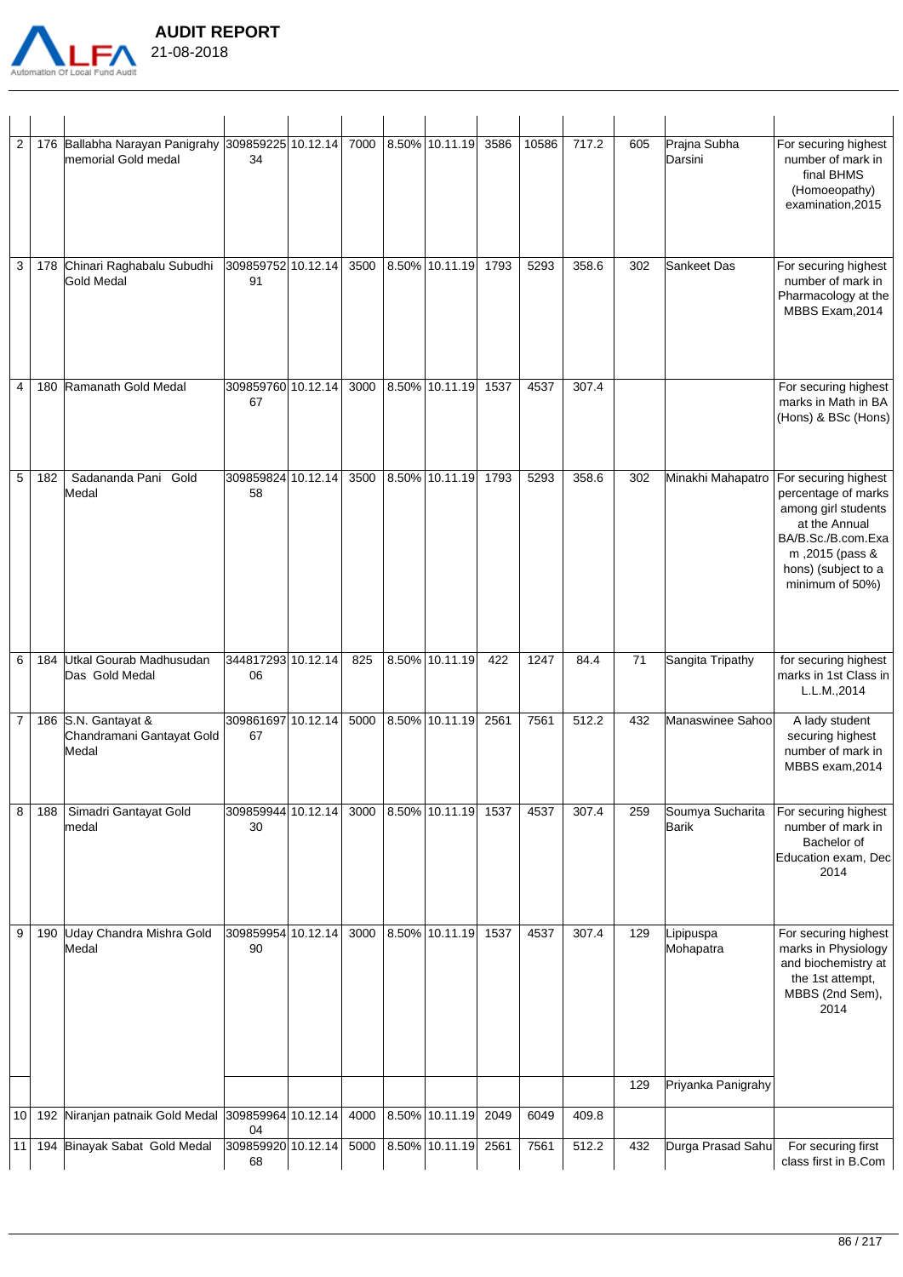

| <b>AUDIT REPORT</b> |
|---------------------|
| 21-08-2018          |

| $\overline{\mathbf{c}}$ |     | 176 Ballabha Narayan Panigrahy 309859225 10.12.14<br>memorial Gold medal | 34                       | 7000 | 8.50% 10.11.19      | 3586 | 10586 | 717.2 | 605 | Prajna Subha<br>Darsini   | For securing highest<br>number of mark in<br>final BHMS<br>(Homoeopathy)<br>examination, 2015                                                                          |
|-------------------------|-----|--------------------------------------------------------------------------|--------------------------|------|---------------------|------|-------|-------|-----|---------------------------|------------------------------------------------------------------------------------------------------------------------------------------------------------------------|
| 3                       |     | 178 Chinari Raghabalu Subudhi<br>Gold Medal                              | 309859752 10.12.14<br>91 | 3500 | 8.50% 10.11.19      | 1793 | 5293  | 358.6 | 302 | Sankeet Das               | For securing highest<br>number of mark in<br>Pharmacology at the<br>MBBS Exam, 2014                                                                                    |
| 4                       | 180 | Ramanath Gold Medal                                                      | 309859760 10.12.14<br>67 | 3000 | 8.50% 10.11.19      | 1537 | 4537  | 307.4 |     |                           | For securing highest<br>marks in Math in BA<br>(Hons) & BSc (Hons)                                                                                                     |
| 5                       | 182 | Sadananda Pani Gold<br>Medal                                             | 309859824 10.12.14<br>58 | 3500 | 8.50% 10.11.19      | 1793 | 5293  | 358.6 | 302 | Minakhi Mahapatro         | For securing highest<br>percentage of marks<br>among girl students<br>at the Annual<br>BA/B.Sc./B.com.Exa<br>m, 2015 (pass &<br>hons) (subject to a<br>minimum of 50%) |
| 6                       | 184 | Utkal Gourab Madhusudan<br>Das Gold Medal                                | 344817293 10.12.14<br>06 | 825  | 8.50% 10.11.19      | 422  | 1247  | 84.4  | 71  | Sangita Tripathy          | for securing highest<br>marks in 1st Class in<br>L.L.M.,2014                                                                                                           |
| 7                       |     | 186 S.N. Gantayat &<br>Chandramani Gantayat Gold<br>Medal                | 309861697 10.12.14<br>67 | 5000 | 8.50% 10.11.19 2561 |      | 7561  | 512.2 | 432 | Manaswinee Sahool         | A lady student<br>securing highest<br>number of mark in<br>MBBS exam, 2014                                                                                             |
| 8                       | 188 | Simadri Gantayat Gold<br>lmedal                                          | 309859944 10.12.14<br>30 | 3000 | 8.50% 10.11.19 1537 |      | 4537  | 307.4 | 259 | Soumya Sucharita<br>Barik | For securing highest<br>number of mark in<br>Bachelor of<br>Education exam, Dec<br>2014                                                                                |
| 9                       | 190 | Uday Chandra Mishra Gold<br>Medal                                        | 309859954 10.12.14<br>90 | 3000 | 8.50% 10.11.19      | 1537 | 4537  | 307.4 | 129 | Lipipuspa<br>Mohapatra    | For securing highest<br>marks in Physiology<br>and biochemistry at<br>the 1st attempt,<br>MBBS (2nd Sem),<br>2014                                                      |
|                         |     |                                                                          |                          |      |                     |      |       |       | 129 | Priyanka Panigrahy        |                                                                                                                                                                        |
| 10                      | 192 | Niranjan patnaik Gold Medal 309859964 10.12.14                           | 04                       | 4000 | 8.50% 10.11.19      | 2049 | 6049  | 409.8 |     |                           |                                                                                                                                                                        |
| 11                      |     | 194 Binayak Sabat Gold Medal                                             | 309859920 10.12.14<br>68 | 5000 | 8.50% 10.11.19      | 2561 | 7561  | 512.2 | 432 | Durga Prasad Sahu         | For securing first<br>class first in B.Com                                                                                                                             |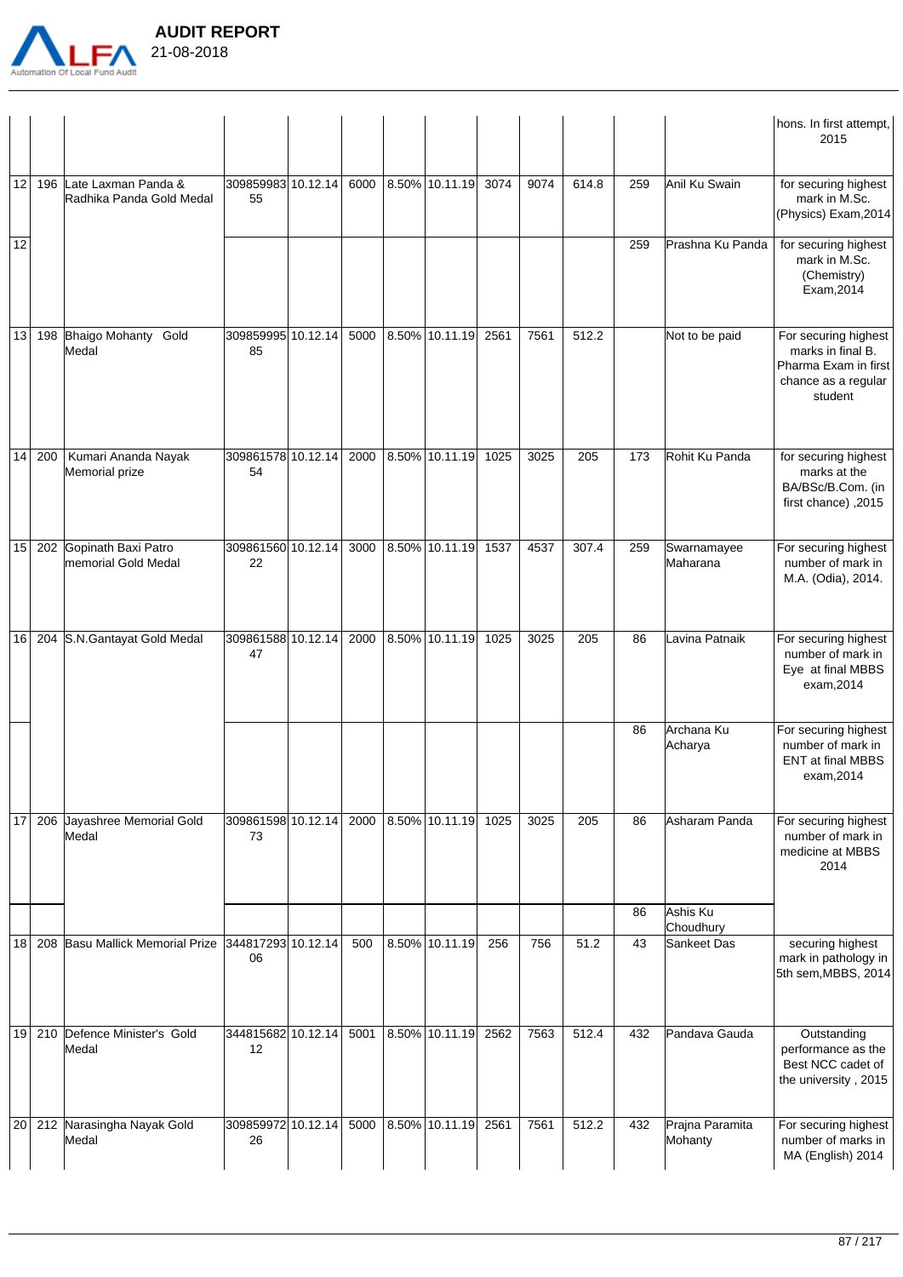

|                   |     |                                                     |                          |      |                     |      |      |       |     |                            | hons. In first attempt,<br>2015                                                                     |
|-------------------|-----|-----------------------------------------------------|--------------------------|------|---------------------|------|------|-------|-----|----------------------------|-----------------------------------------------------------------------------------------------------|
| $12 \overline{ }$ |     | 196 Late Laxman Panda &<br>Radhika Panda Gold Medal | 309859983 10.12.14<br>55 |      | 6000 8.50% 10.11.19 | 3074 | 9074 | 614.8 | 259 | Anil Ku Swain              | for securing highest<br>mark in M.Sc.<br>(Physics) Exam, 2014                                       |
| 12                |     |                                                     |                          |      |                     |      |      |       | 259 | Prashna Ku Panda           | for securing highest<br>mark in M.Sc.<br>(Chemistry)<br>Exam, 2014                                  |
| 13                |     | 198 Bhaigo Mohanty<br>Gold<br>Medal                 | 309859995 10.12.14<br>85 | 5000 | 8.50% 10.11.19      | 2561 | 7561 | 512.2 |     | Not to be paid             | For securing highest<br>marks in final B.<br>Pharma Exam in first<br>chance as a regular<br>student |
| 14 <sub>1</sub>   | 200 | Kumari Ananda Nayak<br>Memorial prize               | 309861578 10.12.14<br>54 |      | 2000 8.50% 10.11.19 | 1025 | 3025 | 205   | 173 | Rohit Ku Panda             | for securing highest<br>marks at the<br>BA/BSc/B.Com. (in<br>first chance), 2015                    |
| 15 <sup>1</sup>   |     | 202 Gopinath Baxi Patro<br>Imemorial Gold Medal     | 309861560 10.12.14<br>22 |      | 3000 8.50% 10.11.19 | 1537 | 4537 | 307.4 | 259 | Swarnamayee<br>Maharana    | For securing highest<br>number of mark in<br>M.A. (Odia), 2014.                                     |
| 16 <sup>1</sup>   |     | 204 S.N.Gantayat Gold Medal                         | 309861588 10.12.14<br>47 |      | 2000 8.50% 10.11.19 | 1025 | 3025 | 205   | 86  | Lavina Patnaik             | For securing highest<br>number of mark in<br>Eye at final MBBS<br>exam, 2014                        |
|                   |     |                                                     |                          |      |                     |      |      |       | 86  | Archana Ku<br>Acharya      | For securing highest<br>number of mark in<br><b>ENT at final MBBS</b><br>exam, 2014                 |
| 17                |     | 206 Jayashree Memorial Gold<br>Medal                | 309861598 10.12.14<br>73 |      | 2000 8.50% 10.11.19 | 1025 | 3025 | 205   | 86  | Asharam Panda              | For securing highest<br>number of mark in<br>medicine at MBBS<br>2014                               |
|                   |     |                                                     |                          |      |                     |      |      |       | 86  | Ashis Ku<br>Choudhury      |                                                                                                     |
| 18                |     | 208 Basu Mallick Memorial Prize                     | 344817293 10.12.14<br>06 | 500  | 8.50% 10.11.19      | 256  | 756  | 51.2  | 43  | Sankeet Das                | securing highest<br>mark in pathology in<br>5th sem, MBBS, 2014                                     |
| 19 <sup>1</sup>   |     | 210 Defence Minister's Gold<br>Medal                | 344815682 10.12.14<br>12 | 5001 | $ 8.50\% 10.11.19 $ | 2562 | 7563 | 512.4 | 432 | Pandava Gauda              | Outstanding<br>performance as the<br>Best NCC cadet of<br>the university, 2015                      |
| 20                |     | 212 Narasingha Nayak Gold<br>Medal                  | 309859972 10.12.14<br>26 | 5000 | $ 8.50\% 10.11.19 $ | 2561 | 7561 | 512.2 | 432 | Prajna Paramita<br>Mohanty | For securing highest<br>number of marks in<br>MA (English) 2014                                     |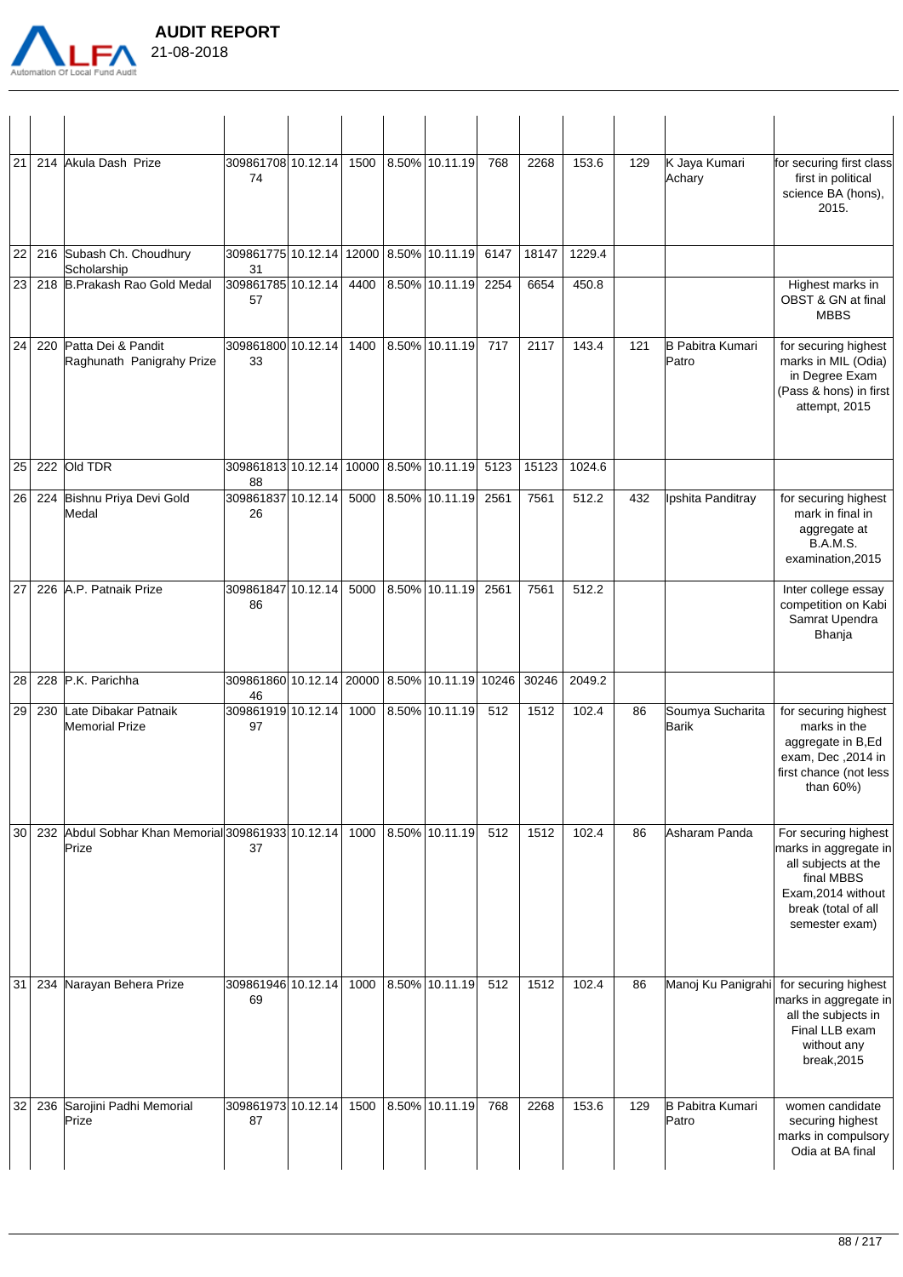

| 21 |     | 214 Akula Dash Prize                                                                  | 309861708 10.12.14<br>74                            | 1500 | 8.50% 10.11.19 | 768  | 2268           | 153.6  | 129 | K Jaya Kumari<br>Achary   | for securing first class<br>first in political<br>science BA (hons),<br>2015.                                                                     |
|----|-----|---------------------------------------------------------------------------------------|-----------------------------------------------------|------|----------------|------|----------------|--------|-----|---------------------------|---------------------------------------------------------------------------------------------------------------------------------------------------|
| 22 |     | 216 Subash Ch. Choudhury<br>Scholarship                                               | 309861775 10.12.14 12000 8.50% 10.11.19<br>31       |      |                | 6147 | 18147          | 1229.4 |     |                           |                                                                                                                                                   |
| 23 |     | 218 B.Prakash Rao Gold Medal                                                          | 309861785 10.12.14<br>57                            | 4400 | 8.50% 10.11.19 | 2254 | 6654           | 450.8  |     |                           | Highest marks in<br>OBST & GN at final<br><b>MBBS</b>                                                                                             |
| 24 | 220 | Patta Dei & Pandit<br>Raghunath Panigrahy Prize                                       | 309861800 10.12.14<br>33                            | 1400 | 8.50% 10.11.19 | 717  | 2117           | 143.4  | 121 | B Pabitra Kumari<br>Patro | for securing highest<br>marks in MIL (Odia)<br>in Degree Exam<br>(Pass & hons) in first<br>attempt, 2015                                          |
| 25 | 222 | Old TDR                                                                               | 309861813 10.12.14 10000 8.50% 10.11.19<br>88       |      |                | 5123 | 15123          | 1024.6 |     |                           |                                                                                                                                                   |
| 26 | 224 | Bishnu Priya Devi Gold<br>Medal                                                       | 309861837 10.12.14 5000<br>26                       |      | 8.50% 10.11.19 | 2561 | 7561           | 512.2  | 432 | Ipshita Panditray         | for securing highest<br>mark in final in<br>aggregate at<br><b>B.A.M.S.</b><br>examination, 2015                                                  |
| 27 |     | 226 A.P. Patnaik Prize                                                                | 309861847 10.12.14<br>86                            | 5000 | 8.50% 10.11.19 | 2561 | 7561           | 512.2  |     |                           | Inter college essay<br>competition on Kabi<br>Samrat Upendra<br>Bhanja                                                                            |
| 28 | 228 | P.K. Parichha                                                                         | 309861860 10.12.14 20000 8.50% 10.11.19 10246<br>46 |      |                |      | 30246          | 2049.2 |     |                           |                                                                                                                                                   |
| 29 | 230 | Late Dibakar Patnaik<br><b>Memorial Prize</b>                                         | 309861919 10.12.14<br>97                            | 1000 | 8.50% 10.11.19 | 512  | 1512           | 102.4  | 86  | Soumya Sucharita<br>Barik | for securing highest<br>marks in the<br>aggregate in B,Ed<br>exam, Dec , 2014 in<br>first chance (not less<br>than 60%)                           |
|    |     | 30 232 Abdul Sobhar Khan Memorial 309861933 10.12.14 1000 8.50% 10.11.19 512<br>Prize | 37                                                  |      |                |      | $\boxed{1512}$ | 102.4  | 86  | Asharam Panda             | For securing highest<br>marks in aggregate in<br>all subjects at the<br>final MBBS<br>Exam, 2014 without<br>break (total of all<br>semester exam) |
| 31 | 234 | Narayan Behera Prize                                                                  | 309861946 10.12.14<br>69                            | 1000 | 8.50% 10.11.19 | 512  | 1512           | 102.4  | 86  |                           | Manoj Ku Panigrahi for securing highest<br>marks in aggregate in<br>all the subjects in<br>Final LLB exam<br>without any<br>break, 2015           |
| 32 |     | 236 Sarojini Padhi Memorial<br>Prize                                                  | 309861973 10.12.14<br>87                            | 1500 | 8.50% 10.11.19 | 768  | 2268           | 153.6  | 129 | B Pabitra Kumari<br>Patro | women candidate<br>securing highest<br>marks in compulsory<br>Odia at BA final                                                                    |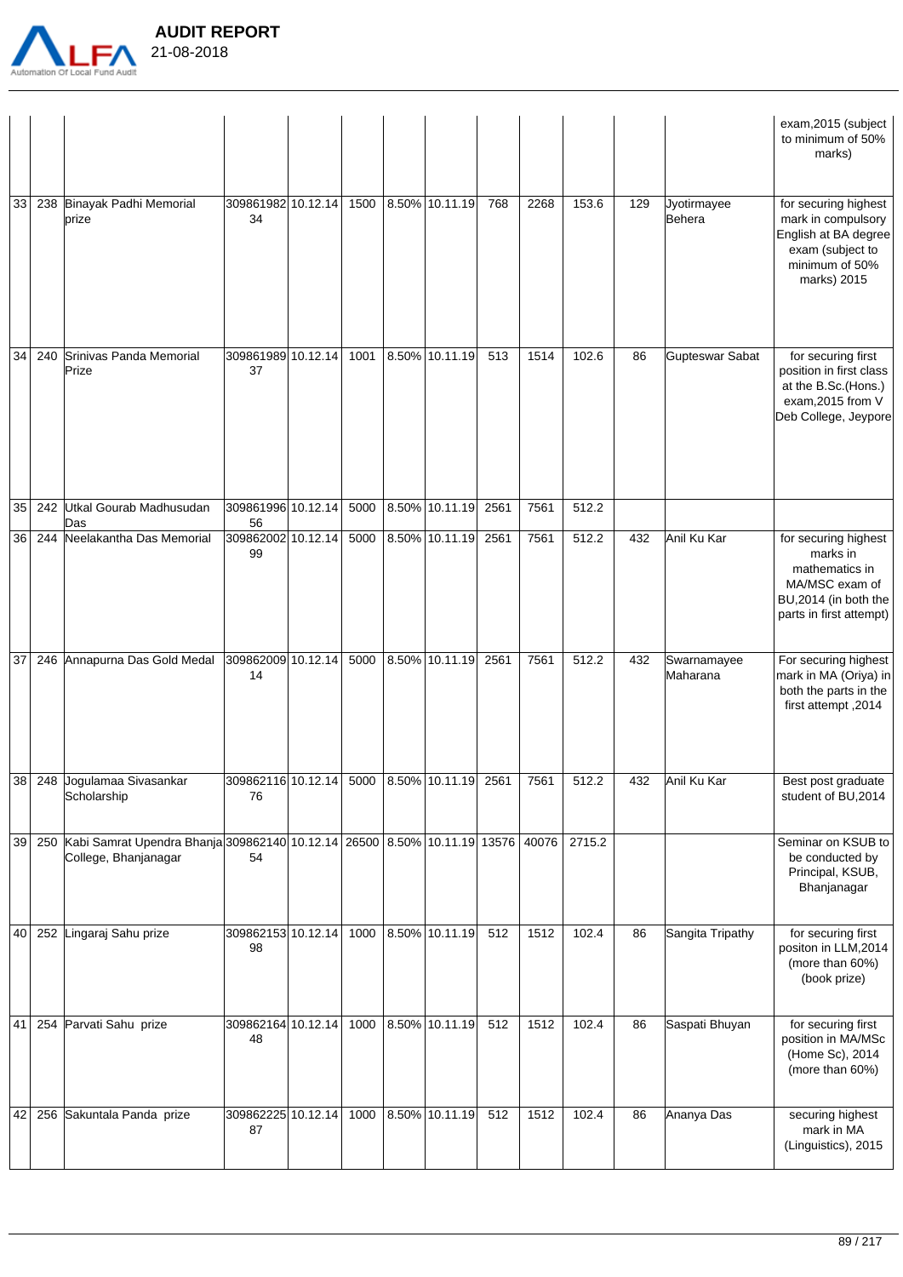

|                 |     |                                                                                                            |                                                   |      |                     |      |      |        |     |                         | exam, 2015 (subject<br>to minimum of 50%<br>marks)                                                                      |
|-----------------|-----|------------------------------------------------------------------------------------------------------------|---------------------------------------------------|------|---------------------|------|------|--------|-----|-------------------------|-------------------------------------------------------------------------------------------------------------------------|
| 33              |     | 238 Binayak Padhi Memorial<br>prize                                                                        | 309861982 10.12.14<br>34                          | 1500 | 8.50% 10.11.19      | 768  | 2268 | 153.6  | 129 | Uyotirmayee<br>Behera   | for securing highest<br>mark in compulsory<br>English at BA degree<br>exam (subject to<br>minimum of 50%<br>marks) 2015 |
| 34              | 240 | Srinivas Panda Memorial<br>Prize                                                                           | 309861989 10.12.14<br>37                          | 1001 | 8.50% 10.11.19      | 513  | 1514 | 102.6  | 86  | Gupteswar Sabat         | for securing first<br>position in first class<br>at the B.Sc.(Hons.)<br>exam, 2015 from V<br>Deb College, Jeypore       |
| 35              | 242 | Utkal Gourab Madhusudan<br>Das                                                                             | 309861996 10.12.14<br>56                          | 5000 | 8.50% 10.11.19      | 2561 | 7561 | 512.2  |     |                         |                                                                                                                         |
| 36              | 244 | Neelakantha Das Memorial                                                                                   | 309862002 10.12.14<br>99                          |      | 5000 8.50% 10.11.19 | 2561 | 7561 | 512.2  | 432 | Anil Ku Kar             | for securing highest<br>marks in<br>mathematics in<br>MA/MSC exam of<br>BU,2014 (in both the<br>parts in first attempt) |
| 37              |     | 246 Annapurna Das Gold Medal                                                                               | 309862009 10.12.14<br>14                          |      | 5000 8.50% 10.11.19 | 2561 | 7561 | 512.2  | 432 | Swarnamayee<br>Maharana | For securing highest<br>mark in MA (Oriya) in<br>both the parts in the<br>first attempt, 2014                           |
| 38 <sub>1</sub> |     | 248 Joqulamaa Sivasankar<br>Scholarship                                                                    | 309862116 10.12.14 5000 8.50% 10.11.19 2561<br>76 |      |                     |      | 7561 | 512.2  | 432 | Anil Ku Kar             | Best post graduate<br>student of BU,2014                                                                                |
| 39              |     | 250 Kabi Samrat Upendra Bhanja 309862140 10.12.14 26500 8.50% 10.11.19 13576 40076<br>College, Bhanjanagar | 54                                                |      |                     |      |      | 2715.2 |     |                         | Seminar on KSUB to<br>be conducted by<br>Principal, KSUB,<br>Bhanjanagar                                                |
| 40              |     | 252 Lingaraj Sahu prize                                                                                    | 309862153 10.12.14<br>98                          |      | 1000 8.50% 10.11.19 | 512  | 1512 | 102.4  | 86  | Sangita Tripathy        | for securing first<br>positon in LLM,2014<br>(more than 60%)<br>(book prize)                                            |
| 41              |     | 254 Parvati Sahu prize                                                                                     | 309862164 10.12.14<br>48                          |      | 1000 8.50% 10.11.19 | 512  | 1512 | 102.4  | 86  | Saspati Bhuyan          | for securing first<br>position in MA/MSc<br>(Home Sc), 2014<br>(more than 60%)                                          |
| 42              |     | 256 Sakuntala Panda prize                                                                                  | 309862225 10.12.14<br>87                          |      | 1000 8.50% 10.11.19 | 512  | 1512 | 102.4  | 86  | Ananya Das              | securing highest<br>mark in MA<br>(Linguistics), 2015                                                                   |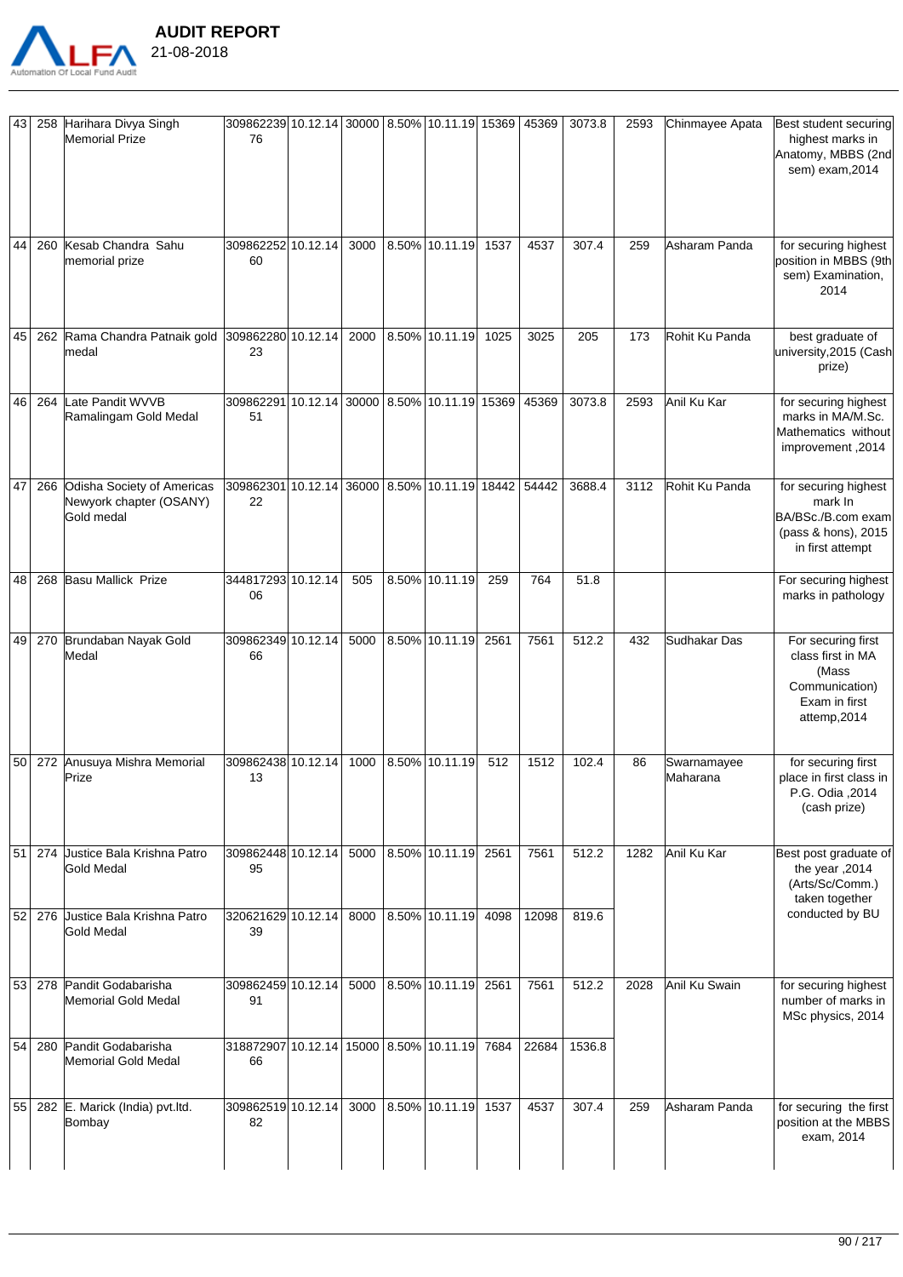

| <b>AUDIT REPORT</b> |
|---------------------|
| 21-08-2018          |

| 43              | 258 | Harihara Divya Singh<br><b>Memorial Prize</b>                       | 309862239 10.12.14 30000 8.50% 10.11.19 15369<br>76       |      |                     |      | 45369 | 3073.8 | 2593 | Chinmayee Apata         | Best student securing<br>highest marks in<br>Anatomy, MBBS (2nd<br>sem) exam, 2014                  |
|-----------------|-----|---------------------------------------------------------------------|-----------------------------------------------------------|------|---------------------|------|-------|--------|------|-------------------------|-----------------------------------------------------------------------------------------------------|
| 44              | 260 | Kesab Chandra Sahu<br>memorial prize                                | 309862252 10.12.14<br>60                                  | 3000 | 8.50% 10.11.19      | 1537 | 4537  | 307.4  | 259  | Asharam Panda           | for securing highest<br>position in MBBS (9th<br>sem) Examination,<br>2014                          |
| 45              | 262 | Rama Chandra Patnaik gold<br>medal                                  | 309862280 10.12.14<br>23                                  | 2000 | 8.50% 10.11.19      | 1025 | 3025  | 205    | 173  | Rohit Ku Panda          | best graduate of<br>university, 2015 (Cash<br>prize)                                                |
| 46              | 264 | Late Pandit WVVB<br>Ramalingam Gold Medal                           | 309862291 10.12.14 30000 8.50% 10.11.19 15369<br>51       |      |                     |      | 45369 | 3073.8 | 2593 | Anil Ku Kar             | for securing highest<br>marks in MA/M.Sc.<br>Mathematics without<br>improvement, 2014               |
| 47              | 266 | Odisha Society of Americas<br>Newyork chapter (OSANY)<br>Gold medal | 309862301 10.12.14 36000 8.50% 10.11.19 18442 54442<br>22 |      |                     |      |       | 3688.4 | 3112 | Rohit Ku Panda          | for securing highest<br>mark In<br>BA/BSc./B.com exam<br>(pass & hons), 2015<br>in first attempt    |
| 48              | 268 | <b>Basu Mallick Prize</b>                                           | 344817293 10.12.14<br>06                                  | 505  | 8.50% 10.11.19      | 259  | 764   | 51.8   |      |                         | For securing highest<br>marks in pathology                                                          |
| 49              | 270 | Brundaban Nayak Gold<br>Medal                                       | 309862349 10.12.14<br>66                                  | 5000 | 8.50% 10.11.19      | 2561 | 7561  | 512.2  | 432  | Sudhakar Das            | For securing first<br>class first in MA<br>(Mass<br>Communication)<br>Exam in first<br>attemp, 2014 |
| 50 <sub>1</sub> | 272 | Anusuya Mishra Memorial<br>Prize                                    | 309862438 10.12.14<br>13                                  | 1000 | 8.50% 10.11.19      | 512  | 1512  | 102.4  | 86   | Swarnamayee<br>Maharana | for securing first<br>place in first class in<br>P.G. Odia , 2014<br>(cash prize)                   |
| 51              | 274 | <b>Justice Bala Krishna Patro</b><br>Gold Medal                     | 309862448 10.12.14<br>95                                  |      | 5000 8.50% 10.11.19 | 2561 | 7561  | 512.2  | 1282 | Anil Ku Kar             | Best post graduate of<br>the year, 2014<br>(Arts/Sc/Comm.)<br>taken together                        |
| 52              | 276 | Uustice Bala Krishna Patro<br>Gold Medal                            | 320621629 10.12.14<br>39                                  | 8000 | 8.50% 10.11.19      | 4098 | 12098 | 819.6  |      |                         | conducted by BU                                                                                     |
| 53              | 278 | Pandit Godabarisha<br>Memorial Gold Medal                           | 309862459 10.12.14<br>91                                  | 5000 | 8.50% 10.11.19      | 2561 | 7561  | 512.2  | 2028 | Anil Ku Swain           | for securing highest<br>number of marks in<br>MSc physics, 2014                                     |
| 54              | 280 | Pandit Godabarisha<br>Memorial Gold Medal                           | 318872907 10.12.14 15000 8.50% 10.11.19<br>66             |      |                     | 7684 | 22684 | 1536.8 |      |                         |                                                                                                     |
| 55              |     | 282 E. Marick (India) pvt.ltd.<br>Bombay                            | 309862519 10.12.14<br>82                                  | 3000 | 8.50% 10.11.19      | 1537 | 4537  | 307.4  | 259  | Asharam Panda           | for securing the first<br>position at the MBBS<br>exam, 2014                                        |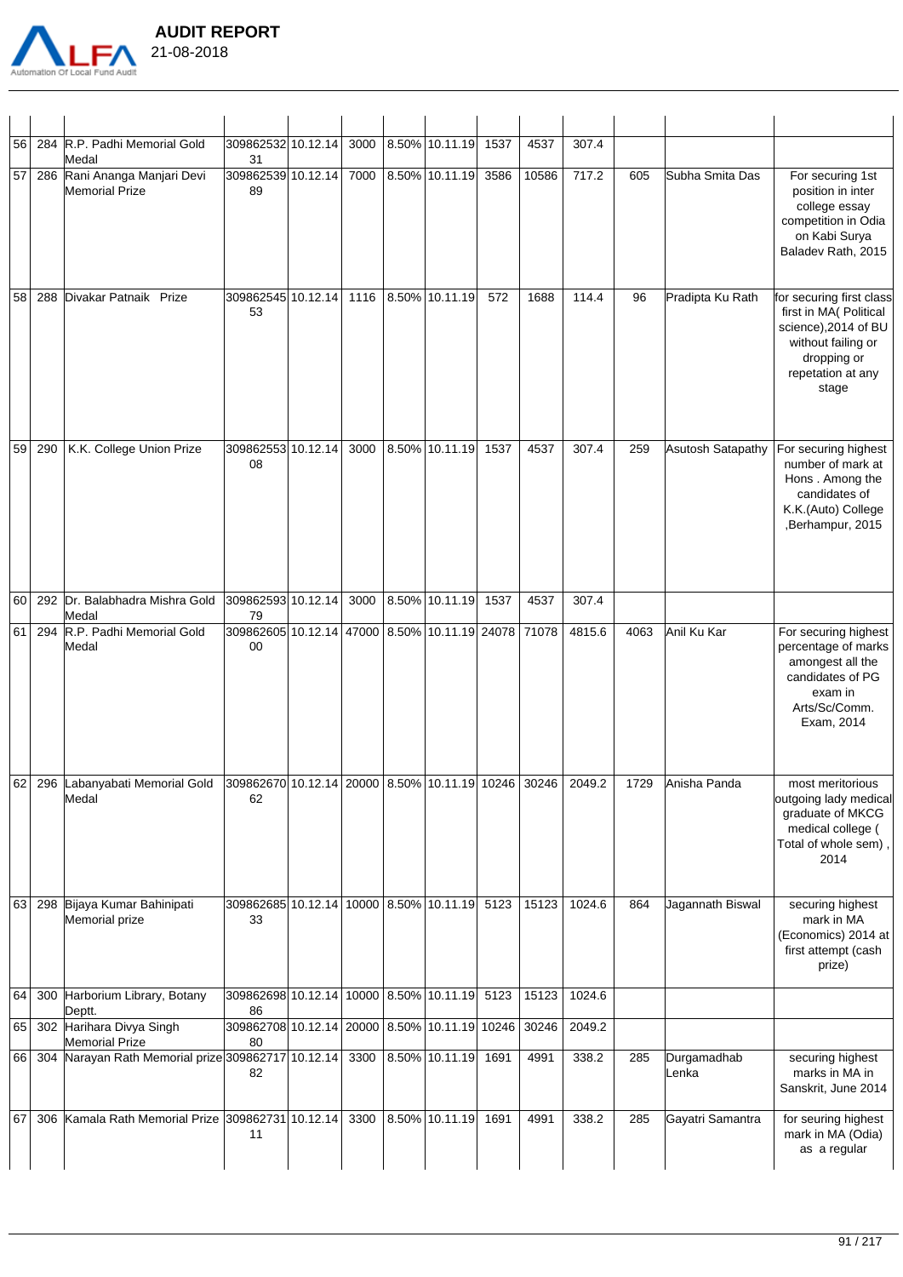

|            | <b>AUDIT REPORT</b> |
|------------|---------------------|
| 21-08-2018 |                     |

| 56 | 284 | R.P. Padhi Memorial Gold<br>Medal                                                                 | 309862532 10.12.14<br>31                                  | 3000 | 8.50% 10.11.19      | 1537 | 4537  | 307.4  |      |                      |                                                                                                                                               |
|----|-----|---------------------------------------------------------------------------------------------------|-----------------------------------------------------------|------|---------------------|------|-------|--------|------|----------------------|-----------------------------------------------------------------------------------------------------------------------------------------------|
| 57 | 286 | Rani Ananga Manjari Devi<br><b>Memorial Prize</b>                                                 | 309862539 10.12.14<br>89                                  | 7000 | 8.50% 10.11.19      | 3586 | 10586 | 717.2  | 605  | Subha Smita Das      | For securing 1st<br>position in inter<br>college essay<br>competition in Odia<br>on Kabi Surya<br>Baladev Rath, 2015                          |
| 58 | 288 | Divakar Patnaik Prize                                                                             | 309862545 10.12.14 1116 8.50% 10.11.19<br>53              |      |                     | 572  | 1688  | 114.4  | 96   | Pradipta Ku Rath     | for securing first class<br>first in MA( Political<br>science), 2014 of BU<br>without failing or<br>dropping or<br>repetation at any<br>stage |
| 59 | 290 | K.K. College Union Prize                                                                          | 309862553 10.12.14<br>08                                  | 3000 | 8.50% 10.11.19      | 1537 | 4537  | 307.4  | 259  | Asutosh Satapathy    | For securing highest<br>number of mark at<br>Hons. Among the<br>candidates of<br>K.K.(Auto) College<br>,Berhampur, 2015                       |
| 60 |     | 292 Dr. Balabhadra Mishra Gold<br>Medal                                                           | 309862593 10.12.14<br>79                                  | 3000 | 8.50% 10.11.19      | 1537 | 4537  | 307.4  |      |                      |                                                                                                                                               |
| 61 | 294 | R.P. Padhi Memorial Gold<br>Medal                                                                 | 309862605 10.12.14 47000 8.50% 10.11.19 24078 71078<br>00 |      |                     |      |       | 4815.6 | 4063 | Anil Ku Kar          | For securing highest<br>percentage of marks<br>amongest all the<br>candidates of PG<br>exam in<br>Arts/Sc/Comm.<br>Exam, 2014                 |
| 62 |     | 296 Labanyabati Memorial Gold 309862670 10.12.14 20000 8.50% 10.11.19 10246 30246 2049.2<br>Medal | 62                                                        |      |                     |      |       |        | 1729 | Anisha Panda         | most meritorious<br>outgoing lady medical<br>graduate of MKCG<br>medical college (<br>Total of whole sem),<br>2014                            |
| 63 | 298 | Bijaya Kumar Bahinipati<br>Memorial prize                                                         | 309862685 10.12.14 10000 8.50% 10.11.19 5123<br>33        |      |                     |      | 15123 | 1024.6 | 864  | Jagannath Biswal     | securing highest<br>mark in MA<br>(Economics) 2014 at<br>first attempt (cash<br>prize)                                                        |
| 64 | 300 | Harborium Library, Botany<br>Deptt.                                                               | 309862698 10.12.14 10000 8.50% 10.11.19 5123<br>86        |      |                     |      | 15123 | 1024.6 |      |                      |                                                                                                                                               |
| 65 | 302 | Harihara Divya Singh<br><b>Memorial Prize</b>                                                     | 309862708 10.12.14 20000 8.50% 10.11.19 10246 30246<br>80 |      |                     |      |       | 2049.2 |      |                      |                                                                                                                                               |
| 66 | 304 | Narayan Rath Memorial prize 309862717 10.12.14                                                    | 82                                                        | 3300 | 8.50% 10.11.19 1691 |      | 4991  | 338.2  | 285  | Durgamadhab<br>Lenka | securing highest<br>marks in MA in<br>Sanskrit, June 2014                                                                                     |
| 67 | 306 | Kamala Rath Memorial Prize                                                                        | 309862731 10.12.14<br>11                                  | 3300 | 8.50% 10.11.19 1691 |      | 4991  | 338.2  | 285  | Gayatri Samantra     | for seuring highest<br>mark in MA (Odia)<br>as a regular                                                                                      |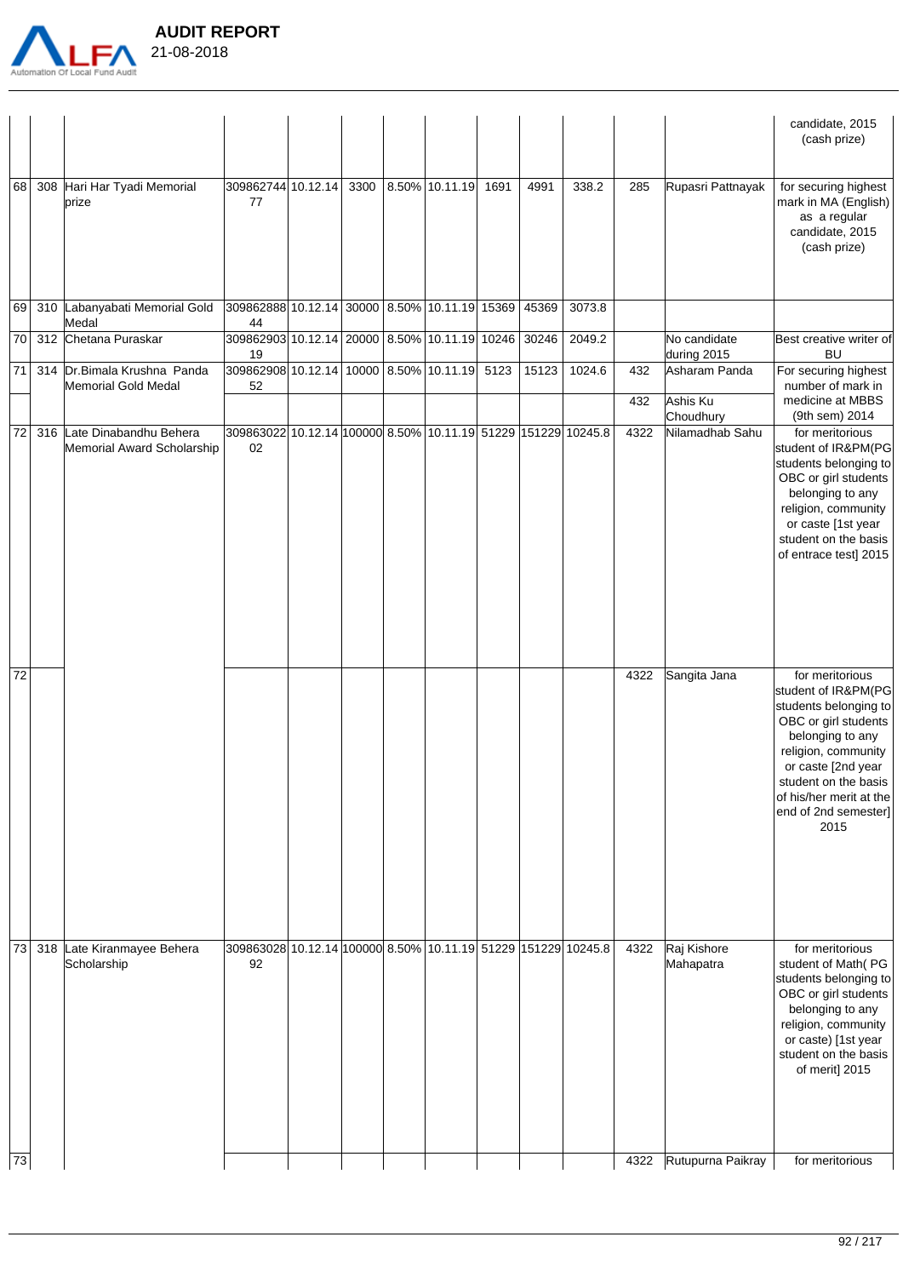

|    |                                                          |                                                                     |      |                     |       |        |      |                             | candidate, 2015<br>(cash prize)                                                                                                                                                                                                             |
|----|----------------------------------------------------------|---------------------------------------------------------------------|------|---------------------|-------|--------|------|-----------------------------|---------------------------------------------------------------------------------------------------------------------------------------------------------------------------------------------------------------------------------------------|
| 68 | 308 Hari Har Tyadi Memorial<br>prize                     | 309862744 10.12.14<br>77                                            | 3300 | 8.50% 10.11.19 1691 | 4991  | 338.2  | 285  | Rupasri Pattnayak           | for securing highest<br>mark in MA (English)<br>as a regular<br>candidate, 2015<br>(cash prize)                                                                                                                                             |
| 69 | 310 Labanyabati Memorial Gold<br>Medal                   | 309862888 10.12.14 30000 8.50% 10.11.19 15369 45369<br>44           |      |                     |       | 3073.8 |      |                             |                                                                                                                                                                                                                                             |
| 70 | 312 Chetana Puraskar                                     | 309862903 10.12.14 20000 8.50% 10.11.19 10246 30246<br>19           |      |                     |       | 2049.2 |      | No candidate<br>during 2015 | Best creative writer of<br><b>BU</b>                                                                                                                                                                                                        |
| 71 | 314 Dr.Bimala Krushna Panda<br>Memorial Gold Medal       | 309862908 10.12.14 10000 8.50% 10.11.19 5123<br>52                  |      |                     | 15123 | 1024.6 | 432  | Asharam Panda               | For securing highest<br>number of mark in                                                                                                                                                                                                   |
|    |                                                          |                                                                     |      |                     |       |        | 432  | Ashis Ku<br>Choudhury       | medicine at MBBS<br>(9th sem) 2014                                                                                                                                                                                                          |
| 72 | 316 Late Dinabandhu Behera<br>Memorial Award Scholarship | 309863022 10.12.14 100000 8.50% 10.11.19 51229 151229 10245.8<br>02 |      |                     |       |        | 4322 | Nilamadhab Sahu             | for meritorious<br>student of IR&PM(PG<br>students belonging to<br>OBC or girl students<br>belonging to any<br>religion, community<br>or caste [1st year<br>student on the basis<br>of entrace test] 2015                                   |
| 72 |                                                          |                                                                     |      |                     |       |        | 4322 | Sangita Jana                | for meritorious<br>student of IR&PM(PG<br>students belonging to<br>OBC or girl students<br>belonging to any<br>religion, community<br>or caste [2nd year<br>student on the basis<br>of his/her merit at the<br>end of 2nd semester]<br>2015 |
| 73 | 318 Late Kiranmayee Behera<br>Scholarship                | 309863028 10.12.14 100000 8.50% 10.11.19 51229 151229 10245.8<br>92 |      |                     |       |        | 4322 | Raj Kishore<br>Mahapatra    | for meritorious<br>student of Math(PG<br>students belonging to<br>OBC or girl students<br>belonging to any<br>religion, community<br>or caste) [1st year<br>student on the basis<br>of merit] 2015                                          |
| 73 |                                                          |                                                                     |      |                     |       |        | 4322 | Rutupurna Paikray           | for meritorious                                                                                                                                                                                                                             |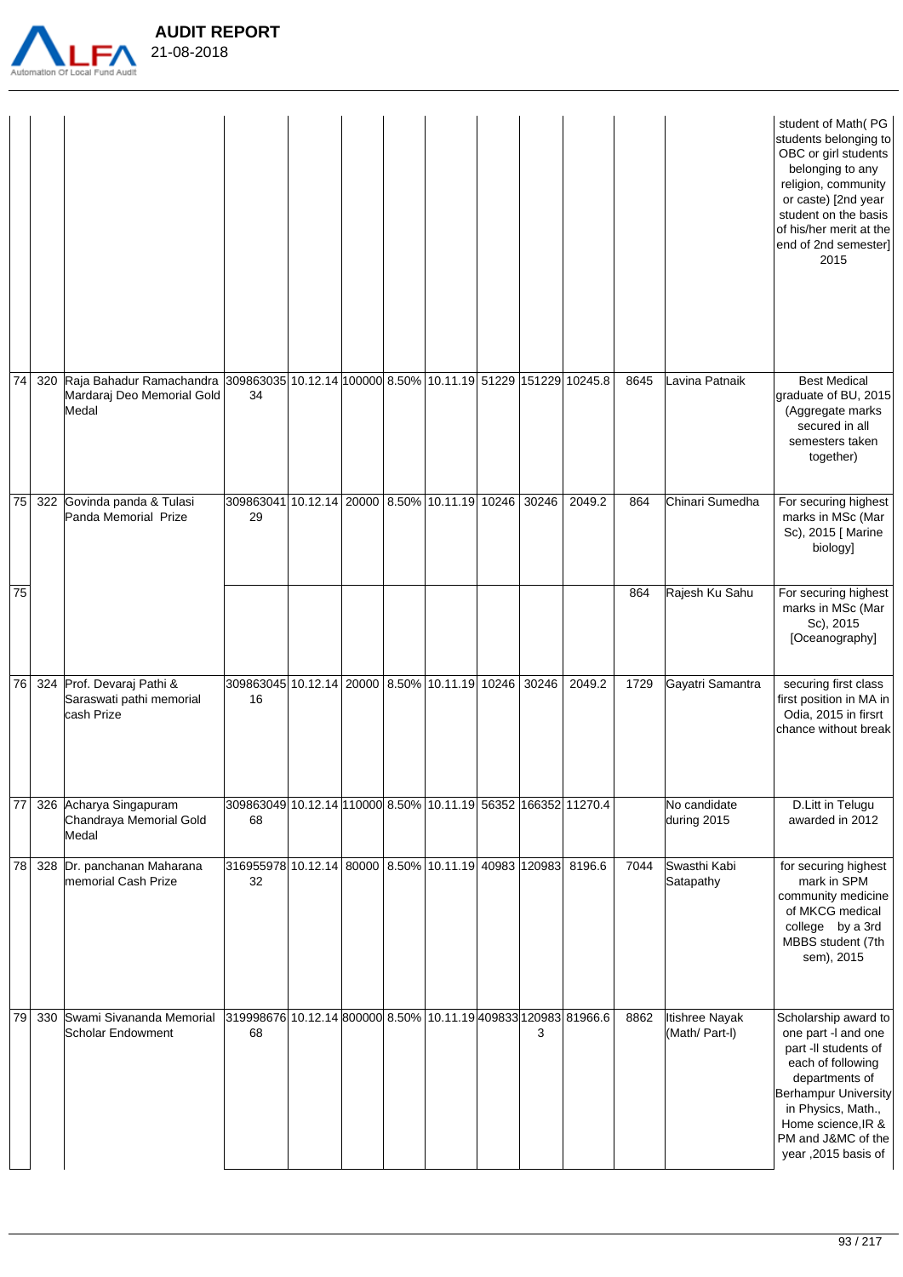

|    |           |                                                                  |                                                                      |  |  |   |        |      |                                  | student of Math(PG<br>students belonging to<br>OBC or girl students<br>belonging to any<br>religion, community<br>or caste) [2nd year<br>student on the basis<br>of his/her merit at the<br>end of 2nd semester]<br>2015           |
|----|-----------|------------------------------------------------------------------|----------------------------------------------------------------------|--|--|---|--------|------|----------------------------------|------------------------------------------------------------------------------------------------------------------------------------------------------------------------------------------------------------------------------------|
| 74 | 320       | Raja Bahadur Ramachandra<br>Mardaraj Deo Memorial Gold<br>Medal  | 309863035 10.12.14 100000 8.50% 10.11.19 51229 151229 10245.8<br>34  |  |  |   |        | 8645 | Lavina Patnaik                   | <b>Best Medical</b><br>graduate of BU, 2015<br>(Aggregate marks<br>secured in all<br>semesters taken<br>together)                                                                                                                  |
|    | 75<br>322 | Govinda panda & Tulasi<br>Panda Memorial Prize                   | 309863041 10.12.14 20000 8.50% 10.11.19 10246 30246<br>29            |  |  |   | 2049.2 | 864  | Chinari Sumedha                  | For securing highest<br>marks in MSc (Mar<br>Sc), 2015 [ Marine<br>biology]                                                                                                                                                        |
| 75 |           |                                                                  |                                                                      |  |  |   |        | 864  | Rajesh Ku Sahu                   | For securing highest<br>marks in MSc (Mar<br>Sc), 2015<br>[Oceanography]                                                                                                                                                           |
|    | 76<br>324 | Prof. Devaraj Pathi &<br>Saraswati pathi memorial<br>lcash Prize | 309863045 10.12.14 20000 8.50% 10.11.19 10246 30246<br>16            |  |  |   | 2049.2 | 1729 | Gayatri Samantra                 | securing first class<br>first position in MA in<br>Odia, 2015 in firsrt<br>chance without break                                                                                                                                    |
| 77 |           | 326 Acharya Singapuram<br>Chandraya Memorial Gold<br>Medal       | 309863049 10.12.14 110000 8.50% 10.11.19 56352 166352 11270.4<br>68  |  |  |   |        |      | No candidate<br>during 2015      | D.Litt in Telugu<br>awarded in 2012                                                                                                                                                                                                |
|    | 78<br>328 | Dr. panchanan Maharana<br>memorial Cash Prize                    | 316955978 10.12.14 80000 8.50% 10.11.19 40983 120983 8196.6<br>32    |  |  |   |        | 7044 | Swasthi Kabi<br>Satapathy        | for securing highest<br>mark in SPM<br>community medicine<br>of MKCG medical<br>college by a 3rd<br>MBBS student (7th<br>sem), 2015                                                                                                |
| 79 | 330       | Swami Sivananda Memorial<br>Scholar Endowment                    | 319998676 10.12.14 800000 8.50% 10.11.19 409833 120983 81966.6<br>68 |  |  | 3 |        | 8862 | Itishree Nayak<br>(Math/ Part-I) | Scholarship award to<br>one part -I and one<br>part -Il students of<br>each of following<br>departments of<br><b>Berhampur University</b><br>in Physics, Math.,<br>Home science, IR &<br>PM and J&MC of the<br>year, 2015 basis of |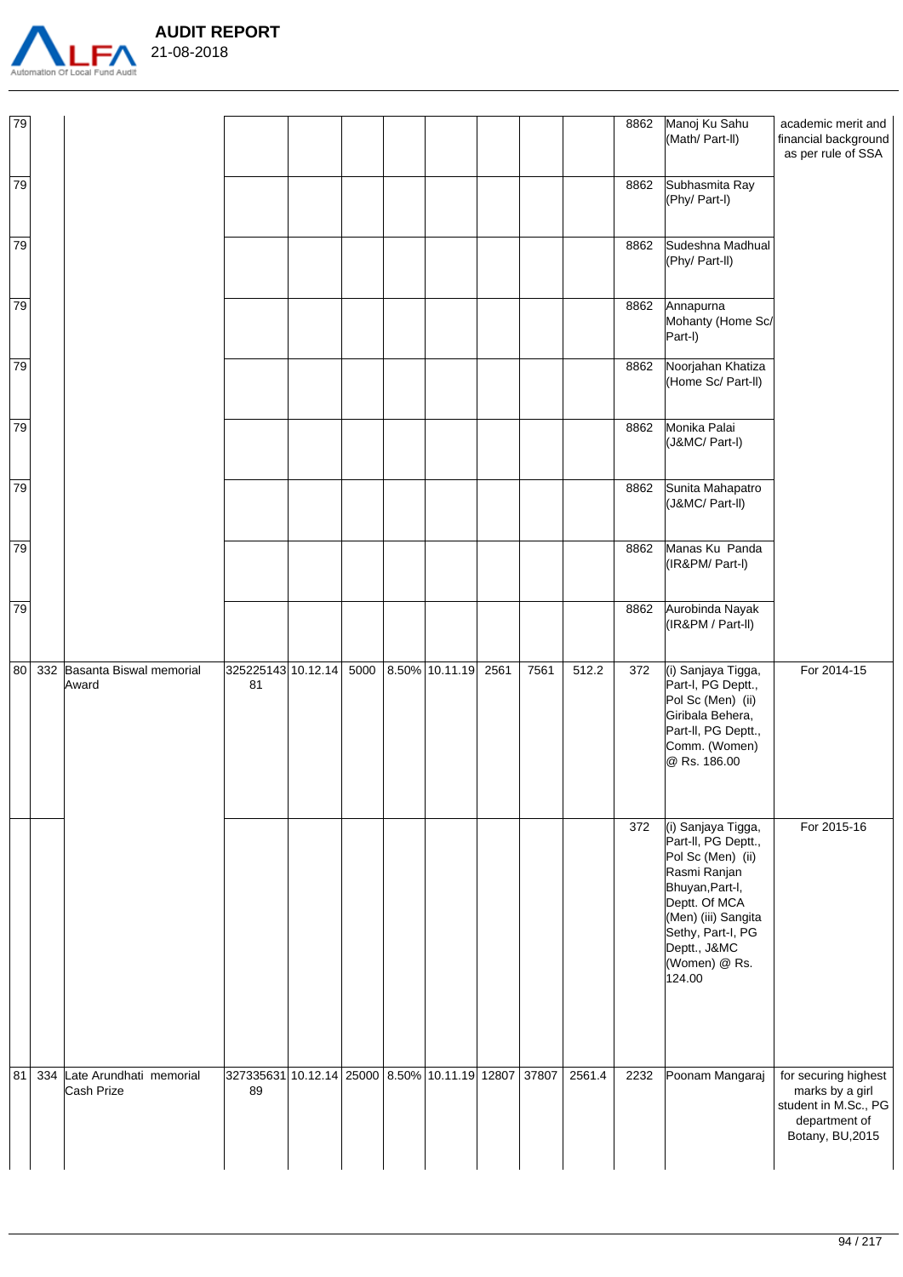

| $\overline{79}$ |     |                                       |                                                           |      |                     |      |        | 8862             | Manoj Ku Sahu<br>(Math/ Part-II)                                                                                                                                                                          | academic merit and<br>financial background<br>as per rule of SSA                                    |
|-----------------|-----|---------------------------------------|-----------------------------------------------------------|------|---------------------|------|--------|------------------|-----------------------------------------------------------------------------------------------------------------------------------------------------------------------------------------------------------|-----------------------------------------------------------------------------------------------------|
| 79              |     |                                       |                                                           |      |                     |      |        | 8862             | Subhasmita Ray<br>(Phy/ Part-I)                                                                                                                                                                           |                                                                                                     |
| $\overline{79}$ |     |                                       |                                                           |      |                     |      |        | 8862             | Sudeshna Madhual<br>(Phy/ Part-II)                                                                                                                                                                        |                                                                                                     |
| 79              |     |                                       |                                                           |      |                     |      |        | 8862             | Annapurna<br>Mohanty (Home Sc/<br>Part-I)                                                                                                                                                                 |                                                                                                     |
| 79              |     |                                       |                                                           |      |                     |      |        | 8862             | Noorjahan Khatiza<br>(Home Sc/ Part-II)                                                                                                                                                                   |                                                                                                     |
| 79              |     |                                       |                                                           |      |                     |      |        | 8862             | Monika Palai<br>(J&MC/ Part-I)                                                                                                                                                                            |                                                                                                     |
| $\overline{79}$ |     |                                       |                                                           |      |                     |      |        | 8862             | Sunita Mahapatro<br>(J&MC/ Part-II)                                                                                                                                                                       |                                                                                                     |
| 79              |     |                                       |                                                           |      |                     |      |        | 8862             | Manas Ku Panda<br>(IR&PM/ Part-I)                                                                                                                                                                         |                                                                                                     |
| 79              |     |                                       |                                                           |      |                     |      |        | 8862             | Aurobinda Nayak<br>(IR&PM / Part-II)                                                                                                                                                                      |                                                                                                     |
| 80              |     | 332 Basanta Biswal memorial<br>Award  | 325225143 10.12.14<br>81                                  | 5000 | 8.50% 10.11.19 2561 | 7561 | 512.2  | 372              | (i) Sanjaya Tigga,<br>Part-I, PG Deptt.,<br>Pol Sc (Men) (ii)<br>Giribala Behera,<br>Part-II, PG Deptt.,<br>Comm. (Women)<br>@ Rs. 186.00                                                                 | For 2014-15                                                                                         |
|                 |     |                                       |                                                           |      |                     |      |        | $\overline{37}2$ | (i) Sanjaya Tigga,<br>Part-II, PG Deptt.,<br>Pol Sc (Men) (ii)<br>Rasmi Ranjan<br>Bhuyan, Part-I,<br>Deptt. Of MCA<br>(Men) (iii) Sangita<br>Sethy, Part-I, PG<br>Deptt., J&MC<br>(Women) @ Rs.<br>124.00 | For 2015-16                                                                                         |
| $\boxed{81}$    | 334 | Late Arundhati memorial<br>Cash Prize | 327335631 10.12.14 25000 8.50% 10.11.19 12807 37807<br>89 |      |                     |      | 2561.4 | 2232             | Poonam Mangaraj                                                                                                                                                                                           | for securing highest<br>marks by a girl<br>student in M.Sc., PG<br>department of<br>Botany, BU,2015 |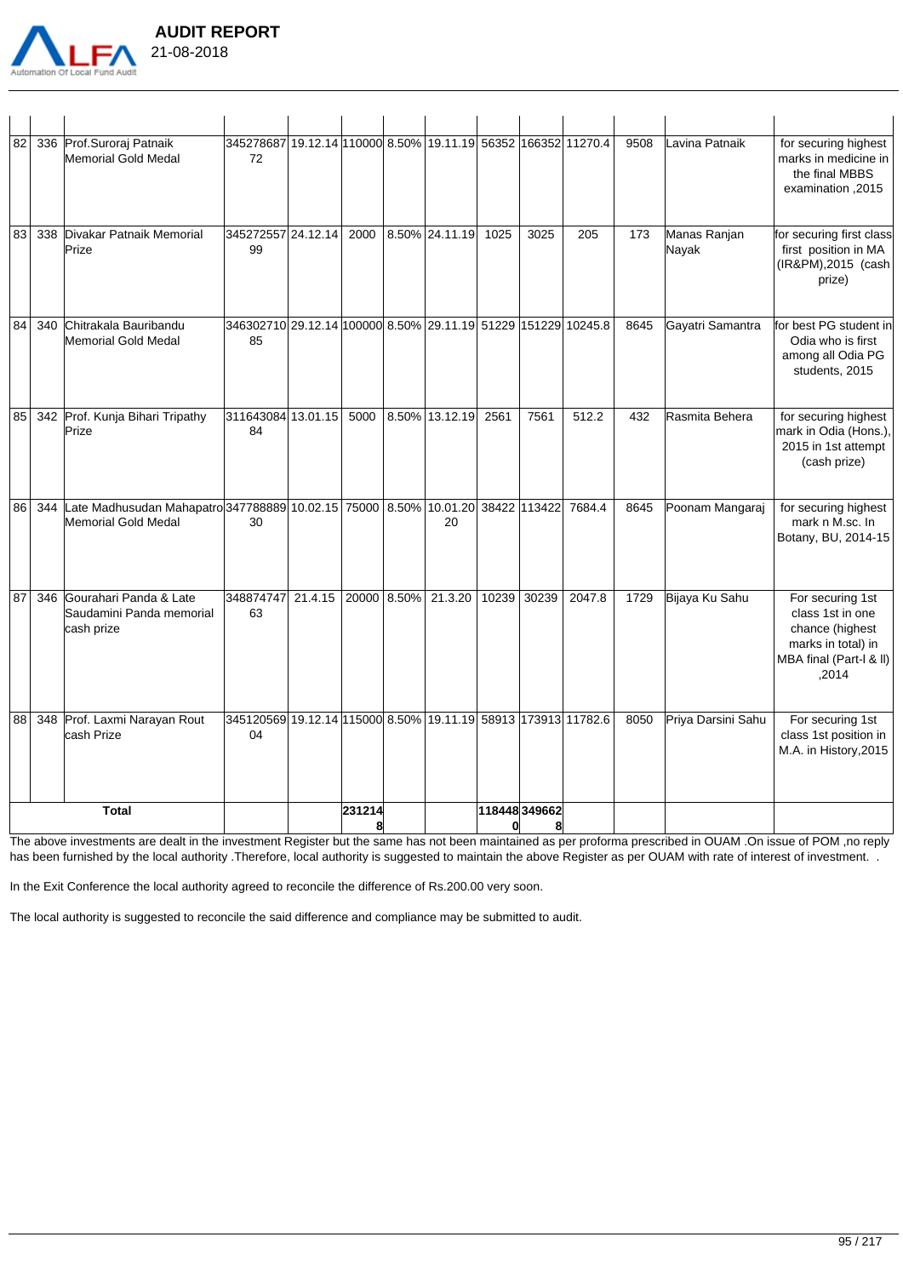

| 82 | 336 | Prof.Suroraj Patnaik<br>Memorial Gold Medal                                                           | 345278687 19.12.14 110000 8.50% 19.11.19 56352 166352 11270.4<br>72 |             |                        |      |                    |        | 9508 | Lavina Patnaik        | for securing highest<br>marks in medicine in<br>the final MBBS<br>examination, 2015                               |
|----|-----|-------------------------------------------------------------------------------------------------------|---------------------------------------------------------------------|-------------|------------------------|------|--------------------|--------|------|-----------------------|-------------------------------------------------------------------------------------------------------------------|
| 83 | 338 | Divakar Patnaik Memorial<br>Prize                                                                     | 345272557 24.12.14<br>99                                            | 2000        | $8.50\%$ 24.11.19 1025 |      | 3025               | 205    | 173  | Manas Ranjan<br>Nayak | for securing first class<br>first position in MA<br>(IR&PM), 2015 (cash<br>prize)                                 |
| 84 | 340 | Chitrakala Bauribandu<br>Memorial Gold Medal                                                          | 346302710 29.12.14 100000 8.50% 29.11.19 51229 151229 10245.8<br>85 |             |                        |      |                    |        | 8645 | Gayatri Samantra      | for best PG student in<br>Odia who is first<br>among all Odia PG<br>students, 2015                                |
| 85 | 342 | Prof. Kunja Bihari Tripathy<br>Prize                                                                  | 311643084 13.01.15<br>84                                            | 5000        | $8.50\%$ 13.12.19      | 2561 | 7561               | 512.2  | 432  | Rasmita Behera        | for securing highest<br>mark in Odia (Hons.),<br>2015 in 1st attempt<br>(cash prize)                              |
| 86 | 344 | Late Madhusudan Mahapatro 347788889 10.02.15 75000 8.50% 10.01.20 38422 113422<br>Memorial Gold Medal | 30                                                                  |             | 20                     |      |                    | 7684.4 | 8645 | Poonam Mangaraj       | for securing highest<br>mark n M.sc. In<br>Botany, BU, 2014-15                                                    |
| 87 | 346 | Gourahari Panda & Late<br>Saudamini Panda memorial<br>cash prize                                      | 348874747 21.4.15 20000 8.50% 21.3.20 10239<br>63                   |             |                        |      | 30239              | 2047.8 | 1729 | Bijaya Ku Sahu        | For securing 1st<br>class 1st in one<br>chance (highest<br>marks in total) in<br>MBA final (Part-I & II)<br>,2014 |
| 88 | 348 | Prof. Laxmi Narayan Rout<br>lcash Prize                                                               | 345120569 19.12.14 15000 8.50% 19.11.19 58913 173913 11782.6<br>04  |             |                        |      |                    |        | 8050 | Priya Darsini Sahu    | For securing 1st<br>class 1st position in<br>M.A. in History, 2015                                                |
|    |     | <b>Total</b>                                                                                          |                                                                     | 231214<br>8 |                        | Ωl   | 118448 349662<br>8 |        |      |                       |                                                                                                                   |

The above investments are dealt in the investment Register but the same has not been maintained as per proforma prescribed in OUAM .On issue of POM ,no reply has been furnished by the local authority .Therefore, local authority is suggested to maintain the above Register as per OUAM with rate of interest of investment.

In the Exit Conference the local authority agreed to reconcile the difference of Rs.200.00 very soon.

The local authority is suggested to reconcile the said difference and compliance may be submitted to audit.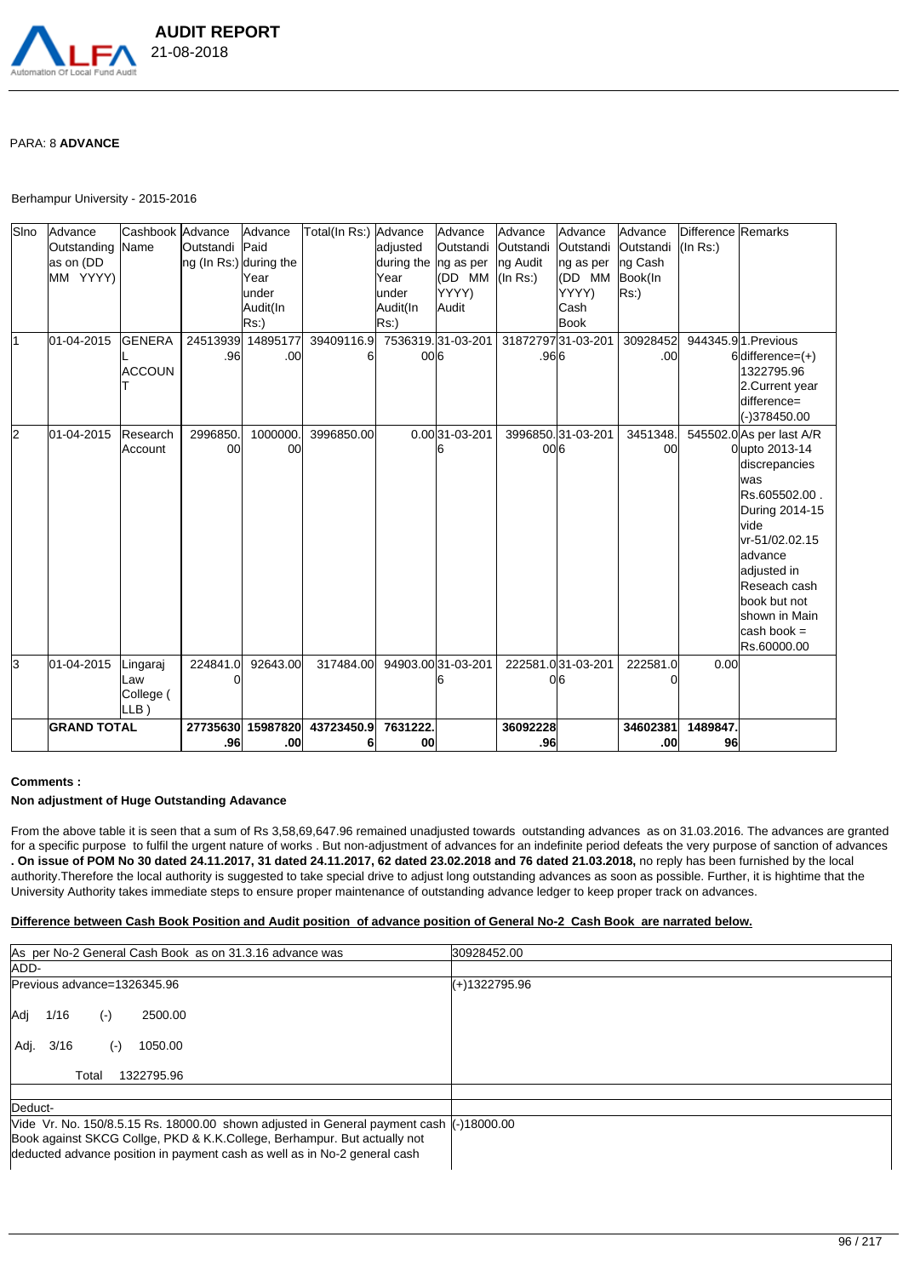

# PARA: 8 **ADVANCE**

#### Berhampur University - 2015-2016

| lSino | Advance            | Cashbook Advance |                        | lAdvance         | Total(In Rs:)  Advance |            | Advance           | Advance            | <b>Advance</b>    | Advance   | Difference Remarks |                          |
|-------|--------------------|------------------|------------------------|------------------|------------------------|------------|-------------------|--------------------|-------------------|-----------|--------------------|--------------------------|
|       | Outstanding Name   |                  | Outstandi              | <b>Paid</b>      |                        | adjusted   | Outstandi         | Outstandi          | Outstandi         | Outstandi | (ln Rs.)           |                          |
|       | as on (DD          |                  | ng (In Rs:) during the |                  |                        | during the | ng as per         | ng Audit           | Ing as per        | ng Cash   |                    |                          |
|       | MM YYYY)           |                  |                        | lYear            |                        | Year       | (DD MM            | $(\ln \text{Rs.})$ | (DD MM            | Book(In   |                    |                          |
|       |                    |                  |                        | lunder           |                        | lunder     | YYYY)             |                    | YYYY)             | $Rs.$ )   |                    |                          |
|       |                    |                  |                        | Audit(In         |                        | Audit(In   | Audit             |                    | lCash             |           |                    |                          |
|       |                    |                  |                        | Rs:)             |                        | Rs:)       |                   |                    | lBook             |           |                    |                          |
| 1     | 01-04-2015         | <b>GENERA</b>    | 24513939               | 14895177         | 39409116.9             |            | 7536319.31-03-201 |                    | 3187279731-03-201 | 30928452  |                    | 944345.91. Previous      |
|       |                    |                  | .96                    | .00 <sub>1</sub> | 6                      | 006        |                   | .9616              |                   | .00       |                    | $6$ difference= $(+)$    |
|       |                    | <b>ACCOUN</b>    |                        |                  |                        |            |                   |                    |                   |           |                    | 1322795.96               |
|       |                    |                  |                        |                  |                        |            |                   |                    |                   |           |                    | 2.Current year           |
|       |                    |                  |                        |                  |                        |            |                   |                    |                   |           |                    | ldifference=             |
|       |                    |                  |                        |                  |                        |            |                   |                    |                   |           |                    | $(-)378450.00$           |
| l2    | 01-04-2015         | Research         | 2996850                | 1000000          | 3996850.00             |            | 0.0031-03-201     |                    | 3996850.31-03-201 | 3451348   |                    | 545502.0 As per last A/R |
|       |                    | Account          | 00                     | 00               |                        |            |                   | 00 6               |                   | 00        |                    | 0upto 2013-14            |
|       |                    |                  |                        |                  |                        |            |                   |                    |                   |           |                    | discrepancies            |
|       |                    |                  |                        |                  |                        |            |                   |                    |                   |           |                    | lwas                     |
|       |                    |                  |                        |                  |                        |            |                   |                    |                   |           |                    | Rs.605502.00.            |
|       |                    |                  |                        |                  |                        |            |                   |                    |                   |           |                    | During 2014-15           |
|       |                    |                  |                        |                  |                        |            |                   |                    |                   |           |                    | lvide                    |
|       |                    |                  |                        |                  |                        |            |                   |                    |                   |           |                    | lvr-51/02.02.15          |
|       |                    |                  |                        |                  |                        |            |                   |                    |                   |           |                    | ladvance                 |
|       |                    |                  |                        |                  |                        |            |                   |                    |                   |           |                    | adjusted in              |
|       |                    |                  |                        |                  |                        |            |                   |                    |                   |           |                    | lReseach cash            |
|       |                    |                  |                        |                  |                        |            |                   |                    |                   |           |                    | book but not             |
|       |                    |                  |                        |                  |                        |            |                   |                    |                   |           |                    | Ishown in Main           |
|       |                    |                  |                        |                  |                        |            |                   |                    |                   |           |                    | $\mathsf{lcash}$ book =  |
|       |                    |                  |                        |                  |                        |            |                   |                    |                   |           |                    | Rs.60000.00              |
| 3     | 01-04-2015         | Lingaraj         | 224841.0               | 92643.00         | 317484.00              |            | 94903.0031-03-201 |                    | 222581.031-03-201 | 222581.0  | 0.00               |                          |
|       |                    | Law              |                        |                  |                        |            |                   |                    | 016               |           |                    |                          |
|       |                    | College (        |                        |                  |                        |            |                   |                    |                   |           |                    |                          |
|       |                    | ILLB)            |                        |                  |                        |            |                   |                    |                   |           |                    |                          |
|       | <b>GRAND TOTAL</b> |                  | 27735630               | 15987820         | 43723450.9             | 7631222.   |                   | 36092228           |                   | 34602381  | 1489847.           |                          |
|       |                    |                  | .96                    | .00              | 6                      | 00         |                   | .96                |                   | .00       | 96                 |                          |

### **Comments :**

#### **Non adjustment of Huge Outstanding Adavance**

From the above table it is seen that a sum of Rs 3,58,69,647.96 remained unadjusted towards outstanding advances as on 31.03.2016. The advances are granted for a specific purpose to fulfil the urgent nature of works . But non-adjustment of advances for an indefinite period defeats the very purpose of sanction of advances **. On issue of POM No 30 dated 24.11.2017, 31 dated 24.11.2017, 62 dated 23.02.2018 and 76 dated 21.03.2018,** no reply has been furnished by the local authority.Therefore the local authority is suggested to take special drive to adjust long outstanding advances as soon as possible. Further, it is hightime that the University Authority takes immediate steps to ensure proper maintenance of outstanding advance ledger to keep proper track on advances.

# **Difference between Cash Book Position and Audit position of advance position of General No-2 Cash Book are narrated below.**

| As per No-2 General Cash Book as on 31.3.16 advance was                                                                                                                                                                                          | 30928452.00     |
|--------------------------------------------------------------------------------------------------------------------------------------------------------------------------------------------------------------------------------------------------|-----------------|
| ADD-                                                                                                                                                                                                                                             |                 |
| Previous advance=1326345.96                                                                                                                                                                                                                      | $(+)1322795.96$ |
| 1/16<br> Adj<br>2500.00<br>$(\cdot)$                                                                                                                                                                                                             |                 |
| Adj.<br>3/16<br>1050.00<br>$(-)$                                                                                                                                                                                                                 |                 |
| 1322795.96<br>Total                                                                                                                                                                                                                              |                 |
|                                                                                                                                                                                                                                                  |                 |
| Deduct-                                                                                                                                                                                                                                          |                 |
| Vide Vr. No. 150/8.5.15 Rs. 18000.00 shown adjusted in General payment cash (-)18000.00<br>Book against SKCG Collge, PKD & K.K.College, Berhampur. But actually not<br>deducted advance position in payment cash as well as in No-2 general cash |                 |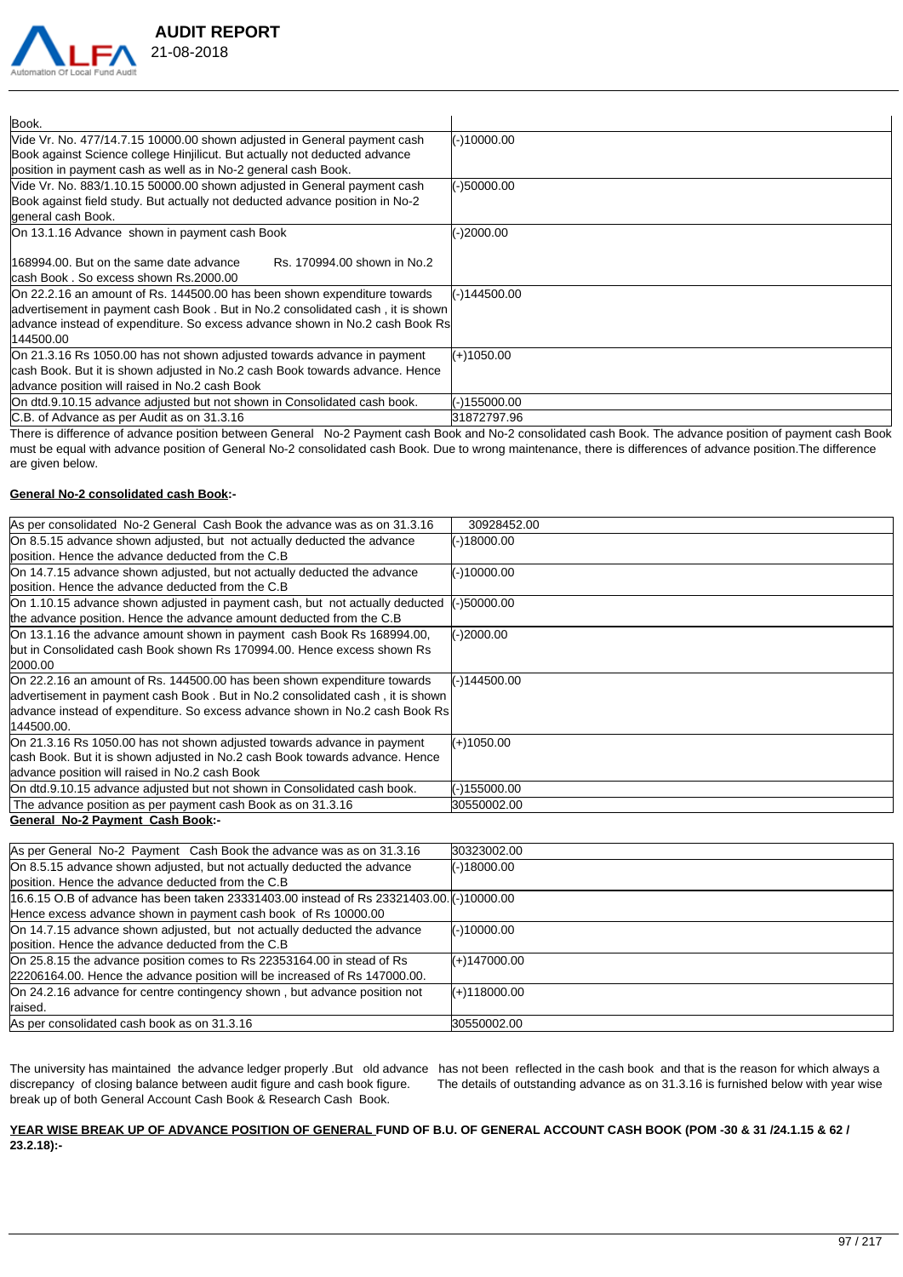

|            | <b>AUDIT REPORT</b> |
|------------|---------------------|
| 21-08-2018 |                     |

| Book.                                                                          |              |
|--------------------------------------------------------------------------------|--------------|
| Vide Vr. No. 477/14.7.15 10000.00 shown adjusted in General payment cash       | (-)10000.00  |
| Book against Science college Hinjilicut. But actually not deducted advance     |              |
| position in payment cash as well as in No-2 general cash Book.                 |              |
| Vide Vr. No. 883/1.10.15 50000.00 shown adjusted in General payment cash       | (-)50000.00  |
| Book against field study. But actually not deducted advance position in No-2   |              |
| general cash Book.                                                             |              |
| On 13.1.16 Advance shown in payment cash Book                                  | (-)2000.00   |
|                                                                                |              |
| 168994.00. But on the same date advance<br>Rs. 170994.00 shown in No.2         |              |
| lcash Book. So excess shown Rs.2000.00                                         |              |
| On 22.2.16 an amount of Rs. 144500.00 has been shown expenditure towards       | (-)144500.00 |
| advertisement in payment cash Book. But in No.2 consolidated cash, it is shown |              |
| advance instead of expenditure. So excess advance shown in No.2 cash Book Rs   |              |
| 144500.00                                                                      |              |
| On 21.3.16 Rs 1050.00 has not shown adjusted towards advance in payment        | $(+)1050.00$ |
| cash Book. But it is shown adjusted in No.2 cash Book towards advance. Hence   |              |
| advance position will raised in No.2 cash Book                                 |              |
| On dtd.9.10.15 advance adjusted but not shown in Consolidated cash book.       | (-)155000.00 |
| C.B. of Advance as per Audit as on 31.3.16                                     | 31872797.96  |

There is difference of advance position between General No-2 Payment cash Book and No-2 consolidated cash Book. The advance position of payment cash Book must be equal with advance position of General No-2 consolidated cash Book. Due to wrong maintenance, there is differences of advance position.The difference are given below.

### **General No-2 consolidated cash Book:-**

| As per consolidated No-2 General Cash Book the advance was as on 31.3.16       | 30928452.00   |
|--------------------------------------------------------------------------------|---------------|
| On 8.5.15 advance shown adjusted, but not actually deducted the advance        | (-)18000.00   |
| position. Hence the advance deducted from the C.B                              |               |
| On 14.7.15 advance shown adjusted, but not actually deducted the advance       | (-)10000.00   |
| position. Hence the advance deducted from the C.B                              |               |
| On 1.10.15 advance shown adjusted in payment cash, but not actually deducted   | $(-)50000.00$ |
| the advance position. Hence the advance amount deducted from the C.B           |               |
| On 13.1.16 the advance amount shown in payment cash Book Rs 168994.00.         | (-)2000.00    |
| but in Consolidated cash Book shown Rs 170994.00. Hence excess shown Rs        |               |
| 2000.00                                                                        |               |
| On 22.2.16 an amount of Rs. 144500.00 has been shown expenditure towards       | (-)144500.00  |
| advertisement in payment cash Book. But in No.2 consolidated cash, it is shown |               |
| advance instead of expenditure. So excess advance shown in No.2 cash Book Rs   |               |
| 144500.00.                                                                     |               |
| On 21.3.16 Rs 1050.00 has not shown adjusted towards advance in payment        | $(+)1050.00$  |
| cash Book. But it is shown adjusted in No.2 cash Book towards advance. Hence   |               |
| advance position will raised in No.2 cash Book                                 |               |
| On dtd.9.10.15 advance adjusted but not shown in Consolidated cash book.       | $-155000.00$  |
| The advance position as per payment cash Book as on 31.3.16                    | 30550002.00   |
| <b>General No-2 Payment Cash Book:-</b>                                        |               |

| As per General No-2 Payment Cash Book the advance was as on 31.3.16                       | 30323002.00    |
|-------------------------------------------------------------------------------------------|----------------|
| On 8.5.15 advance shown adjusted, but not actually deducted the advance                   | $(-)18000.00$  |
| position. Hence the advance deducted from the C.B                                         |                |
| [16.6.15 O.B of advance has been taken 23331403.00 instead of Rs 23321403.00.](-)10000.00 |                |
| Hence excess advance shown in payment cash book of Rs 10000.00                            |                |
| On 14.7.15 advance shown adjusted, but not actually deducted the advance                  | $(-10000.00)$  |
| position. Hence the advance deducted from the C.B                                         |                |
| On 25.8.15 the advance position comes to Rs 22353164.00 in stead of Rs                    | $(+)147000.00$ |
| 22206164.00. Hence the advance position will be increased of Rs 147000.00.                |                |
| On 24.2.16 advance for centre contingency shown, but advance position not                 | $(+)118000.00$ |
| raised.                                                                                   |                |
| As per consolidated cash book as on 31.3.16                                               | 30550002.00    |

break up of both General Account Cash Book & Research Cash Book.

The university has maintained the advance ledger properly .But old advance has not been reflected in the cash book and that is the reason for which always a discrepancy of closing balance between audit figure and cash book The details of outstanding advance as on 31.3.16 is furnished below with year wise

## **YEAR WISE BREAK UP OF ADVANCE POSITION OF GENERAL FUND OF B.U. OF GENERAL ACCOUNT CASH BOOK (POM -30 & 31 /24.1.15 & 62 / 23.2.18):-**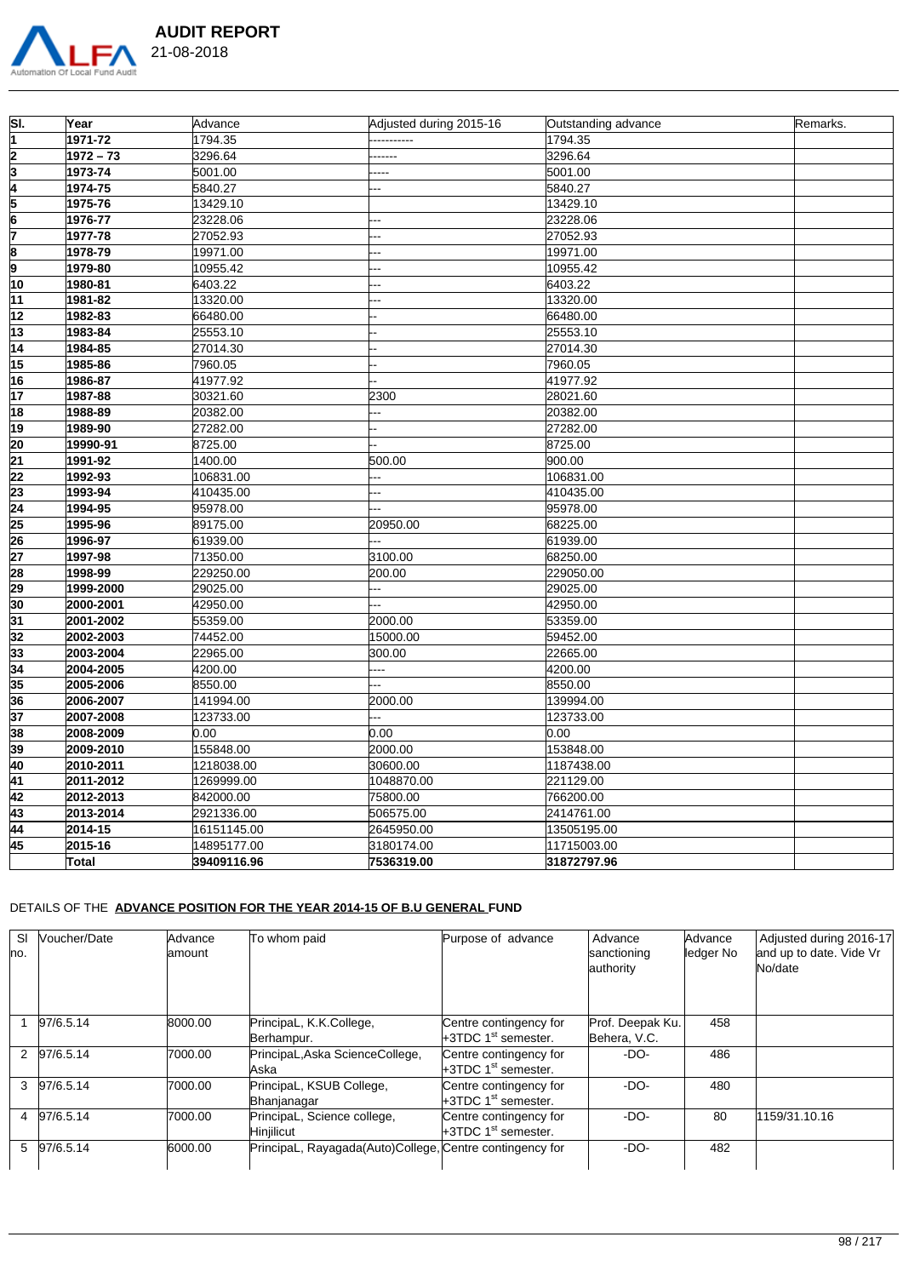

| <b>AUDIT REPORT</b> |  |
|---------------------|--|
| 21-08-2018          |  |

| $\overline{\mathsf{SI}}$ | Year                   | Advance                  | Adjusted during 2015-16 | Outstanding advance     | Remarks. |
|--------------------------|------------------------|--------------------------|-------------------------|-------------------------|----------|
| 1                        | 1971-72                | 1794.35                  |                         | 1794.35                 |          |
|                          | 1972 - 73              | 3296.64                  | ------                  | 3296.64                 |          |
| $\frac{2}{3}$            | 1973-74                | 5001.00                  | ----                    | 5001.00                 |          |
|                          | 1974-75                | 5840.27                  |                         | 5840.27                 |          |
| $\frac{4}{5}$            | 1975-76                | 13429.10                 |                         | 13429.10                |          |
| $\overline{6}$           | 1976-77                | 23228.06                 | --                      | 23228.06                |          |
| 7                        | 1977-78                | 27052.93                 |                         | 27052.93                |          |
| $\frac{8}{9}$            | 1978-79                | 19971.00                 |                         | 19971.00                |          |
|                          | 1979-80                | 10955.42                 |                         | 10955.42                |          |
| 10                       | 1980-81                | 6403.22                  |                         | 6403.22                 |          |
| 11                       | 1981-82                | 13320.00                 |                         | 13320.00                |          |
| 12                       | 1982-83                | 66480.00                 |                         | 66480.00                |          |
| 13                       | 1983-84                | 25553.10                 |                         | 25553.10                |          |
| 14                       | 1984-85                | 27014.30                 |                         | 27014.30                |          |
| 15                       | 1985-86                | 7960.05                  |                         | 7960.05                 |          |
| 16                       | 1986-87                | 41977.92                 |                         | 41977.92                |          |
| 17                       | 1987-88                | 30321.60                 | 2300                    | 28021.60                |          |
| 18                       | 1988-89                | 20382.00                 |                         | 20382.00                |          |
| 19                       | 1989-90                | 27282.00                 |                         | 27282.00                |          |
| 20                       | 19990-91               | 8725.00                  |                         | 8725.00                 |          |
| 21                       | 1991-92                | 1400.00                  | 500.00                  | 900.00                  |          |
| $\overline{22}$          | 1992-93                | 106831.00                |                         | 106831.00               |          |
| 23                       | 1993-94                | 410435.00                |                         | 410435.00               |          |
| $\overline{24}$          | 1994-95                | 95978.00                 |                         | 95978.00                |          |
| 25                       | 1995-96                | 89175.00                 | 20950.00                | 68225.00                |          |
| $\overline{26}$          | 1996-97                | 61939.00                 | Щ,                      | 61939.00                |          |
| 27                       | 1997-98                | 71350.00                 | 3100.00                 | 68250.00                |          |
| 28                       | 1998-99                | 229250.00                | 200.00                  | 229050.00               |          |
| 29                       | 1999-2000              | 29025.00                 |                         | 29025.00                |          |
| 30                       | 2000-2001              | 42950.00                 |                         | 42950.00                |          |
| 31                       | 2001-2002              | 55359.00                 | 2000.00                 | 53359.00                |          |
| 32                       | 2002-2003              | 74452.00                 | 15000.00                | 59452.00                |          |
| 33                       | 2003-2004              | 22965.00                 | 300.00<br>Щ.            | 22665.00                |          |
| 34                       | 2004-2005              | 4200.00                  |                         | 4200.00                 |          |
| 35                       | 2005-2006              | 8550.00                  |                         | 8550.00                 |          |
| 36                       | 2006-2007              | 141994.00                | 2000.00<br>--           | 139994.00               |          |
| 37<br>38                 | 2007-2008<br>2008-2009 | 123733.00<br>0.00        | 0.00                    | 123733.00<br>0.00       |          |
| 39                       |                        | 155848.00                | 2000.00                 |                         |          |
| 40                       | 2009-2010              |                          |                         | 153848.00               |          |
| 41                       | 2010-2011<br>2011-2012 | 1218038.00<br>1269999.00 | 30600.00<br>1048870.00  | 1187438.00<br>221129.00 |          |
| 42                       | 2012-2013              | 842000.00                | 75800.00                | 766200.00               |          |
| 43                       | 2013-2014              | 2921336.00               | 506575.00               | 2414761.00              |          |
| 44                       | 2014-15                | 16151145.00              | 2645950.00              | 13505195.00             |          |
| 45                       | 2015-16                | 14895177.00              | 3180174.00              | 11715003.00             |          |
|                          |                        | 39409116.96              | 7536319.00              | 31872797.96             |          |
|                          | Total                  |                          |                         |                         |          |

# DETAILS OF THE **ADVANCE POSITION FOR THE YEAR 2014-15 OF B.U GENERAL FUND**

| SI<br>lno. | Voucher/Date | Advance<br>amount | To whom paid                                             | Purpose of advance                                          | Advance<br>sanctioning<br>authority | Advance<br>ledger No | Adjusted during 2016-17<br>and up to date. Vide Vr<br>No/date |
|------------|--------------|-------------------|----------------------------------------------------------|-------------------------------------------------------------|-------------------------------------|----------------------|---------------------------------------------------------------|
|            | 97/6.5.14    | 8000.00           | PrincipaL, K.K.College,<br>Berhampur.                    | Centre contingency for<br>$+3TDC 1st$ semester.             | Prof. Deepak Ku.<br>Behera, V.C.    | 458                  |                                                               |
| 2          | 97/6.5.14    | 7000.00           | PrincipaL, Aska ScienceCollege,<br>Aska                  | Centre contingency for<br>+3TDC 1 <sup>st</sup> semester.   | $-DO-$                              | 486                  |                                                               |
| 3          | 97/6.5.14    | 7000.00           | PrincipaL, KSUB College,<br>Bhanjanagar                  | Centre contingency for<br>$+3TDC$ 1 <sup>st</sup> semester. | $-DO-$                              | 480                  |                                                               |
| 4          | 97/6.5.14    | 7000.00           | PrincipaL, Science college,<br>Hiniilicut                | Centre contingency for<br>+3TDC 1 <sup>st</sup> semester.   | $-DO-$                              | 80                   | 1159/31.10.16                                                 |
| 5          | 97/6.5.14    | 6000.00           | PrincipaL, Rayagada(Auto)College, Centre contingency for |                                                             | $-DO-$                              | 482                  |                                                               |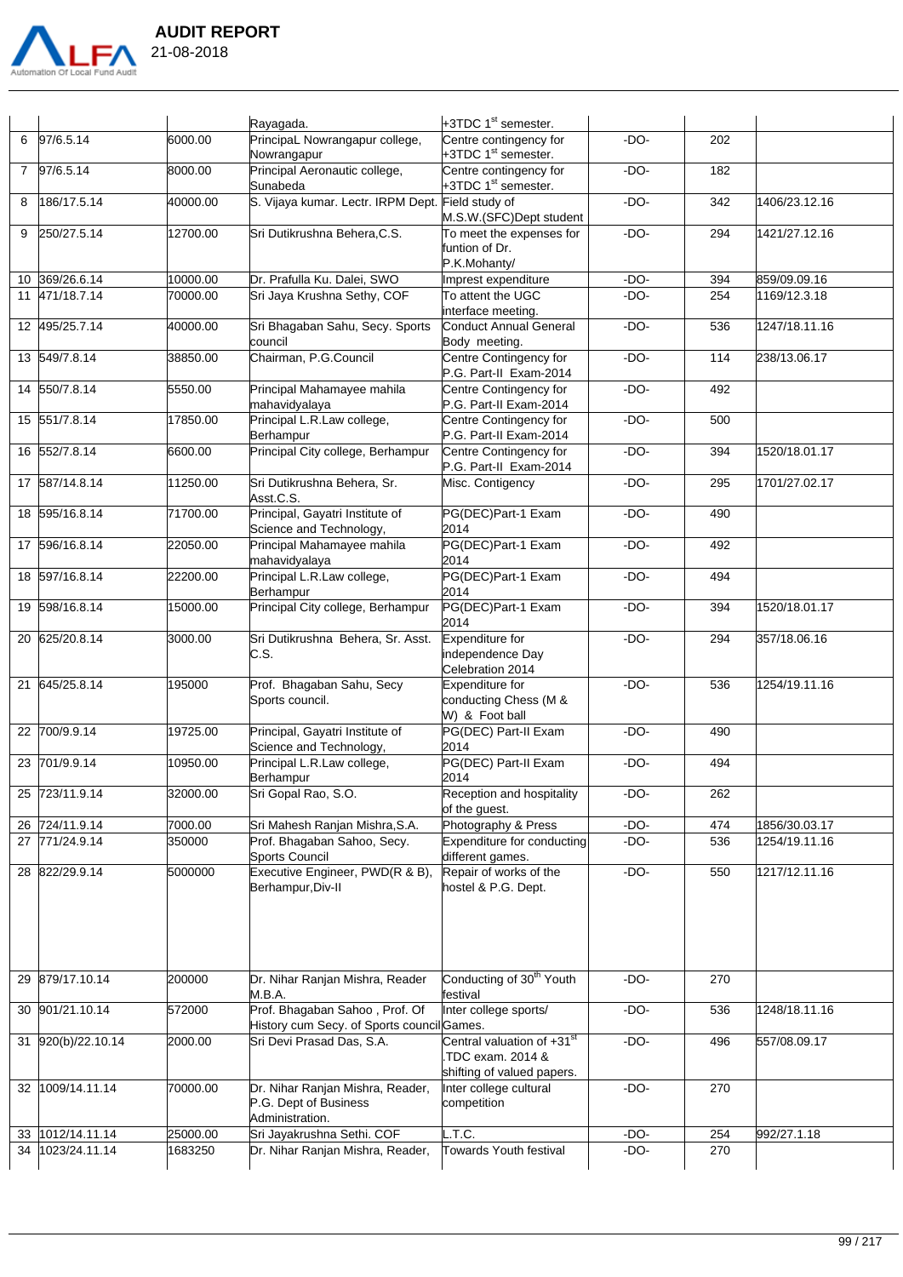

|                |                    |          | Rayagada.                                                                    | $+3TDC$ 1 <sup>st</sup> semester.                                            |        |     |               |
|----------------|--------------------|----------|------------------------------------------------------------------------------|------------------------------------------------------------------------------|--------|-----|---------------|
| 6              | 97/6.5.14          | 6000.00  | PrincipaL Nowrangapur college,<br>Nowrangapur                                | Centre contingency for<br>+3TDC 1 <sup>st</sup> semester.                    | $-DO-$ | 202 |               |
| $\overline{7}$ | 97/6.5.14          | 8000.00  | Principal Aeronautic college,<br>Sunabeda                                    | Centre contingency for<br>+3TDC 1 <sup>st</sup> semester.                    | $-DO-$ | 182 |               |
| 8              | 186/17.5.14        | 40000.00 | S. Vijaya kumar. Lectr. IRPM Dept. Field study of                            | M.S.W.(SFC)Dept student                                                      | $-DO-$ | 342 | 1406/23.12.16 |
| 9              | 250/27.5.14        | 12700.00 | Sri Dutikrushna Behera, C.S.                                                 | To meet the expenses for<br>funtion of Dr.<br>P.K.Mohanty/                   | $-DO-$ | 294 | 1421/27.12.16 |
|                | 10 369/26.6.14     | 10000.00 | Dr. Prafulla Ku. Dalei, SWO                                                  | Imprest expenditure                                                          | $-DO-$ | 394 | 859/09.09.16  |
| 11             | 471/18.7.14        | 70000.00 | Sri Jaya Krushna Sethy, COF                                                  | To attent the UGC<br>interface meeting.                                      | $-DO-$ | 254 | 1169/12.3.18  |
|                | 12 495/25.7.14     | 40000.00 | Sri Bhagaban Sahu, Secy. Sports<br>council                                   | Conduct Annual General<br>Body meeting.                                      | $-DO-$ | 536 | 1247/18.11.16 |
|                | 13 549/7.8.14      | 38850.00 | Chairman, P.G.Council                                                        | Centre Contingency for<br>P.G. Part-II Exam-2014                             | $-DO-$ | 114 | 238/13.06.17  |
|                | 14 550/7.8.14      | 5550.00  | Principal Mahamayee mahila<br>mahavidyalaya                                  | Centre Contingency for<br>P.G. Part-II Exam-2014                             | $-DO-$ | 492 |               |
|                | 15 551/7.8.14      | 17850.00 | Principal L.R.Law college,<br>Berhampur                                      | Centre Contingency for<br>P.G. Part-II Exam-2014                             | $-DO-$ | 500 |               |
|                | 16 552/7.8.14      | 6600.00  | Principal City college, Berhampur                                            | Centre Contingency for<br>P.G. Part-II Exam-2014                             | $-DO-$ | 394 | 1520/18.01.17 |
|                | 17 587/14.8.14     | 11250.00 | Sri Dutikrushna Behera, Sr.<br>Asst.C.S.                                     | Misc. Contigency                                                             | $-DO-$ | 295 | 1701/27.02.17 |
|                | 18 595/16.8.14     | 71700.00 | Principal, Gayatri Institute of<br>Science and Technology,                   | PG(DEC)Part-1 Exam<br>2014                                                   | $-DO-$ | 490 |               |
|                | 17 596/16.8.14     | 22050.00 | Principal Mahamayee mahila<br>mahavidyalaya                                  | PG(DEC)Part-1 Exam<br>2014                                                   | $-DO-$ | 492 |               |
|                | 18 597/16.8.14     | 22200.00 | Principal L.R.Law college,<br>Berhampur                                      | PG(DEC)Part-1 Exam<br>2014                                                   | $-DO-$ | 494 |               |
|                | 19 598/16.8.14     | 15000.00 | Principal City college, Berhampur                                            | PG(DEC)Part-1 Exam<br>2014                                                   | $-DO-$ | 394 | 1520/18.01.17 |
|                | 20 625/20.8.14     | 3000.00  | Sri Dutikrushna Behera, Sr. Asst.<br>C.S.                                    | Expenditure for<br>independence Day<br>Celebration 2014                      | $-DO-$ | 294 | 357/18.06.16  |
|                | 21 645/25.8.14     | 195000   | Prof. Bhagaban Sahu, Secy<br>Sports council.                                 | Expenditure for<br>conducting Chess (M &<br>W) & Foot ball                   | $-DO-$ | 536 | 1254/19.11.16 |
|                | 22 700/9.9.14      | 19725.00 | Principal, Gayatri Institute of<br>Science and Technology,                   | PG(DEC) Part-II Exam<br>2014                                                 | $-DO-$ | 490 |               |
|                | 23 701/9.9.14      | 10950.00 | Principal L.R.Law college,<br>Berhampur                                      | PG(DEC) Part-II Exam<br>2014                                                 | $-DO-$ | 494 |               |
|                | 25 723/11.9.14     | 32000.00 | Sri Gopal Rao, S.O.                                                          | Reception and hospitality<br>of the guest.                                   | $-DO-$ | 262 |               |
|                | 26 724/11.9.14     | 7000.00  | Sri Mahesh Ranjan Mishra, S.A.                                               | Photography & Press                                                          | $-DO-$ | 474 | 1856/30.03.17 |
|                | 27 771/24.9.14     | 350000   | Prof. Bhagaban Sahoo, Secy.<br>Sports Council                                | Expenditure for conducting<br>different games.                               | $-DO-$ | 536 | 1254/19.11.16 |
|                | 28 822/29.9.14     | 5000000  | Executive Engineer, PWD(R & B),<br>Berhampur, Div-II                         | Repair of works of the<br>hostel & P.G. Dept.                                | $-DO-$ | 550 | 1217/12.11.16 |
|                | 29 879/17.10.14    | 200000   | Dr. Nihar Ranjan Mishra, Reader<br>M.B.A.                                    | Conducting of 30 <sup>th</sup> Youth<br>festival                             | $-DO-$ | 270 |               |
|                | 30 901/21.10.14    | 572000   | Prof. Bhagaban Sahoo, Prof. Of<br>History cum Secy. of Sports council Games. | Inter college sports/                                                        | $-DO-$ | 536 | 1248/18.11.16 |
|                | 31 920(b)/22.10.14 | 2000.00  | Sri Devi Prasad Das, S.A.                                                    | Central valuation of +31st<br>TDC exam. 2014 &<br>shifting of valued papers. | $-DO-$ | 496 | 557/08.09.17  |
|                | 32 1009/14.11.14   | 70000.00 | Dr. Nihar Ranjan Mishra, Reader,<br>P.G. Dept of Business<br>Administration. | Inter college cultural<br>competition                                        | $-DO-$ | 270 |               |
|                | 33 1012/14.11.14   | 25000.00 | Sri Jayakrushna Sethi. COF                                                   | T.C.                                                                         | $-DO-$ | 254 | 992/27.1.18   |
| 34             | 1023/24.11.14      | 1683250  | Dr. Nihar Ranjan Mishra, Reader,                                             | Towards Youth festival                                                       | $-DO-$ | 270 |               |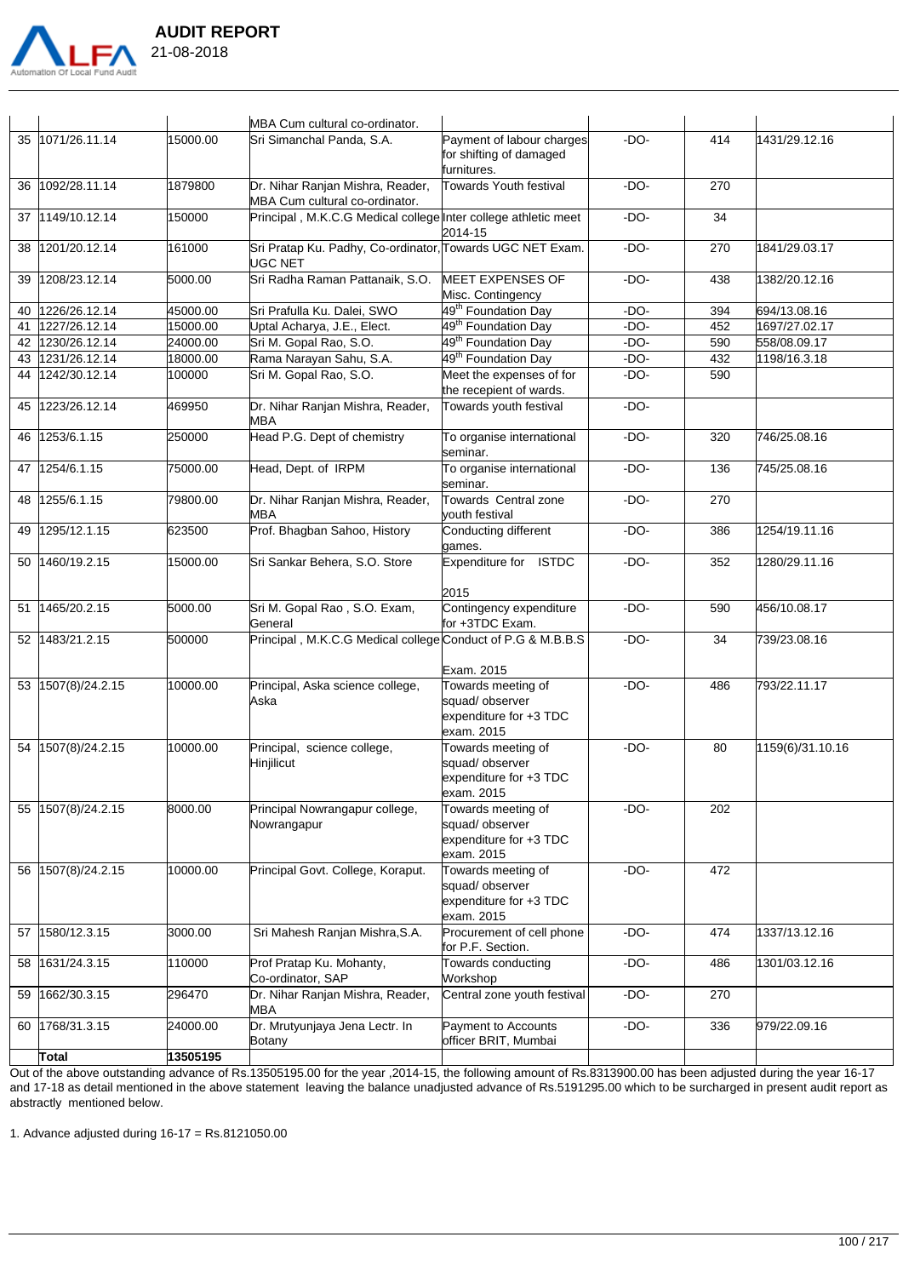

|    |                    |          | MBA Cum cultural co-ordinator.                                              |                                                                              |        |     |                  |
|----|--------------------|----------|-----------------------------------------------------------------------------|------------------------------------------------------------------------------|--------|-----|------------------|
|    | 35 1071/26.11.14   | 15000.00 | Sri Simanchal Panda, S.A.                                                   | Payment of labour charges<br>for shifting of damaged<br>furnitures.          | $-DO-$ | 414 | 1431/29.12.16    |
| 36 | 1092/28.11.14      | 1879800  | Dr. Nihar Ranjan Mishra, Reader,<br>MBA Cum cultural co-ordinator.          | Towards Youth festival                                                       | $-DO-$ | 270 |                  |
| 37 | 1149/10.12.14      | 150000   | Principal, M.K.C.G Medical college Inter college athletic meet              | 2014-15                                                                      | $-DO-$ | 34  |                  |
| 38 | 1201/20.12.14      | 161000   | Sri Pratap Ku. Padhy, Co-ordinator, Towards UGC NET Exam.<br><b>UGC NET</b> |                                                                              | $-DO-$ | 270 | 1841/29.03.17    |
| 39 | 1208/23.12.14      | 5000.00  | Sri Radha Raman Pattanaik, S.O.                                             | MEET EXPENSES OF<br>Misc. Contingency                                        | $-DO-$ | 438 | 1382/20.12.16    |
| 40 | 1226/26.12.14      | 45000.00 | Sri Prafulla Ku. Dalei, SWO                                                 | 49 <sup>th</sup> Foundation Day                                              | $-DO-$ | 394 | 694/13.08.16     |
| 41 | 1227/26.12.14      | 15000.00 | Uptal Acharya, J.E., Elect.                                                 | 49 <sup>th</sup> Foundation Day                                              | $-DO-$ | 452 | 1697/27.02.17    |
| 42 | 1230/26.12.14      | 24000.00 | Sri M. Gopal Rao, S.O.                                                      | 49 <sup>th</sup> Foundation Day                                              | $-DO-$ | 590 | 558/08.09.17     |
| 43 | 1231/26.12.14      | 18000.00 | Rama Narayan Sahu, S.A.                                                     | 49 <sup>th</sup> Foundation Day                                              | $-DO-$ | 432 | 1198/16.3.18     |
| 44 | 1242/30.12.14      | 100000   | Sri M. Gopal Rao, S.O.                                                      | Meet the expenses of for<br>the recepient of wards.                          | $-DO-$ | 590 |                  |
| 45 | 1223/26.12.14      | 469950   | Dr. Nihar Ranjan Mishra, Reader,<br><b>MBA</b>                              | Towards youth festival                                                       | $-DO-$ |     |                  |
| 46 | 1253/6.1.15        | 250000   | Head P.G. Dept of chemistry                                                 | To organise international<br>seminar.                                        | $-DO-$ | 320 | 746/25.08.16     |
| 47 | 1254/6.1.15        | 75000.00 | Head, Dept. of IRPM                                                         | To organise international<br>seminar.                                        | $-DO-$ | 136 | 745/25.08.16     |
| 48 | 1255/6.1.15        | 79800.00 | Dr. Nihar Ranjan Mishra, Reader,<br><b>MBA</b>                              | Towards Central zone<br>vouth festival                                       | $-DO-$ | 270 |                  |
| 49 | 1295/12.1.15       | 623500   | Prof. Bhagban Sahoo, History                                                | Conducting different<br>games.                                               | $-DO-$ | 386 | 1254/19.11.16    |
| 50 | 1460/19.2.15       | 15000.00 | Sri Sankar Behera, S.O. Store                                               | Expenditure for ISTDC<br>2015                                                | $-DO-$ | 352 | 1280/29.11.16    |
| 51 | 1465/20.2.15       | 5000.00  | Sri M. Gopal Rao, S.O. Exam,<br>General                                     | Contingency expenditure<br>for +3TDC Exam.                                   | $-DO-$ | 590 | 456/10.08.17     |
| 52 | 1483/21.2.15       | 500000   | Principal, M.K.C.G Medical college Conduct of P.G & M.B.B.S                 | Exam. 2015                                                                   | $-DO-$ | 34  | 739/23.08.16     |
|    | 53 1507(8)/24.2.15 | 10000.00 | Principal, Aska science college,<br>Aska                                    | Towards meeting of<br>squad/observer<br>expenditure for +3 TDC<br>exam. 2015 | $-DO-$ | 486 | 793/22.11.17     |
| 54 | 1507(8)/24.2.15    | 10000.00 | Principal, science college,<br>Hinjilicut                                   | Towards meeting of<br>squad/observer<br>expenditure for +3 TDC<br>exam. 2015 | $-DO-$ | 80  | 1159(6)/31.10.16 |
| 55 | 1507(8)/24.2.15    | 8000.00  | Principal Nowrangapur college,<br>Nowrangapur                               | Towards meeting of<br>squad/observer<br>expenditure for +3 TDC<br>exam. 2015 | $-DO-$ | 202 |                  |
| 56 | 1507(8)/24.2.15    | 10000.00 | Principal Govt. College, Koraput.                                           | Towards meeting of<br>squad/observer<br>expenditure for +3 TDC<br>exam. 2015 | $-DO-$ | 472 |                  |
| 57 | 1580/12.3.15       | 3000.00  | Sri Mahesh Ranjan Mishra, S.A.                                              | Procurement of cell phone<br>for P.F. Section.                               | $-DO-$ | 474 | 1337/13.12.16    |
| 58 | 1631/24.3.15       | 110000   | Prof Pratap Ku. Mohanty,<br>Co-ordinator, SAP                               | Towards conducting<br>Workshop                                               | $-DO-$ | 486 | 1301/03.12.16    |
| 59 | 1662/30.3.15       | 296470   | Dr. Nihar Ranjan Mishra, Reader,<br>MBA                                     | Central zone youth festival                                                  | $-DO-$ | 270 |                  |
| 60 | 1768/31.3.15       | 24000.00 | Dr. Mrutyunjaya Jena Lectr. In<br>Botany                                    | Payment to Accounts<br>officer BRIT, Mumbai                                  | $-DO-$ | 336 | 979/22.09.16     |
|    | <b>Total</b>       | 13505195 |                                                                             |                                                                              |        |     |                  |
|    |                    |          |                                                                             |                                                                              |        |     |                  |

Out of the above outstanding advance of Rs.13505195.00 for the year ,2014-15, the following amount of Rs.8313900.00 has been adjusted during the year 16-17 and 17-18 as detail mentioned in the above statement leaving the balance unadjusted advance of Rs.5191295.00 which to be surcharged in present audit report as abstractly mentioned below.

1. Advance adjusted during 16-17 = Rs.8121050.00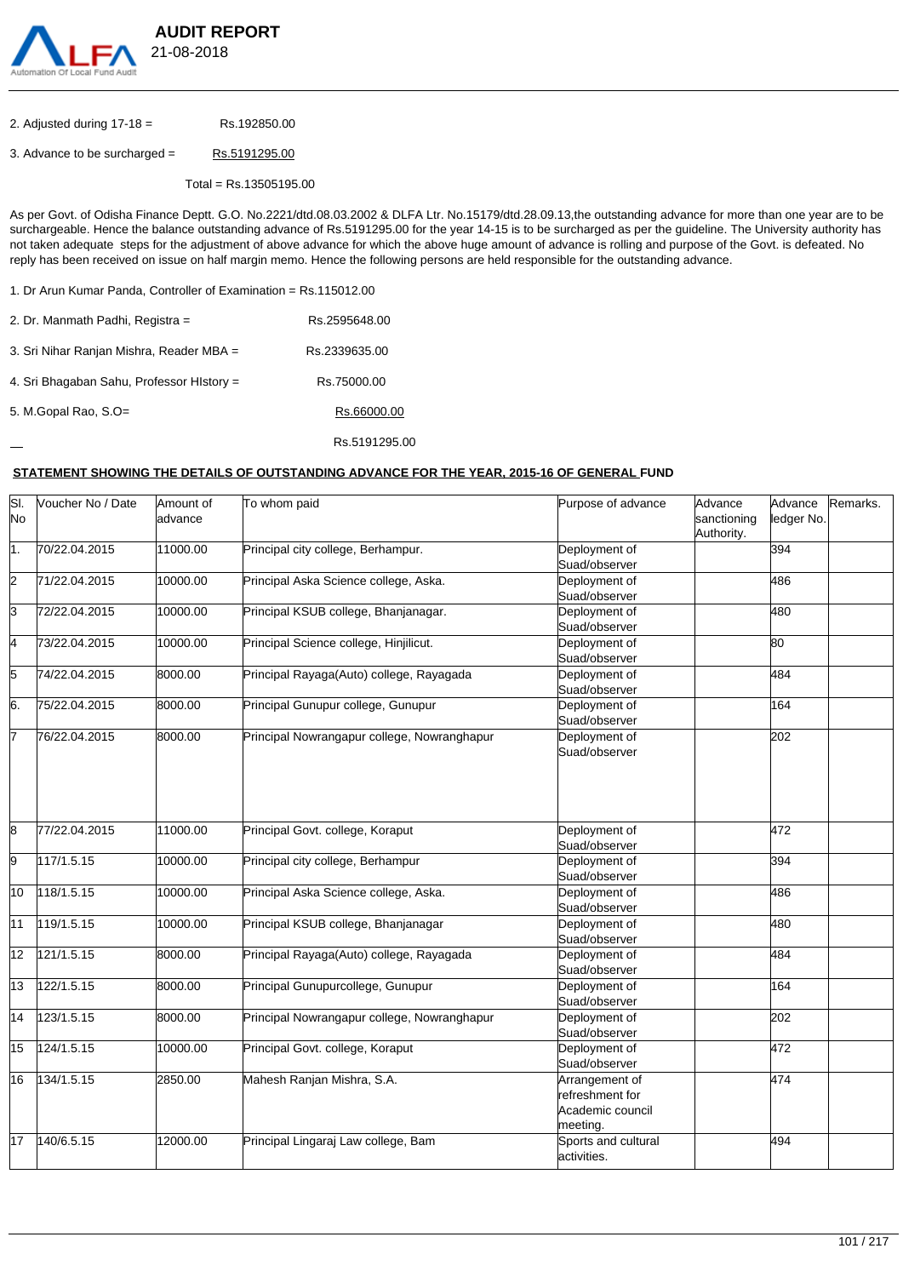

2. Adjusted during 17-18 = Rs.192850.00

3. Advance to be surcharged =  $Rs.5191295.00$ 

Total = Rs.13505195.00

As per Govt. of Odisha Finance Deptt. G.O. No.2221/dtd.08.03.2002 & DLFA Ltr. No.15179/dtd.28.09.13,the outstanding advance for more than one year are to be surchargeable. Hence the balance outstanding advance of Rs.5191295.00 for the year 14-15 is to be surcharged as per the quideline. The University authority has not taken adequate steps for the adjustment of above advance for which the above huge amount of advance is rolling and purpose of the Govt. is defeated. No reply has been received on issue on half margin memo. Hence the following persons are held responsible for the outstanding advance.

1. Dr Arun Kumar Panda, Controller of Examination = Rs.115012.00

| 2. Dr. Manmath Padhi, Registra =          | Rs.2595648.00 |
|-------------------------------------------|---------------|
| 3. Sri Nihar Ranjan Mishra, Reader MBA =  | Rs.2339635.00 |
| 4. Sri Bhagaban Sahu, Professor History = | Rs.75000.00   |
| 5. M.Gopal Rao, S.O=                      | Rs.66000.00   |
|                                           |               |

Rs.5191295.00

# **STATEMENT SHOWING THE DETAILS OF OUTSTANDING ADVANCE FOR THE YEAR, 2015-16 OF GENERAL FUND**

| SI.<br>No.      | Voucher No / Date | Amount of<br>advance | To whom paid                                | Purpose of advance                                                | Advance<br>sanctioning<br>Authority. | Advance<br>ledger No. | Remarks. |
|-----------------|-------------------|----------------------|---------------------------------------------|-------------------------------------------------------------------|--------------------------------------|-----------------------|----------|
| 1.              | 70/22.04.2015     | 11000.00             | Principal city college, Berhampur.          | Deployment of<br>Suad/observer                                    |                                      | 394                   |          |
| Z               | 71/22.04.2015     | 10000.00             | Principal Aska Science college, Aska.       | Deployment of<br>Suad/observer                                    |                                      | 486                   |          |
| $\overline{3}$  | 72/22.04.2015     | 10000.00             | Principal KSUB college, Bhanjanagar.        | Deployment of<br>Suad/observer                                    |                                      | 480                   |          |
| Ā               | 73/22.04.2015     | 10000.00             | Principal Science college, Hinjilicut.      | Deployment of<br>Suad/observer                                    |                                      | 80                    |          |
| $\overline{5}$  | 74/22.04.2015     | 8000.00              | Principal Rayaga(Auto) college, Rayagada    | Deployment of<br>Suad/observer                                    |                                      | 484                   |          |
| 6.              | 75/22.04.2015     | 8000.00              | Principal Gunupur college, Gunupur          | Deployment of<br>Suad/observer                                    |                                      | 164                   |          |
| 7               | 76/22.04.2015     | 8000.00              | Principal Nowrangapur college, Nowranghapur | Deployment of<br>Suad/observer                                    |                                      | 202                   |          |
| $\overline{8}$  | 77/22.04.2015     | 11000.00             | Principal Govt. college, Koraput            | Deployment of<br>Suad/observer                                    |                                      | 472                   |          |
| 9               | 117/1.5.15        | 10000.00             | Principal city college, Berhampur           | Deployment of<br>Suad/observer                                    |                                      | 394                   |          |
| 10              | 118/1.5.15        | 10000.00             | Principal Aska Science college, Aska.       | Deployment of<br>Suad/observer                                    |                                      | 486                   |          |
| $\overline{11}$ | 119/1.5.15        | 10000.00             | Principal KSUB college, Bhanjanagar         | Deployment of<br>Suad/observer                                    |                                      | 480                   |          |
| $\overline{12}$ | 121/1.5.15        | 8000.00              | Principal Rayaga(Auto) college, Rayagada    | Deployment of<br>Suad/observer                                    |                                      | 484                   |          |
| $\overline{13}$ | 122/1.5.15        | 8000.00              | Principal Gunupurcollege, Gunupur           | Deployment of<br>Suad/observer                                    |                                      | 164                   |          |
| $\overline{14}$ | 123/1.5.15        | 8000.00              | Principal Nowrangapur college, Nowranghapur | Deployment of<br>Suad/observer                                    |                                      | 202                   |          |
| $\overline{15}$ | 124/1.5.15        | 10000.00             | Principal Govt. college, Koraput            | Deployment of<br>Suad/observer                                    |                                      | 472                   |          |
| 16              | 134/1.5.15        | 2850.00              | Mahesh Ranjan Mishra, S.A.                  | Arrangement of<br>refreshment for<br>Academic council<br>meeting. |                                      | 474                   |          |
| $\overline{17}$ | 140/6.5.15        | 12000.00             | Principal Lingaraj Law college, Bam         | Sports and cultural<br>activities.                                |                                      | 494                   |          |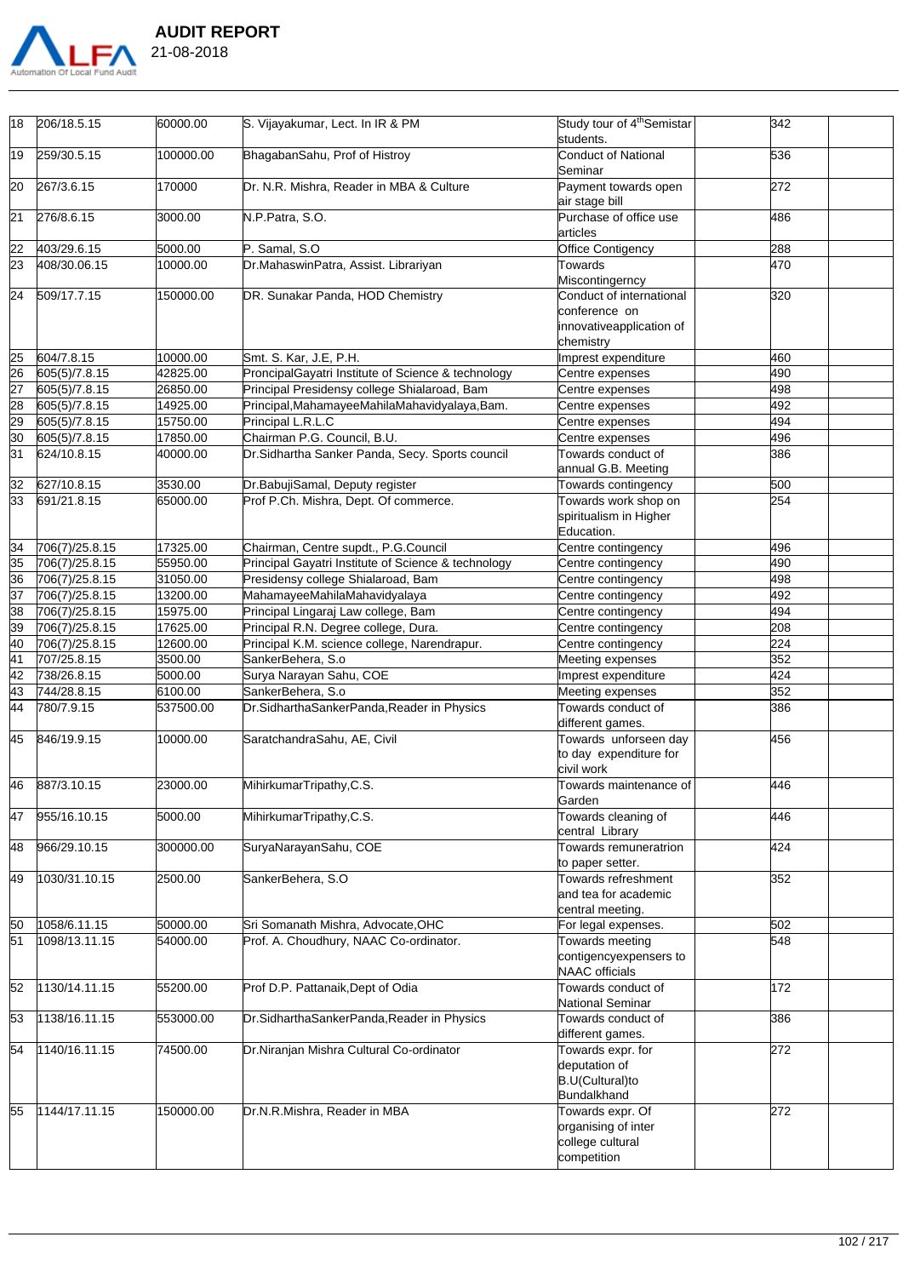

18 206/18.5.15 60000.00 S. Vijayakumar, Lect. In IR & PM Study tour of 4<sup>th</sup>Semistar

|    |                         |           |                                                     | students.                                                                          |     |  |
|----|-------------------------|-----------|-----------------------------------------------------|------------------------------------------------------------------------------------|-----|--|
| 19 | 259/30.5.15             | 100000.00 | BhagabanSahu, Prof of Histroy                       | Conduct of National<br>Seminar                                                     | 536 |  |
| 20 | 267/3.6.15              | 170000    | Dr. N.R. Mishra, Reader in MBA & Culture            | Payment towards open<br>air stage bill                                             | 272 |  |
| 21 | $\overline{276/8.6.15}$ | 3000.00   | N.P.Patra, S.O.                                     | Purchase of office use<br>larticles                                                | 486 |  |
| 22 | 403/29.6.15             | 5000.00   | P. Samal, S.O                                       | Office Contigency                                                                  | 288 |  |
| 23 | 408/30.06.15            | 10000.00  | Dr.MahaswinPatra, Assist. Librariyan                | Towards                                                                            | 470 |  |
|    |                         |           |                                                     | Miscontingerncy                                                                    |     |  |
| 24 | 509/17.7.15             | 150000.00 | DR. Sunakar Panda, HOD Chemistry                    | Conduct of international<br>conference on<br>innovativeapplication of<br>chemistry | 320 |  |
| 25 | 604/7.8.15              | 10000.00  | Smt. S. Kar, J.E, P.H.                              | Imprest expenditure                                                                | 460 |  |
| 26 | 605(5)/7.8.15           | 42825.00  | ProncipalGayatri Institute of Science & technology  | Centre expenses                                                                    | 490 |  |
| 27 | 605(5)/7.8.15           | 26850.00  | Principal Presidensy college Shialaroad, Bam        | Centre expenses                                                                    | 498 |  |
| 28 | 605(5)/7.8.15           | 14925.00  | Principal, MahamayeeMahilaMahavidyalaya, Bam.       | Centre expenses                                                                    | 492 |  |
| 29 | 605(5)/7.8.15           | 15750.00  | Principal L.R.L.C                                   | Centre expenses                                                                    | 494 |  |
| 30 | 605(5)/7.8.15           | 17850.00  | Chairman P.G. Council, B.U.                         | Centre expenses                                                                    | 496 |  |
| 31 | 624/10.8.15             | 40000.00  | Dr.Sidhartha Sanker Panda, Secy. Sports council     | Towards conduct of<br>annual G.B. Meeting                                          | 386 |  |
| 32 | 627/10.8.15             | 3530.00   | Dr.BabujiSamal, Deputy register                     | Towards contingency                                                                | 500 |  |
| 33 | 691/21.8.15             | 65000.00  | Prof P.Ch. Mishra, Dept. Of commerce.               | Towards work shop on<br>spiritualism in Higher<br>Education.                       | 254 |  |
| 34 | 706(7)/25.8.15          | 17325.00  | Chairman, Centre supdt., P.G.Council                | Centre contingency                                                                 | 496 |  |
| 35 | 706(7)/25.8.15          | 55950.00  | Principal Gayatri Institute of Science & technology | Centre contingency                                                                 | 490 |  |
| 36 | 706(7)/25.8.15          | 31050.00  | Presidensy college Shialaroad, Bam                  | Centre contingency                                                                 | 498 |  |
| 37 | 706(7)/25.8.15          | 13200.00  | MahamayeeMahilaMahavidyalaya                        | Centre contingency                                                                 | 492 |  |
| 38 | 706(7)/25.8.15          | 15975.00  | Principal Lingaraj Law college, Bam                 | Centre contingency                                                                 | 494 |  |
| 39 | 706(7)/25.8.15          | 17625.00  | Principal R.N. Degree college, Dura.                | Centre contingency                                                                 | 208 |  |
| 40 | 706(7)/25.8.15          | 12600.00  | Principal K.M. science college, Narendrapur.        | Centre contingency                                                                 | 224 |  |
| 41 | 707/25.8.15             | 3500.00   | SankerBehera, S.o                                   | Meeting expenses                                                                   | 352 |  |
| 42 | 738/26.8.15             | 5000.00   | Surya Narayan Sahu, COE                             | Imprest expenditure                                                                | 424 |  |
| 43 | 744/28.8.15             | 6100.00   | SankerBehera, S.o                                   | Meeting expenses                                                                   | 352 |  |
| 44 | 780/7.9.15              | 537500.00 | Dr.SidharthaSankerPanda, Reader in Physics          | Towards conduct of                                                                 | 386 |  |
|    |                         |           |                                                     | different games.<br>Towards unforseen day                                          |     |  |
| 45 | 846/19.9.15             | 10000.00  | SaratchandraSahu, AE, Civil                         | to day expenditure for<br>civil work                                               | 456 |  |
| 46 | 887/3.10.15             | 23000.00  | MihirkumarTripathy, C.S.                            | Towards maintenance of<br>Garden                                                   | 446 |  |
|    | 47 955/16.10.15         | 5000.00   | MihirkumarTripathy, C.S.                            | Towards cleaning of<br>central Library                                             | 446 |  |
| 48 | 966/29.10.15            | 300000.00 | SuryaNarayanSahu, COE                               | Towards remuneratrion<br>to paper setter.                                          | 424 |  |
| 49 | 1030/31.10.15           | 2500.00   | SankerBehera, S.O                                   | Towards refreshment<br>and tea for academic<br>central meeting.                    | 352 |  |
| 50 | 1058/6.11.15            | 50000.00  | Sri Somanath Mishra, Advocate, OHC                  | For legal expenses.                                                                | 502 |  |
| 51 | 1098/13.11.15           | 54000.00  | Prof. A. Choudhury, NAAC Co-ordinator.              | Towards meeting<br>contigencyexpensers to<br>NAAC officials                        | 548 |  |
| 52 | 1130/14.11.15           | 55200.00  | Prof D.P. Pattanaik, Dept of Odia                   | Towards conduct of<br>National Seminar                                             | 172 |  |
| 53 | 1138/16.11.15           | 553000.00 | Dr.SidharthaSankerPanda, Reader in Physics          | Towards conduct of<br>different games.                                             | 386 |  |
| 54 | 1140/16.11.15           | 74500.00  | Dr.Niranjan Mishra Cultural Co-ordinator            | Towards expr. for<br>deputation of<br>B.U(Cultural)to<br>Bundalkhand               | 272 |  |
| 55 | 1144/17.11.15           | 150000.00 | Dr.N.R.Mishra, Reader in MBA                        | Towards expr. Of<br>organising of inter<br>college cultural<br>competition         | 272 |  |

 $\mathbb{R}$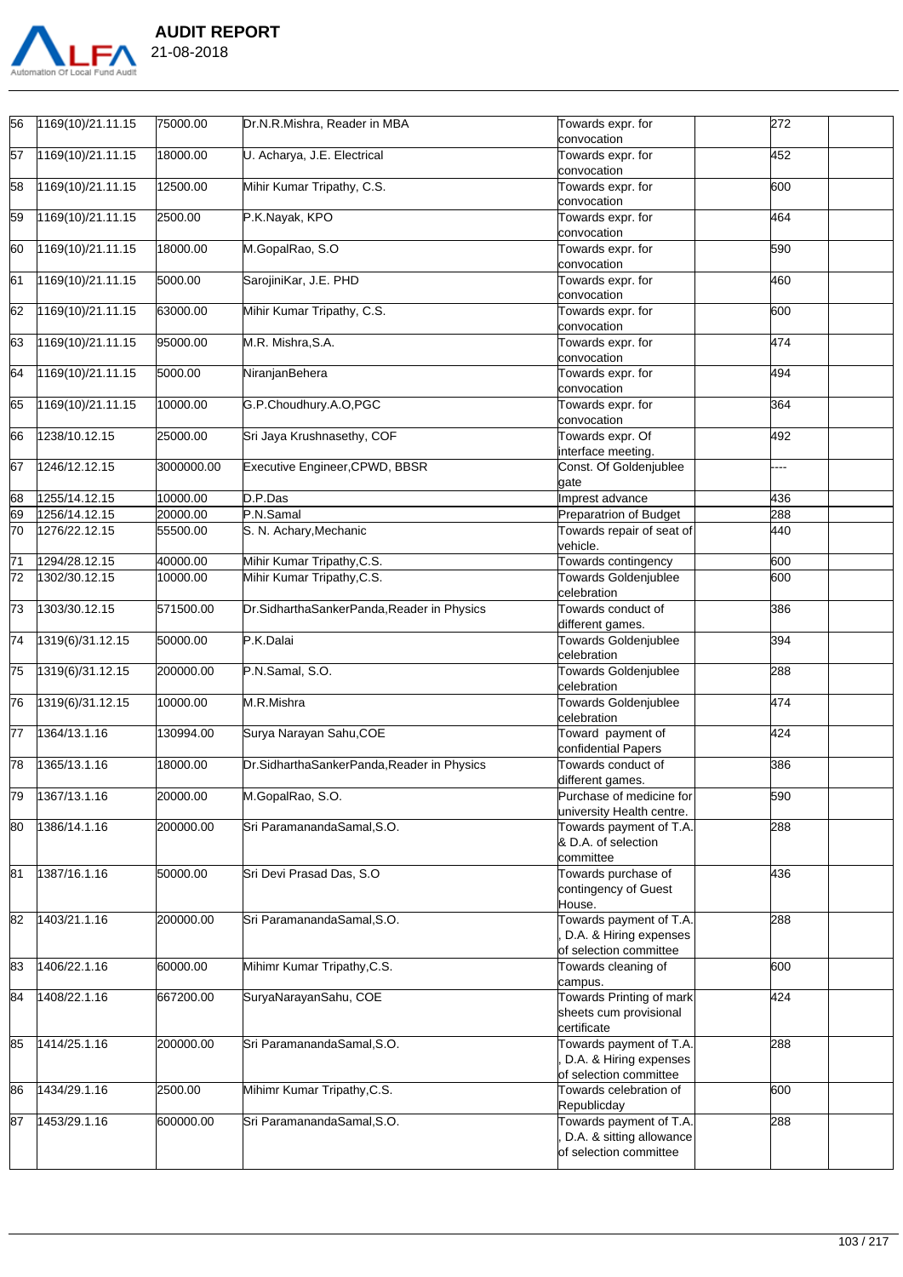

56 1169(10)/21.11.15 75000.00 Dr.N.R.Mishra, Reader in MBA Towards expr. for convocation 272 57 1169(10)/21.11.15 18000.00 U. Acharya, J.E. Electrical Towards expr. for convocation 452 58 1169(10)/21.11.15 12500.00 Mihir Kumar Tripathy, C.S. Towards expr. for convocation 600 59 1169(10)/21.11.15 2500.00 P.K.Nayak, KPO Towards expr. for convocation 464 60 1169(10)/21.11.15 18000.00 M.GopalRao, S.O Towards expr. for convocation 590 61 1169(10)/21.11.15 5000.00 SarojiniKar, J.E. PHD Towards expr. for convocation 460 62 1169(10)/21.11.15 63000.00 Mihir Kumar Tripathy, C.S. Towards expr. for convocation 600 63 1169(10)/21.11.15 95000.00 M.R. Mishra,S.A. Towards expr. for convocation 474 64 1169(10)/21.11.15 5000.00 NiranjanBehera Towards expr. for convocation 494 65 1169(10)/21.11.15 10000.00 G.P.Choudhury.A.O,PGC Towards expr. for convocation 364 66 1238/10.12.15 25000.00 Sri Jaya Krushnasethy, COF Towards expr. Of interface meeting. 492 67 |1246/12.12.15 3000000.00 Executive Engineer,CPWD, BBSR Const. Of Goldenjublee gate ---- 68 1255/14.12.15 10000.00 D.P.Das Imprest advance 436 69 1256/14.12.15 20000.00 P.N.Samal Preparatrion of Budget 288 70 1276/22.12.15 55500.00 S. N. Achary,Mechanic Towards repair of seat of vehicle. 440 71 1294/28.12.15 40000.00 Mihir Kumar Tripathy,C.S. Towards contingency 600 72 1302/30.12.15 10000.00 Mihir Kumar Tripathy,C.S. Towards Goldenjublee celebration 600 73 1303/30.12.15 571500.00 Dr.SidharthaSankerPanda,Reader in Physics Towards conduct of different games. 386 74 1319(6)/31.12.15 50000.00 P.K.Dalai Towards Goldenjublee celebration 394 75 1319(6)/31.12.15 200000.00 P.N.Samal, S.O. Towards Goldenjublee celebration 288 76 1319(6)/31.12.15 10000.00 M.R.Mishra Towards Goldenjublee celebration 474 77 1364/13.1.16 130994.00 Surya Narayan Sahu,COE Toward payment of confidential Papers 424 78 1365/13.1.16 18000.00 Dr.SidharthaSankerPanda,Reader in Physics Towards conduct of different games. 386 79 1367/13.1.16 20000.00 M.GopalRao, S.O. Purchase of medicine for university Health centre<mark>.</mark><br>Towards payment of T.A. 590 80 1386/14.1.16 200000.00 Sri ParamanandaSamal,S.O. & D.A. of selection committee<br>Towards purchase of 288 81 1387/16.1.16 50000.00 Sri Devi Prasad Das, S.O contingency of Guest House. 436 82 1403/21.1.16 200000.00 Sri ParamanandaSamal,S.O. Towards payment of T.A. D.A. & Hiring expenses of selection committee 288 83 1406/22.1.16 60000.00 Mihimr Kumar Tripathy, C.S. Towards cleaning of campus.<br>Towards Printing of mark 600 84 1408/22.1.16 667200.00 SuryaNarayanSahu, COE sheets cum provisional **certificate** 424 85 1414/25.1.16 200000.00 Sri ParamanandaSamal,S.O. Towards payment of T.A. , D.A. & Hiring expenses of selection committee 288 86 1434/29.1.16 2500.00 Mihimr Kumar Tripathy,C.S. Towards celebration of Republicday<br>Towards payment of T.A. 600 87 1453/29.1.16 600000.00 Sri ParamanandaSamal,S.O. D.A. & sitting allowance of selection committee 288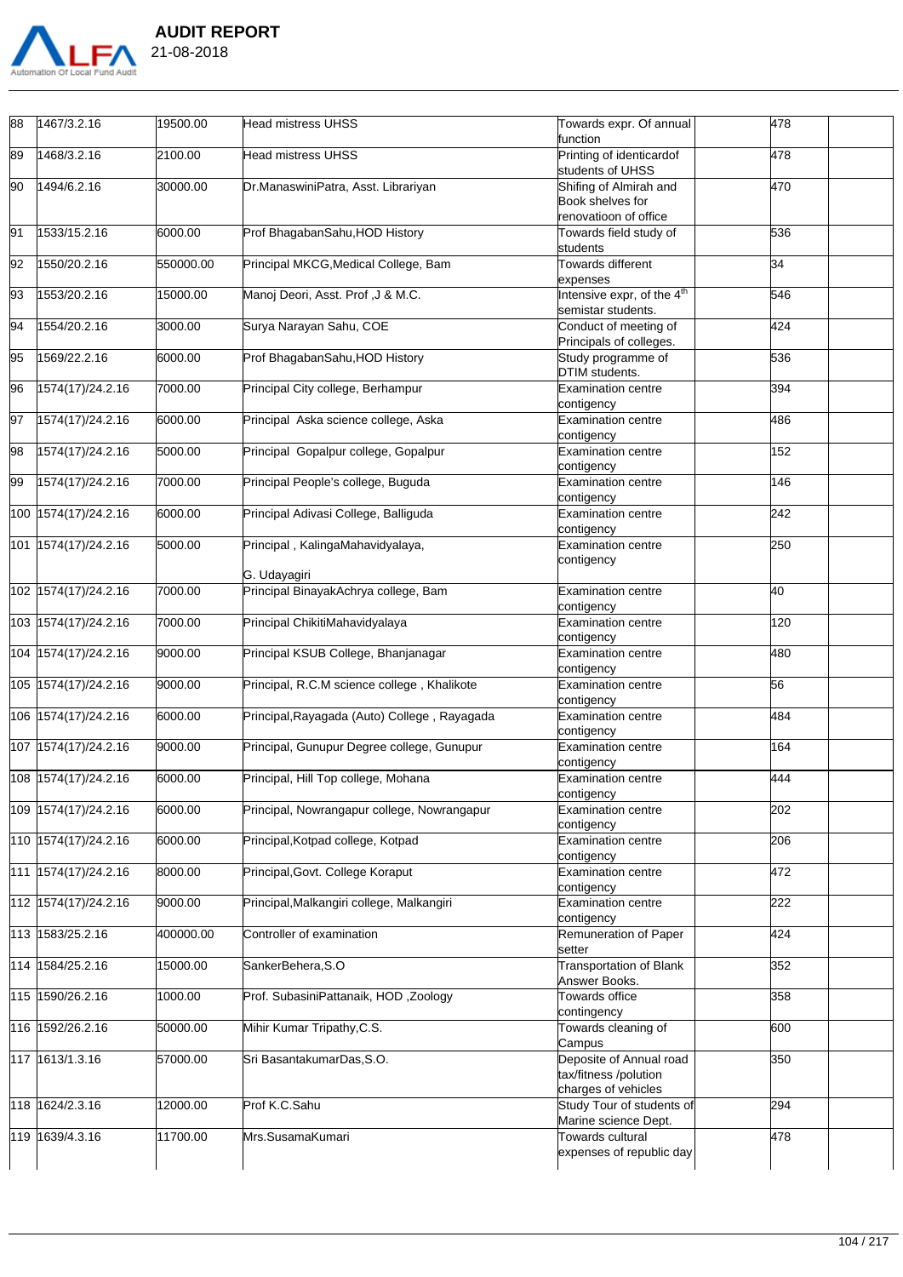

88 1467/3.2.16 19500.00 Head mistress UHSS Towards expr. Of annual

function 89 1468/3.2.16 2100.00 Head mistress UHSS Printing of identicardof students of UHSS 478 90 1494/6.2.16 30000.00 Dr.ManaswiniPatra, Asst. Librariyan Shifing of Almirah and Book shelves for renovatioon of office 470 91 1533/15.2.16 6000.00 Prof BhagabanSahu,HOD History Towards field study of students 536 92 1550/20.2.16 550000.00 Principal MKCG,Medical College, Bam Towards different expenses<br>Intensive expr. of the 4<sup>th</sup> 34 93 1553/20.2.16 15000.00 Manoj Deori, Asst. Prof ,J & M.C. semistar students. 546 94 1554/20.2.16 3000.00 Surya Narayan Sahu, COE Conduct of meeting of Principals of colleges. 424 95 1569/22.2.16 6000.00 Prof BhagabanSahu,HOD History Study programme of DTIM students. 536 96 1574(17)/24.2.16 7000.00 Principal City college, Berhampur Examination centre contigency 394 97 1574(17)/24.2.16 6000.00 Principal Aska science college, Aska Examination centre contigency 486 98 1574(17)/24.2.16 5000.00 Principal Gopalpur college, Gopalpur Examination centre contigency 152 99 1574(17)/24.2.16 7000.00 Principal People's college, Buguda Examination centre contigency 146 100 1574(17)/24.2.16 6000.00 Principal Adivasi College, Balliguda Examination centre contigency  $242$ 101 1574(17)/24.2.16 5000.00 Principal , KalingaMahavidyalaya, G. Udayagiri Examination centre contigency 250 102 1574(17)/24.2.16 7000.00 Principal BinayakAchrya college, Bam Examination centre contigency<br>Examination centre 40 103 1574(17)/24.2.16 7000.00 Principal ChikitiMahavidyalaya contigency 120 104 1574(17)/24.2.16 9000.00 Principal KSUB College, Bhanjanagar Examination centre contigency 480 105 1574(17)/24.2.16 9000.00 Principal, R.C.M science college , Khalikote Examination centre contigency 56 106 1574(17)/24.2.16 6000.00 Principal,Rayagada (Auto) College , Rayagada Examination centre contigency 484 107 1574(17)/24.2.16 9000.00 Principal, Gunupur Degree college, Gunupur Examination centre contigency 164 108 1574(17)/24.2.16 6000.00 Principal, Hill Top college, Mohana Examination centre contigency 444 109 1574(17)/24.2.16 6000.00 Principal, Nowrangapur college, Nowrangapur Examination centre contigency 202 110 1574(17)/24.2.16 6000.00 Principal,Kotpad college, Kotpad Examination centre contigency 206 111 1574(17)/24.2.16 8000.00 Principal,Govt. College Koraput Examination centre contigency 472 112 1574(17)/24.2.16 9000.00 Principal,Malkangiri college, Malkangiri Examination centre contigency 222 113 1583/25.2.16 400000.00 Controller of examination Remuneration Remuneration of Paper setter 424 114 1584/25.2.16 15000.00 SankerBehera,S.O Transportation of Blank Answer Books. 352 115 1590/26.2.16 1000.00 Prof. SubasiniPattanaik, HOD ,Zoology Towards office contingency 358 116 1592/26.2.16 50000.00 Mihir Kumar Tripathy,C.S. Towards cleaning of Campus 600 117 1613/1.3.16 57000.00 Sri BasantakumarDas,S.O. Deposite of Annual road tax/fitness /polution charges of vehicles 350 118 1624/2.3.16 12000.00 Prof K.C.Sahu Study Tour of students of Marine science Dept. 294 119 1639/4.3.16 11700.00 Mrs.SusamaKumari Towards cultural expenses of republic day 478

478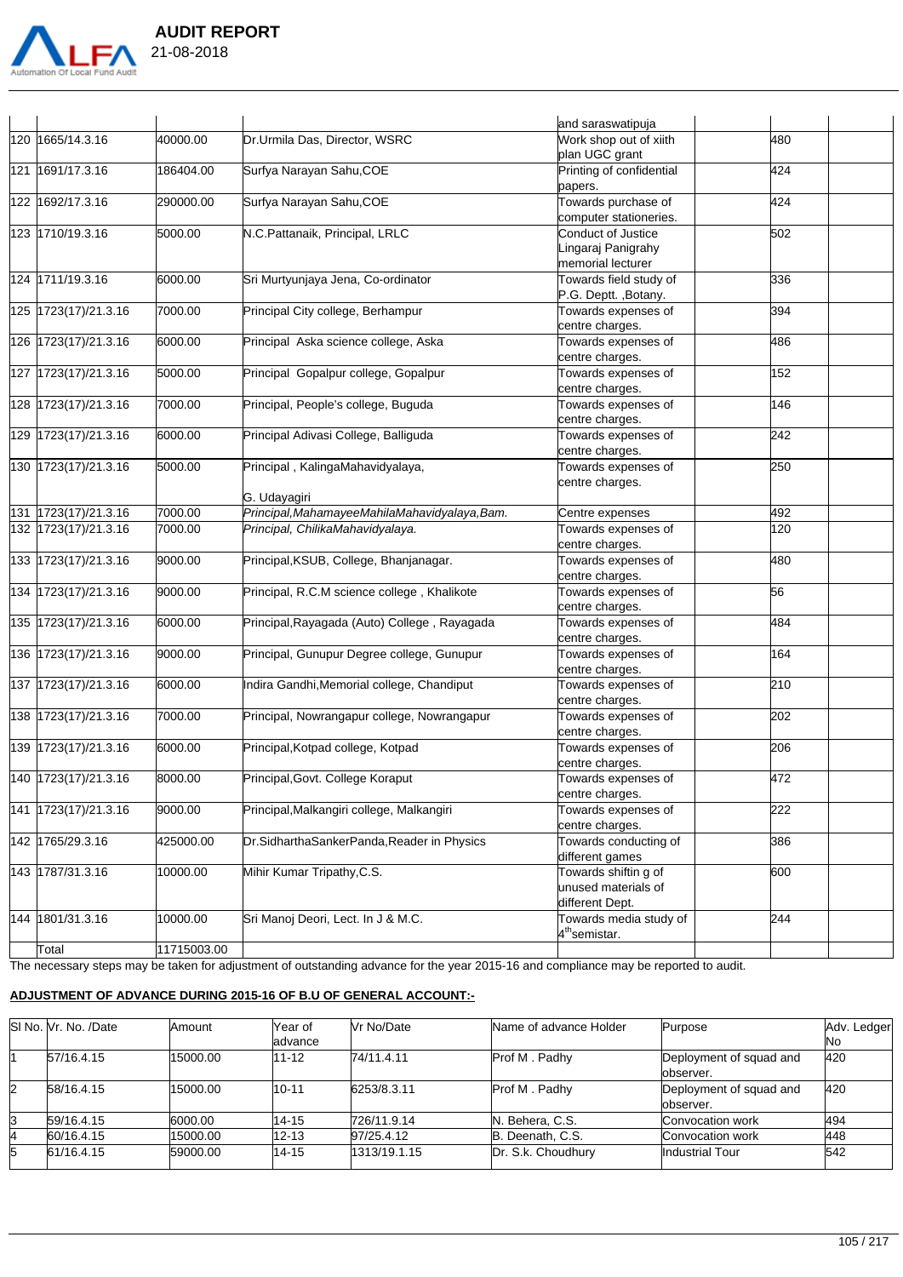

|                      |             |                                               | and saraswatipuja                      |     |  |
|----------------------|-------------|-----------------------------------------------|----------------------------------------|-----|--|
| 120 1665/14.3.16     | 40000.00    | Dr.Urmila Das, Director, WSRC                 | Work shop out of xiith                 | 480 |  |
|                      |             |                                               | plan UGC grant                         |     |  |
| 121 1691/17.3.16     | 86404.00    | Surfya Narayan Sahu, COE                      | Printing of confidential               | 424 |  |
|                      |             |                                               | papers.                                |     |  |
| 122 1692/17.3.16     | 290000.00   | Surfya Narayan Sahu, COE                      | Towards purchase of                    | 424 |  |
|                      |             |                                               | computer stationeries.                 |     |  |
| 123 1710/19.3.16     | 5000.00     | N.C.Pattanaik, Principal, LRLC                | Conduct of Justice                     | 502 |  |
|                      |             |                                               | Lingaraj Panigrahy                     |     |  |
|                      |             |                                               | memorial lecturer                      |     |  |
| 124 1711/19.3.16     | 6000.00     | Sri Murtyunjaya Jena, Co-ordinator            | Towards field study of                 | 336 |  |
|                      |             |                                               | P.G. Deptt., Botany.                   |     |  |
| 125 1723(17)/21.3.16 | 7000.00     | Principal City college, Berhampur             | Towards expenses of                    | 394 |  |
|                      |             |                                               | centre charges.                        |     |  |
| 126 1723(17)/21.3.16 | 6000.00     | Principal Aska science college, Aska          | Towards expenses of                    | 486 |  |
|                      |             |                                               | centre charges.                        |     |  |
| 127 1723(17)/21.3.16 | 5000.00     | Principal Gopalpur college, Gopalpur          | Towards expenses of                    | 152 |  |
|                      |             |                                               | centre charges.                        |     |  |
| 128 1723(17)/21.3.16 | 7000.00     | Principal, People's college, Buguda           | Towards expenses of                    | 146 |  |
|                      |             |                                               | centre charges.                        |     |  |
| 129 1723(17)/21.3.16 | 6000.00     | Principal Adivasi College, Balliguda          | Towards expenses of                    | 242 |  |
|                      |             |                                               | centre charges.                        |     |  |
| 130 1723(17)/21.3.16 | 5000.00     | Principal, KalingaMahavidyalaya,              | Towards expenses of                    | 250 |  |
|                      |             | G. Udayagiri                                  | centre charges.                        |     |  |
| 131 1723(17)/21.3.16 | 7000.00     | Principal, MahamayeeMahilaMahavidyalaya, Bam. |                                        | 492 |  |
| 132 1723(17)/21.3.16 | 7000.00     | Principal, ChilikaMahavidyalaya.              | Centre expenses<br>Towards expenses of | 120 |  |
|                      |             |                                               | centre charges.                        |     |  |
| 133 1723(17)/21.3.16 | 9000.00     | Principal, KSUB, College, Bhanjanagar.        | Towards expenses of                    | 480 |  |
|                      |             |                                               | centre charges.                        |     |  |
| 134 1723(17)/21.3.16 | 9000.00     | Principal, R.C.M science college, Khalikote   | Towards expenses of                    | 56  |  |
|                      |             |                                               | centre charges.                        |     |  |
| 135 1723(17)/21.3.16 | 6000.00     | Principal, Rayagada (Auto) College, Rayagada  | Towards expenses of                    | 484 |  |
|                      |             |                                               | centre charges.                        |     |  |
| 136 1723(17)/21.3.16 | 9000.00     | Principal, Gunupur Degree college, Gunupur    | Towards expenses of                    | 164 |  |
|                      |             |                                               | centre charges.                        |     |  |
| 137 1723(17)/21.3.16 | 6000.00     | Indira Gandhi, Memorial college, Chandiput    | Towards expenses of                    | 210 |  |
|                      |             |                                               | centre charges.                        |     |  |
| 138 1723(17)/21.3.16 | 7000.00     | Principal, Nowrangapur college, Nowrangapur   | Towards expenses of                    | 202 |  |
|                      |             |                                               | centre charges.                        |     |  |
| 139 1723(17)/21.3.16 | 6000.00     | Principal, Kotpad college, Kotpad             | Towards expenses of                    | 206 |  |
|                      |             |                                               | centre charges.                        |     |  |
| 140 1723(17)/21.3.16 | 8000.00     | Principal, Govt. College Koraput              | Towards expenses of                    | 472 |  |
|                      |             |                                               | centre charges.                        |     |  |
| 141 1723(17)/21.3.16 | 9000.00     | Principal, Malkangiri college, Malkangiri     | Towards expenses of                    | 222 |  |
|                      |             |                                               | centre charges.                        |     |  |
| 142 1765/29.3.16     | 425000.00   | Dr.SidharthaSankerPanda, Reader in Physics    | Towards conducting of                  | 386 |  |
|                      |             |                                               | different games                        |     |  |
| 143 1787/31.3.16     | 10000.00    | Mihir Kumar Tripathy, C.S.                    | Towards shiftin g of                   | 600 |  |
|                      |             |                                               | unused materials of                    |     |  |
|                      |             |                                               | different Dept.                        |     |  |
| 144 1801/31.3.16     | 10000.00    | Sri Manoj Deori, Lect. In J & M.C.            | Towards media study of                 | 244 |  |
|                      |             |                                               | 4 <sup>th</sup> semistar.              |     |  |
| Total                | 11715003.00 |                                               |                                        |     |  |

The necessary steps may be taken for adjustment of outstanding advance for the year 2015-16 and compliance may be reported to audit.

# **ADJUSTMENT OF ADVANCE DURING 2015-16 OF B.U OF GENERAL ACCOUNT:-**

|    | SI No. Nr. No. /Date | Amount   | Year of   | Vr No/Date   | Name of advance Holder | Purpose                 | Adv. Ledger |
|----|----------------------|----------|-----------|--------------|------------------------|-------------------------|-------------|
|    |                      |          | ladvance  |              |                        |                         | No          |
|    | 57/16.4.15           | 15000.00 | $11 - 12$ | 74/11.4.11   | Prof M. Padhy          | Deployment of squad and | 420         |
|    |                      |          |           |              |                        | lobserver.              |             |
| I2 | 58/16.4.15           | 15000.00 | $10 - 11$ | 6253/8.3.11  | Prof M. Padhy          | Deployment of squad and | 420         |
|    |                      |          |           |              |                        | lobserver.              |             |
|    | 59/16.4.15           | 6000.00  | 14-15     | 726/11.9.14  | N. Behera, C.S.        | Convocation work        | 494         |
|    | 60/16.4.15           | 15000.00 | 12-13     | 97/25.4.12   | B. Deenath. C.S.       | Convocation work        | 448         |
| 15 | 61/16.4.15           | 59000.00 | 14-15     | 1313/19.1.15 | Dr. S.k. Choudhury     | Industrial Tour         | 542         |
|    |                      |          |           |              |                        |                         |             |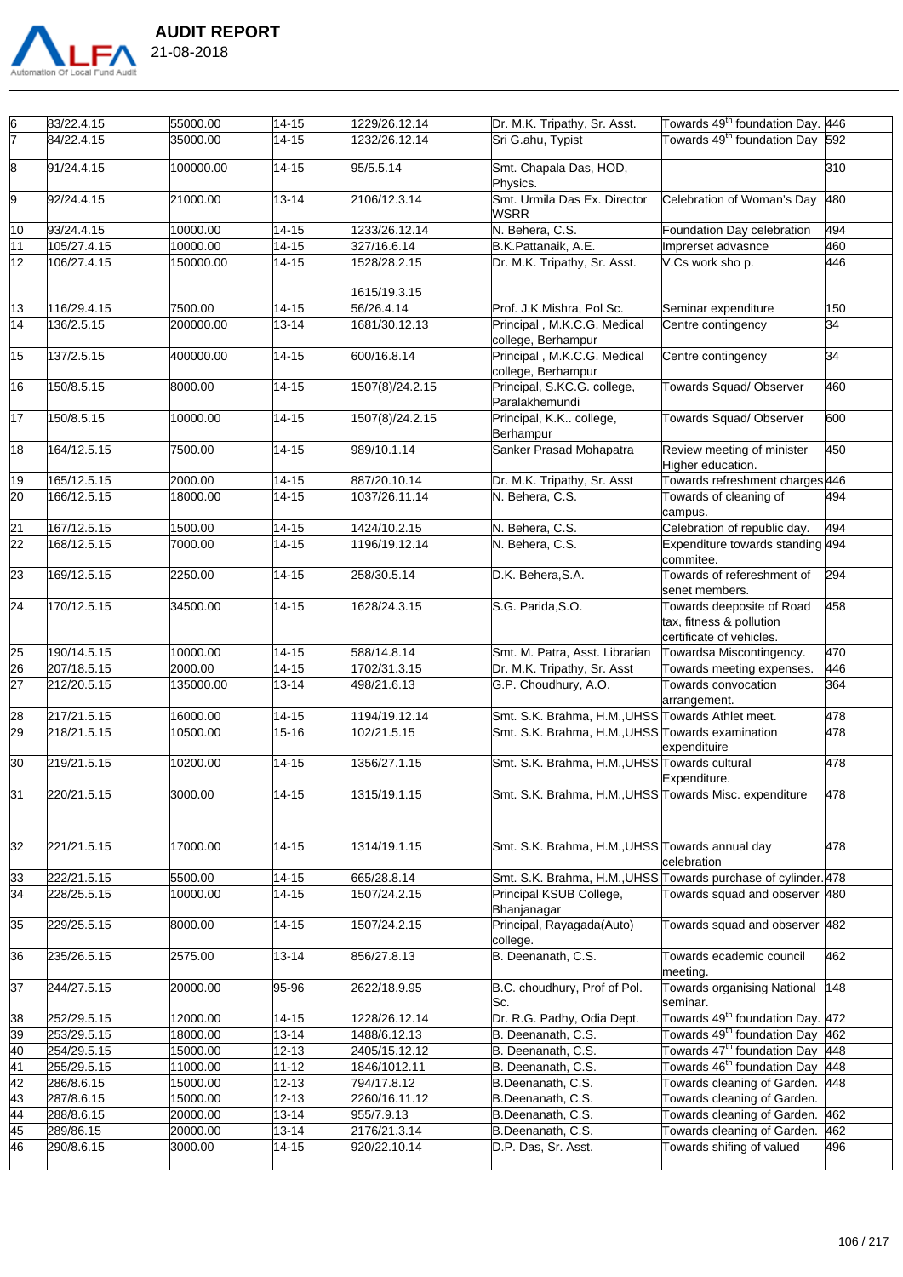

| 6               | 83/22.4.15  | 55000.00  | $14 - 15$ | 1229/26.12.14   | Dr. M.K. Tripathy, Sr. Asst.                                   | Towards 49 <sup>th</sup> foundation Day. 446                                      |     |
|-----------------|-------------|-----------|-----------|-----------------|----------------------------------------------------------------|-----------------------------------------------------------------------------------|-----|
|                 | 84/22.4.15  | 35000.00  | $14 - 15$ | 1232/26.12.14   | Sri G.ahu, Typist                                              | Towards 49 <sup>th</sup> foundation Day 592                                       |     |
| 8               | 91/24.4.15  | 100000.00 | $14 - 15$ | 95/5.5.14       | Smt. Chapala Das, HOD,<br>Physics.                             |                                                                                   | 310 |
| l9              | 92/24.4.15  | 21000.00  | 13-14     | 2106/12.3.14    | Smt. Urmila Das Ex. Director<br><b>WSRR</b>                    | Celebration of Woman's Day                                                        | 480 |
| 10              | 93/24.4.15  | 10000.00  | $14 - 15$ | 1233/26.12.14   | N. Behera, C.S.                                                | Foundation Day celebration                                                        | 494 |
| 11              | 105/27.4.15 | 10000.00  | $14 - 15$ | 327/16.6.14     | B.K.Pattanaik, A.E.                                            | Imprerset advasnce                                                                | 460 |
| 12              | 106/27.4.15 | 150000.00 | $14 - 15$ | 1528/28.2.15    | Dr. M.K. Tripathy, Sr. Asst.                                   | V.Cs work sho p.                                                                  | 446 |
|                 |             |           |           | 1615/19.3.15    |                                                                |                                                                                   |     |
| 13              | 116/29.4.15 | 7500.00   | $14 - 15$ | 56/26.4.14      | Prof. J.K.Mishra, Pol Sc.                                      | Seminar expenditure                                                               | 150 |
| 14              | 136/2.5.15  | 200000.00 | $13 - 14$ | 1681/30.12.13   | Principal, M.K.C.G. Medical<br>college, Berhampur              | Centre contingency                                                                | 34  |
| 15              | 137/2.5.15  | 400000.00 | 14-15     | 600/16.8.14     | Principal, M.K.C.G. Medical<br>college, Berhampur              | Centre contingency                                                                | 34  |
| 16              | 150/8.5.15  | 8000.00   | $14 - 15$ | 1507(8)/24.2.15 | Principal, S.KC.G. college,<br>Paralakhemundi                  | Towards Squad/ Observer                                                           | 460 |
| 17              | 150/8.5.15  | 10000.00  | $14 - 15$ | 1507(8)/24.2.15 | Principal, K.K college,<br>Berhampur                           | Towards Squad/ Observer                                                           | 600 |
| 18              | 164/12.5.15 | 7500.00   | $14 - 15$ | 989/10.1.14     | Sanker Prasad Mohapatra                                        | Review meeting of minister<br>Higher education.                                   | 450 |
| 19              | 165/12.5.15 | 2000.00   | $14 - 15$ | 887/20.10.14    | Dr. M.K. Tripathy, Sr. Asst                                    | Towards refreshment charges 446                                                   |     |
| 20              | 166/12.5.15 | 18000.00  | 14-15     | 1037/26.11.14   | N. Behera, C.S.                                                | Towards of cleaning of<br>campus.                                                 | 494 |
| 21              | 167/12.5.15 | 1500.00   | 14-15     | 1424/10.2.15    | N. Behera, C.S.                                                | Celebration of republic day.                                                      | 494 |
| $\overline{22}$ | 168/12.5.15 | 7000.00   | $14 - 15$ | 1196/19.12.14   | N. Behera, C.S.                                                | Expenditure towards standing 494<br>lcommitee.                                    |     |
| 23              | 169/12.5.15 | 2250.00   | 14-15     | 258/30.5.14     | D.K. Behera, S.A.                                              | Towards of refereshment of<br>senet members.                                      | 294 |
| 24              | 170/12.5.15 | 34500.00  | 14-15     | 1628/24.3.15    | S.G. Parida, S.O.                                              | Towards deeposite of Road<br>tax, fitness & pollution<br>certificate of vehicles. | 458 |
| 25              | 190/14.5.15 | 10000.00  | 14-15     | 588/14.8.14     | Smt. M. Patra, Asst. Librarian                                 | Towardsa Miscontingency.                                                          | 470 |
| 26              | 207/18.5.15 | 2000.00   | $14 - 15$ | 1702/31.3.15    | Dr. M.K. Tripathy, Sr. Asst                                    | Towards meeting expenses.                                                         | 446 |
| 27              | 212/20.5.15 | 135000.00 | $13 - 14$ | 498/21.6.13     | G.P. Choudhury, A.O.                                           | Towards convocation<br>arrangement.                                               | 364 |
| 28              | 217/21.5.15 | 16000.00  | 14-15     | 1194/19.12.14   | Smt. S.K. Brahma, H.M., UHSS Towards Athlet meet.              |                                                                                   | 478 |
| 29              | 218/21.5.15 | 10500.00  | $15 - 16$ | 102/21.5.15     | Smt. S.K. Brahma, H.M., UHSS Towards examination               | lexpendituire                                                                     | 478 |
| 30              | 219/21.5.15 | 10200.00  | $14 - 15$ | 1356/27.1.15    | Smt. S.K. Brahma, H.M., UHSS Towards cultural                  | Expenditure.                                                                      | 478 |
| 31              | 220/21.5.15 | 3000.00   | 14-15     | 1315/19.1.15    | Smt. S.K. Brahma, H.M., UHSS Towards Misc. expenditure         |                                                                                   | 478 |
| 32              | 221/21.5.15 | 17000.00  | $14 - 15$ | 1314/19.1.15    | Smt. S.K. Brahma, H.M., UHSS Towards annual day                | celebration                                                                       | 478 |
| 33              | 222/21.5.15 | 5500.00   | 14-15     | 665/28.8.14     | Smt. S.K. Brahma, H.M., UHSS Towards purchase of cylinder. 478 |                                                                                   |     |
| 34              | 228/25.5.15 | 10000.00  | $14 - 15$ | 1507/24.2.15    | Principal KSUB College,<br>Bhanjanagar                         | Towards squad and observer 480                                                    |     |
| 35              | 229/25.5.15 | 8000.00   | 14-15     | 1507/24.2.15    | Principal, Rayagada(Auto)<br>college.                          | Towards squad and observer 482                                                    |     |
| 36              | 235/26.5.15 | 2575.00   | $13 - 14$ | 856/27.8.13     | B. Deenanath, C.S.                                             | Towards ecademic council<br>meeting.                                              | 462 |
| 37              | 244/27.5.15 | 20000.00  | 95-96     | 2622/18.9.95    | B.C. choudhury, Prof of Pol.<br>Sc.                            | Towards organising National<br>lseminar.                                          | 148 |
| 38              | 252/29.5.15 | 12000.00  | $14 - 15$ | 1228/26.12.14   | Dr. R.G. Padhy, Odia Dept.                                     | Towards 49 <sup>th</sup> foundation Day. 472                                      |     |
| 39              | 253/29.5.15 | 18000.00  | $13 - 14$ | 1488/6.12.13    | B. Deenanath, C.S.                                             | Towards 49 <sup>th</sup> foundation Day                                           | 462 |
| 40              | 254/29.5.15 | 15000.00  | 12-13     | 2405/15.12.12   | B. Deenanath, C.S.                                             | Towards 47 <sup>th</sup> foundation Day                                           | 448 |
| 41              | 255/29.5.15 | 11000.00  | $11 - 12$ | 1846/1012.11    | B. Deenanath, C.S.                                             | Towards 46 <sup>th</sup> foundation Day                                           | 448 |
| 42              | 286/8.6.15  | 15000.00  | 12-13     | 794/17.8.12     | B.Deenanath, C.S.                                              | Towards cleaning of Garden.                                                       | 448 |
| 43              | 287/8.6.15  | 15000.00  | 12-13     | 2260/16.11.12   | B.Deenanath, C.S.                                              | Towards cleaning of Garden.                                                       |     |
| 44              | 288/8.6.15  | 20000.00  | $13 - 14$ | 955/7.9.13      | B.Deenanath, C.S.                                              | Towards cleaning of Garden.                                                       | 462 |
| 45              | 289/86.15   | 20000.00  | $13 - 14$ | 2176/21.3.14    | B.Deenanath, C.S.                                              | Towards cleaning of Garden.                                                       | 462 |
| 46              | 290/8.6.15  | 3000.00   | $14 - 15$ | 920/22.10.14    | D.P. Das, Sr. Asst.                                            | Towards shifing of valued                                                         | 496 |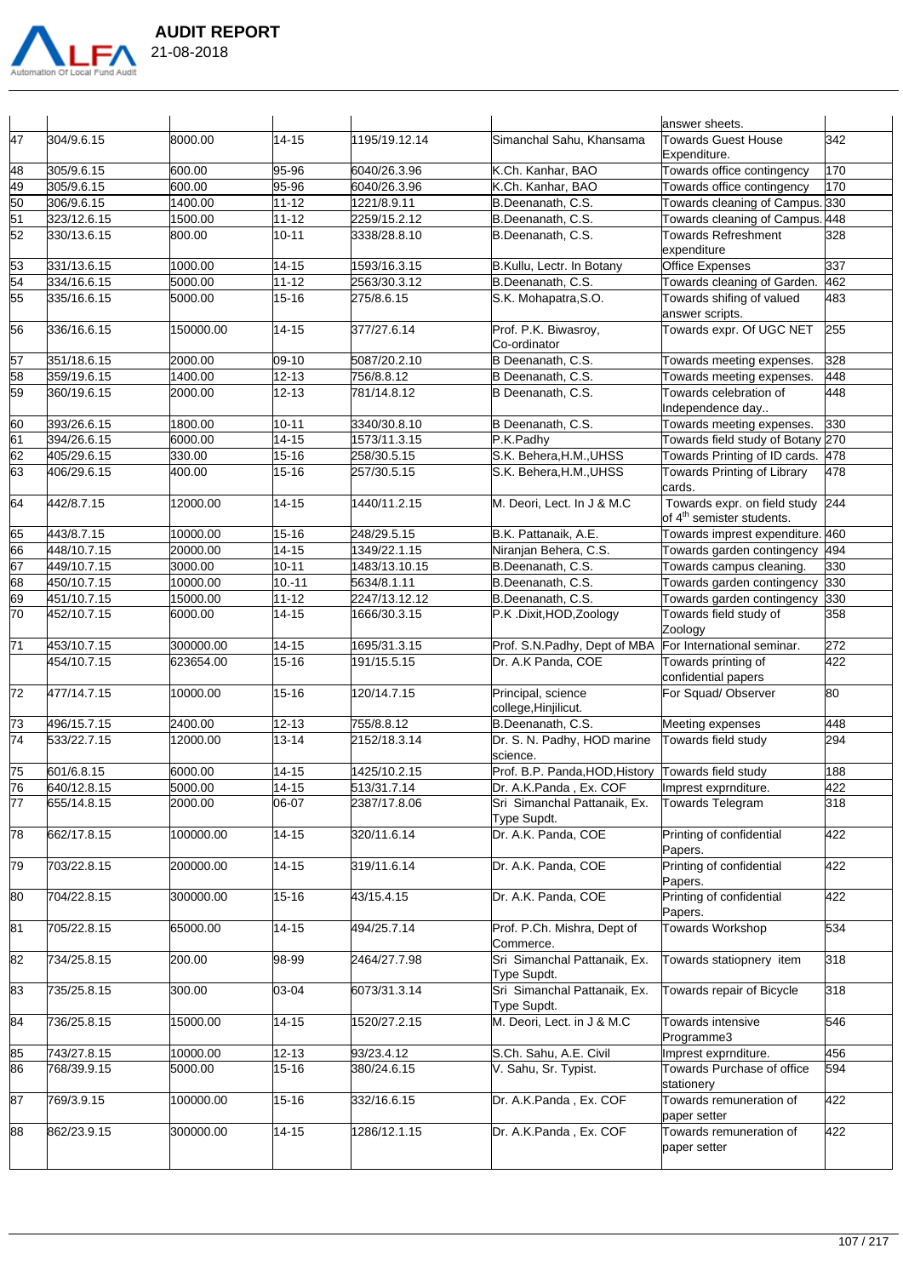

| 47              | 304/9.6.15                 | 8000.00             | $14 - 15$      | 1195/19.12.14             | Simanchal Sahu, Khansama                       | Towards Guest House<br>Expenditure.                                       | 342        |
|-----------------|----------------------------|---------------------|----------------|---------------------------|------------------------------------------------|---------------------------------------------------------------------------|------------|
| 48              | 305/9.6.15                 | 600.00              | 95-96          | 6040/26.3.96              | K.Ch. Kanhar, BAO                              | Towards office contingency                                                | 170        |
| 49              | 305/9.6.15                 | 00.006              | 95-96          | 6040/26.3.96              | K.Ch. Kanhar, BAO                              | Towards office contingency                                                | 170        |
| 50              | 306/9.6.15                 | 1400.00             | 11-12          | 1221/8.9.11               | B.Deenanath, C.S.                              | Towards cleaning of Campus. 330                                           |            |
| 51              | 323/12.6.15                | 1500.00             | $11 - 12$      | 2259/15.2.12              | B.Deenanath, C.S.                              | Towards cleaning of Campus. 448                                           |            |
| $\overline{52}$ | 330/13.6.15                | 800.00              | $10 - 11$      | 3338/28.8.10              | B.Deenanath, C.S.                              | <b>Towards Refreshment</b>                                                | 328        |
|                 |                            |                     |                |                           |                                                | lexpenditure                                                              |            |
| 53              | 331/13.6.15                | 1000.00             | 14-15          | 1593/16.3.15              | B.Kullu, Lectr. In Botany                      | Office Expenses                                                           | 337        |
| 54              | 334/16.6.15                | 5000.00             | 11-12          | 2563/30.3.12              | B.Deenanath, C.S.                              | Towards cleaning of Garden.                                               | 462        |
| 55              | 335/16.6.15                | 5000.00             | $15 - 16$      | 275/8.6.15                | S.K. Mohapatra, S.O.                           | Towards shifing of valued<br>answer scripts.                              | 483        |
| 56              | 336/16.6.15                | 150000.00           | $14 - 15$      | 377/27.6.14               | Prof. P.K. Biwasroy,<br>Co-ordinator           | Towards expr. Of UGC NET                                                  | 255        |
| 57              | 351/18.6.15                | 2000.00             | $09-10$        | 5087/20.2.10              | B Deenanath, C.S.                              | Towards meeting expenses.                                                 | 328        |
| 58              | 359/19.6.15                | 1400.00             | 12-13          | 756/8.8.12                | B Deenanath, C.S.                              | Towards meeting expenses.                                                 | 448        |
| 59              | 360/19.6.15                | 2000.00             | 12-13          | 781/14.8.12               | B Deenanath, C.S.                              | Towards celebration of                                                    | 448        |
|                 |                            |                     |                |                           |                                                | Independence day                                                          |            |
| 60              | 393/26.6.15                | 1800.00             | $10 - 11$      | 3340/30.8.10              | B Deenanath, C.S.                              | Towards meeting expenses.                                                 | 330        |
| 61              | 394/26.6.15                | 6000.00             | 14-15          | 1573/11.3.15              | P.K.Padhy                                      | Towards field study of Botany 270                                         |            |
| 62              | 405/29.6.15                | 330.00              | 15-16          | 258/30.5.15               | S.K. Behera, H.M., UHSS                        | Towards Printing of ID cards.                                             | 478        |
| $\overline{63}$ | 406/29.6.15                | 400.00              | $15 - 16$      | 257/30.5.15               | S.K. Behera, H.M., UHSS                        | Towards Printing of Library<br>cards.                                     | 478        |
| 64              | 442/8.7.15                 | 12000.00            | $14 - 15$      | 1440/11.2.15              | M. Deori, Lect. In J & M.C                     | Towards expr. on field study 244<br>of 4 <sup>th</sup> semister students. |            |
| 65              | 443/8.7.15                 | 10000.00            | $15 - 16$      | 248/29.5.15               | B.K. Pattanaik. A.E.                           | Towards imprest expenditure. 460                                          |            |
| 66              | 448/10.7.15                | 20000.00            | 14-15          | 1349/22.1.15              | Niranjan Behera, C.S.                          | Towards garden contingency                                                | 494        |
| 67              | 449/10.7.15                | 3000.00             | $10 - 11$      | 1483/13.10.15             | B.Deenanath, C.S.                              | Towards campus cleaning.                                                  | 330        |
| 68              | 450/10.7.15                | 10000.00            | $10.-11$       | 5634/8.1.11               | B.Deenanath, C.S.                              | Towards garden contingency                                                | 330        |
| $\overline{69}$ | 451/10.7.15                | 15000.00            | $11 - 12$      | 2247/13.12.12             | B.Deenanath, C.S.                              | Towards garden contingency                                                | 330        |
| 70              | 452/10.7.15                | 6000.00             | 14-15          | 1666/30.3.15              | P.K.Dixit, HOD, Zoology                        | Towards field study of<br>Zoology                                         | 358        |
| $\overline{71}$ | 453/10.7.15                | 300000.00           | 14-15          | 1695/31.3.15              | Prof. S.N.Padhy, Dept of MBA                   | For International seminar.                                                | 272        |
|                 | 454/10.7.15                | 623654.00           | $15 - 16$      | 191/15.5.15               | Dr. A.K Panda, COE                             | Towards printing of                                                       | 422        |
| $\overline{72}$ | 477/14.7.15                |                     | $15 - 16$      | 120/14.7.15               |                                                | confidential papers                                                       | 80         |
|                 |                            | 10000.00            |                |                           | Principal, science<br>college, Hinjilicut.     | For Squad/Observer                                                        |            |
| 73              | 496/15.7.15                | 2400.00             | $12 - 13$      | 755/8.8.12                | B.Deenanath, C.S.                              | Meeting expenses                                                          | 448        |
| 74              | 533/22.7.15                | 12000.00            | $13 - 14$      | 2152/18.3.14              | Dr. S. N. Padhy, HOD marine<br>science.        | Towards field study                                                       | 294        |
| 75              | 601/6.8.15                 | 6000.00             | $14 - 15$      | 1425/10.2.15              | Prof. B.P. Panda, HOD, History                 | Towards field study                                                       | 188        |
| 76              | 640/12.8.15                | 5000.00             | $14 - 15$      | 513/31.7.14               | Dr. A.K.Panda, Ex. COF                         | Imprest exprnditure.                                                      | 422        |
| 77              | 655/14.8.15                | 2000.00             | 06-07          | 2387/17.8.06              | Sri Simanchal Pattanaik, Ex.<br>Type Supdt.    | Towards Telegram                                                          | 318        |
| 78              | 662/17.8.15                | 100000.00           | $14 - 15$      | 320/11.6.14               | Dr. A.K. Panda, COE                            | Printing of confidential<br>Papers.                                       | 422        |
| 79              | 703/22.8.15                | 200000.00           | $14 - 15$      | 319/11.6.14               | Dr. A.K. Panda, COE                            | Printing of confidential<br>Papers.                                       | 422        |
| $\overline{80}$ | 704/22.8.15                | 300000.00           | 15-16          | 43/15.4.15                | Dr. A.K. Panda, COE                            | Printing of confidential<br>Papers.                                       | 422        |
| 81              | 705/22.8.15                | 65000.00            | 14-15          | 494/25.7.14               | Prof. P.Ch. Mishra, Dept of<br>Commerce.       | <b>Towards Workshop</b>                                                   | 534        |
| $\overline{82}$ | 734/25.8.15                | 200.00              | 98-99          | 2464/27.7.98              | Sri Simanchal Pattanaik, Ex.                   | Towards statiopnery item                                                  | 318        |
| 83              | 735/25.8.15                | 300.00              | 03-04          | 6073/31.3.14              | Type Supdt.<br>Sri Simanchal Pattanaik, Ex.    | Towards repair of Bicycle                                                 | 318        |
| 84              | 736/25.8.15                | 15000.00            | $14 - 15$      | 1520/27.2.15              | Type Supdt.<br>M. Deori, Lect. in J & M.C      | Towards intensive                                                         | 546        |
|                 |                            |                     |                |                           |                                                | Programme3                                                                |            |
| 85<br>86        | 743/27.8.15<br>768/39.9.15 | 10000.00<br>5000.00 | 12-13<br>15-16 | 93/23.4.12<br>380/24.6.15 | S.Ch. Sahu, A.E. Civil<br>V. Sahu, Sr. Typist. | Imprest exprnditure.<br>Towards Purchase of office                        | 456<br>594 |
| 87              | 769/3.9.15                 | 100000.00           | 15-16          | 332/16.6.15               | Dr. A.K.Panda, Ex. COF                         | stationery<br>Towards remuneration of                                     | 422        |
| 88              | 862/23.9.15                | 300000.00           | 14-15          | 1286/12.1.15              | Dr. A.K.Panda, Ex. COF                         | paper setter<br>Towards remuneration of<br>paper setter                   | 422        |
|                 |                            |                     |                |                           |                                                |                                                                           |            |
|                 |                            |                     |                |                           |                                                |                                                                           |            |

answer sheets.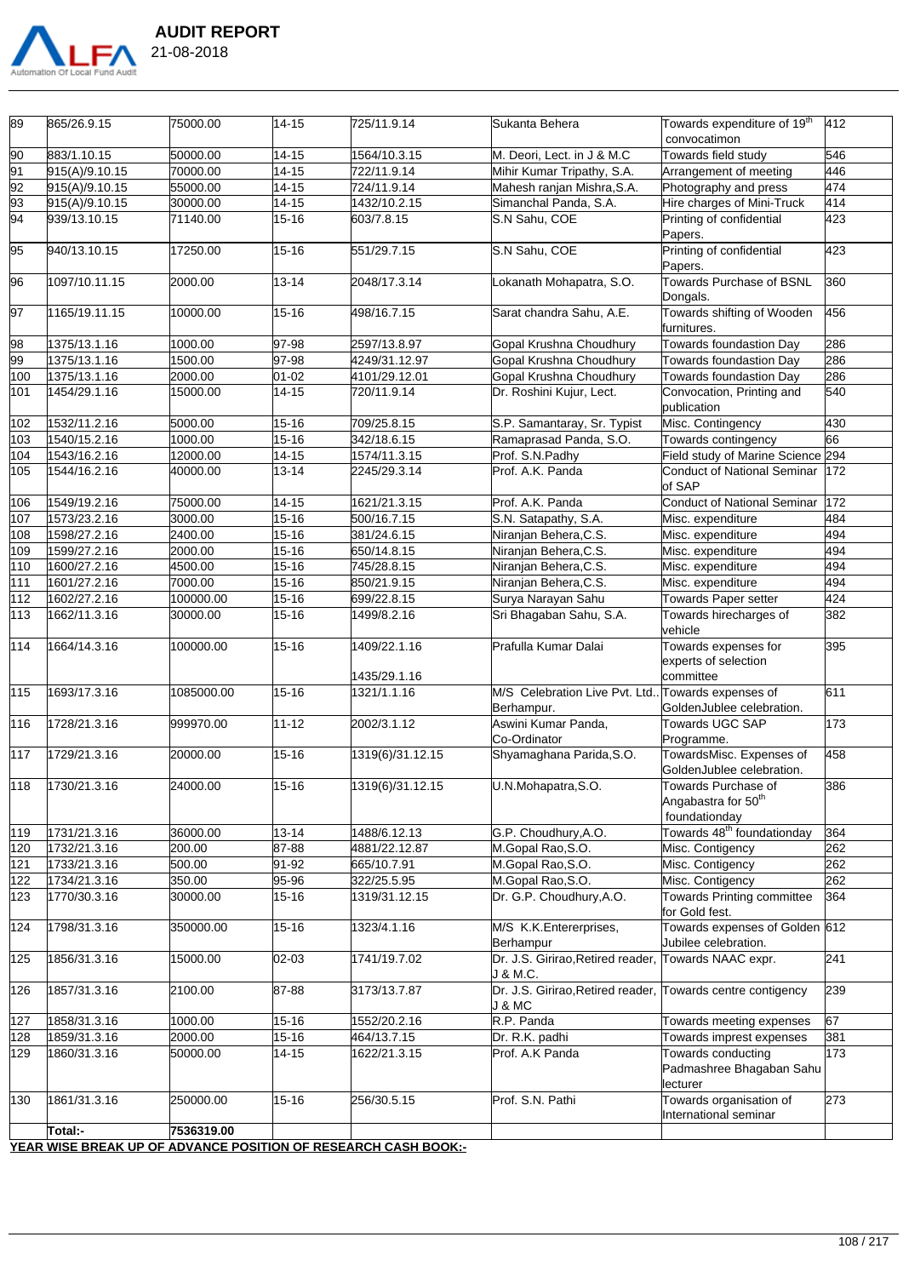

|    | Automation Of Local Fund Audit | 21-08-2018 |           |              |                            |                                                         |     |
|----|--------------------------------|------------|-----------|--------------|----------------------------|---------------------------------------------------------|-----|
|    |                                |            |           |              |                            |                                                         |     |
| 89 | 865/26.9.15                    | 75000.00   | 14-15     | 725/11.9.14  | lSukanta Behera            | Towards expenditure of 19 <sup>th</sup><br>convocatimon | 412 |
| 90 | 883/1.10.15                    | 50000.00   | 14-15     | 1564/10.3.15 | M. Deori, Lect. in J & M.C | Towards field studv                                     | 546 |
| 91 | 915(A)/9.10.15                 | 70000.00   | 14-15     | 722/11.9.14  | Mihir Kumar Tripathy, S.A. | Arrangement of meeting                                  | 446 |
| 92 | 915(A)/9.10.15                 | 55000.00   | 14-15     | 724/11.9.14  | Mahesh ranjan Mishra, S.A. | Photography and press                                   | 474 |
| 93 | 915(A)/9.10.15                 | 30000.00   | 14-15     | 1432/10.2.15 | Simanchal Panda, S.A.      | Hire charges of Mini-Truck                              | 414 |
| 94 | 939/13.10.15                   | 71140.00   | $15 - 16$ | 603/7.8.15   | S.N Sahu, COE              | Printing of confidential<br>Papers.                     | 423 |
| 95 | 940/13.10.15                   | 17250.00   | $15 - 16$ | 551/29.7.15  | S.N Sahu, COE              | Printing of confidential<br>Papers.                     | 423 |
| 96 | 1097/10.11.15                  | 2000.00    | $13 - 14$ | 2048/17.3.14 | Lokanath Mohapatra, S.O.   | Towards Purchase of BSNL<br>Dongals.                    | 360 |
| 97 | 1165/19.11.15                  | 10000.00   | $15 - 16$ | 498/16.7.15  | Sarat chandra Sahu, A.E.   | Towards shifting of Wooden                              | 456 |

|              |                              |                    |                        | <b>YEAR WISE BREAK UP OF ADVANCE POSITION OF RESEARCH CASH BOOK:-</b> |                                                                         |                                                                                     |            |
|--------------|------------------------------|--------------------|------------------------|-----------------------------------------------------------------------|-------------------------------------------------------------------------|-------------------------------------------------------------------------------------|------------|
|              | Total:-                      | 7536319.00         |                        |                                                                       |                                                                         |                                                                                     |            |
| 130          | 1861/31.3.16                 | 250000.00          | $15 - 16$              | 256/30.5.15                                                           | Prof. S.N. Pathi                                                        | Towards organisation of<br>International seminar                                    | 273        |
| 129          | 1860/31.3.16                 | 50000.00           | 14-15                  | 1622/21.3.15                                                          | Prof. A.K Panda                                                         | Towards conducting<br>Padmashree Bhagaban Sahu<br>lecturer                          | 173        |
| 128          | 1859/31.3.16                 | 2000.00            | 15-16                  | 464/13.7.15                                                           | Dr. R.K. padhi                                                          | Towards imprest expenses                                                            | 381        |
| 127          | 1858/31.3.16                 | 1000.00            | 15-16                  | 1552/20.2.16                                                          | R.P. Panda                                                              | Towards meeting expenses                                                            | 67         |
|              |                              |                    |                        |                                                                       | J & MC                                                                  |                                                                                     |            |
| 126          | 1857/31.3.16                 | 2100.00            | 87-88                  | 3173/13.7.87                                                          | J & M.C.<br>Dr. J.S. Girirao, Retired reader, Towards centre contigency |                                                                                     | 239        |
| 125          | 1856/31.3.16                 | 15000.00           | 02-03                  | 1741/19.7.02                                                          | Berhampur<br>Dr. J.S. Girirao, Retired reader,                          | Jubilee celebration.<br>Towards NAAC expr.                                          | 241        |
| 124          | 1798/31.3.16                 | 350000.00          | 15-16                  | 1323/4.1.16                                                           | M/S K.K.Entererprises,                                                  | for Gold fest.<br>Towards expenses of Golden 612                                    |            |
| 123          | 1770/30.3.16                 | 30000.00           | $15 - 16$              | 1319/31.12.15                                                         | Dr. G.P. Choudhury, A.O.                                                | <b>Towards Printing committee</b>                                                   | 364        |
| 122          | 1734/21.3.16                 | 350.00             | 95-96                  | 322/25.5.95                                                           | M.Gopal Rao, S.O.                                                       | Misc. Contigency                                                                    | 262        |
| 121          | 1733/21.3.16                 | 500.00             | $91 - 92$              | 665/10.7.91                                                           | M.Gopal Rao, S.O.                                                       | Misc. Contigency                                                                    | 262        |
| 120          | 1732/21.3.16                 | 200.00             | 87-88                  | 4881/22.12.87                                                         | M.Gopal Rao, S.O.                                                       | Misc. Contigency                                                                    | 262        |
| 119          | 1731/21.3.16                 | 36000.00           | $13 - 14$              | 1488/6.12.13                                                          | G.P. Choudhury, A.O.                                                    | foundationday<br>Towards 48 <sup>th</sup> foundationday                             | 364        |
| 118          | 1730/21.3.16                 | 24000.00           | $15 - 16$              | 1319(6)/31.12.15                                                      | U.N.Mohapatra, S.O.                                                     | GoldenJublee celebration.<br>Towards Purchase of<br>Angabastra for 50 <sup>th</sup> | 386        |
| 117          | 1729/21.3.16                 | 20000.00           | $15 - 16$              | 1319(6)/31.12.15                                                      | Co-Ordinator<br>Shyamaghana Parida, S.O.                                | Programme.<br>TowardsMisc. Expenses of                                              | 458        |
| 116          | 1728/21.3.16                 | 999970.00          | $11 - 12$              | 2002/3.1.12                                                           | Berhampur.<br>Aswini Kumar Panda,                                       | GoldenJublee celebration.<br>Towards UGC SAP                                        | 173        |
| 115          | 1693/17.3.16                 | 1085000.00         | $15 - 16$              | 1435/29.1.16<br>1321/1.1.16                                           | M/S Celebration Live Pvt. Ltd Towards expenses of                       | committee                                                                           | 611        |
| $\sqrt{114}$ | 1664/14.3.16                 | 100000.00          | 15-16                  | 1409/22.1.16                                                          | Prafulla Kumar Dalai                                                    | Towards expenses for<br>experts of selection                                        | 395        |
| $\sqrt{113}$ | 1662/11.3.16                 | 30000.00           | $15 - 16$              | 1499/8.2.16                                                           | Sri Bhagaban Sahu, S.A.                                                 | Towards hirecharges of<br>vehicle                                                   | 382        |
| 112          | 1602/27.2.16                 | 100000.00          | 15-16                  | 699/22.8.15                                                           | Surya Narayan Sahu                                                      | <b>Towards Paper setter</b>                                                         | 424        |
| 111          | 1601/27.2.16                 | 7000.00            | $15 - 16$              | 850/21.9.15                                                           | Niranjan Behera, C.S.                                                   | Misc. expenditure                                                                   | 494        |
| 110          | 1600/27.2.16                 | 4500.00            | 15-16                  | 745/28.8.15                                                           | Niranjan Behera, C.S.                                                   | Misc. expenditure                                                                   | 494        |
| 109          | 1599/27.2.16                 | 2000.00            | $15 - 16$              | 650/14.8.15                                                           | Niranjan Behera, C.S.                                                   | Misc. expenditure                                                                   | 494        |
| 107<br>108   | 1573/23.2.16<br>1598/27.2.16 | 3000.00<br>2400.00 | $15 - 16$<br>$15 - 16$ | 500/16.7.15<br>381/24.6.15                                            | S.N. Satapathy, S.A.<br>Niranjan Behera, C.S.                           | Misc. expenditure<br>Misc. expenditure                                              | 484<br>494 |
| 106          | 1549/19.2.16                 | 75000.00           | $14 - 15$              | 1621/21.3.15                                                          | Prof. A.K. Panda                                                        | Conduct of National Seminar                                                         | 172        |
| 105          | 1544/16.2.16                 | 40000.00           | $13 - 14$              | 2245/29.3.14                                                          | Prof. A.K. Panda                                                        | Conduct of National Seminar  172<br>of SAP                                          |            |
| 104          | 1543/16.2.16                 | 12000.00           | 14-15                  | 1574/11.3.15                                                          | Prof. S.N.Padhy                                                         | Field study of Marine Science 294                                                   |            |
| 103          | 1540/15.2.16                 | 1000.00            | 15-16                  | 342/18.6.15                                                           | Ramaprasad Panda, S.O.                                                  | Towards contingency                                                                 | 66         |
| 102          | 1532/11.2.16                 | 5000.00            | $15 - 16$              | 709/25.8.15                                                           | S.P. Samantaray, Sr. Typist                                             | Misc. Contingency                                                                   | 430        |
| 101          | 1454/29.1.16                 | 15000.00           | $14 - 15$              | 720/11.9.14                                                           | Dr. Roshini Kujur, Lect.                                                | Convocation, Printing and<br>publication                                            | 540        |
| 100          | 1375/13.1.16                 | 2000.00            | 01-02                  | 4101/29.12.01                                                         | Gopal Krushna Choudhury                                                 | Towards foundastion Day                                                             | 286        |
| 99           | 1375/13.1.16                 | 1500.00            | 97-98                  | 4249/31.12.97                                                         | Gopal Krushna Choudhury                                                 | Towards foundastion Day                                                             | 286        |
| 98           | 1375/13.1.16                 | 1000.00            | 97-98                  | 2597/13.8.97                                                          | Gopal Krushna Choudhury                                                 | furnitures.<br>Towards foundastion Day                                              | 286        |
| 97           | 1165/19.11.15                | 10000.00           | $15 - 16$              | 498/16.7.15                                                           | Sarat chandra Sahu, A.E.                                                | Dongals.<br>Towards shifting of Wooden                                              | 456        |
| 96           | 1097/10.11.15                | 2000.00            | $13 - 14$              | 2048/17.3.14                                                          | okanath Mohapatra, S.O.                                                 | Papers.<br>Towards Purchase of BSNL                                                 | 360        |
| 95           | 940/13.10.15                 | 17250.00           | $15 - 16$              | 551/29.7.15                                                           | S.N Sahu, COE                                                           | Papers.<br>Printing of confidential                                                 | 423        |
| 94           | 939/13.10.15                 | 71140.00           | $15 - 16$              | 603/7.8.15                                                            | S.N Sahu, COE                                                           | Printing of confidential                                                            | 423        |
| 93           | 915(A)/9.10.15               | 30000.00           | 14-15                  | 1432/10.2.15                                                          | Simanchal Panda, S.A.                                                   | Hire charges of Mini-Truck                                                          | 414        |
| 92           | 915(A)/9.10.15               | 55000.00           | 14-15                  | 724/11.9.14                                                           | Mahesh ranjan Mishra, S.A.                                              | Photography and press                                                               | 474        |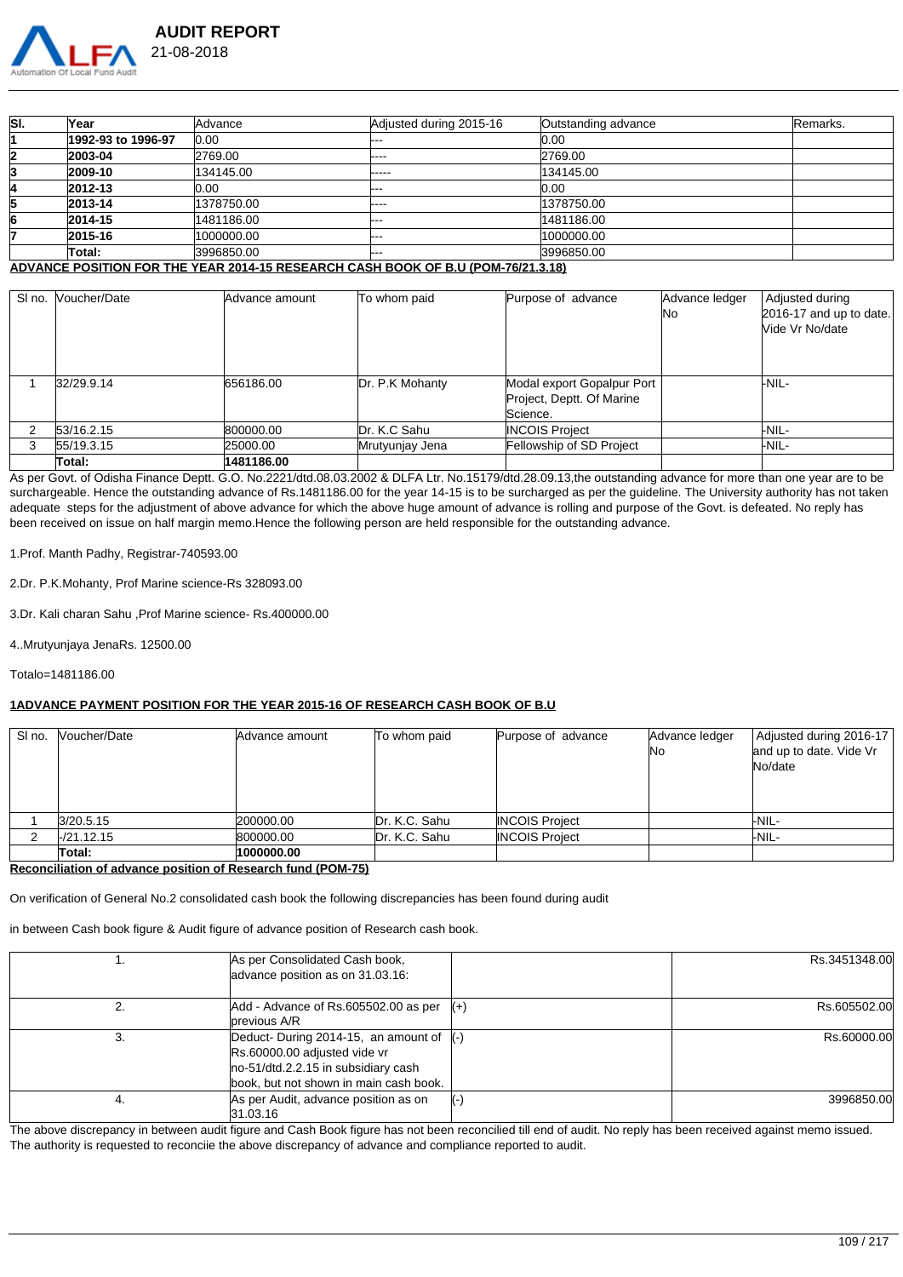

| SI.                                                                              | Year                | <b>Advance</b> | Adjusted during 2015-16 | Outstanding advance | Remarks. |  |
|----------------------------------------------------------------------------------|---------------------|----------------|-------------------------|---------------------|----------|--|
|                                                                                  | l1992-93 to 1996-97 | 10.00          |                         | 0.00                |          |  |
|                                                                                  | 2003-04             | 2769.00        | -----                   | 2769.00             |          |  |
|                                                                                  | 2009-10             | 134145.00      | -----                   | 134145.00           |          |  |
|                                                                                  | 2012-13             | IO.OO          |                         | 10.00               |          |  |
|                                                                                  | 2013-14             | 1378750.00     | -----                   | 1378750.00          |          |  |
|                                                                                  | 2014-15             | 1481186.00     |                         | 1481186.00          |          |  |
|                                                                                  | 2015-16             | 1000000.00     | ---                     | 1000000.00          |          |  |
|                                                                                  | Total:              | 3996850.00     |                         | 3996850.00          |          |  |
| ADVANCE POSITION FOR THE YEAR 2014-15 RESEARCH CASH BOOK OF B.U (POM-76/21.3.18) |                     |                |                         |                     |          |  |

#### SI no. Voucher/Date **Advance amount** To whom paid **Purpose of advance Advance ledger** No Adjusted during 2016-17 and up to date. Vide Vr No/date 1 32/29.9.14 656186.00 Dr. P.K Mohanty Modal export Gopalpur Port Project, Deptt. Of Marine -NIL-

Science. 2 53/16.2.15 |800000.00 |Dr. K.C Sahu |INCOIS Project |-NIL-3 55/19.3.15 25000.00 Mrutyunjay Jena Fellowship of SD Project FULL-**Total: 1481186.00**

As per Govt. of Odisha Finance Deptt. G.O. No.2221/dtd.08.03.2002 & DLFA Ltr. No.15179/dtd.28.09.13,the outstanding advance for more than one year are to be surchargeable. Hence the outstanding advance of Rs.1481186.00 for the year 14-15 is to be surcharged as per the guideline. The University authority has not taken adequate steps for the adjustment of above advance for which the above huge amount of advance is rolling and purpose of the Govt. is defeated. No reply has been received on issue on half margin memo.Hence the following person are held responsible for the outstanding advance.

1.Prof. Manth Padhy, Registrar-740593.00

2.Dr. P.K.Mohanty, Prof Marine science-Rs 328093.00

3.Dr. Kali charan Sahu ,Prof Marine science- Rs.400000.00

4..Mrutyunjaya JenaRs. 12500.00

Totalo=1481186.00

## **1ADVANCE PAYMENT POSITION FOR THE YEAR 2015-16 OF RESEARCH CASH BOOK OF B.U**

| SI no. | Voucher/Date | Advance amount | To whom paid  | Purpose of advance    | Advance ledger | Adjusted during 2016-17 |
|--------|--------------|----------------|---------------|-----------------------|----------------|-------------------------|
|        |              |                |               |                       | <b>No</b>      | and up to date. Vide Vr |
|        |              |                |               |                       |                | No/date                 |
|        |              |                |               |                       |                |                         |
|        |              |                |               |                       |                |                         |
|        |              |                |               |                       |                |                         |
|        |              |                |               |                       |                |                         |
|        | 3/20.5.15    | 200000.00      | Dr. K.C. Sahu | <b>INCOIS Project</b> |                | <b>LNIL-</b>            |
|        |              |                |               |                       |                |                         |
|        | $-21.12.15$  | 800000.00      | Dr. K.C. Sahu | <b>INCOIS Project</b> |                | <b>LNIL-</b>            |
|        | Total:       | 1000000.00     |               |                       |                |                         |

**Reconciliation of advance position of Research fund (POM-75)**

On verification of General No.2 consolidated cash book the following discrepancies has been found during audit

in between Cash book figure & Audit figure of advance position of Research cash book.

| As per Consolidated Cash book,                        |       | Rs.3451348.00 |
|-------------------------------------------------------|-------|---------------|
| advance position as on 31.03.16:                      |       |               |
| Add - Advance of Rs.605502.00 as per                  | $(+)$ | Rs.605502.00  |
| brevious A/R                                          |       |               |
| Deduct-During 2014-15, an amount of $\left( -\right)$ |       | Rs.60000.00   |
| Rs.60000.00 adjusted vide vr                          |       |               |
| no-51/dtd.2.2.15 in subsidiary cash                   |       |               |
| book, but not shown in main cash book.                |       |               |
| As per Audit, advance position as on                  | II –  | 3996850.00    |
| 31.03.16                                              |       |               |

The above discrepancy in between audit figure and Cash Book figure has not been reconcilied till end of audit. No reply has been received against memo issued. The authority is requested to reconciie the above discrepancy of advance and compliance reported to audit.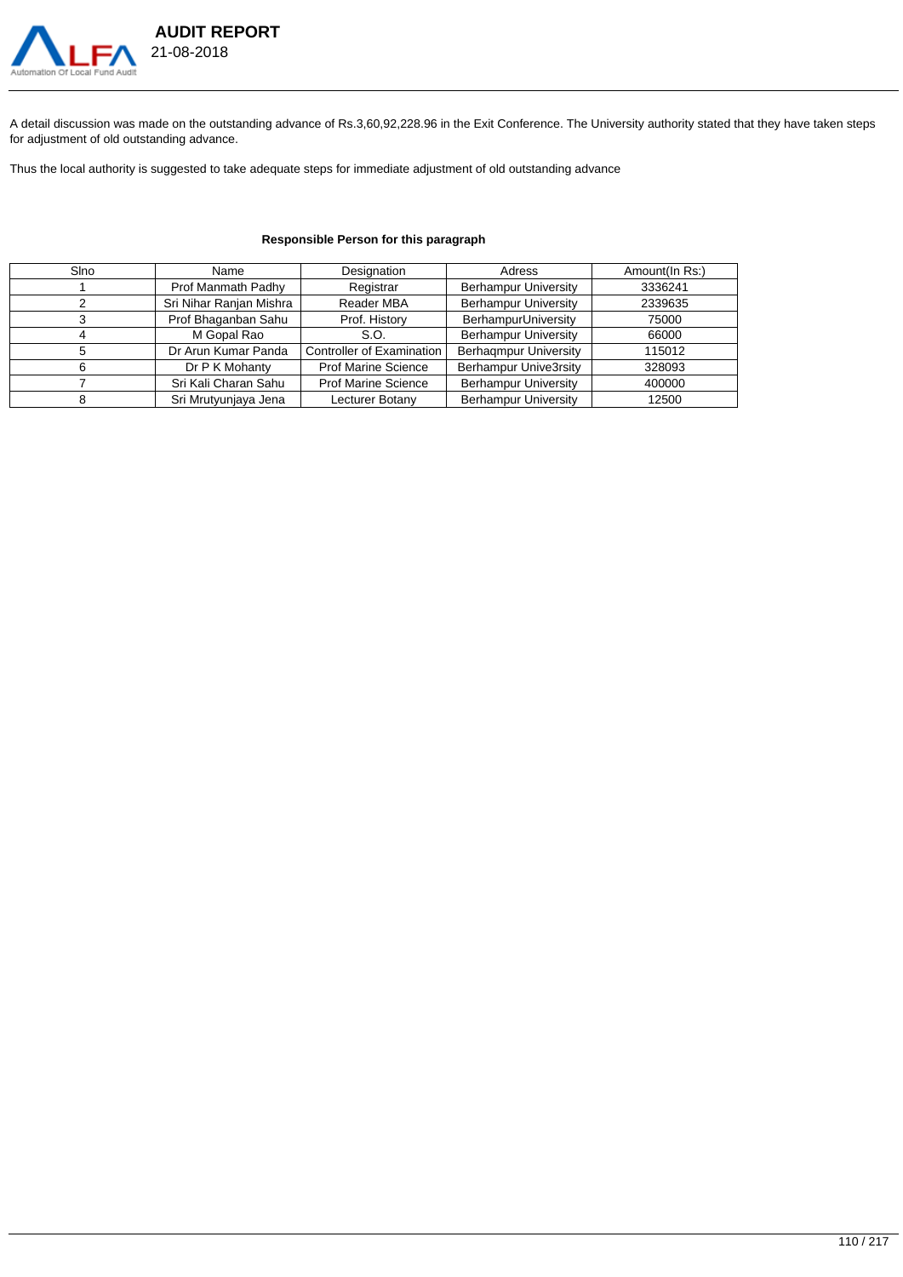

A detail discussion was made on the outstanding advance of Rs.3,60,92,228.96 in the Exit Conference. The University authority stated that they have taken steps for adjustment of old outstanding advance.

Thus the local authority is suggested to take adequate steps for immediate adjustment of old outstanding advance

# **Responsible Person for this paragraph**

| Sino | Name                    | Designation                      | Adress                       | Amount(In Rs:) |
|------|-------------------------|----------------------------------|------------------------------|----------------|
|      | Prof Manmath Padhy      | Registrar                        | <b>Berhampur University</b>  | 3336241        |
|      | Sri Nihar Ranjan Mishra | Reader MBA                       | <b>Berhampur University</b>  | 2339635        |
|      | Prof Bhaganban Sahu     | Prof. History                    | BerhampurUniversity          | 75000          |
|      | M Gopal Rao             | S.O.                             | <b>Berhampur University</b>  | 66000          |
|      | Dr Arun Kumar Panda     | <b>Controller of Examination</b> | <b>Berhagmpur University</b> | 115012         |
|      | Dr P K Mohanty          | <b>Prof Marine Science</b>       | Berhampur Unive3rsity        | 328093         |
|      | Sri Kali Charan Sahu    | <b>Prof Marine Science</b>       | <b>Berhampur University</b>  | 400000         |
|      | Sri Mrutyunjaya Jena    | Lecturer Botany                  | <b>Berhampur University</b>  | 12500          |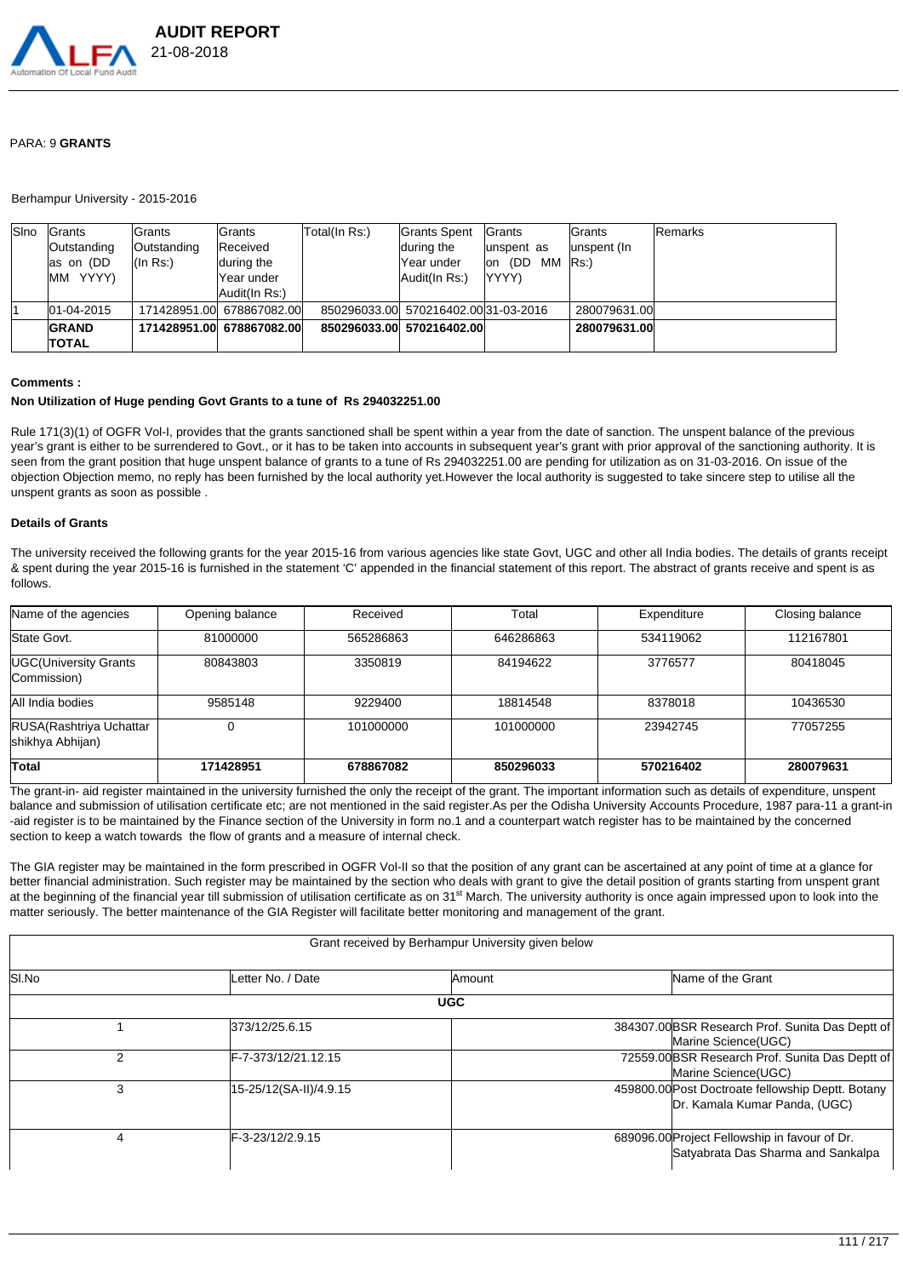

#### PARA: 9 **GRANTS**

#### Berhampur University - 2015-2016

| <b>S</b> lno | <b>IGrants</b><br>Outstanding<br>las on (DD<br>MM YYYY) | lGrants<br>Outstanding<br>$l$ (In Rs:) | lGrants<br>Received<br>during the<br>Year under<br>Audit(In Rs:) | Total(In Rs:) | Grants Spent<br>during the<br>Year under<br>Audit(In Rs:) | <b>IGrants</b><br>lunspent as<br>lon (DD<br>мм<br>lYYYY) | <b>IGrants</b><br>lunspent (In<br>$\mathsf{Rs}$ :) | Remarks |
|--------------|---------------------------------------------------------|----------------------------------------|------------------------------------------------------------------|---------------|-----------------------------------------------------------|----------------------------------------------------------|----------------------------------------------------|---------|
|              | 01-04-2015                                              |                                        | 171428951.00 678867082.00                                        |               | 850296033.00 570216402.00 31-03-2016                      |                                                          | 280079631.00                                       |         |
|              | <b>GRAND</b><br><b>TOTAL</b>                            |                                        | 171428951.00 678867082.00                                        |               | 850296033.00 570216402.00                                 |                                                          | 280079631.00                                       |         |

#### **Comments :**

#### **Non Utilization of Huge pending Govt Grants to a tune of Rs 294032251.00**

Rule 171(3)(1) of OGFR Vol-I, provides that the grants sanctioned shall be spent within a year from the date of sanction. The unspent balance of the previous year's grant is either to be surrendered to Govt., or it has to be taken into accounts in subsequent year's grant with prior approval of the sanctioning authority. It is seen from the grant position that huge unspent balance of grants to a tune of Rs 294032251.00 are pending for utilization as on 31-03-2016. On issue of the objection Objection memo, no reply has been furnished by the local authority yet.However the local authority is suggested to take sincere step to utilise all the unspent grants as soon as possible .

#### **Details of Grants**

The university received the following grants for the year 2015-16 from various agencies like state Govt, UGC and other all India bodies. The details of grants receipt & spent during the year 2015-16 is furnished in the statement 'C' appended in the financial statement of this report. The abstract of grants receive and spent is as follows.

| Name of the agencies                         | Opening balance | Received  | Total     | Expenditure | Closing balance |
|----------------------------------------------|-----------------|-----------|-----------|-------------|-----------------|
| State Govt.                                  | 81000000        | 565286863 | 646286863 | 534119062   | 112167801       |
| UGC(University Grants<br>Commission)         | 80843803        | 3350819   | 84194622  | 3776577     | 80418045        |
| All India bodies                             | 9585148         | 9229400   | 18814548  | 8378018     | 10436530        |
| RUSA (Rashtriya Uchattar<br>shikhya Abhijan) |                 | 101000000 | 101000000 | 23942745    | 77057255        |
| Total                                        | 171428951       | 678867082 | 850296033 | 570216402   | 280079631       |

The grant-in- aid register maintained in the university furnished the only the receipt of the grant. The important information such as details of expenditure, unspent balance and submission of utilisation certificate etc; are not mentioned in the said register.As per the Odisha University Accounts Procedure, 1987 para-11 a grant-in -aid register is to be maintained by the Finance section of the University in form no.1 and a counterpart watch register has to be maintained by the concerned section to keep a watch towards the flow of grants and a measure of internal check.

The GIA register may be maintained in the form prescribed in OGFR Vol-II so that the position of any grant can be ascertained at any point of time at a glance for better financial administration. Such register may be maintained by the section who deals with grant to give the detail position of grants starting from unspent grant at the beginning of the financial year till submission of utilisation certificate as on 31<sup>st</sup> March. The university authority is once again impressed upon to look into the matter seriously. The better maintenance of the GIA Register will facilitate better monitoring and management of the grant.

|       |                        | Grant received by Berhampur University given below |                                                                                     |
|-------|------------------------|----------------------------------------------------|-------------------------------------------------------------------------------------|
| SI.No | Letter No. / Date      | Amount                                             | Name of the Grant                                                                   |
|       |                        | <b>UGC</b>                                         |                                                                                     |
|       | 373/12/25.6.15         |                                                    | 384307.00 BSR Research Prof. Sunita Das Deptt of<br>Marine Science(UGC)             |
| 2     | F-7-373/12/21.12.15    |                                                    | 72559.00 BSR Research Prof. Sunita Das Deptt of<br>Marine Science(UGC)              |
| 3     | 15-25/12(SA-II)/4.9.15 |                                                    | 459800.00 Post Doctroate fellowship Deptt. Botany<br>Dr. Kamala Kumar Panda, (UGC)  |
|       | IF-3-23/12/2.9.15      |                                                    | 689096.00 Project Fellowship in favour of Dr.<br>Satyabrata Das Sharma and Sankalpa |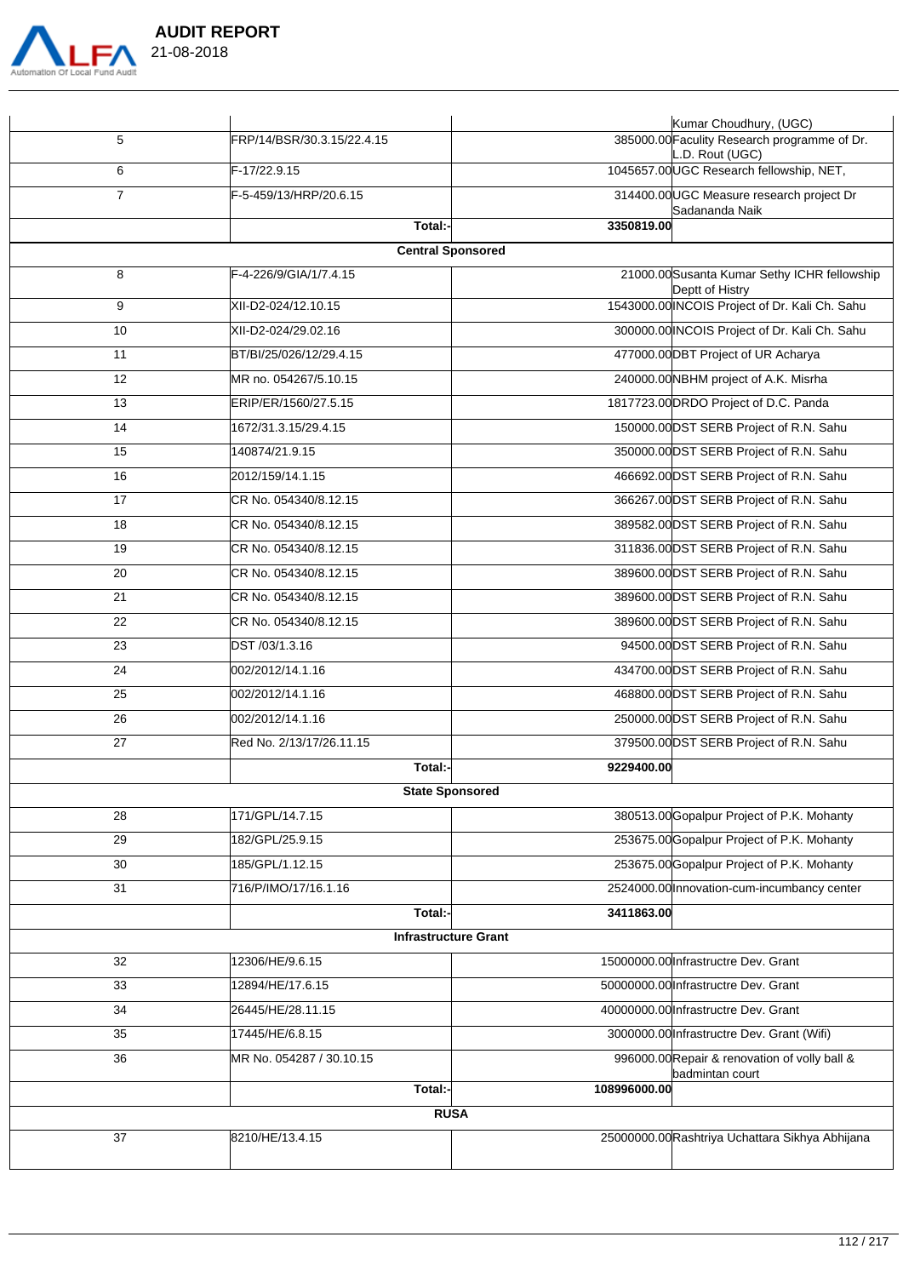

|                |                             |              | Kumar Choudhury, (UGC)                                           |
|----------------|-----------------------------|--------------|------------------------------------------------------------------|
| 5              | FRP/14/BSR/30.3.15/22.4.15  |              | 385000.00 Faculity Research programme of Dr.<br>L.D. Rout (UGC)  |
| 6              | <b>IF-17/22.9.15</b>        |              | 1045657.00 UGC Research fellowship, NET,                         |
| $\overline{7}$ | F-5-459/13/HRP/20.6.15      |              | 314400.00 UGC Measure research project Dr<br>lSadananda Naik     |
|                | Total:-                     | 3350819.00   |                                                                  |
|                | <b>Central Sponsored</b>    |              |                                                                  |
| 8              | F-4-226/9/GIA/1/7.4.15      |              | 21000.00 Susanta Kumar Sethy ICHR fellowship<br>Deptt of Histry  |
| 9              | XII-D2-024/12.10.15         |              | 1543000.00 INCOIS Project of Dr. Kali Ch. Sahu                   |
| 10             | XII-D2-024/29.02.16         |              | 300000.00 INCOIS Project of Dr. Kali Ch. Sahu                    |
| 11             | BT/BI/25/026/12/29.4.15     |              | 477000.00 DBT Project of UR Acharya                              |
| 12             | MR no. 054267/5.10.15       |              | 240000.00 NBHM project of A.K. Misrha                            |
| 13             | ERIP/ER/1560/27.5.15        |              | 1817723.00 DRDO Project of D.C. Panda                            |
| 14             | 1672/31.3.15/29.4.15        |              | 150000.00 DST SERB Project of R.N. Sahu                          |
| 15             | 140874/21.9.15              |              | 350000.00 DST SERB Project of R.N. Sahu                          |
| 16             | 2012/159/14.1.15            |              | 466692.00 DST SERB Project of R.N. Sahu                          |
| 17             | CR No. 054340/8.12.15       |              | 366267.00 DST SERB Project of R.N. Sahu                          |
| 18             | CR No. 054340/8.12.15       |              | 389582.00 DST SERB Project of R.N. Sahu                          |
| 19             | CR No. 054340/8.12.15       |              | 311836.00 DST SERB Project of R.N. Sahu                          |
| 20             | CR No. 054340/8.12.15       |              | 389600.00 DST SERB Project of R.N. Sahu                          |
| 21             | CR No. 054340/8.12.15       |              | 389600.00 DST SERB Project of R.N. Sahu                          |
| 22             | CR No. 054340/8.12.15       |              | 389600.00 DST SERB Project of R.N. Sahu                          |
| 23             | DST /03/1.3.16              |              | 94500.00 DST SERB Project of R.N. Sahu                           |
| 24             | 002/2012/14.1.16            |              | 434700.00 DST SERB Project of R.N. Sahu                          |
| 25             | 1002/2012/14.1.16           |              | 468800.00 DST SERB Project of R.N. Sahu                          |
| 26             | 002/2012/14.1.16            |              | 250000.00 DST SERB Project of R.N. Sahu                          |
| 27             | Red No. 2/13/17/26.11.15    |              | 379500.00 DST SERB Project of R.N. Sahu                          |
|                | Total:-                     | 9229400.00   |                                                                  |
|                | <b>State Sponsored</b>      |              |                                                                  |
| 28             | 171/GPL/14.7.15             |              | 380513.00 Gopalpur Project of P.K. Mohanty                       |
| 29             | 182/GPL/25.9.15             |              | 253675.00 Gopalpur Project of P.K. Mohanty                       |
| 30             | 185/GPL/1.12.15             |              | 253675.00 Gopalpur Project of P.K. Mohanty                       |
| 31             |                             |              |                                                                  |
|                | 716/P/IMO/17/16.1.16        |              | 2524000.00 Innovation-cum-incumbancy center                      |
|                | Total:-                     | 3411863.00   |                                                                  |
|                | <b>Infrastructure Grant</b> |              |                                                                  |
| 32             | 12306/HE/9.6.15             |              | 15000000.00 Infrastructre Dev. Grant                             |
| 33             | 12894/HE/17.6.15            |              | 50000000.00 Infrastructre Dev. Grant                             |
| 34             | 26445/HE/28.11.15           |              | 40000000.00 Infrastructre Dev. Grant                             |
| 35             | 17445/HE/6.8.15             |              | 3000000.00 Infrastructre Dev. Grant (Wifi)                       |
| 36             | MR No. 054287 / 30.10.15    |              | 996000.00 Repair & renovation of volly ball &<br>badmintan court |
|                | Total:-                     | 108996000.00 |                                                                  |
|                | <b>RUSA</b>                 |              |                                                                  |
| 37             | 8210/HE/13.4.15             |              | 25000000.00 Rashtriya Uchattara Sikhya Abhijana                  |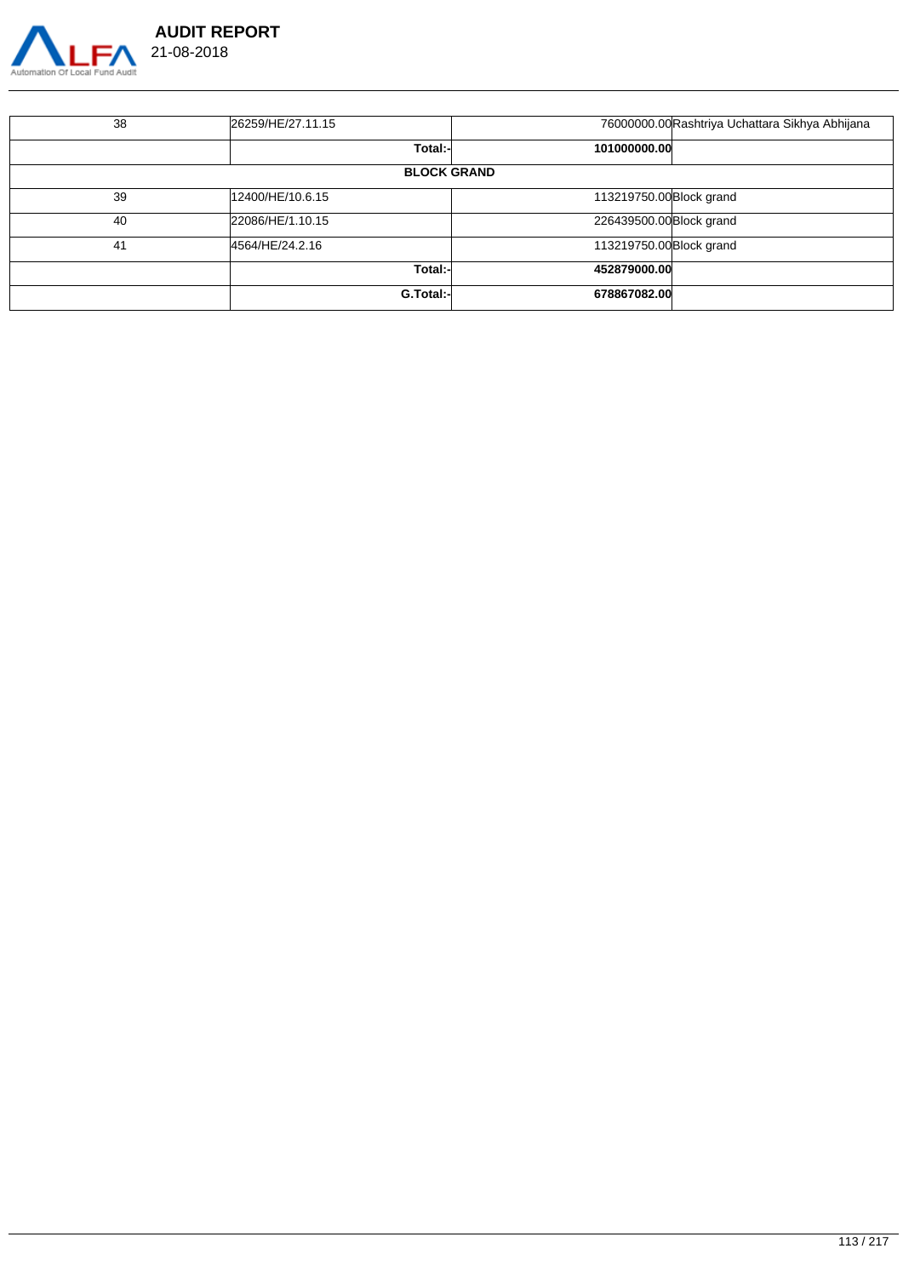

| 38 | 26259/HE/27.11.15  | 76000000.00 Rashtriya Uchattara Sikhya Abhijana |
|----|--------------------|-------------------------------------------------|
|    | Total:-            | 101000000.00                                    |
|    | <b>BLOCK GRAND</b> |                                                 |
| 39 | l12400/HE/10.6.15  | 113219750.00 Block grand                        |
| 40 | 22086/HE/1.10.15   | 226439500.00 Block grand                        |
| 41 | 4564/HE/24.2.16    | 113219750.00 Block grand                        |
|    | Total:-            | 452879000.00                                    |
|    | G.Total:-          | 678867082.00                                    |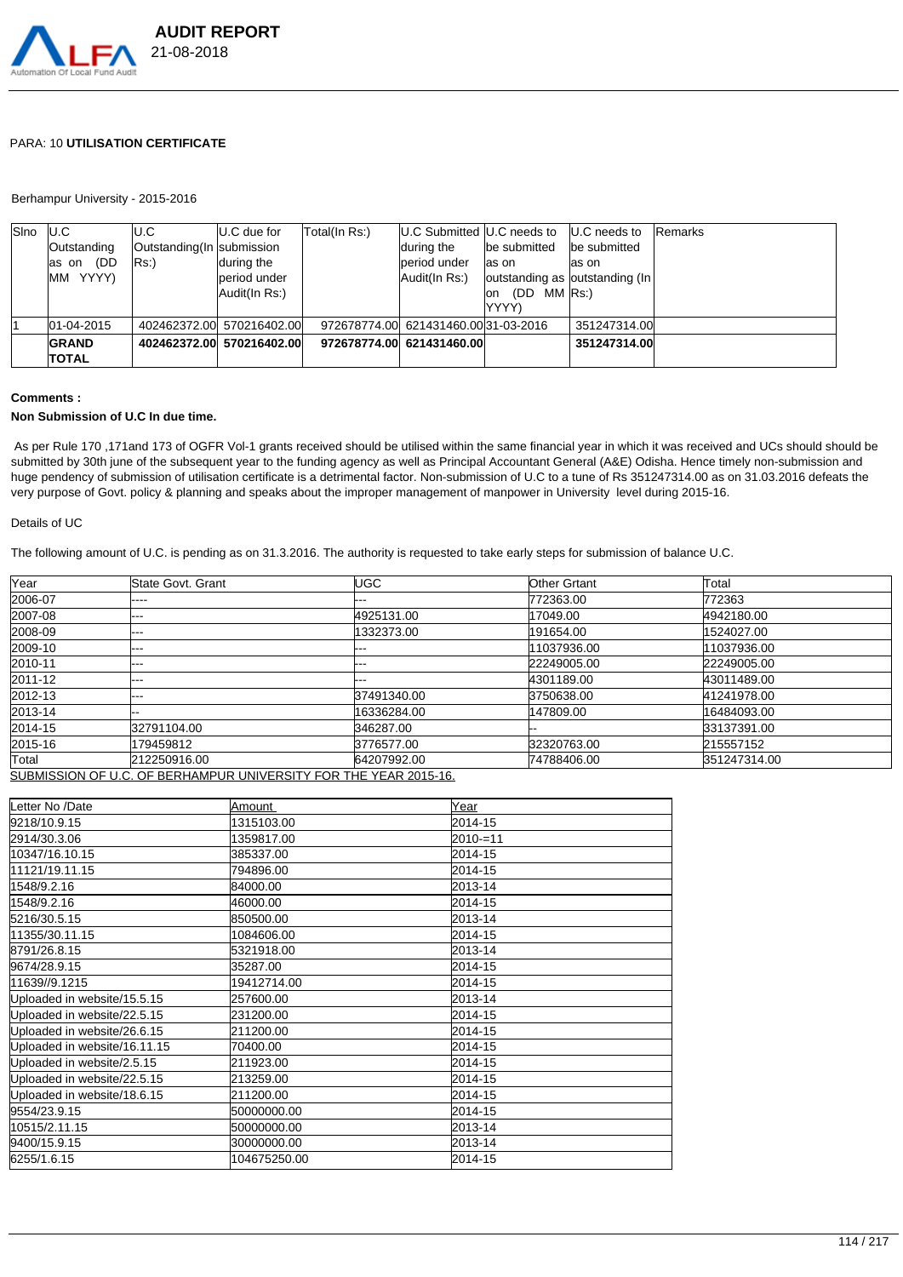

# PARA: 10 **UTILISATION CERTIFICATE**

#### Berhampur University - 2015-2016

| <b>S</b> lno | IU.C         | IU.C                       | <b>IU.C</b> due for       | Total(In Rs:) | U.C Submitted U.C needs to           |                                | U.C needs to | Remarks |
|--------------|--------------|----------------------------|---------------------------|---------------|--------------------------------------|--------------------------------|--------------|---------|
|              | Outstanding  | Outstanding (In submission |                           |               | during the                           | be submitted                   | be submitted |         |
|              | (DD<br>as on | lRs:)                      | during the                |               | beriod under                         | las on                         | las on       |         |
|              | MM YYYY)     |                            | beriod under              |               | Audit(In Rs:)                        | outstanding as outstanding (In |              |         |
|              |              |                            | Audit(In Rs:)             |               |                                      | (DD MM Rs.)<br>lon             |              |         |
|              |              |                            |                           |               |                                      | lYYYY)                         |              |         |
|              | 01-04-2015   |                            | 402462372.00 570216402.00 |               | 972678774.00 621431460.00 31-03-2016 |                                | 351247314.00 |         |
|              | <b>GRAND</b> |                            | 402462372.00 570216402.00 |               | 972678774.00 621431460.00            |                                | 351247314.00 |         |
|              | <b>TOTAL</b> |                            |                           |               |                                      |                                |              |         |

#### **Comments :**

#### **Non Submission of U.C In due time.**

 As per Rule 170 ,171and 173 of OGFR Vol-1 grants received should be utilised within the same financial year in which it was received and UCs should should be submitted by 30th june of the subsequent year to the funding agency as well as Principal Accountant General (A&E) Odisha. Hence timely non-submission and huge pendency of submission of utilisation certificate is a detrimental factor. Non-submission of U.C to a tune of Rs 351247314.00 as on 31.03.2016 defeats the very purpose of Govt. policy & planning and speaks about the improper management of manpower in University level during 2015-16.

# Details of UC

The following amount of U.C. is pending as on 31.3.2016. The authority is requested to take early steps for submission of balance U.C.

| Year                                                             | State Govt. Grant | <b>UGC</b>  | <b>Other Grtant</b> | Total        |  |
|------------------------------------------------------------------|-------------------|-------------|---------------------|--------------|--|
| 2006-07                                                          | ----              |             | 772363.00           | 772363       |  |
| 2007-08                                                          | ---               | 4925131.00  | 17049.00            | 4942180.00   |  |
| 2008-09                                                          |                   | 1332373.00  | 191654.00           | 1524027.00   |  |
| 2009-10                                                          | ---               |             | 11037936.00         | 11037936.00  |  |
| 2010-11                                                          |                   |             | 22249005.00         | 22249005.00  |  |
| 2011-12                                                          |                   |             | 4301189.00          | 43011489.00  |  |
| 2012-13                                                          | ---               | 37491340.00 | 3750638.00          | 41241978.00  |  |
| 2013-14                                                          |                   | 16336284.00 | 147809.00           | 16484093.00  |  |
| 2014-15                                                          | 32791104.00       | 346287.00   |                     | 33137391.00  |  |
| 2015-16                                                          | 79459812          | 3776577.00  | 32320763.00         | 215557152    |  |
| Total                                                            | 212250916.00      | 64207992.00 | 74788406.00         | 351247314.00 |  |
| CURMICCION OF LLC OF REDHAMBLID LINIVEDCITY FOR THE VEAR 2015 16 |                   |             |                     |              |  |

SUBMISSION OF U.C. OF BERHAMPUR UNIVERSITY FOR THE YEAR 2015-16.

| Letter No /Date              | Amount       | Year     |
|------------------------------|--------------|----------|
| 9218/10.9.15                 | 1315103.00   | 2014-15  |
| 2914/30.3.06                 | 1359817.00   | 2010-=11 |
| 10347/16.10.15               | 385337.00    | 2014-15  |
| 11121/19.11.15               | 794896.00    | 2014-15  |
| 1548/9.2.16                  | 84000.00     | 2013-14  |
| 1548/9.2.16                  | 46000.00     | 2014-15  |
| 5216/30.5.15                 | 850500.00    | 2013-14  |
| 11355/30.11.15               | 1084606.00   | 2014-15  |
| 8791/26.8.15                 | 5321918.00   | 2013-14  |
| 9674/28.9.15                 | 35287.00     | 2014-15  |
| 11639//9.1215                | 19412714.00  | 2014-15  |
| Uploaded in website/15.5.15  | 257600.00    | 2013-14  |
| Uploaded in website/22.5.15  | 231200.00    | 2014-15  |
| Uploaded in website/26.6.15  | 211200.00    | 2014-15  |
| Uploaded in website/16.11.15 | 70400.00     | 2014-15  |
| Uploaded in website/2.5.15   | 211923.00    | 2014-15  |
| Uploaded in website/22.5.15  | 213259.00    | 2014-15  |
| Uploaded in website/18.6.15  | 211200.00    | 2014-15  |
| 9554/23.9.15                 | 50000000.00  | 2014-15  |
| 10515/2.11.15                | 50000000.00  | 2013-14  |
| 9400/15.9.15                 | 30000000.00  | 2013-14  |
| 6255/1.6.15                  | 104675250.00 | 2014-15  |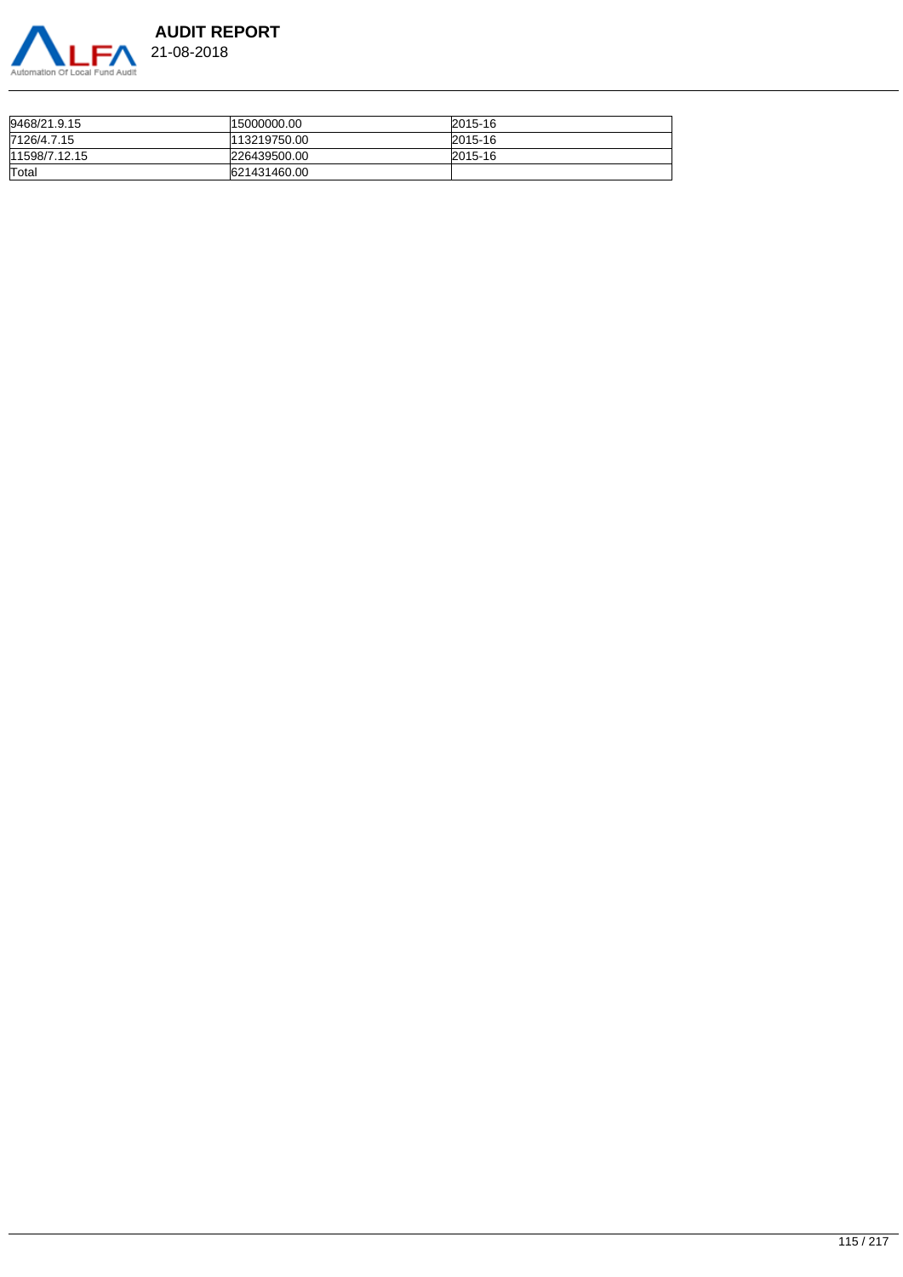

| <b>AUDIT REPORT</b> |  |
|---------------------|--|
| 21-08-2018          |  |

| 9468/21.9.15  | 15000000.00  | 2015-16 |
|---------------|--------------|---------|
| 7126/4.7.15   | 113219750.00 | 2015-16 |
| 11598/7.12.15 | 226439500.00 | 2015-16 |
| Total         | 621431460.00 |         |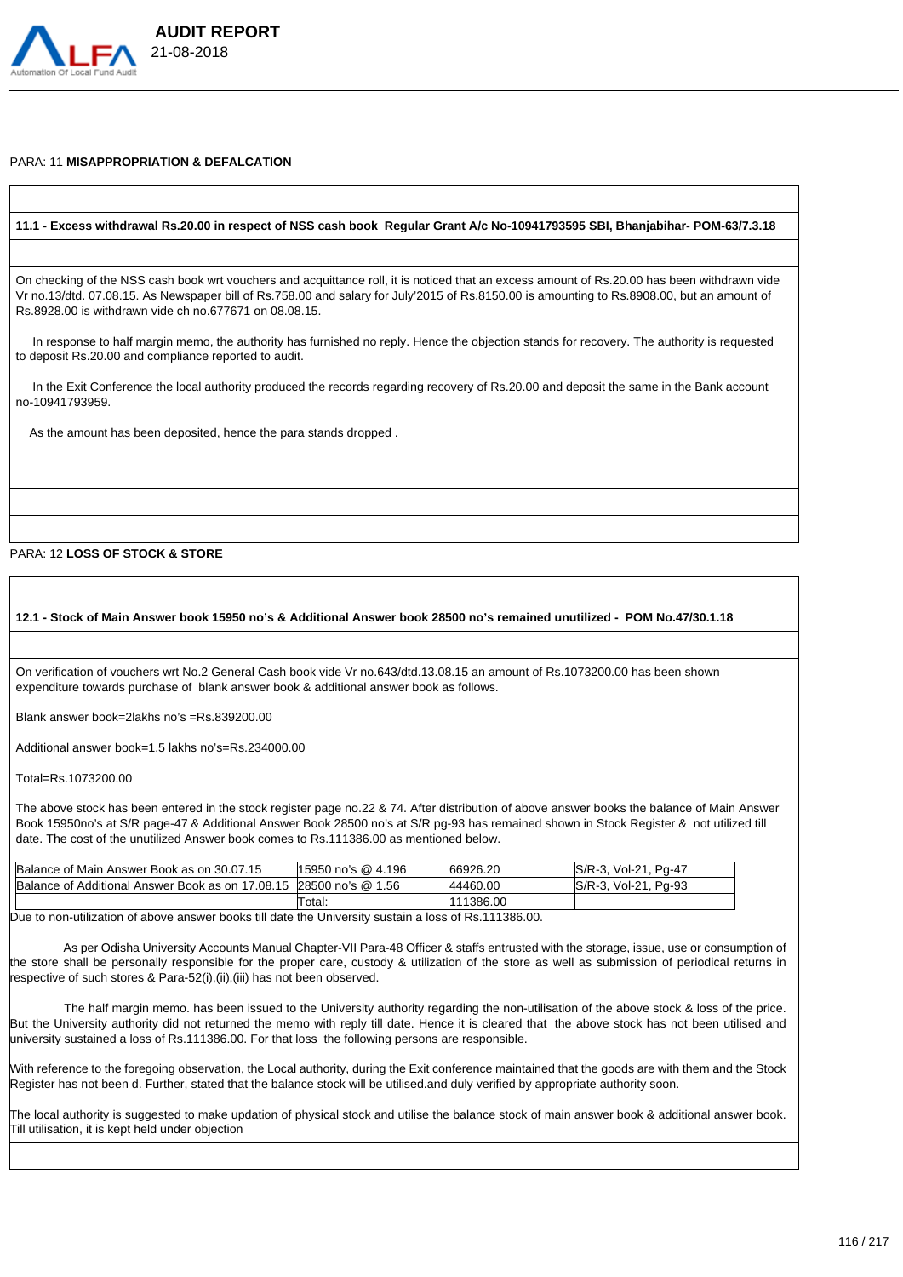

#### PARA: 11 **MISAPPROPRIATION & DEFALCATION**

#### **11.1 - Excess withdrawal Rs.20.00 in respect of NSS cash book Regular Grant A/c No-10941793595 SBI, Bhanjabihar- POM-63/7.3.18**

On checking of the NSS cash book wrt vouchers and acquittance roll, it is noticed that an excess amount of Rs.20.00 has been withdrawn vide Vr no.13/dtd. 07.08.15. As Newspaper bill of Rs.758.00 and salary for July'2015 of Rs.8150.00 is amounting to Rs.8908.00, but an amount of Rs.8928.00 is withdrawn vide ch no.677671 on 08.08.15.

 In response to half margin memo, the authority has furnished no reply. Hence the objection stands for recovery. The authority is requested to deposit Rs.20.00 and compliance reported to audit.

 In the Exit Conference the local authority produced the records regarding recovery of Rs.20.00 and deposit the same in the Bank account no-10941793959.

As the amount has been deposited, hence the para stands dropped .

#### PARA: 12 **LOSS OF STOCK & STORE**

**12.1 - Stock of Main Answer book 15950 no's & Additional Answer book 28500 no's remained unutilized - POM No.47/30.1.18**

On verification of vouchers wrt No.2 General Cash book vide Vr no.643/dtd.13.08.15 an amount of Rs.1073200.00 has been shown expenditure towards purchase of blank answer book & additional answer book as follows.

Blank answer book=2lakhs no's =Rs.839200.00

Additional answer book=1.5 lakhs no's=Rs.234000.00

Total=Rs.1073200.00

The above stock has been entered in the stock register page no.22 & 74. After distribution of above answer books the balance of Main Answer Book 15950no's at S/R page-47 & Additional Answer Book 28500 no's at S/R pg-93 has remained shown in Stock Register & not utilized till date. The cost of the unutilized Answer book comes to Rs.111386.00 as mentioned below.

| Balance of Main Answer Book as on 30.07.15                         | 15950 no's @ 4.196 | 66926.20  | S/R-3, Vol-21.<br>. Pa-47 |
|--------------------------------------------------------------------|--------------------|-----------|---------------------------|
| Balance of Additional Answer Book as on 17.08.15 28500 no's @ 1.56 |                    | A4460.00  | S/R-3, Vol-21.<br>Pa-93   |
|                                                                    | Total.             | 111386.00 |                           |

Due to non-utilization of above answer books till date the University sustain a loss of Rs.111386.00.

 As per Odisha University Accounts Manual Chapter-VII Para-48 Officer & staffs entrusted with the storage, issue, use or consumption of the store shall be personally responsible for the proper care, custody & utilization of the store as well as submission of periodical returns in respective of such stores & Para-52(i),(ii),(iii) has not been observed.

 The half margin memo. has been issued to the University authority regarding the non-utilisation of the above stock & loss of the price. But the University authority did not returned the memo with reply till date. Hence it is cleared that the above stock has not been utilised and university sustained a loss of Rs.111386.00. For that loss the following persons are responsible.

With reference to the foregoing observation, the Local authority, during the Exit conference maintained that the goods are with them and the Stock Register has not been d. Further, stated that the balance stock will be utilised.and duly verified by appropriate authority soon.

The local authority is suggested to make updation of physical stock and utilise the balance stock of main answer book & additional answer book. Till utilisation, it is kept held under objection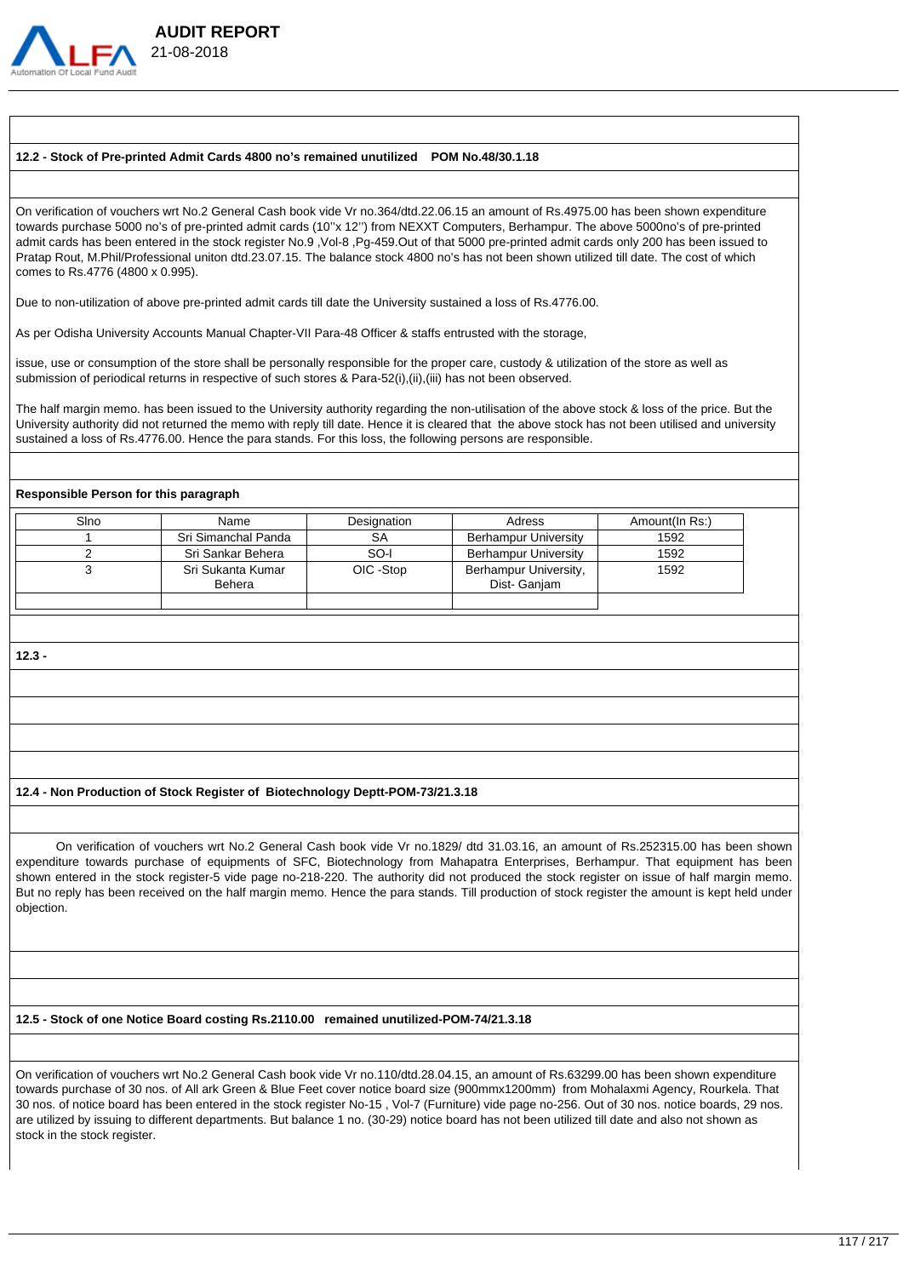

#### **12.2 - Stock of Pre-printed Admit Cards 4800 no's remained unutilized POM No.48/30.1.18**

 **AUDIT REPORT** 

On verification of vouchers wrt No.2 General Cash book vide Vr no.364/dtd.22.06.15 an amount of Rs.4975.00 has been shown expenditure towards purchase 5000 no's of pre-printed admit cards (10''x 12'') from NEXXT Computers, Berhampur. The above 5000no's of pre-printed admit cards has been entered in the stock register No.9 ,Vol-8 ,Pg-459.Out of that 5000 pre-printed admit cards only 200 has been issued to Pratap Rout, M.Phil/Professional uniton dtd.23.07.15. The balance stock 4800 no's has not been shown utilized till date. The cost of which comes to Rs.4776 (4800 x 0.995).

Due to non-utilization of above pre-printed admit cards till date the University sustained a loss of Rs.4776.00.

As per Odisha University Accounts Manual Chapter-VII Para-48 Officer & staffs entrusted with the storage,

issue, use or consumption of the store shall be personally responsible for the proper care, custody & utilization of the store as well as submission of periodical returns in respective of such stores & Para-52(i),(ii),(iii) has not been observed.

The half margin memo. has been issued to the University authority regarding the non-utilisation of the above stock & loss of the price. But the University authority did not returned the memo with reply till date. Hence it is cleared that the above stock has not been utilised and university sustained a loss of Rs.4776.00. Hence the para stands. For this loss, the following persons are responsible.

#### **Responsible Person for this paragraph**

| Slno | Name                | Designation | Adress                | Amount(In Rs:) |
|------|---------------------|-------------|-----------------------|----------------|
|      | Sri Simanchal Panda | SΑ          | Berhampur University  | 1592           |
|      | Sri Sankar Behera   | SO-I        | Berhampur University  | 1592           |
|      | Sri Sukanta Kumar   | OIC -Stop   | Berhampur University, | 1592           |
|      | Behera              |             | Dist-Ganiam           |                |
|      |                     |             |                       |                |

**12.3 -** 

#### **12.4 - Non Production of Stock Register of Biotechnology Deptt-POM-73/21.3.18**

 On verification of vouchers wrt No.2 General Cash book vide Vr no.1829/ dtd 31.03.16, an amount of Rs.252315.00 has been shown expenditure towards purchase of equipments of SFC, Biotechnology from Mahapatra Enterprises, Berhampur. That equipment has been shown entered in the stock register-5 vide page no-218-220. The authority did not produced the stock register on issue of half margin memo. But no reply has been received on the half margin memo. Hence the para stands. Till production of stock register the amount is kept held under objection.

#### **12.5 - Stock of one Notice Board costing Rs.2110.00 remained unutilized-POM-74/21.3.18**

On verification of vouchers wrt No.2 General Cash book vide Vr no.110/dtd.28.04.15, an amount of Rs.63299.00 has been shown expenditure towards purchase of 30 nos. of All ark Green & Blue Feet cover notice board size (900mmx1200mm) from Mohalaxmi Agency, Rourkela. That 30 nos. of notice board has been entered in the stock register No-15 , Vol-7 (Furniture) vide page no-256. Out of 30 nos. notice boards, 29 nos. are utilized by issuing to different departments. But balance 1 no. (30-29) notice board has not been utilized till date and also not shown as stock in the stock register.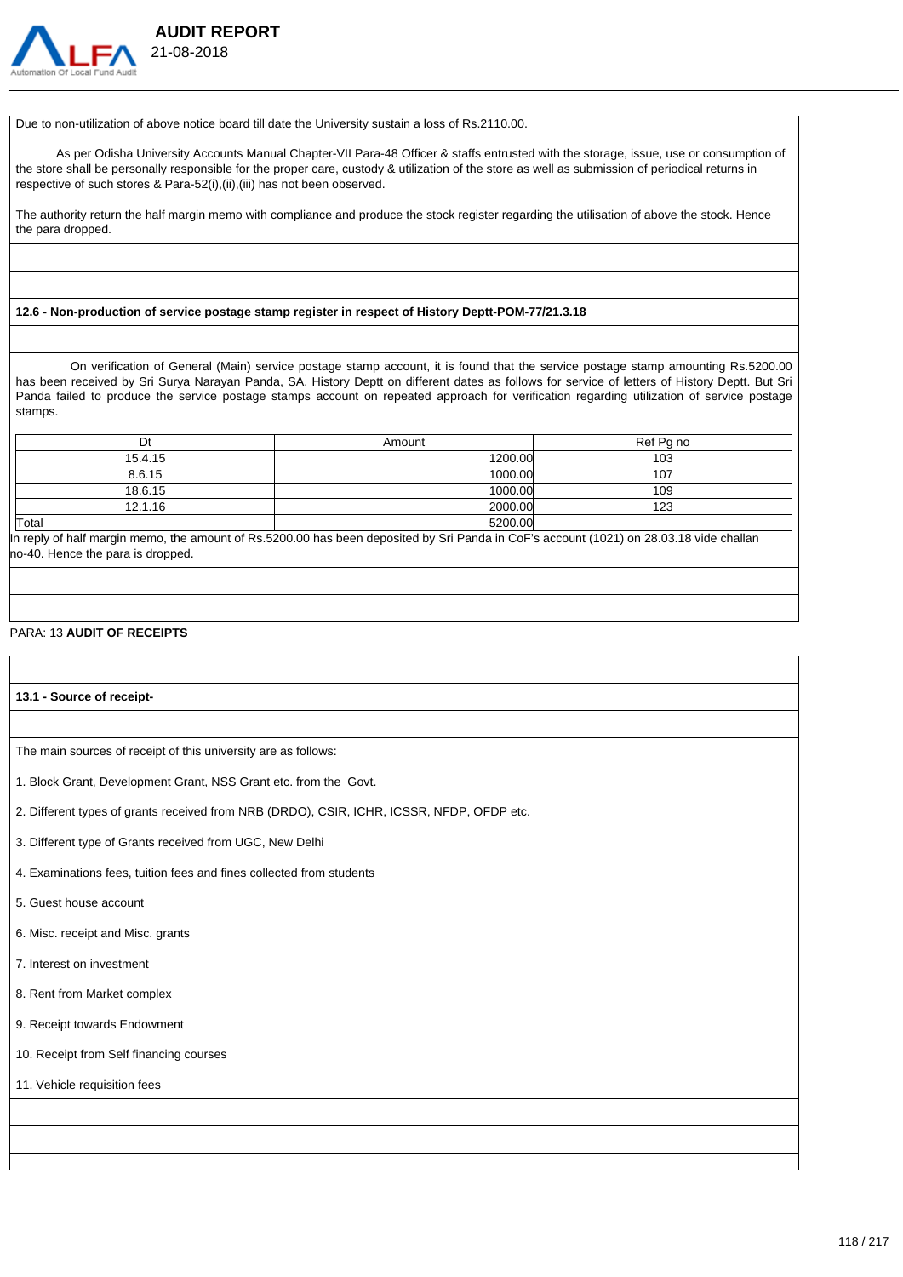

Due to non-utilization of above notice board till date the University sustain a loss of Rs.2110.00.

 As per Odisha University Accounts Manual Chapter-VII Para-48 Officer & staffs entrusted with the storage, issue, use or consumption of the store shall be personally responsible for the proper care, custody & utilization of the store as well as submission of periodical returns in respective of such stores & Para-52(i),(ii),(iii) has not been observed.

The authority return the half margin memo with compliance and produce the stock register regarding the utilisation of above the stock. Hence the para dropped.

#### **12.6 - Non-production of service postage stamp register in respect of History Deptt-POM-77/21.3.18**

On verification of General (Main) service postage stamp account, it is found that the service postage stamp amounting Rs.5200.00 has been received by Sri Surya Narayan Panda, SA, History Deptt on different dates as follows for service of letters of History Deptt. But Sri Panda failed to produce the service postage stamps account on repeated approach for verification regarding utilization of service postage stamps.

| Dt      | Amount  | Ref Pg no |
|---------|---------|-----------|
| 15.4.15 | 1200.00 | 103       |
| 8.6.15  | 1000.00 | 107       |
| 18.6.15 | 1000.00 | 109       |
| 12.1.16 | 2000.00 | 123       |
| Total   | 5200.00 |           |

In reply of half margin memo, the amount of Rs.5200.00 has been deposited by Sri Panda in CoF's account (1021) on 28.03.18 vide challan no-40. Hence the para is dropped.

#### PARA: 13 **AUDIT OF RECEIPTS**

#### **13.1 - Source of receipt-**

The main sources of receipt of this university are as follows:

- 1. Block Grant, Development Grant, NSS Grant etc. from the Govt.
- 2. Different types of grants received from NRB (DRDO), CSIR, ICHR, ICSSR, NFDP, OFDP etc.
- 3. Different type of Grants received from UGC, New Delhi
- 4. Examinations fees, tuition fees and fines collected from students
- 5. Guest house account
- 6. Misc. receipt and Misc. grants
- 7. Interest on investment
- 8. Rent from Market complex
- 9. Receipt towards Endowment
- 10. Receipt from Self financing courses
- 11. Vehicle requisition fees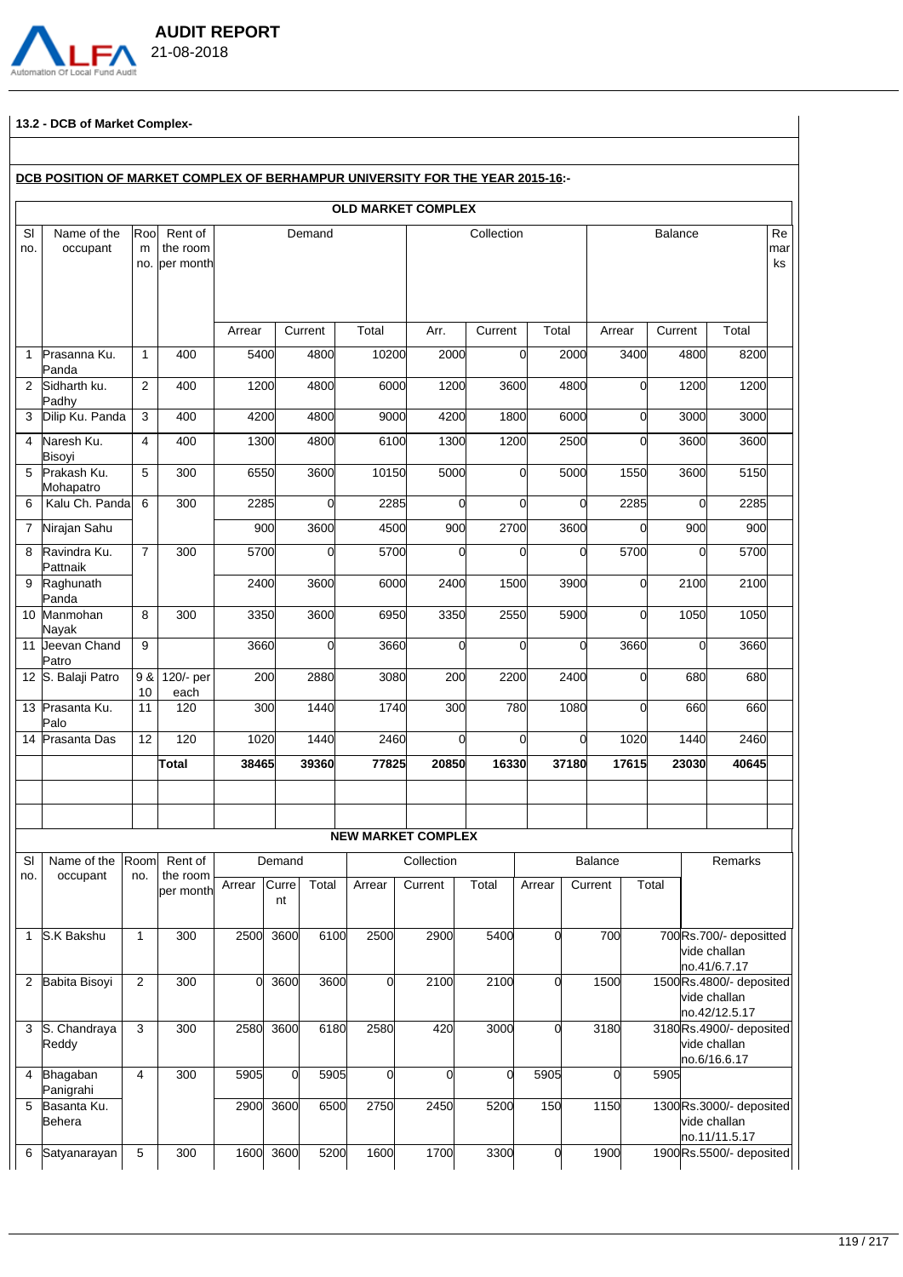

# **13.2 - DCB of Market Complex-**

|                | DCB POSITION OF MARKET COMPLEX OF BERHAMPUR UNIVERSITY FOR THE YEAR 2015-16:- |                |                                      |               |             |               |                |                           |                   |                |                   |                |                |              |                                           |                 |
|----------------|-------------------------------------------------------------------------------|----------------|--------------------------------------|---------------|-------------|---------------|----------------|---------------------------|-------------------|----------------|-------------------|----------------|----------------|--------------|-------------------------------------------|-----------------|
|                |                                                                               |                |                                      |               |             |               |                | <b>OLD MARKET COMPLEX</b> |                   |                |                   |                |                |              |                                           |                 |
| SI<br>no.      | Name of the<br>occupant                                                       | Rool<br>m      | Rent of<br>the room<br>no. per month |               |             | Demand        |                |                           | Collection        |                |                   |                | <b>Balance</b> |              |                                           | Re<br>mar<br>ks |
|                |                                                                               |                |                                      | Arrear        |             | Current       | Total          | Arr.                      | Current           | Total          |                   | Arrear         | Current        |              | Total                                     |                 |
| 1              | Prasanna Ku.<br>Panda                                                         | $\mathbf{1}$   | 400                                  | 5400          |             | 4800          | 10200          | 2000                      |                   | O              | 2000              | 3400           |                | 4800         | 8200                                      |                 |
| $\overline{2}$ | Sidharth ku.<br>Padhy                                                         | 2              | 400                                  | 1200          |             | 4800          | 6000           | 1200                      |                   | 3600           | 4800              | $\Omega$       |                | 1200         | 1200                                      |                 |
| 3              | Dilip Ku. Panda                                                               | 3              | 400                                  | 4200          |             | 4800          | 9000           | 4200                      |                   | 1800           | 6000              | <sub>0</sub>   |                | 3000         | 3000                                      |                 |
| 4              | Naresh Ku.<br>Bisoyi                                                          | 4              | 400                                  | 1300          |             | 4800          | 6100           | 1300                      |                   | 1200           | 2500              | $\Omega$       |                | 3600         | 3600                                      |                 |
| 5              | Prakash Ku.<br>Mohapatro                                                      | 5              | 300                                  | 6550          |             | 3600          | 10150          | 5000                      |                   | C              | 5000              | 1550           |                | 3600         | 5150                                      |                 |
| 6              | Kalu Ch. Panda                                                                | 6              | 300                                  | 2285          |             | $\Omega$      | 2285           |                           | $\Omega$          | $\Omega$       | $\overline{0}$    | 2285           |                | U            | 2285                                      |                 |
| 7              | Nirajan Sahu                                                                  |                |                                      | 900           |             | 3600          | 4500           | 900                       |                   | 2700           | 3600              | $\Omega$       |                | 900          | 900                                       |                 |
| 8              | Ravindra Ku.<br>Pattnaik                                                      | $\overline{7}$ | 300                                  | 5700          |             | $\Omega$      | 5700           |                           | 0                 | C              | $\Omega$          | 5700           |                | U            | 5700                                      |                 |
| 9              | Raghunath<br>Panda                                                            |                |                                      | 2400          |             | 3600          | 6000           | 2400                      |                   | 1500           | 3900              | <sub>0</sub>   |                | 2100         | 2100                                      |                 |
|                | 10 Manmohan<br>Nayak                                                          | 8              | 300                                  | 3350          |             | 3600          | 6950           | 3350                      |                   | 2550           | 5900              | $\Omega$       |                | 1050         | 1050                                      |                 |
|                | 11 Jeevan Chand<br>Patro                                                      | 9              |                                      | 3660          |             | $\Omega$      | 3660           |                           | $\Omega$          | C              | $\Omega$          | 3660           |                | U            | 3660                                      |                 |
|                | 12 S. Balaji Patro                                                            | 9 &<br>10      | 120/- per<br>each                    | 200           |             | 2880          | 3080           | 200                       |                   | 2200           | 2400              | $\overline{0}$ |                | 680          | 680                                       |                 |
|                | 13 Prasanta Ku.<br>Palo                                                       | 11             | 120                                  | 300           |             | 1440          | 1740           | 300                       |                   | 780            | 1080              | $\Omega$       |                | 660          | 660                                       |                 |
|                | 14 Prasanta Das                                                               | 12             | 120                                  | 1020<br>38465 |             | 1440<br>39360 | 2460<br>77825  | 20850                     | $\Omega$<br>16330 | C              | $\Omega$<br>37180 | 1020<br>17615  |                | 1440         | 2460<br>40645                             |                 |
|                |                                                                               |                | Total                                |               |             |               |                |                           |                   |                |                   |                |                | 23030        |                                           |                 |
|                |                                                                               |                |                                      |               |             |               |                |                           |                   |                |                   |                |                |              |                                           |                 |
|                |                                                                               |                |                                      |               |             |               |                | <b>NEW MARKET COMPLEX</b> |                   |                |                   |                |                |              |                                           |                 |
| SI             | Name of the                                                                   | Room           | Rent of                              |               | Demand      |               |                | Collection                |                   |                | <b>Balance</b>    |                |                |              | Remarks                                   |                 |
| no.            | occupant                                                                      | no.            | the room<br>per month                | Arrear        | Curre<br>nt | Total         | Arrear         | Current                   | Total             | Arrear         | Current           |                | Total          |              |                                           |                 |
| $\mathbf{1}$   | S.K Bakshu                                                                    | $\mathbf{1}$   | 300                                  | 2500          | 3600        | 6100          | 2500           | 2900                      | 5400              | $\overline{0}$ | 700               |                |                | vide challan | 700Rs.700/- depositted<br>no.41/6.7.17    |                 |
| $\overline{2}$ | <b>Babita Bisoyi</b>                                                          | $\mathbf{2}$   | 300                                  | 0             | 3600        | 3600          | 0              | 2100                      | 2100              | $\mathbf 0$    | 1500              |                |                | vide challan | 1500Rs.4800/- deposited<br>no.42/12.5.17  |                 |
| 3              | S. Chandraya<br>Reddy                                                         | $\mathbf{3}$   | 300                                  | 2580          | 3600        | 6180          | 2580           | 420                       | 3000              | $\overline{0}$ | 3180              |                |                | vide challan | 3180Rs.4900/- deposited<br>no.6/16.6.17   |                 |
| 4              | Bhagaban<br>Panigrahi                                                         | $\overline{4}$ | 300                                  | 5905          | 0           | 5905          | $\overline{0}$ | 0                         | $\Omega$          | 5905           |                   | $\Omega$       | 5905           |              |                                           |                 |
| 5              | Basanta Ku.<br>Behera                                                         |                |                                      | 2900          | 3600        | 6500          | 2750           | 2450                      | 5200              | 150            | 1150              |                |                | vide challan | 1300 Rs.3000/- deposited<br>no.11/11.5.17 |                 |
| 6              | Satyanarayan                                                                  | $\sqrt{5}$     | 300                                  | 1600          | 3600        | 5200          | 1600           | 1700                      | 3300              | 0              | 1900              |                |                |              | 1900Rs.5500/- deposited                   |                 |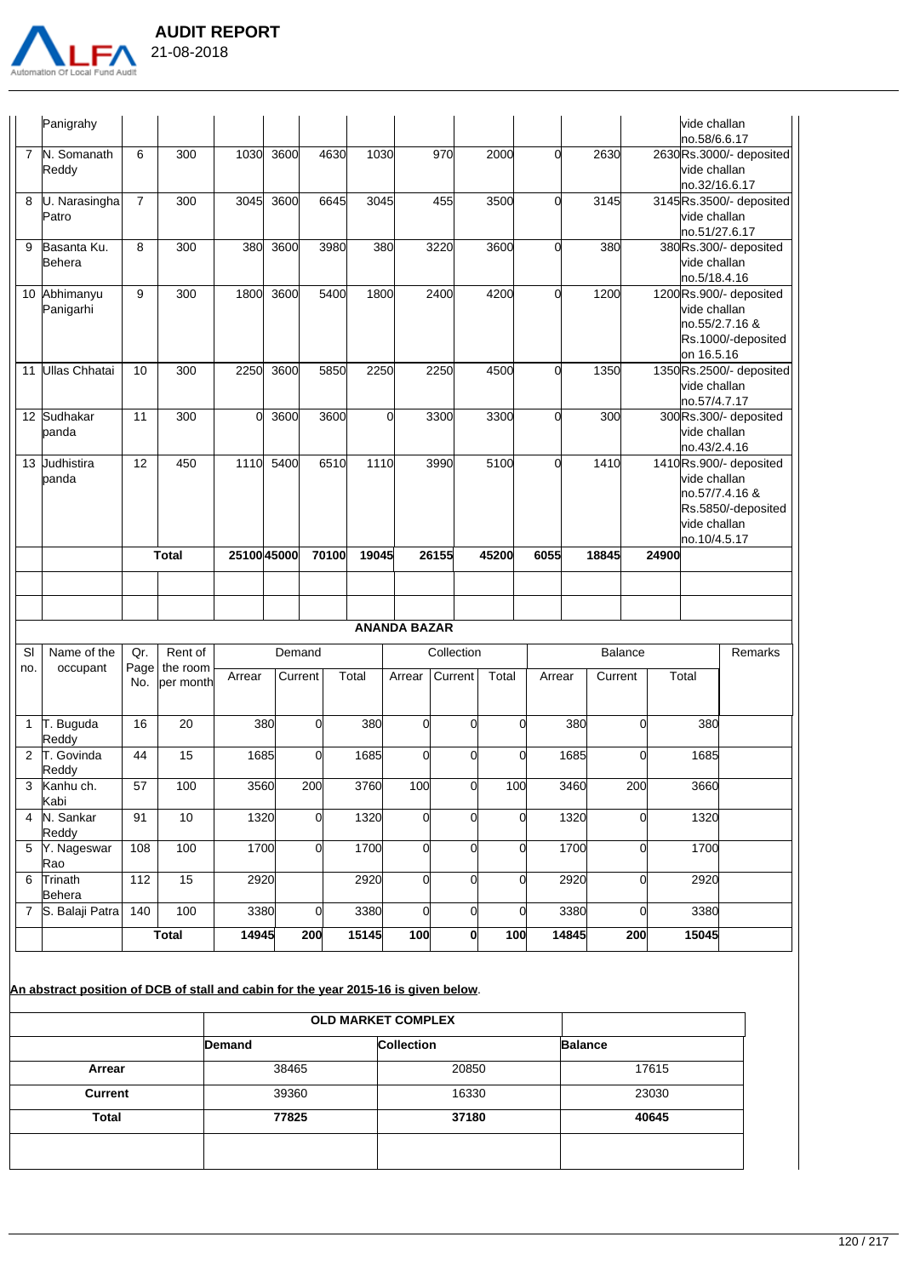

|                | Panigrahy            |                 |                 |             |         |               |       |                     |                |       |                |       |                |       | lvide challan |                          |
|----------------|----------------------|-----------------|-----------------|-------------|---------|---------------|-------|---------------------|----------------|-------|----------------|-------|----------------|-------|---------------|--------------------------|
|                |                      |                 |                 |             |         |               |       |                     |                |       |                |       |                |       | no.58/6.6.17  |                          |
| 7              | N. Somanath          | 6               | 300             | 1030        | 3600    | 4630          | 1030  |                     | 970            | 2000  | 0              | 2630  |                |       |               | 2630Rs.3000/- deposited  |
|                | Reddy                |                 |                 |             |         |               |       |                     |                |       |                |       |                |       | vide challan  |                          |
|                |                      |                 |                 |             |         |               |       |                     |                |       |                |       |                |       | no.32/16.6.17 |                          |
| 8              | U. Narasingha        | $\overline{7}$  | 300             | 3045        | 3600    | 6645          | 3045  |                     | 455            | 3500  | 0              | 3145  |                |       |               | 3145 Rs.3500/- deposited |
|                | Patro                |                 |                 |             |         |               |       |                     |                |       |                |       |                |       | vide challan  |                          |
|                |                      |                 |                 |             |         |               |       |                     |                |       |                |       |                |       | no.51/27.6.17 |                          |
| 9              | Basanta Ku.          | 8               | 300             | 380         | 3600    | 3980          | 380   |                     | 3220           | 3600  | 0              | 380   |                |       |               | 380Rs.300/- deposited    |
|                | Behera               |                 |                 |             |         |               |       |                     |                |       |                |       |                |       | vide challan  |                          |
|                |                      |                 |                 |             |         |               |       |                     |                |       |                |       |                |       | no.5/18.4.16  |                          |
|                | 10 Abhimanyu         | 9               | 300             | 1800        | 3600    | 5400          | 1800  |                     | 2400           | 4200  | $\overline{0}$ | 1200  |                |       |               | 1200Rs.900/- deposited   |
|                | Panigarhi            |                 |                 |             |         |               |       |                     |                |       |                |       |                |       | vide challan  |                          |
|                |                      |                 |                 |             |         |               |       |                     |                |       |                |       |                |       |               | no.55/2.7.16 &           |
|                |                      |                 |                 |             |         |               |       |                     |                |       |                |       |                |       |               | Rs.1000/-deposited       |
|                |                      |                 |                 |             |         |               |       |                     |                |       |                |       |                |       | on 16.5.16    |                          |
| 11             | <b>Ullas Chhatai</b> | 10              | 300             | 2250        | 3600    | 5850          | 2250  |                     | 2250           | 4500  | 0              | 1350  |                |       |               | 1350Rs.2500/- deposited  |
|                |                      |                 |                 |             |         |               |       |                     |                |       |                |       |                |       | vide challan  |                          |
|                |                      |                 |                 | $\Omega$    |         |               |       |                     |                |       |                |       |                |       | no.57/4.7.17  |                          |
|                | 12 Sudhakar          | 11              | 300             |             | 3600    | 3600          |       | 0                   | 3300           | 3300  | 0              | 300   |                |       | vide challan  | 300Rs.300/- deposited    |
|                | panda                |                 |                 |             |         |               |       |                     |                |       |                |       |                |       | no.43/2.4.16  |                          |
|                | 13 Judhistira        | 12              | 450             | 1110        | 5400    | 6510          | 1110  |                     | 3990           | 5100  | $\overline{0}$ | 1410  |                |       |               | 1410Rs.900/- deposited   |
|                | panda                |                 |                 |             |         |               |       |                     |                |       |                |       |                |       | vide challan  |                          |
|                |                      |                 |                 |             |         |               |       |                     |                |       |                |       |                |       |               | no.57/7.4.16 &           |
|                |                      |                 |                 |             |         |               |       |                     |                |       |                |       |                |       |               | Rs.5850/-deposited       |
|                |                      |                 |                 |             |         |               |       |                     |                |       |                |       |                |       | vide challan  |                          |
|                |                      |                 |                 |             |         |               |       |                     |                |       |                |       |                |       | no.10/4.5.17  |                          |
|                |                      |                 |                 |             |         |               |       |                     |                |       |                |       |                |       |               |                          |
|                |                      |                 |                 |             |         |               |       |                     |                |       |                |       |                |       |               |                          |
|                |                      |                 | <b>Total</b>    | 25100 45000 |         | 70100         | 19045 |                     | 26155          | 45200 | 6055           | 18845 |                | 24900 |               |                          |
|                |                      |                 |                 |             |         |               |       |                     |                |       |                |       |                |       |               |                          |
|                |                      |                 |                 |             |         |               |       |                     |                |       |                |       |                |       |               |                          |
|                |                      |                 |                 |             |         |               |       | <b>ANANDA BAZAR</b> |                |       |                |       |                |       |               |                          |
| SI             | Name of the          | Qr.             | Rent of         |             | Demand  |               |       |                     | Collection     |       |                |       | Balance        |       |               | Remarks                  |
| no.            | occupant             |                 | Page   the room |             |         |               |       |                     |                |       |                |       |                |       |               |                          |
|                |                      | No.             | per month       | Arrear      | Current |               | Total | Arrear              | Current        | Total | Arrear         |       | Current        |       | Total         |                          |
|                |                      |                 |                 |             |         |               |       |                     |                |       |                |       |                |       |               |                          |
|                |                      |                 |                 |             |         |               |       |                     |                |       |                |       |                |       |               |                          |
| 1              | T. Buguda            | 16              | 20              | 380         |         | <sup>ol</sup> | 380   | <sub>0</sub>        | $\Omega$       |       | O              | 380   | $\Omega$       |       | 380           |                          |
|                | Reddy                |                 |                 |             |         |               |       |                     |                |       |                |       |                |       |               |                          |
| 2              | T. Govinda           | 44              | 15              | 1685        |         | <sub>0</sub>  | 1685  | <sub>0</sub>        | $\overline{0}$ |       | 0              | 1685  | C              |       | 1685          |                          |
|                | Reddy                |                 |                 |             |         |               |       |                     |                |       |                |       |                |       |               |                          |
| $\mathbf{3}$   | Kanhu ch.            | $\overline{57}$ | 100             | 3560        |         | 200           | 3760  | 100                 | $\mathbf 0$    | 100   |                | 3460  | 200            |       | 3660          |                          |
| $\overline{4}$ | Kabi                 |                 |                 |             |         |               |       |                     |                |       |                |       | 0              |       |               |                          |
|                | N. Sankar            | 91              | 10              | 1320        |         | 0l            | 1320  | 0                   | $\overline{0}$ |       | $\overline{0}$ | 1320  |                |       | 1320          |                          |
| 5              | Reddy                |                 |                 |             |         | $\Omega$      |       |                     |                |       | <sub>0</sub>   |       |                |       |               |                          |
|                | Y. Nageswar          | 108             | 100             | 1700        |         |               | 1700  | $\overline{0}$      | $\overline{0}$ |       |                | 1700  | <sub>0</sub>   |       | 1700          |                          |
| 6              | Rao                  |                 |                 | 2920        |         |               | 2920  |                     | $\overline{0}$ |       | $\overline{0}$ | 2920  | $\mathbf 0$    |       | 2920          |                          |
|                | Trinath<br>Behera    | 112             | 15              |             |         |               |       | 0                   |                |       |                |       |                |       |               |                          |
| $\overline{7}$ | S. Balaji Patra      | 140             | 100             | 3380        |         | <sub>0</sub>  | 3380  | O                   | $\overline{0}$ |       | 0l             | 3380  | $\overline{0}$ |       | 3380          |                          |
|                |                      |                 | <b>Total</b>    | 14945       |         | 200           | 15145 | 100                 | 0              | 100   |                | 14845 | 200            |       | 15045         |                          |

# **An abstract position of DCB of stall and cabin for the year 2015-16 is given below**.

|                |        | <b>OLD MARKET COMPLEX</b> |                |  |  |  |  |
|----------------|--------|---------------------------|----------------|--|--|--|--|
|                | Demand | <b>Collection</b>         | <b>Balance</b> |  |  |  |  |
| Arrear         | 38465  | 20850                     | 17615          |  |  |  |  |
| <b>Current</b> | 39360  | 16330                     | 23030          |  |  |  |  |
| <b>Total</b>   | 77825  | 37180                     | 40645          |  |  |  |  |
|                |        |                           |                |  |  |  |  |
|                |        |                           |                |  |  |  |  |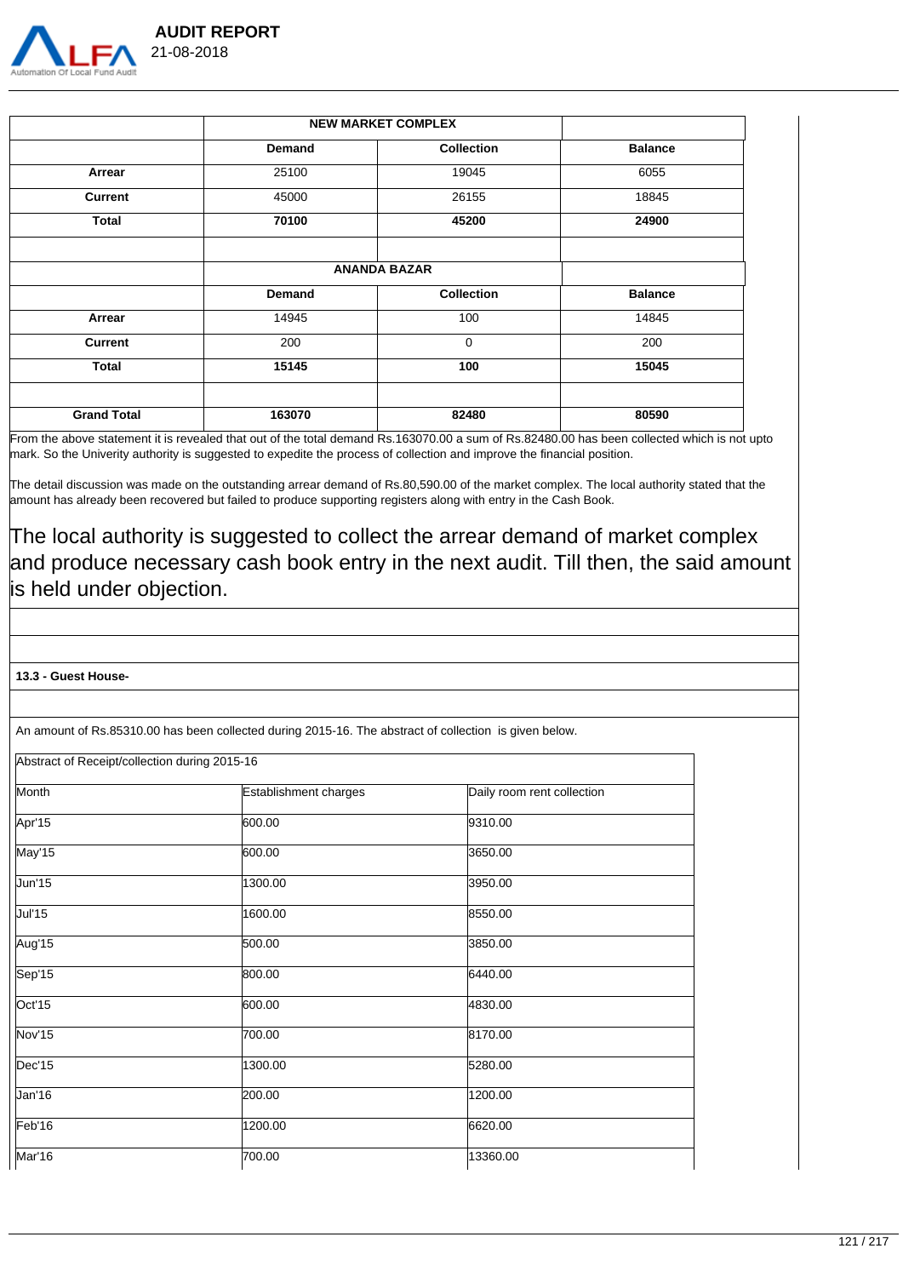

|                    |               | <b>NEW MARKET COMPLEX</b> |                |
|--------------------|---------------|---------------------------|----------------|
|                    | <b>Demand</b> | <b>Collection</b>         | <b>Balance</b> |
| Arrear             | 25100         | 19045                     | 6055           |
| <b>Current</b>     | 45000         | 26155                     | 18845          |
| Total              | 70100         | 45200                     | 24900          |
|                    |               | <b>ANANDA BAZAR</b>       |                |
|                    | Demand        | <b>Collection</b>         | <b>Balance</b> |
| Arrear             | 14945         | 100                       | 14845          |
| <b>Current</b>     | 200           | 0                         | 200            |
| <b>Total</b>       | 15145         | 100                       | 15045          |
| <b>Grand Total</b> | 163070        | 82480                     | 80590          |

From the above statement it is revealed that out of the total demand Rs.163070.00 a sum of Rs.82480.00 has been collected which is not upto mark. So the Univerity authority is suggested to expedite the process of collection and improve the financial position.

The detail discussion was made on the outstanding arrear demand of Rs.80,590.00 of the market complex. The local authority stated that the amount has already been recovered but failed to produce supporting registers along with entry in the Cash Book.

The local authority is suggested to collect the arrear demand of market complex and produce necessary cash book entry in the next audit. Till then, the said amount is held under objection.

# **13.3 - Guest House-**

An amount of Rs.85310.00 has been collected during 2015-16. The abstract of collection is given below.

| Abstract of Receipt/collection during 2015-16 |                       |                            |
|-----------------------------------------------|-----------------------|----------------------------|
| Month                                         | Establishment charges | Daily room rent collection |
| Apr'15                                        | 600.00                | 9310.00                    |
| May'15                                        | 600.00                | 3650.00                    |
| <b>Jun'15</b>                                 | 1300.00               | 3950.00                    |
| <b>Jul'15</b>                                 | 1600.00               | 8550.00                    |
| Aug'15                                        | 500.00                | 3850.00                    |
| Sep'15                                        | 800.00                | 6440.00                    |
| Oct'15                                        | 600.00                | 4830.00                    |
| Nov'15                                        | 700.00                | 8170.00                    |
| Dec'15                                        | 1300.00               | 5280.00                    |
| Jan'16                                        | 200.00                | 1200.00                    |
| Feb'16                                        | 1200.00               | 6620.00                    |
| Mar'16                                        | 700.00                | 13360.00                   |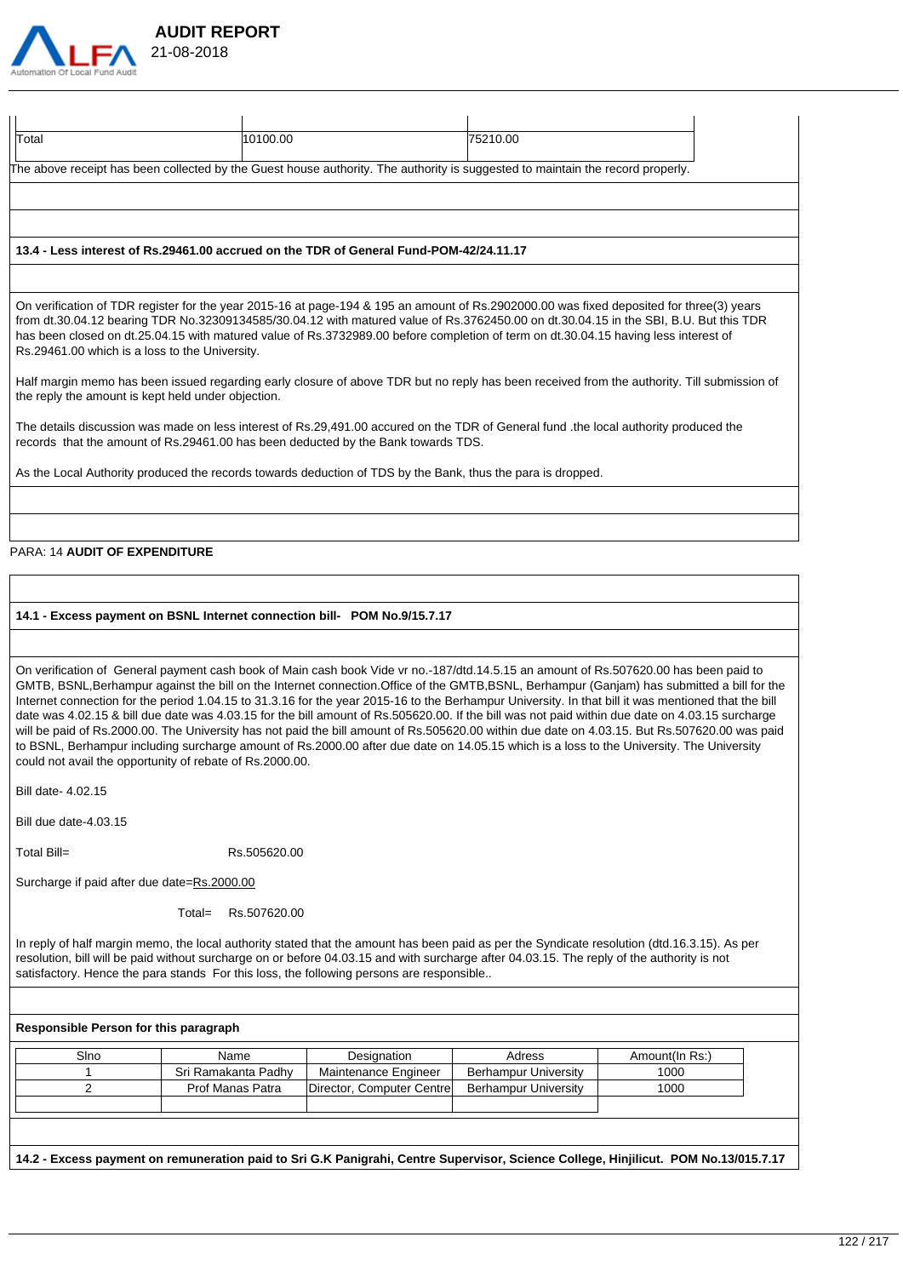

 **AUDIT REPORT** 

| Total                                | 10100.00                                                                                                                                                                                                                                                                                                                                                                                                                                                                   | 75210.00 |  |
|--------------------------------------|----------------------------------------------------------------------------------------------------------------------------------------------------------------------------------------------------------------------------------------------------------------------------------------------------------------------------------------------------------------------------------------------------------------------------------------------------------------------------|----------|--|
|                                      | The above receipt has been collected by the Guest house authority. The authority is suggested to maintain the record properly.                                                                                                                                                                                                                                                                                                                                             |          |  |
|                                      |                                                                                                                                                                                                                                                                                                                                                                                                                                                                            |          |  |
|                                      |                                                                                                                                                                                                                                                                                                                                                                                                                                                                            |          |  |
|                                      | 13.4 - Less interest of Rs.29461.00 accrued on the TDR of General Fund-POM-42/24.11.17                                                                                                                                                                                                                                                                                                                                                                                     |          |  |
|                                      |                                                                                                                                                                                                                                                                                                                                                                                                                                                                            |          |  |
|                                      | On verification of TDR register for the year 2015-16 at page-194 & 195 an amount of Rs.2902000.00 was fixed deposited for three(3) years<br>from dt.30.04.12 bearing TDR No.32309134585/30.04.12 with matured value of Rs.3762450.00 on dt.30.04.15 in the SBI, B.U. But this TDR<br>has been closed on dt.25.04.15 with matured value of Rs.3732989.00 before completion of term on dt.30.04.15 having less interest of<br>Rs.29461.00 which is a loss to the University. |          |  |
|                                      | Half margin memo has been issued regarding early closure of above TDR but no reply has been received from the authority. Till submission of<br>the reply the amount is kept held under objection.                                                                                                                                                                                                                                                                          |          |  |
|                                      | The details discussion was made on less interest of Rs.29,491.00 accured on the TDR of General fund .the local authority produced the<br>records that the amount of Rs.29461.00 has been deducted by the Bank towards TDS.                                                                                                                                                                                                                                                 |          |  |
|                                      | As the Local Authority produced the records towards deduction of TDS by the Bank, thus the para is dropped.                                                                                                                                                                                                                                                                                                                                                                |          |  |
|                                      |                                                                                                                                                                                                                                                                                                                                                                                                                                                                            |          |  |
| <b>PARA: 14 AUDIT OF EXPENDITURE</b> |                                                                                                                                                                                                                                                                                                                                                                                                                                                                            |          |  |
|                                      |                                                                                                                                                                                                                                                                                                                                                                                                                                                                            |          |  |
|                                      | 14.1 - Excess payment on BSNL Internet connection bill- POM No.9/15.7.17                                                                                                                                                                                                                                                                                                                                                                                                   |          |  |
|                                      |                                                                                                                                                                                                                                                                                                                                                                                                                                                                            |          |  |
|                                      | On verification of General payment cash book of Main cash book Vide vr no.-187/dtd.14.5.15 an amount of Rs.507620.00 has been paid to                                                                                                                                                                                                                                                                                                                                      |          |  |

GMTB, BSNL,Berhampur against the bill on the Internet connection.Office of the GMTB,BSNL, Berhampur (Ganjam) has submitted a bill for the Internet connection for the period 1.04.15 to 31.3.16 for the year 2015-16 to the Berhampur University. In that bill it was mentioned that the bill date was 4.02.15 & bill due date was 4.03.15 for the bill amount of Rs.505620.00. If the bill was not paid within due date on 4.03.15 surcharge will be paid of Rs.2000.00. The University has not paid the bill amount of Rs.505620.00 within due date on 4.03.15. But Rs.507620.00 was paid to BSNL, Berhampur including surcharge amount of Rs.2000.00 after due date on 14.05.15 which is a loss to the University. The University could not avail the opportunity of rebate of Rs.2000.00.

Bill date- 4.02.15

Bill due date-4.03.15

Total Bill= Rs.505620.00

Surcharge if paid after due date=Rs.2000.00

Total= Rs.507620.00

In reply of half margin memo, the local authority stated that the amount has been paid as per the Syndicate resolution (dtd.16.3.15). As per resolution, bill will be paid without surcharge on or before 04.03.15 and with surcharge after 04.03.15. The reply of the authority is not satisfactory. Hence the para stands For this loss, the following persons are responsible..

# **Responsible Person for this paragraph**

| Sino | Name                | Designation               | Adress                      | Amount(In Rs:) |
|------|---------------------|---------------------------|-----------------------------|----------------|
|      | Sri Ramakanta Padhy | Maintenance Engineer      | <b>Berhampur University</b> | 1000           |
|      | Prof Manas Patra    | Director, Computer Centre | Berhampur University        | 1000           |
|      |                     |                           |                             |                |

**14.2 - Excess payment on remuneration paid to Sri G.K Panigrahi, Centre Supervisor, Science College, Hinjilicut. POM No.13/015.7.17**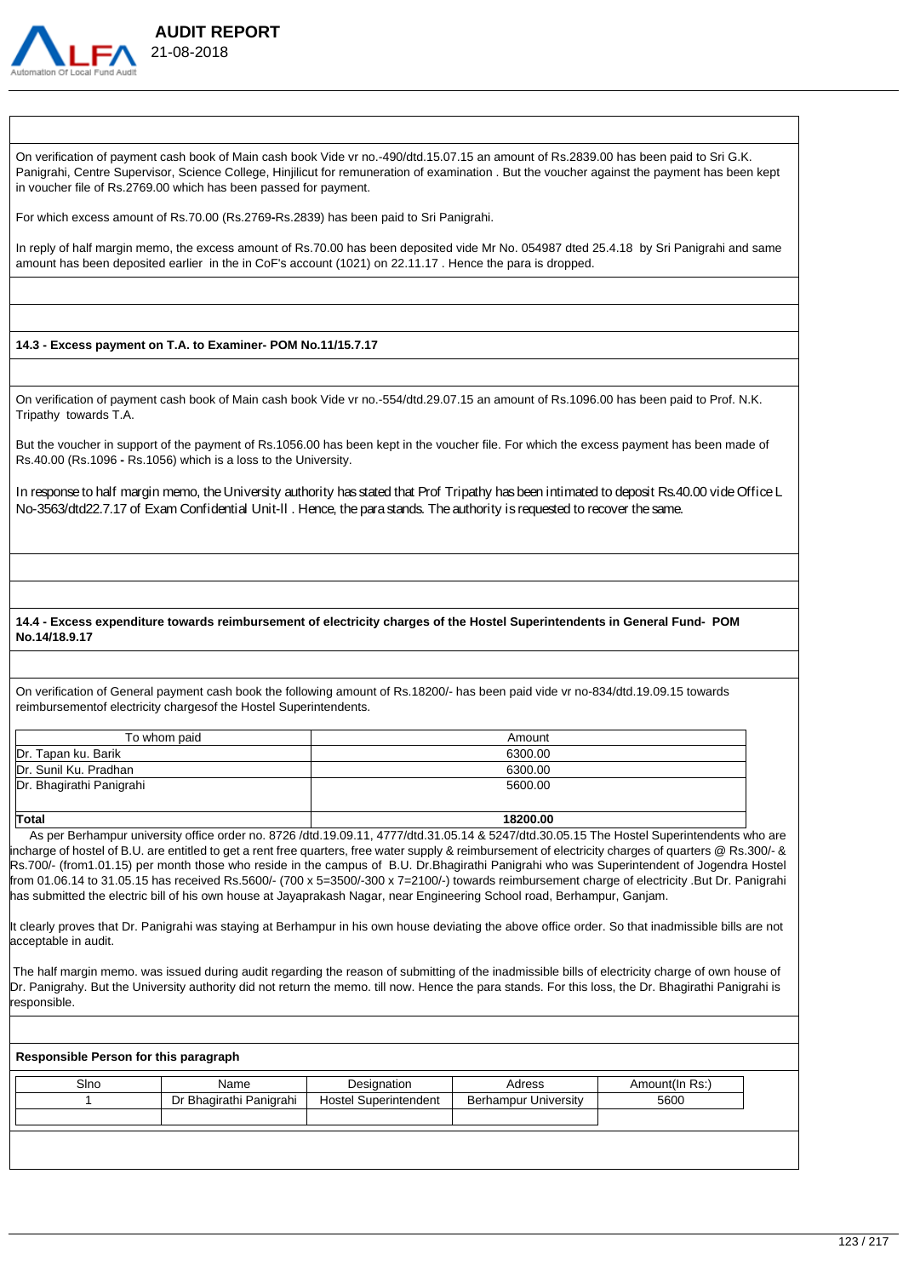

On verification of payment cash book of Main cash book Vide vr no.-490/dtd.15.07.15 an amount of Rs.2839.00 has been paid to Sri G.K. Panigrahi, Centre Supervisor, Science College, Hinjilicut for remuneration of examination . But the voucher against the payment has been kept in voucher file of Rs.2769.00 which has been passed for payment.

For which excess amount of Rs.70.00 (Rs.2769**-**Rs.2839) has been paid to Sri Panigrahi.

 **AUDIT REPORT** 

In reply of half margin memo, the excess amount of Rs.70.00 has been deposited vide Mr No. 054987 dted 25.4.18 by Sri Panigrahi and same amount has been deposited earlier in the in CoF's account (1021) on 22.11.17 . Hence the para is dropped.

#### **14.3 - Excess payment on T.A. to Examiner- POM No.11/15.7.17**

On verification of payment cash book of Main cash book Vide vr no.-554/dtd.29.07.15 an amount of Rs.1096.00 has been paid to Prof. N.K. Tripathy towards T.A.

But the voucher in support of the payment of Rs.1056.00 has been kept in the voucher file. For which the excess payment has been made of Rs.40.00 (Rs.1096 **-** Rs.1056) which is a loss to the University.

In response to half margin memo, the University authority has stated that Prof Tripathy has been intimated to deposit Rs.40.00 vide Office L No-3563/dtd22.7.17 of Exam Confidential Unit-Hence, the para stands. The authority is requested to recover the same.

**14.4 - Excess expenditure towards reimbursement of electricity charges of the Hostel Superintendents in General Fund- POM No.14/18.9.17**

On verification of General payment cash book the following amount of Rs.18200/- has been paid vide vr no-834/dtd.19.09.15 towards reimbursementof electricity chargesof the Hostel Superintendents.

| To whom paid             | Amount   |
|--------------------------|----------|
| Dr. Tapan ku. Barik      | 6300.00  |
| Dr. Sunil Ku. Pradhan    | 6300.00  |
| Dr. Bhagirathi Panigrahi | 5600.00  |
|                          |          |
| Total                    | 18200.00 |

 As per Berhampur university office order no. 8726 /dtd.19.09.11, 4777/dtd.31.05.14 & 5247/dtd.30.05.15 The Hostel Superintendents who are incharge of hostel of B.U. are entitled to get a rent free quarters, free water supply & reimbursement of electricity charges of quarters @ Rs.300/- & Rs.700/- (from1.01.15) per month those who reside in the campus of B.U. Dr.Bhagirathi Panigrahi who was Superintendent of Jogendra Hostel from 01.06.14 to 31.05.15 has received Rs.5600/- (700 x 5=3500/-300 x 7=2100/-) towards reimbursement charge of electricity .But Dr. Panigrahi has submitted the electric bill of his own house at Jayaprakash Nagar, near Engineering School road, Berhampur, Ganjam.

It clearly proves that Dr. Panigrahi was staying at Berhampur in his own house deviating the above office order. So that inadmissible bills are not acceptable in audit.

 The half margin memo. was issued during audit regarding the reason of submitting of the inadmissible bills of electricity charge of own house of Dr. Panigrahy. But the University authority did not return the memo. till now. Hence the para stands. For this loss, the Dr. Bhagirathi Panigrahi is responsible.

#### **Responsible Person for this paragraph**

| Sino | Name                    | Designation                  | Adress                      | Amount(In Rs: |
|------|-------------------------|------------------------------|-----------------------------|---------------|
|      | Dr Bhagirathi Panjgrahi | <b>Hostel Superintendent</b> | <b>Berhampur University</b> | 5600          |
|      |                         |                              |                             |               |
|      |                         |                              |                             |               |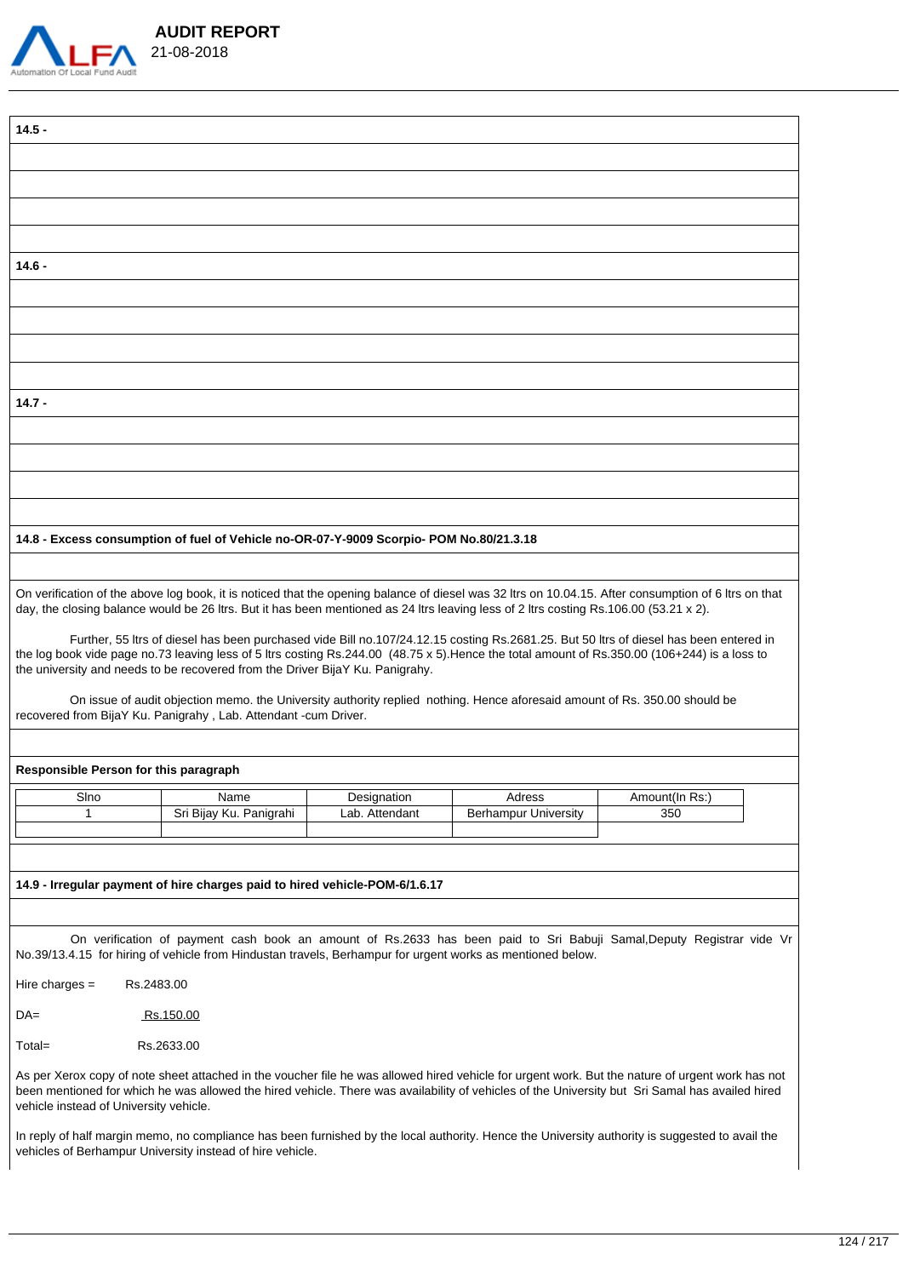

| $14.5 -$                              |                                                                                                                                                                                                                                                                                                                                                                                                                                                                                                                                                                                                                                                                          |                               |                                       |                       |
|---------------------------------------|--------------------------------------------------------------------------------------------------------------------------------------------------------------------------------------------------------------------------------------------------------------------------------------------------------------------------------------------------------------------------------------------------------------------------------------------------------------------------------------------------------------------------------------------------------------------------------------------------------------------------------------------------------------------------|-------------------------------|---------------------------------------|-----------------------|
|                                       |                                                                                                                                                                                                                                                                                                                                                                                                                                                                                                                                                                                                                                                                          |                               |                                       |                       |
|                                       |                                                                                                                                                                                                                                                                                                                                                                                                                                                                                                                                                                                                                                                                          |                               |                                       |                       |
|                                       |                                                                                                                                                                                                                                                                                                                                                                                                                                                                                                                                                                                                                                                                          |                               |                                       |                       |
|                                       |                                                                                                                                                                                                                                                                                                                                                                                                                                                                                                                                                                                                                                                                          |                               |                                       |                       |
|                                       |                                                                                                                                                                                                                                                                                                                                                                                                                                                                                                                                                                                                                                                                          |                               |                                       |                       |
| $14.6 -$                              |                                                                                                                                                                                                                                                                                                                                                                                                                                                                                                                                                                                                                                                                          |                               |                                       |                       |
|                                       |                                                                                                                                                                                                                                                                                                                                                                                                                                                                                                                                                                                                                                                                          |                               |                                       |                       |
|                                       |                                                                                                                                                                                                                                                                                                                                                                                                                                                                                                                                                                                                                                                                          |                               |                                       |                       |
|                                       |                                                                                                                                                                                                                                                                                                                                                                                                                                                                                                                                                                                                                                                                          |                               |                                       |                       |
|                                       |                                                                                                                                                                                                                                                                                                                                                                                                                                                                                                                                                                                                                                                                          |                               |                                       |                       |
| $14.7 -$                              |                                                                                                                                                                                                                                                                                                                                                                                                                                                                                                                                                                                                                                                                          |                               |                                       |                       |
|                                       |                                                                                                                                                                                                                                                                                                                                                                                                                                                                                                                                                                                                                                                                          |                               |                                       |                       |
|                                       |                                                                                                                                                                                                                                                                                                                                                                                                                                                                                                                                                                                                                                                                          |                               |                                       |                       |
|                                       |                                                                                                                                                                                                                                                                                                                                                                                                                                                                                                                                                                                                                                                                          |                               |                                       |                       |
|                                       |                                                                                                                                                                                                                                                                                                                                                                                                                                                                                                                                                                                                                                                                          |                               |                                       |                       |
|                                       |                                                                                                                                                                                                                                                                                                                                                                                                                                                                                                                                                                                                                                                                          |                               |                                       |                       |
|                                       |                                                                                                                                                                                                                                                                                                                                                                                                                                                                                                                                                                                                                                                                          |                               |                                       |                       |
|                                       | 14.8 - Excess consumption of fuel of Vehicle no-OR-07-Y-9009 Scorpio- POM No.80/21.3.18                                                                                                                                                                                                                                                                                                                                                                                                                                                                                                                                                                                  |                               |                                       |                       |
|                                       |                                                                                                                                                                                                                                                                                                                                                                                                                                                                                                                                                                                                                                                                          |                               |                                       |                       |
|                                       | On verification of the above log book, it is noticed that the opening balance of diesel was 32 ltrs on 10.04.15. After consumption of 6 ltrs on that<br>day, the closing balance would be 26 ltrs. But it has been mentioned as 24 ltrs leaving less of 2 ltrs costing Rs.106.00 (53.21 x 2).<br>Further, 55 ltrs of diesel has been purchased vide Bill no.107/24.12.15 costing Rs.2681.25. But 50 ltrs of diesel has been entered in<br>the log book vide page no.73 leaving less of 5 ltrs costing Rs.244.00 (48.75 x 5). Hence the total amount of Rs.350.00 (106+244) is a loss to<br>the university and needs to be recovered from the Driver BijaY Ku. Panigrahy. |                               |                                       |                       |
|                                       | On issue of audit objection memo. the University authority replied nothing. Hence aforesaid amount of Rs. 350.00 should be<br>recovered from BijaY Ku. Panigrahy, Lab. Attendant -cum Driver.                                                                                                                                                                                                                                                                                                                                                                                                                                                                            |                               |                                       |                       |
|                                       |                                                                                                                                                                                                                                                                                                                                                                                                                                                                                                                                                                                                                                                                          |                               |                                       |                       |
| Responsible Person for this paragraph |                                                                                                                                                                                                                                                                                                                                                                                                                                                                                                                                                                                                                                                                          |                               |                                       |                       |
|                                       |                                                                                                                                                                                                                                                                                                                                                                                                                                                                                                                                                                                                                                                                          |                               |                                       |                       |
| Sino                                  | Name<br>Sri Bijay Ku. Panigrahi                                                                                                                                                                                                                                                                                                                                                                                                                                                                                                                                                                                                                                          | Designation<br>Lab. Attendant | Adress<br><b>Berhampur University</b> | Amount(In Rs:)<br>350 |
|                                       |                                                                                                                                                                                                                                                                                                                                                                                                                                                                                                                                                                                                                                                                          |                               |                                       |                       |
|                                       |                                                                                                                                                                                                                                                                                                                                                                                                                                                                                                                                                                                                                                                                          |                               |                                       |                       |
|                                       | 14.9 - Irregular payment of hire charges paid to hired vehicle-POM-6/1.6.17                                                                                                                                                                                                                                                                                                                                                                                                                                                                                                                                                                                              |                               |                                       |                       |
|                                       |                                                                                                                                                                                                                                                                                                                                                                                                                                                                                                                                                                                                                                                                          |                               |                                       |                       |

Hire charges =  $Rs.2483.00$ DA= Rs.150.00 Total= Rs.2633.00

As per Xerox copy of note sheet attached in the voucher file he was allowed hired vehicle for urgent work. But the nature of urgent work has not been mentioned for which he was allowed the hired vehicle. There was availability of vehicles of the University but Sri Samal has availed hired vehicle instead of University vehicle.

In reply of half margin memo, no compliance has been furnished by the local authority. Hence the University authority is suggested to avail the vehicles of Berhampur University instead of hire vehicle.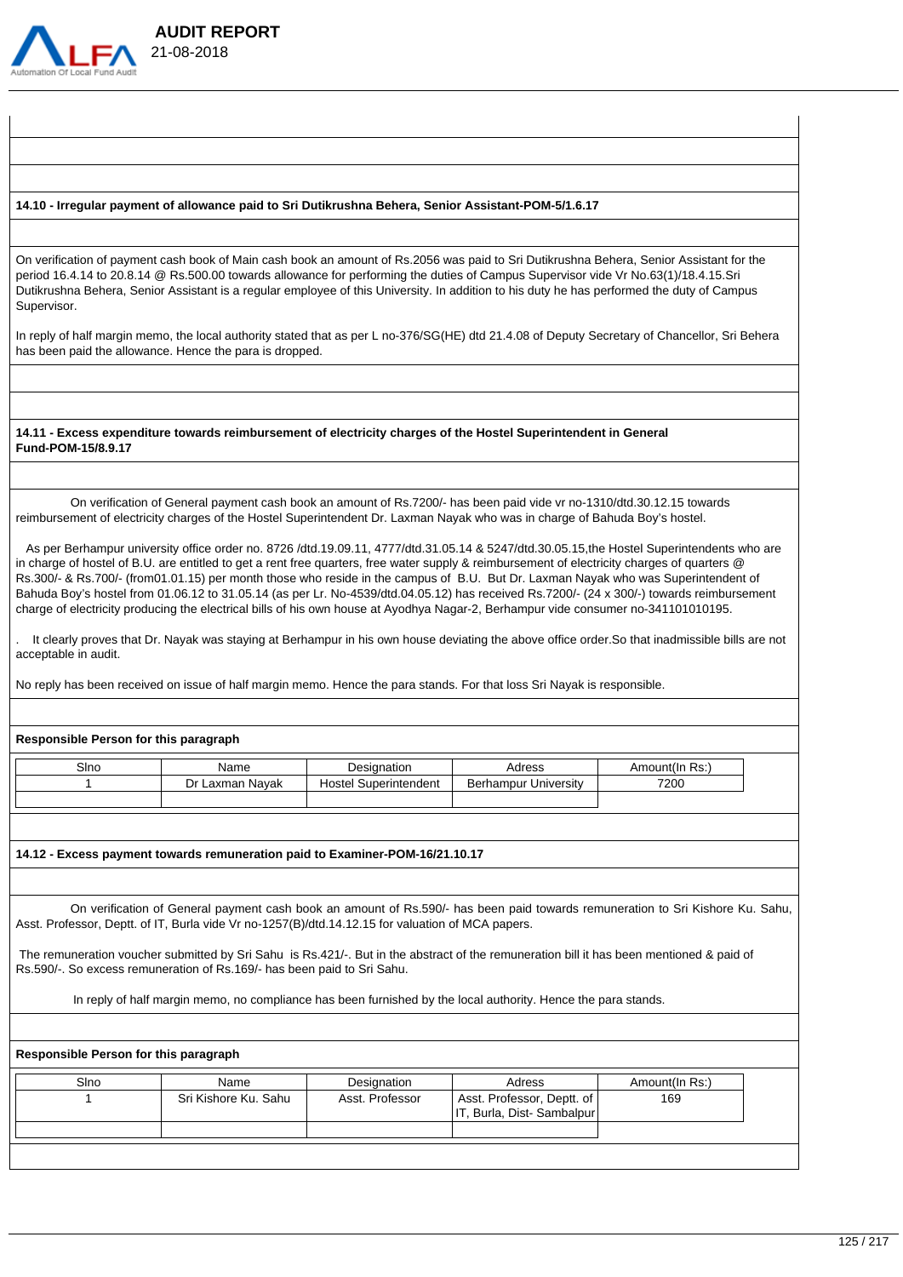

# **AUDIT REPORT**  21-08-2018

#### **14.10 - Irregular payment of allowance paid to Sri Dutikrushna Behera, Senior Assistant-POM-5/1.6.17**

On verification of payment cash book of Main cash book an amount of Rs.2056 was paid to Sri Dutikrushna Behera, Senior Assistant for the period 16.4.14 to 20.8.14 @ Rs.500.00 towards allowance for performing the duties of Campus Supervisor vide Vr No.63(1)/18.4.15.Sri Dutikrushna Behera, Senior Assistant is a regular employee of this University. In addition to his duty he has performed the duty of Campus Supervisor.

In reply of half margin memo, the local authority stated that as per L no-376/SG(HE) dtd 21.4.08 of Deputy Secretary of Chancellor, Sri Behera has been paid the allowance. Hence the para is dropped.

**14.11 - Excess expenditure towards reimbursement of electricity charges of the Hostel Superintendent in General Fund-POM-15/8.9.17**

On verification of General payment cash book an amount of Rs.7200/- has been paid vide vr no-1310/dtd.30.12.15 towards reimbursement of electricity charges of the Hostel Superintendent Dr. Laxman Nayak who was in charge of Bahuda Boy's hostel.

 As per Berhampur university office order no. 8726 /dtd.19.09.11, 4777/dtd.31.05.14 & 5247/dtd.30.05.15,the Hostel Superintendents who are in charge of hostel of B.U. are entitled to get a rent free quarters, free water supply & reimbursement of electricity charges of quarters @ Rs.300/- & Rs.700/- (from01.01.15) per month those who reside in the campus of B.U. But Dr. Laxman Nayak who was Superintendent of Bahuda Boy's hostel from 01.06.12 to 31.05.14 (as per Lr. No-4539/dtd.04.05.12) has received Rs.7200/- (24 x 300/-) towards reimbursement charge of electricity producing the electrical bills of his own house at Ayodhya Nagar-2, Berhampur vide consumer no-341101010195.

. It clearly proves that Dr. Nayak was staying at Berhampur in his own house deviating the above office order.So that inadmissible bills are not acceptable in audit.

No reply has been received on issue of half margin memo. Hence the para stands. For that loss Sri Nayak is responsible.

#### **Responsible Person for this paragraph**

| Slno | Name                      | <b>Designation</b>       | Adress                    | `⊶ت<br>\mount(In<br>. ت |
|------|---------------------------|--------------------------|---------------------------|-------------------------|
|      | Navak<br>$\sim$<br>ю<br>ັ | Hostel<br>Superintendent | Jniversitv<br>Berhampur I | 7200                    |
|      |                           |                          |                           |                         |

#### **14.12 - Excess payment towards remuneration paid to Examiner-POM-16/21.10.17**

On verification of General payment cash book an amount of Rs.590/- has been paid towards remuneration to Sri Kishore Ku. Sahu, Asst. Professor, Deptt. of IT, Burla vide Vr no-1257(B)/dtd.14.12.15 for valuation of MCA papers.

 The remuneration voucher submitted by Sri Sahu is Rs.421/-. But in the abstract of the remuneration bill it has been mentioned & paid of Rs.590/-. So excess remuneration of Rs.169/- has been paid to Sri Sahu.

In reply of half margin memo, no compliance has been furnished by the local authority. Hence the para stands.

#### **Responsible Person for this paragraph**

|  |                      | Designation     | Adress                     | Amount(In Rs:) |
|--|----------------------|-----------------|----------------------------|----------------|
|  | Sri Kishore Ku. Sahu | Asst. Professor | Asst. Professor, Deptt. of | 169            |
|  |                      |                 | IT. Burla. Dist-Sambalpur  |                |
|  |                      |                 |                            |                |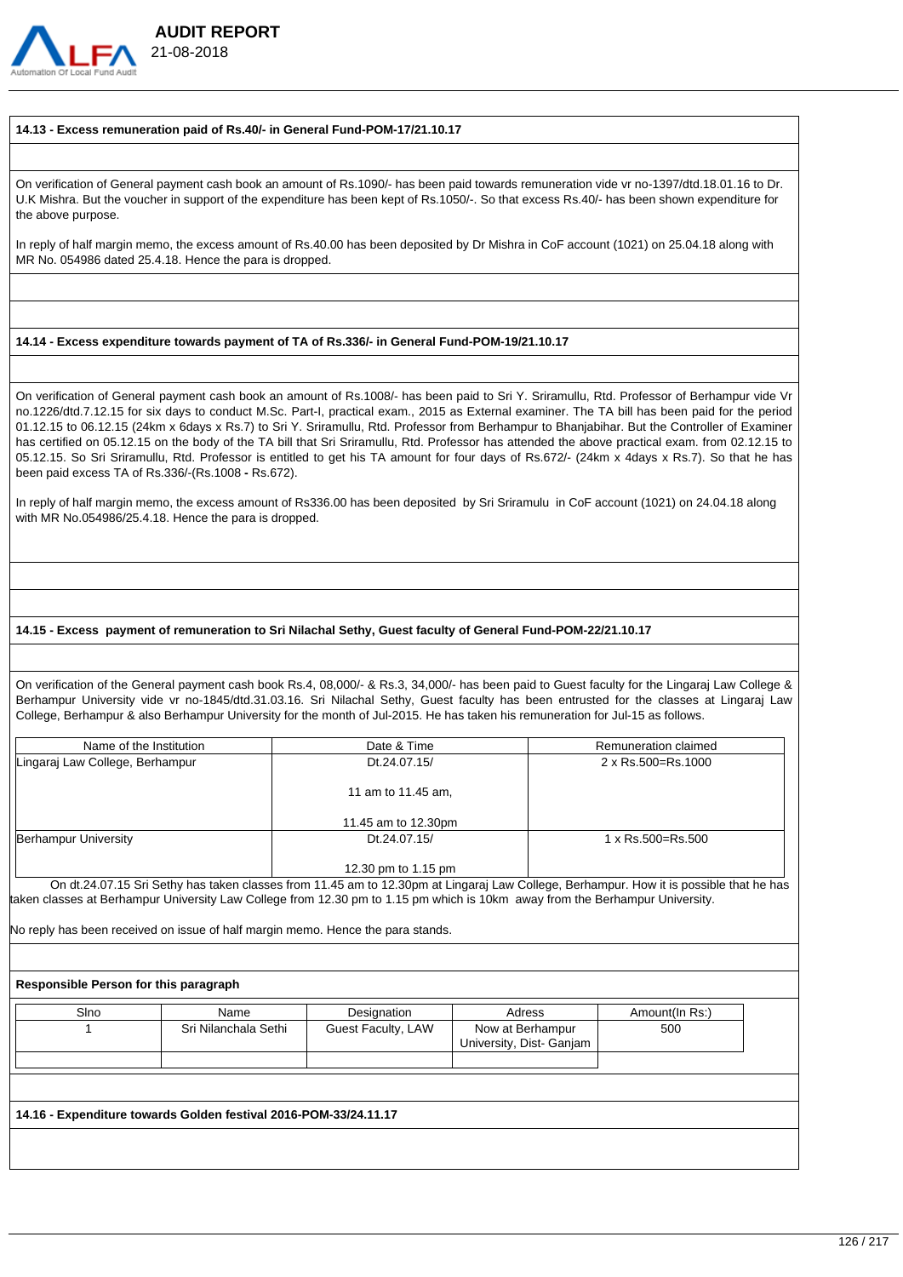

#### **14.13 - Excess remuneration paid of Rs.40/- in General Fund-POM-17/21.10.17**

 **AUDIT REPORT** 

On verification of General payment cash book an amount of Rs.1090/- has been paid towards remuneration vide vr no-1397/dtd.18.01.16 to Dr. U.K Mishra. But the voucher in support of the expenditure has been kept of Rs.1050/-. So that excess Rs.40/- has been shown expenditure for the above purpose.

In reply of half margin memo, the excess amount of Rs.40.00 has been deposited by Dr Mishra in CoF account (1021) on 25.04.18 along with MR No. 054986 dated 25.4.18. Hence the para is dropped.

## **14.14 - Excess expenditure towards payment of TA of Rs.336/- in General Fund-POM-19/21.10.17**

On verification of General payment cash book an amount of Rs.1008/- has been paid to Sri Y. Sriramullu, Rtd. Professor of Berhampur vide Vr no.1226/dtd.7.12.15 for six days to conduct M.Sc. Part-I, practical exam., 2015 as External examiner. The TA bill has been paid for the period 01.12.15 to 06.12.15 (24km x 6days x Rs.7) to Sri Y. Sriramullu, Rtd. Professor from Berhampur to Bhanjabihar. But the Controller of Examiner has certified on 05.12.15 on the body of the TA bill that Sri Sriramullu, Rtd. Professor has attended the above practical exam. from 02.12.15 to 05.12.15. So Sri Sriramullu, Rtd. Professor is entitled to get his TA amount for four days of Rs.672/- (24km x 4days x Rs.7). So that he has been paid excess TA of Rs.336/-(Rs.1008 **-** Rs.672).

In reply of half margin memo, the excess amount of Rs336.00 has been deposited by Sri Sriramulu in CoF account (1021) on 24.04.18 along with MR No.054986/25.4.18. Hence the para is dropped.

#### **14.15 - Excess payment of remuneration to Sri Nilachal Sethy, Guest faculty of General Fund-POM-22/21.10.17**

On verification of the General payment cash book Rs.4, 08,000/- & Rs.3, 34,000/- has been paid to Guest faculty for the Lingaraj Law College & Berhampur University vide vr no-1845/dtd.31.03.16. Sri Nilachal Sethy, Guest faculty has been entrusted for the classes at Lingaraj Law College, Berhampur & also Berhampur University for the month of Jul-2015. He has taken his remuneration for Jul-15 as follows.

| Name of the Institution         | Date & Time         | Remuneration claimed |
|---------------------------------|---------------------|----------------------|
| Lingaraj Law College, Berhampur | Dt.24.07.15/        | 2 x Rs.500=Rs.1000   |
|                                 | 11 am to 11.45 am,  |                      |
|                                 | 11.45 am to 12.30pm |                      |
| Berhampur University            | Dt.24.07.15/        | 1 x Rs.500=Rs.500    |
|                                 |                     |                      |
|                                 | 12.30 pm to 1.15 pm |                      |

 On dt.24.07.15 Sri Sethy has taken classes from 11.45 am to 12.30pm at Lingaraj Law College, Berhampur. How it is possible that he has taken classes at Berhampur University Law College from 12.30 pm to 1.15 pm which is 10km away from the Berhampur University.

No reply has been received on issue of half margin memo. Hence the para stands.

#### **Responsible Person for this paragraph**

| Sino | Name                 | Designation        | Adress                                       | Amount(In Rs:) |
|------|----------------------|--------------------|----------------------------------------------|----------------|
|      | Sri Nilanchala Sethi | Guest Faculty, LAW | Now at Berhampur<br>University, Dist- Ganjam | 500            |
|      |                      |                    |                                              |                |

**14.16 - Expenditure towards Golden festival 2016-POM-33/24.11.17**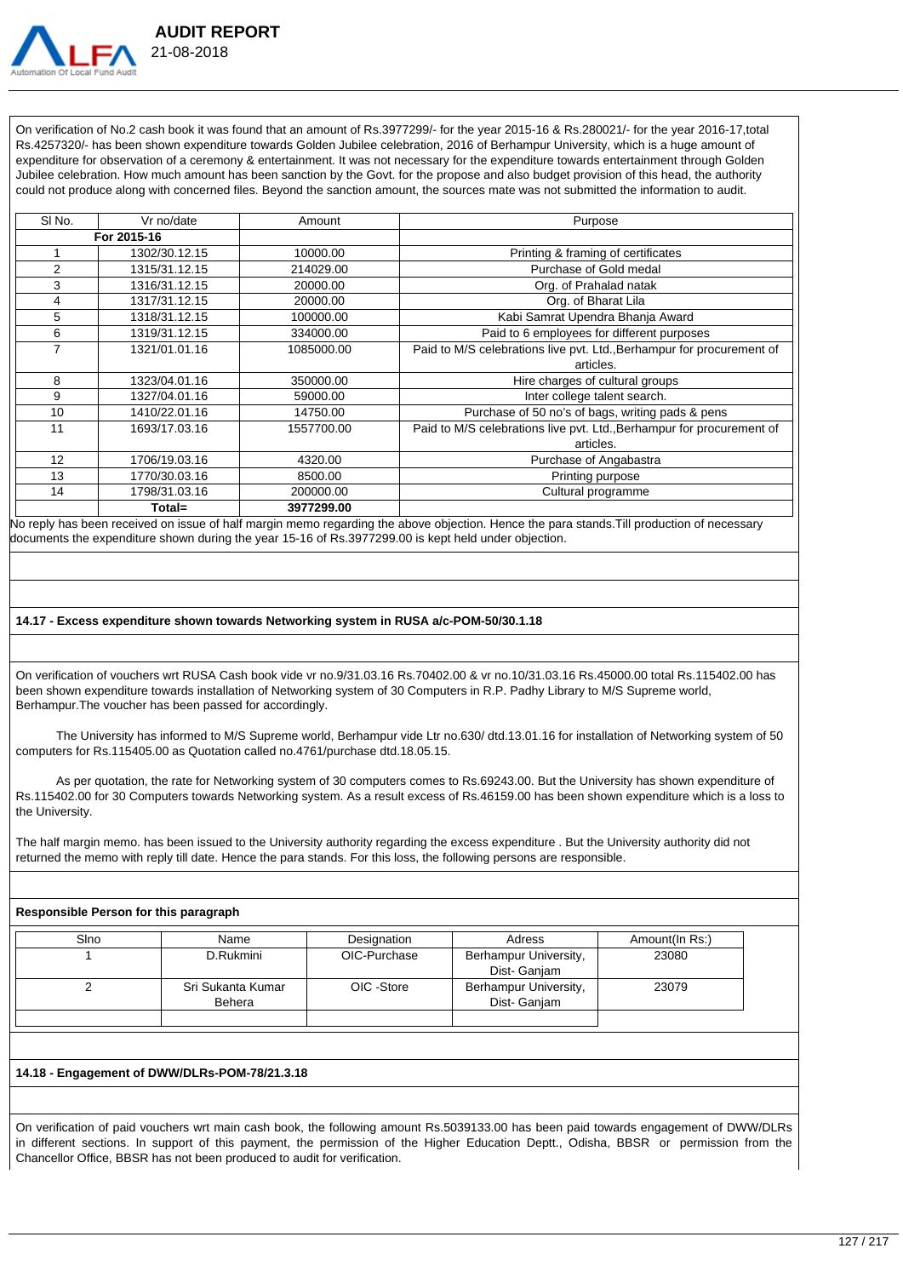

 **AUDIT REPORT** 

On verification of No.2 cash book it was found that an amount of Rs.3977299/- for the year 2015-16 & Rs.280021/- for the year 2016-17,total Rs.4257320/- has been shown expenditure towards Golden Jubilee celebration, 2016 of Berhampur University, which is a huge amount of expenditure for observation of a ceremony & entertainment. It was not necessary for the expenditure towards entertainment through Golden Jubilee celebration. How much amount has been sanction by the Govt. for the propose and also budget provision of this head, the authority could not produce along with concerned files. Beyond the sanction amount, the sources mate was not submitted the information to audit.

| SI No. | Vr no/date    | Amount     | Purpose                                                               |  |
|--------|---------------|------------|-----------------------------------------------------------------------|--|
|        | For 2015-16   |            |                                                                       |  |
|        | 1302/30.12.15 | 10000.00   | Printing & framing of certificates                                    |  |
| 2      | 1315/31.12.15 | 214029.00  | Purchase of Gold medal                                                |  |
| 3      | 1316/31.12.15 | 20000.00   | Org. of Prahalad natak                                                |  |
| 4      | 1317/31.12.15 | 20000.00   | Org. of Bharat Lila                                                   |  |
| 5      | 1318/31.12.15 | 100000.00  | Kabi Samrat Upendra Bhanja Award                                      |  |
| 6      | 1319/31.12.15 | 334000.00  | Paid to 6 employees for different purposes                            |  |
| 7      | 1321/01.01.16 | 1085000.00 | Paid to M/S celebrations live pvt. Ltd., Berhampur for procurement of |  |
|        |               |            | articles.                                                             |  |
| 8      | 1323/04.01.16 | 350000.00  | Hire charges of cultural groups                                       |  |
| 9      | 1327/04.01.16 | 59000.00   | Inter college talent search.                                          |  |
| 10     | 1410/22.01.16 | 14750.00   | Purchase of 50 no's of bags, writing pads & pens                      |  |
| 11     | 1693/17.03.16 | 1557700.00 | Paid to M/S celebrations live pvt. Ltd., Berhampur for procurement of |  |
|        |               |            | articles.                                                             |  |
| 12     | 1706/19.03.16 | 4320.00    | Purchase of Angabastra                                                |  |
| 13     | 1770/30.03.16 | 8500.00    | Printing purpose                                                      |  |
| 14     | 1798/31.03.16 | 200000.00  | Cultural programme                                                    |  |
|        | Total=        | 3977299.00 |                                                                       |  |

No reply has been received on issue of half margin memo regarding the above objection. Hence the para stands.Till production of necessary documents the expenditure shown during the year 15-16 of Rs.3977299.00 is kept held under objection.

#### **14.17 - Excess expenditure shown towards Networking system in RUSA a/c-POM-50/30.1.18**

On verification of vouchers wrt RUSA Cash book vide vr no.9/31.03.16 Rs.70402.00 & vr no.10/31.03.16 Rs.45000.00 total Rs.115402.00 has been shown expenditure towards installation of Networking system of 30 Computers in R.P. Padhy Library to M/S Supreme world, Berhampur.The voucher has been passed for accordingly.

 The University has informed to M/S Supreme world, Berhampur vide Ltr no.630/ dtd.13.01.16 for installation of Networking system of 50 computers for Rs.115405.00 as Quotation called no.4761/purchase dtd.18.05.15.

 As per quotation, the rate for Networking system of 30 computers comes to Rs.69243.00. But the University has shown expenditure of Rs.115402.00 for 30 Computers towards Networking system. As a result excess of Rs.46159.00 has been shown expenditure which is a loss to the University.

The half margin memo. has been issued to the University authority regarding the excess expenditure . But the University authority did not returned the memo with reply till date. Hence the para stands. For this loss, the following persons are responsible.

#### **Responsible Person for this paragraph**

| Slno | Name              | Designation  | Adress                | Amount(In Rs:) |
|------|-------------------|--------------|-----------------------|----------------|
|      | D.Rukmini         | OIC-Purchase | Berhampur University, | 23080          |
|      |                   |              | Dist- Ganiam          |                |
|      | Sri Sukanta Kumar | OIC -Store   | Berhampur University, | 23079          |
|      | Behera            |              | Dist- Ganiam          |                |
|      |                   |              |                       |                |

#### **14.18 - Engagement of DWW/DLRs-POM-78/21.3.18**

On verification of paid vouchers wrt main cash book, the following amount Rs.5039133.00 has been paid towards engagement of DWW/DLRs in different sections. In support of this payment, the permission of the Higher Education Deptt., Odisha, BBSR or permission from the Chancellor Office, BBSR has not been produced to audit for verification.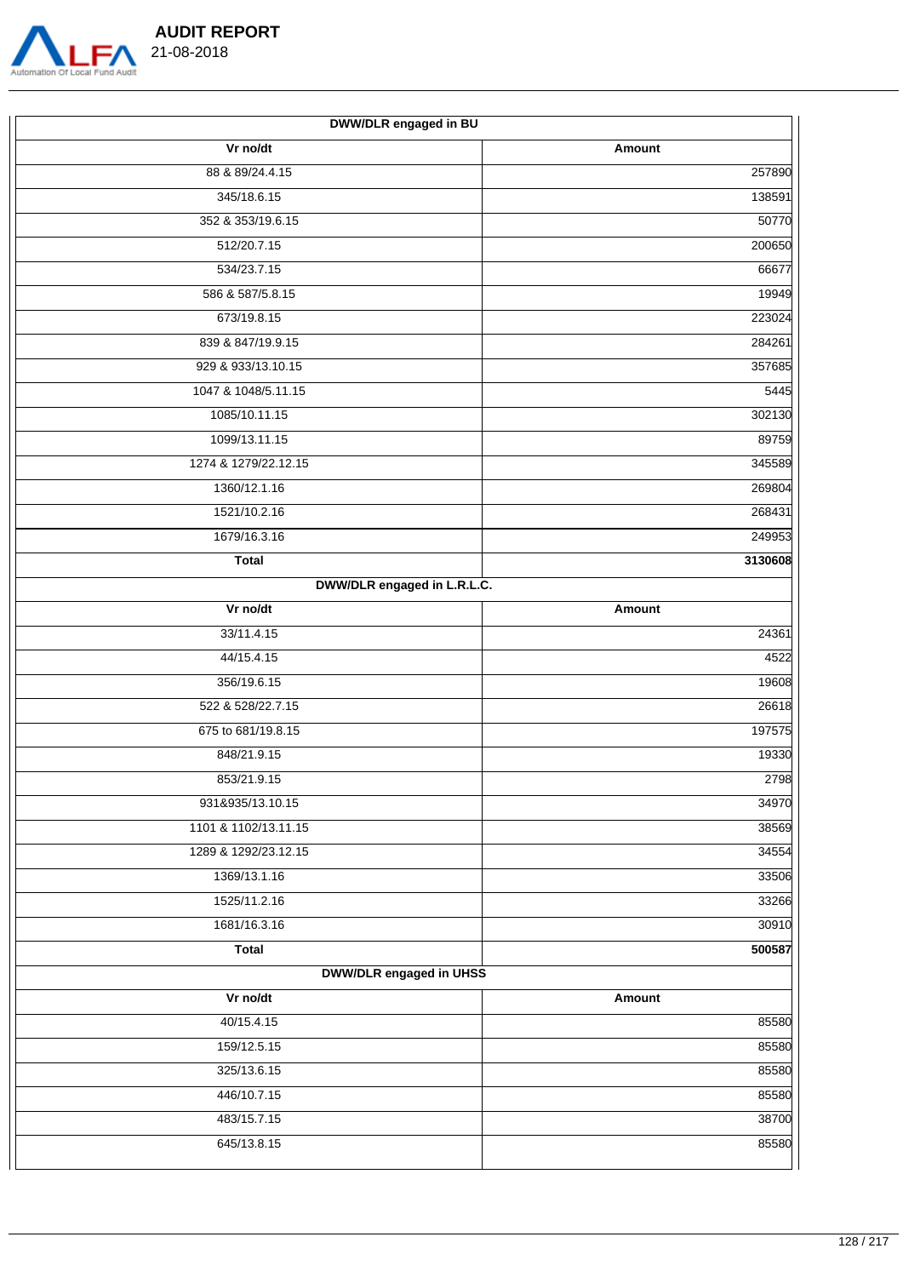

| DWW/DLR engaged in BU       |         |  |  |
|-----------------------------|---------|--|--|
| Vr no/dt                    | Amount  |  |  |
| 88 & 89/24.4.15             | 257890  |  |  |
| 345/18.6.15                 | 138591  |  |  |
| 352 & 353/19.6.15           | 50770   |  |  |
| 512/20.7.15                 | 200650  |  |  |
| 534/23.7.15                 | 66677   |  |  |
| 586 & 587/5.8.15            | 19949   |  |  |
| 673/19.8.15                 | 223024  |  |  |
| 839 & 847/19.9.15           | 284261  |  |  |
| 929 & 933/13.10.15          | 357685  |  |  |
| 1047 & 1048/5.11.15         | 5445    |  |  |
| 1085/10.11.15               | 302130  |  |  |
| 1099/13.11.15               | 89759   |  |  |
| 1274 & 1279/22.12.15        | 345589  |  |  |
| 1360/12.1.16                | 269804  |  |  |
| 1521/10.2.16                | 268431  |  |  |
| 1679/16.3.16                | 249953  |  |  |
| <b>Total</b>                | 3130608 |  |  |
| DWW/DLR engaged in L.R.L.C. |         |  |  |
| Vr no/dt                    | Amount  |  |  |
| 33/11.4.15                  | 24361   |  |  |
| 44/15.4.15                  | 4522    |  |  |
| 356/19.6.15                 | 19608   |  |  |
| 522 & 528/22.7.15           | 26618   |  |  |
| 675 to 681/19.8.15          | 197575  |  |  |
| 848/21.9.15                 | 19330   |  |  |
| 853/21.9.15                 | 2798    |  |  |
| 931&935/13.10.15            | 34970   |  |  |
| 1101 & 1102/13.11.15        | 38569   |  |  |
| 1289 & 1292/23.12.15        | 34554   |  |  |
| 1369/13.1.16                | 33506   |  |  |
| 1525/11.2.16                | 33266   |  |  |
| 1681/16.3.16                | 30910   |  |  |
| <b>Total</b>                | 500587  |  |  |
| DWW/DLR engaged in UHSS     |         |  |  |
| Vr no/dt                    | Amount  |  |  |
| 40/15.4.15                  | 85580   |  |  |
| 159/12.5.15                 | 85580   |  |  |
| 325/13.6.15                 | 85580   |  |  |
| 446/10.7.15                 | 85580   |  |  |
| 483/15.7.15                 | 38700   |  |  |
| 645/13.8.15                 | 85580   |  |  |
|                             |         |  |  |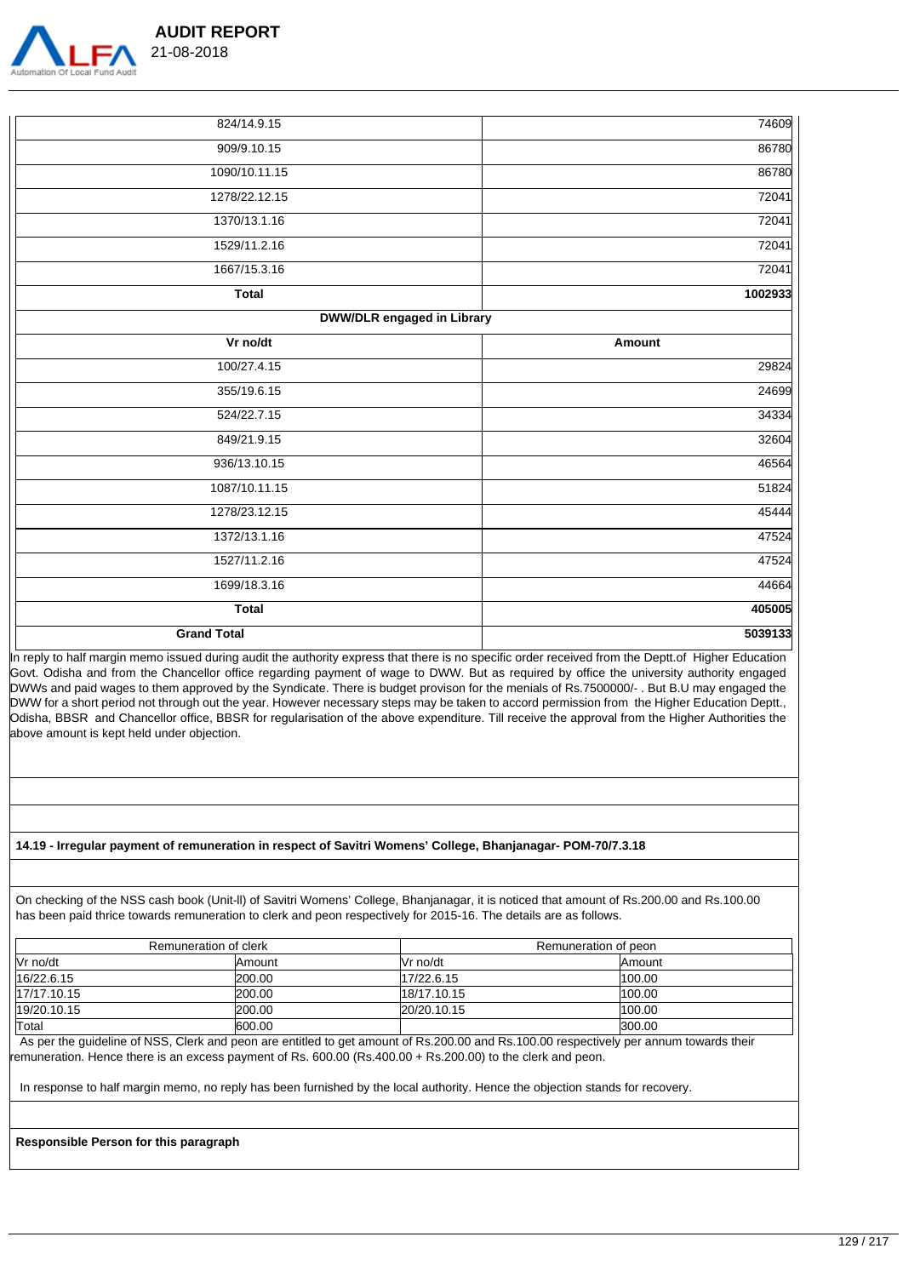

| 824/14.9.15                       | 74609   |  |
|-----------------------------------|---------|--|
| 909/9.10.15                       | 86780   |  |
| 1090/10.11.15                     | 86780   |  |
| 1278/22.12.15                     | 72041   |  |
| 1370/13.1.16                      | 72041   |  |
| 1529/11.2.16                      | 72041   |  |
| 1667/15.3.16                      | 72041   |  |
| <b>Total</b>                      | 1002933 |  |
| <b>DWW/DLR engaged in Library</b> |         |  |
| Vr no/dt                          | Amount  |  |
| 100/27.4.15                       | 29824   |  |
| 355/19.6.15                       | 24699   |  |
| 524/22.7.15                       | 34334   |  |
| 849/21.9.15                       | 32604   |  |
| 936/13.10.15                      | 46564   |  |
| 1087/10.11.15                     | 51824   |  |
| 1278/23.12.15                     | 45444   |  |
| 1372/13.1.16                      | 47524   |  |
| 1527/11.2.16                      | 47524   |  |
| 1699/18.3.16                      | 44664   |  |
| <b>Total</b>                      | 405005  |  |
| <b>Grand Total</b>                | 5039133 |  |

In reply to half margin memo issued during audit the authority express that there is no specific order received from the Deptt.of Higher Education Govt. Odisha and from the Chancellor office regarding payment of wage to DWW. But as required by office the university authority engaged DWWs and paid wages to them approved by the Syndicate. There is budget provison for the menials of Rs.7500000/- . But B.U may engaged the DWW for a short period not through out the year. However necessary steps may be taken to accord permission from the Higher Education Deptt., Odisha, BBSR and Chancellor office, BBSR for regularisation of the above expenditure. Till receive the approval from the Higher Authorities the above amount is kept held under objection.

#### **14.19 - Irregular payment of remuneration in respect of Savitri Womens' College, Bhanjanagar- POM-70/7.3.18**

On checking of the NSS cash book (Unit-ll) of Savitri Womens' College, Bhanjanagar, it is noticed that amount of Rs.200.00 and Rs.100.00 has been paid thrice towards remuneration to clerk and peon respectively for 2015-16. The details are as follows.

| Remuneration of clerk |               |             | Remuneration of peon |
|-----------------------|---------------|-------------|----------------------|
| Vr no/dt              | <b>Amount</b> | Vr no/dt    | Amount               |
| 16/22.6.15            | 200.00        | 17/22.6.15  | 100.00               |
| 17/17.10.15           | 200.00        | 18/17.10.15 | 100.00               |
| 19/20.10.15           | 200.00        | 20/20.10.15 | 100.00               |
| Total                 | 600.00        |             | 300.00               |

 As per the guideline of NSS, Clerk and peon are entitled to get amount of Rs.200.00 and Rs.100.00 respectively per annum towards their remuneration. Hence there is an excess payment of Rs. 600.00 (Rs.400.00 + Rs.200.00) to the clerk and peon.

In response to half margin memo, no reply has been furnished by the local authority. Hence the objection stands for recovery.

#### **Responsible Person for this paragraph**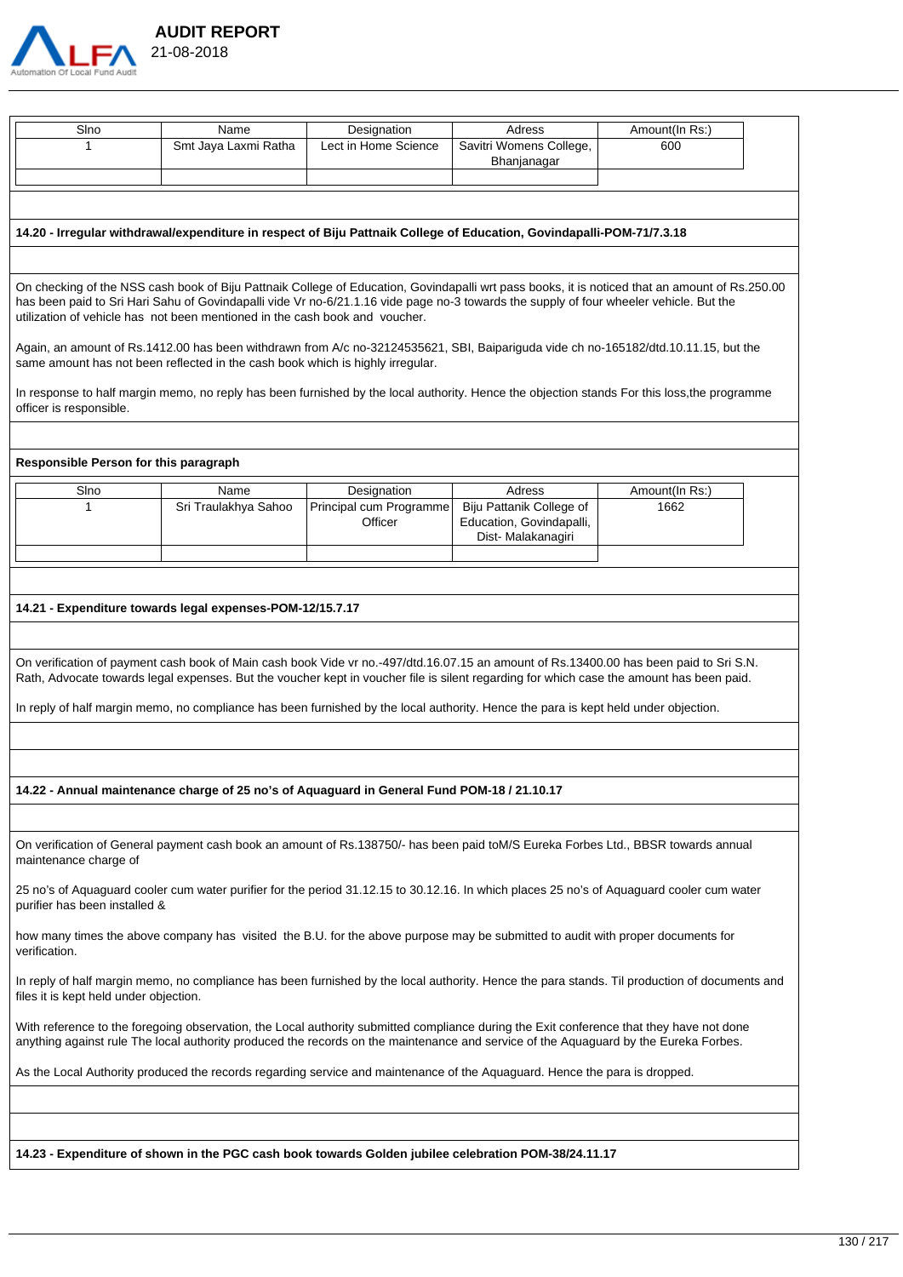

| Slno                                   | Name                                                                           | Designation                                                                                 | Adress                                                                                                                                                                                                                                                                           | Amount(In Rs:)                                                                                                                                 |
|----------------------------------------|--------------------------------------------------------------------------------|---------------------------------------------------------------------------------------------|----------------------------------------------------------------------------------------------------------------------------------------------------------------------------------------------------------------------------------------------------------------------------------|------------------------------------------------------------------------------------------------------------------------------------------------|
| 1                                      | Smt Jaya Laxmi Ratha                                                           | Lect in Home Science                                                                        | Savitri Womens College,<br>Bhanjanagar                                                                                                                                                                                                                                           | 600                                                                                                                                            |
|                                        |                                                                                |                                                                                             |                                                                                                                                                                                                                                                                                  |                                                                                                                                                |
|                                        |                                                                                |                                                                                             |                                                                                                                                                                                                                                                                                  |                                                                                                                                                |
|                                        |                                                                                |                                                                                             |                                                                                                                                                                                                                                                                                  |                                                                                                                                                |
|                                        |                                                                                |                                                                                             | 14.20 - Irregular withdrawal/expenditure in respect of Biju Pattnaik College of Education, Govindapalli-POM-71/7.3.18                                                                                                                                                            |                                                                                                                                                |
|                                        |                                                                                |                                                                                             |                                                                                                                                                                                                                                                                                  |                                                                                                                                                |
|                                        | utilization of vehicle has not been mentioned in the cash book and voucher.    |                                                                                             | has been paid to Sri Hari Sahu of Govindapalli vide Vr no-6/21.1.16 vide page no-3 towards the supply of four wheeler vehicle. But the                                                                                                                                           | On checking of the NSS cash book of Biju Pattnaik College of Education, Govindapalli wrt pass books, it is noticed that an amount of Rs.250.00 |
|                                        | same amount has not been reflected in the cash book which is highly irregular. |                                                                                             |                                                                                                                                                                                                                                                                                  | Again, an amount of Rs.1412.00 has been withdrawn from A/c no-32124535621, SBI, Baipariguda vide ch no-165182/dtd.10.11.15, but the            |
| officer is responsible.                |                                                                                |                                                                                             |                                                                                                                                                                                                                                                                                  | In response to half margin memo, no reply has been furnished by the local authority. Hence the objection stands For this loss, the programme   |
|                                        |                                                                                |                                                                                             |                                                                                                                                                                                                                                                                                  |                                                                                                                                                |
| Responsible Person for this paragraph  |                                                                                |                                                                                             |                                                                                                                                                                                                                                                                                  |                                                                                                                                                |
|                                        |                                                                                |                                                                                             |                                                                                                                                                                                                                                                                                  |                                                                                                                                                |
| Slno                                   | Name                                                                           | Designation                                                                                 | Adress                                                                                                                                                                                                                                                                           | Amount(In Rs:)                                                                                                                                 |
| 1                                      | Sri Traulakhya Sahoo                                                           | Principal cum Programme<br>Officer                                                          | Biju Pattanik College of<br>Education, Govindapalli,<br>Dist-Malakanagiri                                                                                                                                                                                                        | 1662                                                                                                                                           |
|                                        |                                                                                |                                                                                             |                                                                                                                                                                                                                                                                                  |                                                                                                                                                |
|                                        |                                                                                |                                                                                             |                                                                                                                                                                                                                                                                                  |                                                                                                                                                |
|                                        | 14.21 - Expenditure towards legal expenses-POM-12/15.7.17                      |                                                                                             |                                                                                                                                                                                                                                                                                  |                                                                                                                                                |
|                                        |                                                                                |                                                                                             |                                                                                                                                                                                                                                                                                  |                                                                                                                                                |
|                                        |                                                                                |                                                                                             |                                                                                                                                                                                                                                                                                  |                                                                                                                                                |
|                                        |                                                                                |                                                                                             |                                                                                                                                                                                                                                                                                  | On verification of payment cash book of Main cash book Vide vr no.-497/dtd.16.07.15 an amount of Rs.13400.00 has been paid to Sri S.N.         |
|                                        |                                                                                |                                                                                             |                                                                                                                                                                                                                                                                                  | Rath, Advocate towards legal expenses. But the voucher kept in voucher file is silent regarding for which case the amount has been paid.       |
|                                        |                                                                                |                                                                                             | In reply of half margin memo, no compliance has been furnished by the local authority. Hence the para is kept held under objection.                                                                                                                                              |                                                                                                                                                |
|                                        |                                                                                |                                                                                             |                                                                                                                                                                                                                                                                                  |                                                                                                                                                |
|                                        |                                                                                |                                                                                             |                                                                                                                                                                                                                                                                                  |                                                                                                                                                |
|                                        |                                                                                |                                                                                             |                                                                                                                                                                                                                                                                                  |                                                                                                                                                |
|                                        |                                                                                | 14.22 - Annual maintenance charge of 25 no's of Aquaguard in General Fund POM-18 / 21.10.17 |                                                                                                                                                                                                                                                                                  |                                                                                                                                                |
|                                        |                                                                                |                                                                                             |                                                                                                                                                                                                                                                                                  |                                                                                                                                                |
|                                        |                                                                                |                                                                                             |                                                                                                                                                                                                                                                                                  |                                                                                                                                                |
| maintenance charge of                  |                                                                                |                                                                                             |                                                                                                                                                                                                                                                                                  | On verification of General payment cash book an amount of Rs.138750/- has been paid toM/S Eureka Forbes Ltd., BBSR towards annual              |
| purifier has been installed &          |                                                                                |                                                                                             |                                                                                                                                                                                                                                                                                  | 25 no's of Aquaguard cooler cum water purifier for the period 31.12.15 to 30.12.16. In which places 25 no's of Aquaguard cooler cum water      |
| verification.                          |                                                                                |                                                                                             | how many times the above company has visited the B.U. for the above purpose may be submitted to audit with proper documents for                                                                                                                                                  |                                                                                                                                                |
|                                        |                                                                                |                                                                                             |                                                                                                                                                                                                                                                                                  |                                                                                                                                                |
| files it is kept held under objection. |                                                                                |                                                                                             |                                                                                                                                                                                                                                                                                  | In reply of half margin memo, no compliance has been furnished by the local authority. Hence the para stands. Til production of documents and  |
|                                        |                                                                                |                                                                                             | With reference to the foregoing observation, the Local authority submitted compliance during the Exit conference that they have not done<br>anything against rule The local authority produced the records on the maintenance and service of the Aquaguard by the Eureka Forbes. |                                                                                                                                                |
|                                        |                                                                                |                                                                                             | As the Local Authority produced the records regarding service and maintenance of the Aquaguard. Hence the para is dropped.                                                                                                                                                       |                                                                                                                                                |
|                                        |                                                                                |                                                                                             |                                                                                                                                                                                                                                                                                  |                                                                                                                                                |
|                                        |                                                                                |                                                                                             |                                                                                                                                                                                                                                                                                  |                                                                                                                                                |
|                                        |                                                                                |                                                                                             |                                                                                                                                                                                                                                                                                  |                                                                                                                                                |

**14.23 - Expenditure of shown in the PGC cash book towards Golden jubilee celebration POM-38/24.11.17**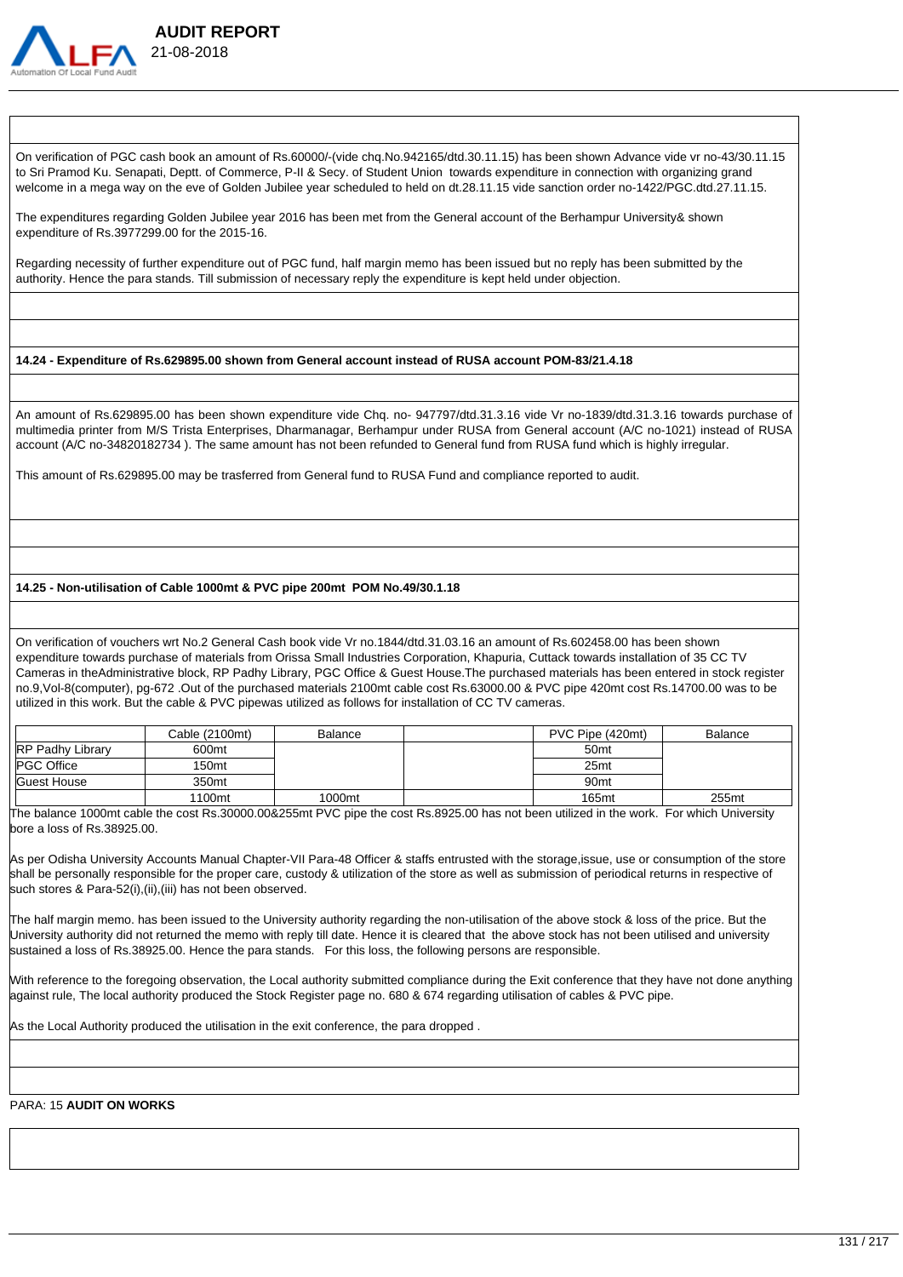

On verification of PGC cash book an amount of Rs.60000/-(vide chq.No.942165/dtd.30.11.15) has been shown Advance vide vr no-43/30.11.15 to Sri Pramod Ku. Senapati, Deptt. of Commerce, P-II & Secy. of Student Union towards expenditure in connection with organizing grand welcome in a mega way on the eve of Golden Jubilee year scheduled to held on dt.28.11.15 vide sanction order no-1422/PGC.dtd.27.11.15.

The expenditures regarding Golden Jubilee year 2016 has been met from the General account of the Berhampur University& shown expenditure of Rs.3977299.00 for the 2015-16.

Regarding necessity of further expenditure out of PGC fund, half margin memo has been issued but no reply has been submitted by the authority. Hence the para stands. Till submission of necessary reply the expenditure is kept held under objection.

#### **14.24 - Expenditure of Rs.629895.00 shown from General account instead of RUSA account POM-83/21.4.18**

An amount of Rs.629895.00 has been shown expenditure vide Chq. no- 947797/dtd.31.3.16 vide Vr no-1839/dtd.31.3.16 towards purchase of multimedia printer from M/S Trista Enterprises, Dharmanagar, Berhampur under RUSA from General account (A/C no-1021) instead of RUSA account (A/C no-34820182734 ). The same amount has not been refunded to General fund from RUSA fund which is highly irregular.

This amount of Rs.629895.00 may be trasferred from General fund to RUSA Fund and compliance reported to audit.

## **14.25 - Non-utilisation of Cable 1000mt & PVC pipe 200mt POM No.49/30.1.18**

 **AUDIT REPORT** 

On verification of vouchers wrt No.2 General Cash book vide Vr no.1844/dtd.31.03.16 an amount of Rs.602458.00 has been shown expenditure towards purchase of materials from Orissa Small Industries Corporation, Khapuria, Cuttack towards installation of 35 CC TV Cameras in theAdministrative block, RP Padhy Library, PGC Office & Guest House.The purchased materials has been entered in stock register no.9,Vol-8(computer), pg-672 .Out of the purchased materials 2100mt cable cost Rs.63000.00 & PVC pipe 420mt cost Rs.14700.00 was to be utilized in this work. But the cable & PVC pipewas utilized as follows for installation of CC TV cameras.

|                  | Cable (2100mt)    | <b>Balance</b>     | PVC Pipe (420mt) | Balance |
|------------------|-------------------|--------------------|------------------|---------|
| RP Padhy Library | 600 <sub>mt</sub> |                    | 50 <sub>mt</sub> |         |
| PGC Office       | 150mt             |                    | 25mt             |         |
| Guest House      | 350mt             |                    | 90 <sub>mt</sub> |         |
|                  | 1100mt            | 1000 <sub>mt</sub> | 165mt            | 255mt   |

The balance 1000mt cable the cost Rs.30000.00&255mt PVC pipe the cost Rs.8925.00 has not been utilized in the work. For which University bore a loss of Rs.38925.00.

As per Odisha University Accounts Manual Chapter-VII Para-48 Officer & staffs entrusted with the storage,issue, use or consumption of the store shall be personally responsible for the proper care, custody & utilization of the store as well as submission of periodical returns in respective of such stores & Para-52(i),(ii),(iii) has not been observed.

The half margin memo. has been issued to the University authority regarding the non-utilisation of the above stock & loss of the price. But the University authority did not returned the memo with reply till date. Hence it is cleared that the above stock has not been utilised and university sustained a loss of Rs.38925.00. Hence the para stands. For this loss, the following persons are responsible.

With reference to the foregoing observation, the Local authority submitted compliance during the Exit conference that they have not done anything against rule, The local authority produced the Stock Register page no. 680 & 674 regarding utilisation of cables & PVC pipe.

As the Local Authority produced the utilisation in the exit conference, the para dropped .

#### PARA: 15 **AUDIT ON WORKS**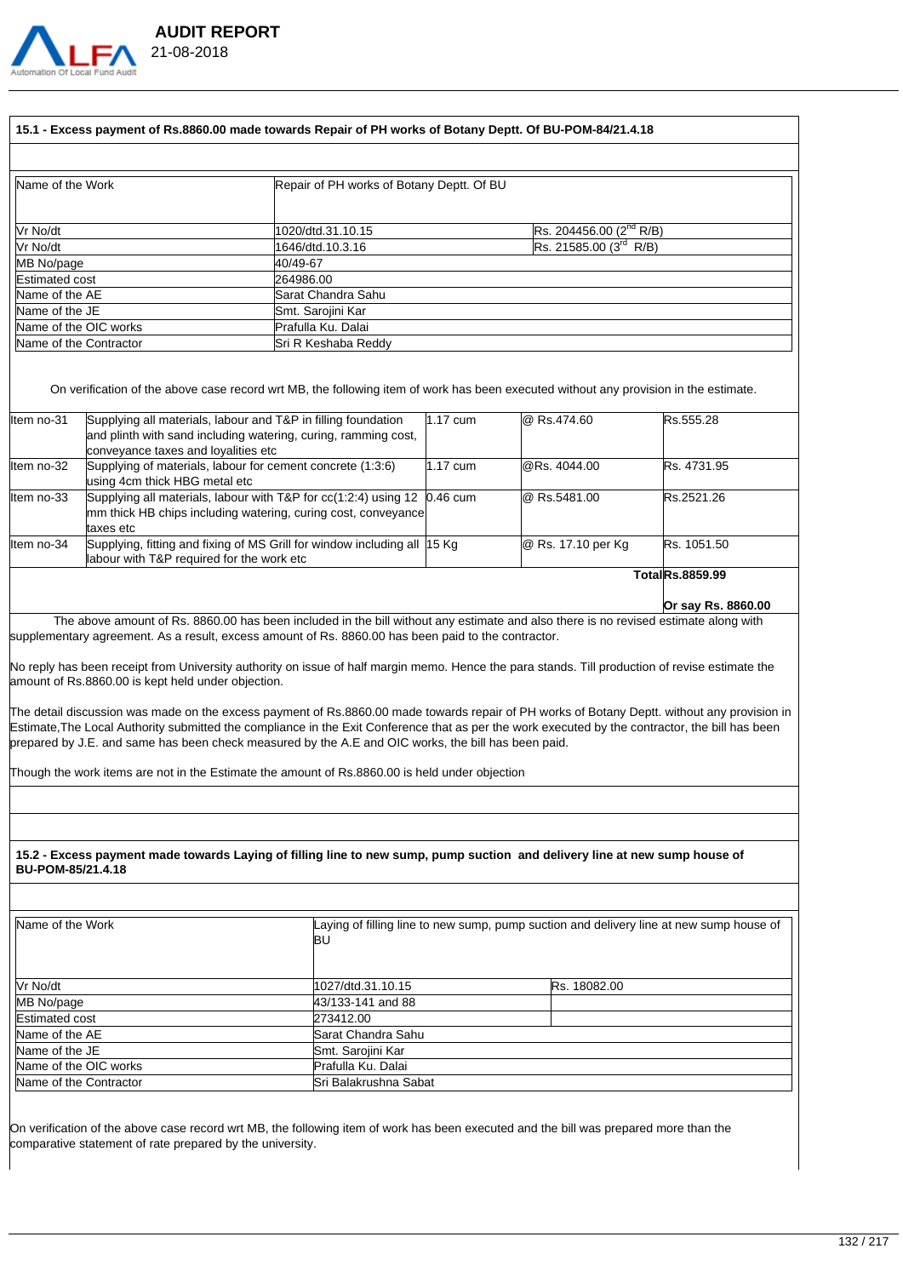

#### **15.1 - Excess payment of Rs.8860.00 made towards Repair of PH works of Botany Deptt. Of BU-POM-84/21.4.18**

 **AUDIT REPORT** 

| Name of the Work       | Repair of PH works of Botany Deptt. Of BU |                                               |
|------------------------|-------------------------------------------|-----------------------------------------------|
|                        |                                           |                                               |
| Vr No/dt               | l1020/dtd.31.10.15                        | RS. 204456.00 (2 <sup>nd</sup> R/B)           |
| Vr No/dt               | l1646/dtd.10.3.16                         | $\textsf{Rs.}$ 21585.00 (3 <sup>rd</sup> R/B) |
| MB No/page             | 40/49-67                                  |                                               |
| <b>Estimated cost</b>  | 264986.00                                 |                                               |
| Name of the AE         | Sarat Chandra Sahu                        |                                               |
| Name of the JE         | Smt. Sarojini Kar                         |                                               |
| Name of the OIC works  | Prafulla Ku. Dalai                        |                                               |
| Name of the Contractor | Sri R Keshaba Reddy                       |                                               |

On verification of the above case record wrt MB, the following item of work has been executed without any provision in the estimate.

| Item no-31 | Supplying all materials, labour and T&P in filling foundation                                                         | $1.17 \text{ cum}$ | $ @$ Rs.474.60     | Rs.555.28          |
|------------|-----------------------------------------------------------------------------------------------------------------------|--------------------|--------------------|--------------------|
|            | and plinth with sand including watering, curing, ramming cost,                                                        |                    |                    |                    |
|            | conveyance taxes and loyalities etc                                                                                   |                    |                    |                    |
| Item no-32 | Supplying of materials, labour for cement concrete (1:3:6)<br>using 4cm thick HBG metal etc                           | 1.17 cum           | @Rs.4044.00        | Rs. 4731.95        |
| Item no-33 | Supplying all materials, labour with T&P for cc(1:2:4) using 12 0.46 cum                                              |                    | $ @$ Rs.5481.00    | Rs.2521.26         |
|            | mm thick HB chips including watering, curing cost, conveyance                                                         |                    |                    |                    |
|            | taxes etc                                                                                                             |                    |                    |                    |
| Item no-34 | Supplying, fitting and fixing of MS Grill for window including all 15 Kg<br>labour with T&P required for the work etc |                    | @ Rs. 17.10 per Kg | <b>Rs. 1051.50</b> |
|            |                                                                                                                       |                    |                    | TotalRs.8859.99    |

**Or say Rs. 8860.00**

 The above amount of Rs. 8860.00 has been included in the bill without any estimate and also there is no revised estimate along with supplementary agreement. As a result, excess amount of Rs. 8860.00 has been paid to the contractor.

No reply has been receipt from University authority on issue of half margin memo. Hence the para stands. Till production of revise estimate the amount of Rs.8860.00 is kept held under objection.

The detail discussion was made on the excess payment of Rs.8860.00 made towards repair of PH works of Botany Deptt. without any provision in Estimate,The Local Authority submitted the compliance in the Exit Conference that as per the work executed by the contractor, the bill has been prepared by J.E. and same has been check measured by the A.E and OIC works, the bill has been paid.

Though the work items are not in the Estimate the amount of Rs.8860.00 is held under objection

#### **15.2 - Excess payment made towards Laying of filling line to new sump, pump suction and delivery line at new sump house of BU-POM-85/21.4.18**

| Name of the Work       | ΒU                           | Laying of filling line to new sump, pump suction and delivery line at new sump house of |  |
|------------------------|------------------------------|-----------------------------------------------------------------------------------------|--|
| Vr No/dt               | 1027/dtd.31.10.15            | Rs. 18082.00                                                                            |  |
| MB No/page             | 43/133-141 and 88            |                                                                                         |  |
| <b>Estimated cost</b>  | 273412.00                    |                                                                                         |  |
| Name of the AE         | Sarat Chandra Sahu           |                                                                                         |  |
| Name of the JE         | Smt. Sarojini Kar            |                                                                                         |  |
| Name of the OIC works  | Prafulla Ku. Dalai           |                                                                                         |  |
| Name of the Contractor | <b>Sri Balakrushna Sabat</b> |                                                                                         |  |

On verification of the above case record wrt MB, the following item of work has been executed and the bill was prepared more than the comparative statement of rate prepared by the university.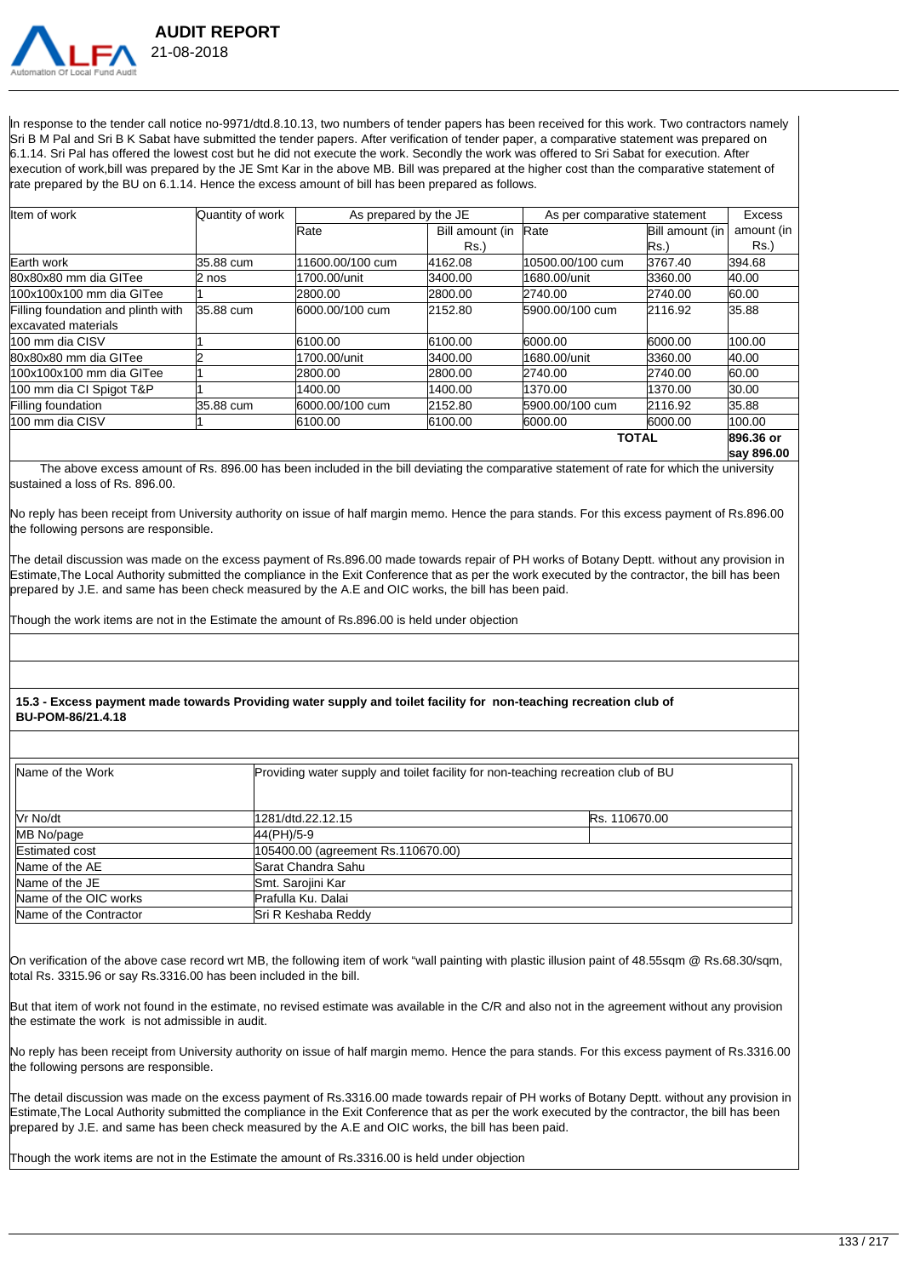

 **AUDIT REPORT** 

In response to the tender call notice no-9971/dtd.8.10.13, two numbers of tender papers has been received for this work. Two contractors namely Sri B M Pal and Sri B K Sabat have submitted the tender papers. After verification of tender paper, a comparative statement was prepared on 6.1.14. Sri Pal has offered the lowest cost but he did not execute the work. Secondly the work was offered to Sri Sabat for execution. After execution of work,bill was prepared by the JE Smt Kar in the above MB. Bill was prepared at the higher cost than the comparative statement of rate prepared by the BU on 6.1.14. Hence the excess amount of bill has been prepared as follows.

| lltem of work                      | Quantity of work | As prepared by the JE |                 | As per comparative statement |                 | <b>Excess</b> |
|------------------------------------|------------------|-----------------------|-----------------|------------------------------|-----------------|---------------|
|                                    |                  | Rate                  | Bill amount (in | Rate                         | Bill amount (in | amount (in    |
|                                    |                  |                       | Rs.             |                              | IRs.)           | Rs.)          |
| Earth work                         | 35.88 cum        | l11600.00/100 cum     | 4162.08         | l10500.00/100 cum            | 3767.40         | 394.68        |
| 80x80x80 mm dia GITee              | 2 nos            | 1700.00/unit          | 3400.00         | 1680.00/unit                 | 3360.00         | 40.00         |
| l100x100x100 mm dia GITee          |                  | 2800.00               | 2800.00         | 2740.00                      | 2740.00         | 60.00         |
| Filling foundation and plinth with | 35.88 cum        | 6000.00/100 cum       | 2152.80         | 5900.00/100 cum              | 2116.92         | 35.88         |
| lexcavated materials               |                  |                       |                 |                              |                 |               |
| l100 mm dia CISV                   |                  | 6100.00               | 6100.00         | 6000.00                      | 6000.00         | 100.00        |
| 80x80x80 mm dia GITee              |                  | 1700.00/unit          | 3400.00         | 1680.00/unit                 | 3360.00         | 40.00         |
| l100x100x100 mm dia GITee          |                  | 2800.00               | 2800.00         | 2740.00                      | 2740.00         | 60.00         |
| 100 mm dia CI Spigot T&P           |                  | 1400.00               | 1400.00         | 1370.00                      | 1370.00         | 30.00         |
| Filling foundation                 | 35.88 cum        | 6000.00/100 cum       | 2152.80         | 5900.00/100 cum              | 2116.92         | 35.88         |
| l100 mm dia CISV                   |                  | 6100.00               | 6100.00         | 6000.00                      | 6000.00         | 100.00        |
|                                    |                  |                       |                 | <b>TOTAL</b>                 |                 | 896.36 or     |

**say 896.00**

 The above excess amount of Rs. 896.00 has been included in the bill deviating the comparative statement of rate for which the university sustained a loss of Rs. 896.00.

No reply has been receipt from University authority on issue of half margin memo. Hence the para stands. For this excess payment of Rs.896.00 the following persons are responsible.

The detail discussion was made on the excess payment of Rs.896.00 made towards repair of PH works of Botany Deptt. without any provision in Estimate,The Local Authority submitted the compliance in the Exit Conference that as per the work executed by the contractor, the bill has been prepared by J.E. and same has been check measured by the A.E and OIC works, the bill has been paid.

Though the work items are not in the Estimate the amount of Rs.896.00 is held under objection

#### **15.3 - Excess payment made towards Providing water supply and toilet facility for non-teaching recreation club of BU-POM-86/21.4.18**

| l Name of the Work     |                                    | Providing water supply and toilet facility for non-teaching recreation club of BU |  |  |  |
|------------------------|------------------------------------|-----------------------------------------------------------------------------------|--|--|--|
| l IVr No/dt            | 1281/dtd.22.12.15                  | <b>Rs. 110670.00</b>                                                              |  |  |  |
| MB No/page             | 44(PH)/5-9                         |                                                                                   |  |  |  |
| Estimated cost         | 105400.00 (agreement Rs.110670.00) |                                                                                   |  |  |  |
| l Name of the AE       | Sarat Chandra Sahu                 |                                                                                   |  |  |  |
| l Name of the JE       | Smt. Sarojini Kar                  |                                                                                   |  |  |  |
| Mame of the OIC works  | Prafulla Ku. Dalai                 |                                                                                   |  |  |  |
| Name of the Contractor | Sri R Keshaba Reddy                |                                                                                   |  |  |  |

On verification of the above case record wrt MB, the following item of work "wall painting with plastic illusion paint of 48.55sqm @ Rs.68.30/sqm, total Rs. 3315.96 or say Rs.3316.00 has been included in the bill.

But that item of work not found in the estimate, no revised estimate was available in the C/R and also not in the agreement without any provision the estimate the work is not admissible in audit.

No reply has been receipt from University authority on issue of half margin memo. Hence the para stands. For this excess payment of Rs.3316.00 the following persons are responsible.

The detail discussion was made on the excess payment of Rs.3316.00 made towards repair of PH works of Botany Deptt. without any provision in Estimate,The Local Authority submitted the compliance in the Exit Conference that as per the work executed by the contractor, the bill has been prepared by J.E. and same has been check measured by the A.E and OIC works, the bill has been paid.

Though the work items are not in the Estimate the amount of Rs.3316.00 is held under objection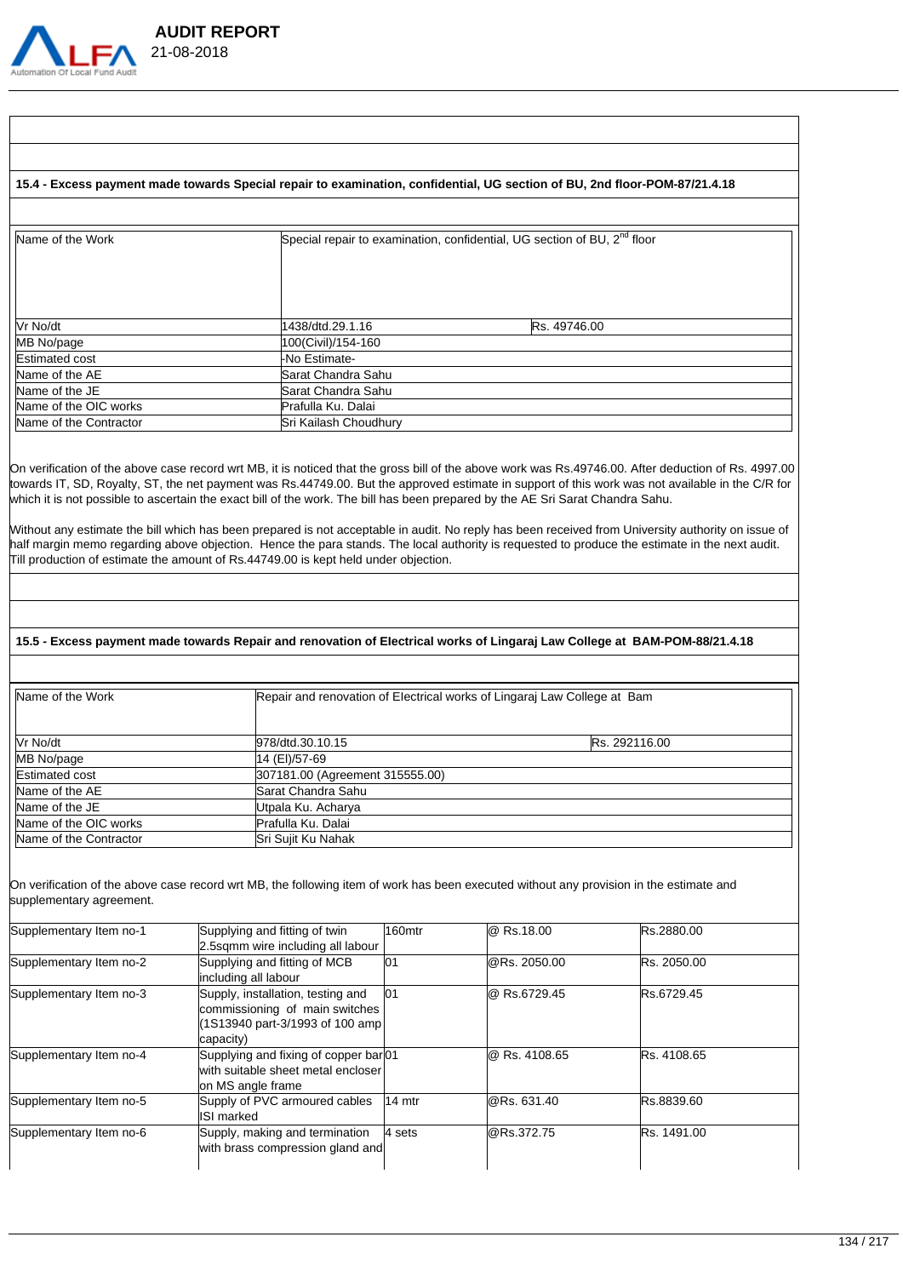

# **AUDIT REPORT**  21-08-2018

# **15.4 - Excess payment made towards Special repair to examination, confidential, UG section of BU, 2nd floor-POM-87/21.4.18**

| Name of the Work       | Special repair to examination, confidential, UG section of BU, 2 <sup>nd</sup> floor |              |
|------------------------|--------------------------------------------------------------------------------------|--------------|
| Vr No/dt               | 1438/dtd.29.1.16                                                                     | Rs. 49746.00 |
| MB No/page             | 100(Civil)/154-160                                                                   |              |
| Estimated cost         | -No Estimate-                                                                        |              |
| Name of the AE         | Sarat Chandra Sahu                                                                   |              |
| Name of the JE         | Sarat Chandra Sahu                                                                   |              |
| Name of the OIC works  | Prafulla Ku. Dalai                                                                   |              |
| Name of the Contractor | Sri Kailash Choudhury                                                                |              |

On verification of the above case record wrt MB, it is noticed that the gross bill of the above work was Rs.49746.00. After deduction of Rs. 4997.00 towards IT, SD, Royalty, ST, the net payment was Rs.44749.00. But the approved estimate in support of this work was not available in the C/R for which it is not possible to ascertain the exact bill of the work. The bill has been prepared by the AE Sri Sarat Chandra Sahu.

Without any estimate the bill which has been prepared is not acceptable in audit. No reply has been received from University authority on issue of half margin memo regarding above objection. Hence the para stands. The local authority is requested to produce the estimate in the next audit. Till production of estimate the amount of Rs.44749.00 is kept held under objection.

#### **15.5 - Excess payment made towards Repair and renovation of EIectrical works of Lingaraj Law College at BAM-POM-88/21.4.18**

| Name of the Work       |                                 | Repair and renovation of Electrical works of Lingaraj Law College at Bam |  |
|------------------------|---------------------------------|--------------------------------------------------------------------------|--|
| Vr No/dt               | 978/dtd.30.10.15                | Rs. 292116.00                                                            |  |
| MB No/page             | 14 (EI)/57-69                   |                                                                          |  |
| <b>Estimated cost</b>  | 307181.00 (Agreement 315555.00) |                                                                          |  |
| Name of the AE         | Sarat Chandra Sahu              |                                                                          |  |
| Name of the JE         | Utpala Ku. Acharya              |                                                                          |  |
| Name of the OIC works  | Prafulla Ku. Dalai              |                                                                          |  |
| Name of the Contractor | Sri Sujit Ku Nahak              |                                                                          |  |

On verification of the above case record wrt MB, the following item of work has been executed without any provision in the estimate and supplementary agreement.

| Supplementary Item no-1 | Supplying and fitting of twin<br>2.5sgmm wire including all labour                                                   | 160mtr | @ Rs.18.00    | Rs.2880.00         |
|-------------------------|----------------------------------------------------------------------------------------------------------------------|--------|---------------|--------------------|
| Supplementary Item no-2 | Supplying and fitting of MCB<br>including all labour                                                                 | 01     | @Rs. 2050.00  | <b>Rs. 2050.00</b> |
| Supplementary Item no-3 | Supply, installation, testing and<br>commissioning of main switches<br>(1S13940 part-3/1993 of 100 amp)<br>capacity) | 01     | @ Rs.6729.45  | Rs.6729.45         |
| Supplementary Item no-4 | Supplying and fixing of copper bar01<br>with suitable sheet metal encloser<br>on MS angle frame                      |        | @ Rs. 4108.65 | Rs. 4108.65        |
| Supplementary Item no-5 | Supply of PVC armoured cables<br>ISI marked                                                                          | 14 mtr | @Rs. 631.40   | Rs.8839.60         |
| Supplementary Item no-6 | Supply, making and termination<br>with brass compression gland and                                                   | 4 sets | @Rs.372.75    | Rs. 1491.00        |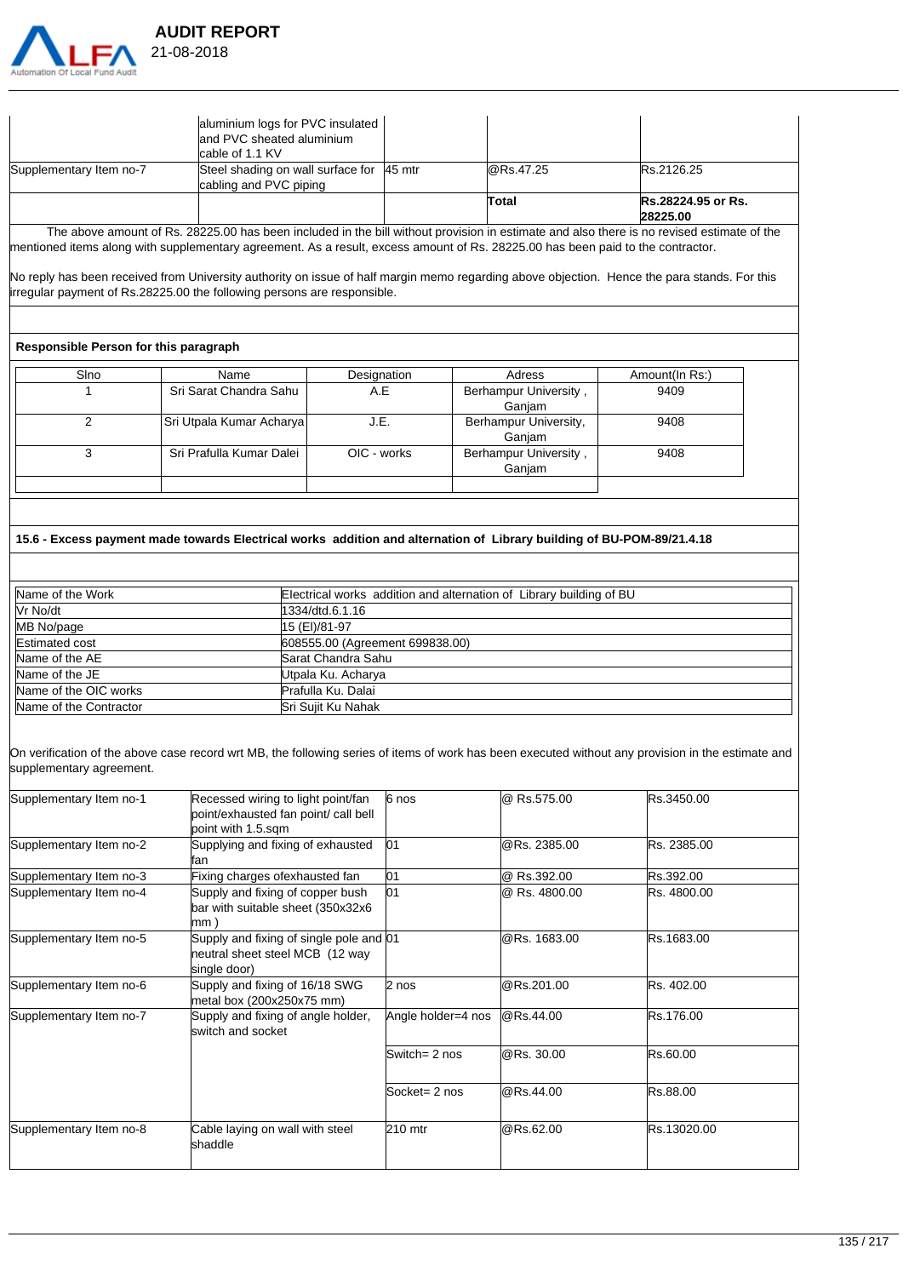

|                         | aluminium logs for PVC insulated<br>and PVC sheated aluminium<br>cable of 1.1 KV |                  |                                       |
|-------------------------|----------------------------------------------------------------------------------|------------------|---------------------------------------|
| Supplementary Item no-7 | Steel shading on wall surface for 45 mtr<br>cabling and PVC piping               | <b>@Rs.47.25</b> | Rs.2126.25                            |
|                         |                                                                                  | Total            | <b>Rs.28224.95 or Rs.</b><br>28225.00 |

 The above amount of Rs. 28225.00 has been included in the bill without provision in estimate and also there is no revised estimate of the mentioned items along with supplementary agreement. As a result, excess amount of Rs. 28225.00 has been paid to the contractor.

No reply has been received from University authority on issue of half margin memo regarding above objection. Hence the para stands. For this irregular payment of Rs.28225.00 the following persons are responsible.

# **Responsible Person for this paragraph**

| Sino | Name                     | Designation | Adress                | Amount(In Rs:) |
|------|--------------------------|-------------|-----------------------|----------------|
|      | Sri Sarat Chandra Sahu   | A.E         | Berhampur University, | 9409           |
|      |                          |             | Ganiam                |                |
|      | Sri Utpala Kumar Acharya | J.E.        | Berhampur University, | 9408           |
|      |                          |             | Ganiam                |                |
|      | Sri Prafulla Kumar Dalei | OIC - works | Berhampur University, | 9408           |
|      |                          |             | Ganiam                |                |
|      |                          |             |                       |                |

#### **15.6 - Excess payment made towards EIectrical works addition and alternation of Library building of BU-POM-89/21.4.18**

| Name of the Work       | Electrical works addition and alternation of Library building of BU |
|------------------------|---------------------------------------------------------------------|
| Vr No/dt               | 1334/dtd.6.1.16                                                     |
| MB No/page             | 15 (EI)/81-97                                                       |
| <b>Estimated cost</b>  | 608555.00 (Agreement 699838.00)                                     |
| Name of the AE         | Sarat Chandra Sahu                                                  |
| Name of the JE         | Utpala Ku. Acharya                                                  |
| Mame of the OIC works  | Prafulla Ku. Dalai                                                  |
| Name of the Contractor | Sri Sujit Ku Nahak                                                  |

On verification of the above case record wrt MB, the following series of items of work has been executed without any provision in the estimate and supplementary agreement.

| Supplementary Item no-1 | Recessed wiring to light point/fan<br>point/exhausted fan point/ call bell<br>point with 1.5.sqm | l6 nos             | @ Rs.575.00   | Rs.3450.00  |
|-------------------------|--------------------------------------------------------------------------------------------------|--------------------|---------------|-------------|
| Supplementary Item no-2 | Supplying and fixing of exhausted<br>fan                                                         | 10                 | @Rs. 2385.00  | Rs. 2385.00 |
| Supplementary Item no-3 | Fixing charges ofexhausted fan                                                                   | 01                 | @ Rs.392.00   | Rs.392.00   |
| Supplementary Item no-4 | Supply and fixing of copper bush<br>bar with suitable sheet (350x32x6<br>lmm)                    | lo1                | @ Rs. 4800.00 | Rs. 4800.00 |
| Supplementary Item no-5 | Supply and fixing of single pole and 01<br>neutral sheet steel MCB (12 way<br>single door)       |                    | @Rs. 1683.00  | Rs.1683.00  |
| Supplementary Item no-6 | Supply and fixing of 16/18 SWG<br>metal box (200x250x75 mm)                                      | 2 nos              | @Rs.201.00    | Rs. 402.00  |
| Supplementary Item no-7 | Supply and fixing of angle holder,<br>switch and socket                                          | Angle holder=4 nos | @Rs.44.00     | Rs.176.00   |
|                         |                                                                                                  | Switch= 2 nos      | @Rs. 30.00    | Rs.60.00    |
|                         |                                                                                                  | Socket= 2 nos      | @Rs.44.00     | Rs.88.00    |
| Supplementary Item no-8 | Cable laying on wall with steel<br>shaddle                                                       | 210 mtr            | @Rs.62.00     | Rs.13020.00 |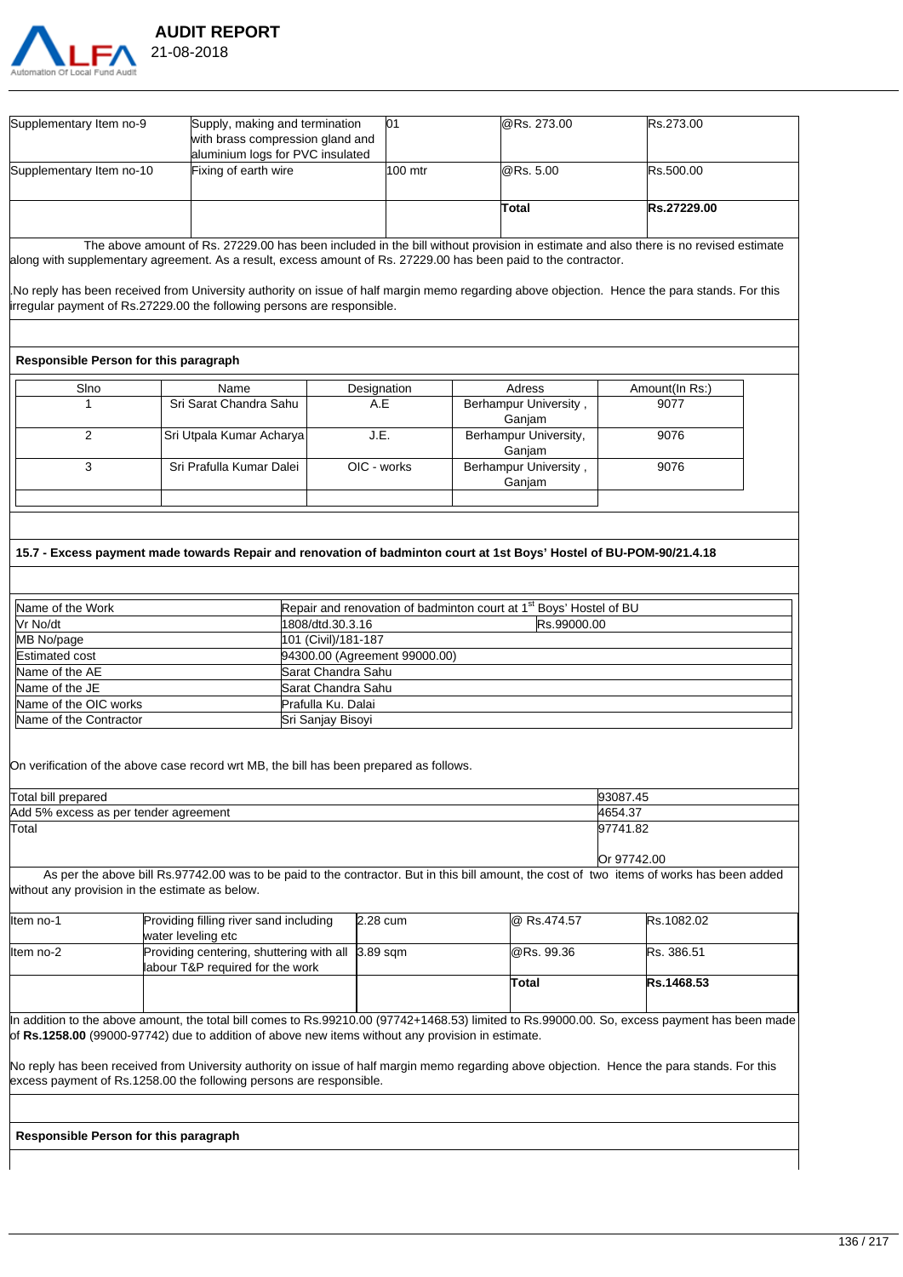

| Supplementary Item no-9  | Supply, making and termination<br>with brass compression gland and<br>aluminium logs for PVC insulated                                                                                                                                                | 101      | @Rs. 273.00  | Rs.273.00   |
|--------------------------|-------------------------------------------------------------------------------------------------------------------------------------------------------------------------------------------------------------------------------------------------------|----------|--------------|-------------|
| Supplementary Item no-10 | Fixing of earth wire                                                                                                                                                                                                                                  | l100 mtr | $@$ Rs. 5.00 | Rs.500.00   |
|                          |                                                                                                                                                                                                                                                       |          | Total        | Rs.27229.00 |
|                          | The above amount of Rs. 27229.00 has been included in the bill without provision in estimate and also there is no revised estimate<br>along with supplementary agreement. As a result, excess amount of Rs. 27229.00 has been paid to the contractor. |          |              |             |
|                          | No reply has been received from University authority on issue of half margin memo regarding above objection. Hence the para stands. For this<br>irregular payment of Rs.27229.00 the following persons are responsible.                               |          |              |             |

#### **Responsible Person for this paragraph**

| Sri Sarat Chandra Sahu<br>Berhampur University,<br>A.E<br>Ganjam<br>Berhampur University,<br>Sri Utpala Kumar Acharya<br>J.E.<br>Ganjam<br>Sri Prafulla Kumar Dalei<br>Berhampur University,<br>OIC - works | Amount(In Rs:) |
|-------------------------------------------------------------------------------------------------------------------------------------------------------------------------------------------------------------|----------------|
|                                                                                                                                                                                                             | 9077           |
|                                                                                                                                                                                                             | 9076           |
| Ganjam                                                                                                                                                                                                      | 9076           |

#### **15.7 - Excess payment made towards Repair and renovation of badminton court at 1st Boys' Hostel of BU-POM-90/21.4.18**

| Name of the Work       | Repair and renovation of badminton court at 1 <sup>st</sup> Boys' Hostel of BU |  |  |
|------------------------|--------------------------------------------------------------------------------|--|--|
| Vr No/dt               | 1808/dtd.30.3.16<br>Rs.99000.00                                                |  |  |
| MB No/page             | 101 (Civil)/181-187                                                            |  |  |
| <b>Estimated cost</b>  | 94300.00 (Agreement 99000.00)                                                  |  |  |
| Name of the AE         | Sarat Chandra Sahu                                                             |  |  |
| Name of the JE         | Sarat Chandra Sahu                                                             |  |  |
| Name of the OIC works  | Prafulla Ku. Dalai                                                             |  |  |
| Name of the Contractor | Sri Sanjay Bisovi                                                              |  |  |

On verification of the above case record wrt MB, the bill has been prepared as follows.

 As per the above bill Rs.97742.00 was to be paid to the contractor. But in this bill amount, the cost of two items of works has been added without any provision in the estimate as below.

|           |                                                                                       |          | Total       | Rs.1468.53 |
|-----------|---------------------------------------------------------------------------------------|----------|-------------|------------|
| Item no-2 | Providing centering, shuttering with all 3.89 sqm<br>labour T&P required for the work |          | @Rs. 99.36  | Rs. 386.51 |
| Item no-1 | Providing filling river sand including<br>water leveling etc                          | 2.28 cum | @ Rs.474.57 | Rs.1082.02 |
|           |                                                                                       |          |             |            |

In addition to the above amount, the total bill comes to Rs.99210.00 (97742+1468.53) limited to Rs.99000.00. So, excess payment has been made of **Rs.1258.00** (99000-97742) due to addition of above new items without any provision in estimate.

No reply has been received from University authority on issue of half margin memo regarding above objection. Hence the para stands. For this excess payment of Rs.1258.00 the following persons are responsible.

**Responsible Person for this paragraph**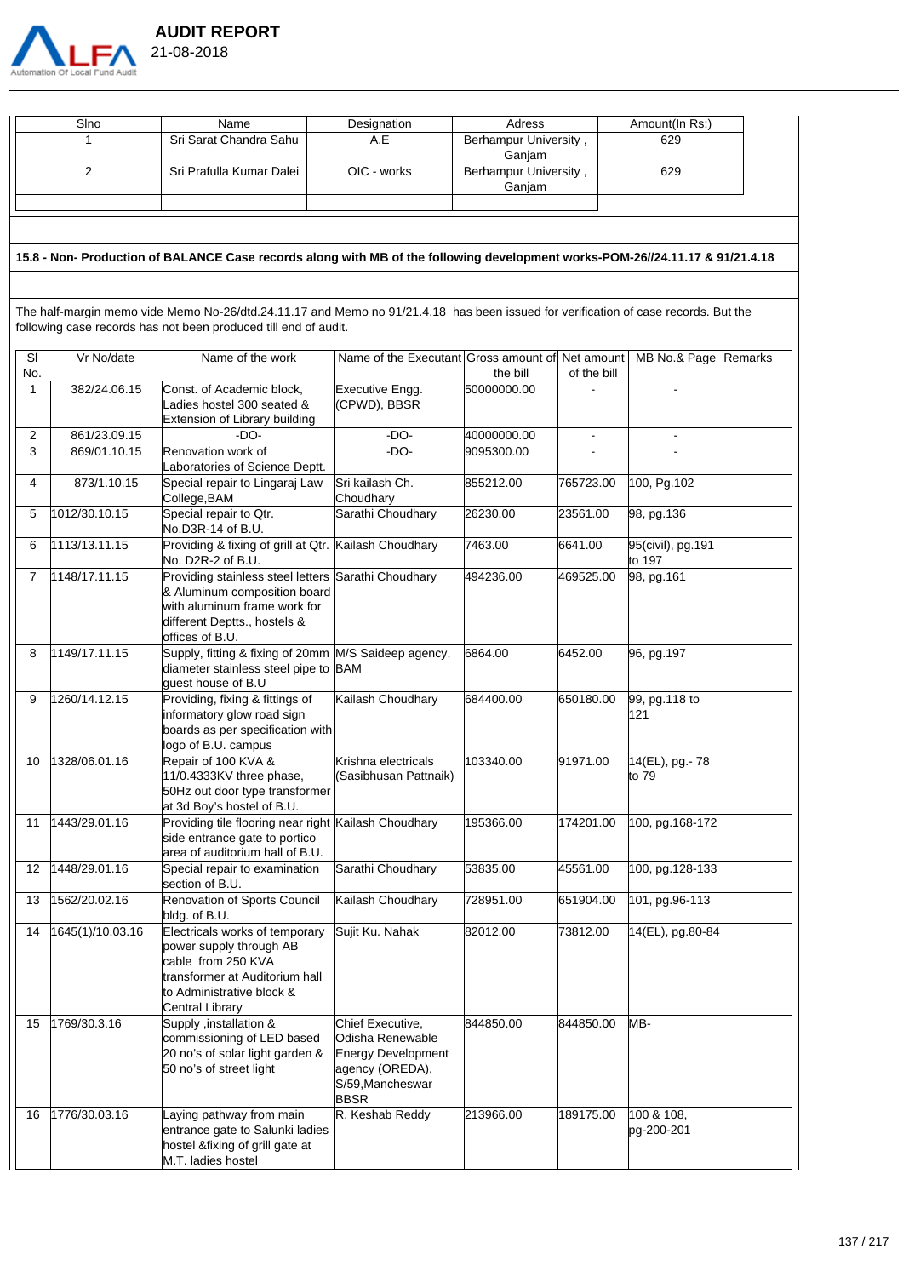

| Sino | Name                     | Designation | Adress                | Amount(In Rs:) |
|------|--------------------------|-------------|-----------------------|----------------|
|      | Sri Sarat Chandra Sahu   |             | Berhampur University, | 629            |
|      |                          |             | Ganiam                |                |
|      | Sri Prafulla Kumar Dalei | OIC - works | Berhampur University, | 629            |
|      |                          |             | Ganiam                |                |
|      |                          |             |                       |                |

# **15.8 - Non- Production of BALANCE Case records along with MB of the following development works-POM-26//24.11.17 & 91/21.4.18**

The half-margin memo vide Memo No-26/dtd.24.11.17 and Memo no 91/21.4.18 has been issued for verification of case records. But the following case records has not been produced till end of audit.

| SI           | Vr No/date       | Name of the work                                                                                                                                                       |                                                                                                                 |             |             |                             |  |
|--------------|------------------|------------------------------------------------------------------------------------------------------------------------------------------------------------------------|-----------------------------------------------------------------------------------------------------------------|-------------|-------------|-----------------------------|--|
| No.          |                  |                                                                                                                                                                        | Name of the Executant Gross amount of Net amount                                                                | the bill    | of the bill | MB No.& Page Remarks        |  |
| $\mathbf{1}$ | 382/24.06.15     | Const. of Academic block,<br>adies hostel 300 seated &<br>Extension of Library building                                                                                | Executive Engg.<br>(CPWD), BBSR                                                                                 | 50000000.00 |             |                             |  |
| 2            | 861/23.09.15     | -DO-                                                                                                                                                                   | $-DO-$                                                                                                          | 40000000.00 |             |                             |  |
| 3            | 869/01.10.15     | Renovation work of<br>aboratories of Science Deptt.                                                                                                                    | $-DO-$                                                                                                          | 9095300.00  |             |                             |  |
| 4            | 873/1.10.15      | Special repair to Lingaraj Law<br>College, BAM                                                                                                                         | Sri kailash Ch.<br>Choudhary                                                                                    | 855212.00   | 765723.00   | 100, Pg.102                 |  |
| 5            | 1012/30.10.15    | Special repair to Qtr.<br>No.D3R-14 of B.U.                                                                                                                            | Sarathi Choudhary                                                                                               | 26230.00    | 23561.00    | 98, pg.136                  |  |
| 6            | 1113/13.11.15    | Providing & fixing of grill at Qtr. Kailash Choudhary<br>No. D2R-2 of B.U.                                                                                             |                                                                                                                 | 7463.00     | 6641.00     | 95(civil), pg.191<br>to 197 |  |
| 7            | 1148/17.11.15    | Providing stainless steel letters Sarathi Choudhary<br>& Aluminum composition board<br>with aluminum frame work for<br>different Deptts., hostels &<br>offices of B.U. |                                                                                                                 | 494236.00   | 469525.00   | 98, pg.161                  |  |
| 8            | 1149/17.11.15    | Supply, fitting & fixing of 20mm<br>diameter stainless steel pipe to BAM<br>quest house of B.U                                                                         | M/S Saideep agency,                                                                                             | 6864.00     | 6452.00     | 96, pg.197                  |  |
| 9            | 1260/14.12.15    | Providing, fixing & fittings of<br>informatory glow road sign<br>boards as per specification with<br>logo of B.U. campus                                               | Kailash Choudhary                                                                                               | 684400.00   | 650180.00   | 99, pg.118 to<br>121        |  |
| 10           | 1328/06.01.16    | Repair of 100 KVA &<br>11/0.4333KV three phase,<br>50Hz out door type transformer<br>at 3d Boy's hostel of B.U.                                                        | Krishna electricals<br>(Sasibhusan Pattnaik)                                                                    | 103340.00   | 91971.00    | 14(EL), pg. - 78<br>to 79   |  |
| 11           | 1443/29.01.16    | Providing tile flooring near right Kailash Choudhary<br>side entrance gate to portico<br>area of auditorium hall of B.U.                                               |                                                                                                                 | 195366.00   | 174201.00   | 100, pg.168-172             |  |
| 12           | 1448/29.01.16    | Special repair to examination<br>section of B.U.                                                                                                                       | Sarathi Choudhary                                                                                               | 53835.00    | 45561.00    | 100, pg.128-133             |  |
| 13           | 1562/20.02.16    | Renovation of Sports Council<br>bldg. of B.U.                                                                                                                          | Kailash Choudhary                                                                                               | 728951.00   | 651904.00   | 101, pg.96-113              |  |
| 14           | 1645(1)/10.03.16 | Electricals works of temporary<br>power supply through AB<br>cable from 250 KVA<br>transformer at Auditorium hall<br>to Administrative block &<br>Central Library      | Sujit Ku. Nahak                                                                                                 | 82012.00    | 73812.00    | 14(EL), pg.80-84            |  |
|              | 15 1769/30.3.16  | Supply ,installation &<br>commissioning of LED based<br>20 no's of solar light garden &<br>50 no's of street light                                                     | Chief Executive,<br>Odisha Renewable<br>Energy Development<br>agency (OREDA),<br>S/59.Mancheswar<br><b>BBSR</b> | 844850.00   | 844850.00   | MB-                         |  |
| 16           | 1776/30.03.16    | Laying pathway from main<br>entrance gate to Salunki ladies<br>hostel &fixing of grill gate at<br>M.T. ladies hostel                                                   | R. Keshab Reddy                                                                                                 | 213966.00   | 189175.00   | 100 & 108,<br>pg-200-201    |  |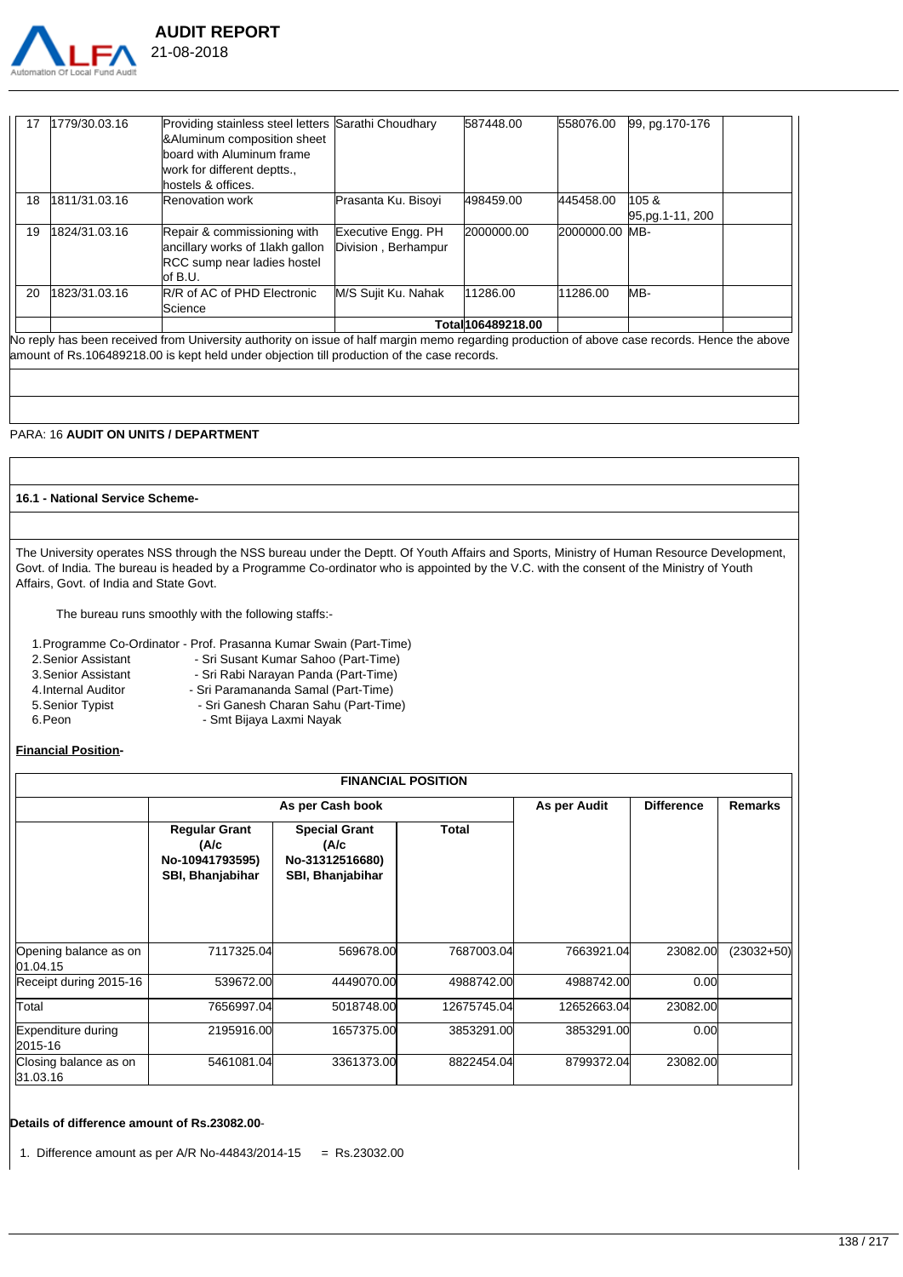

| 17 | 1779/30.03.16                                                                                                                                 | Providing stainless steel letters Sarathi Choudhary<br>&Aluminum composition sheet<br>board with Aluminum frame<br>work for different deptts.,<br>hostels & offices. |                                           | 587448.00          | 558076.00       | 99, pg.170-176           |  |
|----|-----------------------------------------------------------------------------------------------------------------------------------------------|----------------------------------------------------------------------------------------------------------------------------------------------------------------------|-------------------------------------------|--------------------|-----------------|--------------------------|--|
| 18 | 1811/31.03.16                                                                                                                                 | <b>Renovation work</b>                                                                                                                                               | Prasanta Ku. Bisoyi                       | 498459.00          | 445458.00       | 105 &<br>95,pg.1-11, 200 |  |
| 19 | 1824/31.03.16                                                                                                                                 | Repair & commissioning with<br>ancillary works of 1lakh gallon<br>RCC sump near ladies hostel<br>of B.U.                                                             | Executive Engg. PH<br>Division, Berhampur | 2000000.00         | 2000000.00 IMB- |                          |  |
| 20 | 1823/31.03.16                                                                                                                                 | R/R of AC of PHD Electronic<br>Science                                                                                                                               | M/S Sujit Ku. Nahak                       | 11286.00           | 11286.00        | MB-                      |  |
|    |                                                                                                                                               |                                                                                                                                                                      |                                           | Totall106489218.00 |                 |                          |  |
|    | No reply has been received from University authority on issue of half margin memo regarding production of above case records. Hence the above |                                                                                                                                                                      |                                           |                    |                 |                          |  |

amount of Rs.106489218.00 is kept held under objection till production of the case records.

#### PARA: 16 **AUDIT ON UNITS / DEPARTMENT**

#### **16.1 - National Service Scheme-**

The University operates NSS through the NSS bureau under the Deptt. Of Youth Affairs and Sports, Ministry of Human Resource Development, Govt. of India. The bureau is headed by a Programme Co-ordinator who is appointed by the V.C. with the consent of the Ministry of Youth Affairs, Govt. of India and State Govt.

The bureau runs smoothly with the following staffs:-

1.Programme Co-Ordinator - Prof. Prasanna Kumar Swain (Part-Time)

- 
- 2. Senior Assistant Sri Susant Kumar Sahoo (Part-Time)<br>3. Senior Assistant Sri Rabi Naravan Panda (Part-Time)
- 
- 3. Senior Assistant Sri Rabi Narayan Panda (Part-Time)<br>4. Internal Auditor Sri Paramananda Samal (Part-Time) 4. Internal Auditor - Sri Paramananda Samal (Part-Time)<br>5. Senior Typist - Sri Ganesh Charan Sahu (Part-Tim
- 
- 
- Sri Ganesh Charan Sahu (Part-Time) 6.Peon **- Smt Bijaya Laxmi Nayak**
- **Financial Position-**

|                                    | <b>FINANCIAL POSITION</b>                                           |                                                                     |             |              |                   |                |  |  |
|------------------------------------|---------------------------------------------------------------------|---------------------------------------------------------------------|-------------|--------------|-------------------|----------------|--|--|
|                                    | As per Cash book                                                    |                                                                     |             | As per Audit | <b>Difference</b> | <b>Remarks</b> |  |  |
|                                    | <b>Regular Grant</b><br>(A/c<br>No-10941793595)<br>SBI, Bhanjabihar | <b>Special Grant</b><br>(A/c<br>No-31312516680)<br>SBI, Bhanjabihar | Total       |              |                   |                |  |  |
| Opening balance as on<br> 01.04.15 | 7117325.04                                                          | 569678.00                                                           | 7687003.04  | 7663921.04   | 23082.00          | $(23032+50)$   |  |  |
| Receipt during 2015-16             | 539672.00                                                           | 4449070.00                                                          | 4988742.00  | 4988742.00   | 0.00              |                |  |  |
| Total                              | 7656997.04                                                          | 5018748.00                                                          | 12675745.04 | 12652663.04  | 23082.00          |                |  |  |
| Expenditure during<br>2015-16      | 2195916.00                                                          | 1657375.00                                                          | 3853291.00  | 3853291.00   | 0.00              |                |  |  |
| Closing balance as on<br> 31.03.16 | 5461081.04                                                          | 3361373.00                                                          | 8822454.04  | 8799372.04   | 23082.00          |                |  |  |

# **Details of difference amount of Rs.23082.00**-

1. Difference amount as per  $A/R$  No-44843/2014-15 = Rs.23032.00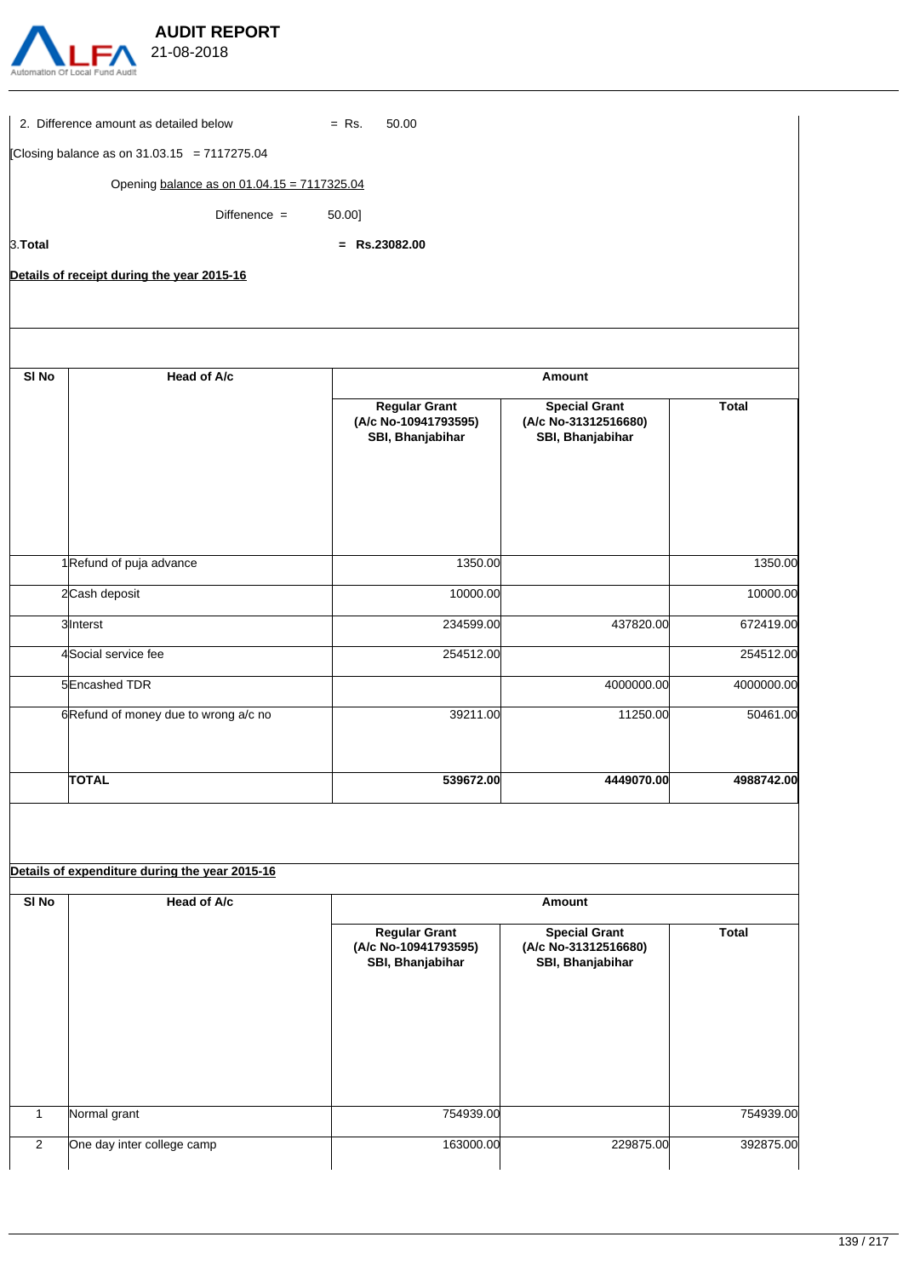

|                  | 2. Difference amount as detailed below        | $=$ Rs.<br>50.00                                                 |                                                                  |              |
|------------------|-----------------------------------------------|------------------------------------------------------------------|------------------------------------------------------------------|--------------|
|                  | Closing balance as on $31.03.15 = 7117275.04$ |                                                                  |                                                                  |              |
|                  | Opening balance as on 01.04.15 = 7117325.04   |                                                                  |                                                                  |              |
|                  | Diffenence $=$                                | 50.00]                                                           |                                                                  |              |
| 3.Total          |                                               | $=$ Rs.23082.00                                                  |                                                                  |              |
|                  | Details of receipt during the year 2015-16    |                                                                  |                                                                  |              |
|                  |                                               |                                                                  |                                                                  |              |
|                  |                                               |                                                                  |                                                                  |              |
| SI <sub>No</sub> | Head of A/c                                   |                                                                  | Amount                                                           |              |
|                  |                                               | <b>Regular Grant</b><br>(A/c No-10941793595)<br>SBI, Bhanjabihar | <b>Special Grant</b><br>(A/c No-31312516680)<br>SBI, Bhanjabihar | <b>Total</b> |
|                  |                                               |                                                                  |                                                                  |              |
|                  |                                               |                                                                  |                                                                  |              |
|                  | 1Refund of puja advance                       | 1350.00                                                          |                                                                  | 1350.00      |
|                  | 2Cash deposit                                 | 10000.00                                                         |                                                                  | 10000.00     |
|                  | 3Interst                                      | 234599.00                                                        | 437820.00                                                        | 672419.00    |
|                  | 4Social service fee                           | 254512.00                                                        |                                                                  | 254512.00    |
|                  | 5Encashed TDR                                 |                                                                  | 4000000.00                                                       | 4000000.00   |
|                  | 6 Refund of money due to wrong a/c no         | 39211.00                                                         | 11250.00                                                         | 50461.00     |

# **Details of expenditure during the year 2015-16**

| SI <sub>No</sub> | Head of A/c                | Amount                                                           |                                                                  |              |  |  |  |
|------------------|----------------------------|------------------------------------------------------------------|------------------------------------------------------------------|--------------|--|--|--|
|                  |                            | <b>Regular Grant</b><br>(A/c No-10941793595)<br>SBI, Bhanjabihar | <b>Special Grant</b><br>(A/c No-31312516680)<br>SBI, Bhanjabihar | <b>Total</b> |  |  |  |
|                  | Normal grant               | 754939.00                                                        |                                                                  | 754939.00    |  |  |  |
| $\overline{2}$   | One day inter college camp | 163000.00                                                        | 229875.00                                                        | 392875.00    |  |  |  |

**TOTAL 539672.00 4449070.00 4988742.00**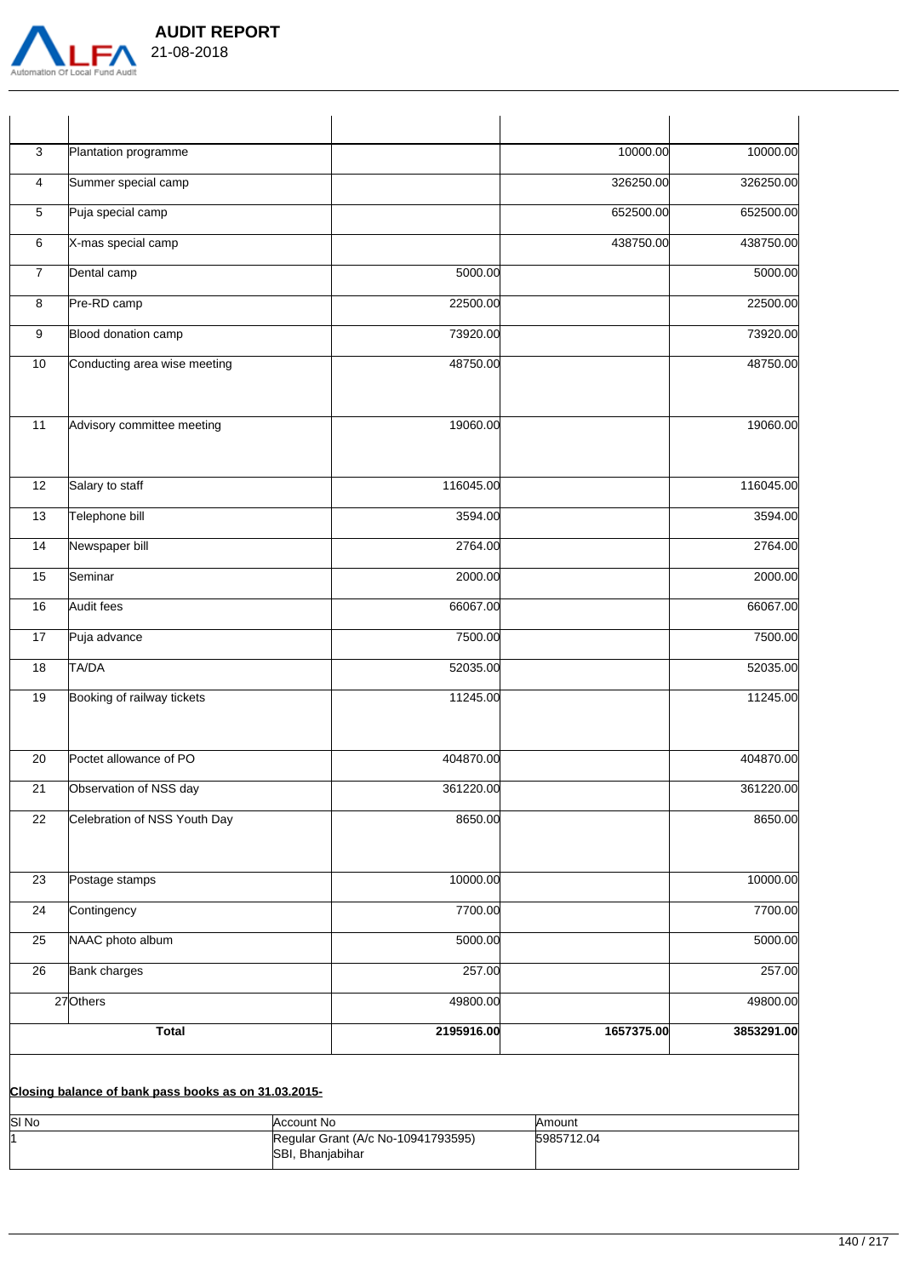

 **AUDIT REPORT** 

**Closing balance of bank pass books as on 31.03.2015-**

SI No Amount No Account No Amount Amount No Amount No Amount No Amount No Amount No Amount No Amount No Amount

SBI, Bhanjabihar

Regular Grant (A/c No-10941793595)

|                  | Automation Of Local Fund Audit |           |           |           |
|------------------|--------------------------------|-----------|-----------|-----------|
|                  |                                |           |           |           |
| 3                | Plantation programme           |           | 10000.00  | 10000.00  |
| $\overline{4}$   | Summer special camp            |           | 326250.00 | 326250.00 |
| $\sqrt{5}$       | Puja special camp              |           | 652500.00 | 652500.00 |
| 6                | X-mas special camp             |           | 438750.00 | 438750.00 |
| $\overline{7}$   | Dental camp                    | 5000.00   |           | 5000.00   |
| 8                | Pre-RD camp                    | 22500.00  |           | 22500.00  |
| $\boldsymbol{9}$ | Blood donation camp            | 73920.00  |           | 73920.00  |
| 10               | Conducting area wise meeting   | 48750.00  |           | 48750.00  |
| 11               | Advisory committee meeting     | 19060.00  |           | 19060.00  |
| 12               | Salary to staff                | 116045.00 |           | 116045.00 |
|                  |                                |           |           |           |
| 13               | Telephone bill                 | 3594.00   |           | 3594.00   |
| 14               | Newspaper bill                 | 2764.00   |           | 2764.00   |
| 15               | Seminar                        | 2000.00   |           | 2000.00   |
| 16               | Audit fees                     | 66067.00  |           | 66067.00  |
| 17               | Puja advance                   | 7500.00   |           | 7500.00   |
| 18               | TA/DA                          | 52035.00  |           | 52035.00  |
| 19               | Booking of railway tickets     | 11245.00  |           | 11245.00  |
| $\overline{20}$  | Poctet allowance of PO         | 404870.00 |           | 404870.00 |
| $\overline{21}$  | Observation of NSS day         | 361220.00 |           | 361220.00 |
| $\overline{22}$  | Celebration of NSS Youth Day   | 8650.00   |           | 8650.00   |
| $\overline{23}$  | Postage stamps                 | 10000.00  |           | 10000.00  |
| 24               | Contingency                    | 7700.00   |           | 7700.00   |
| 25               | NAAC photo album               | 5000.00   |           | 5000.00   |
| $\overline{26}$  | <b>Bank charges</b>            | 257.00    |           | 257.00    |

27Others 49800.00 49800.00

**Total 2195916.00 1657375.00 3853291.00**

5985712.04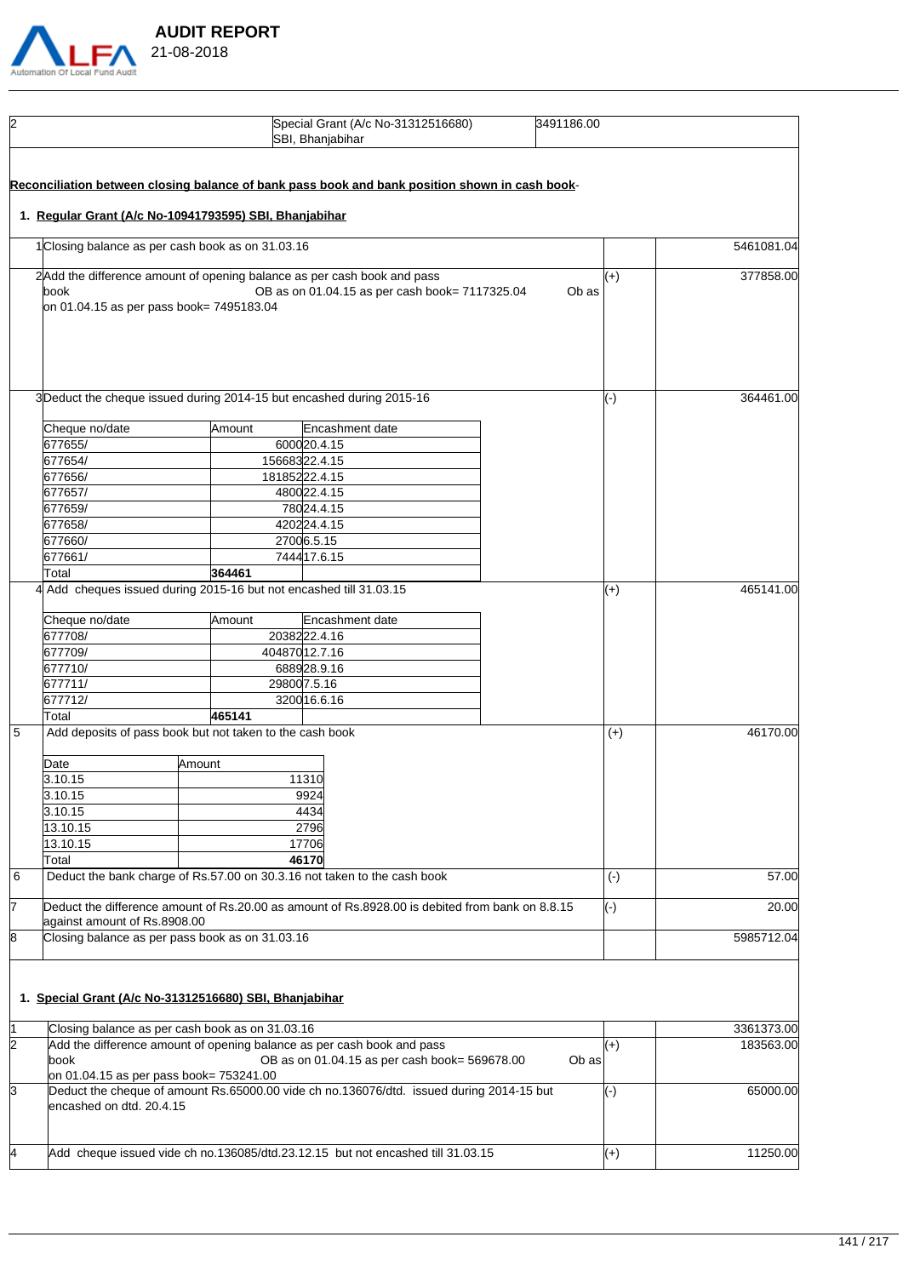

| l2 |                                                                                                                              |        | Special Grant (A/c No-31312516680)<br>SBI, Bhanjabihar                                          | 3491186.00 |                    |            |
|----|------------------------------------------------------------------------------------------------------------------------------|--------|-------------------------------------------------------------------------------------------------|------------|--------------------|------------|
|    |                                                                                                                              |        | Reconciliation between closing balance of bank pass book and bank position shown in cash book-  |            |                    |            |
|    | 1. Regular Grant (A/c No-10941793595) SBI, Bhanjabihar                                                                       |        |                                                                                                 |            |                    |            |
|    | 1Closing balance as per cash book as on 31.03.16                                                                             |        |                                                                                                 |            |                    | 5461081.04 |
|    | 2Add the difference amount of opening balance as per cash book and pass<br>lbook<br>on 01.04.15 as per pass book= 7495183.04 |        | OB as on 01.04.15 as per cash book= 7117325.04                                                  | Ob as      | $(+)$              | 377858.00  |
|    | 3Deduct the cheque issued during 2014-15 but encashed during 2015-16                                                         |        |                                                                                                 |            | $(\textnormal{-})$ | 364461.00  |
|    | Cheque no/date                                                                                                               | Amount | Encashment date                                                                                 |            |                    |            |
|    | 677655/                                                                                                                      |        | 600020.4.15                                                                                     |            |                    |            |
|    | 677654/                                                                                                                      |        | 15668322.4.15                                                                                   |            |                    |            |
|    | 677656/                                                                                                                      |        | 18185222.4.15                                                                                   |            |                    |            |
|    | 677657/                                                                                                                      |        | 480022.4.15                                                                                     |            |                    |            |
|    | 677659/                                                                                                                      |        | 78024.4.15                                                                                      |            |                    |            |
|    | 677658/                                                                                                                      |        | 420224.4.15                                                                                     |            |                    |            |
|    | 677660/                                                                                                                      |        | 27006.5.15                                                                                      |            |                    |            |
|    | 677661/                                                                                                                      |        | 7444 17.6.15                                                                                    |            |                    |            |
|    | Total<br>Add cheques issued during 2015-16 but not encashed till 31.03.15                                                    | 364461 |                                                                                                 |            | $(+)$              | 465141.00  |
|    | Cheque no/date                                                                                                               | Amount | Encashment date                                                                                 |            |                    |            |
|    | 677708/                                                                                                                      |        | 2038222.4.16                                                                                    |            |                    |            |
|    | 677709/                                                                                                                      |        | 40487012.7.16                                                                                   |            |                    |            |
|    | 677710/                                                                                                                      |        | 688928.9.16                                                                                     |            |                    |            |
|    | 677711/                                                                                                                      |        | 29800 7.5.16                                                                                    |            |                    |            |
|    | 677712/                                                                                                                      |        | 3200 16.6.16                                                                                    |            |                    |            |
|    | Total                                                                                                                        | 465141 |                                                                                                 |            |                    |            |
| 5  | Add deposits of pass book but not taken to the cash book                                                                     |        |                                                                                                 |            | $(+)$              | 46170.00   |
|    | Date                                                                                                                         | Amount |                                                                                                 |            |                    |            |
|    | 3.10.15                                                                                                                      |        | 11310                                                                                           |            |                    |            |
|    | 3.10.15                                                                                                                      |        | 9924                                                                                            |            |                    |            |
|    | 3.10.15                                                                                                                      |        | 4434                                                                                            |            |                    |            |
|    | 13.10.15                                                                                                                     |        | 2796                                                                                            |            |                    |            |
|    | 13.10.15                                                                                                                     |        | 17706                                                                                           |            |                    |            |
|    | Total                                                                                                                        |        | 46170                                                                                           |            |                    |            |
| 6  |                                                                                                                              |        | Deduct the bank charge of Rs.57.00 on 30.3.16 not taken to the cash book                        |            | $(\cdot)$          | 57.00      |
|    | against amount of Rs.8908.00                                                                                                 |        | Deduct the difference amount of Rs.20.00 as amount of Rs.8928.00 is debited from bank on 8.8.15 |            | $(-)$              | 20.00      |
| l8 | Closing balance as per pass book as on 31.03.16                                                                              |        |                                                                                                 |            |                    | 5985712.04 |
|    | 1. Special Grant (A/c No-31312516680) SBI, Bhanjabihar                                                                       |        |                                                                                                 |            |                    |            |

| Closing balance as per cash book as on 31.03.16                                                                      | 3361373.00 |
|----------------------------------------------------------------------------------------------------------------------|------------|
| Add the difference amount of opening balance as per cash book and pass                                               | 183563.00  |
| OB as on 01.04.15 as per cash book= 569678.00<br>Ob as<br><b>book</b>                                                |            |
| on 01.04.15 as per pass book= 753241.00                                                                              |            |
| Deduct the cheque of amount Rs.65000.00 vide ch no.136076/dtd. issued during 2014-15 but<br>encashed on dtd. 20.4.15 | 65000.00   |
| Add cheque issued vide ch no.136085/dtd.23.12.15 but not encashed till 31.03.15                                      | 11250.00   |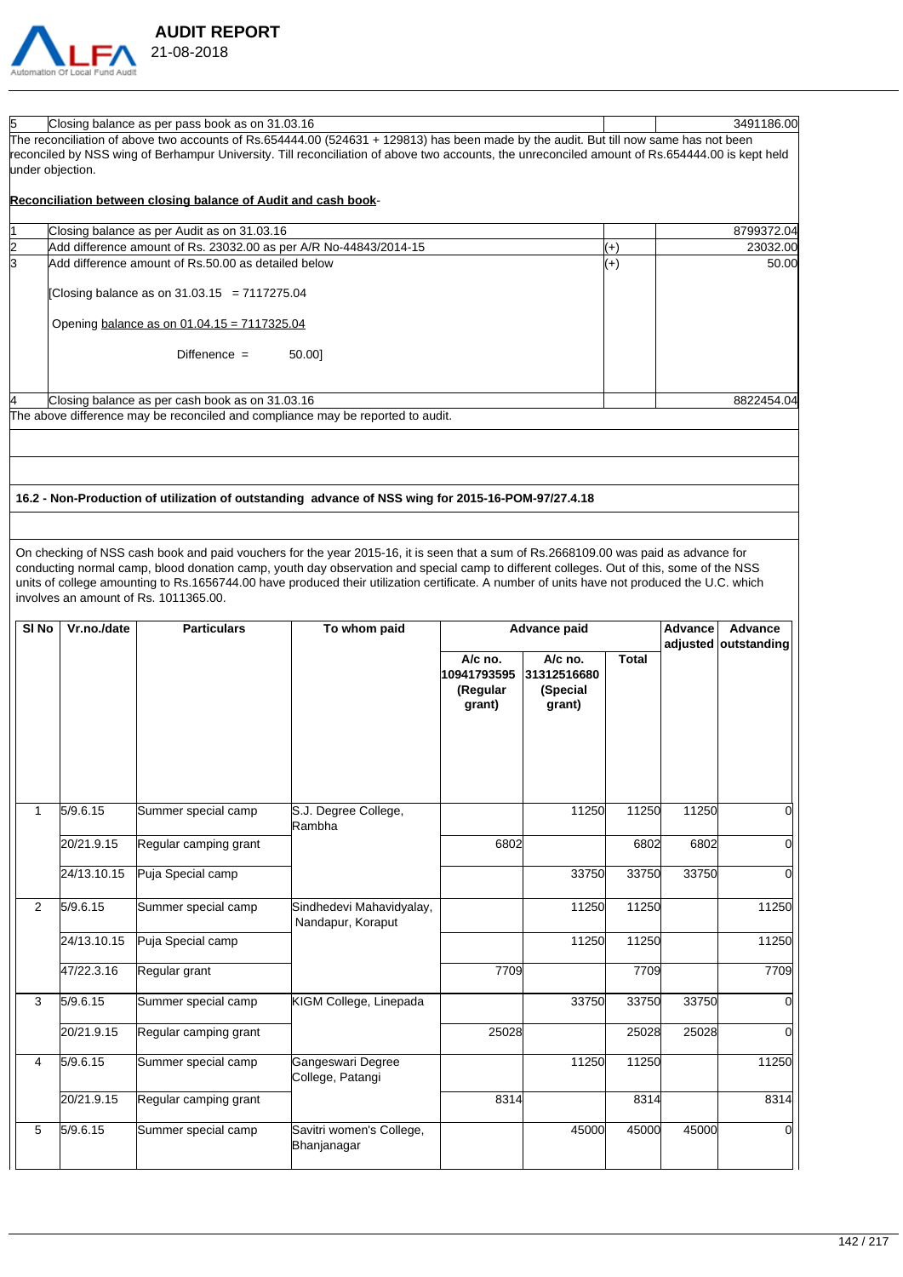

 **AUDIT REPORT**  21-08-2018

| Closing balance as per pass book as on 31.03.16                                                                                                 |       | 3491186.00 |  |  |  |  |  |  |
|-------------------------------------------------------------------------------------------------------------------------------------------------|-------|------------|--|--|--|--|--|--|
| The reconciliation of above two accounts of Rs.654444.00 (524631 + 129813) has been made by the audit. But till now same has not been           |       |            |  |  |  |  |  |  |
| reconciled by NSS wing of Berhampur University. Till reconciliation of above two accounts, the unreconciled amount of Rs.654444.00 is kept held |       |            |  |  |  |  |  |  |
| under objection.                                                                                                                                |       |            |  |  |  |  |  |  |
|                                                                                                                                                 |       |            |  |  |  |  |  |  |
| Reconciliation between closing balance of Audit and cash book-                                                                                  |       |            |  |  |  |  |  |  |
|                                                                                                                                                 |       |            |  |  |  |  |  |  |
| Closing balance as per Audit as on 31.03.16                                                                                                     |       | 8799372.04 |  |  |  |  |  |  |
| Add difference amount of Rs. 23032.00 as per A/R No-44843/2014-15                                                                               | $(+)$ | 23032.00   |  |  |  |  |  |  |
| Add difference amount of Rs.50.00 as detailed below                                                                                             | $(+)$ | 50.00      |  |  |  |  |  |  |
|                                                                                                                                                 |       |            |  |  |  |  |  |  |
| [Closing balance as on $31.03.15$ = 7117275.04                                                                                                  |       |            |  |  |  |  |  |  |
|                                                                                                                                                 |       |            |  |  |  |  |  |  |
| Opening balance as on $01.04.15 = 7117325.04$                                                                                                   |       |            |  |  |  |  |  |  |
|                                                                                                                                                 |       |            |  |  |  |  |  |  |
| Diffenence $=$<br>50.001                                                                                                                        |       |            |  |  |  |  |  |  |
|                                                                                                                                                 |       |            |  |  |  |  |  |  |
|                                                                                                                                                 |       |            |  |  |  |  |  |  |
| Closing balance as per cash book as on 31.03.16                                                                                                 |       | 8822454.04 |  |  |  |  |  |  |
| The above difference may be reconciled and compliance may be reported to audit.                                                                 |       |            |  |  |  |  |  |  |
|                                                                                                                                                 |       |            |  |  |  |  |  |  |

**16.2 - Non-Production of utilization of outstanding advance of NSS wing for 2015-16-POM-97/27.4.18**

On checking of NSS cash book and paid vouchers for the year 2015-16, it is seen that a sum of Rs.2668109.00 was paid as advance for conducting normal camp, blood donation camp, youth day observation and special camp to different colleges. Out of this, some of the NSS units of college amounting to Rs.1656744.00 have produced their utilization certificate. A number of units have not produced the U.C. which involves an amount of Rs. 1011365.00.

| SI <sub>No</sub> | Vr.no./date | <b>Particulars</b>    | To whom paid                                  |                                              | Advance paid                                 |              | <b>Advance</b><br>adjusted outstanding | <b>Advance</b> |
|------------------|-------------|-----------------------|-----------------------------------------------|----------------------------------------------|----------------------------------------------|--------------|----------------------------------------|----------------|
|                  |             |                       |                                               | A/c no.<br>10941793595<br>(Regular<br>grant) | A/c no.<br>31312516680<br>(Special<br>grant) | <b>Total</b> |                                        |                |
| $\mathbf{1}$     | 5/9.6.15    | Summer special camp   | S.J. Degree College,                          |                                              | 11250                                        | 11250        | 11250                                  | 0              |
|                  |             |                       | Rambha                                        |                                              |                                              |              |                                        |                |
|                  | 20/21.9.15  | Regular camping grant |                                               | 6802                                         |                                              | 6802         | 6802                                   | $\Omega$       |
|                  | 24/13.10.15 | Puja Special camp     |                                               |                                              | 33750                                        | 33750        | 33750                                  | $\Omega$       |
| 2                | 5/9.6.15    | Summer special camp   | Sindhedevi Mahavidyalay,<br>Nandapur, Koraput |                                              | 11250                                        | 11250        |                                        | 11250          |
|                  | 24/13.10.15 | Puja Special camp     |                                               |                                              | 11250                                        | 11250        |                                        | 11250          |
|                  | 47/22.3.16  | Regular grant         |                                               | 7709                                         |                                              | 7709         |                                        | 7709           |
| 3                | 5/9.6.15    | Summer special camp   | KIGM College, Linepada                        |                                              | 33750                                        | 33750        | 33750                                  | 0              |
|                  | 20/21.9.15  | Regular camping grant |                                               | 25028                                        |                                              | 25028        | 25028                                  | $\Omega$       |
| 4                | 5/9.6.15    | Summer special camp   | Gangeswari Degree<br>College, Patangi         |                                              | 11250                                        | 11250        |                                        | 11250          |
|                  | 20/21.9.15  | Regular camping grant |                                               | 8314                                         |                                              | 8314         |                                        | 8314           |
| 5                | 5/9.6.15    | Summer special camp   | Savitri women's College,<br>Bhanjanagar       |                                              | 45000                                        | 45000        | 45000                                  | O              |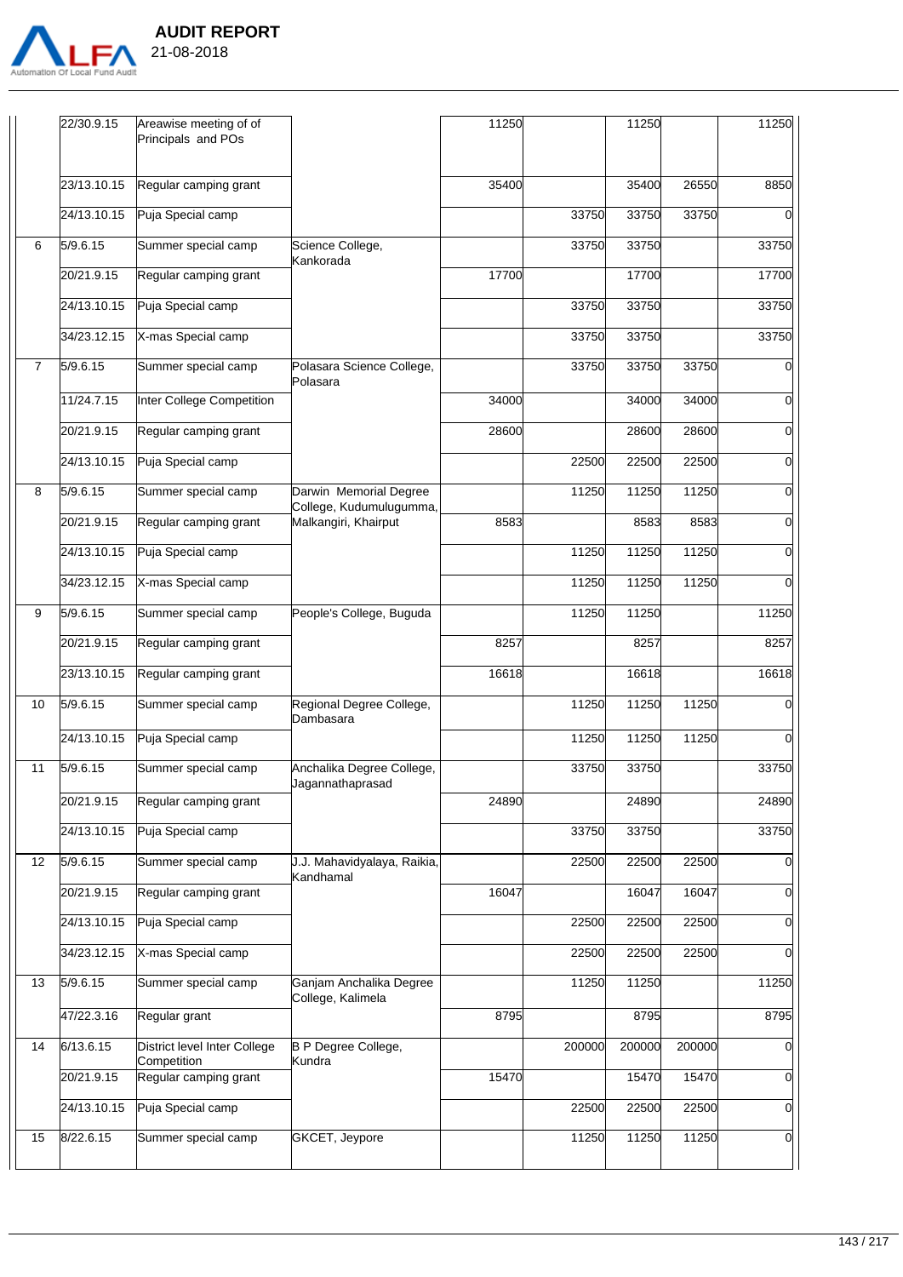

|    | 22/30.9.15  | Areawise meeting of of<br>Principals and POs |                                                   | 11250 |        | 11250  |        | 11250    |
|----|-------------|----------------------------------------------|---------------------------------------------------|-------|--------|--------|--------|----------|
|    | 23/13.10.15 | Regular camping grant                        |                                                   | 35400 |        | 35400  | 26550  | 8850     |
|    | 24/13.10.15 | Puja Special camp                            |                                                   |       | 33750  | 33750  | 33750  |          |
| 6  | 5/9.6.15    | Summer special camp                          | Science College,<br>Kankorada                     |       | 33750  | 33750  |        | 33750    |
|    | 20/21.9.15  | Regular camping grant                        |                                                   | 17700 |        | 17700  |        | 17700    |
|    | 24/13.10.15 | Puja Special camp                            |                                                   |       | 33750  | 33750  |        | 33750    |
|    | 34/23.12.15 | X-mas Special camp                           |                                                   |       | 33750  | 33750  |        | 33750    |
| 7  | 5/9.6.15    | Summer special camp                          | Polasara Science College,<br>Polasara             |       | 33750  | 33750  | 33750  | 0        |
|    | 11/24.7.15  | <b>Inter College Competition</b>             |                                                   | 34000 |        | 34000  | 34000  | 0        |
|    | 20/21.9.15  | Regular camping grant                        |                                                   | 28600 |        | 28600  | 28600  | 0        |
|    | 24/13.10.15 | Puja Special camp                            |                                                   |       | 22500  | 22500  | 22500  | $\Omega$ |
| 8  | 5/9.6.15    | Summer special camp                          | Darwin Memorial Degree<br>College, Kudumulugumma, |       | 11250  | 11250  | 11250  | 0        |
|    | 20/21.9.15  | Regular camping grant                        | Malkangiri, Khairput                              | 8583  |        | 8583   | 8583   | $\Omega$ |
|    | 24/13.10.15 | Puja Special camp                            |                                                   |       | 11250  | 11250  | 11250  | $\Omega$ |
|    | 34/23.12.15 | X-mas Special camp                           |                                                   |       | 11250  | 11250  | 11250  | $\Omega$ |
| 9  | 5/9.6.15    | Summer special camp                          | People's College, Buguda                          |       | 11250  | 11250  |        | 11250    |
|    | 20/21.9.15  | Regular camping grant                        |                                                   | 8257  |        | 8257   |        | 8257     |
|    | 23/13.10.15 | Regular camping grant                        |                                                   | 16618 |        | 16618  |        | 16618    |
| 10 | 5/9.6.15    | Summer special camp                          | Regional Degree College,<br>Dambasara             |       | 11250  | 11250  | 11250  | $\Omega$ |
|    | 24/13.10.15 | Puja Special camp                            |                                                   |       | 11250  | 11250  | 11250  | $\Omega$ |
| 11 | 5/9.6.15    | Summer special camp                          | Anchalika Degree College,<br>Jagannathaprasad     |       | 33750  | 33750  |        | 33750    |
|    | 20/21.9.15  | Regular camping grant                        |                                                   | 24890 |        | 24890  |        | 24890    |
|    | 24/13.10.15 | Puja Special camp                            |                                                   |       | 33750  | 33750  |        | 33750    |
| 12 | 5/9.6.15    | Summer special camp                          | J.J. Mahavidyalaya, Raikia,<br>Kandhamal          |       | 22500  | 22500  | 22500  | 0        |
|    | 20/21.9.15  | Regular camping grant                        |                                                   | 16047 |        | 16047  | 16047  | 0        |
|    | 24/13.10.15 | Puja Special camp                            |                                                   |       | 22500  | 22500  | 22500  | 0        |
|    | 34/23.12.15 | X-mas Special camp                           |                                                   |       | 22500  | 22500  | 22500  | $\Omega$ |
| 13 | 5/9.6.15    | Summer special camp                          | Ganjam Anchalika Degree<br>College, Kalimela      |       | 11250  | 11250  |        | 11250    |
|    | 47/22.3.16  | Regular grant                                |                                                   | 8795  |        | 8795   |        | 8795     |
| 14 | 6/13.6.15   | District level Inter College<br>Competition  | B P Degree College,<br>Kundra                     |       | 200000 | 200000 | 200000 | 0        |
|    | 20/21.9.15  | Regular camping grant                        |                                                   | 15470 |        | 15470  | 15470  | 0        |
|    | 24/13.10.15 | Puja Special camp                            |                                                   |       | 22500  | 22500  | 22500  | 0        |
| 15 | 8/22.6.15   | Summer special camp                          | GKCET, Jeypore                                    |       | 11250  | 11250  | 11250  | 0        |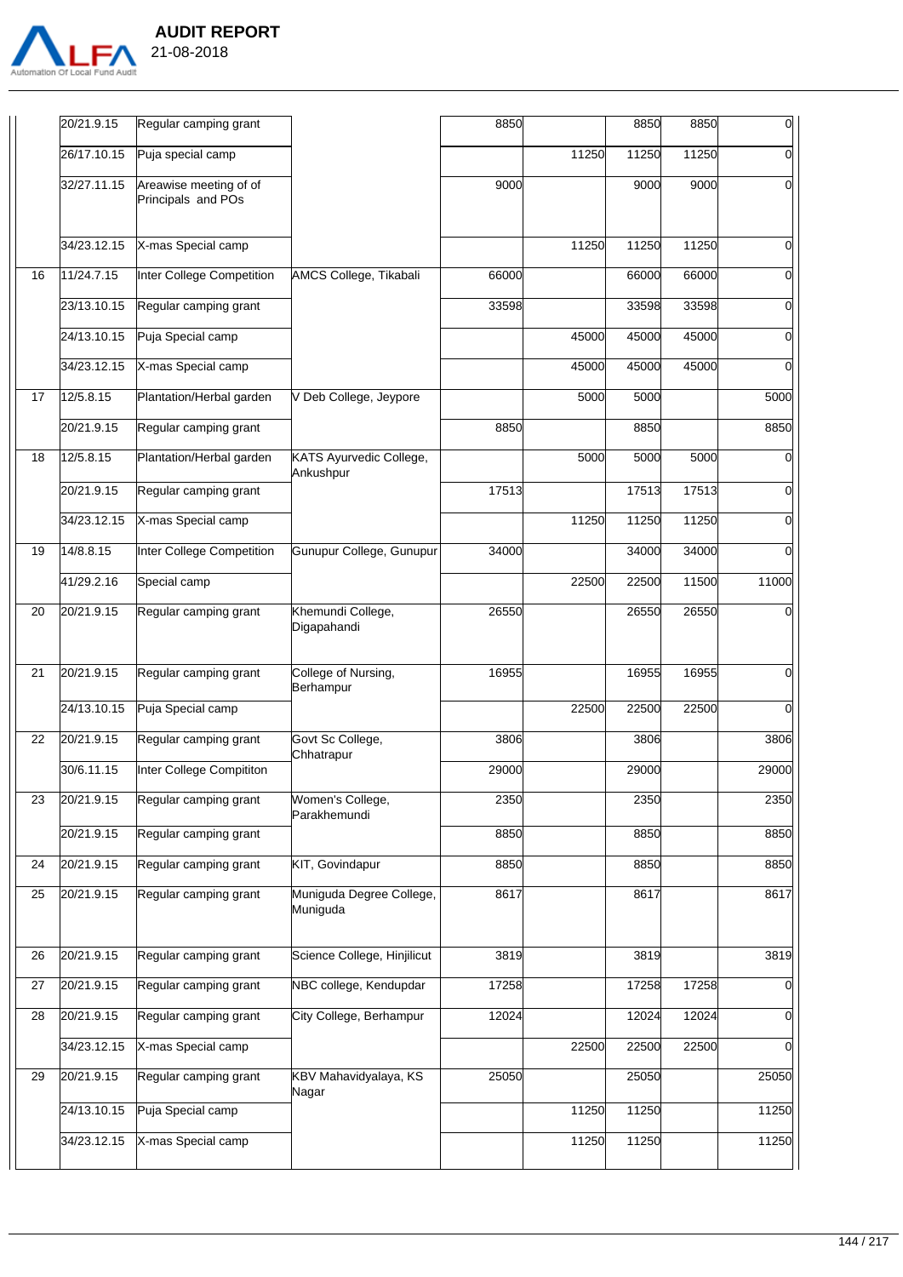

 **AUDIT REPORT** 

|    | 20/21.9.15  | Regular camping grant                        |                                      | 8850  |       | 8850  | 8850  | 0                |
|----|-------------|----------------------------------------------|--------------------------------------|-------|-------|-------|-------|------------------|
|    | 26/17.10.15 | Puja special camp                            |                                      |       | 11250 | 11250 | 11250 | 0                |
|    | 32/27.11.15 | Areawise meeting of of<br>Principals and POs |                                      | 9000  |       | 9000  | 9000  | 0                |
|    | 34/23.12.15 | X-mas Special camp                           |                                      |       | 11250 | 11250 | 11250 | 0                |
| 16 | 11/24.7.15  | Inter College Competition                    | AMCS College, Tikabali               | 66000 |       | 66000 | 66000 | 0                |
|    | 23/13.10.15 | Regular camping grant                        |                                      | 33598 |       | 33598 | 33598 | $\boldsymbol{0}$ |
|    | 24/13.10.15 | Puja Special camp                            |                                      |       | 45000 | 45000 | 45000 | $\mathbf 0$      |
|    | 34/23.12.15 | X-mas Special camp                           |                                      |       | 45000 | 45000 | 45000 | $\overline{0}$   |
| 17 | 12/5.8.15   | Plantation/Herbal garden                     | V Deb College, Jeypore               |       | 5000  | 5000  |       | 5000             |
|    | 20/21.9.15  | Regular camping grant                        |                                      | 8850  |       | 8850  |       | 8850             |
| 18 | 12/5.8.15   | Plantation/Herbal garden                     | KATS Ayurvedic College,<br>Ankushpur |       | 5000  | 5000  | 5000  | 0                |
|    | 20/21.9.15  | Regular camping grant                        |                                      | 17513 |       | 17513 | 17513 | 0                |
|    | 34/23.12.15 | X-mas Special camp                           |                                      |       | 11250 | 11250 | 11250 | $\mathbf 0$      |
| 19 | 14/8.8.15   | <b>Inter College Competition</b>             | Gunupur College, Gunupur             | 34000 |       | 34000 | 34000 | $\overline{0}$   |
|    | 41/29.2.16  | Special camp                                 |                                      |       | 22500 | 22500 | 11500 | 11000            |
| 20 | 20/21.9.15  | Regular camping grant                        | Khemundi College,<br>Digapahandi     | 26550 |       | 26550 | 26550 | $\overline{0}$   |
| 21 | 20/21.9.15  | Regular camping grant                        | College of Nursing,<br>Berhampur     | 16955 |       | 16955 | 16955 | 0                |
|    | 24/13.10.15 | Puja Special camp                            |                                      |       | 22500 | 22500 | 22500 | 0                |
| 22 | 20/21.9.15  | Regular camping grant                        | Govt Sc College,<br>Chhatrapur       | 3806  |       | 3806  |       | 3806             |
|    | 30/6.11.15  | Inter College Compititon                     |                                      | 29000 |       | 29000 |       | 29000            |
| 23 | 20/21.9.15  | Regular camping grant                        | Women's College,<br>Parakhemundi     | 2350  |       | 2350  |       | 2350             |
|    | 20/21.9.15  | Regular camping grant                        |                                      | 8850  |       | 8850  |       | 8850             |
| 24 | 20/21.9.15  | Regular camping grant                        | KIT, Govindapur                      | 8850  |       | 8850  |       | 8850             |
| 25 | 20/21.9.15  | Regular camping grant                        | Muniguda Degree College,<br>Muniguda | 8617  |       | 8617  |       | 8617             |
| 26 | 20/21.9.15  | Regular camping grant                        | Science College, Hinjilicut          | 3819  |       | 3819  |       | 3819             |
| 27 | 20/21.9.15  | Regular camping grant                        | NBC college, Kendupdar               | 17258 |       | 17258 | 17258 | 0                |
| 28 | 20/21.9.15  | Regular camping grant                        | City College, Berhampur              | 12024 |       | 12024 | 12024 | $\boldsymbol{0}$ |
|    | 34/23.12.15 | X-mas Special camp                           |                                      |       | 22500 | 22500 | 22500 | 0                |
| 29 | 20/21.9.15  | Regular camping grant                        | KBV Mahavidyalaya, KS<br>Nagar       | 25050 |       | 25050 |       | 25050            |
|    | 24/13.10.15 | Puja Special camp                            |                                      |       | 11250 | 11250 |       | 11250            |
|    | 34/23.12.15 | X-mas Special camp                           |                                      |       | 11250 | 11250 |       | 11250            |

20/21.9.15 Regular camping grant (1990) 8850 8850 8850 8850 8850 8850 9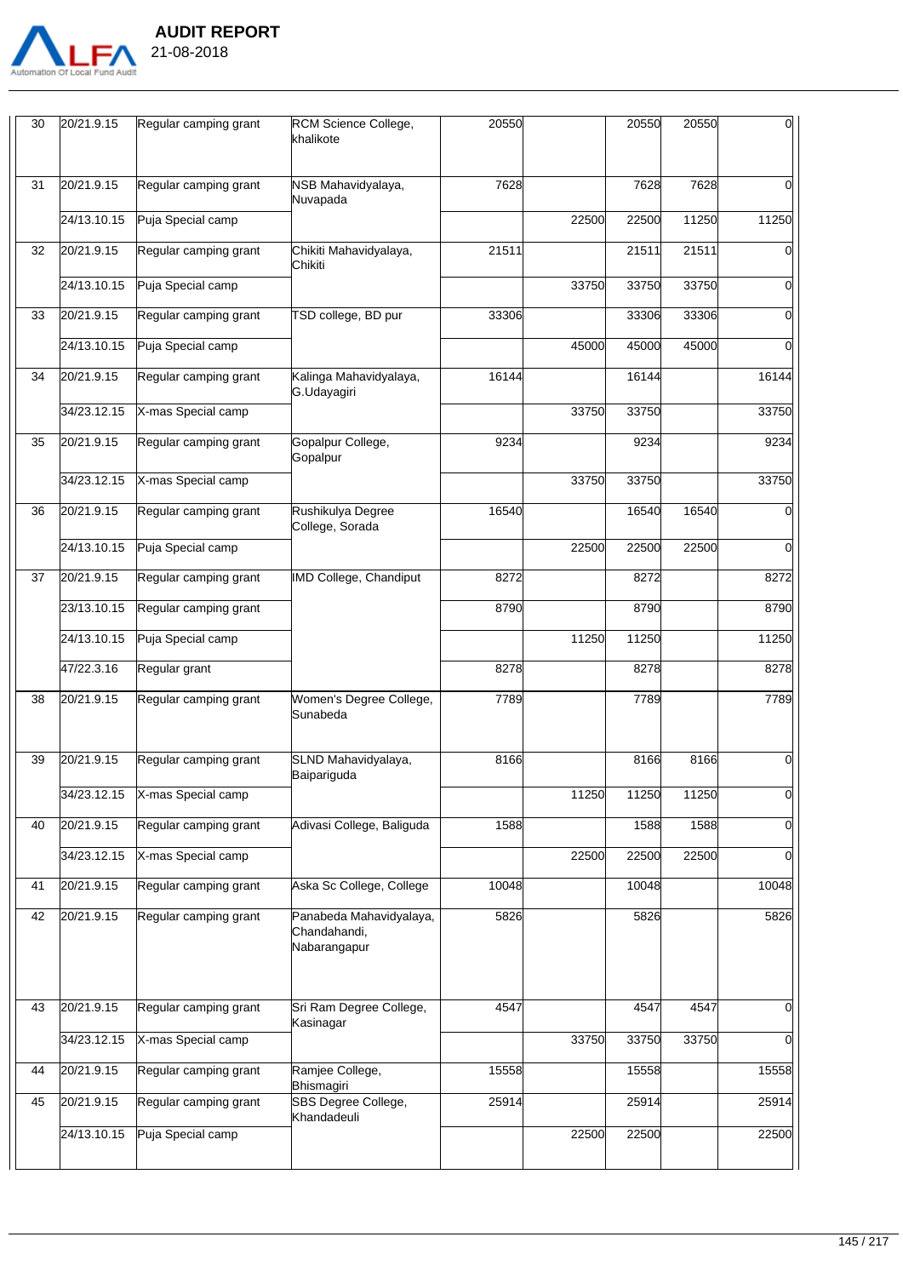

| 30 | 20/21.9.15  | Regular camping grant          | RCM Science College,<br>khalikote                       | 20550 |       | 20550 | 20550        | 0l       |
|----|-------------|--------------------------------|---------------------------------------------------------|-------|-------|-------|--------------|----------|
| 31 | 20/21.9.15  | Regular camping grant          | NSB Mahavidyalaya,<br>Nuvapada                          | 7628  |       | 7628  | 7628         |          |
|    | 24/13.10.15 | Puja Special camp              |                                                         |       | 22500 | 22500 | 11250        | 11250    |
| 32 | 20/21.9.15  | Regular camping grant          | Chikiti Mahavidyalaya,<br>Chikiti                       | 21511 |       | 21511 | 21511        |          |
|    | 24/13.10.15 | Puja Special camp              |                                                         |       | 33750 | 33750 | 33750        | ი        |
| 33 | 20/21.9.15  | Regular camping grant          | TSD college, BD pur                                     | 33306 |       | 33306 | <b>33306</b> | $\Omega$ |
|    | 24/13.10.15 | Puja Special camp              |                                                         |       | 45000 | 45000 | 45000        |          |
| 34 | 20/21.9.15  | Regular camping grant          | Kalinga Mahavidyalaya,<br>G.Udayagiri                   | 16144 |       | 16144 |              | 16144    |
|    | 34/23.12.15 | X-mas Special camp             |                                                         |       | 33750 | 33750 |              | 33750    |
| 35 | 20/21.9.15  | Regular camping grant          | Gopalpur College,<br>Gopalpur                           | 9234  |       | 9234  |              | 9234     |
|    | 34/23.12.15 | X-mas Special camp             |                                                         |       | 33750 | 33750 |              | 33750    |
| 36 | 20/21.9.15  | Regular camping grant          | Rushikulya Degree<br>College, Sorada                    | 16540 |       | 16540 | 16540        | ∩        |
|    | 24/13.10.15 | Puja Special camp              |                                                         |       | 22500 | 22500 | 22500        |          |
| 37 | 20/21.9.15  | Regular camping grant          | IMD College, Chandiput                                  | 8272  |       | 8272  |              | 8272     |
|    | 23/13.10.15 | Regular camping grant          |                                                         | 8790  |       | 8790  |              | 8790     |
|    | 24/13.10.15 | Puja Special camp              |                                                         |       | 11250 | 11250 |              | 11250    |
|    | 47/22.3.16  | Regular grant                  |                                                         | 8278  |       | 8278  |              | 8278     |
| 38 | 20/21.9.15  | Regular camping grant          | Women's Degree College,<br>Sunabeda                     | 7789  |       | 7789  |              | 7789     |
| 39 | 20/21.9.15  | Regular camping grant          | SLND Mahavidyalaya,<br>Baipariguda                      | 8166  |       | 8166  | 8166         | 0        |
|    |             | 34/23.12.15 X-mas Special camp |                                                         |       | 11250 | 11250 | 11250        |          |
| 40 | 20/21.9.15  | Regular camping grant          | Adivasi College, Baliguda                               | 1588  |       | 1588  | 1588         | O        |
|    | 34/23.12.15 | X-mas Special camp             |                                                         |       | 22500 | 22500 | 22500        | $\Omega$ |
| 41 | 20/21.9.15  | Regular camping grant          | Aska Sc College, College                                | 10048 |       | 10048 |              | 10048    |
| 42 | 20/21.9.15  | Regular camping grant          | Panabeda Mahavidyalaya,<br>Chandahandi,<br>Nabarangapur | 5826  |       | 5826  |              | 5826     |
| 43 | 20/21.9.15  | Regular camping grant          | Sri Ram Degree College,<br>Kasinagar                    | 4547  |       | 4547  | 4547         | $\Omega$ |
|    | 34/23.12.15 | X-mas Special camp             |                                                         |       | 33750 | 33750 | 33750        | 0        |
| 44 | 20/21.9.15  | Regular camping grant          | Ramjee College,<br>Bhismagiri                           | 15558 |       | 15558 |              | 15558    |
| 45 | 20/21.9.15  | Regular camping grant          | SBS Degree College,<br>Khandadeuli                      | 25914 |       | 25914 |              | 25914    |
|    | 24/13.10.15 | Puja Special camp              |                                                         |       | 22500 | 22500 |              | 22500    |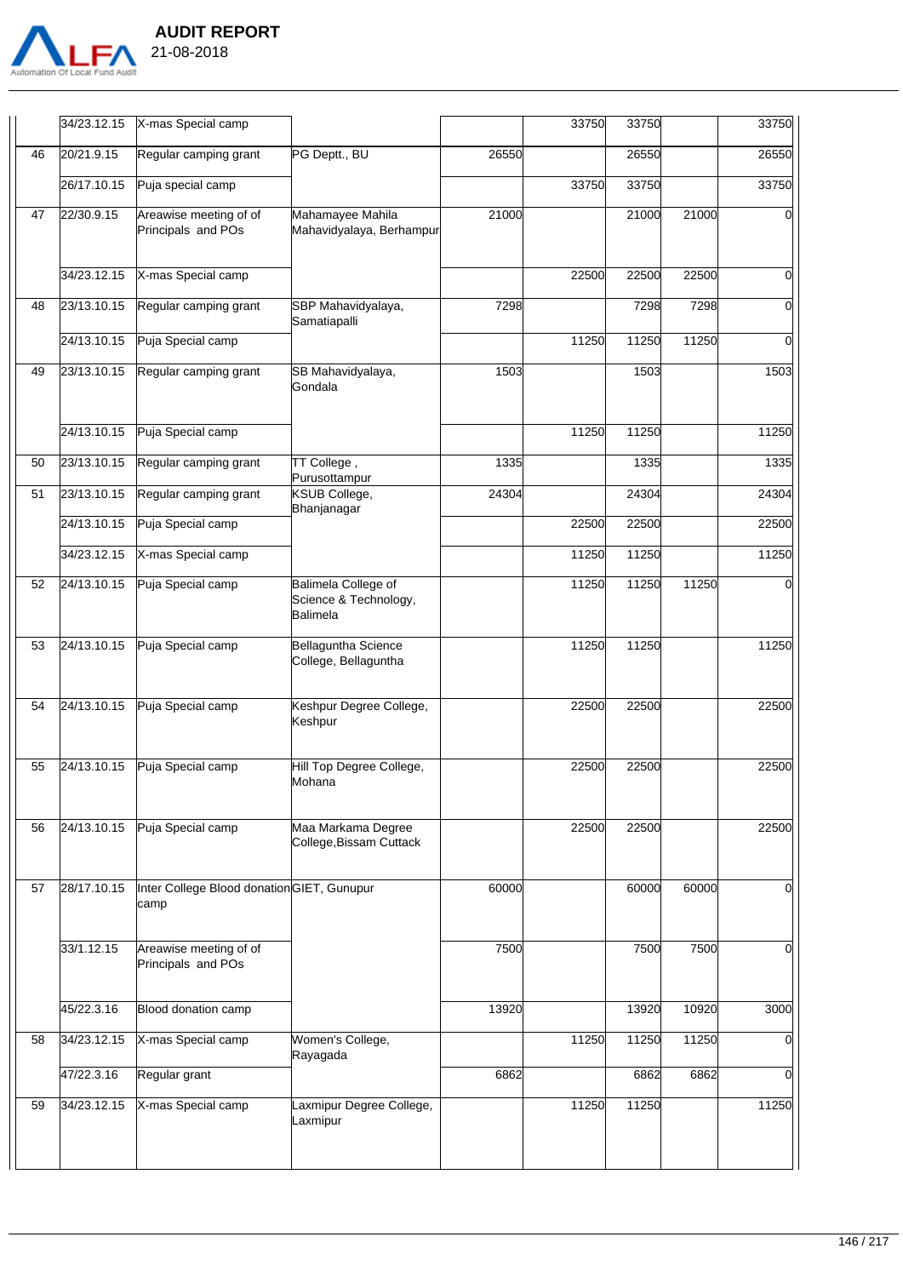

 $\mathbb{H}$ 

 **AUDIT REPORT** 

|    | 26/17.10.15 | Puja special camp                                  |                                                                        |       | 33750 | 33750 |       | 33750        |
|----|-------------|----------------------------------------------------|------------------------------------------------------------------------|-------|-------|-------|-------|--------------|
| 47 | 22/30.9.15  | Areawise meeting of of<br>Principals and POs       | Mahamayee Mahila<br>Mahavidyalaya, Berhampur                           | 21000 |       | 21000 | 21000 | $\Omega$     |
|    | 34/23.12.15 | X-mas Special camp                                 |                                                                        |       | 22500 | 22500 | 22500 | 0            |
| 48 | 23/13.10.15 | Regular camping grant                              | SBP Mahavidyalaya,<br>Samatiapalli                                     | 7298  |       | 7298  | 7298  | $\Omega$     |
|    | 24/13.10.15 | Puja Special camp                                  |                                                                        |       | 11250 | 11250 | 11250 | $\Omega$     |
| 49 | 23/13.10.15 | Regular camping grant                              | SB Mahavidyalaya,<br>Gondala                                           | 1503  |       | 1503  |       | 1503         |
|    | 24/13.10.15 | Puja Special camp                                  |                                                                        |       | 11250 | 11250 |       | 11250        |
| 50 | 23/13.10.15 | Regular camping grant                              | TT College,<br>Purusottampur                                           | 1335  |       | 1335  |       | 1335         |
| 51 | 23/13.10.15 | Regular camping grant                              | <b>KSUB College,</b><br>Bhanjanagar                                    | 24304 |       | 24304 |       | 24304        |
|    | 24/13.10.15 | Puja Special camp                                  |                                                                        |       | 22500 | 22500 |       | 22500        |
|    | 34/23.12.15 | X-mas Special camp                                 |                                                                        |       | 11250 | 11250 |       | 11250        |
| 52 | 24/13.10.15 | Puja Special camp                                  | <b>Balimela College of</b><br>Science & Technology,<br><b>Balimela</b> |       | 11250 | 11250 | 11250 | 0            |
| 53 | 24/13.10.15 | Puja Special camp                                  | <b>Bellaguntha Science</b><br>College, Bellaguntha                     |       | 11250 | 11250 |       | 11250        |
| 54 | 24/13.10.15 | Puja Special camp                                  | Keshpur Degree College,<br>Keshpur                                     |       | 22500 | 22500 |       | 22500        |
| 55 | 24/13.10.15 | Puja Special camp                                  | Hill Top Degree College,<br>Mohana                                     |       | 22500 | 22500 |       | 22500        |
| 56 | 24/13.10.15 | Puja Special camp                                  | Maa Markama Degree<br>College, Bissam Cuttack                          |       | 22500 | 22500 |       | 22500        |
| 57 | 28/17.10.15 | Inter College Blood donation GIET, Gunupur<br>camp |                                                                        | 60000 |       | 60000 | 60000 | O            |
|    | 33/1.12.15  | Areawise meeting of of<br>Principals and POs       |                                                                        | 7500  |       | 7500  | 7500  | O            |
|    | 45/22.3.16  | Blood donation camp                                |                                                                        | 13920 |       | 13920 | 10920 | 3000         |
| 58 | 34/23.12.15 | X-mas Special camp                                 | Women's College,<br>Rayagada                                           |       | 11250 | 11250 | 11250 | O            |
|    | 47/22.3.16  | Regular grant                                      |                                                                        | 6862  |       | 6862  | 6862  | <sub>0</sub> |
| 59 | 34/23.12.15 | X-mas Special camp                                 | axmipur Degree College,<br>.axmipur                                    |       | 11250 | 11250 |       | 11250        |

34/23.12.15 X-mas Special camp 33750 33750 33750 33750

46 20/21.9.15 Regular camping grant PG Deptt., BU 26550 26550 26550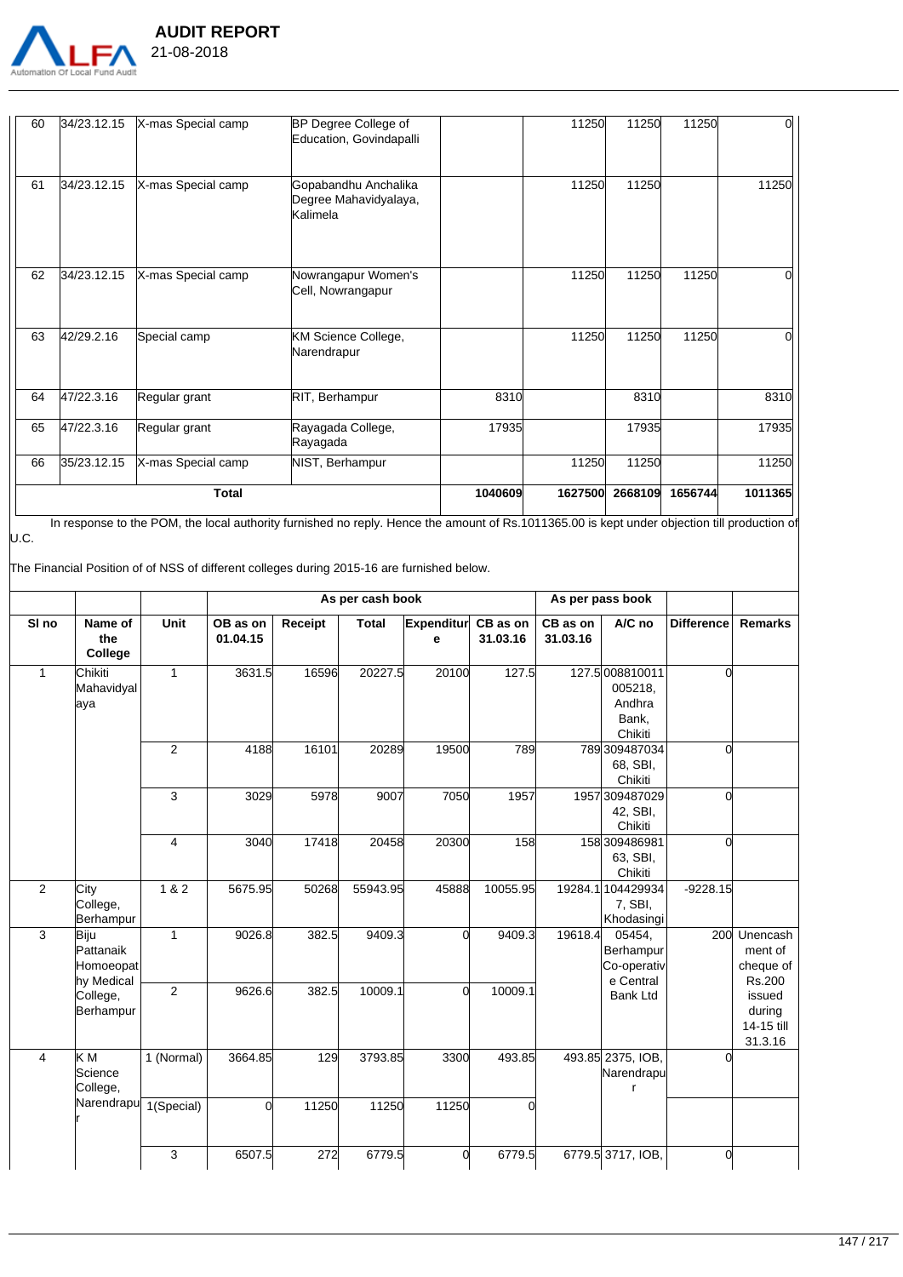

| 60 | 34/23.12.15 | X-mas Special camp | BP Degree College of<br>Education, Govindapalli           |         | 11250   | 11250   | 11250   | 0l      |
|----|-------------|--------------------|-----------------------------------------------------------|---------|---------|---------|---------|---------|
| 61 | 34/23.12.15 | X-mas Special camp | Gopabandhu Anchalika<br>Degree Mahavidyalaya,<br>Kalimela |         | 11250   | 11250   |         | 11250   |
| 62 | 34/23.12.15 | X-mas Special camp | Nowrangapur Women's<br>Cell, Nowrangapur                  |         | 11250   | 11250   | 11250   |         |
| 63 | 42/29.2.16  | Special camp       | KM Science College,<br>Narendrapur                        |         | 11250   | 11250   | 11250   |         |
| 64 | 47/22.3.16  | Regular grant      | RIT, Berhampur                                            | 8310    |         | 8310    |         | 8310    |
| 65 | 47/22.3.16  | Regular grant      | Rayagada College,<br>Rayagada                             | 17935   |         | 17935   |         | 17935   |
| 66 | 35/23.12.15 | X-mas Special camp | NIST, Berhampur                                           |         | 11250   | 11250   |         | 11250   |
|    |             | <b>Total</b>       |                                                           | 1040609 | 1627500 | 2668109 | 1656744 | 1011365 |

In response to the POM, the local authority furnished no reply. Hence the amount of Rs.1011365.00 is kept under objection till production of U.C.

The Financial Position of of NSS of different colleges during 2015-16 are furnished below.

 **AUDIT REPORT** 

|                |                                              |                |                      |                | As per cash book |                 |                      |                      | As per pass book                                        |                   |                                                |
|----------------|----------------------------------------------|----------------|----------------------|----------------|------------------|-----------------|----------------------|----------------------|---------------------------------------------------------|-------------------|------------------------------------------------|
| SI no          | Name of<br>the<br>College                    | Unit           | OB as on<br>01.04.15 | <b>Receipt</b> | <b>Total</b>     | Expenditur<br>e | CB as on<br>31.03.16 | CB as on<br>31.03.16 | A/C no                                                  | <b>Difference</b> | <b>Remarks</b>                                 |
| $\mathbf{1}$   | Chikiti<br>Mahavidyal<br>aya                 | $\mathbf{1}$   | 3631.5               | 16596          | 20227.5          | 20100           | 127.5                |                      | 127.5008810011<br>005218,<br>Andhra<br>Bank,<br>Chikiti | $\Omega$          |                                                |
|                |                                              | $\overline{2}$ | 4188                 | 16101          | 20289            | 19500           | 789                  |                      | 789 309 4870 34<br>68, SBI,<br>Chikiti                  | $\Omega$          |                                                |
|                |                                              | 3              | 3029                 | 5978           | 9007             | 7050            | 1957                 |                      | 1957 309487029<br>42, SBI,<br>Chikiti                   | 0l                |                                                |
|                |                                              | 4              | 3040                 | 17418          | 20458            | 20300           | 158                  |                      | 158 309486981<br>63, SBI,<br>Chikiti                    | $\Omega$          |                                                |
| $\overline{2}$ | City<br>College,<br>Berhampur                | 182            | 5675.95              | 50268          | 55943.95         | 45888           | 10055.95             |                      | 19284.1104429934<br>7, SBI,<br>Khodasingi               | $-9228.15$        |                                                |
| 3              | Biju<br>Pattanaik<br>Homoeopat<br>hy Medical | $\mathbf{1}$   | 9026.8               | 382.5          | 9409.3           | 0               | 9409.3               | 19618.4              | 05454,<br>Berhampur<br>Co-operativ<br>e Central         |                   | 200 Unencash<br>ment of<br>cheque of<br>Rs.200 |
|                | College,<br>Berhampur                        | $\overline{2}$ | 9626.6               | 382.5          | 10009.1          | $\Omega$        | 10009.1              |                      | <b>Bank Ltd</b>                                         |                   | issued<br>during<br>14-15 till<br>31.3.16      |
| 4              | KM<br>Science<br>College,                    | 1 (Normal)     | 3664.85              | 129            | 3793.85          | 3300            | 493.85               |                      | 493.85 2375, IOB,<br>Narendrapu<br>r                    | $\overline{0}$    |                                                |
|                | Narendrapu                                   | 1(Special)     | 0l                   | 11250          | 11250            | 11250           |                      |                      |                                                         |                   |                                                |
|                |                                              | 3              | 6507.5               | 272            | 6779.5           | C               | 6779.5               |                      | 6779.5 3717, IOB,                                       | $\Omega$          |                                                |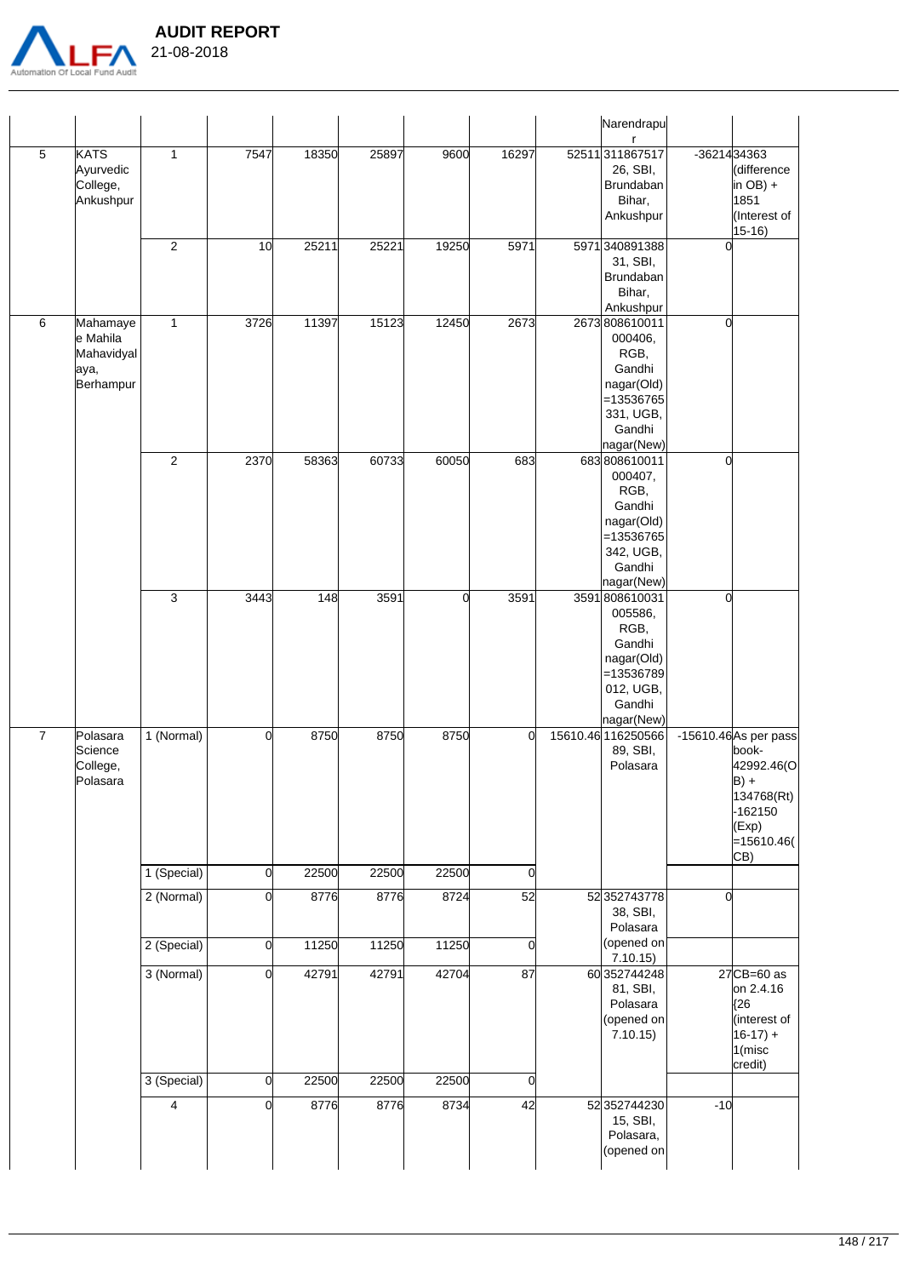

Narendrapu r 5 KATS Ayurvedic College, Ankushpur 1 7547 18350 25897 9600 16297 52511 311867517 26, SBI, Brundaban Bihar, Ankushpur -3621434363 (difference  $in OB$ ) + 1851 (Interest of  $15-16$ 2 10 25211 25221 19250 5971 5971 340891388 31, SBI, Brundaban Bihar, Ankushpur 0 6 Mahamaye e Mahila Mahavidyal aya, Berhampur 1 3726 11397 15123 12450 2673 2673 808610011 000406, RGB, Gandhi nagar(Old) =13536765 331, UGB, Gandhi nagar(New)<br>683808610011  $\overline{0}$ 2 2370 58363 60733 60050 683 683 808610011 000407, RGB, Gandhi nagar(Old) =13536765 342, UGB, Gandhi nagar(New)  $\overline{0}$ 3 3443 148 3591 0 3591 3591 808610031 005586, RGB, Gandhi nagar(Old) =13536789 012, UGB, Gandhi nagar(New)  $\Omega$ 7 Polasara **Science** College, Polasara 1 (Normal) 0 8750 8750 8750 0 15610.46 116250566 89, SBI, Polasara -15610.46As per pass book-42992.46(O  $B$ ) + 134768(Rt) -162150 (Exp)  $=15610.46($ CB) 1 (Special) 0 22500 22500 22500 0 2 (Normal) 0 8776 8776 8724 52 52 352743778 38, SBI, Polasara (opened on 7.10.15)  $\sqrt{2}$ 2 (Special) 0 11250 11250 11250 3 (Normal) 0 42791 42791 42704 87 60 352744248 81, SBI, Polasara (opened on 7.10.15) 27CB=60 as on 2.4.16 {26 (interest of  $16-17$ ) + 1(misc credit) 3 (Special) 0 22500 22500 22500 0 4 0 8776 8776 8734 42 52 352744230 15, SBI, Polasara, (opened on  $-10$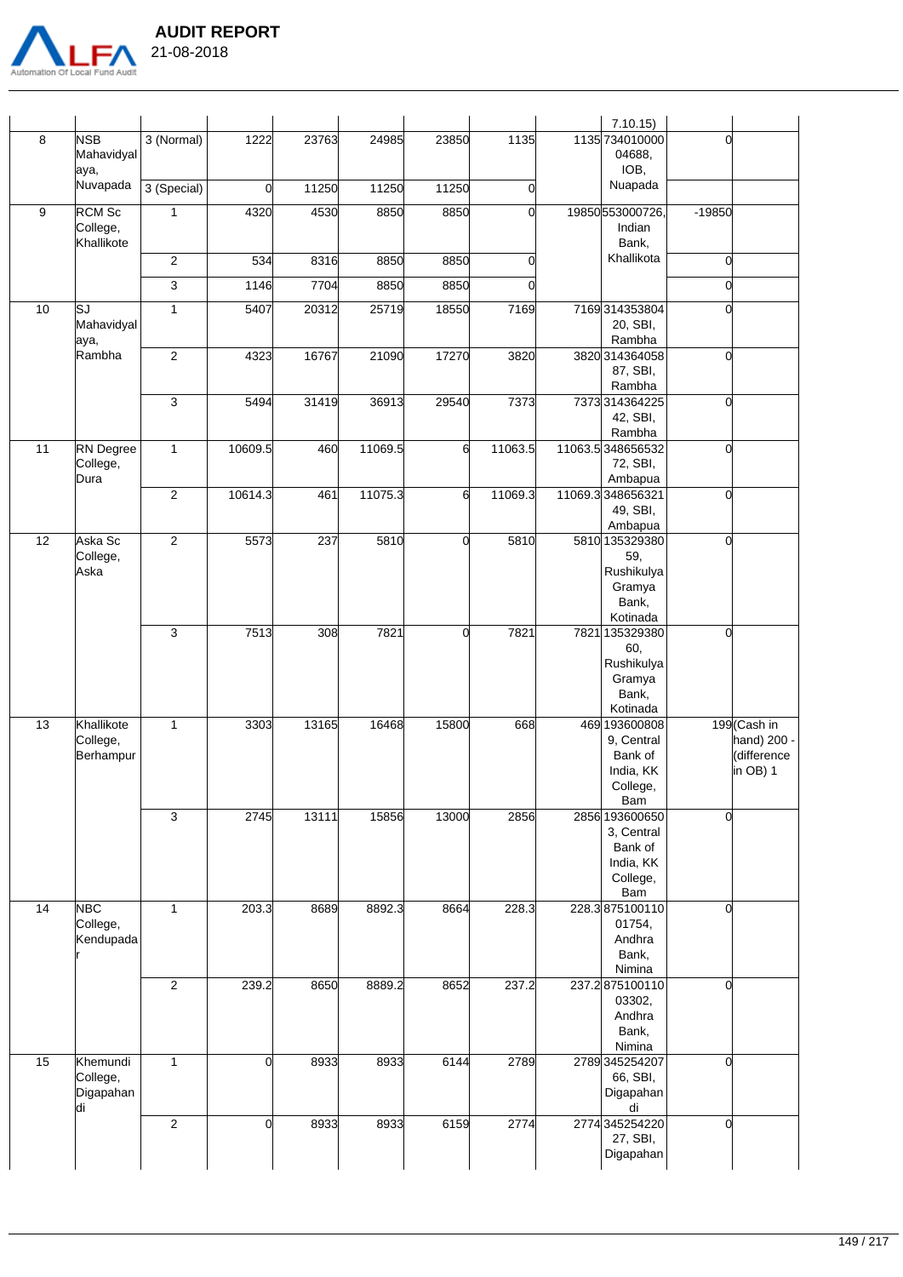

 **AUDIT REPORT**  21-08-2018

7.10.15) 8 NSB Mahavidyal aya, Nuvapada 3 (Normal) 1222 23763 24985 23850 1135 1135 734010000 04688, IOB, Nuapada  $\overline{0}$ 3 (Special) 0 11250 11250 11250 9 RCM Sc College, Khallikote 1 4320 4530 8850 8850 0 19850553000726, Indian Bank, Khallikota -19850 2 | 534| 8316| 8850| 8850| 0| |<sup>Khallikota</sup>l 0 3 1146 7704 8850 8850 0 0  $\overline{10}$  SJ Mahavidyal aya, Rambha 1 5407 20312 25719 18550 7169 7169 314353804 20, SBI, Rambha  $\Omega$ 2 4323 16767 21090 17270 3820 3820 314364058 87, SBI, Rambha  $\Omega$ 3 5494 31419 36913 29540 7373 7373 314364225 42, SBI, Rambha  $\Omega$ 11 RN Degree College, Dura 1 10609.5 460 11069.5 6 11063.5 11063.5 348656532 72, SBI, Ambapua<br>348656321  $\overline{0}$ 2 10614.3 461 11075.3 6 11069.3 11069.3 348656321 49, SBI, Ambapua  $\overline{0}$ 12 Aska Sc College, Aska 2 5573 237 5810 0 5810 5810 135329380 59, Rushikulya Gramya Bank, Kotinada 0 3 7513 308 7821 0 7821 7821 135329380 60, Rushikulya Gramya Bank, Kotinada<br>193600808  $\Omega$ 13 Khallikote College, Berhampur 1 3303 13165 16468 15800 668 469 193600808 9, Central Bank of India, KK College, Bam 199(Cash in hand) 200 - (difference in OB) 1 3 2745 13111 15856 13000 2856 2856 193600650 3, Central Bank of India, KK College, Bam  $\Omega$  $\overline{14}$  NBC College. Kendupada r 1 203.3 8689 8892.3 8664 228.3 228.3 875100110 01754, Andhra Bank, Nimina  $\overline{0}$ 2 239.2 8650 8889.2 8652 237.2 237.2 875100110 03302, Andhra Bank, Nimina  $\Omega$ 15 Khemundi College, Digapahan di 1 0 8933 8933 6144 2789 2789 345254207 66, SBI, **Digapahar** di  $\overline{0}$ 2 0 8933 8933 6159 2774 2774 345254220 27, SBI, Digapahan  $\overline{0}$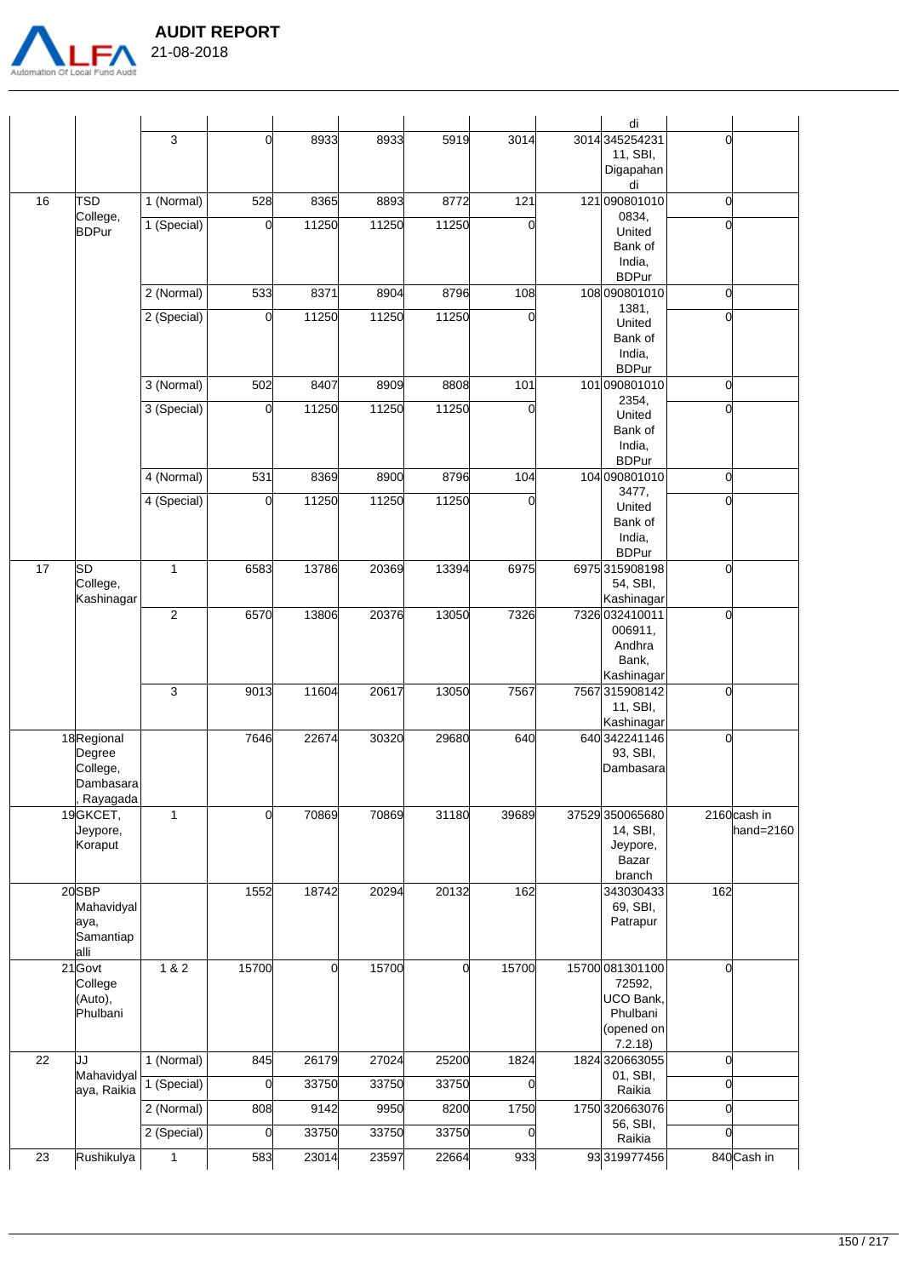

|                 |                                                           |                |                |                |       |                |                  | di                                                                         |                |                                      |
|-----------------|-----------------------------------------------------------|----------------|----------------|----------------|-------|----------------|------------------|----------------------------------------------------------------------------|----------------|--------------------------------------|
|                 |                                                           | 3              | $\Omega$       | 8933           | 8933  | 5919           | 3014             | 3014345254231<br>11, SBI,<br>Digapahan                                     | $\overline{0}$ |                                      |
| 16              | <b>TSD</b>                                                | 1 (Normal)     | 528            | 8365           | 8893  | 8772           | $\overline{121}$ | di<br>121090801010                                                         | $\overline{0}$ |                                      |
|                 | College,<br><b>BDPur</b>                                  | 1 (Special)    | $\overline{0}$ | 11250          | 11250 | 11250          | $\Omega$         | 0834,<br>United<br>Bank of<br>India,                                       | $\overline{0}$ |                                      |
|                 |                                                           | 2 (Normal)     | 533            | 8371           | 8904  | 8796           | 108              | <b>BDPur</b><br>108090801010                                               | $\overline{0}$ |                                      |
|                 |                                                           | 2 (Special)    | <sub>0</sub>   | 11250          | 11250 | 11250          | 0                | 1381,                                                                      | $\Omega$       |                                      |
|                 |                                                           |                |                |                |       |                |                  | United<br>Bank of<br>India,<br><b>BDPur</b>                                |                |                                      |
|                 |                                                           | 3 (Normal)     | 502            | 8407           | 8909  | 8808           | 101              | 101090801010<br>2354,                                                      | 0              |                                      |
|                 |                                                           | 3 (Special)    | $\overline{0}$ | 11250          | 11250 | 11250          | 0                | United<br>Bank of<br>India,<br><b>BDPur</b>                                | $\overline{0}$ |                                      |
|                 |                                                           | 4 (Normal)     | 531            | 8369           | 8900  | 8796           | 104              | 104090801010                                                               | $\mathbf 0$    |                                      |
|                 |                                                           | 4 (Special)    | $\overline{0}$ | 11250          | 11250 | 11250          | $\Omega$         | 3477,<br>United<br>Bank of<br>India,<br><b>BDPur</b>                       | $\overline{0}$ |                                      |
| 17              | SD<br>College,<br>Kashinagar                              | $\mathbf{1}$   | 6583           | 13786          | 20369 | 13394          | 6975             | 6975315908198<br>54, SBI,<br>Kashinagar                                    | $\overline{0}$ |                                      |
|                 |                                                           | $\overline{c}$ | 6570           | 13806          | 20376 | 13050          | 7326             | 7326 032410011<br>006911,<br>Andhra<br>Bank,<br>Kashinagar                 | $\overline{0}$ |                                      |
|                 |                                                           | 3              | 9013           | 11604          | 20617 | 13050          | 7567             | 7567315908142<br>11, SBI,<br>Kashinagar                                    | $\mathbf 0$    |                                      |
|                 | 18Regional<br>Degree<br>College,<br>Dambasara<br>Rayagada |                | 7646           | 22674          | 30320 | 29680          | 640              | 640 342241146<br>93, SBI,<br>Dambasara                                     | $\overline{0}$ |                                      |
|                 | 19GKCET,<br>Jeypore,<br>Koraput                           | $\mathbf{1}$   | $\Omega$       | 70869          | 70869 | 31180          | 39689            | 37529 350065680<br>14, SBI,<br>Jeypore,<br>Bazar<br>branch                 |                | 2160 <sub>cash in</sub><br>hand=2160 |
|                 | 20SBP<br>Mahavidyal<br>aya,<br>Samantiap<br>alli          |                | 1552           | 18742          | 20294 | 20132          | 162              | 343030433<br>69, SBI,<br>Patrapur                                          | 162            |                                      |
|                 | $21$ Govt<br>College<br>(Auto),<br>Phulbani               | 182            | 15700          | $\overline{0}$ | 15700 | $\overline{0}$ | 15700            | 15700 081301100<br>72592,<br>UCO Bank,<br>Phulbani<br>(opened on<br>7.2.18 | $\overline{0}$ |                                      |
| $\overline{22}$ | JJ                                                        | 1 (Normal)     | 845            | 26179          | 27024 | 25200          | 1824             | 1824 320663055                                                             | $\mathbf 0$    |                                      |
|                 | Mahavidyal<br>aya, Raikia                                 | 1 (Special)    | $\Omega$       | 33750          | 33750 | 33750          | 0                | 01, SBI,<br>Raikia                                                         | $\overline{0}$ |                                      |
|                 |                                                           | 2 (Normal)     | 808            | 9142           | 9950  | 8200           | 1750             | 1750 320663076                                                             | $\overline{0}$ |                                      |
|                 |                                                           | 2 (Special)    | $\overline{0}$ | 33750          | 33750 | 33750          | 0                | 56, SBI,<br>Raikia                                                         | $\overline{0}$ |                                      |
| 23              | Rushikulya                                                | 1              | 583            | 23014          | 23597 | 22664          | 933              | 93319977456                                                                |                | 840 Cash in                          |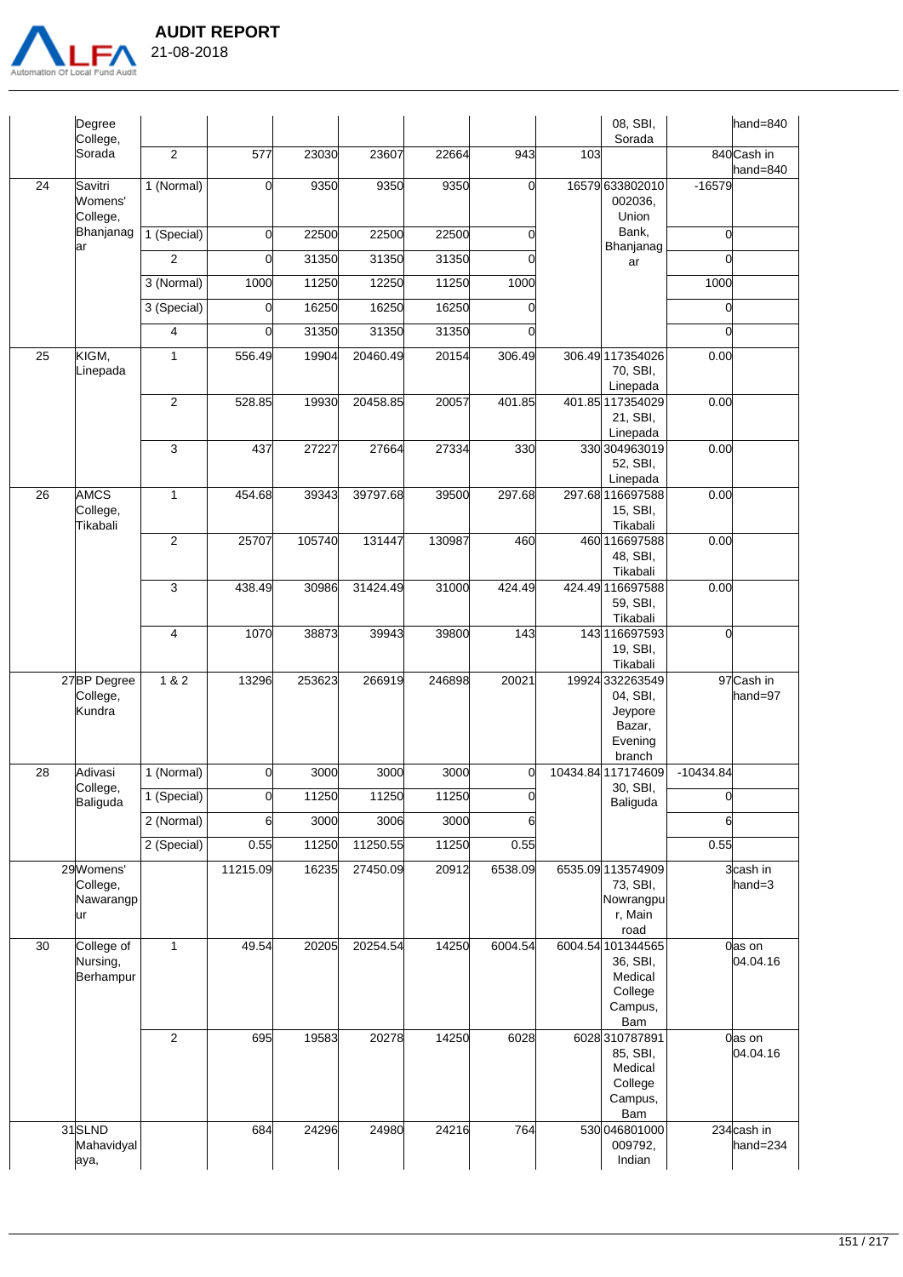

| .FΛ<br>' Local Fund Audit      | 21-08-2018 | <b>AUDIT REPORT</b> |       |       |  |
|--------------------------------|------------|---------------------|-------|-------|--|
| Degree<br>College,<br>Sorada   | 2          | 577                 | 23030 | 23607 |  |
| Savitri<br>Womens'<br>College, | 1 (Normal) |                     | 9350  | 9350  |  |
| Bhanianag                      | (Snceil)   |                     | 22500 | 22500 |  |

|    | Sorada                                     | 2              | 577          | 23030  | 23607    | 22664  | 943      | 103      |                                                                              |                | 840 Cash in             |
|----|--------------------------------------------|----------------|--------------|--------|----------|--------|----------|----------|------------------------------------------------------------------------------|----------------|-------------------------|
| 24 | Savitri<br>Womens'<br>College,             | 1 (Normal)     | <sub>0</sub> | 9350   | 9350     | 9350   | 0        |          | 16579633802010<br>002036,<br>Union                                           | $-16579$       | hand=840                |
|    | Bhanjanag                                  | 1 (Special)    | <sub>0</sub> | 22500  | 22500    | 22500  | $\Omega$ |          | Bank,                                                                        | O              |                         |
|    | ar                                         | $\overline{c}$ | <sub>0</sub> | 31350  | 31350    | 31350  | $\Omega$ |          | Bhanjanag<br>ar                                                              | $\Omega$       |                         |
|    |                                            | 3 (Normal)     | 1000         | 11250  | 12250    | 11250  | 1000     |          |                                                                              | 1000           |                         |
|    |                                            | 3 (Special)    | 0            | 16250  | 16250    | 16250  |          |          |                                                                              | 0              |                         |
|    |                                            | 4              | <sub>0</sub> | 31350  | 31350    | 31350  | $\Omega$ |          |                                                                              | $\overline{0}$ |                         |
| 25 | KIGM,<br>Linepada                          | $\mathbf{1}$   | 556.49       | 19904  | 20460.49 | 20154  | 306.49   |          | 306.49 117354026<br>70, SBI,<br>Linepada                                     | 0.00           |                         |
|    |                                            | $\overline{2}$ | 528.85       | 19930  | 20458.85 | 20057  | 401.85   |          | 401.85 117354029<br>21, SBI,<br>Linepada                                     | 0.00           |                         |
|    |                                            | 3              | 437          | 27227  | 27664    | 27334  | 330      |          | 330 304963019<br>52, SBI,<br>Linepada                                        | 0.00           |                         |
| 26 | <b>AMCS</b><br>College,<br><b>Tikabali</b> | $\mathbf{1}$   | 454.68       | 39343  | 39797.68 | 39500  | 297.68   |          | 297.68 116697588<br>15, SBI,<br>Tikabali                                     | 0.00           |                         |
|    |                                            | $\overline{2}$ | 25707        | 105740 | 131447   | 130987 | 460      |          | 460 116697588<br>48, SBI,<br>Tikabali                                        | 0.00           |                         |
|    |                                            | 3              | 438.49       | 30986  | 31424.49 | 31000  | 424.49   |          | 424.49 116697588<br>59, SBI,<br>Tikabali                                     | 0.00           |                         |
|    |                                            | 4              | 1070         | 38873  | 39943    | 39800  | 143      |          | 143 116697593<br>19, SBI,<br>Tikabali                                        | O              |                         |
|    | 27BP Degree<br>College,<br>Kundra          | 1 & 2          | 13296        | 253623 | 266919   | 246898 | 20021    |          | 19924 332263549<br>04, SBI,<br>Jeypore<br>Bazar,<br>Evening<br>branch        |                | 97 Cash in<br>hand=97   |
| 28 | Adivasi<br>College,                        | 1 (Normal)     | O            | 3000   | 3000     | 3000   | 0        | 10434.84 | 117174609<br>30, SBI,                                                        | $-10434.84$    |                         |
|    | Baliguda                                   | 1 (Special)    | O            | 11250  | 11250    | 11250  | $\Omega$ |          | Baliguda                                                                     | 0              |                         |
|    |                                            | 2 (Normal)     | 6            | 3000   | 3006     | 3000   | 6        |          |                                                                              | 6              |                         |
|    |                                            | 2 (Special)    | 0.55         | 11250  | 11250.55 | 11250  | 0.55     |          |                                                                              | 0.55           |                         |
|    | 29 Womens'<br>College,<br>Nawarangp<br>ur  |                | 11215.09     | 16235  | 27450.09 | 20912  | 6538.09  |          | 6535.09 113574909<br>73, SBI,<br>Nowrangpu<br>r, Main<br>road                |                | 3cash in<br>hand=3      |
| 30 | College of<br>Nursing,<br>Berhampur        | $\mathbf{1}$   | 49.54        | 20205  | 20254.54 | 14250  | 6004.54  |          | 6004.54 101344565<br>36, SBI,<br>Medical<br>College<br>Campus,<br><b>Bam</b> |                | 0as on<br>04.04.16      |
|    |                                            | $\overline{2}$ | 695          | 19583  | 20278    | 14250  | 6028     |          | 6028310787891<br>85, SBI,<br>Medical<br>College<br>Campus,<br>Bam            |                | 0as on<br>04.04.16      |
|    | 31SLND<br>Mahavidyal<br>aya,               |                | 684          | 24296  | 24980    | 24216  | 764      |          | 530046801000<br>009792,<br>Indian                                            |                | 234 cash in<br>hand=234 |

08, SBI, Sorada

hand=840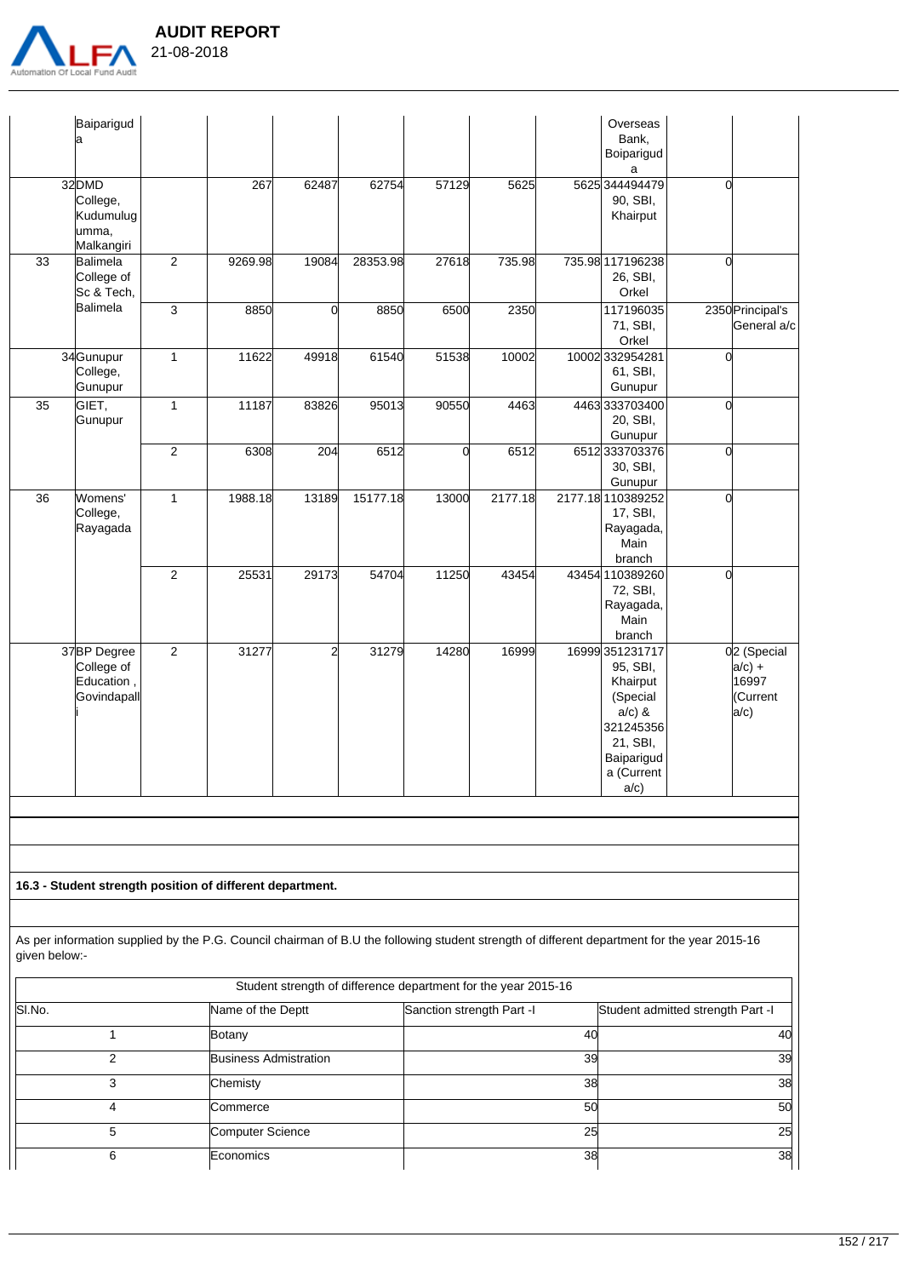

|               | Baiparigud<br>a                                                                                                                             |                |                   |                |                                                                |                           |         | Overseas<br>Bank,<br>Boiparigud<br>a                                                                                          |              |                                                       |
|---------------|---------------------------------------------------------------------------------------------------------------------------------------------|----------------|-------------------|----------------|----------------------------------------------------------------|---------------------------|---------|-------------------------------------------------------------------------------------------------------------------------------|--------------|-------------------------------------------------------|
|               | 32DMD<br>College,<br>Kudumulug<br>umma,<br>Malkangiri                                                                                       |                | 267               | 62487          | 62754                                                          | 57129                     | 5625    | 5625 344494479<br>90, SBI,<br>Khairput                                                                                        | 0            |                                                       |
| 33            | <b>Balimela</b><br>College of<br>Sc & Tech,                                                                                                 | $\overline{2}$ | 9269.98           | 19084          | 28353.98                                                       | 27618                     | 735.98  | 735.98 117196238<br>26, SBI,<br>Orkel                                                                                         | $\mathbf{0}$ |                                                       |
|               | <b>Balimela</b>                                                                                                                             | $\sqrt{3}$     | 8850              | $\overline{0}$ | 8850                                                           | 6500                      | 2350    | 117196035<br>71, SBI,<br>Orkel                                                                                                |              | 2350 Principal's<br>General a/c                       |
|               | 34Gunupur<br>College,<br>Gunupur                                                                                                            | $\mathbf{1}$   | 11622             | 49918          | 61540                                                          | 51538                     | 10002   | 10002332954281<br>61, SBI,<br>Gunupur                                                                                         | 0            |                                                       |
| 35            | GIET,<br>Gunupur                                                                                                                            | $\mathbf{1}$   | 11187             | 83826          | 95013                                                          | 90550                     | 4463    | 4463333703400<br>20, SBI,<br>Gunupur                                                                                          | 0            |                                                       |
|               |                                                                                                                                             | $\overline{2}$ | 6308              | 204            | 6512                                                           | 0                         | 6512    | 6512333703376<br>30, SBI,<br>Gunupur                                                                                          | 0            |                                                       |
| 36            | Womens'<br>College,<br>Rayagada                                                                                                             | $\mathbf{1}$   | 1988.18           | 13189          | 15177.18                                                       | 13000                     | 2177.18 | 2177.18 110389252<br>17, SBI,<br>Rayagada,<br>Main<br>branch                                                                  | $\mathbf{0}$ |                                                       |
|               |                                                                                                                                             | $\overline{2}$ | 25531             | 29173          | 54704                                                          | 11250                     | 43454   | 43454 110389260<br>72, SBI,<br>Rayagada,<br>Main<br>branch                                                                    | 0            |                                                       |
|               | 37BP Degree<br>College of<br>Education,<br>Govindapall                                                                                      | $\overline{2}$ | 31277             | $\overline{a}$ | 31279                                                          | 14280                     | 16999   | 16999 351231717<br>95, SBI,<br>Khairput<br>(Special<br>$a/c$ ) &<br>321245356<br>21, SBI,<br>Baiparigud<br>a (Current<br>a/c) |              | 02 (Special<br>$a/c$ ) +<br>16997<br>(Current<br>a/c) |
|               |                                                                                                                                             |                |                   |                |                                                                |                           |         |                                                                                                                               |              |                                                       |
|               | 16.3 - Student strength position of different department.                                                                                   |                |                   |                |                                                                |                           |         |                                                                                                                               |              |                                                       |
| given below:- | As per information supplied by the P.G. Council chairman of B.U the following student strength of different department for the year 2015-16 |                |                   |                |                                                                |                           |         |                                                                                                                               |              |                                                       |
|               |                                                                                                                                             |                |                   |                | Student strength of difference department for the year 2015-16 |                           |         |                                                                                                                               |              |                                                       |
| lSLNo         |                                                                                                                                             |                | Name of the Deptt |                |                                                                | Sanction strength Part -I |         | Student admitted strength Part -                                                                                              |              |                                                       |

|        |                              | bradont other girl or amoroneo dopartment for the your Editor To |                                   |
|--------|------------------------------|------------------------------------------------------------------|-----------------------------------|
| SI.No. | Name of the Deptt            | Sanction strength Part -I                                        | Student admitted strength Part -I |
|        | Botany                       |                                                                  | 40<br>40                          |
|        | <b>Business Admistration</b> |                                                                  | 39<br>39                          |
|        | Chemisty                     |                                                                  | 38<br>38                          |
|        | Commerce                     |                                                                  | 50<br>50                          |
|        | Computer Science             |                                                                  | 25<br>25                          |
| 6      | Economics                    |                                                                  | 38<br>38                          |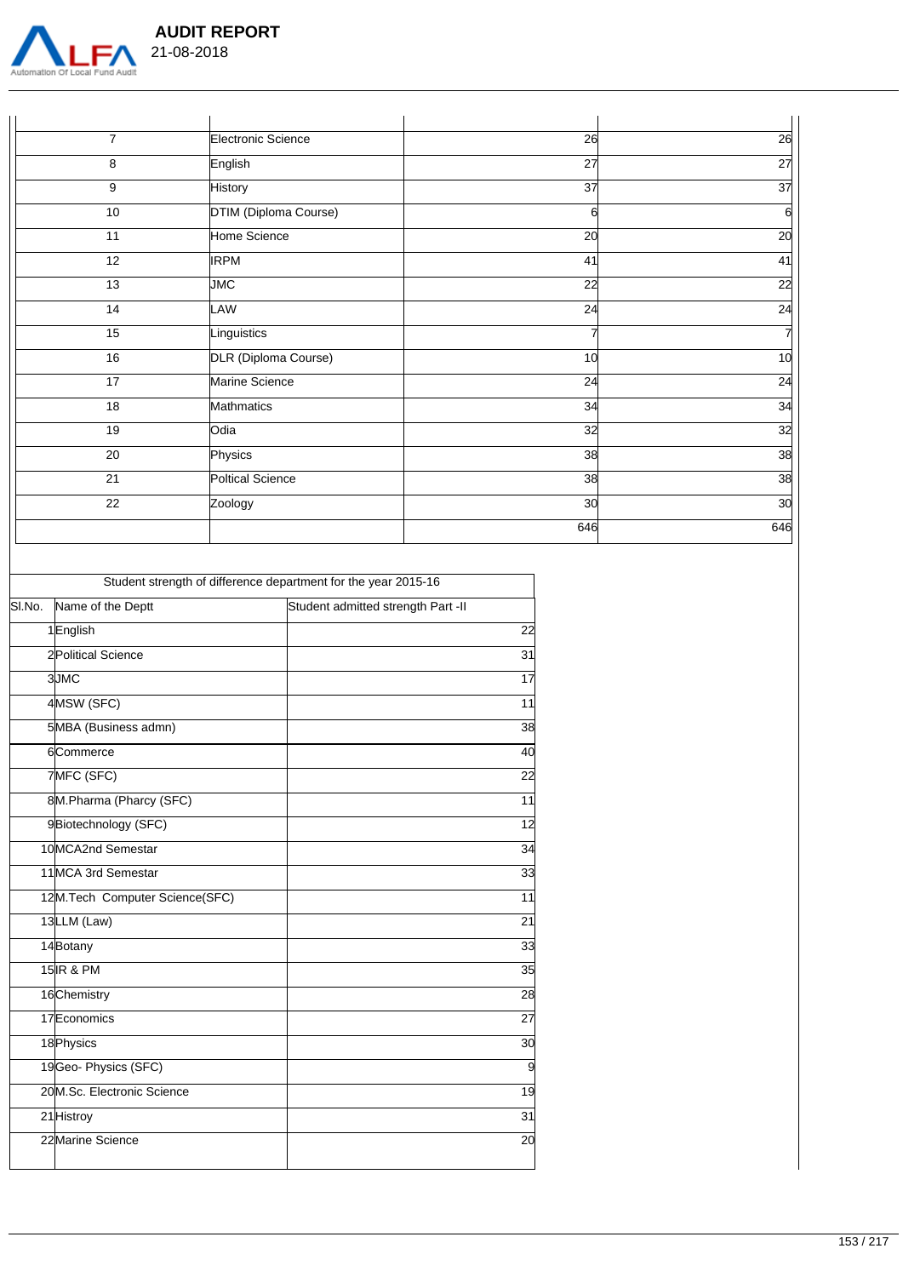

Ē.

 **AUDIT REPORT** 

| $\overline{7}$  | Electronic Science    | 26  | 26              |
|-----------------|-----------------------|-----|-----------------|
| 8               | English               | 27  | 27              |
| 9               | <b>History</b>        | 37  | 37              |
| 10              | DTIM (Diploma Course) | ଖ   | 6               |
| 11              | Home Science          | 20  | $\overline{20}$ |
| 12              | <b>IRPM</b>           | 41  | 41              |
| 13              | <b>JMC</b>            | 22  | 22              |
| 14              | LAW                   | 24  | 24              |
| 15              | Linguistics           |     |                 |
| 16              | DLR (Diploma Course)  | 10  | 10              |
| $\overline{17}$ | Marine Science        | 24  | 24              |
| 18              | Mathmatics            | 34  | 34              |
| 19              | Odia                  | 32  | 32              |
| 20              | Physics               | 38  | 38              |
| 21              | Poltical Science      | 38  | 38              |
| 22              | Zoology               | 30  | 30              |
|                 |                       | 646 | 646             |

|        |                                | Student strength of difference department for the year 2015-16 |
|--------|--------------------------------|----------------------------------------------------------------|
| SI.No. | Name of the Deptt              | Student admitted strength Part -II                             |
|        | 1English                       | 22                                                             |
|        | 2 Political Science            | 31                                                             |
|        | 3JMC                           | $\overline{17}$                                                |
|        | 4MSW (SFC)                     | 11                                                             |
|        | 5MBA (Business admn)           | 38                                                             |
|        | 6Commerce                      | 40                                                             |
|        | 7MFC (SFC)                     | 22                                                             |
|        | 8M.Pharma (Pharcy (SFC)        | 11                                                             |
|        | 9Biotechnology (SFC)           | 12                                                             |
|        | 10 MCA2nd Semestar             | 34                                                             |
|        | 11 MCA 3rd Semestar            | 33                                                             |
|        | 12M.Tech Computer Science(SFC) | 11                                                             |
|        | 13LLM (Law)                    | 21                                                             |
|        | 14Botany                       | 33                                                             |
|        | 15 R & PM                      | 35                                                             |
|        | 16Chemistry                    | 28                                                             |
|        | 17Economics                    | 27                                                             |
|        | 18 Physics                     | 30                                                             |
|        | 19Geo-Physics (SFC)            | g                                                              |
|        | 20M.Sc. Electronic Science     | 19                                                             |
|        | 21 Histroy                     | 31                                                             |
|        | 22 Marine Science              | 20                                                             |
|        |                                |                                                                |

153 / 217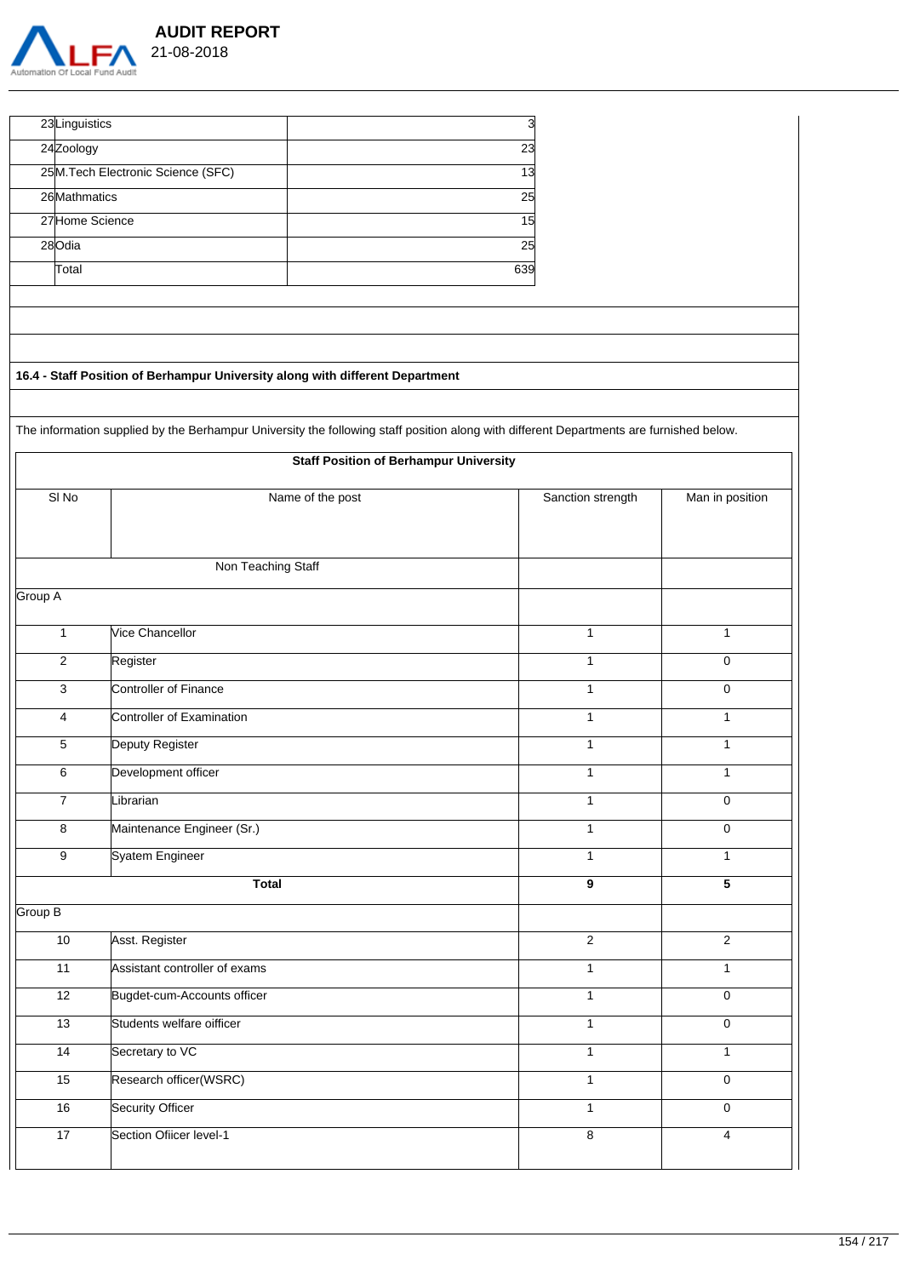

| 23 Linguistics  |                                                                               |                                                                                                                                         | 3                 |                     |
|-----------------|-------------------------------------------------------------------------------|-----------------------------------------------------------------------------------------------------------------------------------------|-------------------|---------------------|
| 24 Zoology      |                                                                               |                                                                                                                                         | 23                |                     |
|                 | 25M. Tech Electronic Science (SFC)                                            |                                                                                                                                         | 13                |                     |
| 26 Mathmatics   |                                                                               |                                                                                                                                         | 25                |                     |
| 27 Home Science |                                                                               |                                                                                                                                         | 15                |                     |
| 28Odia          |                                                                               |                                                                                                                                         | $\overline{25}$   |                     |
| Total           |                                                                               | 639                                                                                                                                     |                   |                     |
|                 |                                                                               |                                                                                                                                         |                   |                     |
|                 |                                                                               |                                                                                                                                         |                   |                     |
|                 |                                                                               |                                                                                                                                         |                   |                     |
|                 | 16.4 - Staff Position of Berhampur University along with different Department |                                                                                                                                         |                   |                     |
|                 |                                                                               |                                                                                                                                         |                   |                     |
|                 |                                                                               | The information supplied by the Berhampur University the following staff position along with different Departments are furnished below. |                   |                     |
|                 |                                                                               | <b>Staff Position of Berhampur University</b>                                                                                           |                   |                     |
| SING            |                                                                               | Name of the post                                                                                                                        | Sanction strength | Man in position     |
|                 |                                                                               |                                                                                                                                         |                   |                     |
|                 |                                                                               |                                                                                                                                         |                   |                     |
|                 | Non Teaching Staff                                                            |                                                                                                                                         |                   |                     |
| Group A         |                                                                               |                                                                                                                                         |                   |                     |
| $\mathbf{1}$    | Vice Chancellor                                                               |                                                                                                                                         | $\mathbf{1}$      | $\mathbf{1}$        |
|                 |                                                                               |                                                                                                                                         | $\mathbf{1}$      | $\mathbf 0$         |
| $\overline{2}$  | Register                                                                      |                                                                                                                                         |                   |                     |
| $\overline{3}$  | Controller of Finance                                                         |                                                                                                                                         | $\mathbf{1}$      | $\mathbf 0$         |
| $\overline{4}$  | Controller of Examination                                                     |                                                                                                                                         | $\mathbf{1}$      | $\mathbf{1}$        |
| 5               | Deputy Register                                                               |                                                                                                                                         | $\mathbf{1}$      | $\mathbf{1}$        |
| 6               | Development officer                                                           |                                                                                                                                         | 1                 | $\mathbf{1}$        |
| $\overline{7}$  | Librarian                                                                     |                                                                                                                                         | $\mathbf{1}$      | $\mathsf 0$         |
| $\overline{8}$  | Maintenance Engineer (Sr.)                                                    |                                                                                                                                         | $\mathbf{1}$      | $\mathsf{O}\xspace$ |
| $\overline{9}$  | Syatem Engineer                                                               |                                                                                                                                         | $\mathbf{1}$      | $\mathbf{1}$        |
|                 | <b>Total</b>                                                                  |                                                                                                                                         | $\overline{9}$    | $\overline{5}$      |
| Group B         |                                                                               |                                                                                                                                         |                   |                     |
| 10              | Asst. Register                                                                |                                                                                                                                         | $\overline{2}$    | $\overline{2}$      |
| $\overline{11}$ | Assistant controller of exams                                                 |                                                                                                                                         | 1                 | $\mathbf{1}$        |
| 12              | Bugdet-cum-Accounts officer                                                   |                                                                                                                                         | $\mathbf{1}$      | $\mathsf{O}\xspace$ |
| 13              | Students welfare oifficer                                                     |                                                                                                                                         | $\mathbf{1}$      | $\mathsf{O}\xspace$ |
| 14              | Secretary to VC                                                               |                                                                                                                                         | $\mathbf{1}$      | $\mathbf{1}$        |
| 15              | Research officer(WSRC)                                                        |                                                                                                                                         | $\mathbf{1}$      | $\overline{0}$      |
| $16\,$          | <b>Security Officer</b>                                                       |                                                                                                                                         | $\mathbf{1}$      | $\mathsf{O}\xspace$ |
| $\overline{17}$ | Section Ofiicer level-1                                                       |                                                                                                                                         |                   |                     |
|                 |                                                                               |                                                                                                                                         | 8                 | $\overline{4}$      |
|                 |                                                                               |                                                                                                                                         |                   |                     |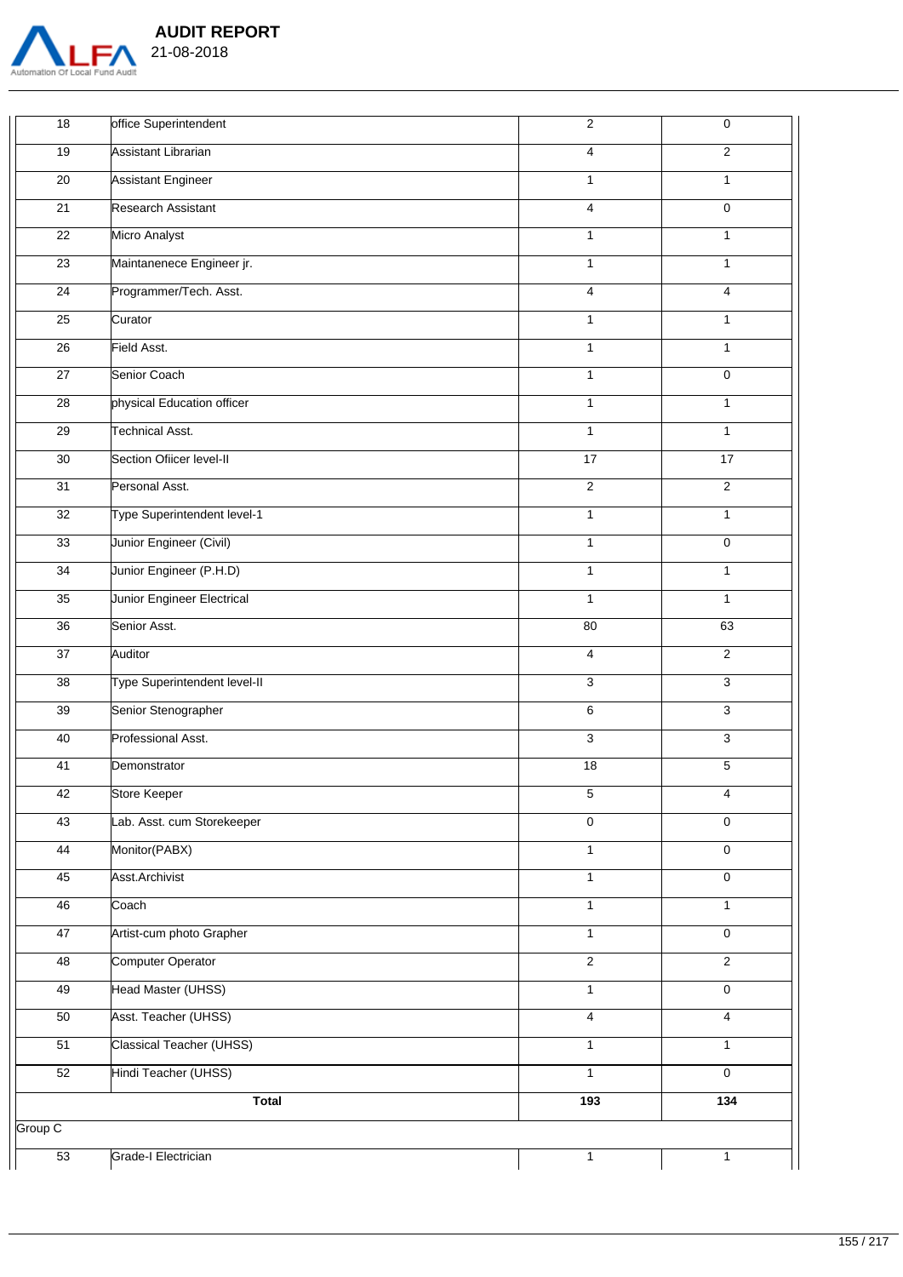

 **AUDIT REPORT**  21-08-2018

| 18              | office Superintendent        | $\overline{2}$          | 0                   |
|-----------------|------------------------------|-------------------------|---------------------|
| 19              | <b>Assistant Librarian</b>   | $\overline{\mathbf{4}}$ | $\overline{2}$      |
| 20              | <b>Assistant Engineer</b>    | $\mathbf{1}$            | $\mathbf{1}$        |
| $\overline{21}$ | Research Assistant           | 4                       | 0                   |
| 22              | Micro Analyst                | $\mathbf{1}$            | $\mathbf{1}$        |
| 23              | Maintanenece Engineer jr.    | $\mathbf{1}$            | $\mathbf{1}$        |
| $\overline{24}$ | Programmer/Tech. Asst.       | 4                       | 4                   |
| $\overline{25}$ | Curator                      | 1                       | $\mathbf{1}$        |
| 26              | Field Asst.                  | $\mathbf{1}$            | $\mathbf{1}$        |
| 27              | Senior Coach                 | $\mathbf{1}$            | 0                   |
| 28              | physical Education officer   | $\mathbf{1}$            | $\mathbf{1}$        |
| 29              | <b>Technical Asst.</b>       | $\mathbf{1}$            | $\mathbf{1}$        |
| 30              | Section Ofiicer level-II     | $\overline{17}$         | 17                  |
| 31              | Personal Asst.               | $\overline{2}$          | $\overline{2}$      |
| 32              | Type Superintendent level-1  | $\mathbf{1}$            | $\mathbf{1}$        |
| 33              | Junior Engineer (Civil)      | $\mathbf{1}$            | $\mathsf{O}\xspace$ |
| $\overline{34}$ | Junior Engineer (P.H.D)      | $\mathbf{1}$            | $\mathbf{1}$        |
| $\overline{35}$ | Junior Engineer Electrical   | $\mathbf{1}$            | $\mathbf{1}$        |
| $\overline{36}$ | Senior Asst.                 | 80                      | 63                  |
| $\overline{37}$ | Auditor                      | 4                       | $\overline{2}$      |
| 38              | Type Superintendent level-II | $\mathbf{3}$            | $\mathsf 3$         |
| 39              | Senior Stenographer          | 6                       | $\overline{3}$      |
| 40              | Professional Asst.           | 3                       | 3                   |
| 41              | Demonstrator                 | 18                      | 5                   |
| 42              | Store Keeper                 | 5                       | 4                   |
| 43              | Lab. Asst. cum Storekeeper   | 0                       | 0                   |
| 44              | Monitor(PABX)                | $\mathbf{1}$            | $\overline{0}$      |
| 45              | Asst.Archivist               | $\mathbf{1}$            | $\mathsf{O}\xspace$ |
| 46              | Coach                        | $\mathbf{1}$            | $\mathbf{1}$        |
| 47              | Artist-cum photo Grapher     | $\mathbf{1}$            | $\mathsf{O}\xspace$ |
| 48              | Computer Operator            | $\overline{2}$          | $\overline{2}$      |
| 49              | Head Master (UHSS)           | $\mathbf{1}$            | $\overline{0}$      |
| 50              | Asst. Teacher (UHSS)         | $\overline{4}$          | $\overline{4}$      |
| 51              | Classical Teacher (UHSS)     | $\mathbf{1}$            | $\mathbf{1}$        |
| 52              | Hindi Teacher (UHSS)         | $\mathbf{1}$            | $\mathbf 0$         |
|                 | <b>Total</b>                 | 193                     | 134                 |
|                 |                              |                         |                     |
| Group C         |                              |                         |                     |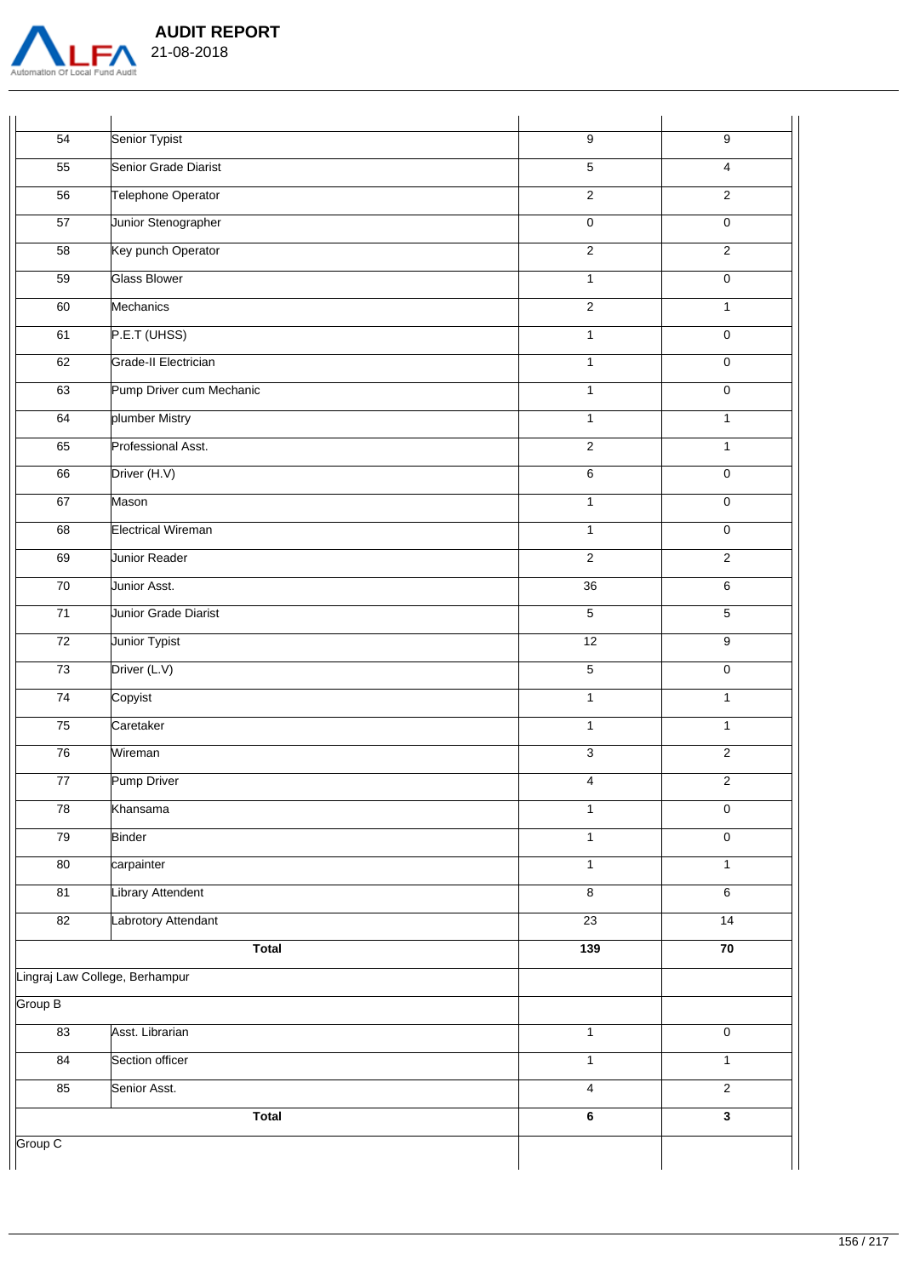

|            | <b>AUDIT REPORT</b> |
|------------|---------------------|
| 21-08-2018 |                     |

| 54              | Senior Typist                  | 9                | 9                       |
|-----------------|--------------------------------|------------------|-------------------------|
| $\overline{55}$ | Senior Grade Diarist           | $\overline{5}$   | 4                       |
| 56              | Telephone Operator             | $\overline{2}$   | $\overline{2}$          |
| $\overline{57}$ | Junior Stenographer            | $\pmb{0}$        | 0                       |
| 58              | Key punch Operator             | $\overline{2}$   | $\overline{2}$          |
| 59              | <b>Glass Blower</b>            | 1                | 0                       |
| 60              | Mechanics                      | $\overline{2}$   | $\overline{1}$          |
| 61              | P.E.T (UHSS)                   | $\mathbf{1}$     | 0                       |
| 62              | Grade-II Electrician           | $\mathbf{1}$     | 0                       |
| 63              | Pump Driver cum Mechanic       | $\mathbf{1}$     | 0                       |
| 64              | plumber Mistry                 | $\mathbf{1}$     | $\mathbf{1}$            |
| 65              | Professional Asst.             | $\overline{2}$   | $\mathbf{1}$            |
| 66              | Driver (H.V)                   | $\overline{6}$   | $\overline{0}$          |
| 67              | Mason                          | $\mathbf{1}$     | $\pmb{0}$               |
| 68              | <b>Electrical Wireman</b>      | $\mathbf{1}$     | $\mathbf 0$             |
| 69              | Junior Reader                  | $\overline{2}$   | $\overline{2}$          |
| $\overline{70}$ | Junior Asst.                   | $\overline{36}$  | 6                       |
| $\overline{71}$ | Junior Grade Diarist           | $\overline{5}$   | $\overline{5}$          |
| $\overline{72}$ | Junior Typist                  | $\overline{12}$  | $\overline{9}$          |
| $\overline{73}$ | Driver (L.V)                   | $\overline{5}$   | $\overline{0}$          |
| $\overline{74}$ | Copyist                        | $\mathbf{1}$     | $\mathbf{1}$            |
| 75              | Caretaker                      | $\mathbf{1}$     | $\mathbf{1}$            |
| 76              | Wireman                        | $\overline{3}$   | $\overline{2}$          |
| $\overline{77}$ | Pump Driver                    | 4                | $\overline{2}$          |
| $\overline{78}$ | Khansama                       | $\mathbf{1}$     | 0                       |
| 79              | Binder                         | 1                | 0                       |
| 80              | carpainter                     | $\mathbf{1}$     | $\mathbf{1}$            |
| 81              | Library Attendent              | 8                | 6                       |
| 82              | Labrotory Attendant            | $\overline{23}$  | $\overline{14}$         |
|                 | <b>Total</b>                   | $\overline{139}$ | 70                      |
|                 | Lingraj Law College, Berhampur |                  |                         |
| Group B         |                                |                  |                         |
| 83              | Asst. Librarian                | $\mathbf{1}$     | 0                       |
| 84              | Section officer                | $\mathbf{1}$     | $\mathbf{1}$            |
| 85              | Senior Asst.                   | $\overline{4}$   | $\overline{2}$          |
|                 | <b>Total</b>                   | $\overline{6}$   | $\overline{\mathbf{3}}$ |
| Group C         |                                |                  |                         |
|                 |                                |                  |                         |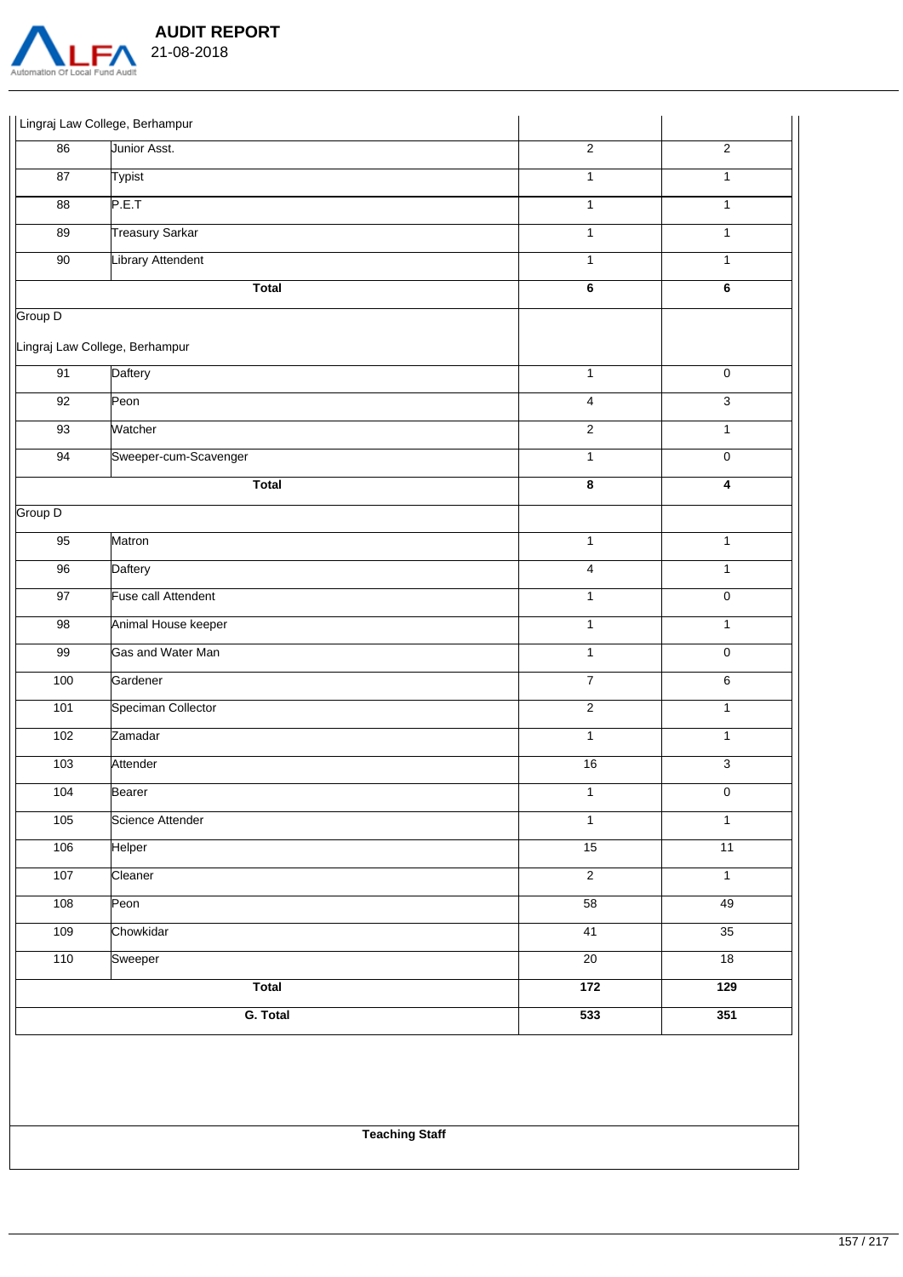

 **AUDIT REPORT**  21-08-2018

|                   | Lingraj Law College, Berhampur |                         |                  |
|-------------------|--------------------------------|-------------------------|------------------|
| 86                | Junior Asst.                   | $\overline{2}$          | $\overline{2}$   |
| 87                | <b>Typist</b>                  | 1                       | $\mathbf{1}$     |
| 88                | P.E.T                          | $\mathbf{1}$            | $\mathbf{1}$     |
| 89                | <b>Treasury Sarkar</b>         | $\mathbf{1}$            | $\mathbf{1}$     |
| $90\,$            | Library Attendent              | $\mathbf{1}$            | $\mathbf{1}$     |
|                   | <b>Total</b>                   | $\overline{\mathbf{6}}$ | $\bf 6$          |
| Group D           |                                |                         |                  |
|                   | Lingraj Law College, Berhampur |                         |                  |
| 91                | Daftery                        | $\mathbf{1}$            | $\mathsf 0$      |
| 92                | Peon                           | $\overline{4}$          | $\overline{3}$   |
| 93                | Watcher                        | $\overline{2}$          | $\mathbf{1}$     |
| 94                | Sweeper-cum-Scavenger          | $\mathbf{1}$            | $\overline{0}$   |
|                   | <b>Total</b>                   | $\overline{\mathbf{8}}$ | 4                |
| Group D           |                                |                         |                  |
| 95                | Matron                         | $\mathbf{1}$            | $\mathbf{1}$     |
| 96                | Daftery                        | 4                       | $\mathbf{1}$     |
| $\overline{97}$   | Fuse call Attendent            | $\mathbf{1}$            | $\overline{0}$   |
| 98                | Animal House keeper            | $\mathbf{1}$            | $\mathbf{1}$     |
| 99                | Gas and Water Man              | $\mathbf{1}$            | $\overline{0}$   |
| 100               | Gardener                       | $\overline{7}$          | $\overline{6}$   |
| 101               | Speciman Collector             | $\overline{2}$          | $\mathbf{1}$     |
| 102               | Zamadar                        | 1                       | $\mathbf{1}$     |
| $\frac{103}{ }$   | Attender                       | $\overline{16}$         | $\overline{3}$   |
| $\frac{104}{104}$ | Bearer                         | 1                       | $\overline{0}$   |
| $\overline{105}$  | Science Attender               | 1                       | $\mathbf{1}$     |
| $\frac{106}{100}$ | Helper                         | 15                      | 11               |
| 107               | Cleaner                        | $\overline{2}$          | $\mathbf{1}$     |
| $\frac{1}{108}$   | Peon                           | 58                      | 49               |
| 109               | Chowkidar                      | 41                      | 35               |
| $\frac{110}{110}$ | Sweeper                        | $\overline{20}$         | $\overline{18}$  |
|                   | <b>Total</b>                   | $\overline{172}$        | $\overline{129}$ |
|                   | G. Total                       | $\overline{533}$        | $\overline{351}$ |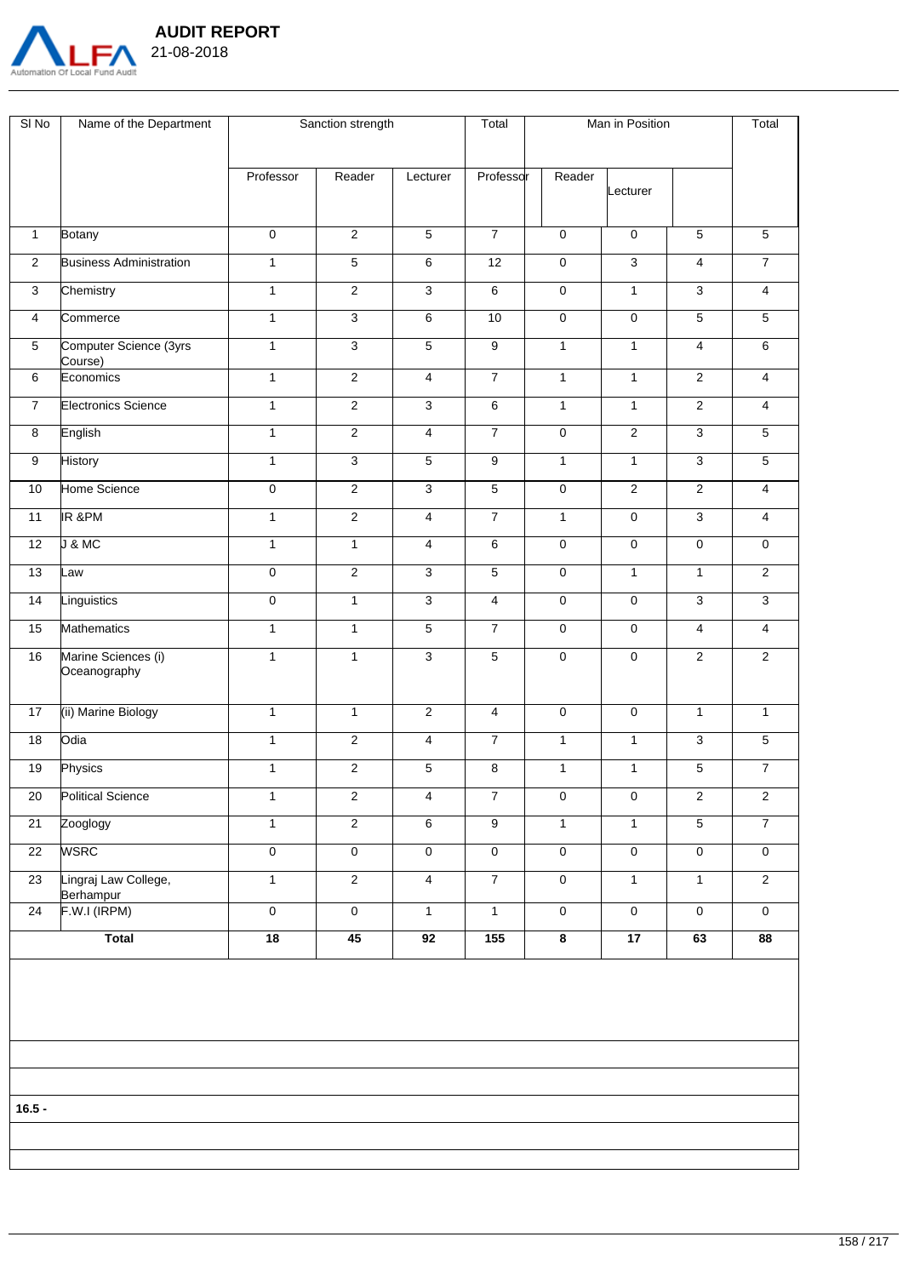

 **AUDIT REPORT** 

| SI <sub>No</sub> | Name of the Department              |                | Sanction strength |                         | Total                   |                | Man in Position |                | Total                   |
|------------------|-------------------------------------|----------------|-------------------|-------------------------|-------------------------|----------------|-----------------|----------------|-------------------------|
|                  |                                     | Professor      | Reader            | Lecturer                | Professor               | Reader         | Lecturer        |                |                         |
| $\mathbf{1}$     | Botany                              | $\mathbf{0}$   | 2                 | 5                       | $\overline{7}$          | $\mathbf 0$    | $\mathbf 0$     | 5              | 5                       |
| 2                | <b>Business Administration</b>      | $\mathbf{1}$   | $\overline{5}$    | 6                       | 12                      | $\mathbf 0$    | 3               | $\overline{4}$ | $\overline{7}$          |
| 3                | Chemistry                           | $\mathbf{1}$   | 2                 | 3                       | 6                       | $\mathbf 0$    | $\mathbf{1}$    | 3              | $\overline{4}$          |
| 4                | Commerce                            | $\mathbf{1}$   | $\mathbf{3}$      | 6                       | 10                      | $\pmb{0}$      | $\mathbf 0$     | $\overline{5}$ | $\overline{5}$          |
| 5                | Computer Science (3yrs<br>Course)   | $\mathbf{1}$   | 3                 | 5                       | $\overline{9}$          | $\mathbf{1}$   | $\mathbf{1}$    | $\overline{4}$ | $\overline{6}$          |
| 6                | Economics                           | $\overline{1}$ | $\overline{2}$    | $\overline{4}$          | $\overline{7}$          | $\overline{1}$ | $\overline{1}$  | $\overline{2}$ | $\overline{4}$          |
| $\overline{7}$   | Electronics Science                 | $\overline{1}$ | $\overline{2}$    | $\overline{3}$          | $\overline{6}$          | $\mathbf{1}$   | $\mathbf{1}$    | $\overline{2}$ | $\overline{\mathbf{4}}$ |
| 8                | English                             | $\mathbf{1}$   | 2                 | 4                       | $\overline{7}$          | $\mathbf 0$    | $\overline{c}$  | 3              | 5                       |
| 9                | <b>History</b>                      | $\mathbf{1}$   | $\overline{3}$    | 5                       | $\overline{9}$          | $\mathbf{1}$   | $\mathbf{1}$    | $\overline{3}$ | $\overline{5}$          |
| 10               | Home Science                        | $\mathbf 0$    | $\overline{2}$    | 3                       | $\overline{5}$          | $\mathbf 0$    | 2               | $\overline{2}$ | $\overline{4}$          |
| 11               | <b>IR &amp;PM</b>                   | $\mathbf{1}$   | $\overline{2}$    | $\overline{\mathbf{4}}$ | $\overline{7}$          | $\mathbf 1$    | $\mathbf 0$     | 3              | $\overline{4}$          |
| 12               | $J$ & MC                            | $\mathbf{1}$   | $\mathbf{1}$      | $\overline{4}$          | $\overline{6}$          | $\mathbf 0$    | $\mathbf 0$     | $\mathbf 0$    | $\overline{0}$          |
| 13               | Law                                 | $\pmb{0}$      | $\overline{2}$    | $\overline{3}$          | 5                       | $\pmb{0}$      | $\mathbf{1}$    | $\mathbf{1}$   | $\overline{2}$          |
| 14               | Linguistics                         | $\pmb{0}$      | $\mathbf{1}$      | 3                       | $\overline{\mathbf{4}}$ | $\pmb{0}$      | $\pmb{0}$       | 3              | $\overline{3}$          |
| 15               | Mathematics                         | $\mathbf{1}$   | $\mathbf{1}$      | 5                       | $\overline{7}$          | $\mathbf 0$    | $\mathbf 0$     | $\overline{4}$ | $\overline{4}$          |
| 16               | Marine Sciences (i)<br>Oceanography | $\mathbf{1}$   | $\mathbf{1}$      | 3                       | 5                       | $\mathbf 0$    | $\mathbf 0$     | $\overline{2}$ | $\overline{2}$          |
| 17               | (ii) Marine Biology                 | $\overline{1}$ | $\overline{1}$    | $\overline{2}$          | $\overline{4}$          | $\overline{0}$ | $\overline{0}$  | $\overline{1}$ | $\overline{1}$          |
| 18               | Odia                                | $\mathbf{1}$   | 2                 | $\overline{4}$          | $\overline{7}$          | $\mathbf{1}$   | $\mathbf{1}$    | 3              | $\overline{5}$          |
| 19               | Physics                             | $\mathbf{1}$   | $\overline{2}$    | $\overline{5}$          | $\overline{8}$          | $\mathbf{1}$   | $\mathbf{1}$    | $\overline{5}$ | $\overline{7}$          |
| 20               | Political Science                   | $\mathbf{1}$   | $\overline{2}$    | $\overline{4}$          | $\overline{7}$          | $\mathbf 0$    | $\mathbf 0$     | $\overline{2}$ | $\overline{2}$          |
| 21               | Zooglogy                            | $\mathbf{1}$   | $\overline{2}$    | $\,6\,$                 | 9                       | $\mathbf{1}$   | $\mathbf{1}$    | 5              | $\overline{7}$          |
| 22               | <b>WSRC</b>                         | $\overline{0}$ | $\overline{0}$    | $\pmb{0}$               | $\mathbf{0}$            | $\overline{0}$ | $\pmb{0}$       | $\mathbf 0$    | 0                       |
| 23               | Lingraj Law College,                | $\mathbf{1}$   | $\overline{c}$    | $\overline{4}$          | $\overline{7}$          | 0              | $\mathbf{1}$    | $\mathbf{1}$   | $\overline{2}$          |

24 F.W.I (IRPM) 0 0 0 1 1 1 0 0 0 0 0

**Total 18 45 92 155 8 17 63 88**

**16.5 -** 

Berhampur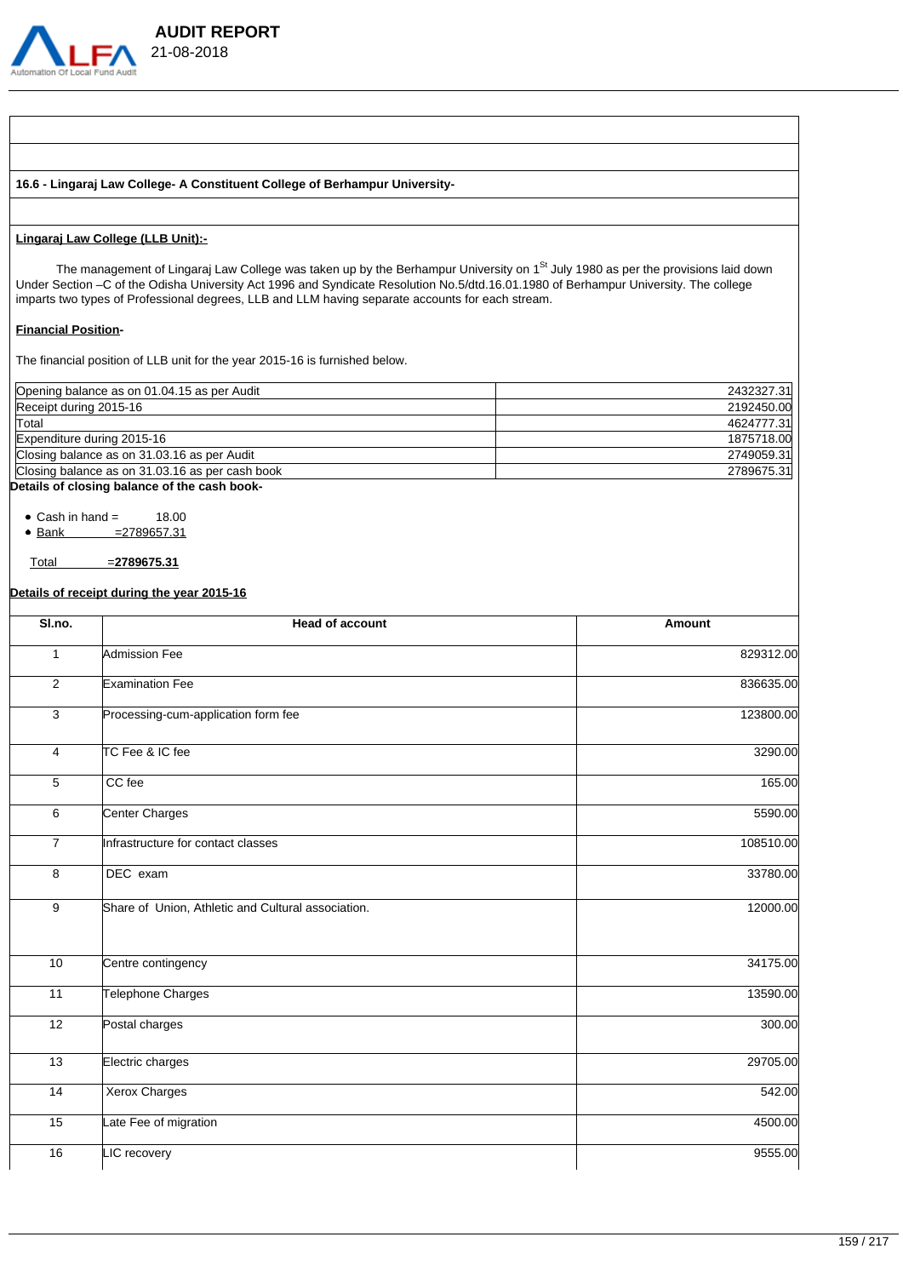

### **16.6 - Lingaraj Law College- A Constituent College of Berhampur University-**

 **AUDIT REPORT** 

#### **Lingaraj Law College (LLB Unit):-**

The management of Lingaraj Law College was taken up by the Berhampur University on 1<sup>St</sup> July 1980 as per the provisions laid down Under Section –C of the Odisha University Act 1996 and Syndicate Resolution No.5/dtd.16.01.1980 of Berhampur University. The college imparts two types of Professional degrees, LLB and LLM having separate accounts for each stream.

#### **Financial Position-**

The financial position of LLB unit for the year 2015-16 is furnished below.

| Opening balance as on 01.04.15 as per Audit     | 2432327.31 |
|-------------------------------------------------|------------|
| Receipt during 2015-16                          | 2192450.00 |
| Total                                           | 4624777.31 |
| Expenditure during 2015-16                      | 1875718.00 |
| Closing balance as on 31.03.16 as per Audit     | 2749059.31 |
| Closing balance as on 31.03.16 as per cash book | 2789675.31 |
| Details of closing balance of the cash book-    |            |

 $\bullet$  Cash in hand = 18.00

 $EBank = 2789657.31$ 

Total =**2789675.31**

### **Details of receipt during the year 2015-16**

| SI.no.          | <b>Head of account</b>                             | Amount    |
|-----------------|----------------------------------------------------|-----------|
| $\mathbf{1}$    | <b>Admission Fee</b>                               | 829312.00 |
| $\overline{2}$  | <b>Examination Fee</b>                             | 836635.00 |
| $\overline{3}$  | Processing-cum-application form fee                | 123800.00 |
| $\overline{4}$  | TC Fee & IC fee                                    | 3290.00   |
| $\overline{5}$  | CC fee                                             | 165.00    |
| 6               | Center Charges                                     | 5590.00   |
| $\overline{7}$  | Infrastructure for contact classes                 | 108510.00 |
| 8               | DEC exam                                           | 33780.00  |
| $\overline{9}$  | Share of Union, Athletic and Cultural association. | 12000.00  |
| 10              | Centre contingency                                 | 34175.00  |
| 11              | Telephone Charges                                  | 13590.00  |
| 12              | Postal charges                                     | 300.00    |
| $\overline{13}$ | Electric charges                                   | 29705.00  |
| 14              | <b>Xerox Charges</b>                               | 542.00    |
| 15              | Late Fee of migration                              | 4500.00   |
| 16              | LIC recovery                                       | 9555.00   |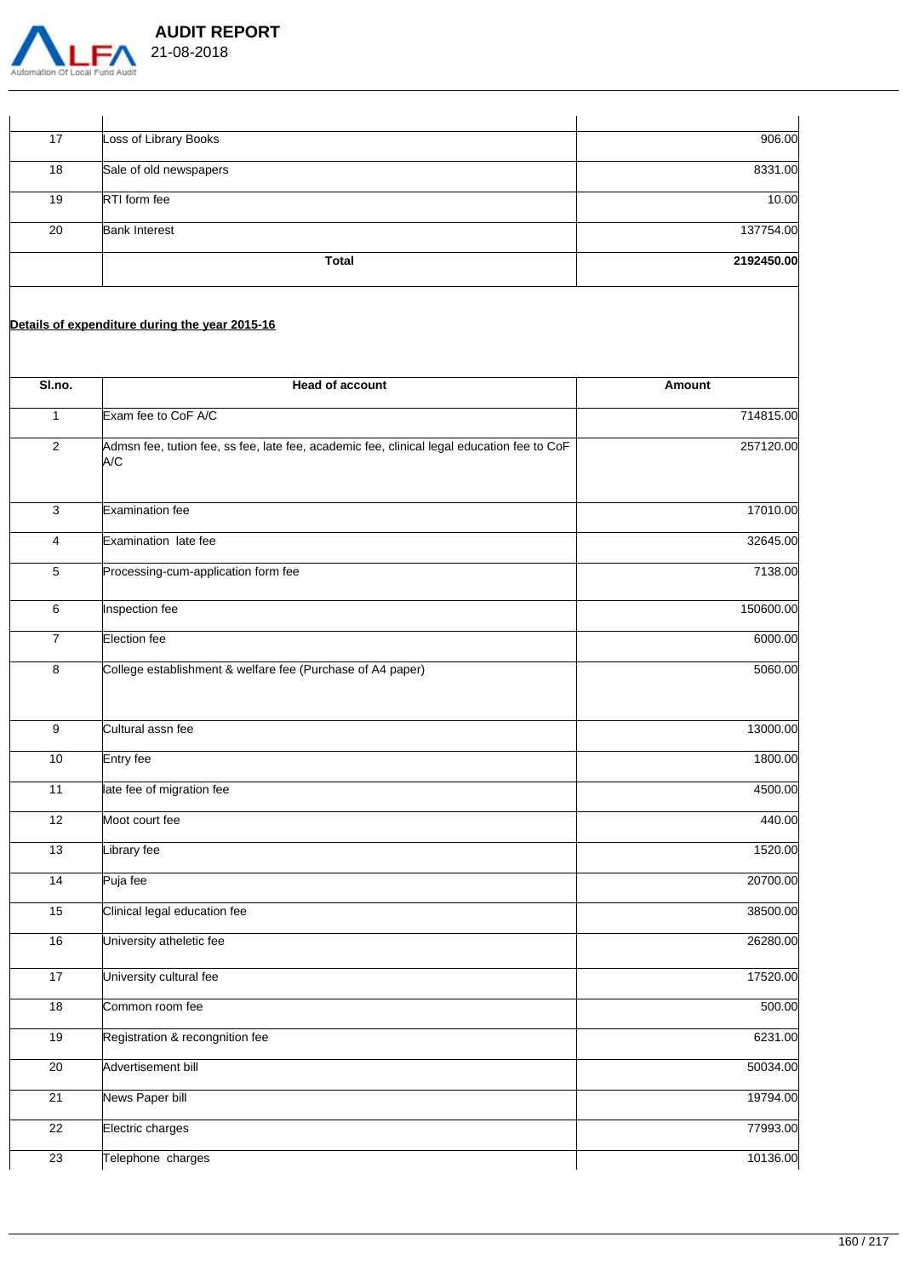

| 17 | Loss of Library Books  | 906.00     |
|----|------------------------|------------|
| 18 | Sale of old newspapers | 8331.00    |
| 19 | <b>RTI</b> form fee    | 10.00      |
| 20 | <b>Bank Interest</b>   | 137754.00  |
|    | <b>Total</b>           | 2192450.00 |

# **Details of expenditure during the year 2015-16**

| SI.no.          | Head of account                                                                                   | Amount    |
|-----------------|---------------------------------------------------------------------------------------------------|-----------|
| $\mathbf{1}$    | Exam fee to CoF A/C                                                                               | 714815.00 |
| $\overline{2}$  | Admsn fee, tution fee, ss fee, late fee, academic fee, clinical legal education fee to CoF<br>A/C | 257120.00 |
| $\mathbf{3}$    | Examination fee                                                                                   | 17010.00  |
| 4               | Examination late fee                                                                              | 32645.00  |
| 5               | Processing-cum-application form fee                                                               | 7138.00   |
| 6               | Inspection fee                                                                                    | 150600.00 |
| $\overline{7}$  | Election fee                                                                                      | 6000.00   |
| 8               | College establishment & welfare fee (Purchase of A4 paper)                                        | 5060.00   |
| 9               | Cultural assn fee                                                                                 | 13000.00  |
| 10              | Entry fee                                                                                         | 1800.00   |
| $\overline{11}$ | late fee of migration fee                                                                         | 4500.00   |
| $\overline{12}$ | Moot court fee                                                                                    | 440.00    |
| 13              | Library fee                                                                                       | 1520.00   |
| 14              | Puja fee                                                                                          | 20700.00  |
| 15              | Clinical legal education fee                                                                      | 38500.00  |
| 16              | University atheletic fee                                                                          | 26280.00  |
| 17              | University cultural fee                                                                           | 17520.00  |
| $\overline{18}$ | Common room fee                                                                                   | 500.00    |
| 19              | Registration & recongnition fee                                                                   | 6231.00   |
| $\overline{20}$ | Advertisement bill                                                                                | 50034.00  |
| $\overline{21}$ | News Paper bill                                                                                   | 19794.00  |
| $\overline{22}$ | Electric charges                                                                                  | 77993.00  |
| $\overline{23}$ | Telephone charges                                                                                 | 10136.00  |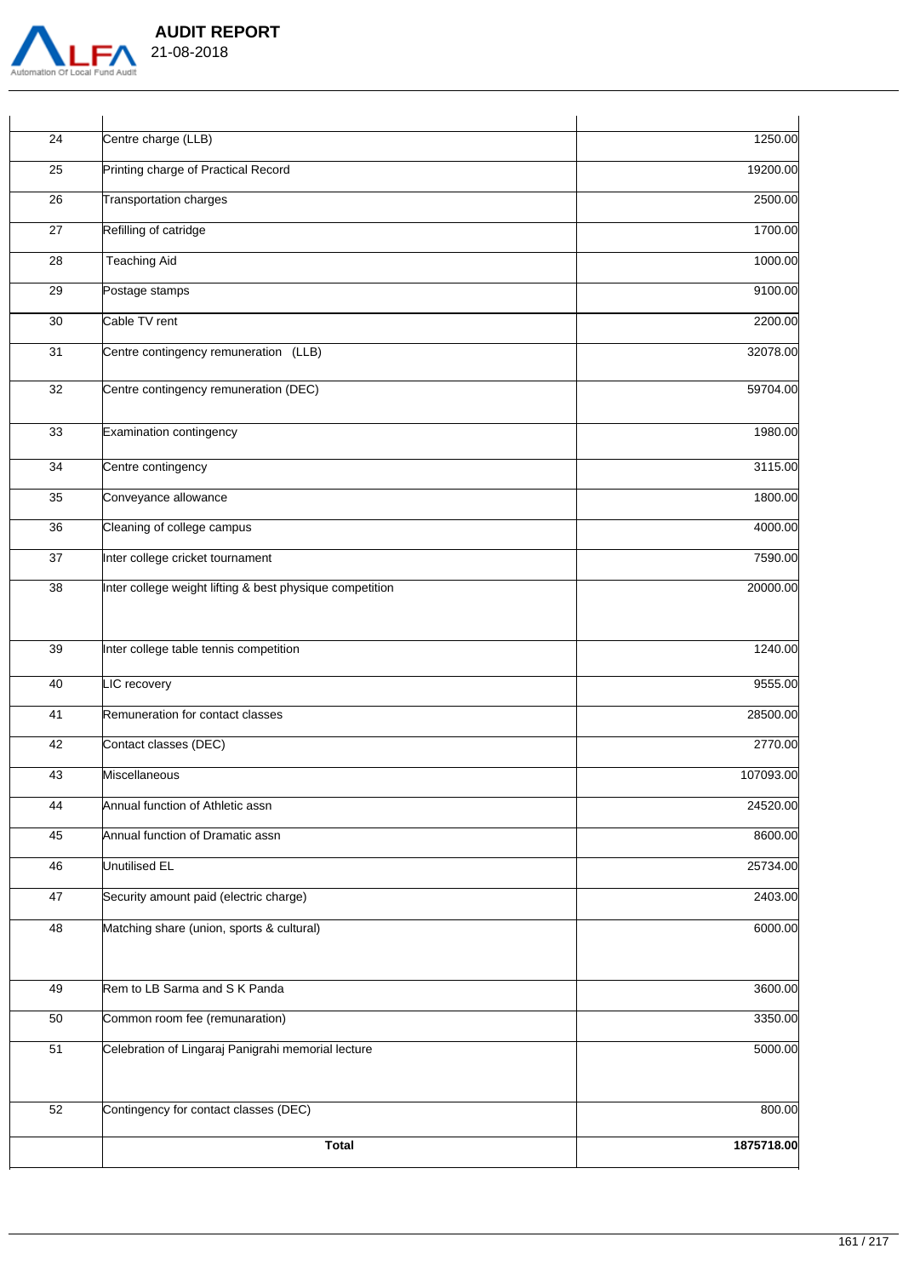

| <b>AUDIT REPORT</b> |  |
|---------------------|--|
| 21-08-2018          |  |
|                     |  |

| 24 | Centre charge (LLB)                                      | 1250.00    |
|----|----------------------------------------------------------|------------|
| 25 | Printing charge of Practical Record                      | 19200.00   |
| 26 | Transportation charges                                   | 2500.00    |
| 27 | Refilling of catridge                                    | 1700.00    |
| 28 | <b>Teaching Aid</b>                                      | 1000.00    |
| 29 | Postage stamps                                           | 9100.00    |
| 30 | Cable TV rent                                            | 2200.00    |
| 31 | Centre contingency remuneration (LLB)                    | 32078.00   |
| 32 | Centre contingency remuneration (DEC)                    | 59704.00   |
| 33 | Examination contingency                                  | 1980.00    |
| 34 | Centre contingency                                       | 3115.00    |
| 35 | Conveyance allowance                                     | 1800.00    |
| 36 | Cleaning of college campus                               | 4000.00    |
| 37 | Inter college cricket tournament                         | 7590.00    |
| 38 | Inter college weight lifting & best physique competition | 20000.00   |
|    |                                                          |            |
| 39 | Inter college table tennis competition                   | 1240.00    |
| 40 | LIC recovery                                             | 9555.00    |
| 41 | Remuneration for contact classes                         | 28500.00   |
| 42 | Contact classes (DEC)                                    | 2770.00    |
| 43 | Miscellaneous                                            | 107093.00  |
| 44 | Annual function of Athletic assn                         | 24520.00   |
| 45 | Annual function of Dramatic assn                         | 8600.00    |
| 46 | <b>Unutilised EL</b>                                     | 25734.00   |
| 47 | Security amount paid (electric charge)                   | 2403.00    |
| 48 | Matching share (union, sports & cultural)                | 6000.00    |
|    |                                                          |            |
| 49 | Rem to LB Sarma and S K Panda                            | 3600.00    |
| 50 | Common room fee (remunaration)                           | 3350.00    |
| 51 | Celebration of Lingaraj Panigrahi memorial lecture       | 5000.00    |
|    |                                                          |            |
| 52 | Contingency for contact classes (DEC)                    | 800.00     |
|    | <b>Total</b>                                             | 1875718.00 |
|    |                                                          |            |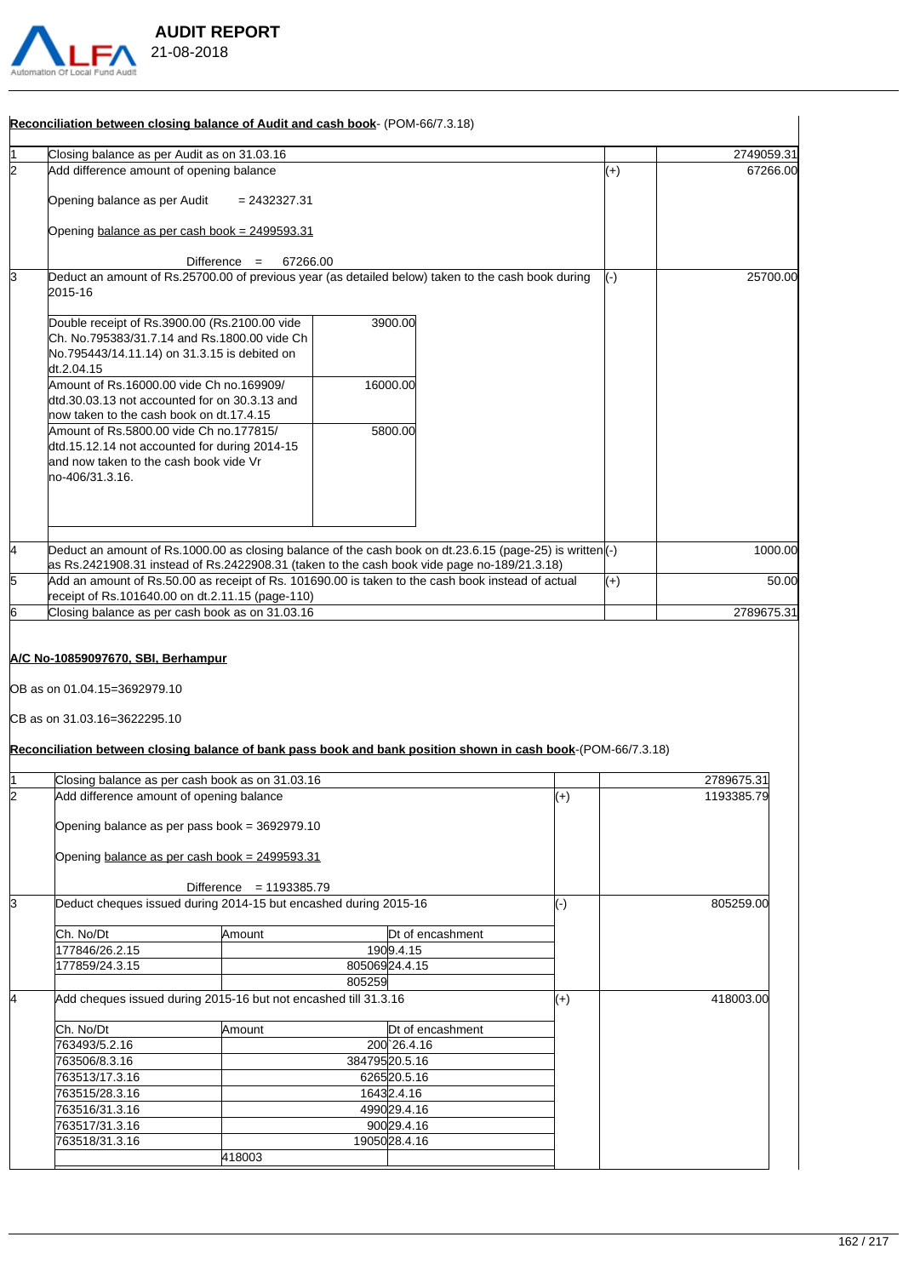

#### **Reconciliation between closing balance of Audit and cash book**- (POM-66/7.3.18)

|    | Reconciliation between closing balance of Audit and cash book- (POM-66/7.3.18)                                                                                                                          |       |            |
|----|---------------------------------------------------------------------------------------------------------------------------------------------------------------------------------------------------------|-------|------------|
|    | Closing balance as per Audit as on 31.03.16                                                                                                                                                             |       | 2749059.31 |
| 2  | Add difference amount of opening balance                                                                                                                                                                | $(+)$ | 67266.00   |
|    | Opening balance as per Audit<br>$= 2432327.31$                                                                                                                                                          |       |            |
|    | Opening balance as per cash book = 2499593.31                                                                                                                                                           |       |            |
|    | $Difference =$<br>67266.00                                                                                                                                                                              |       |            |
| Iз | Deduct an amount of Rs.25700.00 of previous year (as detailed below) taken to the cash book during<br>2015-16                                                                                           |       | 25700.00   |
|    | 3900.00<br>Double receipt of Rs.3900.00 (Rs.2100.00 vide<br>Ch. No.795383/31.7.14 and Rs.1800.00 vide Ch<br>No.795443/14.11.14) on 31.3.15 is debited on<br>dt.2.04.15                                  |       |            |
|    | Amount of Rs.16000.00 vide Ch no.169909/<br>16000.00<br>ldtd.30.03.13 not accounted for on 30.3.13 and<br>how taken to the cash book on dt.17.4.15                                                      |       |            |
|    | Amount of Rs.5800.00 vide Ch no.177815/<br>5800.00<br>dtd.15.12.14 not accounted for during 2014-15<br>land now taken to the cash book vide Vr<br>no-406/31.3.16.                                       |       |            |
| 4  | Deduct an amount of Rs.1000.00 as closing balance of the cash book on dt.23.6.15 (page-25) is written(-)<br>as Rs.2421908.31 instead of Rs.2422908.31 (taken to the cash book vide page no-189/21.3.18) |       | 1000.00    |
| 5  | Add an amount of Rs.50.00 as receipt of Rs. 101690.00 is taken to the cash book instead of actual                                                                                                       | $(+)$ | 50.00      |
|    | receipt of Rs.101640.00 on dt.2.11.15 (page-110)                                                                                                                                                        |       |            |
| 6  | Closing balance as per cash book as on 31.03.16                                                                                                                                                         |       | 2789675.31 |

## **A/C No-10859097670, SBI, Berhampur**

OB as on 01.04.15=3692979.10

CB as on 31.03.16=3622295.10

### **Reconciliation between closing balance of bank pass book and bank position shown in cash book**-(POM-66/7.3.18)

| ł1 |                                                                 | Closing balance as per cash book as on 31.03.16                  |               |                  |            | 2789675.31 |
|----|-----------------------------------------------------------------|------------------------------------------------------------------|---------------|------------------|------------|------------|
| 2  | Add difference amount of opening balance                        |                                                                  |               | $(+)$            | 1193385.79 |            |
|    | Opening balance as per pass book = 3692979.10                   |                                                                  |               |                  |            |            |
|    |                                                                 | Opening balance as per cash book = 2499593.31                    |               |                  |            |            |
|    |                                                                 | Difference<br>$= 1193385.79$                                     |               |                  |            |            |
| l3 |                                                                 | Deduct cheques issued during 2014-15 but encashed during 2015-16 |               |                  | $(\cdot)$  | 805259.00  |
|    | Ch. No/Dt                                                       | lAmount                                                          |               | Dt of encashment |            |            |
|    | 177846/26.2.15                                                  |                                                                  |               | 1909.4.15        |            |            |
|    | 177859/24.3.15                                                  |                                                                  | 80506924.4.15 |                  |            |            |
|    |                                                                 |                                                                  | 805259        |                  |            |            |
| 14 | Add cheques issued during 2015-16 but not encashed till 31.3.16 |                                                                  |               | $^{(+)}$         | 418003.00  |            |
|    | <b>Ch. No/Dt</b>                                                | Amount                                                           |               | Dt of encashment |            |            |
|    | 763493/5.2.16                                                   |                                                                  |               | 200 26.4.16      |            |            |
|    | 763506/8.3.16                                                   |                                                                  |               | 38479520.5.16    |            |            |
|    | 763513/17.3.16                                                  |                                                                  |               | 626520.5.16      |            |            |
|    | 763515/28.3.16                                                  |                                                                  |               | 16432.4.16       |            |            |
|    | 763516/31.3.16                                                  |                                                                  |               | 499029.4.16      |            |            |
|    | 763517/31.3.16                                                  |                                                                  |               | 90029.4.16       |            |            |
|    | 763518/31.3.16                                                  |                                                                  |               | 1905028.4.16     |            |            |
|    |                                                                 | 418003                                                           |               |                  |            |            |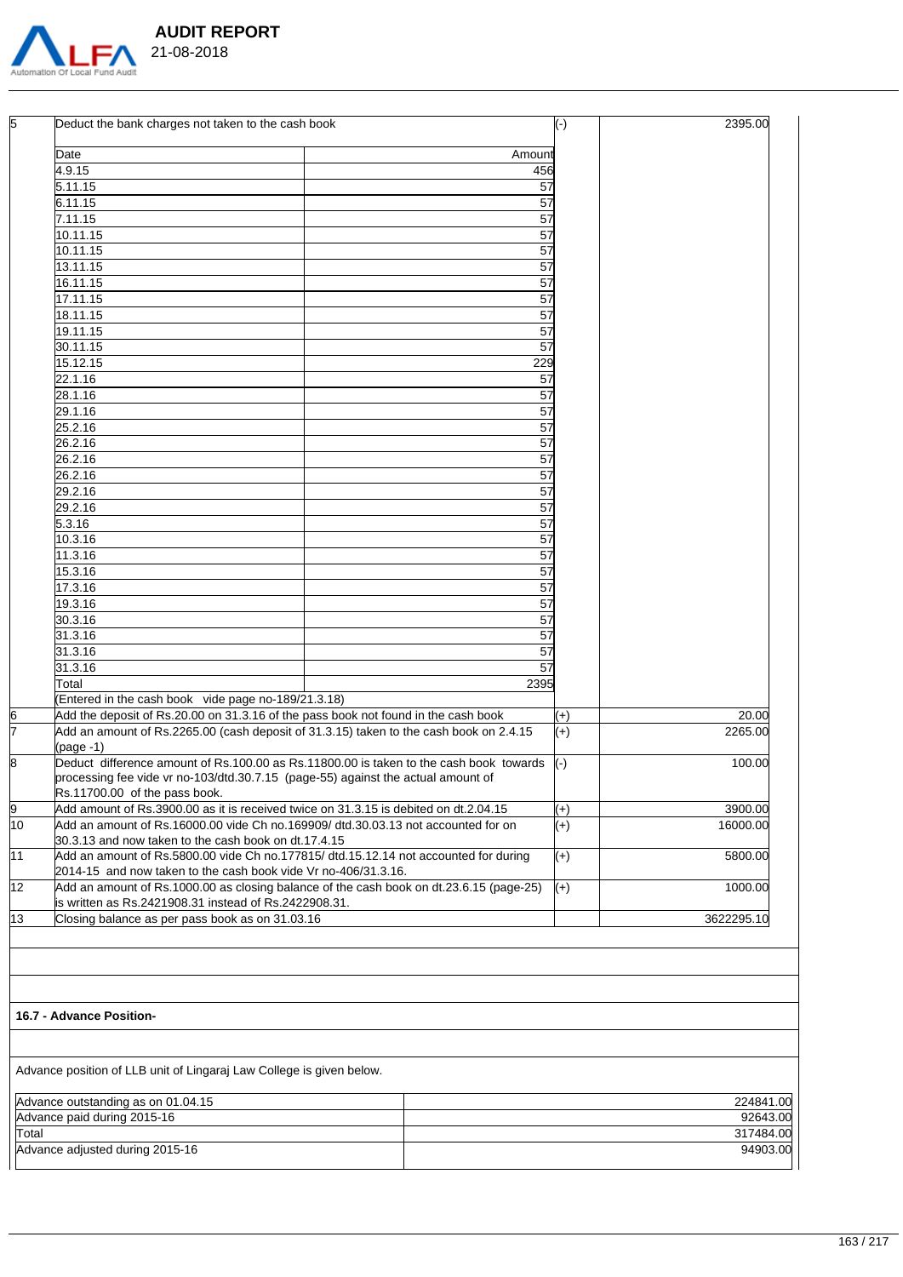

 **AUDIT REPORT** 

|                                                                                                 | (-)   | 2395.00                                        |
|-------------------------------------------------------------------------------------------------|-------|------------------------------------------------|
| Date<br>Amount                                                                                  |       |                                                |
| 4.9.15<br>456                                                                                   |       |                                                |
| 5.11.15<br>57                                                                                   |       |                                                |
| 6.11.15<br>57                                                                                   |       |                                                |
| 57<br>7.11.15                                                                                   |       |                                                |
| 57<br>10.11.15                                                                                  |       |                                                |
| 57                                                                                              |       |                                                |
| 10.11.15<br>57                                                                                  |       |                                                |
| 13.11.15                                                                                        |       |                                                |
| 16.11.15<br>$\overline{57}$                                                                     |       |                                                |
| 57<br>17.11.15                                                                                  |       |                                                |
| 57<br>18.11.15                                                                                  |       |                                                |
| $\overline{57}$<br>19.11.15                                                                     |       |                                                |
| 57<br>30.11.15                                                                                  |       |                                                |
| 15.12.15<br>229                                                                                 |       |                                                |
| 57<br>22.1.16                                                                                   |       |                                                |
| $\overline{57}$<br>28.1.16                                                                      |       |                                                |
| 57<br>29.1.16                                                                                   |       |                                                |
| $\overline{57}$<br>25.2.16                                                                      |       |                                                |
| 57<br>26.2.16                                                                                   |       |                                                |
| $\overline{57}$<br>26.2.16                                                                      |       |                                                |
| 57<br>26.2.16                                                                                   |       |                                                |
| 29.2.16<br>57                                                                                   |       |                                                |
| 57<br>29.2.16                                                                                   |       |                                                |
| $\overline{57}$<br>5.3.16                                                                       |       |                                                |
| 57<br>10.3.16                                                                                   |       |                                                |
| 11.3.16<br>57                                                                                   |       |                                                |
| 57<br>15.3.16                                                                                   |       |                                                |
| $\overline{57}$<br>17.3.16                                                                      |       |                                                |
| 57<br>19.3.16                                                                                   |       |                                                |
|                                                                                                 |       |                                                |
| 57<br>30.3.16                                                                                   |       |                                                |
| 57<br>31.3.16                                                                                   |       |                                                |
| 57<br>31.3.16                                                                                   |       |                                                |
| 31.3.16<br>57                                                                                   |       |                                                |
| 2395<br>Total                                                                                   |       |                                                |
| (Entered in the cash book vide page no-189/21.3.18)                                             |       |                                                |
| Add the deposit of Rs.20.00 on 31.3.16 of the pass book not found in the cash book              | $(+)$ | 20.00                                          |
| Add an amount of Rs.2265.00 (cash deposit of 31.3.15) taken to the cash book on 2.4.15          | $(+)$ | 2265.00                                        |
| $(page -1)$                                                                                     |       |                                                |
|                                                                                                 |       | 100.00                                         |
| Deduct difference amount of Rs.100.00 as Rs.11800.00 is taken to the cash book towards<br>$(-)$ |       |                                                |
| processing fee vide vr no-103/dtd.30.7.15 (page-55) against the actual amount of                |       |                                                |
| Rs.11700.00 of the pass book.                                                                   |       |                                                |
| Add amount of Rs.3900.00 as it is received twice on 31.3.15 is debited on dt.2.04.15            | $(+)$ |                                                |
| Add an amount of Rs.16000.00 vide Ch no.169909/ dtd.30.03.13 not accounted for on               | $(+)$ |                                                |
| 30.3.13 and now taken to the cash book on dt.17.4.15                                            |       |                                                |
| Add an amount of Rs.5800.00 vide Ch no.177815/ dtd.15.12.14 not accounted for during            | $(+)$ | 3900.00<br>16000.00<br>5800.00                 |
| 2014-15 and now taken to the cash book vide Vr no-406/31.3.16.                                  |       |                                                |
| Add an amount of Rs.1000.00 as closing balance of the cash book on dt.23.6.15 (page-25)         | $(+)$ |                                                |
| is written as Rs.2421908.31 instead of Rs.2422908.31.                                           |       |                                                |
|                                                                                                 |       |                                                |
| Closing balance as per pass book as on 31.03.16                                                 |       |                                                |
|                                                                                                 |       |                                                |
|                                                                                                 |       |                                                |
|                                                                                                 |       |                                                |
| 16.7 - Advance Position-                                                                        |       |                                                |
|                                                                                                 |       |                                                |
| Advance position of LLB unit of Lingaraj Law College is given below.                            |       |                                                |
| Advance outstanding as on 01.04.15                                                              |       |                                                |
| Advance paid during 2015-16                                                                     |       | 1000.00<br>3622295.10<br>224841.00<br>92643.00 |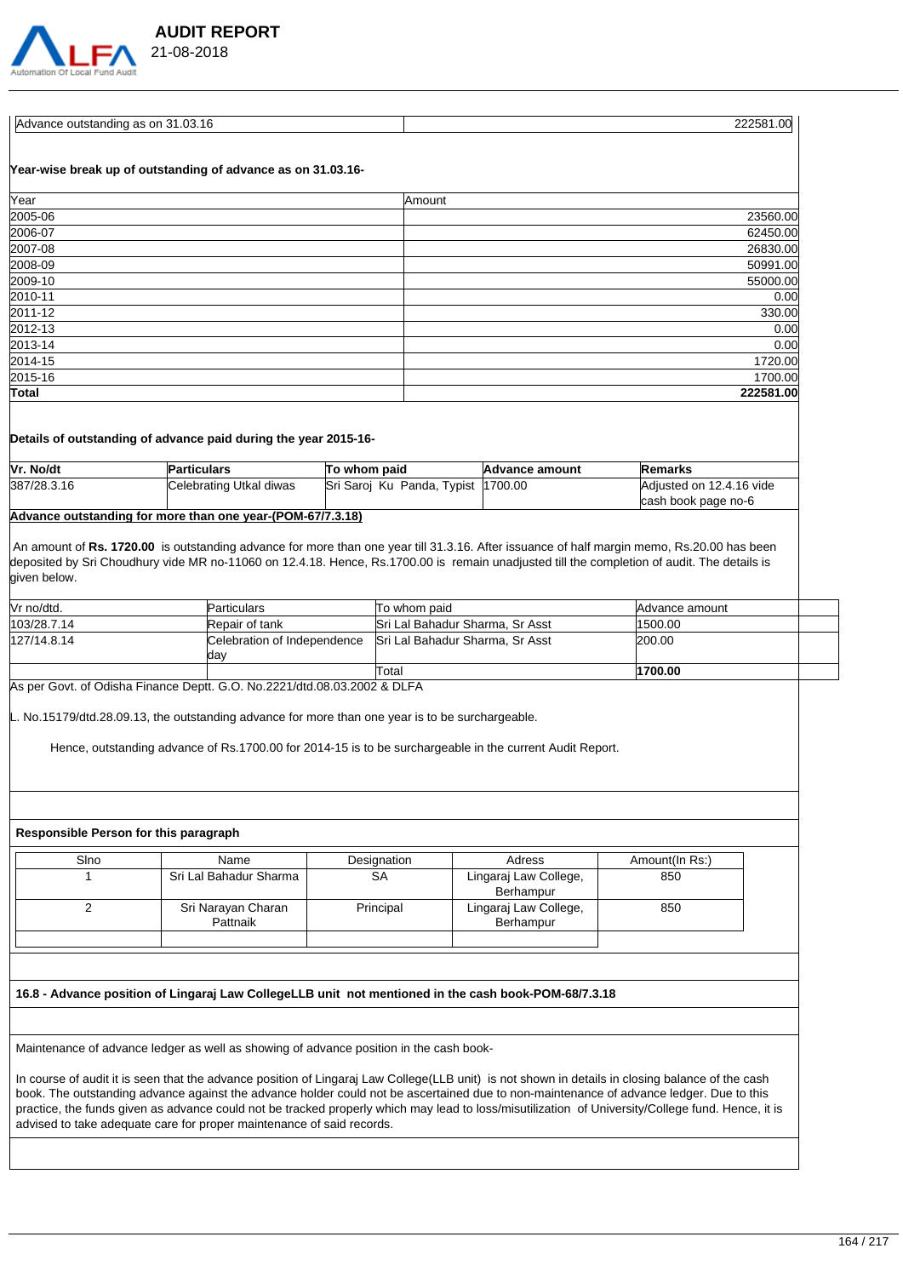

| '      | 21-08-2018 |  |
|--------|------------|--|
| td Aud |            |  |

 **AUDIT REPORT** 

| Advance outstanding as on 31.03.16                           | 222581.00 |
|--------------------------------------------------------------|-----------|
|                                                              |           |
| Year-wise break up of outstanding of advance as on 31.03.16- |           |
| Year                                                         | Amount    |
| 2005-06                                                      | 23560.00  |
| 2006-07                                                      | 62450.00  |
| 2007-08                                                      | 26830.00  |
| 2008-09                                                      | 50991.00  |
| 2009-10                                                      | 55000.00  |
| 2010-11                                                      | 0.00      |
| 2011-12                                                      | 330.00    |
| 2012-13                                                      | 0.00      |
| 2013-14                                                      | 0.00      |
| 2014-15                                                      | 1720.00   |
| 2015-16                                                      | 1700.00   |
| Total                                                        | 222581.00 |

### **Details of outstanding of advance paid during the year 2015-16-**

| Vr. No/dt   | Particulars                                                                                                                                                                                                                                                                                                                                                                                                                  | To whom paid                       | Advance amount | Remarks                  |
|-------------|------------------------------------------------------------------------------------------------------------------------------------------------------------------------------------------------------------------------------------------------------------------------------------------------------------------------------------------------------------------------------------------------------------------------------|------------------------------------|----------------|--------------------------|
| 387/28.3.16 | Celebrating Utkal diwas                                                                                                                                                                                                                                                                                                                                                                                                      | Sri Saroj Ku Panda, Typist 1700.00 |                | Adiusted on 12.4.16 vide |
|             |                                                                                                                                                                                                                                                                                                                                                                                                                              |                                    |                | cash book page no-6      |
| . .         | $\mathbf{r} = \mathbf{r} + \mathbf{r} + \mathbf{r} + \mathbf{r} + \mathbf{r} + \mathbf{r} + \mathbf{r} + \mathbf{r} + \mathbf{r} + \mathbf{r} + \mathbf{r} + \mathbf{r} + \mathbf{r} + \mathbf{r} + \mathbf{r} + \mathbf{r} + \mathbf{r} + \mathbf{r} + \mathbf{r} + \mathbf{r} + \mathbf{r} + \mathbf{r} + \mathbf{r} + \mathbf{r} + \mathbf{r} + \mathbf{r} + \mathbf{r} + \mathbf{r} + \mathbf{r} + \mathbf{r} + \mathbf$ |                                    |                |                          |

#### **Advance outstanding for more than one year-(POM-67/7.3.18)**

 An amount of **Rs. 1720.00** is outstanding advance for more than one year till 31.3.16. After issuance of half margin memo, Rs.20.00 has been deposited by Sri Choudhury vide MR no-11060 on 12.4.18. Hence, Rs.1700.00 is remain unadjusted till the completion of audit. The details is given below.

| IVr no/dtd. | Particulars                 | To whom paid                           | Advance amount |  |
|-------------|-----------------------------|----------------------------------------|----------------|--|
| 103/28.7.14 | Repair of tank              | <b>Sri Lal Bahadur Sharma, Sr Asst</b> | 1500.00        |  |
| 127/14.8.14 | Celebration of Independence | Sri Lal Bahadur Sharma. Sr Asst        | 200.00         |  |
|             | dav                         |                                        |                |  |
|             |                             | Total                                  | 1700.00        |  |

As per Govt. of Odisha Finance Deptt. G.O. No.2221/dtd.08.03.2002 & DLFA

L. No.15179/dtd.28.09.13, the outstanding advance for more than one year is to be surchargeable.

Hence, outstanding advance of Rs.1700.00 for 2014-15 is to be surchargeable in the current Audit Report.

#### **Responsible Person for this paragraph**

| Sino | Name                   | Designation | Adress                | Amount(In Rs:) |
|------|------------------------|-------------|-----------------------|----------------|
|      | Sri Lal Bahadur Sharma | <b>SA</b>   | Lingaraj Law College, | 850            |
|      |                        |             | Berhampur             |                |
|      | Sri Narayan Charan     | Principal   | Lingaraj Law College, | 850            |
|      | Pattnaik               |             | Berhampur             |                |
|      |                        |             |                       |                |

#### **16.8 - Advance position of Lingaraj Law CollegeLLB unit not mentioned in the cash book-POM-68/7.3.18**

Maintenance of advance ledger as well as showing of advance position in the cash book-

In course of audit it is seen that the advance position of Lingaraj Law College(LLB unit) is not shown in details in closing balance of the cash book. The outstanding advance against the advance holder could not be ascertained due to non-maintenance of advance ledger. Due to this practice, the funds given as advance could not be tracked properly which may lead to loss/misutilization of University/College fund. Hence, it is advised to take adequate care for proper maintenance of said records.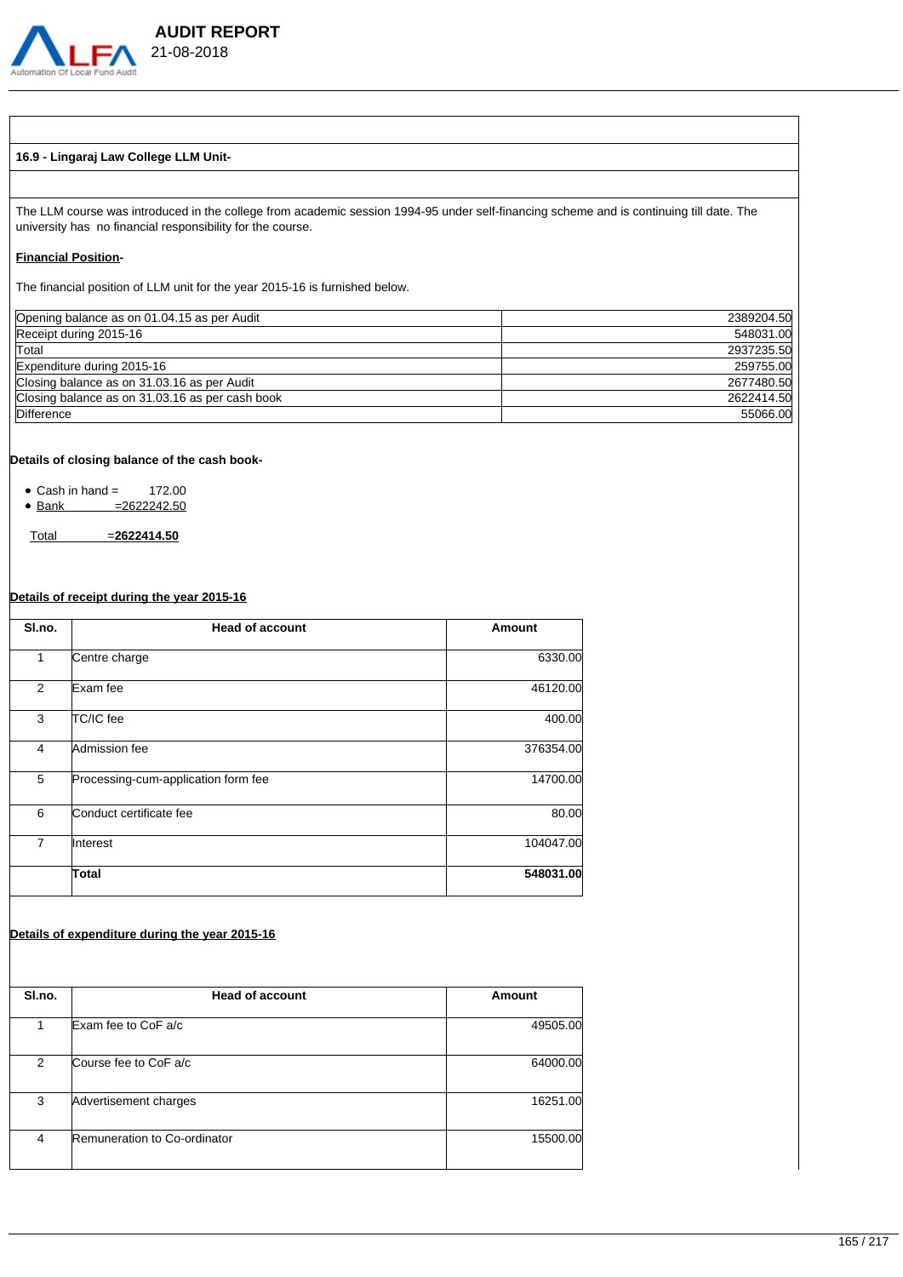

### **16.9 - Lingaraj Law College LLM Unit-**

The LLM course was introduced in the college from academic session 1994-95 under self-financing scheme and is continuing till date. The university has no financial responsibility for the course.

### **Financial Position-**

The financial position of LLM unit for the year 2015-16 is furnished below.

| Opening balance as on 01.04.15 as per Audit     | 2389204.50 |
|-------------------------------------------------|------------|
| Receipt during 2015-16                          | 548031.00  |
| Total                                           | 2937235.50 |
| Expenditure during 2015-16                      | 259755.00  |
| Closing balance as on 31.03.16 as per Audit     | 2677480.50 |
| Closing balance as on 31.03.16 as per cash book | 2622414.50 |
| Difference                                      | 55066.00   |

#### **Details of closing balance of the cash book-**

 $\bullet$  Cash in hand = 172.00

 $\bullet$  Bank  $=2622242.50$ 

Total =**2622414.50**

### **Details of receipt during the year 2015-16**

| SI.no.         | <b>Head of account</b>              | Amount    |
|----------------|-------------------------------------|-----------|
| $\mathbf{1}$   | Centre charge                       | 6330.00   |
| 2              | Exam fee                            | 46120.00  |
| 3              | TC/IC fee                           | 400.00    |
| 4              | Admission fee                       | 376354.00 |
| 5              | Processing-cum-application form fee | 14700.00  |
| 6              | Conduct certificate fee             | 80.00     |
| $\overline{7}$ | Interest                            | 104047.00 |
|                | Total                               | 548031.00 |

#### **Details of expenditure during the year 2015-16**

| SI.no.         | <b>Head of account</b>       | <b>Amount</b> |
|----------------|------------------------------|---------------|
|                | Exam fee to CoF a/c          | 49505.00      |
| 2              | Course fee to CoF a/c        | 64000.00      |
| 3              | Advertisement charges        | 16251.00      |
| $\overline{4}$ | Remuneration to Co-ordinator | 15500.00      |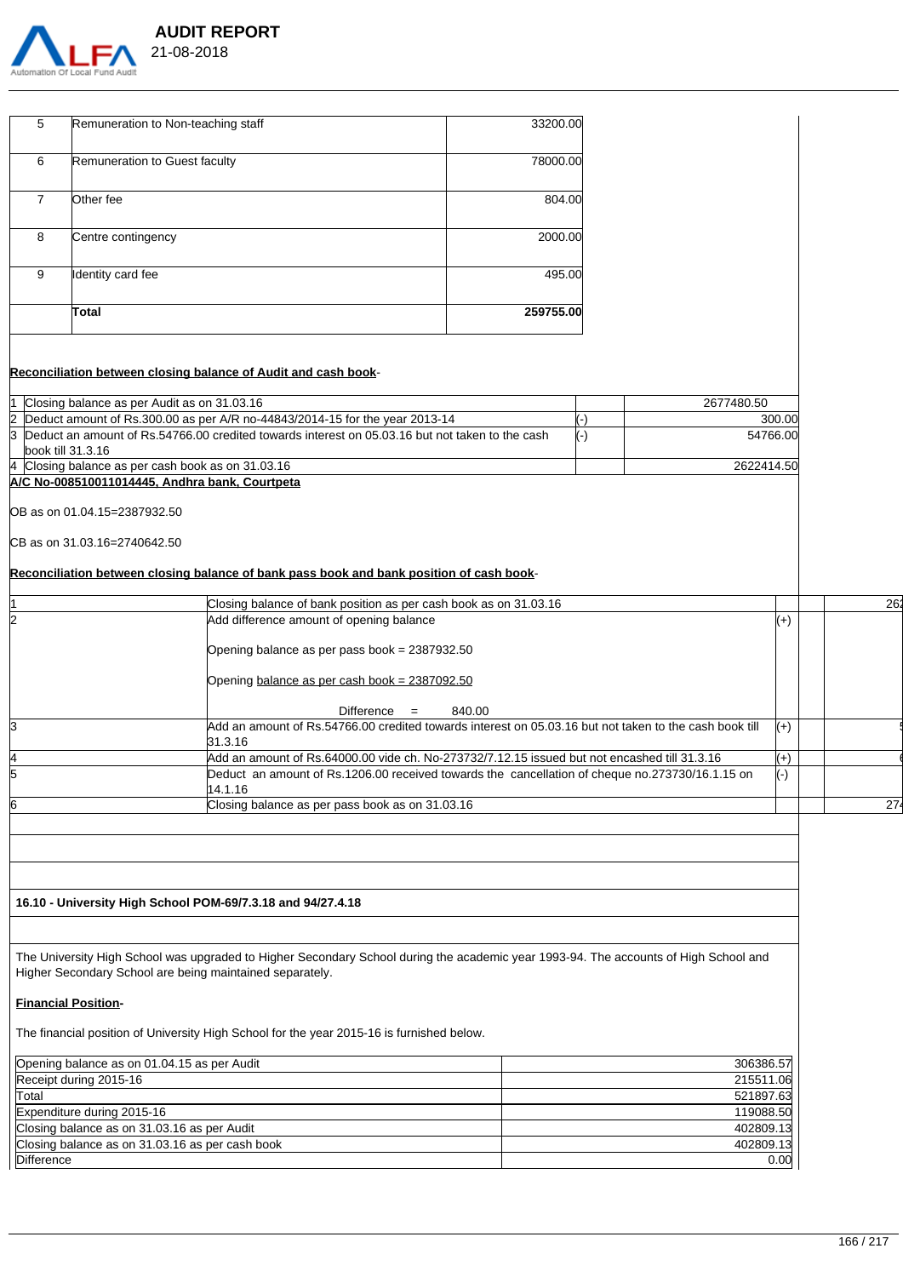

|                | Total                              | 259755.00 |
|----------------|------------------------------------|-----------|
| 9              | Identity card fee                  | 495.00    |
| 8              | Centre contingency                 | 2000.00   |
| $\overline{7}$ | Other fee                          | 804.00    |
| 6              | Remuneration to Guest faculty      | 78000.00  |
| 5              | Remuneration to Non-teaching staff | 33200.00  |

### **Reconciliation between closing balance of Audit and cash book**-

| 1 Closing balance as per Audit as on 31.03.16                                                                                                          |    | 2677480.50 |
|--------------------------------------------------------------------------------------------------------------------------------------------------------|----|------------|
| 2 Deduct amount of Rs.300.00 as per A/R no-44843/2014-15 for the year 2013-14                                                                          |    | 300.00     |
| 3 Deduct an amount of Rs.54766.00 credited towards interest on 05.03.16 but not taken to the cash                                                      | K- | 54766.00   |
| book till $31.3.16$                                                                                                                                    |    |            |
| 4 Closing balance as per cash book as on 31.03.16                                                                                                      |    | 2622414.50 |
| $\overline{a}$ . $\overline{a}$ . $\overline{a}$ . $\overline{a}$ . $\overline{a}$ . $\overline{a}$ . $\overline{a}$ . $\overline{a}$ . $\overline{a}$ |    |            |

**A/C No-008510011014445, Andhra bank, Courtpeta**

OB as on 01.04.15=2387932.50

CB as on 31.03.16=2740642.50

### **Reconciliation between closing balance of bank pass book and bank position of cash book**-

| Closing balance of bank position as per cash book as on 31.03.16                                                  |              | 262             |
|-------------------------------------------------------------------------------------------------------------------|--------------|-----------------|
| Add difference amount of opening balance                                                                          | $(+)$        |                 |
| Opening balance as per pass book = $2387932.50$                                                                   |              |                 |
| Opening balance as per cash book = 2387092.50                                                                     |              |                 |
| Difference<br>840.00<br>$=$                                                                                       |              |                 |
| Add an amount of Rs.54766.00 credited towards interest on 05.03.16 but not taken to the cash book till<br>31.3.16 | $(+)$        |                 |
| Add an amount of Rs.64000.00 vide ch. No-273732/7.12.15 issued but not encashed till 31.3.16                      | (+)          |                 |
| Deduct an amount of Rs.1206.00 received towards the cancellation of cheque no.273730/16.1.15 on                   | $(\text{-})$ |                 |
| 14.1.16                                                                                                           |              |                 |
| Closing balance as per pass book as on 31.03.16                                                                   |              | 27 <sub>4</sub> |
|                                                                                                                   |              |                 |

### **16.10 - University High School POM-69/7.3.18 and 94/27.4.18**

The University High School was upgraded to Higher Secondary School during the academic year 1993-94. The accounts of High School and Higher Secondary School are being maintained separately.

### **Financial Position-**

The financial position of University High School for the year 2015-16 is furnished below.

| Opening balance as on 01.04.15 as per Audit     | 306386.57 |
|-------------------------------------------------|-----------|
| Receipt during 2015-16                          | 215511.06 |
| Total                                           | 521897.63 |
| Expenditure during 2015-16                      | 119088.50 |
| Closing balance as on 31.03.16 as per Audit     | 402809.13 |
| Closing balance as on 31.03.16 as per cash book | 402809.13 |
| Difference                                      | 0.00      |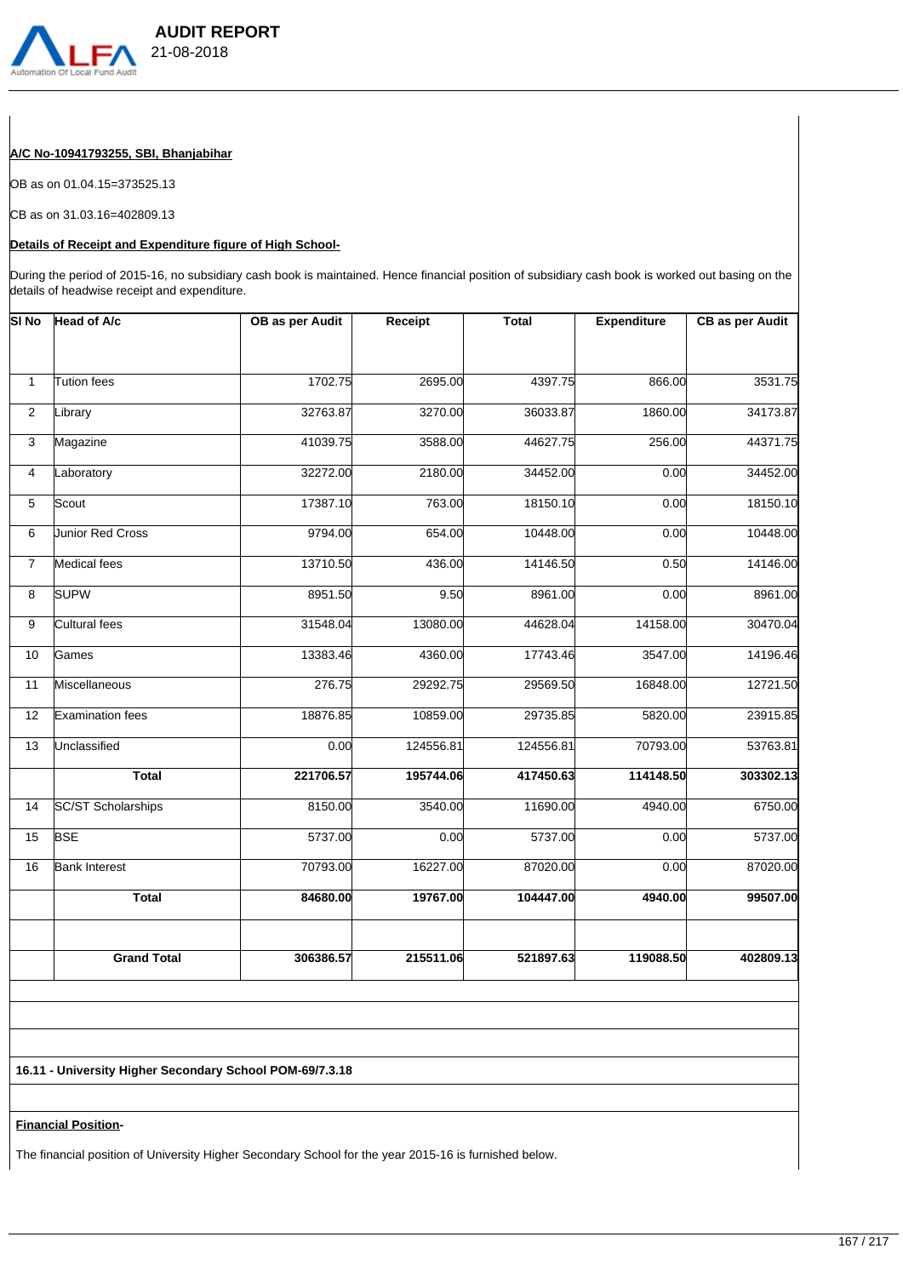

### **A/C No-10941793255, SBI, Bhanjabihar**

OB as on 01.04.15=373525.13

CB as on 31.03.16=402809.13

### **Details of Receipt and Expenditure figure of High School-**

During the period of 2015-16, no subsidiary cash book is maintained. Hence financial position of subsidiary cash book is worked out basing on the details of headwise receipt and expenditure.

| <b>Tution fees</b><br>Library<br>Magazine<br>Laboratory<br>Scout<br><b>Junior Red Cross</b><br><b>Medical fees</b><br><b>SUPW</b> | 1702.75<br>32763.87<br>41039.75<br>32272.00<br>17387.10<br>9794.00<br>13710.50 | 2695.00<br>3270.00<br>3588.00<br>2180.00<br>763.00<br>654.00 | 4397.75<br>36033.87<br>44627.75<br>34452.00<br>18150.10<br>10448.00 | 866.00<br>1860.00<br>256.00<br>0.00<br>0.00 |                      |
|-----------------------------------------------------------------------------------------------------------------------------------|--------------------------------------------------------------------------------|--------------------------------------------------------------|---------------------------------------------------------------------|---------------------------------------------|----------------------|
|                                                                                                                                   |                                                                                |                                                              |                                                                     |                                             | 3531.75<br>34173.87  |
|                                                                                                                                   |                                                                                |                                                              |                                                                     |                                             |                      |
|                                                                                                                                   |                                                                                |                                                              |                                                                     |                                             | 44371.75             |
|                                                                                                                                   |                                                                                |                                                              |                                                                     |                                             | 34452.00<br>18150.10 |
|                                                                                                                                   |                                                                                |                                                              |                                                                     |                                             |                      |
|                                                                                                                                   |                                                                                |                                                              |                                                                     |                                             |                      |
|                                                                                                                                   |                                                                                |                                                              |                                                                     | 0.00                                        | 10448.00             |
|                                                                                                                                   |                                                                                | 436.00                                                       | 14146.50                                                            | 0.50                                        | 14146.00             |
|                                                                                                                                   | 8951.50                                                                        | 9.50                                                         | 8961.00                                                             | 0.00                                        | 8961.00              |
| <b>Cultural fees</b>                                                                                                              | 31548.04                                                                       | 13080.00                                                     | 44628.04                                                            | 14158.00                                    | 30470.04             |
| Games                                                                                                                             | 13383.46                                                                       | 4360.00                                                      | 17743.46                                                            | 3547.00                                     | 14196.46             |
| Miscellaneous                                                                                                                     | 276.75                                                                         | 29292.75                                                     | 29569.50                                                            | 16848.00                                    | 12721.50             |
| <b>Examination fees</b>                                                                                                           | 18876.85                                                                       | 10859.00                                                     | 29735.85                                                            | 5820.00                                     | 23915.85             |
| Unclassified                                                                                                                      | 0.00                                                                           | 124556.81                                                    | 124556.81                                                           | 70793.00                                    | 53763.81             |
| <b>Total</b>                                                                                                                      | 221706.57                                                                      | 195744.06                                                    | 417450.63                                                           | 114148.50                                   | 303302.13            |
| <b>SC/ST Scholarships</b>                                                                                                         | 8150.00                                                                        | 3540.00                                                      | 11690.00                                                            | 4940.00                                     | 6750.00              |
| <b>BSE</b>                                                                                                                        | 5737.00                                                                        | 0.00                                                         | 5737.00                                                             | 0.00                                        | 5737.00              |
| <b>Bank Interest</b>                                                                                                              | 70793.00                                                                       | 16227.00                                                     | 87020.00                                                            | 0.00                                        | 87020.00             |
| <b>Total</b>                                                                                                                      | 84680.00                                                                       | 19767.00                                                     | 104447.00                                                           | 4940.00                                     | 99507.00             |
| <b>Grand Total</b>                                                                                                                | 306386.57                                                                      | 215511.06                                                    | 521897.63                                                           | 119088.50                                   | 402809.13            |
|                                                                                                                                   |                                                                                |                                                              |                                                                     |                                             |                      |

### **16.11 - University Higher Secondary School POM-69/7.3.18**

### **Financial Position-**

The financial position of University Higher Secondary School for the year 2015-16 is furnished below.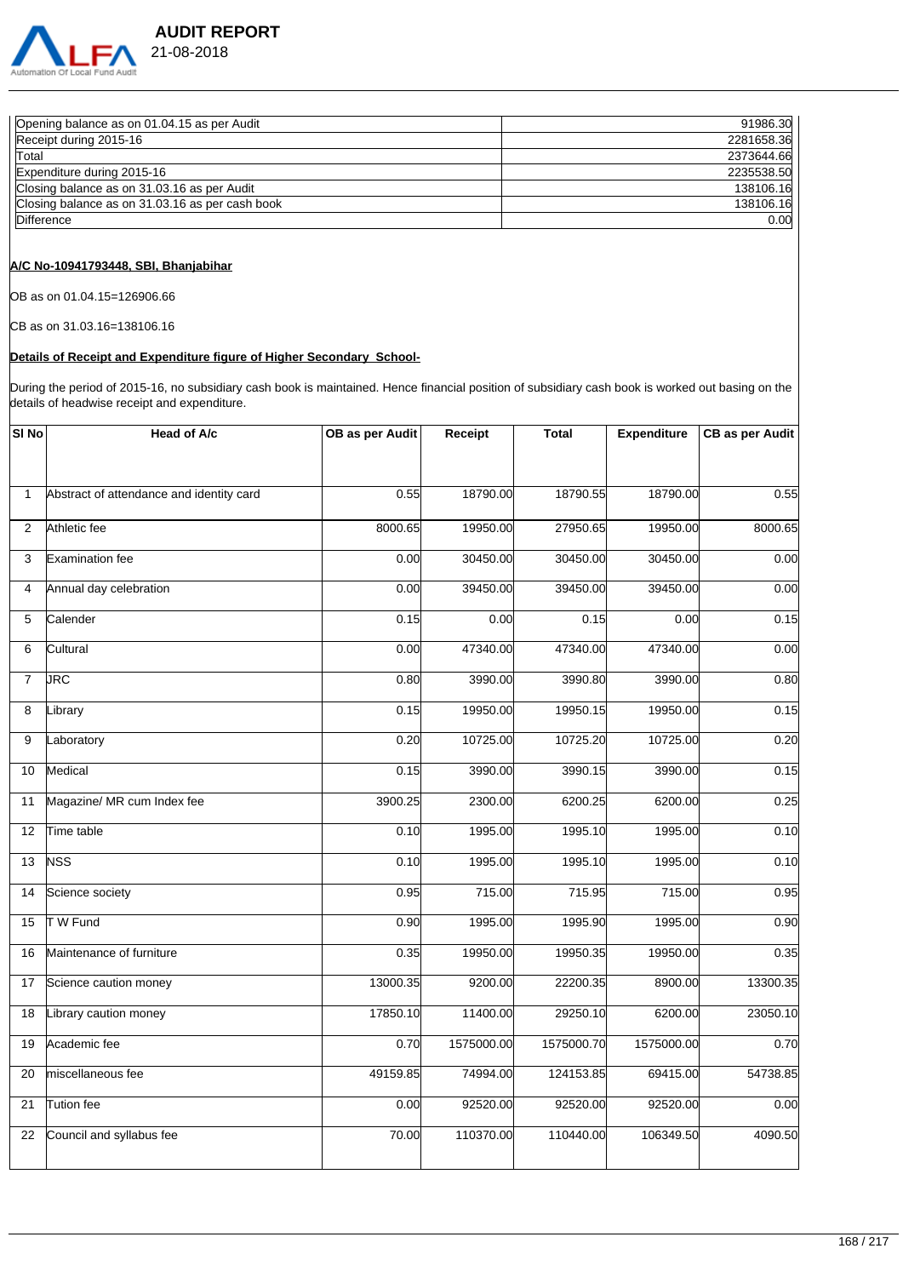

| Opening balance as on 01.04.15 as per Audit     | 91986.30   |
|-------------------------------------------------|------------|
| Receipt during 2015-16                          | 2281658.36 |
| Total                                           | 2373644.66 |
| Expenditure during 2015-16                      | 2235538.50 |
| Closing balance as on 31.03.16 as per Audit     | 138106.16  |
| Closing balance as on 31.03.16 as per cash book | 138106.16  |
| Difference                                      | 0.00       |

### **A/C No-10941793448, SBI, Bhanjabihar**

OB as on 01.04.15=126906.66

CB as on 31.03.16=138106.16

### **Details of Receipt and Expenditure figure of Higher Secondary School-**

During the period of 2015-16, no subsidiary cash book is maintained. Hence financial position of subsidiary cash book is worked out basing on the details of headwise receipt and expenditure.

| SI <sub>No</sub> | Head of A/c                              | OB as per Audit | Receipt    | Total      | <b>Expenditure</b> | <b>CB as per Audit</b> |
|------------------|------------------------------------------|-----------------|------------|------------|--------------------|------------------------|
|                  |                                          |                 |            |            |                    |                        |
| 1                | Abstract of attendance and identity card | 0.55            | 18790.00   | 18790.55   | 18790.00           | 0.55                   |
| $\overline{2}$   | Athletic fee                             | 8000.65         | 19950.00   | 27950.65   | 19950.00           | 8000.65                |
| 3                | <b>Examination fee</b>                   | 0.00            | 30450.00   | 30450.00   | 30450.00           | 0.00                   |
| 4                | Annual day celebration                   | 0.00            | 39450.00   | 39450.00   | 39450.00           | 0.00                   |
| 5                | Calender                                 | 0.15            | 0.00       | 0.15       | 0.00               | 0.15                   |
| 6                | Cultural                                 | 0.00            | 47340.00   | 47340.00   | 47340.00           | 0.00                   |
| $\overline{7}$   | <b>JRC</b>                               | 0.80            | 3990.00    | 3990.80    | 3990.00            | 0.80                   |
| 8                | Library                                  | 0.15            | 19950.00   | 19950.15   | 19950.00           | 0.15                   |
| 9                | _aboratory                               | 0.20            | 10725.00   | 10725.20   | 10725.00           | 0.20                   |
| 10               | Medical                                  | 0.15            | 3990.00    | 3990.15    | 3990.00            | 0.15                   |
| 11               | Magazine/ MR cum Index fee               | 3900.25         | 2300.00    | 6200.25    | 6200.00            | 0.25                   |
| 12               | Time table                               | 0.10            | 1995.00    | 1995.10    | 1995.00            | 0.10                   |
| 13               | <b>NSS</b>                               | 0.10            | 1995.00    | 1995.10    | 1995.00            | 0.10                   |
| 14               | Science society                          | 0.95            | 715.00     | 715.95     | 715.00             | 0.95                   |
| 15               | T W Fund                                 | 0.90            | 1995.00    | 1995.90    | 1995.00            | 0.90                   |
| 16               | Maintenance of furniture                 | 0.35            | 19950.00   | 19950.35   | 19950.00           | 0.35                   |
| 17               | Science caution money                    | 13000.35        | 9200.00    | 22200.35   | 8900.00            | 13300.35               |
| 18               | Library caution money                    | 17850.10        | 11400.00   | 29250.10   | 6200.00            | 23050.10               |
| 19               | Academic fee                             | 0.70            | 1575000.00 | 1575000.70 | 1575000.00         | 0.70                   |
| 20               | miscellaneous fee                        | 49159.85        | 74994.00   | 124153.85  | 69415.00           | 54738.85               |
| 21               | Tution fee                               | 0.00            | 92520.00   | 92520.00   | 92520.00           | 0.00                   |
| 22               | Council and syllabus fee                 | 70.00           | 110370.00  | 110440.00  | 106349.50          | 4090.50                |
|                  |                                          |                 |            |            |                    |                        |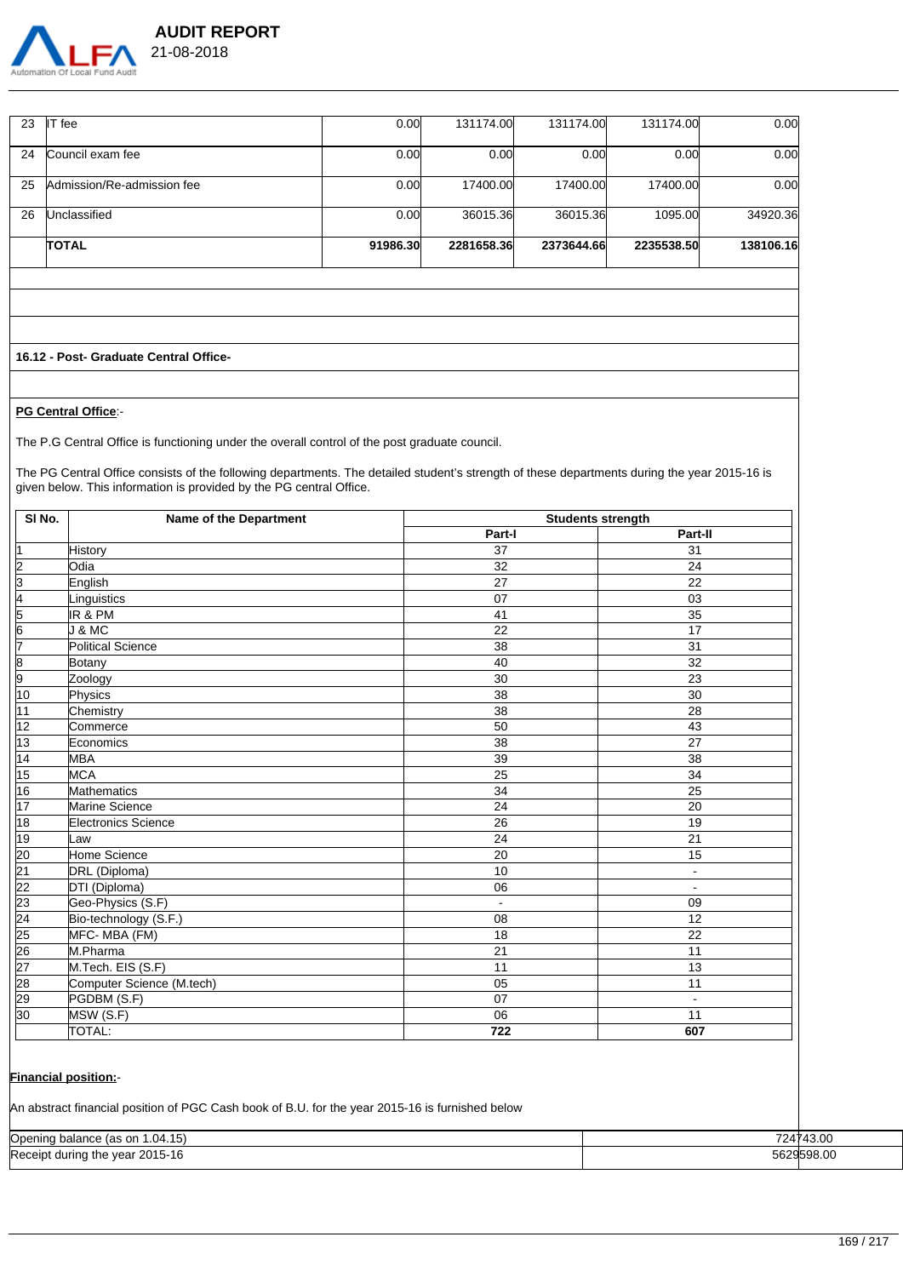

| 23 | IT fee                     | 0.00 <sub>l</sub> | 131174.00  | 131174.00  | 131174.00  | 0.00      |
|----|----------------------------|-------------------|------------|------------|------------|-----------|
| 24 | Council exam fee           | 0.00 <sub>l</sub> | 0.00       | 0.00       | 0.00       | 0.00      |
| 25 | Admission/Re-admission fee | 0.00 <sub>l</sub> | 17400.00   | 17400.00   | 17400.00   | 0.00      |
| 26 | Unclassified               | 0.00              | 36015.36   | 36015.36   | 1095.00    | 34920.36  |
|    | <b>TOTAL</b>               | 91986.30          | 2281658.36 | 2373644.66 | 2235538.50 | 138106.16 |

**16.12 - Post- Graduate Central Office-**

#### **PG Central Office**:-

The P.G Central Office is functioning under the overall control of the post graduate council.

The PG Central Office consists of the following departments. The detailed student's strength of these departments during the year 2015-16 is given below. This information is provided by the PG central Office.

| SI No.                  | Name of the Department    | <b>Students strength</b> |                |  |
|-------------------------|---------------------------|--------------------------|----------------|--|
|                         |                           | Part-I                   | Part-II        |  |
| l1                      | History                   | 37                       | 31             |  |
|                         | lOdia                     | 32                       | 24             |  |
| $\frac{2}{3}$           | English                   | 27                       | 22             |  |
| 4                       | Linguistics               | 07                       | 03             |  |
| $\frac{5}{6}$           | IR & PM                   | 41                       | 35             |  |
|                         | <b>J &amp; MC</b>         | 22                       | 17             |  |
| 7                       | Political Science         | 38                       | 31             |  |
| $\overline{\mathbf{8}}$ | Botany                    | 40                       | 32             |  |
| 9                       | Zoology                   | 30                       | 23             |  |
| 10                      | Physics                   | 38                       | 30             |  |
| 11                      | Chemistry                 | 38                       | 28             |  |
| $\overline{12}$         | Commerce                  | 50                       | 43             |  |
| $\overline{13}$         | Economics                 | 38                       | 27             |  |
| 14                      | <b>MBA</b>                | 39                       | 38             |  |
| 15                      | <b>MCA</b>                | 25                       | 34             |  |
| 16                      | Mathematics               | 34                       | 25             |  |
| $\overline{17}$         | Marine Science            | 24                       | 20             |  |
| $\overline{18}$         | Electronics Science       | 26                       | 19             |  |
| 19                      | Law                       | 24                       | 21             |  |
| 20                      | Home Science              | 20                       | 15             |  |
| $\frac{21}{22}$         | DRL (Diploma)             | 10                       | $\blacksquare$ |  |
|                         | DTI (Diploma)             | 06                       |                |  |
| $\overline{23}$         | Geo-Physics (S.F)         | $\blacksquare$           | 09             |  |
| $\overline{24}$         | Bio-technology (S.F.)     | 08                       | 12             |  |
| 25                      | MFC-MBA (FM)              | 18                       | 22             |  |
| $\overline{26}$         | M.Pharma                  | 21                       | 11             |  |
| $\overline{27}$         | M.Tech. EIS (S.F)         | 11                       | 13             |  |
|                         | Computer Science (M.tech) | 05                       | 11             |  |
| $\frac{28}{29}$         | PGDBM (S.F)               | 07                       |                |  |
| 30                      | MSW (S.F)                 | 06                       | 11             |  |
|                         | TOTAL:                    | 722                      | 607            |  |

#### **Financial position:**-

An abstract financial position of PGC Cash book of B.U. for the year 2015-16 is furnished below

| <b>Onenino</b><br>(0.04.15)<br>, on<br>-las<br>valative | 724743.00 |
|---------------------------------------------------------|-----------|
| 2015-16<br>Receipt<br>vear<br>t during the              | 29598.00  |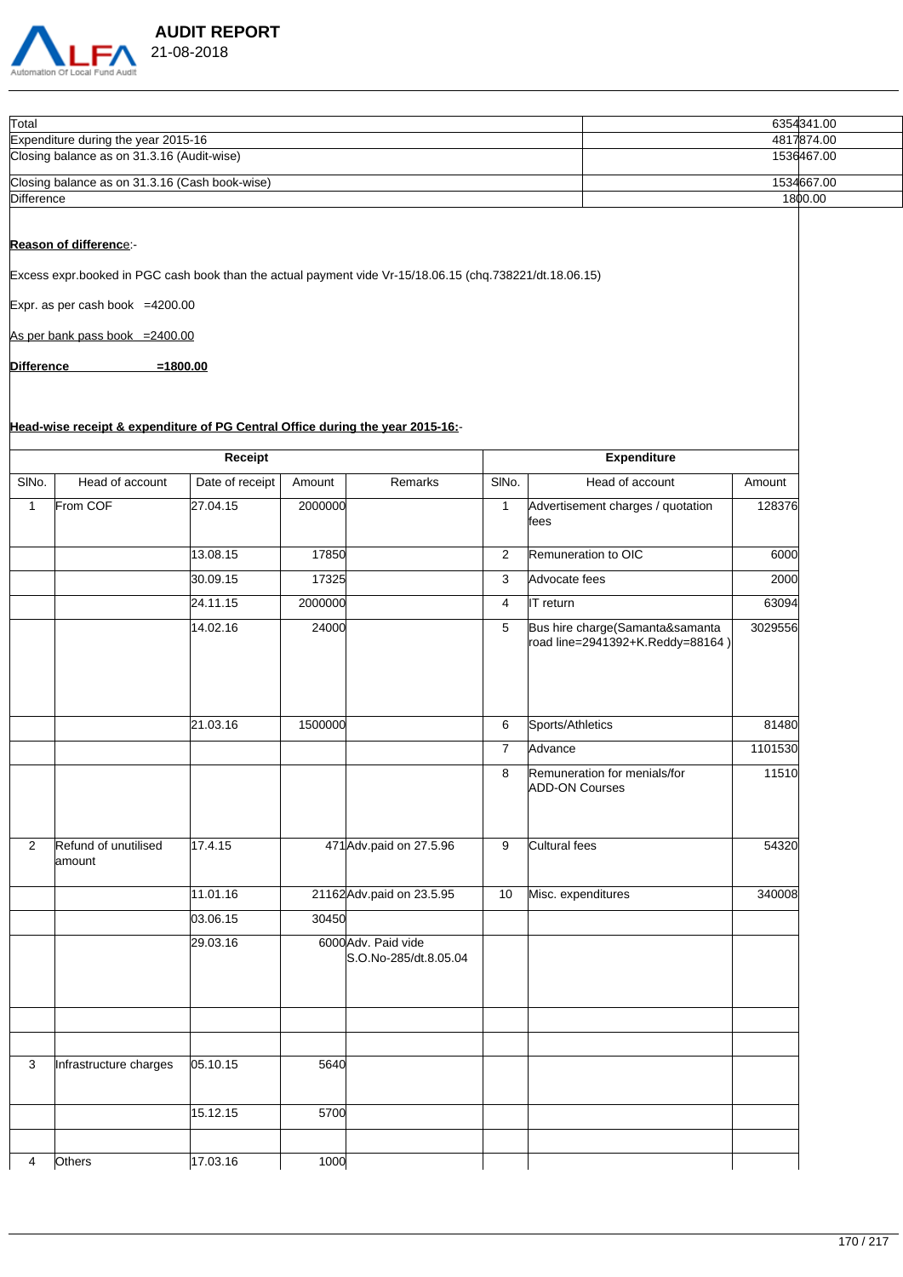

| <b>AUDIT REPORT</b> |
|---------------------|
| 21-08-2018          |

| Total                                          | 6354341.00 |
|------------------------------------------------|------------|
| Expenditure during the year 2015-16            | 4817874.00 |
| Closing balance as on 31.3.16 (Audit-wise)     | 1536467.00 |
| Closing balance as on 31.3.16 (Cash book-wise) | 1534667.00 |
| Difference                                     | 1800.00    |

### **Reason of differenc**e:-

Excess expr.booked in PGC cash book than the actual payment vide Vr-15/18.06.15 (chq.738221/dt.18.06.15)

Expr. as per cash book  $=4200.00$ 

As per bank pass book  $=2400.00$ 

**Difference =1800.00**

# **Head-wise receipt & expenditure of PG Central Office during the year 2015-16:**-

|                |                                 | Receipt         |         |                                              | <b>Expenditure</b> |                                                                     |         |  |
|----------------|---------------------------------|-----------------|---------|----------------------------------------------|--------------------|---------------------------------------------------------------------|---------|--|
| SINo.          | Head of account                 | Date of receipt | Amount  | Remarks                                      | SINo.              | Head of account                                                     | Amount  |  |
| $\mathbf{1}$   | From COF                        | 27.04.15        | 2000000 |                                              | $\mathbf{1}$       | Advertisement charges / quotation<br>fees                           | 128376  |  |
|                |                                 | 13.08.15        | 17850   |                                              | 2                  | Remuneration to OIC                                                 | 6000    |  |
|                |                                 | 30.09.15        | 17325   |                                              | 3                  | Advocate fees                                                       | 2000    |  |
|                |                                 | 24.11.15        | 2000000 |                                              | 4                  | <b>IT</b> return                                                    | 63094   |  |
|                |                                 | 14.02.16        | 24000   |                                              | 5                  | Bus hire charge(Samanta&samanta<br>road line=2941392+K.Reddy=88164) | 3029556 |  |
|                |                                 | 21.03.16        | 1500000 |                                              | 6                  | Sports/Athletics                                                    | 81480   |  |
|                |                                 |                 |         |                                              | $\overline{7}$     | Advance                                                             | 1101530 |  |
|                |                                 |                 |         |                                              | 8                  | Remuneration for menials/for<br><b>ADD-ON Courses</b>               | 11510   |  |
| $\overline{2}$ | Refund of unutilised<br>lamount | 17.4.15         |         | 471 Adv.paid on 27.5.96                      | 9                  | <b>Cultural fees</b>                                                | 54320   |  |
|                |                                 | 11.01.16        |         | 21162Adv.paid on 23.5.95                     | 10                 | Misc. expenditures                                                  | 340008  |  |
|                |                                 | 03.06.15        | 30450   |                                              |                    |                                                                     |         |  |
|                |                                 | 29.03.16        |         | 6000 Adv. Paid vide<br>S.O.No-285/dt.8.05.04 |                    |                                                                     |         |  |
|                |                                 |                 |         |                                              |                    |                                                                     |         |  |
| $\mathbf{3}$   | Infrastructure charges          | 05.10.15        | 5640    |                                              |                    |                                                                     |         |  |
|                |                                 | 15.12.15        | 5700    |                                              |                    |                                                                     |         |  |
|                |                                 |                 |         |                                              |                    |                                                                     |         |  |
| 4              | Others                          | 17.03.16        | 1000    |                                              |                    |                                                                     |         |  |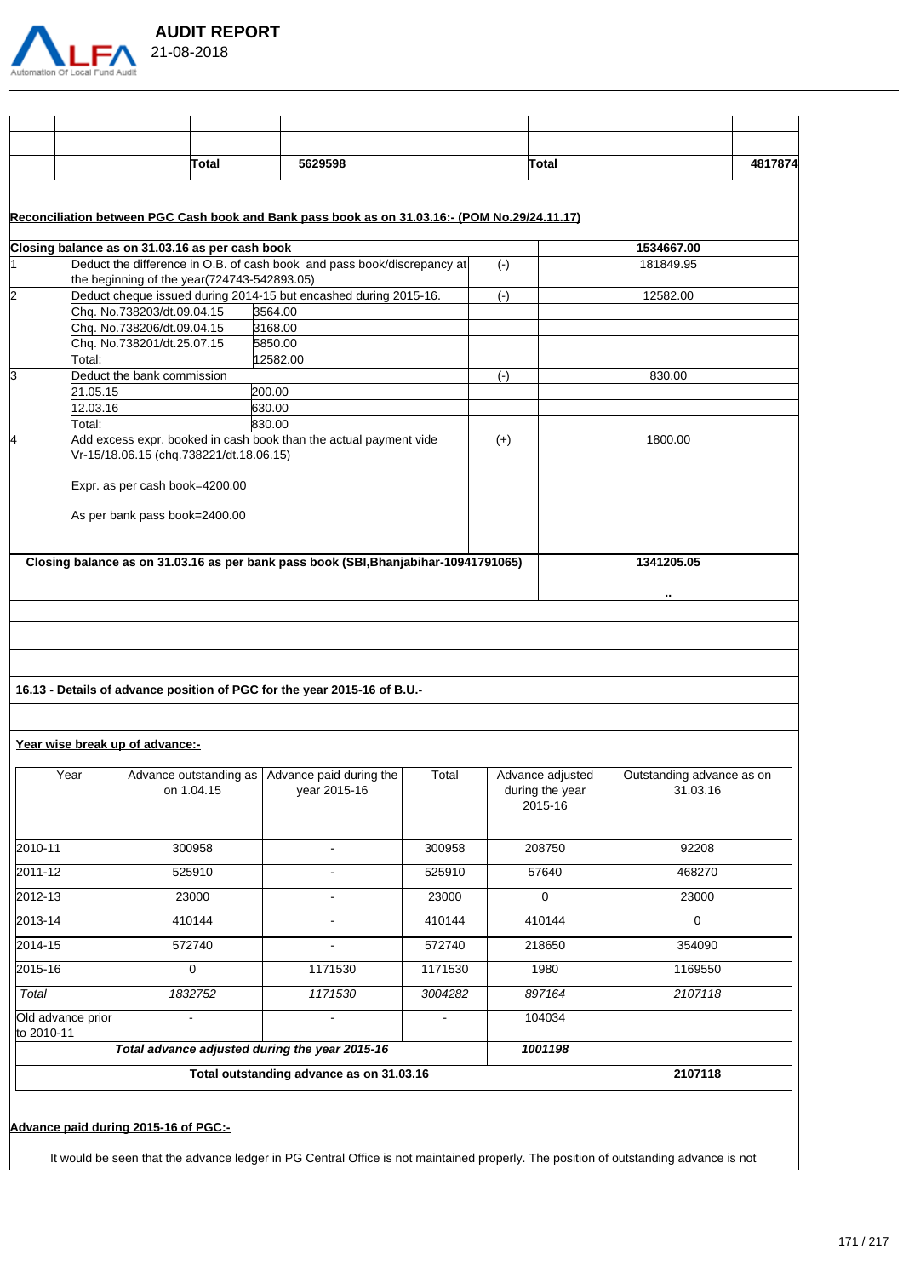

|    |          | Total                                                                                                      | 5629598                                                                                       |       | Total                               |                                       | 4817874 |
|----|----------|------------------------------------------------------------------------------------------------------------|-----------------------------------------------------------------------------------------------|-------|-------------------------------------|---------------------------------------|---------|
|    |          |                                                                                                            | Reconciliation between PGC Cash book and Bank pass book as on 31.03.16:- (POM No.29/24.11.17) |       |                                     |                                       |         |
|    |          | Closing balance as on 31.03.16 as per cash book                                                            |                                                                                               |       |                                     | 1534667.00                            |         |
|    |          |                                                                                                            | Deduct the difference in O.B. of cash book and pass book/discrepancy at                       |       | $(\cdot)$                           | 181849.95                             |         |
|    |          | the beginning of the year(724743-542893.05)                                                                |                                                                                               |       |                                     |                                       |         |
| l2 |          |                                                                                                            | Deduct cheque issued during 2014-15 but encashed during 2015-16.                              |       | $(-)$                               | 12582.00                              |         |
|    |          | Chq. No.738203/dt.09.04.15                                                                                 | 3564.00                                                                                       |       |                                     |                                       |         |
|    |          | Chq. No.738206/dt.09.04.15                                                                                 | 3168.00                                                                                       |       |                                     |                                       |         |
|    |          | Chq. No.738201/dt.25.07.15                                                                                 | 5850.00                                                                                       |       |                                     |                                       |         |
|    | Total:   |                                                                                                            | 12582.00                                                                                      |       |                                     |                                       |         |
| lз |          | Deduct the bank commission                                                                                 |                                                                                               |       | $(-)$                               | 830.00                                |         |
|    | 21.05.15 |                                                                                                            | 200.00                                                                                        |       |                                     |                                       |         |
|    | 12.03.16 |                                                                                                            | 630.00                                                                                        |       |                                     |                                       |         |
|    | Total:   |                                                                                                            | 830.00                                                                                        |       |                                     |                                       |         |
| l4 |          | Vr-15/18.06.15 (chq.738221/dt.18.06.15)<br>Expr. as per cash book=4200.00<br>As per bank pass book=2400.00 | Add excess expr. booked in cash book than the actual payment vide                             |       | $(+)$                               | 1800.00                               |         |
|    |          |                                                                                                            | Closing balance as on 31.03.16 as per bank pass book (SBI, Bhanjabihar-10941791065)           |       |                                     | 1341205.05<br>٠.                      |         |
|    |          |                                                                                                            |                                                                                               |       |                                     |                                       |         |
|    |          |                                                                                                            |                                                                                               |       |                                     |                                       |         |
|    |          |                                                                                                            |                                                                                               |       |                                     |                                       |         |
|    |          |                                                                                                            | 16.13 - Details of advance position of PGC for the year 2015-16 of B.U.-                      |       |                                     |                                       |         |
|    |          |                                                                                                            |                                                                                               |       |                                     |                                       |         |
|    |          | Year wise break up of advance:-                                                                            |                                                                                               |       |                                     |                                       |         |
|    | Year     | Advance outstanding as<br>on 1.04.15                                                                       | Advance paid during the<br>vear 2015-16                                                       | Total | Advance adjusted<br>during the year | Outstanding advance as on<br>31.03.16 |         |

| Year                            | Advance outstanding as<br>on 1.04.15           | Advance paid during the<br>year 2015-16  | Total   | Advance adjusted<br>during the year<br>2015-16 | Outstanding advance as on<br>31.03.16 |
|---------------------------------|------------------------------------------------|------------------------------------------|---------|------------------------------------------------|---------------------------------------|
| 2010-11                         | 300958                                         |                                          | 300958  | 208750                                         | 92208                                 |
| 2011-12                         | 525910                                         |                                          | 525910  | 57640                                          | 468270                                |
| 2012-13                         | 23000                                          |                                          | 23000   | 0                                              | 23000                                 |
| 2013-14                         | 410144                                         |                                          | 410144  | 410144                                         | 0                                     |
| 2014-15                         | 572740                                         |                                          | 572740  | 218650                                         | 354090                                |
| 2015-16                         | 0                                              | 1171530                                  | 1171530 | 1980                                           | 1169550                               |
| Total                           | 1832752                                        | 1171530                                  | 3004282 | 897164                                         | 2107118                               |
| Old advance prior<br>to 2010-11 |                                                |                                          |         | 104034                                         |                                       |
|                                 | Total advance adjusted during the year 2015-16 |                                          |         | 1001198                                        |                                       |
|                                 |                                                | Total outstanding advance as on 31.03.16 |         |                                                | 2107118                               |

# **Advance paid during 2015-16 of PGC:-**

It would be seen that the advance ledger in PG Central Office is not maintained properly. The position of outstanding advance is not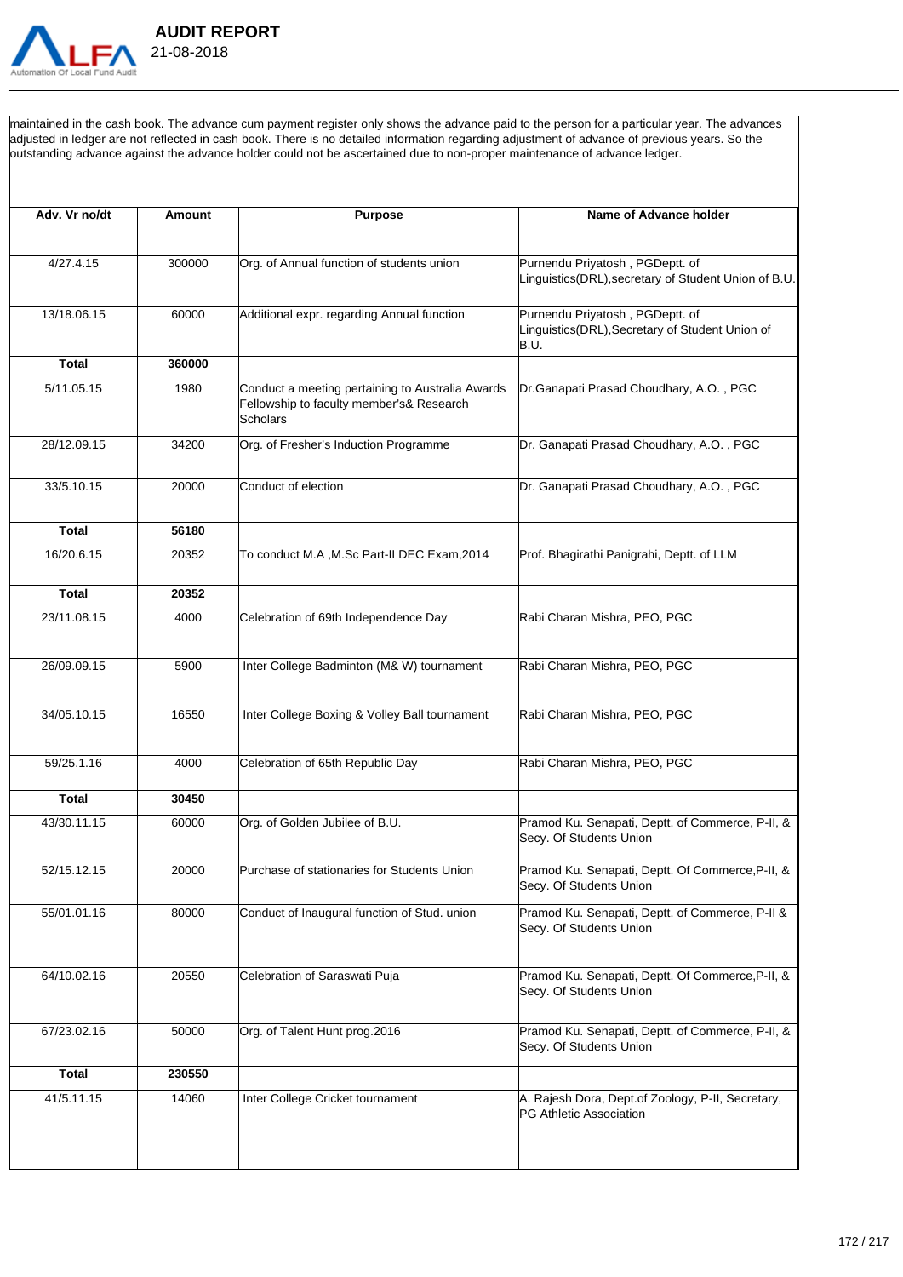

 **AUDIT REPORT**  21-08-2018

maintained in the cash book. The advance cum payment register only shows the advance paid to the person for a particular year. The advances adjusted in ledger are not reflected in cash book. There is no detailed information regarding adjustment of advance of previous years. So the outstanding advance against the advance holder could not be ascertained due to non-proper maintenance of advance ledger.

| Adv. Vr no/dt | <b>Amount</b> | <b>Purpose</b>                                                                                           | Name of Advance holder                                                                    |
|---------------|---------------|----------------------------------------------------------------------------------------------------------|-------------------------------------------------------------------------------------------|
|               |               |                                                                                                          |                                                                                           |
| 4/27.4.15     | 300000        | Org. of Annual function of students union                                                                | Purnendu Priyatosh, PGDeptt. of<br>Linguistics(DRL), secretary of Student Union of B.U.   |
| 13/18.06.15   | 60000         | Additional expr. regarding Annual function                                                               | Purnendu Priyatosh, PGDeptt. of<br>inguistics(DRL), Secretary of Student Union of<br>B.U. |
| <b>Total</b>  | 360000        |                                                                                                          |                                                                                           |
| 5/11.05.15    | 1980          | Conduct a meeting pertaining to Australia Awards<br>Fellowship to faculty member's& Research<br>Scholars | Dr.Ganapati Prasad Choudhary, A.O., PGC                                                   |
| 28/12.09.15   | 34200         | Org. of Fresher's Induction Programme                                                                    | Dr. Ganapati Prasad Choudhary, A.O., PGC                                                  |
| 33/5.10.15    | 20000         | Conduct of election                                                                                      | Dr. Ganapati Prasad Choudhary, A.O., PGC                                                  |
| <b>Total</b>  | 56180         |                                                                                                          |                                                                                           |
| 16/20.6.15    | 20352         | To conduct M.A , M.Sc Part-II DEC Exam, 2014                                                             | Prof. Bhagirathi Panigrahi, Deptt. of LLM                                                 |
| <b>Total</b>  | 20352         |                                                                                                          |                                                                                           |
| 23/11.08.15   | 4000          | Celebration of 69th Independence Day                                                                     | Rabi Charan Mishra, PEO, PGC                                                              |
| 26/09.09.15   | 5900          | Inter College Badminton (M& W) tournament                                                                | Rabi Charan Mishra, PEO, PGC                                                              |
| 34/05.10.15   | 16550         | Inter College Boxing & Volley Ball tournament                                                            | Rabi Charan Mishra, PEO, PGC                                                              |
| 59/25.1.16    | 4000          | Celebration of 65th Republic Day                                                                         | Rabi Charan Mishra, PEO, PGC                                                              |
| <b>Total</b>  | 30450         |                                                                                                          |                                                                                           |
| 43/30.11.15   | 60000         | Org. of Golden Jubilee of B.U.                                                                           | Pramod Ku. Senapati, Deptt. of Commerce, P-II, &<br>Secy. Of Students Union               |
| 52/15.12.15   | 20000         | Purchase of stationaries for Students Union                                                              | Pramod Ku. Senapati, Deptt. Of Commerce, P-II, &<br>Secy. Of Students Union               |
| 55/01.01.16   | 80000         | Conduct of Inaugural function of Stud. union                                                             | Pramod Ku. Senapati, Deptt. of Commerce, P-II &<br>Secy. Of Students Union                |
| 64/10.02.16   | 20550         | Celebration of Saraswati Puja                                                                            | Pramod Ku. Senapati, Deptt. Of Commerce, P-II, &<br>Secy. Of Students Union               |
| 67/23.02.16   | 50000         | Org. of Talent Hunt prog. 2016                                                                           | Pramod Ku. Senapati, Deptt. of Commerce, P-II, &<br>Secy. Of Students Union               |
| <b>Total</b>  | 230550        |                                                                                                          |                                                                                           |
| 41/5.11.15    | 14060         | Inter College Cricket tournament                                                                         | A. Rajesh Dora, Dept.of Zoology, P-II, Secretary,<br>PG Athletic Association              |
|               |               |                                                                                                          |                                                                                           |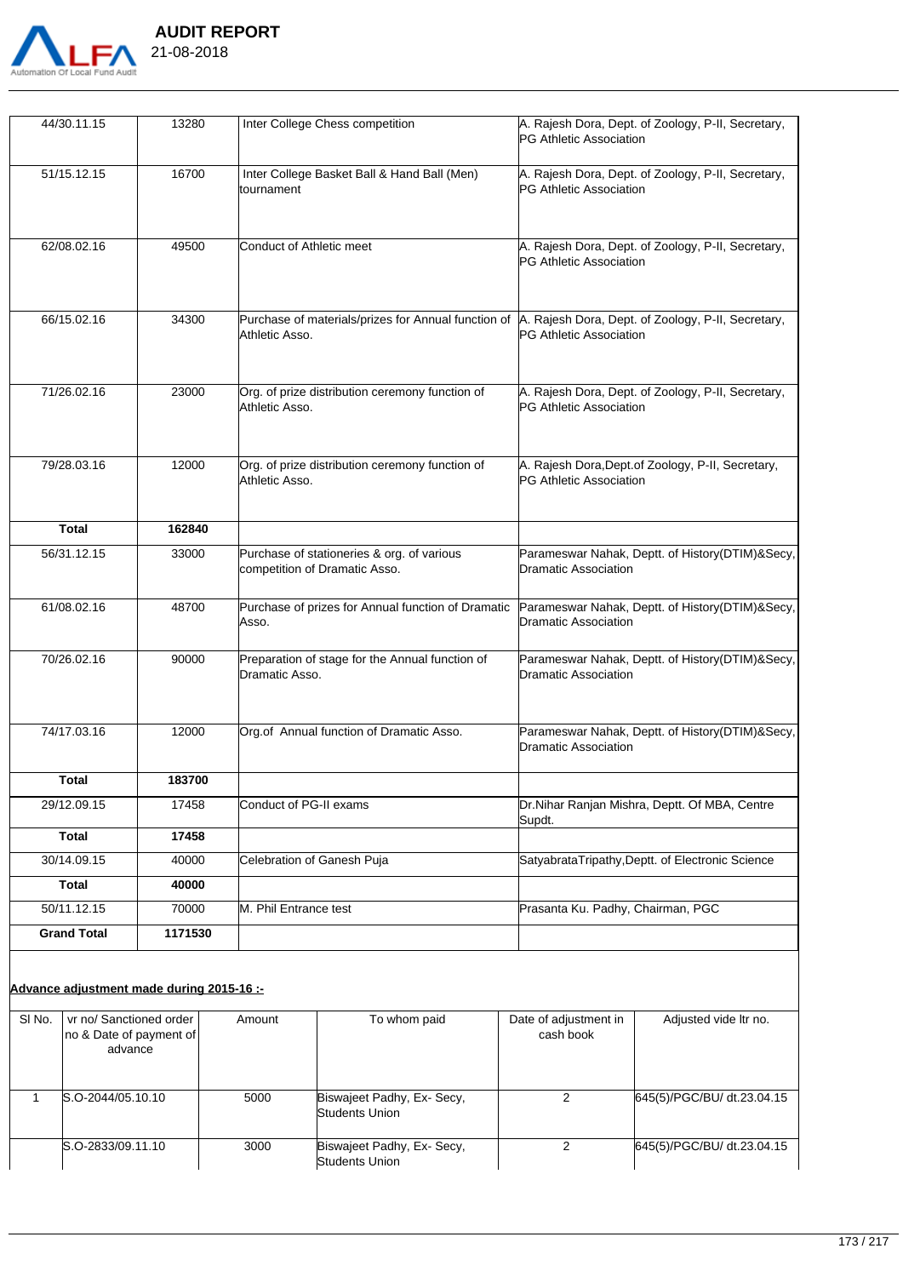

 **AUDIT REPORT** 

|              |        |                                                                                                                          | <b>PG Athletic Association</b>                                                       |
|--------------|--------|--------------------------------------------------------------------------------------------------------------------------|--------------------------------------------------------------------------------------|
| 51/15.12.15  | 16700  | Inter College Basket Ball & Hand Ball (Men)<br>tournament                                                                | A. Rajesh Dora, Dept. of Zoology, P-II, Secretary,<br>PG Athletic Association        |
| 62/08.02.16  | 49500  | Conduct of Athletic meet                                                                                                 | A. Rajesh Dora, Dept. of Zoology, P-II, Secretary,<br><b>PG Athletic Association</b> |
| 66/15.02.16  | 34300  | Purchase of materials/prizes for Annual function of A. Rajesh Dora, Dept. of Zoology, P-II, Secretary,<br>Athletic Asso. | <b>PG Athletic Association</b>                                                       |
| 71/26.02.16  | 23000  | Org. of prize distribution ceremony function of<br>Athletic Asso.                                                        | A. Rajesh Dora, Dept. of Zoology, P-II, Secretary,<br><b>PG Athletic Association</b> |
| 79/28.03.16  | 12000  | Org. of prize distribution ceremony function of<br>Athletic Asso.                                                        | A. Rajesh Dora, Dept. of Zoology, P-II, Secretary,<br><b>PG Athletic Association</b> |
| <b>Total</b> | 162840 |                                                                                                                          |                                                                                      |
| 56/31.12.15  | 33000  | Purchase of stationeries & org. of various<br>competition of Dramatic Asso.                                              | Parameswar Nahak, Deptt. of History(DTIM)&Secy,<br><b>Dramatic Association</b>       |
| 61/08.02.16  | 48700  | Purchase of prizes for Annual function of Dramatic<br>Asso.                                                              | Parameswar Nahak, Deptt. of History(DTIM)&Secy,<br>Dramatic Association              |
| 70/26.02.16  | 90000  | Preparation of stage for the Annual function of<br>Dramatic Asso.                                                        | Parameswar Nahak, Deptt. of History(DTIM)&Secy,<br><b>Dramatic Association</b>       |
| 74/17.03.16  | 12000  | Org.of Annual function of Dramatic Asso.                                                                                 | Parameswar Nahak, Deptt. of History(DTIM)&Secy,<br>Dramatic Association              |
| <b>Total</b> | 183700 |                                                                                                                          |                                                                                      |
| 29/12.09.15  | 17458  | Conduct of PG-II exams                                                                                                   | Dr.Nihar Ranjan Mishra, Deptt. Of MBA, Centre                                        |
| <b>Total</b> | 17458  |                                                                                                                          | Supdt.                                                                               |
| 30/14.09.15  | 40000  | Celebration of Ganesh Puja                                                                                               | SatyabrataTripathy, Deptt. of Electronic Science                                     |
| <b>Total</b> | 40000  |                                                                                                                          |                                                                                      |
| 50/11.12.15  | 70000  | M. Phil Entrance test                                                                                                    | Prasanta Ku. Padhy, Chairman, PGC                                                    |
|              |        |                                                                                                                          |                                                                                      |

44/30.11.15 13280 Inter College Chess competition A. Rajesh Dora, Dept. of Zoology, P-II, Secretary,

# **Advance adjustment made during 2015-16 :-**

| SI No. | vr no/ Sanctioned order I<br>no & Date of payment of<br>advance | Amount | To whom paid                                 | Date of adjustment in<br>cash book | Adjusted vide Itr no.      |
|--------|-----------------------------------------------------------------|--------|----------------------------------------------|------------------------------------|----------------------------|
|        |                                                                 |        |                                              |                                    |                            |
|        | S.O-2044/05.10.10                                               | 5000   | Biswajeet Padhy, Ex-Secy,<br>Students Union  |                                    | 645(5)/PGC/BU/ dt.23.04.15 |
|        | S.O-2833/09.11.10                                               | 3000   | Biswajeet Padhy, Ex- Secy,<br>Students Union |                                    | 645(5)/PGC/BU/ dt.23.04.15 |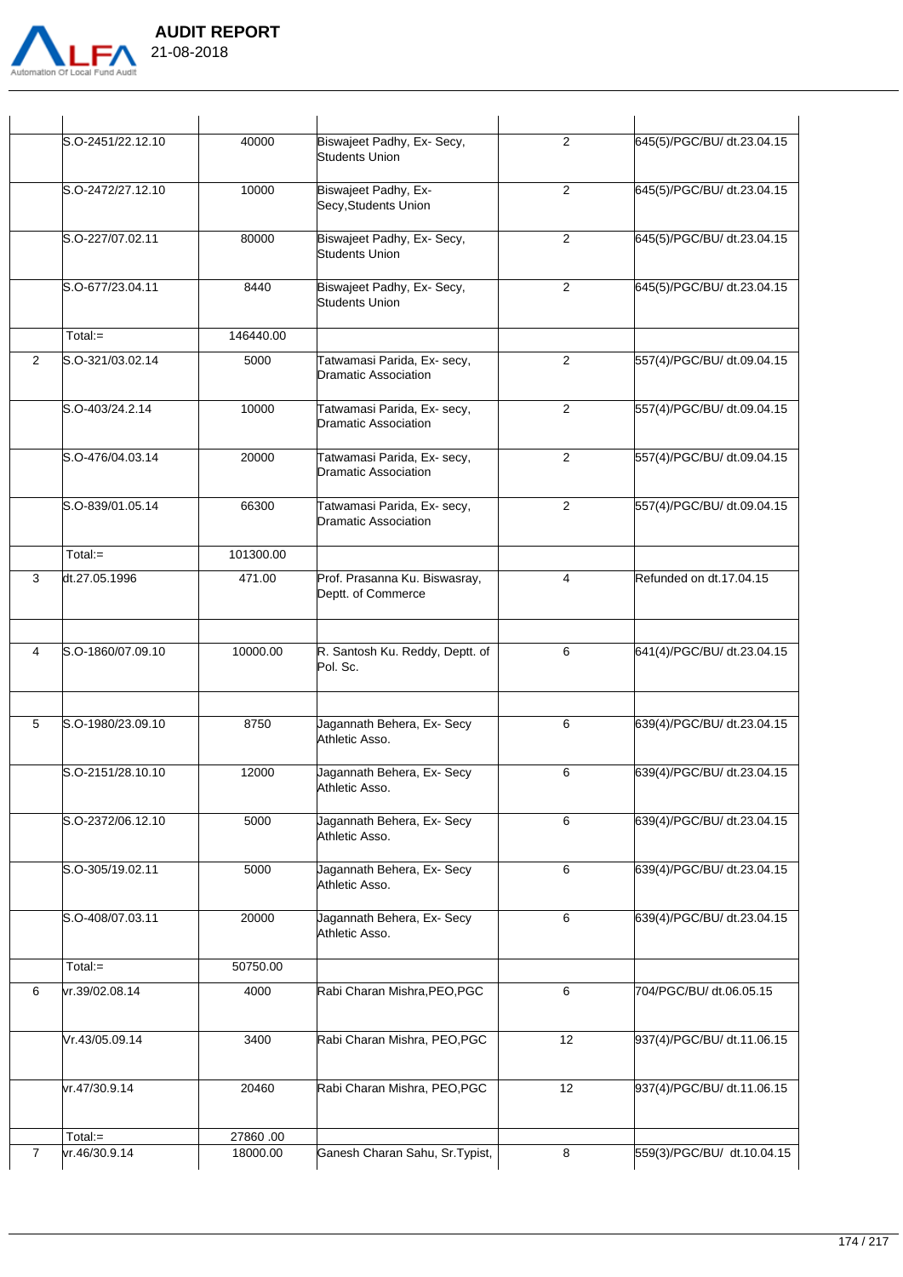

S.O-2451/22.12.10 40000 Biswajeet Padhy, Ex- Secy,

Students Union

2 645(5)/PGC/BU/ dt.23.04.15

|                | lS.O-2472/27.12.10 | 10000     | Biswajeet Padhy, Ex-<br>Secy, Students Union               | $\overline{2}$ | 645(5)/PGC/BU/ dt.23.04.15 |
|----------------|--------------------|-----------|------------------------------------------------------------|----------------|----------------------------|
|                | S.O-227/07.02.11   | 80000     | Biswajeet Padhy, Ex- Secy,<br><b>Students Union</b>        | 2              | 645(5)/PGC/BU/ dt.23.04.15 |
|                | S.O-677/23.04.11   | 8440      | Biswajeet Padhy, Ex- Secy,<br>Students Union               | 2              | 645(5)/PGC/BU/ dt.23.04.15 |
|                | $Total =$          | 146440.00 |                                                            |                |                            |
| $\overline{2}$ | S.O-321/03.02.14   | 5000      | Tatwamasi Parida, Ex- secy,<br><b>Dramatic Association</b> | 2              | 557(4)/PGC/BU/ dt.09.04.15 |
|                | S.O-403/24.2.14    | 10000     | Tatwamasi Parida, Ex- secy,<br>Dramatic Association        | 2              | 557(4)/PGC/BU/ dt.09.04.15 |
|                | S.O-476/04.03.14   | 20000     | Tatwamasi Parida, Ex- secy,<br>Dramatic Association        | 2              | 557(4)/PGC/BU/ dt.09.04.15 |
|                | S.O-839/01.05.14   | 66300     | Tatwamasi Parida, Ex- secy,<br><b>Dramatic Association</b> | 2              | 557(4)/PGC/BU/ dt.09.04.15 |
|                | $Total =$          | 101300.00 |                                                            |                |                            |
| 3              | dt.27.05.1996      | 471.00    | Prof. Prasanna Ku. Biswasray,<br>Deptt. of Commerce        | 4              | Refunded on dt.17.04.15    |
| $\overline{4}$ | S.O-1860/07.09.10  | 10000.00  | R. Santosh Ku. Reddy, Deptt. of<br>Pol. Sc.                | 6              | 641(4)/PGC/BU/ dt.23.04.15 |
| 5              | S.O-1980/23.09.10  | 8750      | Jagannath Behera, Ex- Secy<br>Athletic Asso.               | 6              | 639(4)/PGC/BU/ dt.23.04.15 |
|                | S.O-2151/28.10.10  | 12000     | Jagannath Behera, Ex- Secy<br>Athletic Asso.               | 6              | 639(4)/PGC/BU/ dt.23.04.15 |
|                | S.O-2372/06.12.10  | 5000      | Jagannath Behera, Ex- Secy<br>Athletic Asso.               | 6              | 639(4)/PGC/BU/ dt.23.04.15 |
|                | S.O-305/19.02.11   | 5000      | Jagannath Behera, Ex- Secy<br>Athletic Asso.               | 6              | 639(4)/PGC/BU/ dt.23.04.15 |
|                | S.O-408/07.03.11   | 20000     | Jagannath Behera, Ex- Secy<br>Athletic Asso.               | 6              | 639(4)/PGC/BU/ dt.23.04.15 |
|                | Total:=            | 50750.00  |                                                            |                |                            |
| 6              | vr.39/02.08.14     | 4000      | Rabi Charan Mishra, PEO, PGC                               | 6              | 704/PGC/BU/ dt.06.05.15    |
|                | Vr.43/05.09.14     | 3400      | Rabi Charan Mishra, PEO, PGC                               | 12             | 937(4)/PGC/BU/ dt.11.06.15 |
|                | vr.47/30.9.14      | 20460     | Rabi Charan Mishra, PEO, PGC                               | 12             | 937(4)/PGC/BU/ dt.11.06.15 |
|                | $Total =$          | 27860.00  |                                                            |                |                            |
| $\overline{7}$ | vr.46/30.9.14      | 18000.00  | Ganesh Charan Sahu, Sr. Typist,                            | 8              | 559(3)/PGC/BU/ dt.10.04.15 |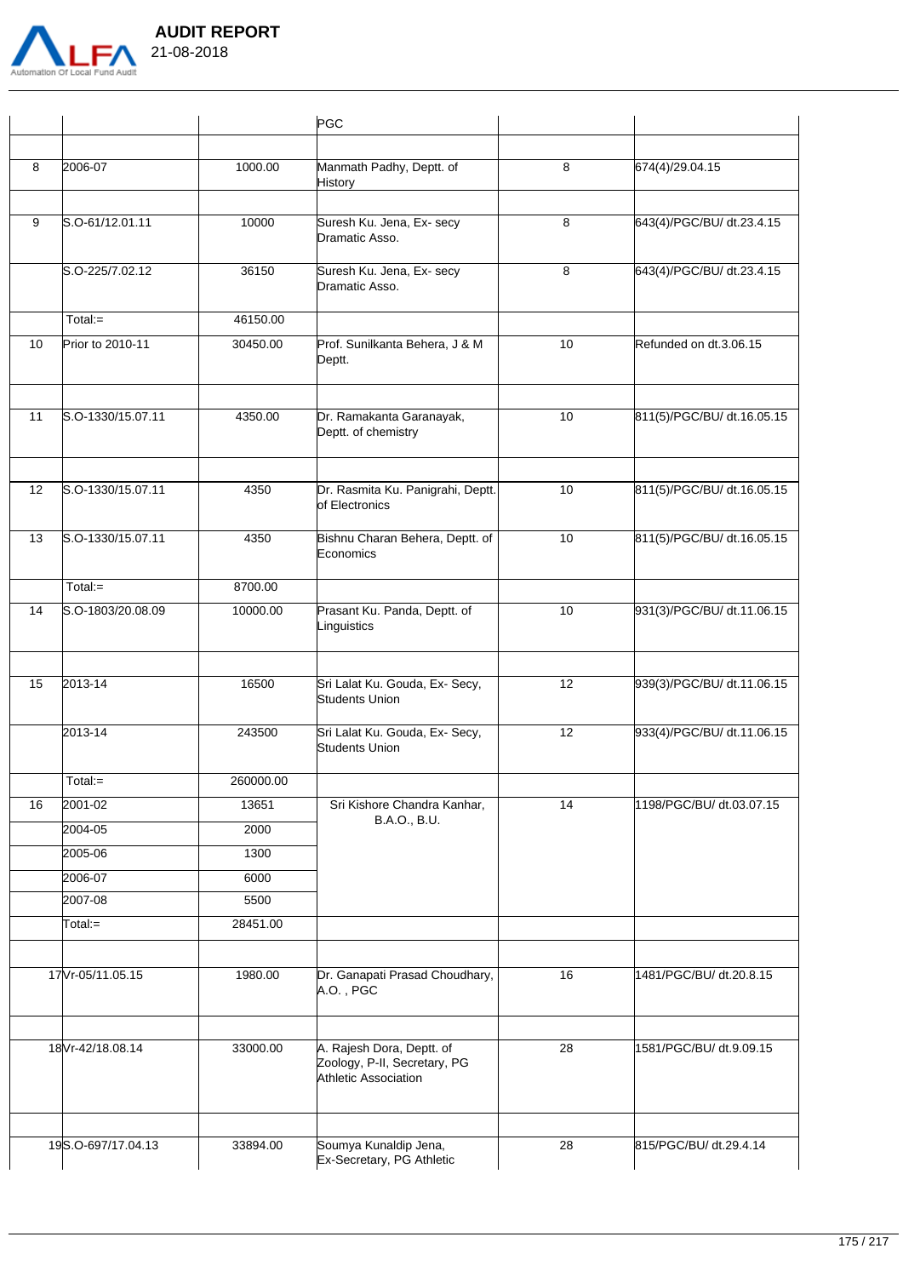

|            | <b>AUDIT REPORT</b> |
|------------|---------------------|
| 21-08-2018 |                     |

|    |                    |           | PGC                                                                               |    |                            |
|----|--------------------|-----------|-----------------------------------------------------------------------------------|----|----------------------------|
|    |                    |           |                                                                                   |    |                            |
| 8  | 2006-07            | 1000.00   | Manmath Padhy, Deptt. of<br>History                                               | 8  | 674(4)/29.04.15            |
| 9  | S.O-61/12.01.11    | 10000     | Suresh Ku. Jena, Ex- secy<br>Dramatic Asso.                                       | 8  | 643(4)/PGC/BU/ dt.23.4.15  |
|    | S.O-225/7.02.12    | 36150     | Suresh Ku. Jena, Ex- secy<br>Dramatic Asso.                                       | 8  | 643(4)/PGC/BU/ dt.23.4.15  |
|    | $Total =$          | 46150.00  |                                                                                   |    |                            |
| 10 | Prior to 2010-11   | 30450.00  | Prof. Sunilkanta Behera, J & M<br>Deptt.                                          | 10 | Refunded on dt.3.06.15     |
| 11 | S.O-1330/15.07.11  | 4350.00   | Dr. Ramakanta Garanayak,<br>Deptt. of chemistry                                   | 10 | 811(5)/PGC/BU/ dt.16.05.15 |
| 12 | S.O-1330/15.07.11  | 4350      | Dr. Rasmita Ku. Panigrahi, Deptt.<br>of Electronics                               | 10 | 811(5)/PGC/BU/ dt.16.05.15 |
| 13 | S.O-1330/15.07.11  | 4350      | Bishnu Charan Behera, Deptt. of<br>Economics                                      | 10 | 811(5)/PGC/BU/ dt.16.05.15 |
|    | $Total =$          | 8700.00   |                                                                                   |    |                            |
| 14 | S.O-1803/20.08.09  | 10000.00  | Prasant Ku. Panda, Deptt. of<br>Linguistics                                       | 10 | 931(3)/PGC/BU/ dt.11.06.15 |
| 15 | 2013-14            | 16500     | Sri Lalat Ku. Gouda, Ex- Secy,<br>Students Union                                  | 12 | 939(3)/PGC/BU/ dt.11.06.15 |
|    | 2013-14            | 243500    | Sri Lalat Ku. Gouda, Ex- Secy,<br><b>Students Union</b>                           | 12 | 933(4)/PGC/BU/ dt.11.06.15 |
|    | $Total =$          | 260000.00 |                                                                                   |    |                            |
| 16 | 2001-02            | 13651     | Sri Kishore Chandra Kanhar,                                                       | 14 | 1198/PGC/BU/ dt.03.07.15   |
|    | 2004-05            | 2000      | B.A.O., B.U.                                                                      |    |                            |
|    | 2005-06            | 1300      |                                                                                   |    |                            |
|    | 2006-07            | 6000      |                                                                                   |    |                            |
|    | 2007-08            | 5500      |                                                                                   |    |                            |
|    | Total $=$          | 28451.00  |                                                                                   |    |                            |
|    |                    |           |                                                                                   |    |                            |
|    | 17Vr-05/11.05.15   | 1980.00   | Dr. Ganapati Prasad Choudhary,<br>A.O., PGC                                       | 16 | 1481/PGC/BU/ dt.20.8.15    |
|    | 18 Vr-42/18.08.14  | 33000.00  | A. Rajesh Dora, Deptt. of<br>Zoology, P-II, Secretary, PG<br>Athletic Association | 28 | 1581/PGC/BU/ dt.9.09.15    |
|    | 19S.O-697/17.04.13 | 33894.00  | Soumya Kunaldip Jena,<br>Ex-Secretary, PG Athletic                                | 28 | 815/PGC/BU/ dt.29.4.14     |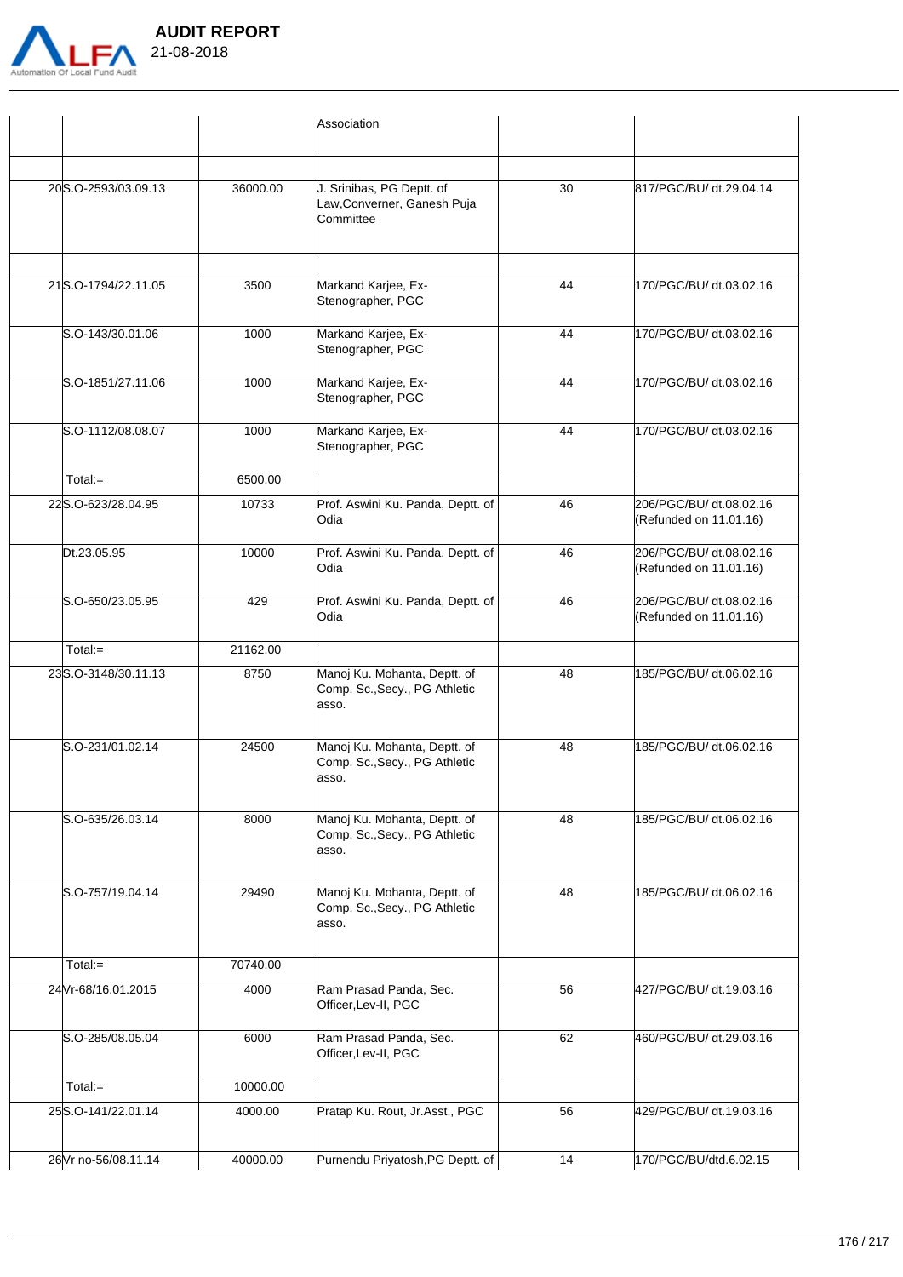

|                     |          | Association                                                            |    |                                                   |
|---------------------|----------|------------------------------------------------------------------------|----|---------------------------------------------------|
| 20S.O-2593/03.09.13 | 36000.00 | J. Srinibas, PG Deptt. of<br>Law, Converner, Ganesh Puja<br>Committee  | 30 | 817/PGC/BU/ dt.29.04.14                           |
| 21S.O-1794/22.11.05 | 3500     | Markand Karjee, Ex-<br>Stenographer, PGC                               | 44 | 170/PGC/BU/ dt.03.02.16                           |
| S.O-143/30.01.06    | 1000     | Markand Karjee, Ex-<br>Stenographer, PGC                               | 44 | 170/PGC/BU/ dt.03.02.16                           |
| S.O-1851/27.11.06   | 1000     | Markand Karjee, Ex-<br>Stenographer, PGC                               | 44 | 170/PGC/BU/ dt.03.02.16                           |
| S.O-1112/08.08.07   | 1000     | Markand Karjee, Ex-<br>Stenographer, PGC                               | 44 | 170/PGC/BU/ dt.03.02.16                           |
| $Total =$           | 6500.00  |                                                                        |    |                                                   |
| 22S.O-623/28.04.95  | 10733    | Prof. Aswini Ku. Panda, Deptt. of<br>Odia                              | 46 | 206/PGC/BU/ dt.08.02.16<br>(Refunded on 11.01.16) |
| Dt.23.05.95         | 10000    | Prof. Aswini Ku. Panda, Deptt. of<br>Odia                              | 46 | 206/PGC/BU/ dt.08.02.16<br>(Refunded on 11.01.16) |
| S.O-650/23.05.95    | 429      | Prof. Aswini Ku. Panda, Deptt. of<br>Odia                              | 46 | 206/PGC/BU/ dt.08.02.16<br>(Refunded on 11.01.16) |
| $Total =$           | 21162.00 |                                                                        |    |                                                   |
| 23S.O-3148/30.11.13 | 8750     | Manoj Ku. Mohanta, Deptt. of<br>Comp. Sc., Secy., PG Athletic<br>asso. | 48 | 185/PGC/BU/ dt.06.02.16                           |
| S.O-231/01.02.14    | 24500    | Manoj Ku. Mohanta, Deptt. of<br>Comp. Sc., Secy., PG Athletic<br>asso. | 48 | 185/PGC/BU/ dt.06.02.16                           |
| S.O-635/26.03.14    | 8000     | Manoj Ku. Mohanta, Deptt. of<br>Comp. Sc., Secy., PG Athletic<br>asso. | 48 | 185/PGC/BU/ dt.06.02.16                           |
| S.O-757/19.04.14    | 29490    | Manoj Ku. Mohanta, Deptt. of<br>Comp. Sc., Secy., PG Athletic<br>asso. | 48 | 185/PGC/BU/ dt.06.02.16                           |
| $Total =$           | 70740.00 |                                                                        |    |                                                   |
| 24 Vr-68/16.01.2015 | 4000     | Ram Prasad Panda, Sec.<br>Officer, Lev-II, PGC                         | 56 | 427/PGC/BU/ dt.19.03.16                           |
| S.O-285/08.05.04    | 6000     | Ram Prasad Panda, Sec.<br>Officer, Lev-II, PGC                         | 62 | 460/PGC/BU/ dt.29.03.16                           |
| $Total =$           | 10000.00 |                                                                        |    |                                                   |
| 25S.O-141/22.01.14  | 4000.00  | Pratap Ku. Rout, Jr.Asst., PGC                                         | 56 | 429/PGC/BU/ dt.19.03.16                           |
|                     | 40000.00 | Purnendu Priyatosh, PG Deptt. of                                       | 14 | 170/PGC/BU/dtd.6.02.15                            |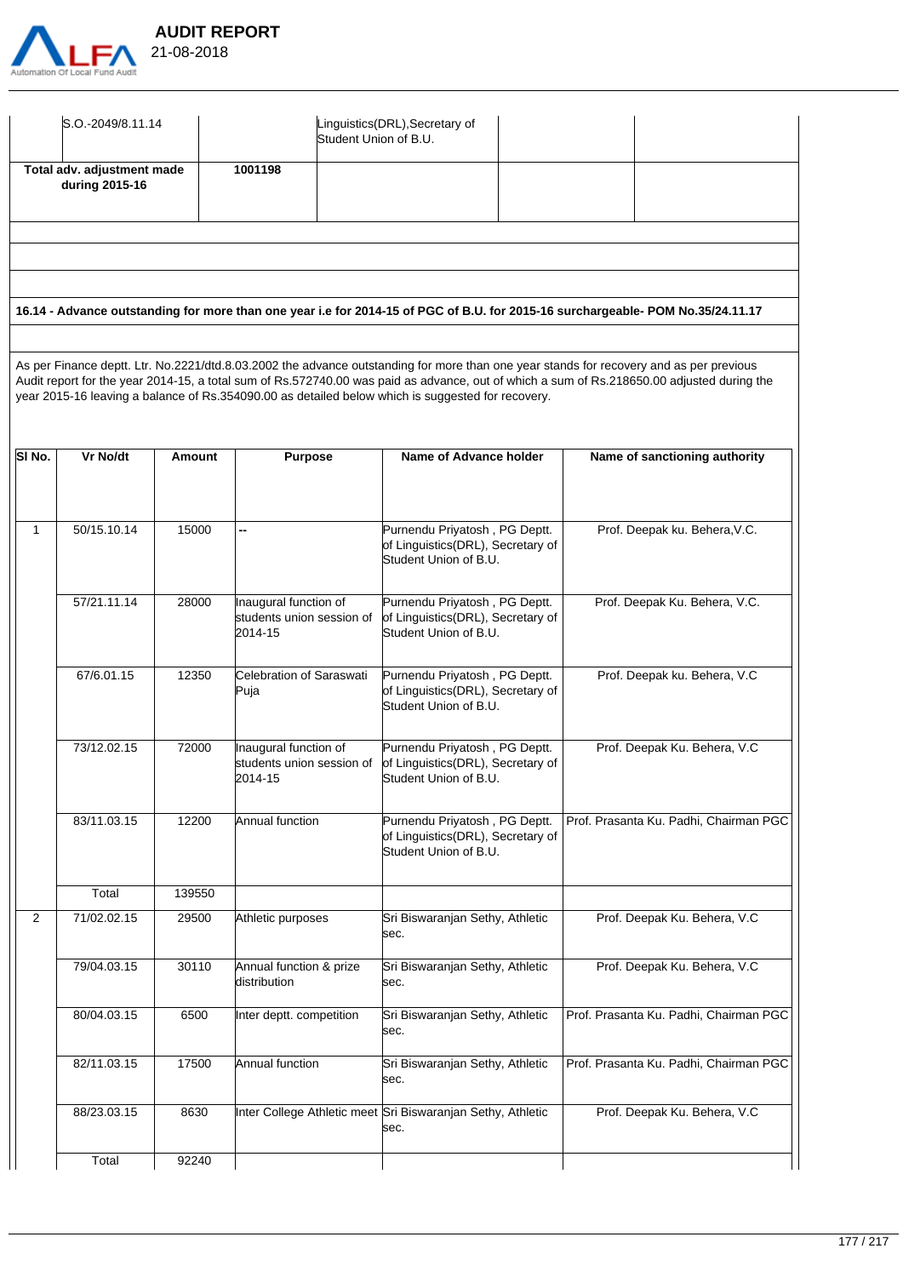

**during 2015-16**

| itomation Of Local Fund Audit |         |                                                         |  |
|-------------------------------|---------|---------------------------------------------------------|--|
| S.O.-2049/8.11.14             |         | Linguistics(DRL), Secretary of<br>Student Union of B.U. |  |
| Total adv. adjustment made    | 1001198 |                                                         |  |

 **AUDIT REPORT** 

#### **16.14 - Advance outstanding for more than one year i.e for 2014-15 of PGC of B.U. for 2015-16 surchargeable- POM No.35/24.11.17**

As per Finance deptt. Ltr. No.2221/dtd.8.03.2002 the advance outstanding for more than one year stands for recovery and as per previous Audit report for the year 2014-15, a total sum of Rs.572740.00 was paid as advance, out of which a sum of Rs.218650.00 adjusted during the year 2015-16 leaving a balance of Rs.354090.00 as detailed below which is suggested for recovery.

| SI No. | Vr No/dt    | <b>Amount</b> | <b>Purpose</b>                                                 | Name of Advance holder                                                                      | Name of sanctioning authority          |
|--------|-------------|---------------|----------------------------------------------------------------|---------------------------------------------------------------------------------------------|----------------------------------------|
|        |             |               |                                                                |                                                                                             |                                        |
| 1      | 50/15.10.14 | 15000         | --                                                             | Purnendu Priyatosh, PG Deptt.<br>of Linguistics(DRL), Secretary of<br>Student Union of B.U. | Prof. Deepak ku. Behera, V.C.          |
|        | 57/21.11.14 | 28000         | Inaugural function of<br>students union session of<br>2014-15  | Purnendu Priyatosh, PG Deptt.<br>of Linguistics(DRL), Secretary of<br>Student Union of B.U. | Prof. Deepak Ku. Behera, V.C.          |
|        | 67/6.01.15  | 12350         | Celebration of Saraswati<br>Puja                               | Purnendu Priyatosh, PG Deptt.<br>of Linguistics(DRL), Secretary of<br>Student Union of B.U. | Prof. Deepak ku. Behera, V.C           |
|        | 73/12.02.15 | 72000         | Inaugural function of<br>lstudents union session of<br>2014-15 | Purnendu Priyatosh, PG Deptt.<br>of Linguistics(DRL), Secretary of<br>Student Union of B.U. | Prof. Deepak Ku. Behera, V.C           |
|        | 83/11.03.15 | 12200         | Annual function                                                | Purnendu Priyatosh, PG Deptt.<br>of Linguistics(DRL), Secretary of<br>Student Union of B.U. | Prof. Prasanta Ku. Padhi, Chairman PGC |
|        | Total       | 139550        |                                                                |                                                                                             |                                        |
| 2      | 71/02.02.15 | 29500         | Athletic purposes                                              | Sri Biswaranjan Sethy, Athletic<br>sec.                                                     | Prof. Deepak Ku. Behera, V.C           |
|        | 79/04.03.15 | 30110         | Annual function & prize<br>distribution                        | Sri Biswaranjan Sethy, Athletic<br>sec.                                                     | Prof. Deepak Ku. Behera, V.C           |
|        | 80/04.03.15 | 6500          | Inter deptt. competition                                       | Sri Biswaranjan Sethy, Athletic<br>lsec.                                                    | Prof. Prasanta Ku. Padhi, Chairman PGC |
|        | 82/11.03.15 | 17500         | Annual function                                                | Sri Biswaranjan Sethy, Athletic<br>sec.                                                     | Prof. Prasanta Ku. Padhi, Chairman PGC |
|        | 88/23.03.15 | 8630          |                                                                | Inter College Athletic meet Sri Biswaranjan Sethy, Athletic<br>sec.                         | Prof. Deepak Ku. Behera, V.C           |
|        | Total       | 92240         |                                                                |                                                                                             |                                        |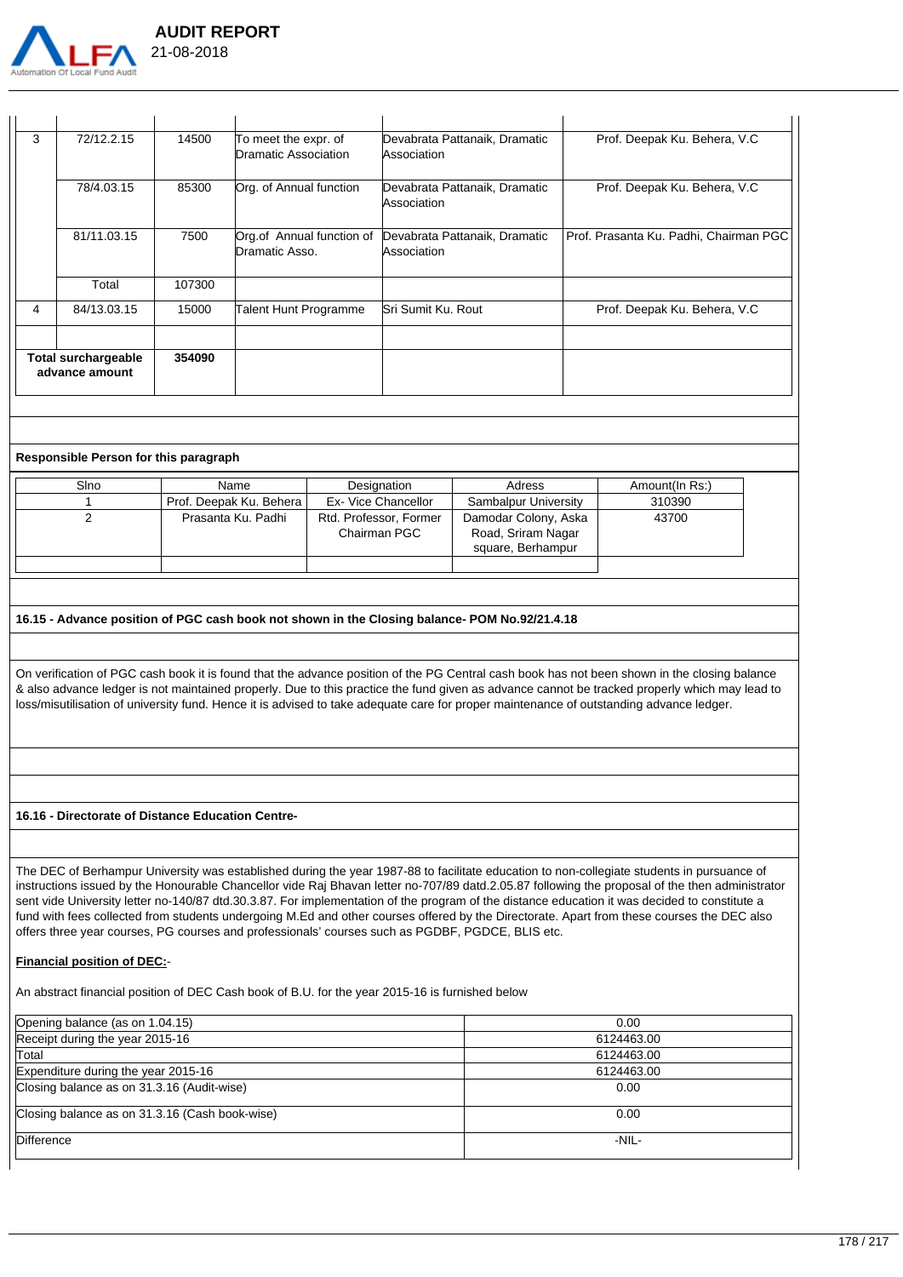

| 3 | 72/12.2.15                                   | 14500  | To meet the expr. of<br>Dramatic Association | Devabrata Pattanaik, Dramatic<br>Association        | Prof. Deepak Ku. Behera, V.C.          |
|---|----------------------------------------------|--------|----------------------------------------------|-----------------------------------------------------|----------------------------------------|
|   | 78/4.03.15                                   | 85300  | Org. of Annual function                      | Devabrata Pattanaik, Dramatic<br><b>Association</b> | Prof. Deepak Ku. Behera, V.C.          |
|   | 81/11.03.15                                  | 7500   | Org. of Annual function of<br>Dramatic Asso. | Devabrata Pattanaik, Dramatic<br>Association        | Prof. Prasanta Ku. Padhi, Chairman PGC |
|   | Total                                        | 107300 |                                              |                                                     |                                        |
| 4 | 84/13.03.15                                  | 15000  | Talent Hunt Programme                        | lSri Sumit Ku. Rout                                 | Prof. Deepak Ku. Behera, V.C.          |
|   |                                              |        |                                              |                                                     |                                        |
|   | <b>Total surchargeable</b><br>advance amount | 354090 |                                              |                                                     |                                        |

#### **Responsible Person for this paragraph**

| Sino | Name                    | Designation                            | Adress                                                          | Amount(In Rs:) |
|------|-------------------------|----------------------------------------|-----------------------------------------------------------------|----------------|
|      | Prof. Deepak Ku. Behera | Ex- Vice Chancellor                    | Sambalpur University                                            | 310390         |
|      | Prasanta Ku. Padhi      | Rtd. Professor, Former<br>Chairman PGC | Damodar Colony, Aska<br>Road, Sriram Nagar<br>square, Berhampur | 43700          |

#### **16.15 - Advance position of PGC cash book not shown in the Closing balance- POM No.92/21.4.18**

On verification of PGC cash book it is found that the advance position of the PG Central cash book has not been shown in the closing balance & also advance ledger is not maintained properly. Due to this practice the fund given as advance cannot be tracked properly which may lead to loss/misutilisation of university fund. Hence it is advised to take adequate care for proper maintenance of outstanding advance ledger.

#### **16.16 - Directorate of Distance Education Centre-**

The DEC of Berhampur University was established during the year 1987-88 to facilitate education to non-collegiate students in pursuance of instructions issued by the Honourable Chancellor vide Raj Bhavan letter no-707/89 datd.2.05.87 following the proposal of the then administrator sent vide University letter no-140/87 dtd.30.3.87. For implementation of the program of the distance education it was decided to constitute a fund with fees collected from students undergoing M.Ed and other courses offered by the Directorate. Apart from these courses the DEC also offers three year courses, PG courses and professionals' courses such as PGDBF, PGDCE, BLIS etc.

#### **Financial position of DEC:**-

An abstract financial position of DEC Cash book of B.U. for the year 2015-16 is furnished below

| Opening balance (as on 1.04.15)                | 0.00       |  |  |  |  |
|------------------------------------------------|------------|--|--|--|--|
| Receipt during the year 2015-16                | 6124463.00 |  |  |  |  |
| Total                                          | 6124463.00 |  |  |  |  |
| Expenditure during the year 2015-16            | 6124463.00 |  |  |  |  |
| Closing balance as on 31.3.16 (Audit-wise)     | 0.00       |  |  |  |  |
| Closing balance as on 31.3.16 (Cash book-wise) | 0.00       |  |  |  |  |
| Difference                                     | -NIL-      |  |  |  |  |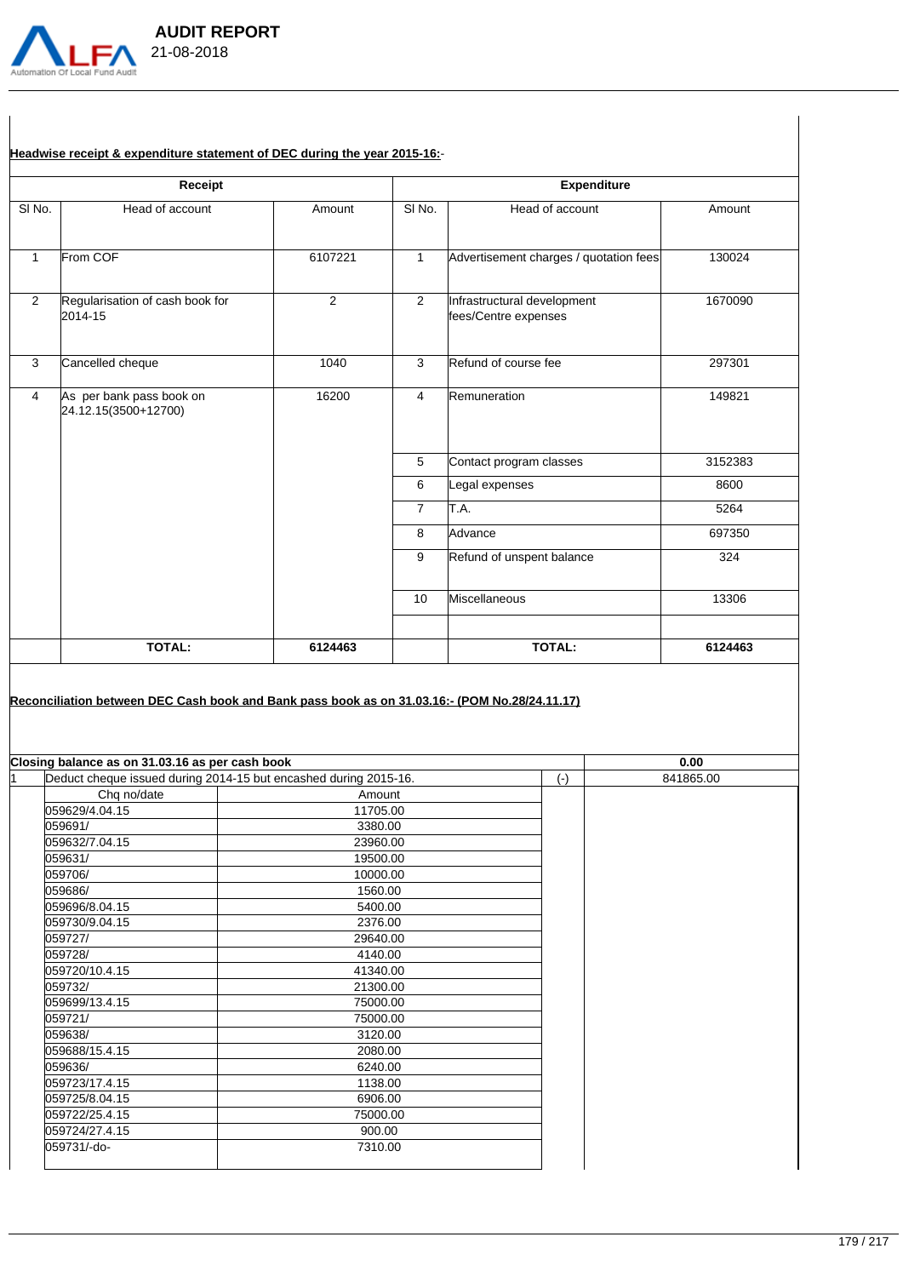

# **Headwise receipt & expenditure statement of DEC during the year 2015-16:**-

| Receipt           |                                                                                                                |                     | <b>Expenditure</b>  |                                                     |           |  |  |
|-------------------|----------------------------------------------------------------------------------------------------------------|---------------------|---------------------|-----------------------------------------------------|-----------|--|--|
| SI <sub>No.</sub> | Head of account                                                                                                | Amount              | SI <sub>No.</sub>   | Head of account                                     | Amount    |  |  |
|                   | From COF                                                                                                       | 6107221             | 1                   | Advertisement charges / quotation fees              | 130024    |  |  |
|                   |                                                                                                                |                     |                     |                                                     |           |  |  |
| 2                 | Regularisation of cash book for<br>2014-15                                                                     | $\overline{2}$      | $\overline{2}$      | Infrastructural development<br>fees/Centre expenses | 1670090   |  |  |
|                   | Cancelled cheque                                                                                               | 1040                | 3                   | Refund of course fee                                | 297301    |  |  |
| $\overline{4}$    | As per bank pass book on<br>24.12.15(3500+12700)                                                               | 16200               | $\overline{4}$      | Remuneration                                        | 149821    |  |  |
|                   |                                                                                                                |                     | 5                   |                                                     | 3152383   |  |  |
|                   |                                                                                                                |                     |                     | Contact program classes                             |           |  |  |
|                   |                                                                                                                |                     | 6                   | Legal expenses                                      | 8600      |  |  |
|                   |                                                                                                                |                     | $\overline{7}$      | T.A.                                                | 5264      |  |  |
|                   |                                                                                                                |                     | 8                   | Advance                                             | 697350    |  |  |
|                   |                                                                                                                |                     | 9                   | Refund of unspent balance                           | 324       |  |  |
|                   |                                                                                                                |                     | Miscellaneous<br>10 |                                                     | 13306     |  |  |
|                   |                                                                                                                |                     |                     |                                                     |           |  |  |
|                   |                                                                                                                |                     |                     |                                                     |           |  |  |
|                   | <b>TOTAL:</b><br>Reconciliation between DEC Cash book and Bank pass book as on 31.03.16:- (POM No.28/24.11.17) | 6124463             |                     | <b>TOTAL:</b>                                       |           |  |  |
|                   |                                                                                                                |                     |                     |                                                     | 6124463   |  |  |
|                   | Closing balance as on 31.03.16 as per cash book                                                                |                     |                     |                                                     | 0.00      |  |  |
|                   | Deduct cheque issued during 2014-15 but encashed during 2015-16.                                               |                     |                     | $(\cdot)$                                           | 841865.00 |  |  |
|                   | Chq no/date                                                                                                    | Amount              |                     |                                                     |           |  |  |
|                   | 059629/4.04.15                                                                                                 | 11705.00            |                     |                                                     |           |  |  |
|                   | 059691/                                                                                                        | 3380.00             |                     |                                                     |           |  |  |
|                   | 059632/7.04.15                                                                                                 | 23960.00            |                     |                                                     |           |  |  |
|                   | 059631/                                                                                                        | 19500.00            |                     |                                                     |           |  |  |
|                   | 059706/<br>059686/                                                                                             | 10000.00<br>1560.00 |                     |                                                     |           |  |  |
|                   | 059696/8.04.15                                                                                                 | 5400.00             |                     |                                                     |           |  |  |
|                   | 059730/9.04.15                                                                                                 | 2376.00             |                     |                                                     |           |  |  |
|                   | 059727/                                                                                                        | 29640.00            |                     |                                                     |           |  |  |
|                   | 059728/                                                                                                        | 4140.00             |                     |                                                     |           |  |  |
|                   | 059720/10.4.15                                                                                                 | 41340.00            |                     |                                                     |           |  |  |
|                   | 059732/                                                                                                        | 21300.00            |                     |                                                     |           |  |  |
|                   | 059699/13.4.15                                                                                                 | 75000.00            |                     |                                                     |           |  |  |
|                   | 059721/                                                                                                        | 75000.00            |                     |                                                     |           |  |  |
|                   | 059638/                                                                                                        | 3120.00             |                     |                                                     |           |  |  |
|                   | 059688/15.4.15                                                                                                 | 2080.00             |                     |                                                     |           |  |  |
|                   | 059636/                                                                                                        | 6240.00             |                     |                                                     |           |  |  |
|                   | 059723/17.4.15                                                                                                 | 1138.00             |                     |                                                     |           |  |  |
|                   | 059725/8.04.15                                                                                                 | 6906.00             |                     |                                                     |           |  |  |
|                   | 059722/25.4.15<br>059724/27.4.15                                                                               | 75000.00<br>900.00  |                     |                                                     |           |  |  |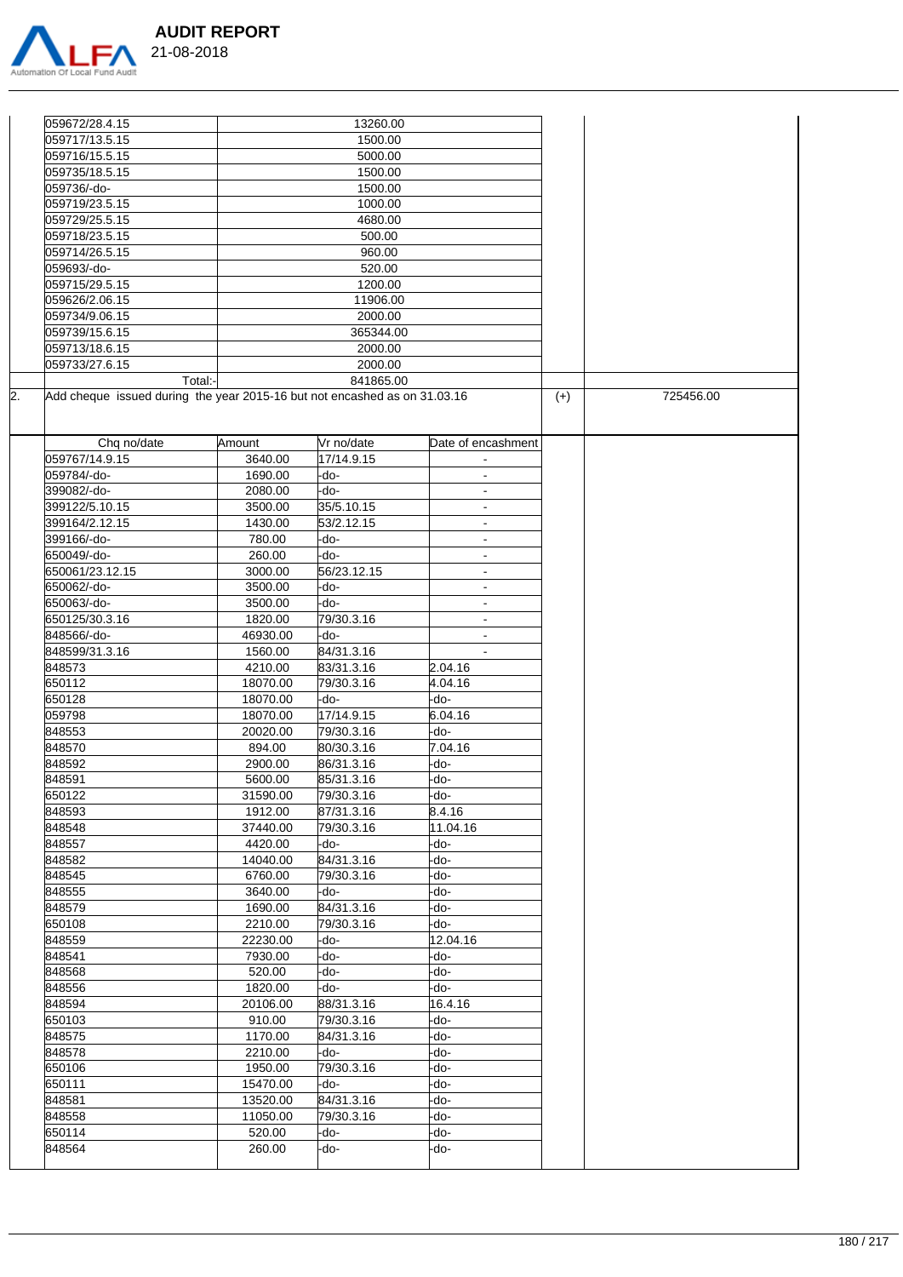

 **AUDIT REPORT** 

| 059672/28.4.15  |          | 13260.00                                                                  |                    |       |           |
|-----------------|----------|---------------------------------------------------------------------------|--------------------|-------|-----------|
| 059717/13.5.15  |          | 1500.00                                                                   |                    |       |           |
| 059716/15.5.15  |          | 5000.00                                                                   |                    |       |           |
| 059735/18.5.15  |          | 1500.00                                                                   |                    |       |           |
| 059736/-do-     |          | 1500.00                                                                   |                    |       |           |
| 059719/23.5.15  |          | 1000.00                                                                   |                    |       |           |
| 059729/25.5.15  |          | 4680.00                                                                   |                    |       |           |
| 059718/23.5.15  |          | 500.00                                                                    |                    |       |           |
| 059714/26.5.15  |          | 960.00                                                                    |                    |       |           |
| 059693/-do-     |          | 520.00                                                                    |                    |       |           |
| 059715/29.5.15  |          |                                                                           |                    |       |           |
|                 |          | 1200.00                                                                   |                    |       |           |
| 059626/2.06.15  |          | 11906.00                                                                  |                    |       |           |
| 059734/9.06.15  |          | 2000.00                                                                   |                    |       |           |
| 059739/15.6.15  |          | 365344.00                                                                 |                    |       |           |
| 059713/18.6.15  |          | 2000.00                                                                   |                    |       |           |
| 059733/27.6.15  |          | 2000.00                                                                   |                    |       |           |
|                 | Total:   | 841865.00                                                                 |                    |       |           |
| 2.              |          | Add cheque issued during the year 2015-16 but not encashed as on 31.03.16 |                    |       | 725456.00 |
|                 |          |                                                                           |                    | $(+)$ |           |
| Chq no/date     | Amount   | Vr no/date                                                                | Date of encashment |       |           |
| 059767/14.9.15  | 3640.00  | 17/14.9.15                                                                |                    |       |           |
| 059784/-do-     | 1690.00  | -do-                                                                      |                    |       |           |
|                 |          |                                                                           |                    |       |           |
| 399082/-do-     | 2080.00  | -do-                                                                      | $\blacksquare$     |       |           |
| 399122/5.10.15  | 3500.00  | 35/5.10.15                                                                | $\blacksquare$     |       |           |
| 399164/2.12.15  | 1430.00  | 53/2.12.15                                                                | $\blacksquare$     |       |           |
| 399166/-do-     | 780.00   | -do-                                                                      | $\blacksquare$     |       |           |
| 650049/-do-     | 260.00   | -do-                                                                      | $\overline{a}$     |       |           |
| 650061/23.12.15 | 3000.00  | 56/23.12.15                                                               | $\blacksquare$     |       |           |
| 650062/-do-     | 3500.00  | -do-                                                                      | $\blacksquare$     |       |           |
| 650063/-do-     | 3500.00  | -do-                                                                      | $\blacksquare$     |       |           |
| 650125/30.3.16  | 1820.00  | 79/30.3.16                                                                |                    |       |           |
|                 |          |                                                                           |                    |       |           |
| 848566/-do-     | 46930.00 | -do-                                                                      | $\blacksquare$     |       |           |
| 848599/31.3.16  | 1560.00  | 84/31.3.16                                                                |                    |       |           |
| 848573          | 4210.00  | 83/31.3.16                                                                | 2.04.16            |       |           |
| 650112          | 18070.00 | 79/30.3.16                                                                | 4.04.16            |       |           |
| 650128          | 18070.00 | -do-                                                                      | -do-               |       |           |
| 059798          | 18070.00 | 17/14.9.15                                                                | 6.04.16            |       |           |
| 848553          | 20020.00 | 79/30.3.16                                                                | -do-               |       |           |
| 848570          | 894.00   | 80/30.3.16                                                                | 7.04.16            |       |           |
| 848592          | 2900.00  | 86/31.3.16                                                                | -do-               |       |           |
| 848591          | 5600.00  |                                                                           | -do-               |       |           |
|                 |          | 85/31.3.16                                                                |                    |       |           |
| 650122          | 31590.00 | 79/30.3.16                                                                | -do-               |       |           |
| 848593          | 1912.00  | 87/31.3.16                                                                | 8.4.16             |       |           |
| 848548          | 37440.00 | 79/30.3.16                                                                | 11.04.16           |       |           |
| 848557          | 4420.00  | -do-                                                                      | -do-               |       |           |
| 848582          | 14040.00 | 84/31.3.16                                                                | -do-               |       |           |
| 848545          | 6760.00  | 79/30.3.16                                                                | -do-               |       |           |
| 848555          | 3640.00  | -do-                                                                      | -do-               |       |           |
| 848579          | 1690.00  | 84/31.3.16                                                                | -do-               |       |           |
| 650108          | 2210.00  | 79/30.3.16                                                                | -do-               |       |           |
|                 |          |                                                                           |                    |       |           |
| 848559          | 22230.00 | -do-                                                                      | 12.04.16           |       |           |
| 848541          | 7930.00  | -do-                                                                      | -do-               |       |           |
| 848568          | 520.00   | -do-                                                                      | -do-               |       |           |
| 848556          | 1820.00  | -do-                                                                      | -do-               |       |           |
| 848594          | 20106.00 | 88/31.3.16                                                                | 16.4.16            |       |           |
| 650103          | 910.00   | 79/30.3.16                                                                | -do-               |       |           |
| 848575          | 1170.00  | 84/31.3.16                                                                | $-do-$             |       |           |
| 848578          | 2210.00  | -do-                                                                      | -do-               |       |           |
| 650106          | 1950.00  | 79/30.3.16                                                                | -do-               |       |           |
|                 |          |                                                                           | -do-               |       |           |
| 650111          | 15470.00 | -do-                                                                      |                    |       |           |
| 848581          | 13520.00 | 84/31.3.16                                                                | -do-               |       |           |
| 848558          | 11050.00 | 79/30.3.16                                                                | -do-               |       |           |
| 650114          | 520.00   | -do-                                                                      | -do-               |       |           |
| 848564          | 260.00   | -do-                                                                      | -do-               |       |           |
|                 |          |                                                                           |                    |       |           |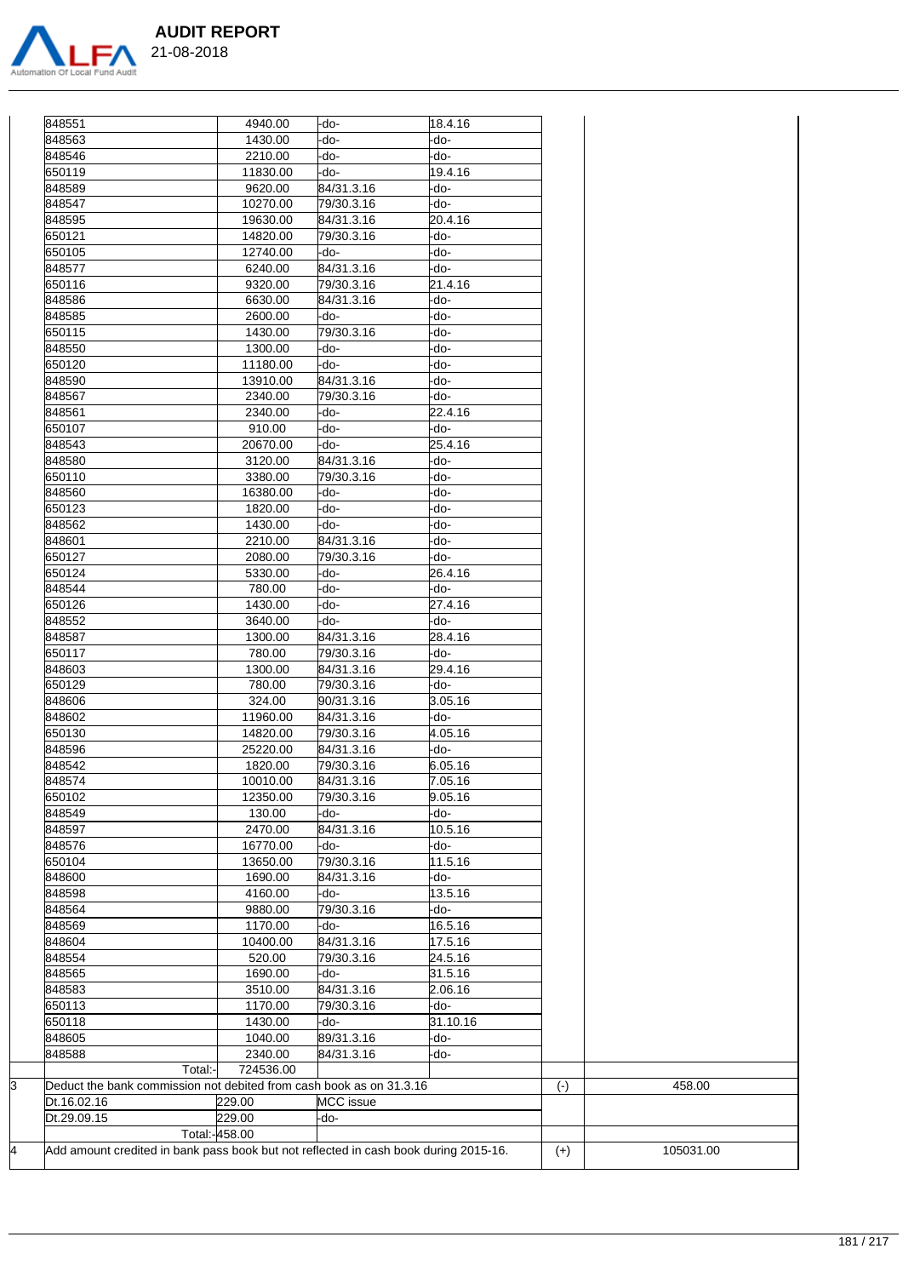

| 848551                                                                                                                          | 4940.00                 | -do-             | 18.4.16  |           |        |
|---------------------------------------------------------------------------------------------------------------------------------|-------------------------|------------------|----------|-----------|--------|
| 848563                                                                                                                          | 1430.00                 | -do-             | -do-     |           |        |
| 848546                                                                                                                          | 2210.00                 | -do-             | do-      |           |        |
| 650119                                                                                                                          | 11830.00                | -do-             | 19.4.16  |           |        |
| 848589                                                                                                                          | 9620.00                 | 84/31.3.16       | -do-     |           |        |
| 848547                                                                                                                          | 10270.00                | 79/30.3.16       | -do-     |           |        |
| 848595                                                                                                                          | 19630.00                | 84/31.3.16       | 20.4.16  |           |        |
| 650121                                                                                                                          | 14820.00                | 79/30.3.16       | -do-     |           |        |
| 650105                                                                                                                          | 12740.00                | -do-             | -do-     |           |        |
| 848577                                                                                                                          | 6240.00                 | 84/31.3.16       | -do-     |           |        |
| 650116                                                                                                                          | 9320.00                 | 79/30.3.16       | 21.4.16  |           |        |
| 848586                                                                                                                          | 6630.00                 | 84/31.3.16       | -do-     |           |        |
| 848585                                                                                                                          | 2600.00                 | -do-             | -do-     |           |        |
| 650115                                                                                                                          | 1430.00                 | 79/30.3.16       | -do-     |           |        |
| 848550                                                                                                                          | 1300.00                 | -do-             | do-      |           |        |
| 650120                                                                                                                          | 11180.00                | -do-             | -do-     |           |        |
| 848590                                                                                                                          | 13910.00                | 84/31.3.16       | -do-     |           |        |
| 848567                                                                                                                          | 2340.00                 | 79/30.3.16       | -do-     |           |        |
| 848561                                                                                                                          | 2340.00                 | -do-             | 22.4.16  |           |        |
| 650107                                                                                                                          | 910.00                  | -do-             | -do-     |           |        |
| 848543                                                                                                                          | 20670.00                | -do-             | 25.4.16  |           |        |
| 848580                                                                                                                          | 3120.00                 | 84/31.3.16       | -do-     |           |        |
| 650110                                                                                                                          | 3380.00                 | 79/30.3.16       | -do-     |           |        |
| 848560                                                                                                                          | 16380.00                | -do-             | do-      |           |        |
| 650123                                                                                                                          | 1820.00                 | -do-             | -do-     |           |        |
| 848562                                                                                                                          | 1430.00                 | -do-             | -do-     |           |        |
| 848601                                                                                                                          | 2210.00                 | 84/31.3.16       | -do-     |           |        |
| 650127                                                                                                                          | 2080.00                 | 79/30.3.16       | -do-     |           |        |
| 650124                                                                                                                          | 5330.00                 | -do-             | 26.4.16  |           |        |
| 848544                                                                                                                          | 780.00                  | -do-             | -do-     |           |        |
| 650126                                                                                                                          | 1430.00                 | -do-             | 27.4.16  |           |        |
| 848552                                                                                                                          | 3640.00                 | -do-             | -do-     |           |        |
| 848587                                                                                                                          | 1300.00                 | 84/31.3.16       | 28.4.16  |           |        |
| 650117                                                                                                                          | 780.00                  | 79/30.3.16       | -do-     |           |        |
| 848603                                                                                                                          | 1300.00                 | 84/31.3.16       | 29.4.16  |           |        |
| 650129                                                                                                                          | 780.00                  | 79/30.3.16       | -do-     |           |        |
| 848606                                                                                                                          | 324.00                  | 90/31.3.16       | 3.05.16  |           |        |
| 848602                                                                                                                          | 11960.00                | 84/31.3.16       | -do-     |           |        |
| 650130                                                                                                                          | 14820.00                | 79/30.3.16       | 4.05.16  |           |        |
| 848596                                                                                                                          | 25220.00                | 84/31.3.16       | -do-     |           |        |
| 848542                                                                                                                          | 1820.00                 | 79/30.3.16       | 6.05.16  |           |        |
| 848574                                                                                                                          | 10010.00                | 84/31.3.16       | 7.05.16  |           |        |
| 650102                                                                                                                          | 12350.00                | 79/30.3.16       | 9.05.16  |           |        |
| 848549                                                                                                                          | 130.00                  | -do-             | -do-     |           |        |
| 848597                                                                                                                          | 2470.00                 | 84/31.3.16       | 10.5.16  |           |        |
| 848576                                                                                                                          | 16770.00                | -do-             | -do-     |           |        |
| 650104                                                                                                                          | 13650.00                | 79/30.3.16       | 11.5.16  |           |        |
| 848600                                                                                                                          | 1690.00                 | 84/31.3.16       | -do-     |           |        |
| 848598                                                                                                                          | 4160.00                 | -do-             | 13.5.16  |           |        |
| 848564                                                                                                                          | 9880.00                 | 79/30.3.16       | -do-     |           |        |
| 848569                                                                                                                          | 1170.00                 | -do-             | 16.5.16  |           |        |
| 848604                                                                                                                          | 10400.00                | 84/31.3.16       | 17.5.16  |           |        |
| 848554                                                                                                                          | 520.00                  | 79/30.3.16       | 24.5.16  |           |        |
| 848565                                                                                                                          | 1690.00                 | -do-             | 31.5.16  |           |        |
| 848583                                                                                                                          | 3510.00                 | 84/31.3.16       | 2.06.16  |           |        |
| 650113                                                                                                                          | 1170.00                 | 79/30.3.16       | -do-     |           |        |
|                                                                                                                                 | 1430.00                 | -do-             | 31.10.16 |           |        |
|                                                                                                                                 |                         | 89/31.3.16       | -do-     |           |        |
|                                                                                                                                 |                         |                  |          |           |        |
|                                                                                                                                 | 1040.00                 |                  |          |           |        |
|                                                                                                                                 | 2340.00                 | 84/31.3.16       | -do-     |           |        |
| Total:                                                                                                                          | 724536.00               |                  |          |           |        |
|                                                                                                                                 |                         |                  |          | $(\cdot)$ | 458.00 |
|                                                                                                                                 | 229.00                  | <b>MCC</b> issue |          |           |        |
| 650118<br>848605<br>848588<br>Deduct the bank commission not debited from cash book as on 31.3.16<br>Dt.16.02.16<br>Dt.29.09.15 | 229.00<br>Total:-458.00 | -do-             |          |           |        |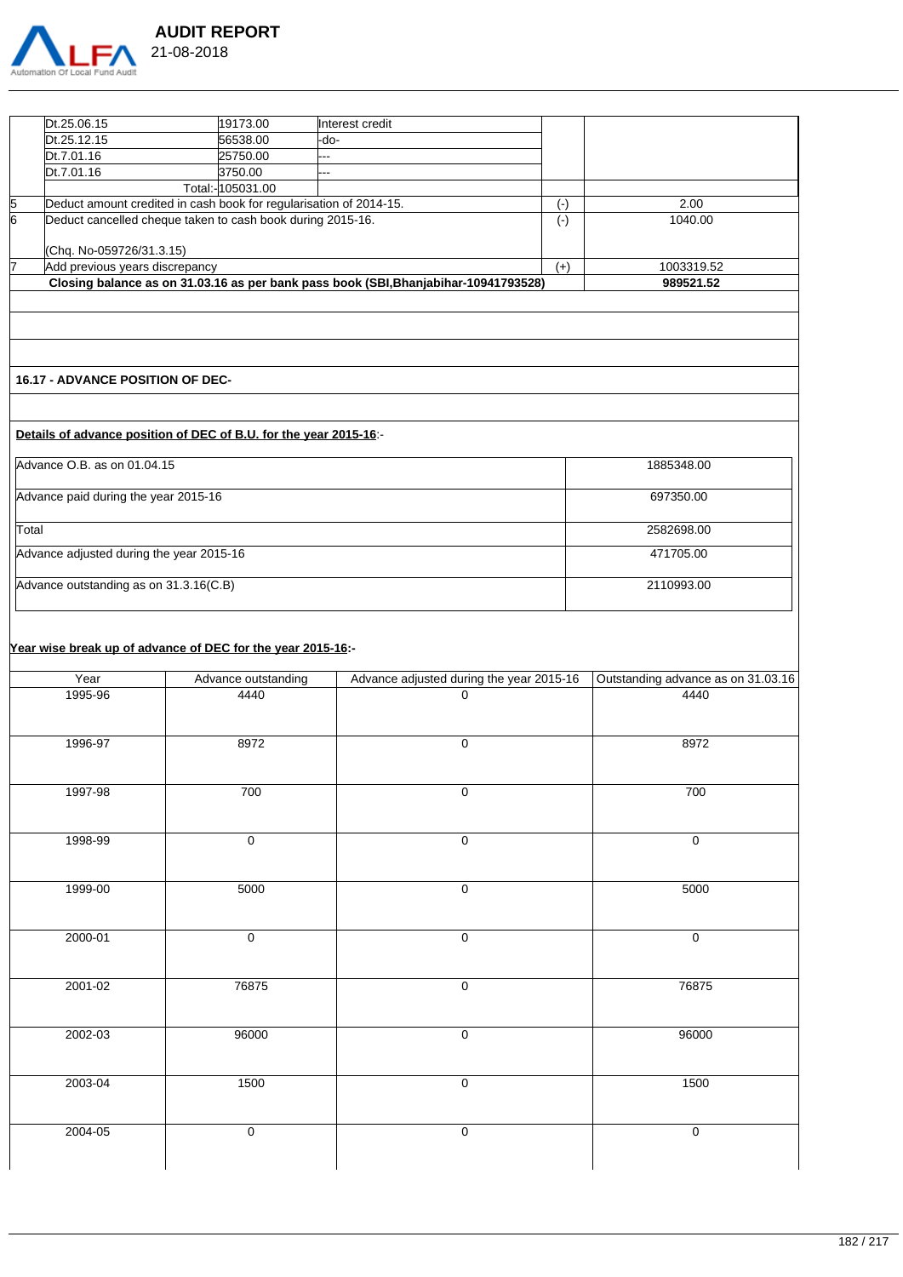

|   | Dt.25.06.15                                                        | 19173.00          | Interest credit                                                                     |           |            |
|---|--------------------------------------------------------------------|-------------------|-------------------------------------------------------------------------------------|-----------|------------|
|   | Dt.25.12.15                                                        | 56538.00          | -do-                                                                                |           |            |
|   | Dt.7.01.16                                                         | 25750.00          |                                                                                     |           |            |
|   | Dt.7.01.16                                                         | 3750.00           |                                                                                     |           |            |
|   |                                                                    | Total:-l105031.00 |                                                                                     |           |            |
|   | Deduct amount credited in cash book for regularisation of 2014-15. |                   |                                                                                     | (-)       | 2.00       |
| 6 | Deduct cancelled cheque taken to cash book during 2015-16.         |                   |                                                                                     | $(\cdot)$ | 1040.00    |
|   | (Chg. No-059726/31.3.15)                                           |                   |                                                                                     |           |            |
|   | Add previous years discrepancy                                     |                   |                                                                                     | $^{(+)}$  | 1003319.52 |
|   |                                                                    |                   | Closing balance as on 31.03.16 as per bank pass book (SBI, Bhanjabihar-10941793528) |           | 989521.52  |
|   |                                                                    |                   |                                                                                     |           |            |
|   |                                                                    |                   |                                                                                     |           |            |

#### **16.17 - ADVANCE POSITION OF DEC-**

### **Details of advance position of DEC of B.U. for the year 2015-16**:-

| Advance O.B. as on 01.04.15              | 1885348.00 |
|------------------------------------------|------------|
| Advance paid during the year 2015-16     | 697350.00  |
| Total                                    | 2582698.00 |
| Advance adjusted during the year 2015-16 | 471705.00  |
| Advance outstanding as on 31.3.16(C.B)   | 2110993.00 |

# **Year wise break up of advance of DEC for the year 2015-16:-**

| Year    | Advance outstanding | Advance adjusted during the year 2015-16 | Outstanding advance as on 31.03.16 |
|---------|---------------------|------------------------------------------|------------------------------------|
| 1995-96 | 4440                | 0                                        | 4440                               |
| 1996-97 | 8972                | $\mathsf 0$                              | 8972                               |
| 1997-98 | $\overline{700}$    | $\mathbf 0$                              | 700                                |
| 1998-99 | $\overline{0}$      | $\pmb{0}$                                | $\pmb{0}$                          |
| 1999-00 | 5000                | $\mathbf 0$                              | 5000                               |
| 2000-01 | $\overline{0}$      | $\pmb{0}$                                | $\overline{0}$                     |
| 2001-02 | 76875               | $\mathsf 0$                              | 76875                              |
| 2002-03 | 96000               | $\pmb{0}$                                | 96000                              |
| 2003-04 | 1500                | $\pmb{0}$                                | 1500                               |
| 2004-05 | $\pmb{0}$           | $\mathsf 0$                              | $\pmb{0}$                          |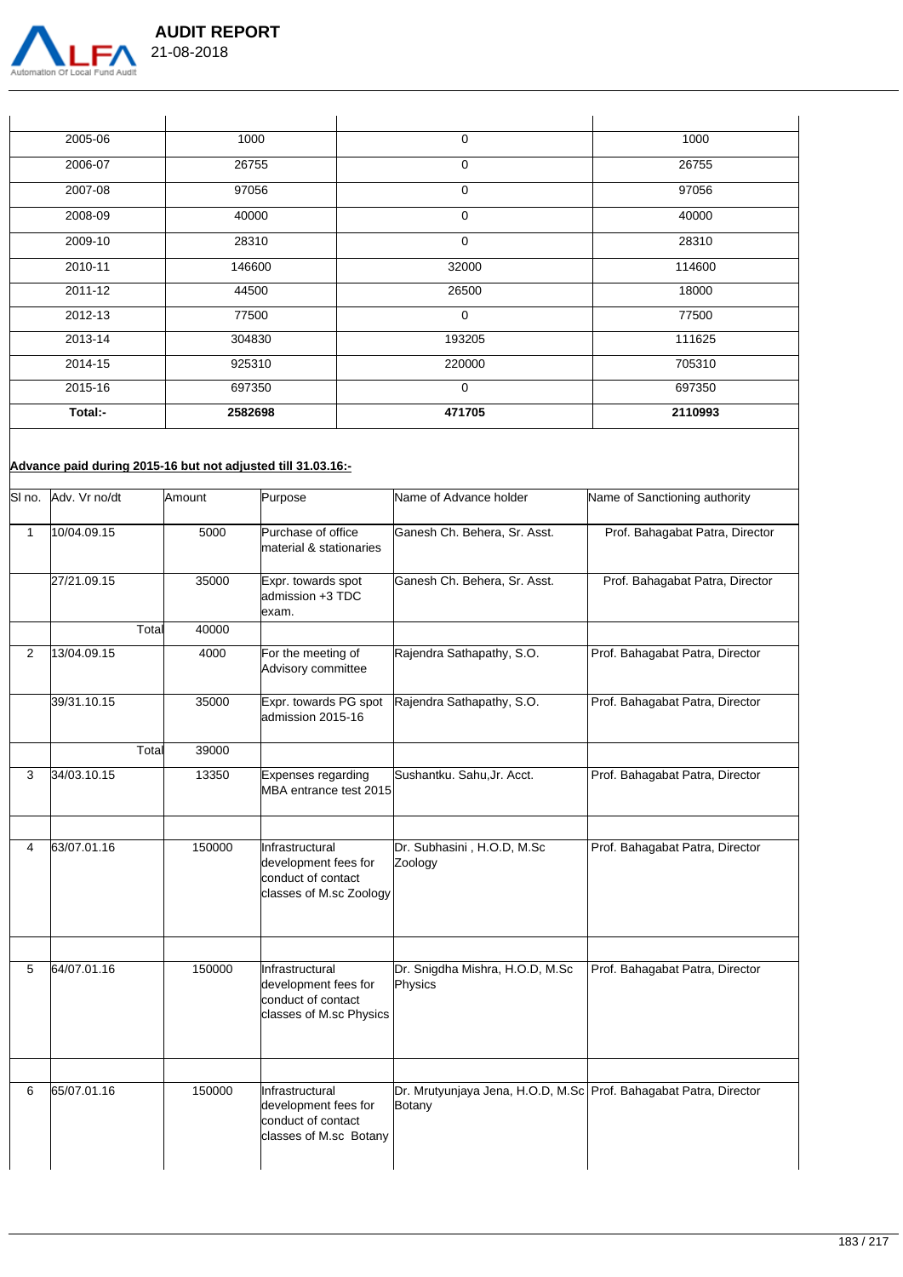

| 2005-06 | 1000    | 0           | 1000    |
|---------|---------|-------------|---------|
| 2006-07 | 26755   | 0           | 26755   |
| 2007-08 | 97056   | 0           | 97056   |
| 2008-09 | 40000   | 0           | 40000   |
| 2009-10 | 28310   | 0           | 28310   |
| 2010-11 | 146600  | 32000       | 114600  |
| 2011-12 | 44500   | 26500       | 18000   |
| 2012-13 | 77500   | $\mathbf 0$ | 77500   |
| 2013-14 | 304830  | 193205      | 111625  |
| 2014-15 | 925310  | 220000      | 705310  |
| 2015-16 | 697350  | $\Omega$    | 697350  |
| Total:- | 2582698 | 471705      | 2110993 |

# **Advance paid during 2015-16 but not adjusted till 31.03.16:-**

| SI no.       | Adv. Vr no/dt | Amount | Purpose                                                                                  | Name of Advance holder                                                             | Name of Sanctioning authority   |
|--------------|---------------|--------|------------------------------------------------------------------------------------------|------------------------------------------------------------------------------------|---------------------------------|
| $\mathbf{1}$ | 10/04.09.15   | 5000   | Purchase of office<br>material & stationaries                                            | Ganesh Ch. Behera, Sr. Asst.                                                       | Prof. Bahagabat Patra, Director |
|              | 27/21.09.15   | 35000  | Expr. towards spot<br>admission +3 TDC<br>exam.                                          | Ganesh Ch. Behera, Sr. Asst.                                                       | Prof. Bahagabat Patra, Director |
|              | Total         | 40000  |                                                                                          |                                                                                    |                                 |
| 2            | 13/04.09.15   | 4000   | For the meeting of<br>Advisory committee                                                 | Rajendra Sathapathy, S.O.                                                          | Prof. Bahagabat Patra, Director |
|              | 39/31.10.15   | 35000  | Expr. towards PG spot<br>admission 2015-16                                               | Rajendra Sathapathy, S.O.                                                          | Prof. Bahagabat Patra, Director |
|              | Total         | 39000  |                                                                                          |                                                                                    |                                 |
| 3            | 34/03.10.15   | 13350  | Expenses regarding<br>MBA entrance test 2015                                             | Sushantku. Sahu, Jr. Acct.                                                         | Prof. Bahagabat Patra, Director |
|              |               |        |                                                                                          |                                                                                    |                                 |
| 4            | 63/07.01.16   | 150000 | Infrastructural<br>development fees for<br>conduct of contact<br>classes of M.sc Zoology | Dr. Subhasini, H.O.D, M.Sc<br>Zoology                                              | Prof. Bahagabat Patra, Director |
|              |               |        |                                                                                          |                                                                                    |                                 |
| 5            | 64/07.01.16   | 150000 | Infrastructural<br>development fees for<br>conduct of contact<br>classes of M.sc Physics | Dr. Snigdha Mishra, H.O.D, M.Sc<br>Physics                                         | Prof. Bahagabat Patra, Director |
|              |               |        |                                                                                          |                                                                                    |                                 |
| 6            | 65/07.01.16   | 150000 | Infrastructural<br>development fees for<br>conduct of contact<br>classes of M.sc Botany  | Dr. Mrutyunjaya Jena, H.O.D, M.Sc Prof. Bahagabat Patra, Director<br><b>Botany</b> |                                 |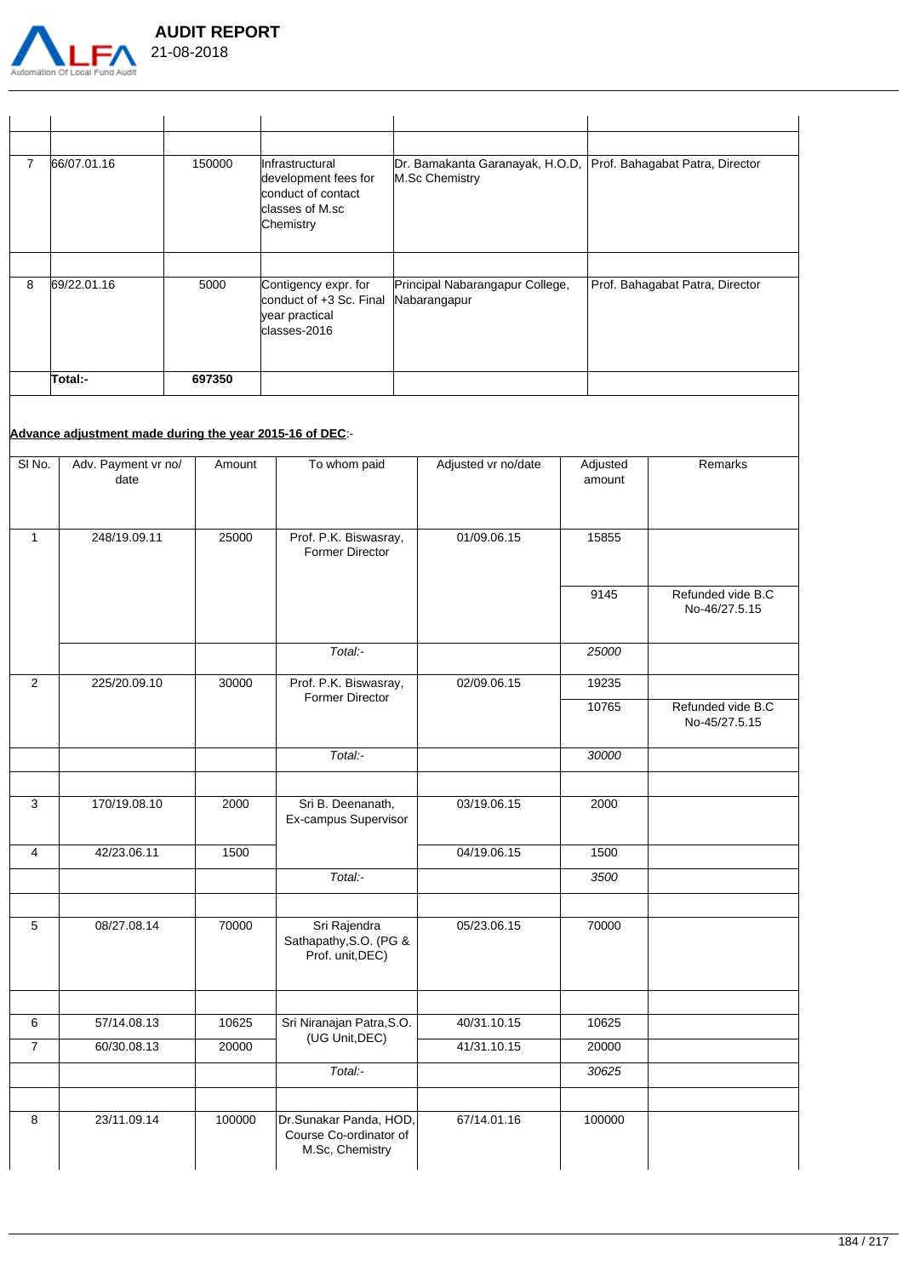

|   | 66/07.01.16 | 150000 | IInfrastructural<br>development fees for<br>conduct of contact<br>classes of M.sc<br>Chemistry | Dr. Bamakanta Garanayak, H.O.D, Prof. Bahagabat Patra, Director<br>M.Sc Chemistry |                                 |
|---|-------------|--------|------------------------------------------------------------------------------------------------|-----------------------------------------------------------------------------------|---------------------------------|
|   |             |        |                                                                                                |                                                                                   |                                 |
| 8 | 69/22.01.16 | 5000   | Contigency expr. for<br>conduct of +3 Sc. Final<br>year practical<br>classes-2016              | Principal Nabarangapur College,<br>Nabarangapur                                   | Prof. Bahagabat Patra, Director |
|   | Total:-     | 697350 |                                                                                                |                                                                                   |                                 |

# **Advance adjustment made during the year 2015-16 of DEC**:-

| SI <sub>No.</sub> | Adv. Payment vr no/<br>date | Amount | To whom paid                                                        | Adjusted vr no/date | Adjusted<br>amount | Remarks                            |
|-------------------|-----------------------------|--------|---------------------------------------------------------------------|---------------------|--------------------|------------------------------------|
| $\mathbf{1}$      | 248/19.09.11                | 25000  | Prof. P.K. Biswasray,<br>Former Director                            | 01/09.06.15         | 15855              |                                    |
|                   |                             |        |                                                                     |                     | 9145               | Refunded vide B.C<br>No-46/27.5.15 |
|                   |                             |        | Total:-                                                             |                     | 25000              |                                    |
| 2                 | 225/20.09.10                | 30000  | Prof. P.K. Biswasray,                                               | 02/09.06.15         | 19235              |                                    |
|                   |                             |        | <b>Former Director</b>                                              |                     | 10765              | Refunded vide B.C<br>No-45/27.5.15 |
|                   |                             |        | Total:-                                                             |                     | 30000              |                                    |
|                   |                             |        |                                                                     |                     |                    |                                    |
| 3                 | 170/19.08.10                | 2000   | Sri B. Deenanath,<br>Ex-campus Supervisor                           | 03/19.06.15         | 2000               |                                    |
| $\overline{4}$    | 42/23.06.11                 | 1500   |                                                                     | 04/19.06.15         | 1500               |                                    |
|                   |                             |        | Total:-                                                             |                     | 3500               |                                    |
|                   |                             |        |                                                                     |                     |                    |                                    |
| 5                 | 08/27.08.14                 | 70000  | Sri Rajendra<br>Sathapathy, S.O. (PG &<br>Prof. unit, DEC)          | 05/23.06.15         | 70000              |                                    |
|                   |                             |        |                                                                     |                     |                    |                                    |
| 6                 | 57/14.08.13                 | 10625  | Sri Niranajan Patra, S.O.                                           | 40/31.10.15         | 10625              |                                    |
| $\overline{7}$    | 60/30.08.13                 | 20000  | (UG Unit, DEC)                                                      | 41/31.10.15         | 20000              |                                    |
|                   |                             |        | Total:-                                                             |                     | 30625              |                                    |
|                   |                             |        |                                                                     |                     |                    |                                    |
| 8                 | 23/11.09.14                 | 100000 | Dr.Sunakar Panda, HOD,<br>Course Co-ordinator of<br>M.Sc, Chemistry | 67/14.01.16         | 100000             |                                    |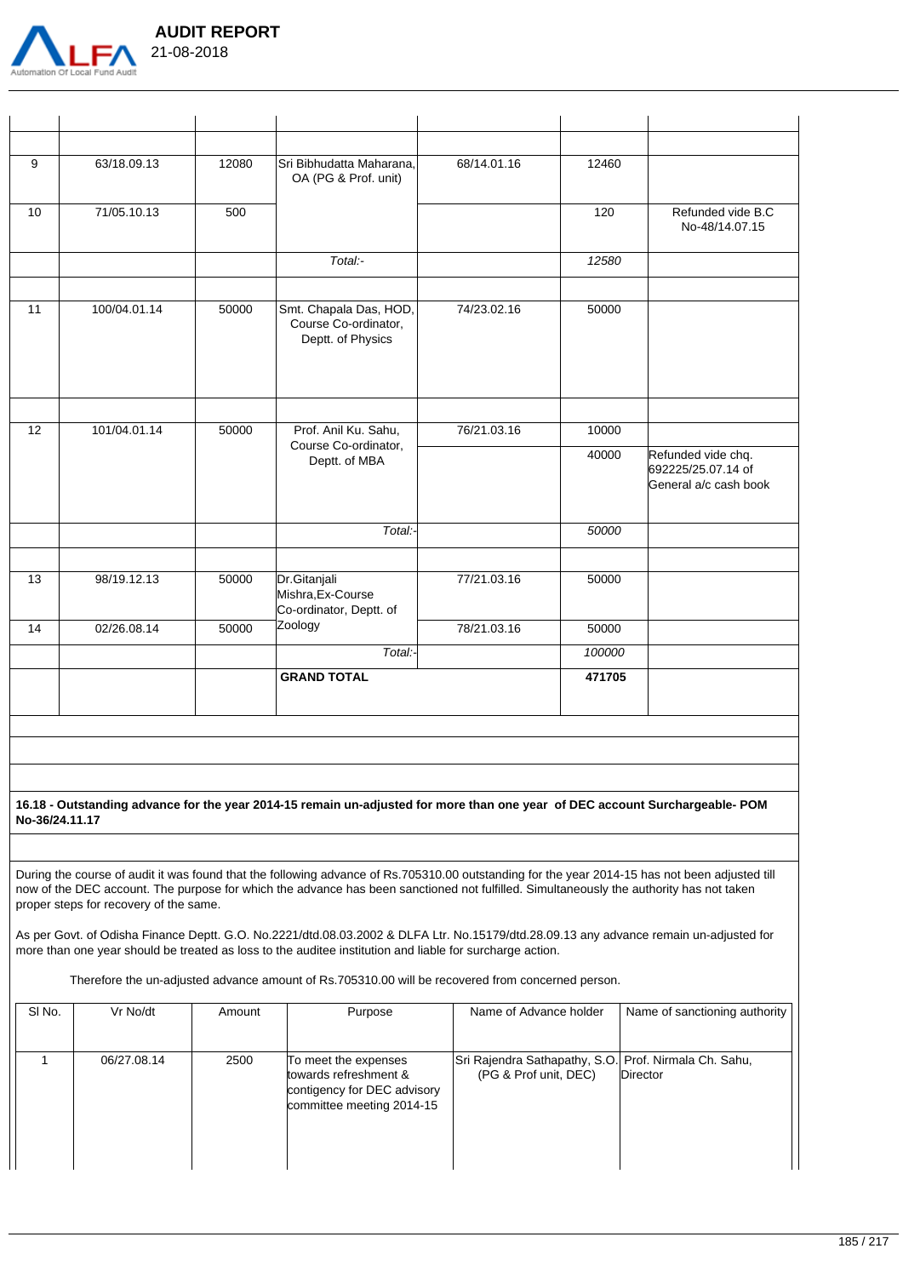

 **AUDIT REPORT** 

| 9               | 63/18.09.13  | 12080 | Sri Bibhudatta Maharana,<br>OA (PG & Prof. unit)                    | 68/14.01.16 | 12460  |                                                                   |
|-----------------|--------------|-------|---------------------------------------------------------------------|-------------|--------|-------------------------------------------------------------------|
| 10              | 71/05.10.13  | 500   |                                                                     |             | 120    | Refunded vide B.C<br>No-48/14.07.15                               |
|                 |              |       | Total:-                                                             |             | 12580  |                                                                   |
| $\overline{11}$ | 100/04.01.14 | 50000 | Smt. Chapala Das, HOD,<br>Course Co-ordinator,<br>Deptt. of Physics | 74/23.02.16 | 50000  |                                                                   |
| 12              | 101/04.01.14 | 50000 | Prof. Anil Ku. Sahu,                                                | 76/21.03.16 | 10000  |                                                                   |
|                 |              |       | Course Co-ordinator,<br>Deptt. of MBA                               |             | 40000  | Refunded vide chq.<br>692225/25.07.14 of<br>General a/c cash book |
|                 |              |       | Total:-                                                             |             | 50000  |                                                                   |
| 13              | 98/19.12.13  | 50000 | Dr.Gitanjali<br>Mishra, Ex-Course<br>Co-ordinator, Deptt. of        | 77/21.03.16 | 50000  |                                                                   |
| 14              | 02/26.08.14  | 50000 | Zoology                                                             | 78/21.03.16 | 50000  |                                                                   |
|                 |              |       | Total:-                                                             |             | 100000 |                                                                   |
|                 |              |       | <b>GRAND TOTAL</b>                                                  |             | 471705 |                                                                   |

**16.18 - Outstanding advance for the year 2014-15 remain un-adjusted for more than one year of DEC account Surchargeable- POM No-36/24.11.17**

During the course of audit it was found that the following advance of Rs.705310.00 outstanding for the year 2014-15 has not been adjusted till now of the DEC account. The purpose for which the advance has been sanctioned not fulfilled. Simultaneously the authority has not taken proper steps for recovery of the same.

As per Govt. of Odisha Finance Deptt. G.O. No.2221/dtd.08.03.2002 & DLFA Ltr. No.15179/dtd.28.09.13 any advance remain un-adjusted for more than one year should be treated as loss to the auditee institution and liable for surcharge action.

Therefore the un-adjusted advance amount of Rs.705310.00 will be recovered from concerned person.

| SI <sub>No.</sub> | Vr No/dt    | Amount | Purpose                                                                                                   | Name of Advance holder                                                         | Name of sanctioning authority |
|-------------------|-------------|--------|-----------------------------------------------------------------------------------------------------------|--------------------------------------------------------------------------------|-------------------------------|
|                   | 06/27.08.14 | 2500   | To meet the expenses<br>towards refreshment &<br>contigency for DEC advisory<br>committee meeting 2014-15 | Sri Rajendra Sathapathy, S.O. Prof. Nirmala Ch. Sahu,<br>(PG & Prof unit, DEC) | Director                      |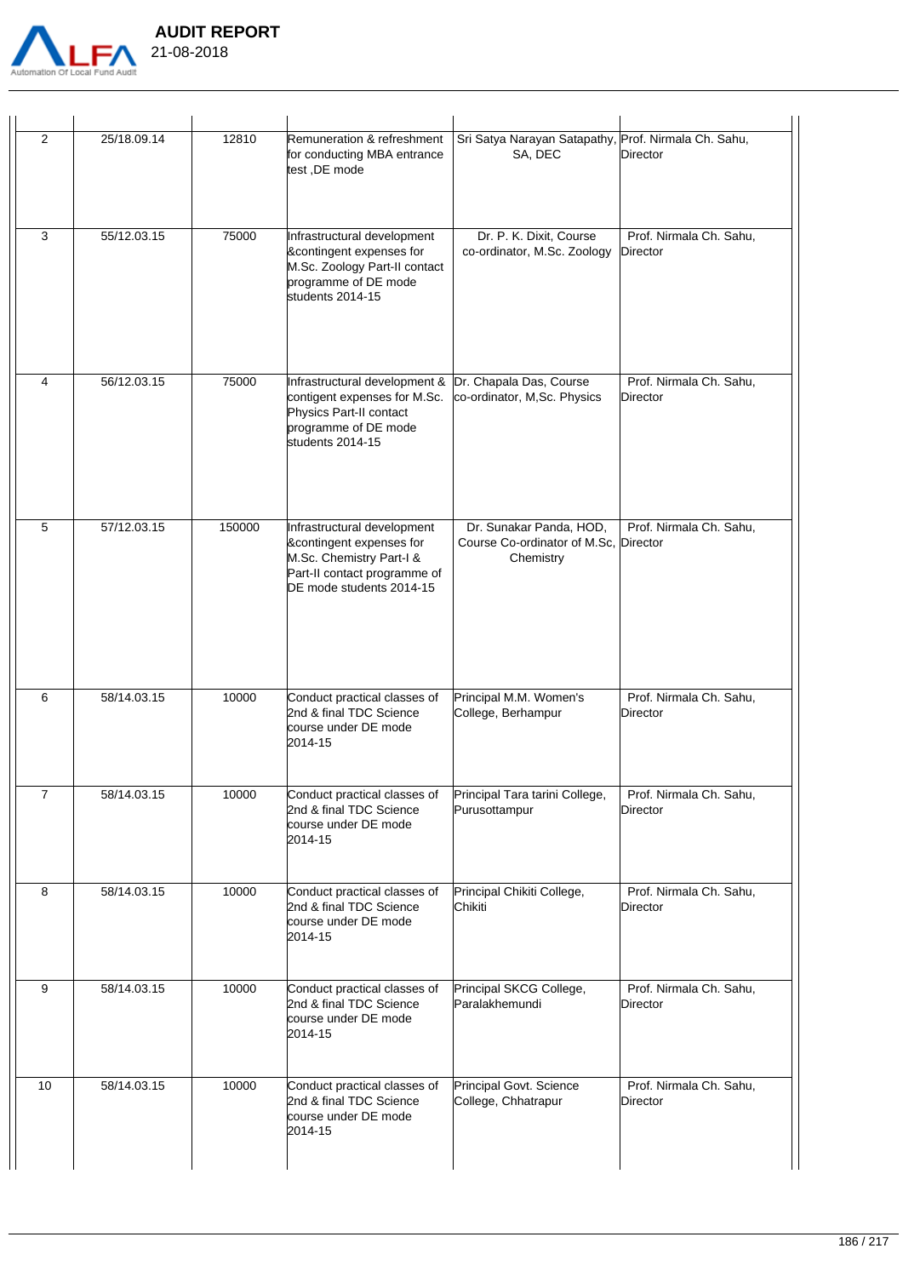

|            | <b>AUDIT REPORT</b> |
|------------|---------------------|
| 21-08-2018 |                     |

| $\overline{2}$ | 25/18.09.14 | 12810  | Remuneration & refreshment<br>for conducting MBA entrance<br>test ,DE mode                                                                                 | Sri Satya Narayan Satapathy, Prof. Nirmala Ch. Sahu,<br>SA, DEC               | Director                            |
|----------------|-------------|--------|------------------------------------------------------------------------------------------------------------------------------------------------------------|-------------------------------------------------------------------------------|-------------------------------------|
| $\mathbf{3}$   | 55/12.03.15 | 75000  | Infrastructural development<br><b>&amp;contingent expenses for</b><br>M.Sc. Zoology Part-II contact<br>programme of DE mode<br>students 2014-15            | Dr. P. K. Dixit, Course<br>co-ordinator, M.Sc. Zoology                        | Prof. Nirmala Ch. Sahu,<br>Director |
| $\overline{4}$ | 56/12.03.15 | 75000  | Infrastructural development &<br>contigent expenses for M.Sc.<br>Physics Part-II contact<br>programme of DE mode<br>students 2014-15                       | Dr. Chapala Das, Course<br>co-ordinator, M,Sc. Physics                        | Prof. Nirmala Ch. Sahu,<br>Director |
| 5              | 57/12.03.15 | 150000 | Infrastructural development<br><b>&amp;contingent expenses for</b><br>M.Sc. Chemistry Part-I &<br>Part-II contact programme of<br>DE mode students 2014-15 | Dr. Sunakar Panda, HOD,<br>Course Co-ordinator of M.Sc, Director<br>Chemistry | Prof. Nirmala Ch. Sahu,             |
| 6              | 58/14.03.15 | 10000  | Conduct practical classes of<br>2nd & final TDC Science<br>course under DE mode<br>2014-15                                                                 | Principal M.M. Women's<br>College, Berhampur                                  | Prof. Nirmala Ch. Sahu,<br>Director |
| $\overline{7}$ | 58/14.03.15 | 10000  | Conduct practical classes of Principal Tara tarini College,<br>2nd & final TDC Science<br>course under DE mode<br>2014-15                                  | Purusottampur                                                                 | Prof. Nirmala Ch. Sahu,<br>Director |
| 8              | 58/14.03.15 | 10000  | Conduct practical classes of<br>2nd & final TDC Science<br>course under DE mode<br>2014-15                                                                 | Principal Chikiti College,<br>Chikiti                                         | Prof. Nirmala Ch. Sahu,<br>Director |
| 9              | 58/14.03.15 | 10000  | Conduct practical classes of<br>2nd & final TDC Science<br>course under DE mode<br>2014-15                                                                 | Principal SKCG College,<br>Paralakhemundi                                     | Prof. Nirmala Ch. Sahu,<br>Director |
| 10             | 58/14.03.15 | 10000  | Conduct practical classes of<br>2nd & final TDC Science<br>course under DE mode<br>2014-15                                                                 | Principal Govt. Science<br>College, Chhatrapur                                | Prof. Nirmala Ch. Sahu,<br>Director |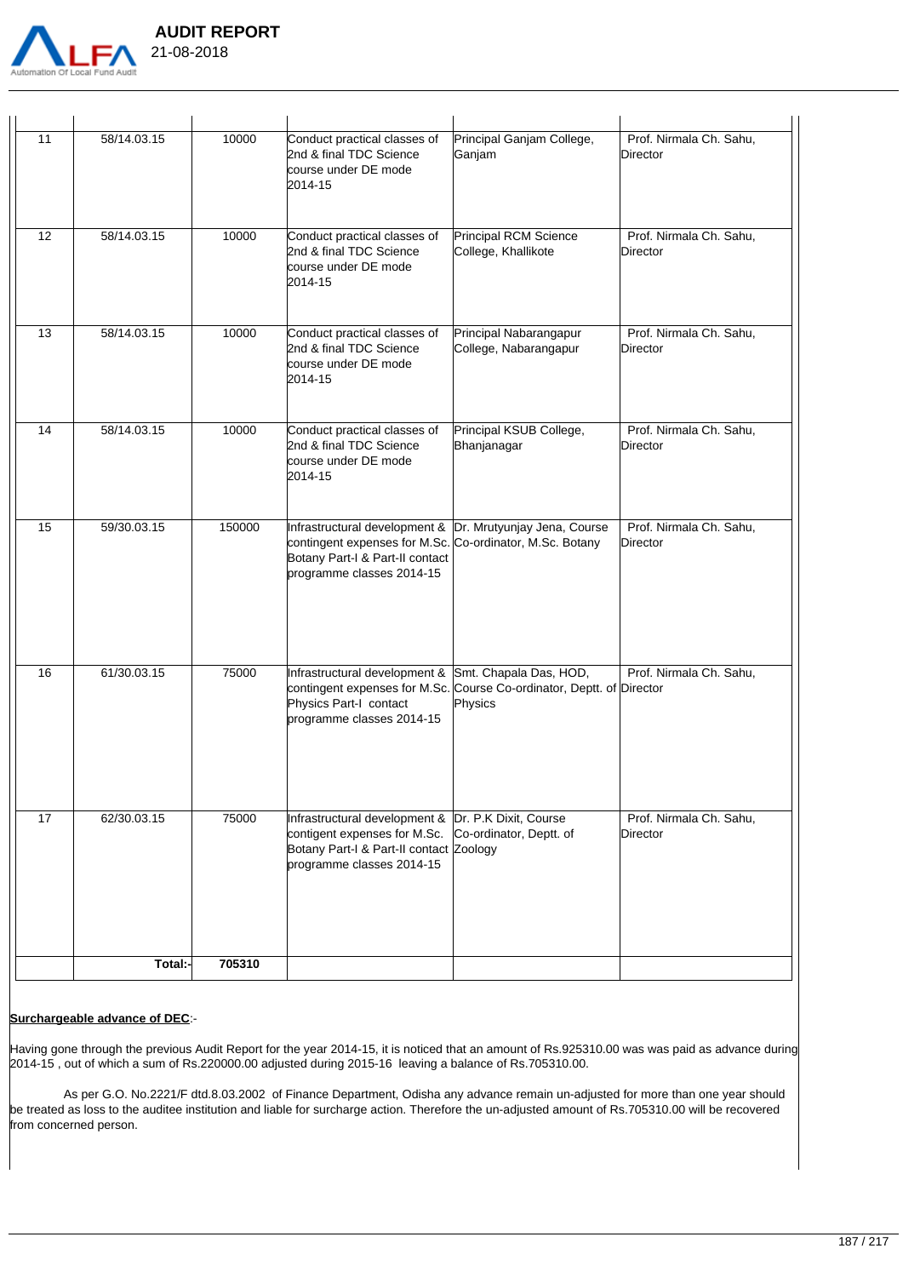

| <b>AUDIT REPORT</b> |
|---------------------|
| 21-08-2018          |

| 11                         | 58/14.03.15 | 10000                                                                                                                                                       | Conduct practical classes of<br>2nd & final TDC Science<br>course under DE mode<br>2014-15                                                                                            | Principal Ganjam College,<br>Ganjam                                              | Prof. Nirmala Ch. Sahu,<br>Director |
|----------------------------|-------------|-------------------------------------------------------------------------------------------------------------------------------------------------------------|---------------------------------------------------------------------------------------------------------------------------------------------------------------------------------------|----------------------------------------------------------------------------------|-------------------------------------|
| 12                         | 58/14.03.15 | 10000                                                                                                                                                       | Conduct practical classes of<br>2nd & final TDC Science<br>course under DE mode<br>2014-15                                                                                            | Principal RCM Science<br>College, Khallikote                                     | Prof. Nirmala Ch. Sahu,<br>Director |
| 13                         | 58/14.03.15 | 10000                                                                                                                                                       | Conduct practical classes of<br>2nd & final TDC Science<br>course under DE mode<br>2014-15                                                                                            | Principal Nabarangapur<br>College, Nabarangapur                                  | Prof. Nirmala Ch. Sahu,<br>Director |
| 14                         | 58/14.03.15 | 10000                                                                                                                                                       | Conduct practical classes of<br>2nd & final TDC Science<br>course under DE mode<br>2014-15                                                                                            | Principal KSUB College,<br>Bhanjanagar                                           | Prof. Nirmala Ch. Sahu,<br>Director |
| 15                         | 59/30.03.15 | 150000                                                                                                                                                      | Infrastructural development & Dr. Mrutyunjay Jena, Course<br>contingent expenses for M.Sc. Co-ordinator, M.Sc. Botany<br>Botany Part-I & Part-II contact<br>programme classes 2014-15 |                                                                                  | Prof. Nirmala Ch. Sahu,<br>Director |
| 16                         | 61/30.03.15 | 75000                                                                                                                                                       | Infrastructural development & Smt. Chapala Das, HOD,<br>Physics Part-I contact<br>programme classes 2014-15                                                                           | contingent expenses for M.Sc. Course Co-ordinator, Deptt. of Director<br>Physics | Prof. Nirmala Ch. Sahu,             |
| 17<br>62/30.03.15<br>75000 |             | Infrastructural development & Dr. P.K Dixit, Course<br>contigent expenses for M.Sc.<br>Botany Part-I & Part-II contact Zoology<br>programme classes 2014-15 | Co-ordinator, Deptt. of                                                                                                                                                               | Prof. Nirmala Ch. Sahu,<br>Director                                              |                                     |
|                            | Total:-     | 705310                                                                                                                                                      |                                                                                                                                                                                       |                                                                                  |                                     |
|                            |             |                                                                                                                                                             |                                                                                                                                                                                       |                                                                                  |                                     |

### **Surchargeable advance of DEC**:-

Having gone through the previous Audit Report for the year 2014-15, it is noticed that an amount of Rs.925310.00 was was paid as advance during 2014-15 , out of which a sum of Rs.220000.00 adjusted during 2015-16 leaving a balance of Rs.705310.00.

 As per G.O. No.2221/F dtd.8.03.2002 of Finance Department, Odisha any advance remain un-adjusted for more than one year should be treated as loss to the auditee institution and liable for surcharge action. Therefore the un-adjusted amount of Rs.705310.00 will be recovered from concerned person.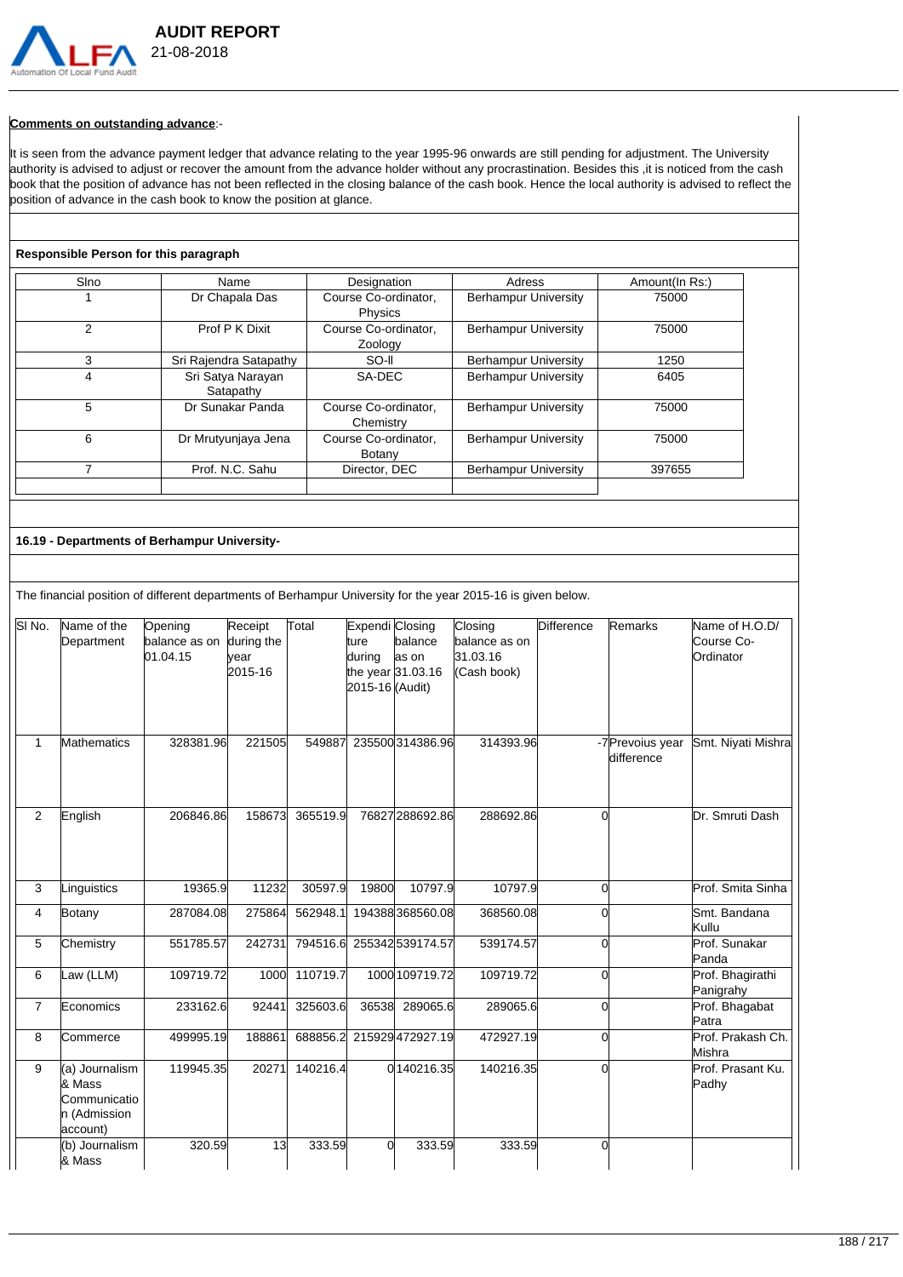

### **Comments on outstanding advance**:-

It is seen from the advance payment ledger that advance relating to the year 1995-96 onwards are still pending for adjustment. The University authority is advised to adjust or recover the amount from the advance holder without any procrastination. Besides this ,it is noticed from the cash book that the position of advance has not been reflected in the closing balance of the cash book. Hence the local authority is advised to reflect the position of advance in the cash book to know the position at glance.

#### **Responsible Person for this paragraph**

| Sino | Name                   | Designation          | Adress                      | Amount(In Rs:) |
|------|------------------------|----------------------|-----------------------------|----------------|
|      | Dr Chapala Das         | Course Co-ordinator. | <b>Berhampur University</b> | 75000          |
|      |                        | Physics              |                             |                |
| 2    | Prof P K Dixit         | Course Co-ordinator, | <b>Berhampur University</b> | 75000          |
|      |                        | Zoology              |                             |                |
| 3    | Sri Rajendra Satapathy | SO-II                | <b>Berhampur University</b> | 1250           |
| 4    | Sri Satya Narayan      | SA-DEC               | <b>Berhampur University</b> | 6405           |
|      | Satapathy              |                      |                             |                |
| 5    | Dr Sunakar Panda       | Course Co-ordinator, | <b>Berhampur University</b> | 75000          |
|      |                        | Chemistry            |                             |                |
| 6    | Dr Mrutyunjaya Jena    | Course Co-ordinator. | <b>Berhampur University</b> | 75000          |
|      |                        | Botany               |                             |                |
|      | Prof. N.C. Sahu        | Director, DEC        | <b>Berhampur University</b> | 397655         |
|      |                        |                      |                             |                |

#### **16.19 - Departments of Berhampur University-**

The financial position of different departments of Berhampur University for the year 2015-16 is given below.

| SI No.         | Name of the<br>Department                                            | Opening<br>balance as on<br>01.04.15 | Receipt<br>during the<br>vear<br>2015-16 | Total    | Expendi Closing<br>ture<br>during<br>2015-16 (Audit) | balance<br>as on<br>the year 31.03.16 | Closing<br>balance as on<br>31.03.16<br>(Cash book) | Difference | <b>Remarks</b>                 | Name of H.O.D/<br>Course Co-<br>Ordinator |
|----------------|----------------------------------------------------------------------|--------------------------------------|------------------------------------------|----------|------------------------------------------------------|---------------------------------------|-----------------------------------------------------|------------|--------------------------------|-------------------------------------------|
| $\mathbf{1}$   | <b>Mathematics</b>                                                   | 328381.96                            | 221505                                   | 549887   |                                                      | 235500 314386.96                      | 314393.96                                           |            | -7 Prevoius year<br>difference | Smt. Niyati Mishra                        |
| $\overline{2}$ | English                                                              | 206846.86                            | 158673                                   | 365519.9 |                                                      | 76827 288692.86                       | 288692.86                                           | $\Omega$   |                                | Dr. Smruti Dash                           |
| 3              | Linguistics                                                          | 19365.9                              | 11232                                    | 30597.9  | 19800                                                | 10797.9                               | 10797.9                                             | $\Omega$   |                                | Prof. Smita Sinha                         |
| 4              | <b>Botany</b>                                                        | 287084.08                            | 275864                                   | 562948.1 |                                                      | 194388 368560.08                      | 368560.08                                           | $\Omega$   |                                | Smt. Bandana<br>Kullu                     |
| 5              | Chemistry                                                            | 551785.57                            | 242731                                   | 794516.6 |                                                      | 255342 539174.57                      | 539174.57                                           | $\Omega$   |                                | Prof. Sunakar<br>Panda                    |
| 6              | Law (LLM)                                                            | 109719.72                            | 1000l                                    | 110719.7 |                                                      | 1000 109719.72                        | 109719.72                                           | $\Omega$   |                                | Prof. Bhagirathi<br>Panigrahy             |
| $\overline{7}$ | Economics                                                            | 233162.6                             | 92441                                    | 325603.6 | 36538                                                | 289065.6                              | 289065.6                                            | $\Omega$   |                                | Prof. Bhagabat<br>Patra                   |
| 8              | Commerce                                                             | 499995.19                            | 188861                                   | 688856.2 |                                                      | 215929472927.19                       | 472927.19                                           | $\Omega$   |                                | Prof. Prakash Ch.<br>Mishra               |
| 9              | (a) Journalism<br>& Mass<br>Communicatio<br>n (Admission<br>account) | 119945.35                            | 20271                                    | 140216.4 |                                                      | 0 140 216.35                          | 140216.35                                           | $\Omega$   |                                | Prof. Prasant Ku.<br>Padhy                |
|                | (b) Journalism<br>& Mass                                             | 320.59                               | 13                                       | 333.59   | 0                                                    | 333.59                                | 333.59                                              | $\Omega$   |                                |                                           |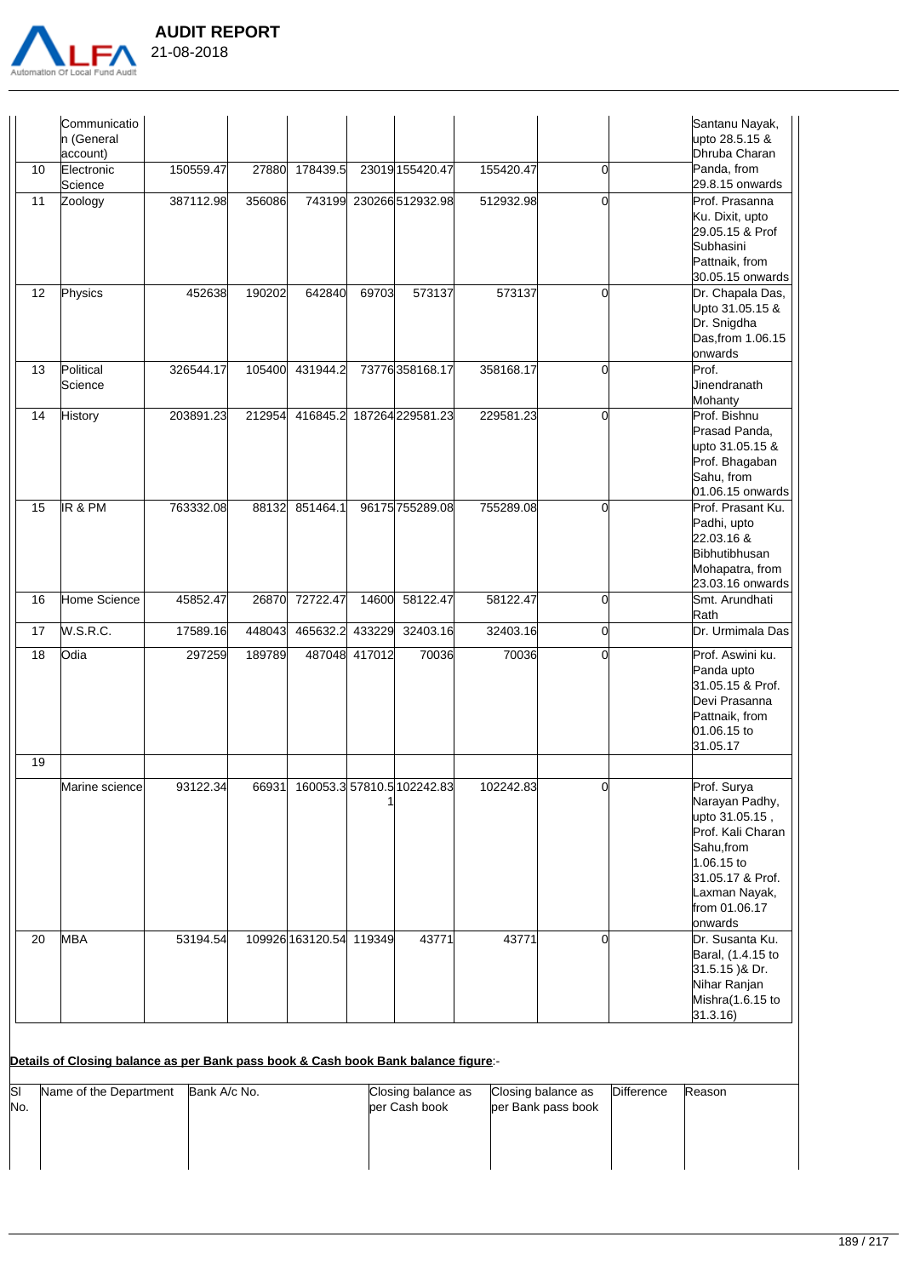

|    | Communicatio<br>n (General<br>account) |           |        |                  |        |                            |           |                | Santanu Nayak,<br>upto 28.5.15 &<br>Dhruba Charan                                                                                                                 |
|----|----------------------------------------|-----------|--------|------------------|--------|----------------------------|-----------|----------------|-------------------------------------------------------------------------------------------------------------------------------------------------------------------|
| 10 | Electronic<br>Science                  | 150559.47 | 27880  | 178439.5         |        | 23019 155420.47            | 155420.47 | $\overline{0}$ | Panda, from<br>29.8.15 onwards                                                                                                                                    |
| 11 | Zoology                                | 387112.98 | 356086 | 743199           |        | 230266 512932.98           | 512932.98 | 0              | Prof. Prasanna<br>Ku. Dixit, upto<br>29.05.15 & Prof<br>Subhasini<br>Pattnaik, from<br>30.05.15 onwards                                                           |
| 12 | Physics                                | 452638    | 190202 | 642840           | 69703  | 573137                     | 573137    | $\Omega$       | Dr. Chapala Das,<br>Upto 31.05.15 &<br>Dr. Snigdha<br>Das, from 1.06.15<br>onwards                                                                                |
| 13 | Political<br>Science                   | 326544.17 | 105400 | 431944.2         |        | 73776358168.17             | 358168.17 | $\Omega$       | Prof.<br><b>Jinendranath</b><br>Mohanty                                                                                                                           |
| 14 | <b>History</b>                         | 203891.23 | 212954 | 416845.2         |        | 187264 229581.23           | 229581.23 | $\Omega$       | Prof. Bishnu<br>Prasad Panda,<br>upto 31.05.15 &<br>Prof. Bhagaban<br>Sahu, from<br>01.06.15 onwards                                                              |
| 15 | IR & PM                                | 763332.08 | 88132  | 851464.1         |        | 96175 755289.08            | 755289.08 | $\Omega$       | Prof. Prasant Ku.<br>Padhi, upto<br>22.03.16 &<br>Bibhutibhusan<br>Mohapatra, from<br>23.03.16 onwards                                                            |
| 16 | Home Science                           | 45852.47  | 26870  | 72722.47         | 14600  | 58122.47                   | 58122.47  | 0              | Smt. Arundhati<br>Rath                                                                                                                                            |
| 17 | <b>W.S.R.C.</b>                        | 17589.16  | 448043 | 465632.2         | 433229 | 32403.16                   | 32403.16  | $\overline{0}$ | Dr. Urmimala Das                                                                                                                                                  |
| 18 | Odia                                   | 297259    | 189789 | 487048           | 417012 | 70036                      | 70036     | 0              | Prof. Aswini ku.<br>Panda upto<br>31.05.15 & Prof.<br>Devi Prasanna<br>Pattnaik, from<br>01.06.15 to<br>31.05.17                                                  |
| 19 |                                        |           |        |                  |        |                            |           |                |                                                                                                                                                                   |
|    | Marine science                         | 93122.34  | 66931  |                  |        | 160053.3 57810.5 102242.83 | 102242.83 | <sub>0</sub>   | Prof. Surya<br>Narayan Padhy,<br>upto 31.05.15,<br>Prof. Kali Charan<br>Sahu, from<br>1.06.15 to<br>31.05.17 & Prof.<br>Laxman Nayak,<br>from 01.06.17<br>onwards |
| 20 | <b>MBA</b>                             | 53194.54  |        | 109926 163120.54 | 119349 | 43771                      | 43771     | $\Omega$       | Dr. Susanta Ku.<br>Baral, (1.4.15 to<br>31.5.15 )& Dr.<br>Nihar Ranjan<br>Mishra(1.6.15 to<br>31.3.16)                                                            |

# **Details of Closing balance as per Bank pass book & Cash book Bank balance figure**:-

| ISI | Name of the Department | lBank A/c No. | Closing balance as | Closing balance as | Difference | Reason |
|-----|------------------------|---------------|--------------------|--------------------|------------|--------|
| No. |                        |               | ber Cash book      | per Bank pass book |            |        |
|     |                        |               |                    |                    |            |        |
|     |                        |               |                    |                    |            |        |
|     |                        |               |                    |                    |            |        |
|     |                        |               |                    |                    |            |        |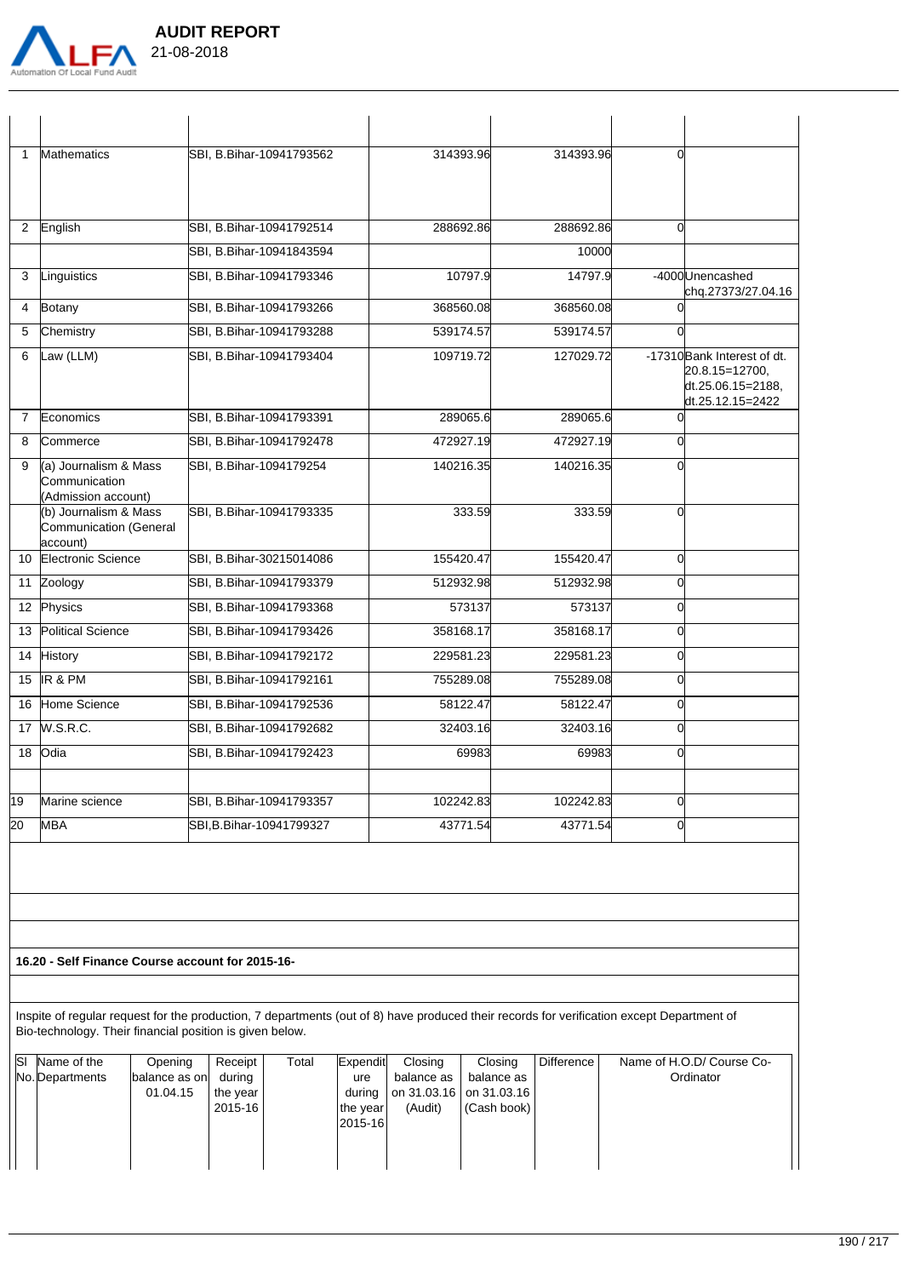

| $\mathbf 1$    | Mathematics                                                   | SBI, B.Bihar-10941793562  | 314393.96 | 314393.96 | $\Omega$       |                                                                                        |
|----------------|---------------------------------------------------------------|---------------------------|-----------|-----------|----------------|----------------------------------------------------------------------------------------|
| 2              | English                                                       | SBI, B.Bihar-10941792514  | 288692.86 | 288692.86 | $\Omega$       |                                                                                        |
|                |                                                               | SBI, B.Bihar-10941843594  |           | 10000     |                |                                                                                        |
| 3              | Linguistics                                                   | SBI, B.Bihar-10941793346  | 10797.9   | 14797.9   |                | -4000 Unencashed<br>chq.27373/27.04.16                                                 |
| 4              | Botany                                                        | SBI, B.Bihar-10941793266  | 368560.08 | 368560.08 | 0              |                                                                                        |
| 5              | Chemistry                                                     | SBI, B.Bihar-10941793288  | 539174.57 | 539174.57 |                |                                                                                        |
| 6              | Law (LLM)                                                     | SBI, B.Bihar-10941793404  | 109719.72 | 127029.72 |                | -17310 Bank Interest of dt.<br>20.8.15=12700,<br>dt.25.06.15=2188,<br>dt.25.12.15=2422 |
| $\overline{7}$ | Economics                                                     | SBI, B.Bihar-10941793391  | 289065.6  | 289065.6  | O              |                                                                                        |
| 8              | Commerce                                                      | SBI, B.Bihar-10941792478  | 472927.19 | 472927.19 | 0              |                                                                                        |
| 9              | (a) Journalism & Mass<br>Communication<br>(Admission account) | SBI, B.Bihar-1094179254   | 140216.35 | 140216.35 | $\Omega$       |                                                                                        |
|                | (b) Journalism & Mass<br>Communication (General<br>account)   | SBI, B.Bihar-10941793335  | 333.59    | 333.59    | $\Omega$       |                                                                                        |
| 10             | Electronic Science                                            | SBI, B.Bihar-30215014086  | 155420.47 | 155420.47 | 0              |                                                                                        |
| 11             | Zoology                                                       | SBI, B.Bihar-10941793379  | 512932.98 | 512932.98 | $\overline{0}$ |                                                                                        |
| 12             | Physics                                                       | SBI, B.Bihar-10941793368  | 573137    | 573137    | $\Omega$       |                                                                                        |
| 13             | Political Science                                             | SBI, B.Bihar-10941793426  | 358168.17 | 358168.17 | $\Omega$       |                                                                                        |
| 14             | <b>History</b>                                                | SBI, B.Bihar-10941792172  | 229581.23 | 229581.23 | $\Omega$       |                                                                                        |
| 15             | IR & PM                                                       | SBI, B.Bihar-10941792161  | 755289.08 | 755289.08 | $\Omega$       |                                                                                        |
| 16             | Home Science                                                  | SBI, B.Bihar-10941792536  | 58122.47  | 58122.47  | $\Omega$       |                                                                                        |
| 17             | <b>W.S.R.C.</b>                                               | SBI, B.Bihar-10941792682  | 32403.16  | 32403.16  | $\Omega$       |                                                                                        |
| 18             | Odia                                                          | SBI, B.Bihar-10941792423  | 69983     | 69983     | $\Omega$       |                                                                                        |
|                |                                                               |                           |           |           |                |                                                                                        |
| 19             | Marine science                                                | SBI, B.Bihar-10941793357  | 102242.83 | 102242.83 | $\mathbf 0$    |                                                                                        |
| 20             | <b>MBA</b>                                                    | SBI, B. Bihar-10941799327 | 43771.54  | 43771.54  | $\Omega$       |                                                                                        |

#### **16.20 - Self Finance Course account for 2015-16-**

Inspite of regular request for the production, 7 departments (out of 8) have produced their records for verification except Department of Bio-technology. Their financial position is given below.

| lsı | Name of the     | Opening       | Receipt  | Total | Expendit  | Closing    | Closing                            | Difference | Name of H.O.D/ Course Co- |
|-----|-----------------|---------------|----------|-------|-----------|------------|------------------------------------|------------|---------------------------|
|     | No. Departments | balance as on | during   |       | ure       | balance as | balance as                         |            | Ordinator                 |
|     |                 | 01.04.15      | the year |       |           |            | during   on 31.03.16   on 31.03.16 |            |                           |
|     |                 |               | 2015-16  |       | the year  | (Audit)    | (Cash book)                        |            |                           |
|     |                 |               |          |       | l2015-16l |            |                                    |            |                           |
|     |                 |               |          |       |           |            |                                    |            |                           |
|     |                 |               |          |       |           |            |                                    |            |                           |
|     |                 |               |          |       |           |            |                                    |            |                           |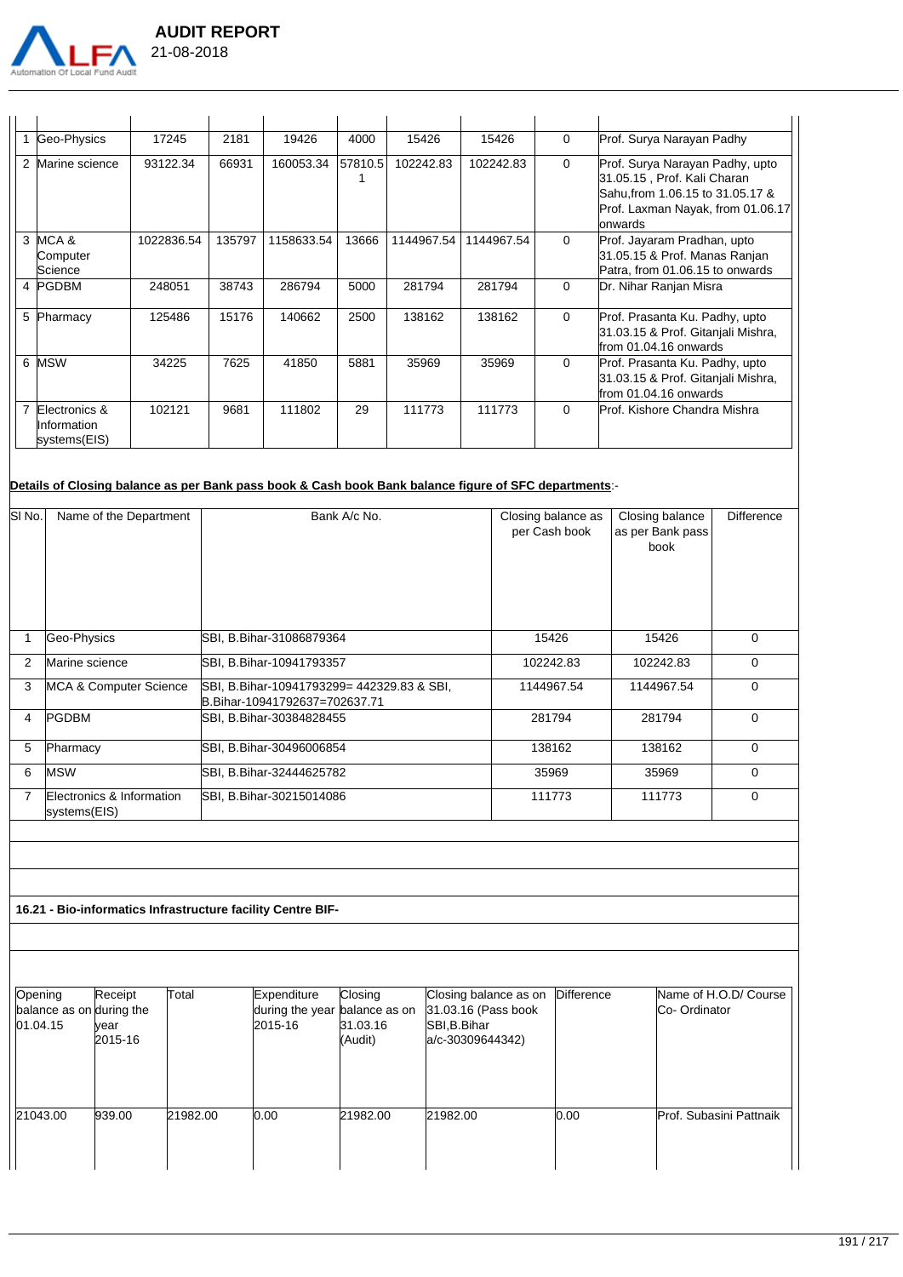

|   | Geo-Physics                                  | 17245      | 2181   | 19426      | 4000    | 15426      | 15426      | 0        | Prof. Surya Narayan Padhy                                                                                                                           |
|---|----------------------------------------------|------------|--------|------------|---------|------------|------------|----------|-----------------------------------------------------------------------------------------------------------------------------------------------------|
| 2 | Marine science                               | 93122.34   | 66931  | 160053.34  | 57810.5 | 102242.83  | 102242.83  | $\Omega$ | Prof. Surya Narayan Padhy, upto<br>31.05.15, Prof. Kali Charan<br>Sahu, from 1.06.15 to 31.05.17 &<br>Prof. Laxman Nayak, from 01.06.17<br>lonwards |
|   | 3 MCA &<br>Computer<br>Science               | 1022836.54 | 135797 | 1158633.54 | 13666   | 1144967.54 | 1144967.54 | $\Omega$ | Prof. Jayaram Pradhan, upto<br>31.05.15 & Prof. Manas Ranjan<br>Patra, from 01.06.15 to onwards                                                     |
|   | 4 PGDBM                                      | 248051     | 38743  | 286794     | 5000    | 281794     | 281794     | $\Omega$ | Dr. Nihar Ranjan Misra                                                                                                                              |
|   | 5 Pharmacy                                   | 125486     | 15176  | 140662     | 2500    | 138162     | 138162     | $\Omega$ | Prof. Prasanta Ku. Padhy, upto<br>31.03.15 & Prof. Gitanjali Mishra,<br>from 01.04.16 onwards                                                       |
|   | 6 MSW                                        | 34225      | 7625   | 41850      | 5881    | 35969      | 35969      | $\Omega$ | Prof. Prasanta Ku. Padhy, upto<br>31.03.15 & Prof. Gitanjali Mishra,<br>$from 01.04.16$ onwards                                                     |
|   | Electronics &<br>Information<br>systems(EIS) | 102121     | 9681   | 111802     | 29      | 111773     | 111773     | $\Omega$ | IProf. Kishore Chandra Mishra                                                                                                                       |

# **Details of Closing balance as per Bank pass book & Cash book Bank balance figure of SFC departments**:-

| SI <sub>No.</sub> | Name of the Department                    | Bank A/c No.                                                                | Closing balance as<br>per Cash book | Closing balance<br>as per Bank pass<br>book | <b>Difference</b> |
|-------------------|-------------------------------------------|-----------------------------------------------------------------------------|-------------------------------------|---------------------------------------------|-------------------|
|                   | Geo-Physics                               | SBI, B.Bihar-31086879364                                                    | 15426                               | 15426                                       | $\Omega$          |
| 2                 | Marine science                            | SBI, B.Bihar-10941793357                                                    | 102242.83                           | 102242.83                                   | $\Omega$          |
| 3                 | <b>MCA &amp; Computer Science</b>         | SBI, B.Bihar-10941793299= 442329.83 & SBI,<br>B.Bihar-10941792637=702637.71 | 1144967.54                          | 1144967.54                                  | $\Omega$          |
| 4                 | <b>PGDBM</b>                              | SBI, B.Bihar-30384828455                                                    | 281794                              | 281794                                      | $\Omega$          |
| 5                 | Pharmacy                                  | SBI, B.Bihar-30496006854                                                    | 138162                              | 138162                                      | $\Omega$          |
| 6                 | <b>MSW</b>                                | SBI, B.Bihar-32444625782                                                    | 35969                               | 35969                                       | $\Omega$          |
|                   | Electronics & Information<br>systems(EIS) | SBI, B.Bihar-30215014086                                                    | 111773                              | 111773                                      | $\Omega$          |

### **16.21 - Bio-informatics Infrastructure facility Centre BIF-**

| Opening<br>balance as on during the<br>01.04.15 | Receipt<br>lvear<br>2015-16 | Total    | Expenditure<br>during the year balance as on<br>2015-16 | Closing<br>31.03.16<br>(Audit) | Closing balance as on<br>31.03.16 (Pass book<br>SBI, B. Bihar<br>a/c-30309644342) | Difference | Name of H.O.D/ Course<br>ICo- Ordinator |
|-------------------------------------------------|-----------------------------|----------|---------------------------------------------------------|--------------------------------|-----------------------------------------------------------------------------------|------------|-----------------------------------------|
| 21043.00                                        | 939.00                      | 21982.00 | 0.00                                                    | 21982.00                       | 21982.00                                                                          | 0.00       | Prof. Subasini Pattnaik                 |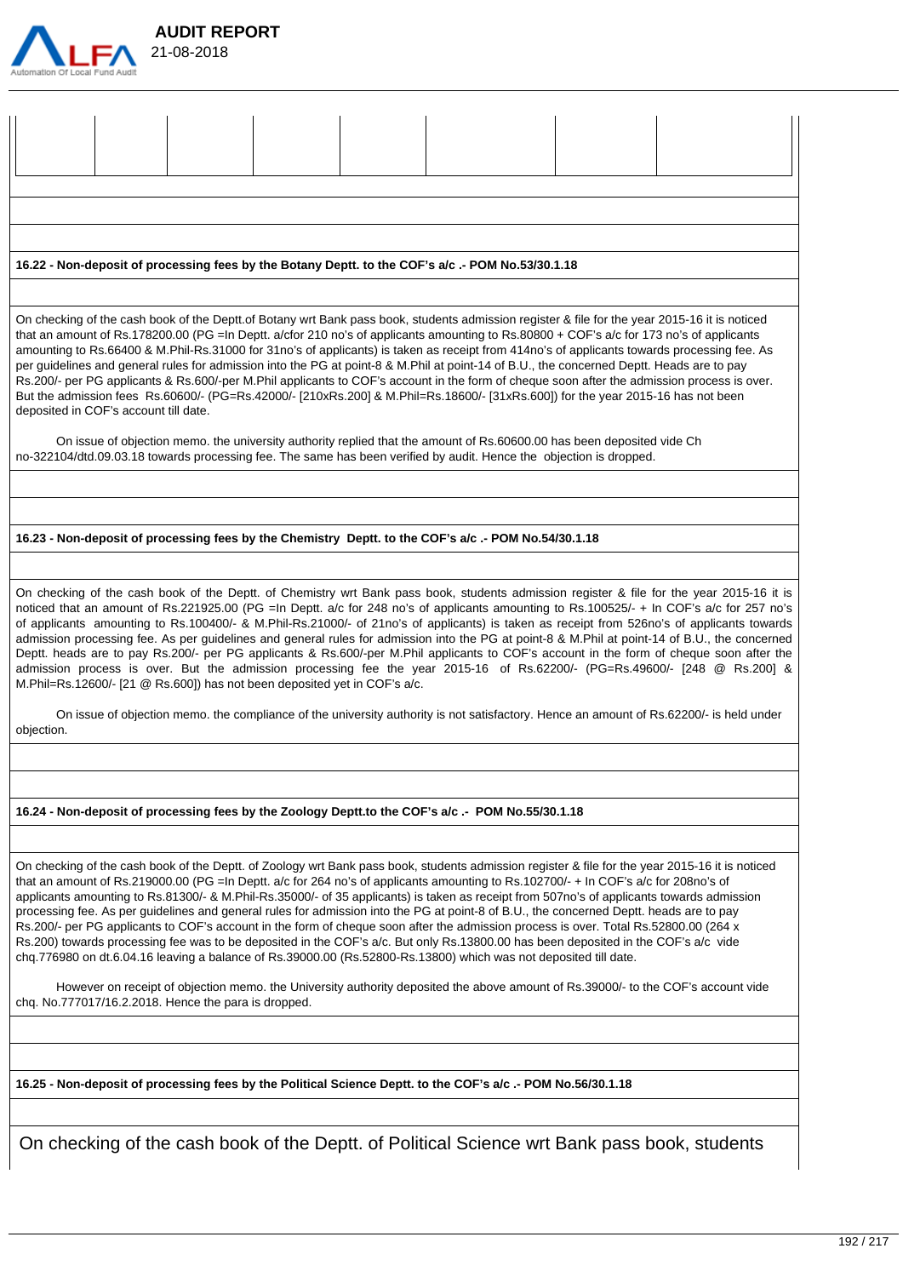

|                                                                                                                                                                                                                                                                                                                                                                                                                                                                                                                                                                                                                                                                                                                                                                                                                                                                                                                    |  |                                                                           |  |  | 16.22 - Non-deposit of processing fees by the Botany Deptt. to the COF's a/c .- POM No.53/30.1.18                                                                                                                                                                                                                                                                                                                                                                                                                                                                                                                                                                                                                                                                                                                                                                                                                                                                                 |  |                                                                                                                                                                                                                                                                                                                                                                                                                                                                                                                                                                                                                                                                                                                                                                                                                                                                   |  |  |
|--------------------------------------------------------------------------------------------------------------------------------------------------------------------------------------------------------------------------------------------------------------------------------------------------------------------------------------------------------------------------------------------------------------------------------------------------------------------------------------------------------------------------------------------------------------------------------------------------------------------------------------------------------------------------------------------------------------------------------------------------------------------------------------------------------------------------------------------------------------------------------------------------------------------|--|---------------------------------------------------------------------------|--|--|-----------------------------------------------------------------------------------------------------------------------------------------------------------------------------------------------------------------------------------------------------------------------------------------------------------------------------------------------------------------------------------------------------------------------------------------------------------------------------------------------------------------------------------------------------------------------------------------------------------------------------------------------------------------------------------------------------------------------------------------------------------------------------------------------------------------------------------------------------------------------------------------------------------------------------------------------------------------------------------|--|-------------------------------------------------------------------------------------------------------------------------------------------------------------------------------------------------------------------------------------------------------------------------------------------------------------------------------------------------------------------------------------------------------------------------------------------------------------------------------------------------------------------------------------------------------------------------------------------------------------------------------------------------------------------------------------------------------------------------------------------------------------------------------------------------------------------------------------------------------------------|--|--|
|                                                                                                                                                                                                                                                                                                                                                                                                                                                                                                                                                                                                                                                                                                                                                                                                                                                                                                                    |  |                                                                           |  |  |                                                                                                                                                                                                                                                                                                                                                                                                                                                                                                                                                                                                                                                                                                                                                                                                                                                                                                                                                                                   |  |                                                                                                                                                                                                                                                                                                                                                                                                                                                                                                                                                                                                                                                                                                                                                                                                                                                                   |  |  |
|                                                                                                                                                                                                                                                                                                                                                                                                                                                                                                                                                                                                                                                                                                                                                                                                                                                                                                                    |  |                                                                           |  |  |                                                                                                                                                                                                                                                                                                                                                                                                                                                                                                                                                                                                                                                                                                                                                                                                                                                                                                                                                                                   |  |                                                                                                                                                                                                                                                                                                                                                                                                                                                                                                                                                                                                                                                                                                                                                                                                                                                                   |  |  |
| On checking of the cash book of the Deptt.of Botany wrt Bank pass book, students admission register & file for the year 2015-16 it is noticed<br>that an amount of Rs.178200.00 (PG = In Deptt. a/cfor 210 no's of applicants amounting to Rs.80800 + COF's a/c for 173 no's of applicants<br>amounting to Rs.66400 & M.Phil-Rs.31000 for 31no's of applicants) is taken as receipt from 414no's of applicants towards processing fee. As<br>per guidelines and general rules for admission into the PG at point-8 & M.Phil at point-14 of B.U., the concerned Deptt. Heads are to pay<br>Rs.200/- per PG applicants & Rs.600/-per M.Phil applicants to COF's account in the form of cheque soon after the admission process is over.<br>But the admission fees Rs.60600/- (PG=Rs.42000/- [210xRs.200] & M.Phil=Rs.18600/- [31xRs.600]) for the year 2015-16 has not been<br>deposited in COF's account till date. |  |                                                                           |  |  |                                                                                                                                                                                                                                                                                                                                                                                                                                                                                                                                                                                                                                                                                                                                                                                                                                                                                                                                                                                   |  |                                                                                                                                                                                                                                                                                                                                                                                                                                                                                                                                                                                                                                                                                                                                                                                                                                                                   |  |  |
|                                                                                                                                                                                                                                                                                                                                                                                                                                                                                                                                                                                                                                                                                                                                                                                                                                                                                                                    |  |                                                                           |  |  | On issue of objection memo. the university authority replied that the amount of Rs.60600.00 has been deposited vide Ch                                                                                                                                                                                                                                                                                                                                                                                                                                                                                                                                                                                                                                                                                                                                                                                                                                                            |  |                                                                                                                                                                                                                                                                                                                                                                                                                                                                                                                                                                                                                                                                                                                                                                                                                                                                   |  |  |
|                                                                                                                                                                                                                                                                                                                                                                                                                                                                                                                                                                                                                                                                                                                                                                                                                                                                                                                    |  |                                                                           |  |  | no-322104/dtd.09.03.18 towards processing fee. The same has been verified by audit. Hence the objection is dropped.                                                                                                                                                                                                                                                                                                                                                                                                                                                                                                                                                                                                                                                                                                                                                                                                                                                               |  |                                                                                                                                                                                                                                                                                                                                                                                                                                                                                                                                                                                                                                                                                                                                                                                                                                                                   |  |  |
|                                                                                                                                                                                                                                                                                                                                                                                                                                                                                                                                                                                                                                                                                                                                                                                                                                                                                                                    |  |                                                                           |  |  |                                                                                                                                                                                                                                                                                                                                                                                                                                                                                                                                                                                                                                                                                                                                                                                                                                                                                                                                                                                   |  |                                                                                                                                                                                                                                                                                                                                                                                                                                                                                                                                                                                                                                                                                                                                                                                                                                                                   |  |  |
|                                                                                                                                                                                                                                                                                                                                                                                                                                                                                                                                                                                                                                                                                                                                                                                                                                                                                                                    |  |                                                                           |  |  |                                                                                                                                                                                                                                                                                                                                                                                                                                                                                                                                                                                                                                                                                                                                                                                                                                                                                                                                                                                   |  |                                                                                                                                                                                                                                                                                                                                                                                                                                                                                                                                                                                                                                                                                                                                                                                                                                                                   |  |  |
|                                                                                                                                                                                                                                                                                                                                                                                                                                                                                                                                                                                                                                                                                                                                                                                                                                                                                                                    |  |                                                                           |  |  |                                                                                                                                                                                                                                                                                                                                                                                                                                                                                                                                                                                                                                                                                                                                                                                                                                                                                                                                                                                   |  |                                                                                                                                                                                                                                                                                                                                                                                                                                                                                                                                                                                                                                                                                                                                                                                                                                                                   |  |  |
|                                                                                                                                                                                                                                                                                                                                                                                                                                                                                                                                                                                                                                                                                                                                                                                                                                                                                                                    |  |                                                                           |  |  | 16.23 - Non-deposit of processing fees by the Chemistry Deptt. to the COF's a/c .- POM No.54/30.1.18                                                                                                                                                                                                                                                                                                                                                                                                                                                                                                                                                                                                                                                                                                                                                                                                                                                                              |  |                                                                                                                                                                                                                                                                                                                                                                                                                                                                                                                                                                                                                                                                                                                                                                                                                                                                   |  |  |
|                                                                                                                                                                                                                                                                                                                                                                                                                                                                                                                                                                                                                                                                                                                                                                                                                                                                                                                    |  |                                                                           |  |  |                                                                                                                                                                                                                                                                                                                                                                                                                                                                                                                                                                                                                                                                                                                                                                                                                                                                                                                                                                                   |  |                                                                                                                                                                                                                                                                                                                                                                                                                                                                                                                                                                                                                                                                                                                                                                                                                                                                   |  |  |
|                                                                                                                                                                                                                                                                                                                                                                                                                                                                                                                                                                                                                                                                                                                                                                                                                                                                                                                    |  |                                                                           |  |  |                                                                                                                                                                                                                                                                                                                                                                                                                                                                                                                                                                                                                                                                                                                                                                                                                                                                                                                                                                                   |  |                                                                                                                                                                                                                                                                                                                                                                                                                                                                                                                                                                                                                                                                                                                                                                                                                                                                   |  |  |
|                                                                                                                                                                                                                                                                                                                                                                                                                                                                                                                                                                                                                                                                                                                                                                                                                                                                                                                    |  | M.Phil=Rs.12600/- [21 @ Rs.600]) has not been deposited yet in COF's a/c. |  |  |                                                                                                                                                                                                                                                                                                                                                                                                                                                                                                                                                                                                                                                                                                                                                                                                                                                                                                                                                                                   |  | On checking of the cash book of the Deptt. of Chemistry wrt Bank pass book, students admission register & file for the year 2015-16 it is<br>noticed that an amount of Rs.221925.00 (PG = In Deptt. a/c for 248 no's of applicants amounting to Rs.100525/- + In COF's a/c for 257 no's<br>of applicants amounting to Rs.100400/- & M.Phil-Rs.21000/- of 21no's of applicants) is taken as receipt from 526no's of applicants towards<br>admission processing fee. As per guidelines and general rules for admission into the PG at point-8 & M.Phil at point-14 of B.U., the concerned<br>Deptt. heads are to pay Rs.200/- per PG applicants & Rs.600/-per M.Phil applicants to COF's account in the form of cheque soon after the<br>admission process is over. But the admission processing fee the year 2015-16 of Rs.62200/- (PG=Rs.49600/- [248 @ Rs.200] & |  |  |
| objection.                                                                                                                                                                                                                                                                                                                                                                                                                                                                                                                                                                                                                                                                                                                                                                                                                                                                                                         |  |                                                                           |  |  |                                                                                                                                                                                                                                                                                                                                                                                                                                                                                                                                                                                                                                                                                                                                                                                                                                                                                                                                                                                   |  | On issue of objection memo, the compliance of the university authority is not satisfactory. Hence an amount of Rs.62200/- is held under                                                                                                                                                                                                                                                                                                                                                                                                                                                                                                                                                                                                                                                                                                                           |  |  |
|                                                                                                                                                                                                                                                                                                                                                                                                                                                                                                                                                                                                                                                                                                                                                                                                                                                                                                                    |  |                                                                           |  |  |                                                                                                                                                                                                                                                                                                                                                                                                                                                                                                                                                                                                                                                                                                                                                                                                                                                                                                                                                                                   |  |                                                                                                                                                                                                                                                                                                                                                                                                                                                                                                                                                                                                                                                                                                                                                                                                                                                                   |  |  |
|                                                                                                                                                                                                                                                                                                                                                                                                                                                                                                                                                                                                                                                                                                                                                                                                                                                                                                                    |  |                                                                           |  |  |                                                                                                                                                                                                                                                                                                                                                                                                                                                                                                                                                                                                                                                                                                                                                                                                                                                                                                                                                                                   |  |                                                                                                                                                                                                                                                                                                                                                                                                                                                                                                                                                                                                                                                                                                                                                                                                                                                                   |  |  |
|                                                                                                                                                                                                                                                                                                                                                                                                                                                                                                                                                                                                                                                                                                                                                                                                                                                                                                                    |  |                                                                           |  |  |                                                                                                                                                                                                                                                                                                                                                                                                                                                                                                                                                                                                                                                                                                                                                                                                                                                                                                                                                                                   |  |                                                                                                                                                                                                                                                                                                                                                                                                                                                                                                                                                                                                                                                                                                                                                                                                                                                                   |  |  |
|                                                                                                                                                                                                                                                                                                                                                                                                                                                                                                                                                                                                                                                                                                                                                                                                                                                                                                                    |  |                                                                           |  |  |                                                                                                                                                                                                                                                                                                                                                                                                                                                                                                                                                                                                                                                                                                                                                                                                                                                                                                                                                                                   |  |                                                                                                                                                                                                                                                                                                                                                                                                                                                                                                                                                                                                                                                                                                                                                                                                                                                                   |  |  |
|                                                                                                                                                                                                                                                                                                                                                                                                                                                                                                                                                                                                                                                                                                                                                                                                                                                                                                                    |  |                                                                           |  |  | 16.24 - Non-deposit of processing fees by the Zoology Deptt.to the COF's a/c .- POM No.55/30.1.18                                                                                                                                                                                                                                                                                                                                                                                                                                                                                                                                                                                                                                                                                                                                                                                                                                                                                 |  |                                                                                                                                                                                                                                                                                                                                                                                                                                                                                                                                                                                                                                                                                                                                                                                                                                                                   |  |  |
|                                                                                                                                                                                                                                                                                                                                                                                                                                                                                                                                                                                                                                                                                                                                                                                                                                                                                                                    |  |                                                                           |  |  |                                                                                                                                                                                                                                                                                                                                                                                                                                                                                                                                                                                                                                                                                                                                                                                                                                                                                                                                                                                   |  |                                                                                                                                                                                                                                                                                                                                                                                                                                                                                                                                                                                                                                                                                                                                                                                                                                                                   |  |  |
|                                                                                                                                                                                                                                                                                                                                                                                                                                                                                                                                                                                                                                                                                                                                                                                                                                                                                                                    |  |                                                                           |  |  | On checking of the cash book of the Deptt. of Zoology wrt Bank pass book, students admission register & file for the year 2015-16 it is noticed<br>that an amount of Rs.219000.00 (PG = In Deptt. a/c for 264 no's of applicants amounting to Rs.102700/- + In COF's a/c for 208no's of<br>applicants amounting to Rs.81300/- & M.Phil-Rs.35000/- of 35 applicants) is taken as receipt from 507no's of applicants towards admission<br>processing fee. As per guidelines and general rules for admission into the PG at point-8 of B.U., the concerned Deptt. heads are to pay<br>Rs.200/- per PG applicants to COF's account in the form of cheque soon after the admission process is over. Total Rs.52800.00 (264 x<br>Rs.200) towards processing fee was to be deposited in the COF's a/c. But only Rs.13800.00 has been deposited in the COF's a/c vide<br>chq.776980 on dt.6.04.16 leaving a balance of Rs.39000.00 (Rs.52800-Rs.13800) which was not deposited till date. |  |                                                                                                                                                                                                                                                                                                                                                                                                                                                                                                                                                                                                                                                                                                                                                                                                                                                                   |  |  |
|                                                                                                                                                                                                                                                                                                                                                                                                                                                                                                                                                                                                                                                                                                                                                                                                                                                                                                                    |  |                                                                           |  |  | However on receipt of objection memo. the University authority deposited the above amount of Rs.39000/- to the COF's account vide                                                                                                                                                                                                                                                                                                                                                                                                                                                                                                                                                                                                                                                                                                                                                                                                                                                 |  |                                                                                                                                                                                                                                                                                                                                                                                                                                                                                                                                                                                                                                                                                                                                                                                                                                                                   |  |  |
|                                                                                                                                                                                                                                                                                                                                                                                                                                                                                                                                                                                                                                                                                                                                                                                                                                                                                                                    |  | chq. No.777017/16.2.2018. Hence the para is dropped.                      |  |  |                                                                                                                                                                                                                                                                                                                                                                                                                                                                                                                                                                                                                                                                                                                                                                                                                                                                                                                                                                                   |  |                                                                                                                                                                                                                                                                                                                                                                                                                                                                                                                                                                                                                                                                                                                                                                                                                                                                   |  |  |
|                                                                                                                                                                                                                                                                                                                                                                                                                                                                                                                                                                                                                                                                                                                                                                                                                                                                                                                    |  |                                                                           |  |  |                                                                                                                                                                                                                                                                                                                                                                                                                                                                                                                                                                                                                                                                                                                                                                                                                                                                                                                                                                                   |  |                                                                                                                                                                                                                                                                                                                                                                                                                                                                                                                                                                                                                                                                                                                                                                                                                                                                   |  |  |
|                                                                                                                                                                                                                                                                                                                                                                                                                                                                                                                                                                                                                                                                                                                                                                                                                                                                                                                    |  |                                                                           |  |  |                                                                                                                                                                                                                                                                                                                                                                                                                                                                                                                                                                                                                                                                                                                                                                                                                                                                                                                                                                                   |  |                                                                                                                                                                                                                                                                                                                                                                                                                                                                                                                                                                                                                                                                                                                                                                                                                                                                   |  |  |
|                                                                                                                                                                                                                                                                                                                                                                                                                                                                                                                                                                                                                                                                                                                                                                                                                                                                                                                    |  |                                                                           |  |  |                                                                                                                                                                                                                                                                                                                                                                                                                                                                                                                                                                                                                                                                                                                                                                                                                                                                                                                                                                                   |  |                                                                                                                                                                                                                                                                                                                                                                                                                                                                                                                                                                                                                                                                                                                                                                                                                                                                   |  |  |
|                                                                                                                                                                                                                                                                                                                                                                                                                                                                                                                                                                                                                                                                                                                                                                                                                                                                                                                    |  |                                                                           |  |  | 16.25 - Non-deposit of processing fees by the Political Science Deptt. to the COF's a/c .- POM No.56/30.1.18                                                                                                                                                                                                                                                                                                                                                                                                                                                                                                                                                                                                                                                                                                                                                                                                                                                                      |  |                                                                                                                                                                                                                                                                                                                                                                                                                                                                                                                                                                                                                                                                                                                                                                                                                                                                   |  |  |
|                                                                                                                                                                                                                                                                                                                                                                                                                                                                                                                                                                                                                                                                                                                                                                                                                                                                                                                    |  |                                                                           |  |  |                                                                                                                                                                                                                                                                                                                                                                                                                                                                                                                                                                                                                                                                                                                                                                                                                                                                                                                                                                                   |  |                                                                                                                                                                                                                                                                                                                                                                                                                                                                                                                                                                                                                                                                                                                                                                                                                                                                   |  |  |
|                                                                                                                                                                                                                                                                                                                                                                                                                                                                                                                                                                                                                                                                                                                                                                                                                                                                                                                    |  |                                                                           |  |  |                                                                                                                                                                                                                                                                                                                                                                                                                                                                                                                                                                                                                                                                                                                                                                                                                                                                                                                                                                                   |  |                                                                                                                                                                                                                                                                                                                                                                                                                                                                                                                                                                                                                                                                                                                                                                                                                                                                   |  |  |

On checking of the cash book of the Deptt. of Political Science wrt Bank pass book, students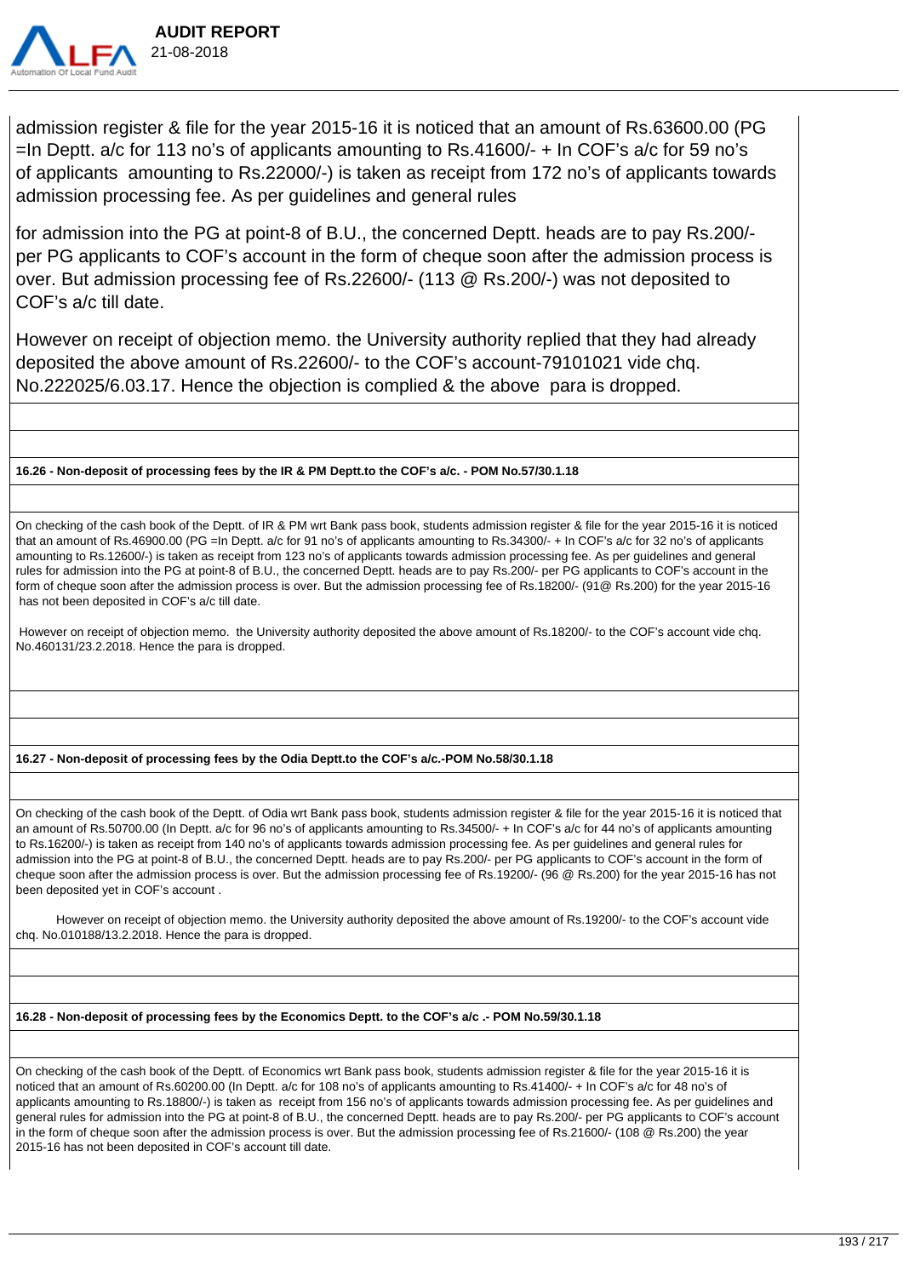

admission register & file for the year 2015-16 it is noticed that an amount of Rs.63600.00 (PG =In Deptt. a/c for 113 no's of applicants amounting to Rs.41600/- + In COF's a/c for 59 no's of applicants amounting to Rs.22000/-) is taken as receipt from 172 no's of applicants towards admission processing fee. As per guidelines and general rules

for admission into the PG at point-8 of B.U., the concerned Deptt. heads are to pay Rs.200/ per PG applicants to COF's account in the form of cheque soon after the admission process is over. But admission processing fee of Rs.22600/- (113 @ Rs.200/-) was not deposited to COF's a/c till date.

However on receipt of objection memo. the University authority replied that they had already deposited the above amount of Rs.22600/- to the COF's account-79101021 vide chq. No.222025/6.03.17. Hence the objection is complied & the above para is dropped.

**16.26 - Non-deposit of processing fees by the IR & PM Deptt.to the COF's a/c. - POM No.57/30.1.18**

On checking of the cash book of the Deptt. of IR & PM wrt Bank pass book, students admission register & file for the year 2015-16 it is noticed that an amount of Rs.46900.00 (PG =In Deptt. a/c for 91 no's of applicants amounting to Rs.34300/- + In COF's a/c for 32 no's of applicants amounting to Rs.12600/-) is taken as receipt from 123 no's of applicants towards admission processing fee. As per guidelines and general rules for admission into the PG at point-8 of B.U., the concerned Deptt. heads are to pay Rs.200/- per PG applicants to COF's account in the form of cheque soon after the admission process is over. But the admission processing fee of Rs.18200/- (91@ Rs.200) for the year 2015-16 has not been deposited in COF's a/c till date.

 However on receipt of objection memo. the University authority deposited the above amount of Rs.18200/- to the COF's account vide chq. No.460131/23.2.2018. Hence the para is dropped.

**16.27 - Non-deposit of processing fees by the Odia Deptt.to the COF's a/c.-POM No.58/30.1.18**

On checking of the cash book of the Deptt. of Odia wrt Bank pass book, students admission register & file for the year 2015-16 it is noticed that an amount of Rs.50700.00 (In Deptt. a/c for 96 no's of applicants amounting to Rs.34500/- + In COF's a/c for 44 no's of applicants amounting to Rs.16200/-) is taken as receipt from 140 no's of applicants towards admission processing fee. As per guidelines and general rules for admission into the PG at point-8 of B.U., the concerned Deptt. heads are to pay Rs.200/- per PG applicants to COF's account in the form of cheque soon after the admission process is over. But the admission processing fee of Rs.19200/- (96 @ Rs.200) for the year 2015-16 has not been deposited yet in COF's account .

 However on receipt of objection memo. the University authority deposited the above amount of Rs.19200/- to the COF's account vide chq. No.010188/13.2.2018. Hence the para is dropped.

**16.28 - Non-deposit of processing fees by the Economics Deptt. to the COF's a/c .- POM No.59/30.1.18**

On checking of the cash book of the Deptt. of Economics wrt Bank pass book, students admission register & file for the year 2015-16 it is noticed that an amount of Rs.60200.00 (In Deptt. a/c for 108 no's of applicants amounting to Rs.41400/- + In COF's a/c for 48 no's of applicants amounting to Rs.18800/-) is taken as receipt from 156 no's of applicants towards admission processing fee. As per guidelines and general rules for admission into the PG at point-8 of B.U., the concerned Deptt. heads are to pay Rs.200/- per PG applicants to COF's account in the form of cheque soon after the admission process is over. But the admission processing fee of Rs.21600/- (108 @ Rs.200) the year 2015-16 has not been deposited in COF's account till date.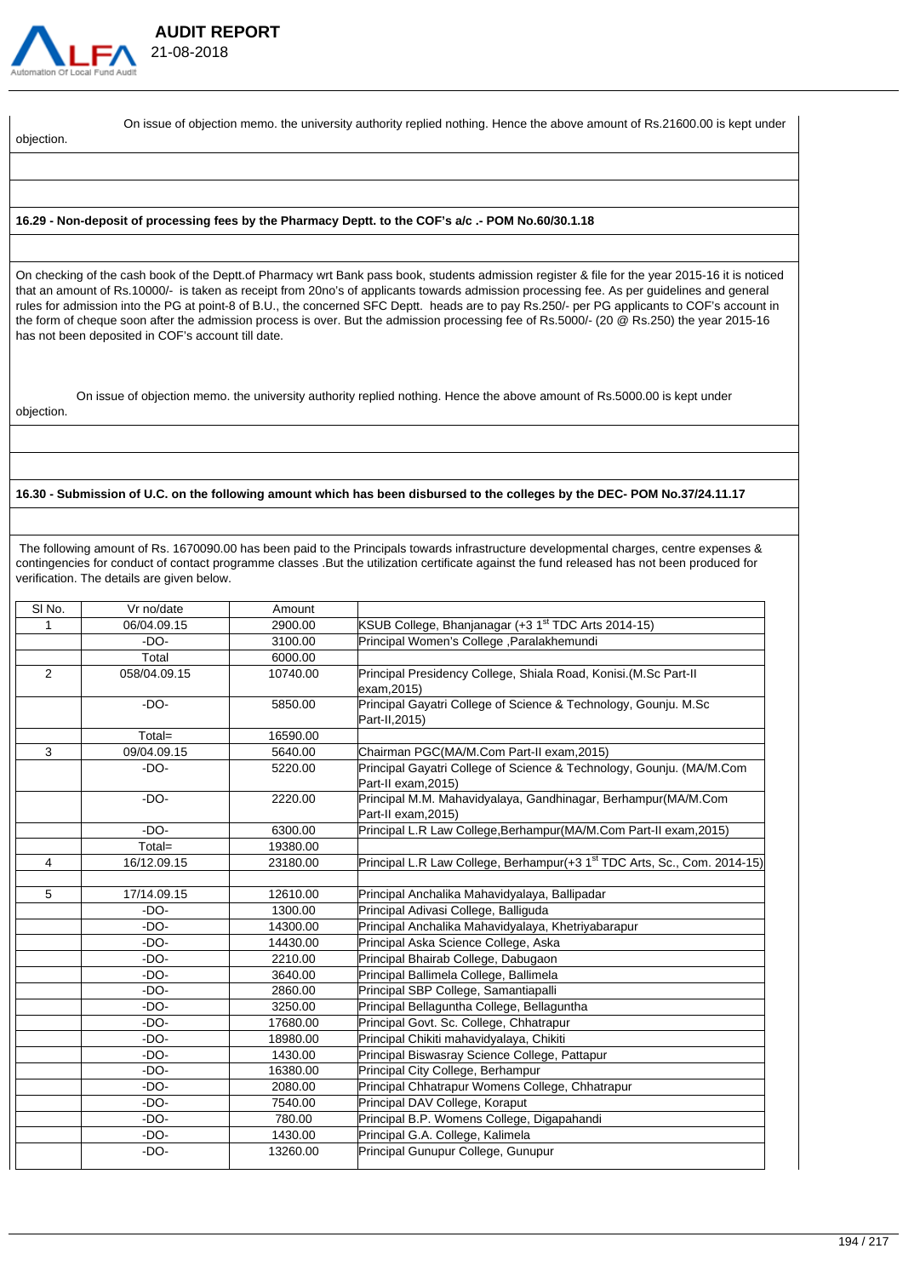

On issue of objection memo. the university authority replied nothing. Hence the above amount of Rs.21600.00 is kept under

objection.

#### **16.29 - Non-deposit of processing fees by the Pharmacy Deptt. to the COF's a/c .- POM No.60/30.1.18**

 **AUDIT REPORT** 

On checking of the cash book of the Deptt.of Pharmacy wrt Bank pass book, students admission register & file for the year 2015-16 it is noticed that an amount of Rs.10000/- is taken as receipt from 20no's of applicants towards admission processing fee. As per guidelines and general rules for admission into the PG at point-8 of B.U., the concerned SFC Deptt. heads are to pay Rs.250/- per PG applicants to COF's account in the form of cheque soon after the admission process is over. But the admission processing fee of Rs.5000/- (20 @ Rs.250) the year 2015-16 has not been deposited in COF's account till date.

 On issue of objection memo. the university authority replied nothing. Hence the above amount of Rs.5000.00 is kept under objection.

#### **16.30 - Submission of U.C. on the following amount which has been disbursed to the colleges by the DEC- POM No.37/24.11.17**

 The following amount of Rs. 1670090.00 has been paid to the Principals towards infrastructure developmental charges, centre expenses & contingencies for conduct of contact programme classes .But the utilization certificate against the fund released has not been produced for verification. The details are given below.

| SI No.       | Vr no/date   | Amount   |                                                                                      |  |
|--------------|--------------|----------|--------------------------------------------------------------------------------------|--|
| $\mathbf{1}$ | 06/04.09.15  | 2900.00  | KSUB College, Bhanjanagar (+3 1 <sup>st</sup> TDC Arts 2014-15)                      |  |
|              | $-DO-$       | 3100.00  | Principal Women's College , Paralakhemundi                                           |  |
|              | Total        | 6000.00  |                                                                                      |  |
| 2            | 058/04.09.15 | 10740.00 | Principal Presidency College, Shiala Road, Konisi.(M.Sc Part-II                      |  |
|              |              |          | exam, 2015)                                                                          |  |
|              | $-DO-$       | 5850.00  | Principal Gayatri College of Science & Technology, Gounju. M.Sc                      |  |
|              |              |          | Part-II, 2015)                                                                       |  |
|              | Total=       | 16590.00 |                                                                                      |  |
| 3            | 09/04.09.15  | 5640.00  | Chairman PGC(MA/M.Com Part-II exam, 2015)                                            |  |
|              | $-DO-$       | 5220.00  | Principal Gayatri College of Science & Technology, Gounju. (MA/M.Com                 |  |
|              |              |          | Part-II exam, 2015)                                                                  |  |
|              | $-DO-$       | 2220.00  | Principal M.M. Mahavidyalaya, Gandhinagar, Berhampur(MA/M.Com                        |  |
|              |              |          | Part-II exam, 2015)                                                                  |  |
|              | $-DO-$       | 6300.00  | Principal L.R Law College, Berhampur (MA/M.Com Part-II exam, 2015)                   |  |
|              | $Total =$    | 19380.00 |                                                                                      |  |
| 4            | 16/12.09.15  | 23180.00 | Principal L.R Law College, Berhampur(+3 1 <sup>st</sup> TDC Arts, Sc., Com. 2014-15) |  |
|              |              |          |                                                                                      |  |
| 5            | 17/14.09.15  | 12610.00 | Principal Anchalika Mahavidyalaya, Ballipadar                                        |  |
|              | -DO-         | 1300.00  | Principal Adivasi College, Balliguda                                                 |  |
|              | $-DO-$       | 14300.00 | Principal Anchalika Mahavidyalaya, Khetriyabarapur                                   |  |
|              | $-DO-$       | 14430.00 | Principal Aska Science College, Aska                                                 |  |
|              | $-DO-$       | 2210.00  | Principal Bhairab College, Dabugaon                                                  |  |
|              | $-DO-$       | 3640.00  | Principal Ballimela College, Ballimela                                               |  |
|              | $-DO-$       | 2860.00  | Principal SBP College, Samantiapalli                                                 |  |
|              | $-DO-$       | 3250.00  | Principal Bellaguntha College, Bellaguntha                                           |  |
|              | $-DO-$       | 17680.00 | Principal Govt. Sc. College, Chhatrapur                                              |  |
|              | $-DO-$       | 18980.00 | Principal Chikiti mahavidyalaya, Chikiti                                             |  |
|              | -DO-         | 1430.00  | Principal Biswasray Science College, Pattapur                                        |  |
|              | -DO-         | 16380.00 | Principal City College, Berhampur                                                    |  |
|              | $-DO-$       | 2080.00  | Principal Chhatrapur Womens College, Chhatrapur                                      |  |
|              | $-DO-$       | 7540.00  | Principal DAV College, Koraput                                                       |  |
|              | $-DO-$       | 780.00   | Principal B.P. Womens College, Digapahandi                                           |  |
|              | $-DO-$       | 1430.00  | Principal G.A. College, Kalimela                                                     |  |
|              | $-DO-$       | 13260.00 | Principal Gunupur College, Gunupur                                                   |  |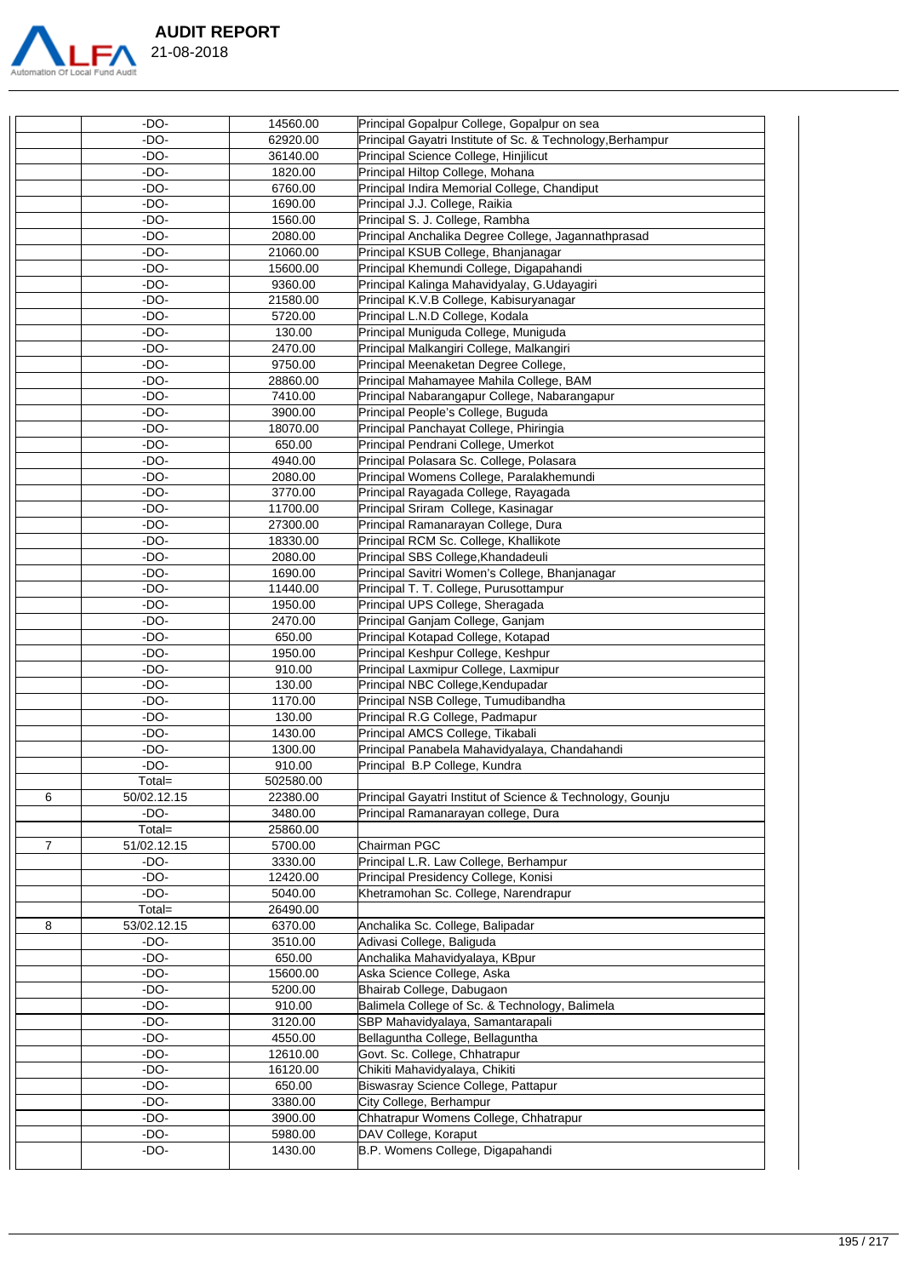

|                | $-DO-$           | 14560.00          | Principal Gopalpur College, Gopalpur on sea                         |  |
|----------------|------------------|-------------------|---------------------------------------------------------------------|--|
|                | $-DO-$           | 62920.00          | Principal Gayatri Institute of Sc. & Technology, Berhampur          |  |
|                | $-DO-$           | 36140.00          | Principal Science College, Hinjilicut                               |  |
|                | -DO-             | 1820.00           | Principal Hiltop College, Mohana                                    |  |
|                | $-DO-$           | 6760.00           | Principal Indira Memorial College, Chandiput                        |  |
|                | -DO-             | 1690.00           | Principal J.J. College, Raikia                                      |  |
|                | $-DO-$           | 1560.00           | Principal S. J. College, Rambha                                     |  |
|                | $-DO-$           | 2080.00           | Principal Anchalika Degree College, Jagannathprasad                 |  |
|                | $-DO-$           | 21060.00          | Principal KSUB College, Bhanjanagar                                 |  |
|                | $-DO-$           | 15600.00          | Principal Khemundi College, Digapahandi                             |  |
|                | $-DO-$           | 9360.00           | Principal Kalinga Mahavidyalay, G.Udayagiri                         |  |
|                | $-DO-$           | 21580.00          | Principal K.V.B College, Kabisuryanagar                             |  |
|                | $-DO-$           | 5720.00           | Principal L.N.D College, Kodala                                     |  |
|                | $-DO-$           | 130.00            | Principal Muniguda College, Muniguda                                |  |
|                | $-DO-$           | 2470.00           | Principal Malkangiri College, Malkangiri                            |  |
|                | $-DO-$           | 9750.00           | Principal Meenaketan Degree College,                                |  |
|                | $-DO-$           | 28860.00          | Principal Mahamayee Mahila College, BAM                             |  |
|                | $-DO-$           | 7410.00           | Principal Nabarangapur College, Nabarangapur                        |  |
|                | $-DO-$           | 3900.00           | Principal People's College, Buguda                                  |  |
|                | $-DO-$           | 18070.00          | Principal Panchayat College, Phiringia                              |  |
|                | $-DO-$           | 650.00            | Principal Pendrani College, Umerkot                                 |  |
|                | $-DO-$           | 4940.00           | Principal Polasara Sc. College, Polasara                            |  |
|                | $-DO-$           | 2080.00           | Principal Womens College, Paralakhemundi                            |  |
|                | $-DO-$           | 3770.00           | Principal Rayagada College, Rayagada                                |  |
|                | $-DO-$           | 11700.00          | Principal Sriram College, Kasinagar                                 |  |
|                | $-DO-$           | 27300.00          | Principal Ramanarayan College, Dura                                 |  |
|                | -DO-             | 18330.00          | Principal RCM Sc. College, Khallikote                               |  |
|                | $-DO-$           | 2080.00           | Principal SBS College, Khandadeuli                                  |  |
|                | -DO-             | 1690.00           | Principal Savitri Women's College, Bhanjanagar                      |  |
|                | -DO-             | 11440.00          | Principal T. T. College, Purusottampur                              |  |
|                | $-DO-$           | 1950.00           | Principal UPS College, Sheragada                                    |  |
|                | $-DO-$           | 2470.00           | Principal Ganjam College, Ganjam                                    |  |
|                | $-DO-$           | 650.00            | Principal Kotapad College, Kotapad                                  |  |
|                | $-DO-$           | 1950.00           | Principal Keshpur College, Keshpur                                  |  |
|                | $-DO-$           | 910.00            | Principal Laxmipur College, Laxmipur                                |  |
|                | $-DO-$           | 130.00            | Principal NBC College, Kendupadar                                   |  |
|                | $-DO-$<br>$-DO-$ | 1170.00           | Principal NSB College, Tumudibandha                                 |  |
|                | $-DO-$           | 130.00<br>1430.00 | Principal R.G College, Padmapur<br>Principal AMCS College, Tikabali |  |
|                | $-DO-$           | 1300.00           | Principal Panabela Mahavidyalaya, Chandahandi                       |  |
|                | $-DO-$           | 910.00            | Principal B.P College, Kundra                                       |  |
|                | Total=           | 502580.00         |                                                                     |  |
| 6              | 50/02.12.15      | 22380.00          | Principal Gayatri Institut of Science & Technology, Gounju          |  |
|                | $-DO-$           | 3480.00           | Principal Ramanarayan college, Dura                                 |  |
|                | Total=           | 25860.00          |                                                                     |  |
| $\overline{7}$ | 51/02.12.15      | 5700.00           | Chairman PGC                                                        |  |
|                | $-DO-$           | 3330.00           | Principal L.R. Law College, Berhampur                               |  |
|                | $-DO-$           | 12420.00          | Principal Presidency College, Konisi                                |  |
|                | $-DO-$           | 5040.00           | Khetramohan Sc. College, Narendrapur                                |  |
|                | Total=           | 26490.00          |                                                                     |  |
| 8              | 53/02.12.15      | 6370.00           | Anchalika Sc. College, Balipadar                                    |  |
|                | $-DO-$           | 3510.00           | Adivasi College, Baliguda                                           |  |
|                | $-DO-$           | 650.00            | Anchalika Mahavidyalaya, KBpur                                      |  |
|                | $-DO-$           | 15600.00          | Aska Science College, Aska                                          |  |
|                | $-DO-$           | 5200.00           | Bhairab College, Dabugaon                                           |  |
|                | $-DO-$           | 910.00            | Balimela College of Sc. & Technology, Balimela                      |  |
|                | $-DO-$           | 3120.00           | SBP Mahavidyalaya, Samantarapali                                    |  |
|                | $-DO-$           | 4550.00           | Bellaguntha College, Bellaguntha                                    |  |
|                | -DO-             | 12610.00          | Govt. Sc. College, Chhatrapur                                       |  |
|                | $-DO-$           | 16120.00          | Chikiti Mahavidyalaya, Chikiti                                      |  |
|                | $-DO-$           | 650.00            | Biswasray Science College, Pattapur                                 |  |
|                | $-DO-$           | 3380.00           | City College, Berhampur                                             |  |
|                | -DO-             | 3900.00           | Chhatrapur Womens College, Chhatrapur                               |  |
|                | $-DO-$           | 5980.00           | DAV College, Koraput                                                |  |
|                | $-DO-$           | 1430.00           | B.P. Womens College, Digapahandi                                    |  |
|                |                  |                   |                                                                     |  |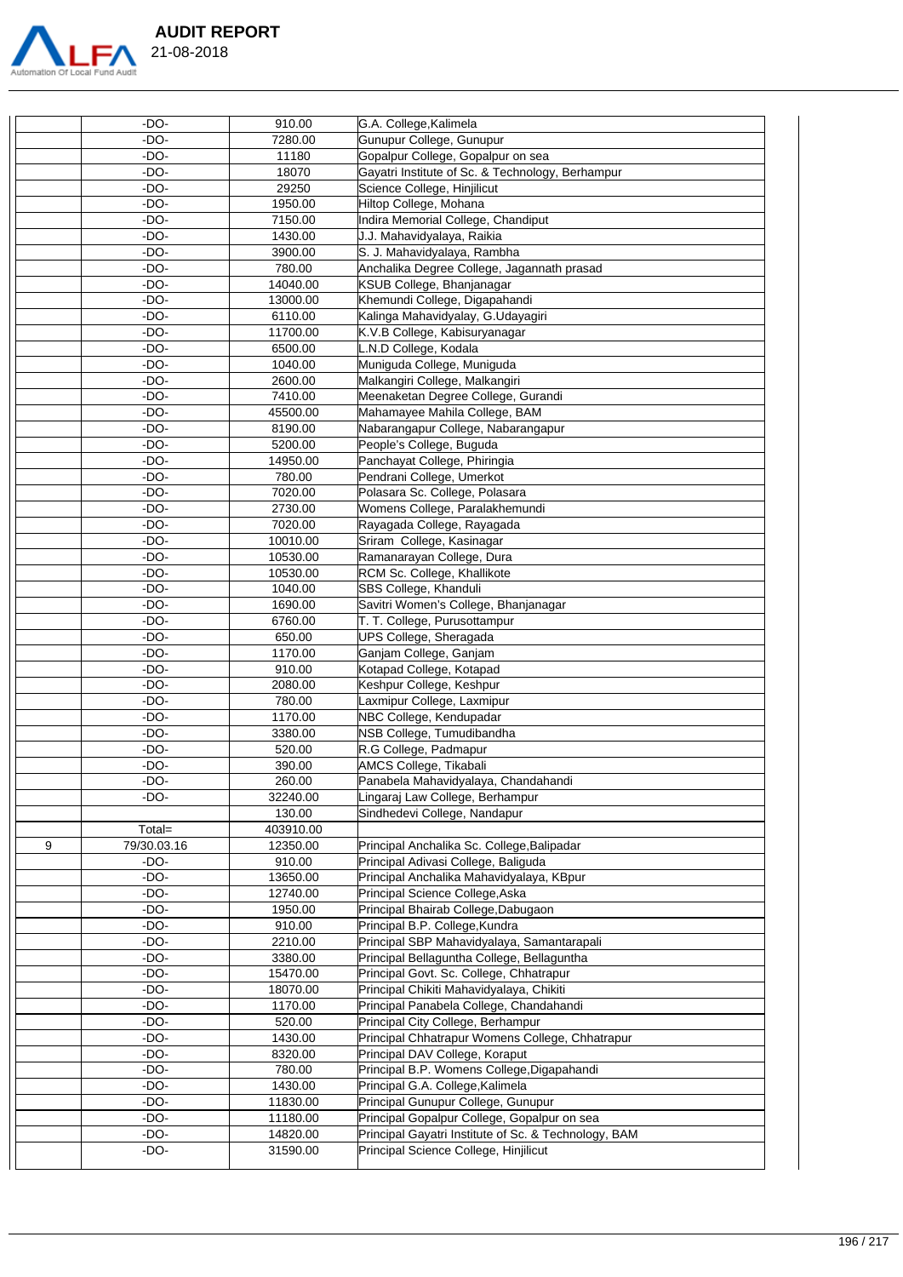

|   | $-DO-$      | 910.00    | G.A. College, Kalimela                               |  |
|---|-------------|-----------|------------------------------------------------------|--|
|   | -DO-        | 7280.00   | Gunupur College, Gunupur                             |  |
|   | -DO-        | 11180     | Gopalpur College, Gopalpur on sea                    |  |
|   | -DO-        | 18070     | Gayatri Institute of Sc. & Technology, Berhampur     |  |
|   | -DO-        | 29250     | Science College, Hinjilicut                          |  |
|   | -DO-        | 1950.00   | Hiltop College, Mohana                               |  |
|   | -DO-        | 7150.00   | Indira Memorial College, Chandiput                   |  |
|   | -DO-        | 1430.00   | J.J. Mahavidyalaya, Raikia                           |  |
|   | $-DO-$      | 3900.00   | S. J. Mahavidyalaya, Rambha                          |  |
|   | -DO-        | 780.00    | Anchalika Degree College, Jagannath prasad           |  |
|   |             |           |                                                      |  |
|   | -DO-        | 14040.00  | KSUB College, Bhanjanagar                            |  |
|   | -DO-        | 13000.00  | Khemundi College, Digapahandi                        |  |
|   | $-DO-$      | 6110.00   | Kalinga Mahavidyalay, G.Udayagiri                    |  |
|   | -DO-        | 11700.00  | K.V.B College, Kabisuryanagar                        |  |
|   | -DO-        | 6500.00   | N.D College, Kodala                                  |  |
|   | -DO-        | 1040.00   | Muniguda College, Muniguda                           |  |
|   | $-DO-$      | 2600.00   | Malkangiri College, Malkangiri                       |  |
|   | -DO-        | 7410.00   | Meenaketan Degree College, Gurandi                   |  |
|   | -DO-        | 45500.00  | Mahamayee Mahila College, BAM                        |  |
|   | -DO-        | 8190.00   | Nabarangapur College, Nabarangapur                   |  |
|   | $-DO-$      | 5200.00   | People's College, Buguda                             |  |
|   | $-DO-$      | 14950.00  | Panchayat College, Phiringia                         |  |
|   | -DO-        | 780.00    | Pendrani College, Umerkot                            |  |
|   | -DO-        | 7020.00   | Polasara Sc. College, Polasara                       |  |
|   |             |           |                                                      |  |
|   | -DO-        | 2730.00   | Womens College, Paralakhemundi                       |  |
|   | $-DO-$      | 7020.00   | Rayagada College, Rayagada                           |  |
|   | -DO-        | 10010.00  | Sriram College, Kasinagar                            |  |
|   | -DO-        | 10530.00  | Ramanarayan College, Dura                            |  |
|   | -DO-        | 10530.00  | RCM Sc. College, Khallikote                          |  |
|   | $-DO-$      | 1040.00   | SBS College, Khanduli                                |  |
|   | -DO-        | 1690.00   | Savitri Women's College, Bhanjanagar                 |  |
|   | -DO-        | 6760.00   | T. T. College, Purusottampur                         |  |
|   | -DO-        | 650.00    | <b>UPS College, Sheragada</b>                        |  |
|   | $-DO-$      | 1170.00   | Ganjam College, Ganjam                               |  |
|   | -DO-        | 910.00    | Kotapad College, Kotapad                             |  |
|   | -DO-        | 2080.00   | Keshpur College, Keshpur                             |  |
|   | -DO-        | 780.00    | axmipur College, Laxmipur                            |  |
|   | $-DO-$      | 1170.00   | NBC College, Kendupadar                              |  |
|   | -DO-        | 3380.00   | NSB College, Tumudibandha                            |  |
|   | -DO-        | 520.00    | R.G College, Padmapur                                |  |
|   |             |           |                                                      |  |
|   | -DO-        | 390.00    | AMCS College, Tikabali                               |  |
|   | -DO-        | 260.00    | Panabela Mahavidyalaya, Chandahandi                  |  |
|   | -DO-        | 32240.00  | ingaraj Law College, Berhampur                       |  |
|   |             | 130.00    | Sindhedevi College, Nandapur                         |  |
|   | Total=      | 403910.00 |                                                      |  |
| 9 | 79/30.03.16 | 12350.00  | Principal Anchalika Sc. College, Balipadar           |  |
|   | $-DO-$      | 910.00    | Principal Adivasi College, Baliguda                  |  |
|   | -DO-        | 13650.00  | Principal Anchalika Mahavidyalaya, KBpur             |  |
|   | -DO-        | 12740.00  | Principal Science College, Aska                      |  |
|   | -DO-        | 1950.00   | Principal Bhairab College, Dabugaon                  |  |
|   | $-DO-$      | 910.00    | Principal B.P. College, Kundra                       |  |
|   | -DO-        | 2210.00   | Principal SBP Mahavidyalaya, Samantarapali           |  |
|   | -DO-        | 3380.00   | Principal Bellaguntha College, Bellaguntha           |  |
|   | -DO-        | 15470.00  | Principal Govt. Sc. College, Chhatrapur              |  |
|   | $-DO-$      | 18070.00  | Principal Chikiti Mahavidyalaya, Chikiti             |  |
|   | -DO-        | 1170.00   | Principal Panabela College, Chandahandi              |  |
|   |             |           |                                                      |  |
|   | -DO-        | 520.00    | Principal City College, Berhampur                    |  |
|   | -DO-        | 1430.00   | Principal Chhatrapur Womens College, Chhatrapur      |  |
|   | -DO-        | 8320.00   | Principal DAV College, Koraput                       |  |
|   | -DO-        | 780.00    | Principal B.P. Womens College, Digapahandi           |  |
|   | -DO-        | 1430.00   | Principal G.A. College, Kalimela                     |  |
|   | -DO-        | 11830.00  | Principal Gunupur College, Gunupur                   |  |
|   | -DO-        | 11180.00  | Principal Gopalpur College, Gopalpur on sea          |  |
|   | $-DO-$      | 14820.00  | Principal Gayatri Institute of Sc. & Technology, BAM |  |
|   | $-DO-$      | 31590.00  | Principal Science College, Hinjilicut                |  |
|   |             |           |                                                      |  |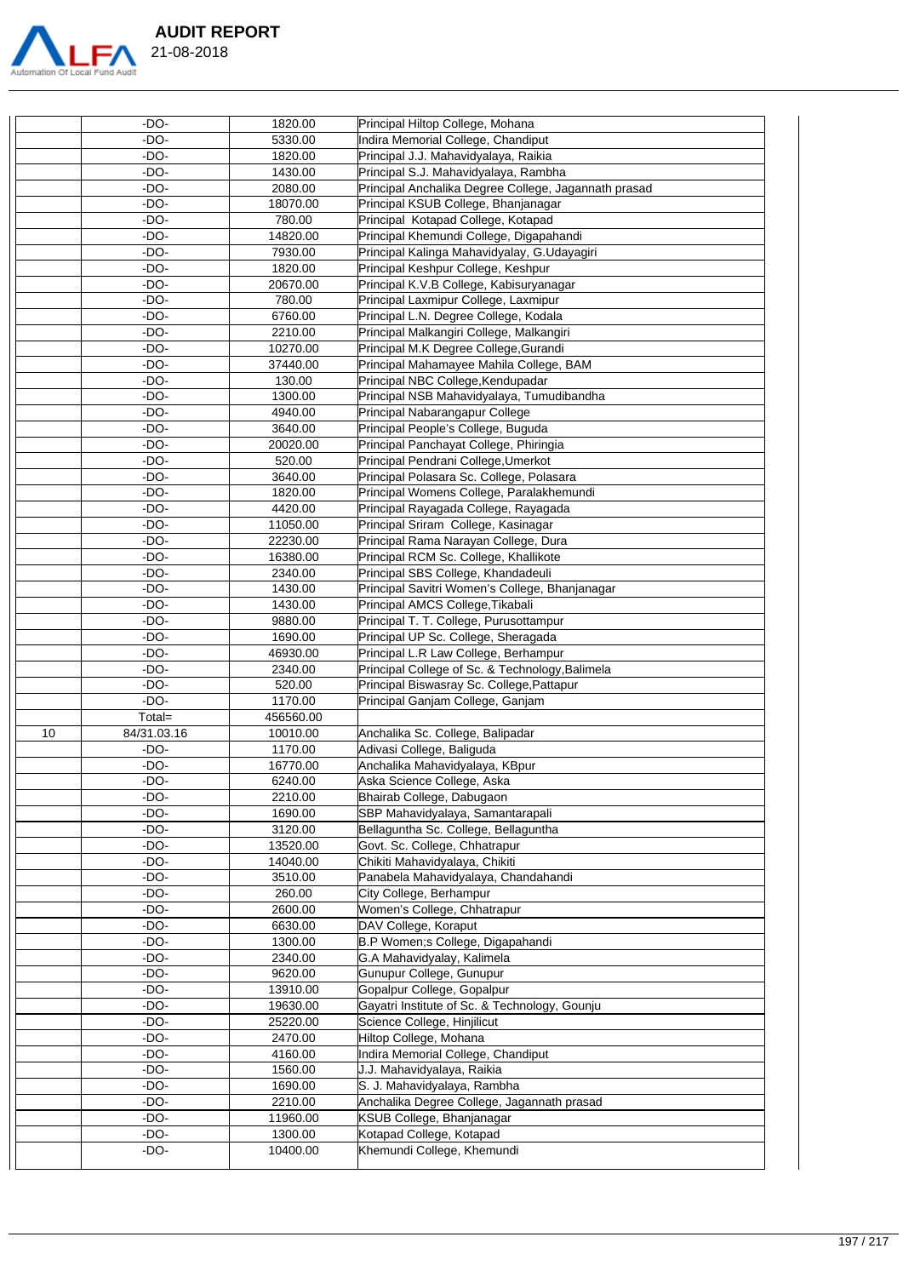

|    | -DO-             | 1820.00             | Principal Hiltop College, Mohana                       |  |
|----|------------------|---------------------|--------------------------------------------------------|--|
|    | -DO-             | 5330.00             | Indira Memorial College, Chandiput                     |  |
|    | $-DO-$           | 1820.00             | Principal J.J. Mahavidyalaya, Raikia                   |  |
|    | $-DO-$           | 1430.00             | Principal S.J. Mahavidyalaya, Rambha                   |  |
|    | $-DO-$           | 2080.00             | Principal Anchalika Degree College, Jagannath prasad   |  |
|    | -DO-             | 18070.00            | Principal KSUB College, Bhanjanagar                    |  |
|    | $-DO-$           | 780.00              | Principal Kotapad College, Kotapad                     |  |
|    | -DO-             | 14820.00            | Principal Khemundi College, Digapahandi                |  |
|    | -DO-             | 7930.00             | Principal Kalinga Mahavidyalay, G.Udayagiri            |  |
|    | -DO-             | 1820.00             | Principal Keshpur College, Keshpur                     |  |
|    | -DO-             | 20670.00            | Principal K.V.B College, Kabisuryanagar                |  |
|    | -DO-             | 780.00              | Principal Laxmipur College, Laxmipur                   |  |
|    | $-DO-$           | 6760.00             | Principal L.N. Degree College, Kodala                  |  |
|    | -DO-             | 2210.00             | Principal Malkangiri College, Malkangiri               |  |
|    | $-DO-$           | 10270.00            | Principal M.K Degree College, Gurandi                  |  |
|    | $-DO-$           | 37440.00            | Principal Mahamayee Mahila College, BAM                |  |
|    | -DO-             | 130.00              | Principal NBC College, Kendupadar                      |  |
|    | $-DO-$           | 1300.00             | Principal NSB Mahavidyalaya, Tumudibandha              |  |
|    | $-DO-$           | 4940.00             | Principal Nabarangapur College                         |  |
|    | $-DO-$           | 3640.00             | Principal People's College, Buguda                     |  |
|    | $-DO-$           | 20020.00            | Principal Panchayat College, Phiringia                 |  |
|    | $-DO-$           | 520.00              | Principal Pendrani College, Umerkot                    |  |
|    | $-DO-$           | 3640.00             | Principal Polasara Sc. College, Polasara               |  |
|    | $-DO-$           | 1820.00             | Principal Womens College, Paralakhemundi               |  |
|    |                  |                     |                                                        |  |
|    | -DO-<br>$-DO-$   | 4420.00             | Principal Rayagada College, Rayagada                   |  |
|    |                  | 11050.00            | Principal Sriram College, Kasinagar                    |  |
|    | -DO-             | 22230.00            | Principal Rama Narayan College, Dura                   |  |
|    | $-DO-$           | 16380.00            | Principal RCM Sc. College, Khallikote                  |  |
|    | -DO-             | 2340.00             | Principal SBS College, Khandadeuli                     |  |
|    | $-DO-$           | 1430.00             | Principal Savitri Women's College, Bhanjanagar         |  |
|    | -DO-             | 1430.00             | Principal AMCS College, Tikabali                       |  |
|    | -DO-             | 9880.00             | Principal T. T. College, Purusottampur                 |  |
|    | $-DO-$           | 1690.00             | Principal UP Sc. College, Sheragada                    |  |
|    | $-DO-$           | 46930.00            | Principal L.R Law College, Berhampur                   |  |
|    | $-DO-$           | 2340.00             | Principal College of Sc. & Technology, Balimela        |  |
|    | $-DO-$           | 520.00              | Principal Biswasray Sc. College, Pattapur              |  |
|    | $-DO-$           | 1170.00             | Principal Ganjam College, Ganjam                       |  |
|    | Total=           | 456560.00           |                                                        |  |
| 10 | 84/31.03.16      | 10010.00            | Anchalika Sc. College, Balipadar                       |  |
|    | $-DO-$           | 1170.00             | Adivasi College, Baliguda                              |  |
|    | $-DO-$           | 16770.00            | Anchalika Mahavidyalaya, KBpur                         |  |
|    | -DO-             | 6240.00             | Aska Science College, Aska                             |  |
|    | $-DO-$           |                     |                                                        |  |
|    |                  | 2210.00             | Bhairab College, Dabugaon                              |  |
|    | -DO-             | 1690.00             | SBP Mahavidyalaya, Samantarapali                       |  |
|    | $-DO-$           | 3120.00             | Bellaguntha Sc. College, Bellaguntha                   |  |
|    | $-DO-$           | 13520.00            | Govt. Sc. College, Chhatrapur                          |  |
|    | $-DO-$           | 14040.00            | Chikiti Mahavidyalaya, Chikiti                         |  |
|    | $-DO-$           | 3510.00             | Panabela Mahavidyalaya, Chandahandi                    |  |
|    | $-DO-$           | 260.00              | City College, Berhampur                                |  |
|    | $-DO-$           | 2600.00             | Women's College, Chhatrapur                            |  |
|    | -DO-             | 6630.00             | DAV College, Koraput                                   |  |
|    | $-DO-$           | 1300.00             | B.P Women;s College, Digapahandi                       |  |
|    | $-DO-$           | 2340.00             | G.A Mahavidyalay, Kalimela                             |  |
|    | $-DO-$           | 9620.00             | Gunupur College, Gunupur                               |  |
|    | $-DO-$           | 13910.00            | Gopalpur College, Gopalpur                             |  |
|    | $-DO-$           | 19630.00            | Gayatri Institute of Sc. & Technology, Gounju          |  |
|    | $-DO-$           |                     | Science College, Hinjilicut                            |  |
|    | $-DO-$           | 25220.00            |                                                        |  |
|    | $-DO-$           | 2470.00             | Hiltop College, Mohana                                 |  |
|    |                  | 4160.00             | Indira Memorial College, Chandiput                     |  |
|    | $-DO-$           | 1560.00             | J.J. Mahavidyalaya, Raikia                             |  |
|    | $-DO-$           | 1690.00             | S. J. Mahavidyalaya, Rambha                            |  |
|    | $-DO-$           | 2210.00             | Anchalika Degree College, Jagannath prasad             |  |
|    | $-DO-$           | 11960.00            | KSUB College, Bhanjanagar                              |  |
|    | $-DO-$<br>$-DO-$ | 1300.00<br>10400.00 | Kotapad College, Kotapad<br>Khemundi College, Khemundi |  |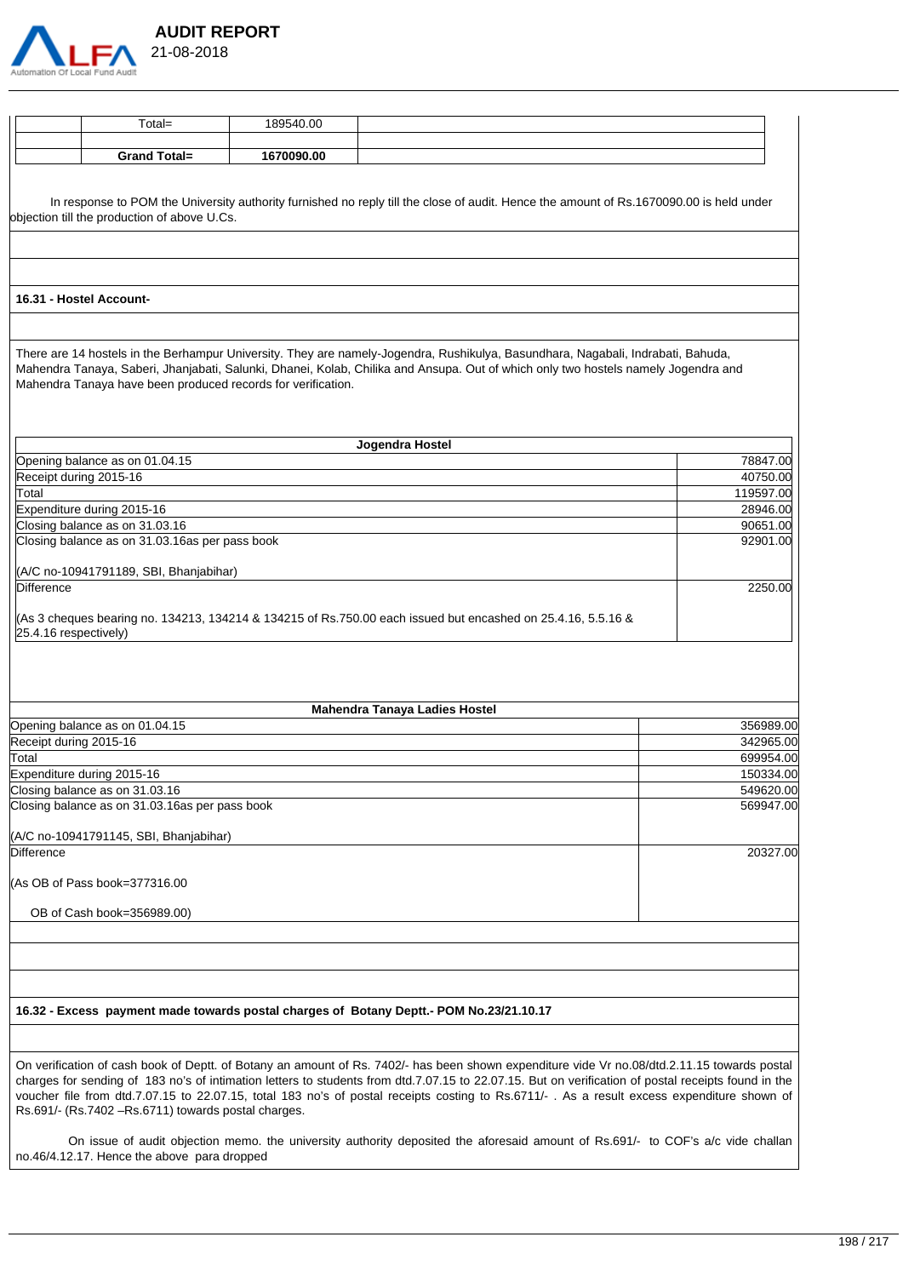

| $\tau$ otal=        | 189540.00 |  |
|---------------------|-----------|--|
|                     |           |  |
| <b>Grand Total=</b> | 70090.00  |  |

 In response to POM the University authority furnished no reply till the close of audit. Hence the amount of Rs.1670090.00 is held under objection till the production of above U.Cs.

#### **16.31 - Hostel Account-**

There are 14 hostels in the Berhampur University. They are namely-Jogendra, Rushikulya, Basundhara, Nagabali, Indrabati, Bahuda, Mahendra Tanaya, Saberi, Jhanjabati, Salunki, Dhanei, Kolab, Chilika and Ansupa. Out of which only two hostels namely Jogendra and Mahendra Tanaya have been produced records for verification.

| Jogendra Hostel                                                                                                                         |           |  |
|-----------------------------------------------------------------------------------------------------------------------------------------|-----------|--|
| Opening balance as on 01.04.15                                                                                                          | 78847.00  |  |
| Receipt during 2015-16                                                                                                                  | 40750.00  |  |
| Total                                                                                                                                   | 119597.00 |  |
| Expenditure during 2015-16                                                                                                              | 28946.00  |  |
| Closing balance as on 31.03.16                                                                                                          | 90651.00  |  |
| Closing balance as on 31.03.16as per pass book                                                                                          | 92901.00  |  |
| (A/C no-10941791189, SBI, Bhanjabihar)                                                                                                  |           |  |
| Difference                                                                                                                              | 2250.00   |  |
| (As 3 cheques bearing no. 134213, 134214 & 134215 of Rs.750.00 each issued but encashed on 25.4.16, 5.5.16 &<br>$25.4.16$ respectively) |           |  |

| <b>Mahendra Tanaya Ladies Hostel</b>           |           |  |
|------------------------------------------------|-----------|--|
| Opening balance as on 01.04.15                 | 356989.00 |  |
| Receipt during 2015-16                         | 342965.00 |  |
| Total                                          | 699954.00 |  |
| Expenditure during 2015-16                     | 150334.00 |  |
| Closing balance as on 31.03.16                 | 549620.00 |  |
| Closing balance as on 31.03.16as per pass book | 569947.00 |  |
| (A/C no-10941791145, SBI, Bhanjabihar)         |           |  |
| Difference                                     | 20327.00  |  |
| (As OB of Pass book=377316.00                  |           |  |
| OB of Cash book=356989.00)                     |           |  |
|                                                |           |  |
|                                                |           |  |
|                                                |           |  |

#### **16.32 - Excess payment made towards postal charges of Botany Deptt.- POM No.23/21.10.17**

On verification of cash book of Deptt. of Botany an amount of Rs. 7402/- has been shown expenditure vide Vr no.08/dtd.2.11.15 towards postal charges for sending of 183 no's of intimation letters to students from dtd.7.07.15 to 22.07.15. But on verification of postal receipts found in the voucher file from dtd.7.07.15 to 22.07.15, total 183 no's of postal receipts costing to Rs.6711/- . As a result excess expenditure shown of Rs.691/- (Rs.7402 –Rs.6711) towards postal charges.

 On issue of audit objection memo. the university authority deposited the aforesaid amount of Rs.691/- to COF's a/c vide challan no.46/4.12.17. Hence the above para dropped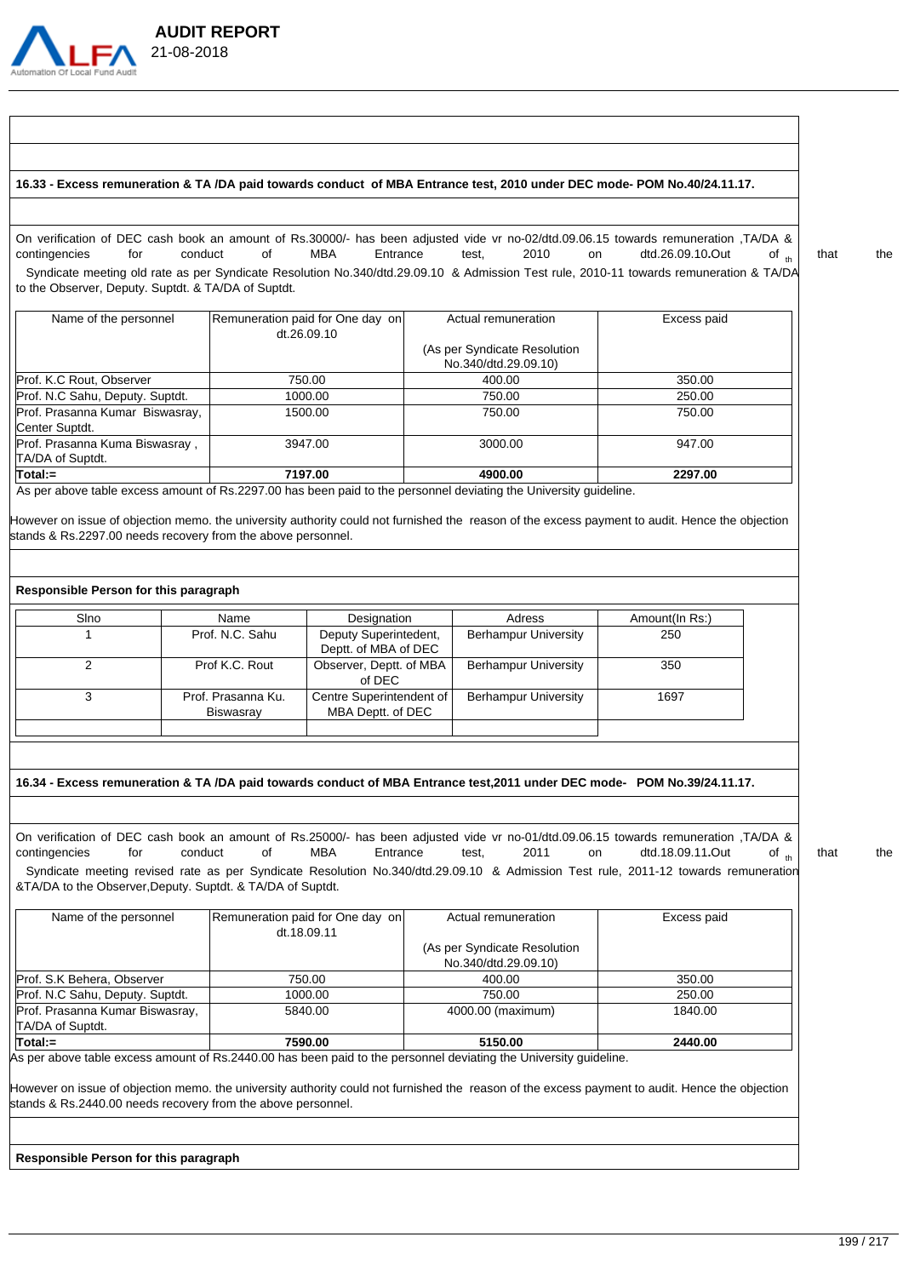

 **AUDIT REPORT** 

#### **16.33 - Excess remuneration & TA /DA paid towards conduct of MBA Entrance test, 2010 under DEC mode- POM No.40/24.11.17.**

On verification of DEC cash book an amount of Rs.30000/- has been adjusted vide vr no-02/dtd.09.06.15 towards remuneration ,TA/DA & contingencies for conduct of MBA Entrance test, 2010 on dtd.26.09.10**.**Out of <sub>th</sub> that the Syndicate meeting old rate as per Syndicate Resolution No.340/dtd.29.09.10 & Admission Test rule, 2010-11 towards remuneration & TA/DA to the Observer, Deputy. Suptdt. & TA/DA of Suptdt.

| Name of the personnel                              | Remuneration paid for One day on<br>dt.26.09.10 | Actual remuneration                                  | Excess paid |
|----------------------------------------------------|-------------------------------------------------|------------------------------------------------------|-------------|
|                                                    |                                                 | (As per Syndicate Resolution<br>No.340/dtd.29.09.10) |             |
| Prof. K.C Rout, Observer                           | 750.00                                          | 400.00                                               | 350.00      |
| Prof. N.C Sahu, Deputy. Suptdt.                    | 1000.00                                         | 750.00                                               | 250.00      |
| Prof. Prasanna Kumar Biswasray,<br>Center Suptdt.  | 1500.00                                         | 750.00                                               | 750.00      |
| Prof. Prasanna Kuma Biswasray,<br>TA/DA of Suptdt. | 3947.00                                         | 3000.00                                              | 947.00      |
| Total:=                                            | 7197.00                                         | 4900.00                                              | 2297.00     |

As per above table excess amount of Rs.2297.00 has been paid to the personnel deviating the University guideline.

However on issue of objection memo. the university authority could not furnished the reason of the excess payment to audit. Hence the objection stands & Rs.2297.00 needs recovery from the above personnel.

#### **Responsible Person for this paragraph**

| Sino | Name               | Designation              | Adress                      | Amount(In Rs:) |
|------|--------------------|--------------------------|-----------------------------|----------------|
|      | Prof. N.C. Sahu    | Deputy Superintedent,    | <b>Berhampur University</b> | 250            |
|      |                    | Deptt. of MBA of DEC     |                             |                |
|      | Prof K.C. Rout     | Observer, Deptt. of MBA  | <b>Berhampur University</b> | 350            |
|      |                    | of DEC                   |                             |                |
|      | Prof. Prasanna Ku. | Centre Superintendent of | <b>Berhampur University</b> | 1697           |
|      | <b>Biswasrav</b>   | MBA Deptt. of DEC        |                             |                |
|      |                    |                          |                             |                |

#### **16.34 - Excess remuneration & TA /DA paid towards conduct of MBA Entrance test,2011 under DEC mode- POM No.39/24.11.17.**

On verification of DEC cash book an amount of Rs.25000/- has been adjusted vide vr no-01/dtd.09.06.15 towards remuneration ,TA/DA & contingencies for conduct of MBA Entrance test, 2011 on dtd.18.09.11**.**Out of <sub>th</sub> that the Syndicate meeting revised rate as per Syndicate Resolution No.340/dtd.29.09.10 & Admission Test rule, 2011-12 towards remuneration &TA/DA to the Observer,Deputy. Suptdt. & TA/DA of Suptdt.

| Name of the personnel           | Remuneration paid for One day on | Actual remuneration          | Excess paid |
|---------------------------------|----------------------------------|------------------------------|-------------|
|                                 | dt.18.09.11                      |                              |             |
|                                 |                                  | (As per Syndicate Resolution |             |
|                                 |                                  | No.340/dtd.29.09.10)         |             |
| Prof. S.K Behera, Observer      | 750.00                           | 400.00                       | 350.00      |
| Prof. N.C Sahu, Deputy. Suptdt. | 1000.00                          | 750.00                       | 250.00      |
| Prof. Prasanna Kumar Biswasray, | 5840.00                          | 4000.00 (maximum)            | 1840.00     |
| <b>TA/DA of Suptdt.</b>         |                                  |                              |             |
| Total:=                         | 7590.00                          | 5150.00                      | 2440.00     |

As per above table excess amount of Rs.2440.00 has been paid to the personnel deviating the University guideline.

However on issue of objection memo. the university authority could not furnished the reason of the excess payment to audit. Hence the objection stands & Rs.2440.00 needs recovery from the above personnel.

#### **Responsible Person for this paragraph**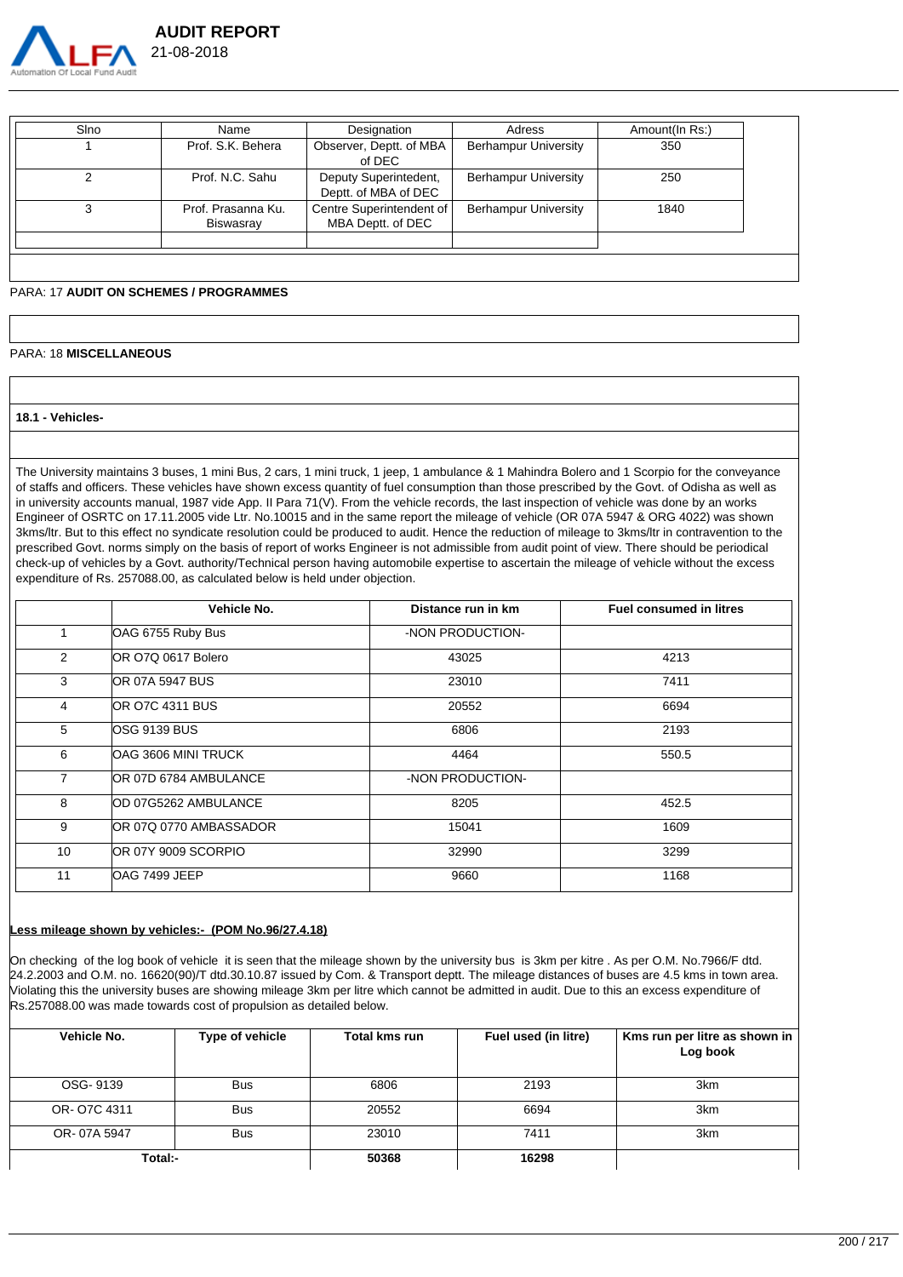

| Sino | Name                                   | Designation                                   | Adress                      | Amount(In Rs:) |
|------|----------------------------------------|-----------------------------------------------|-----------------------------|----------------|
|      | Prof. S.K. Behera                      | Observer, Deptt. of MBA<br>of DEC             | <b>Berhampur University</b> | 350            |
|      | Prof. N.C. Sahu                        | Deputy Superintedent,<br>Deptt. of MBA of DEC | <b>Berhampur University</b> | 250            |
|      | Prof. Prasanna Ku.<br><b>Biswasrav</b> | Centre Superintendent of<br>MBA Deptt. of DEC | <b>Berhampur University</b> | 1840           |
|      |                                        |                                               |                             |                |

#### PARA: 17 **AUDIT ON SCHEMES / PROGRAMMES**

#### PARA: 18 **MISCELLANEOUS**

#### **18.1 - Vehicles-**

The University maintains 3 buses, 1 mini Bus, 2 cars, 1 mini truck, 1 jeep, 1 ambulance & 1 Mahindra Bolero and 1 Scorpio for the conveyance of staffs and officers. These vehicles have shown excess quantity of fuel consumption than those prescribed by the Govt. of Odisha as well as in university accounts manual, 1987 vide App. II Para 71(V). From the vehicle records, the last inspection of vehicle was done by an works Engineer of OSRTC on 17.11.2005 vide Ltr. No.10015 and in the same report the mileage of vehicle (OR 07A 5947 & ORG 4022) was shown 3kms/ltr. But to this effect no syndicate resolution could be produced to audit. Hence the reduction of mileage to 3kms/ltr in contravention to the prescribed Govt. norms simply on the basis of report of works Engineer is not admissible from audit point of view. There should be periodical check-up of vehicles by a Govt. authority/Technical person having automobile expertise to ascertain the mileage of vehicle without the excess expenditure of Rs. 257088.00, as calculated below is held under objection.

|                | Vehicle No.            | Distance run in km | <b>Fuel consumed in litres</b> |
|----------------|------------------------|--------------------|--------------------------------|
| $\mathbf{1}$   | OAG 6755 Ruby Bus      | -NON PRODUCTION-   |                                |
| 2              | IOR O7Q 0617 Bolero    | 43025              | 4213                           |
| 3              | OR 07A 5947 BUS        | 23010              | 7411                           |
| 4              | <b>OR O7C 4311 BUS</b> | 20552              | 6694                           |
| 5              | OSG 9139 BUS           | 6806               | 2193                           |
| 6              | OAG 3606 MINI TRUCK    | 4464               | 550.5                          |
| $\overline{7}$ | OR 07D 6784 AMBULANCE  | -NON PRODUCTION-   |                                |
| 8              | OD 07G5262 AMBULANCE   | 8205               | 452.5                          |
| 9              | OR 07Q 0770 AMBASSADOR | 15041              | 1609                           |
| 10             | OR 07Y 9009 SCORPIO    | 32990              | 3299                           |
| 11             | OAG 7499 JEEP          | 9660               | 1168                           |

#### **Less mileage shown by vehicles:- (POM No.96/27.4.18)**

On checking of the log book of vehicle it is seen that the mileage shown by the university bus is 3km per kitre . As per O.M. No.7966/F dtd. 24.2.2003 and O.M. no. 16620(90)/T dtd.30.10.87 issued by Com. & Transport deptt. The mileage distances of buses are 4.5 kms in town area. Violating this the university buses are showing mileage 3km per litre which cannot be admitted in audit. Due to this an excess expenditure of Rs.257088.00 was made towards cost of propulsion as detailed below.

| Vehicle No. | Type of vehicle | <b>Total kms run</b> | Fuel used (in litre) | Kms run per litre as shown in<br>Log book |
|-------------|-----------------|----------------------|----------------------|-------------------------------------------|
| OSG-9139    | <b>Bus</b>      | 6806                 | 2193                 | 3 <sub>km</sub>                           |
| OR-07C 4311 | <b>Bus</b>      | 20552                | 6694                 | 3 <sub>km</sub>                           |
| OR-07A 5947 | <b>Bus</b>      | 23010                | 7411                 | 3 <sub>km</sub>                           |
| Total:-     |                 | 50368                | 16298                |                                           |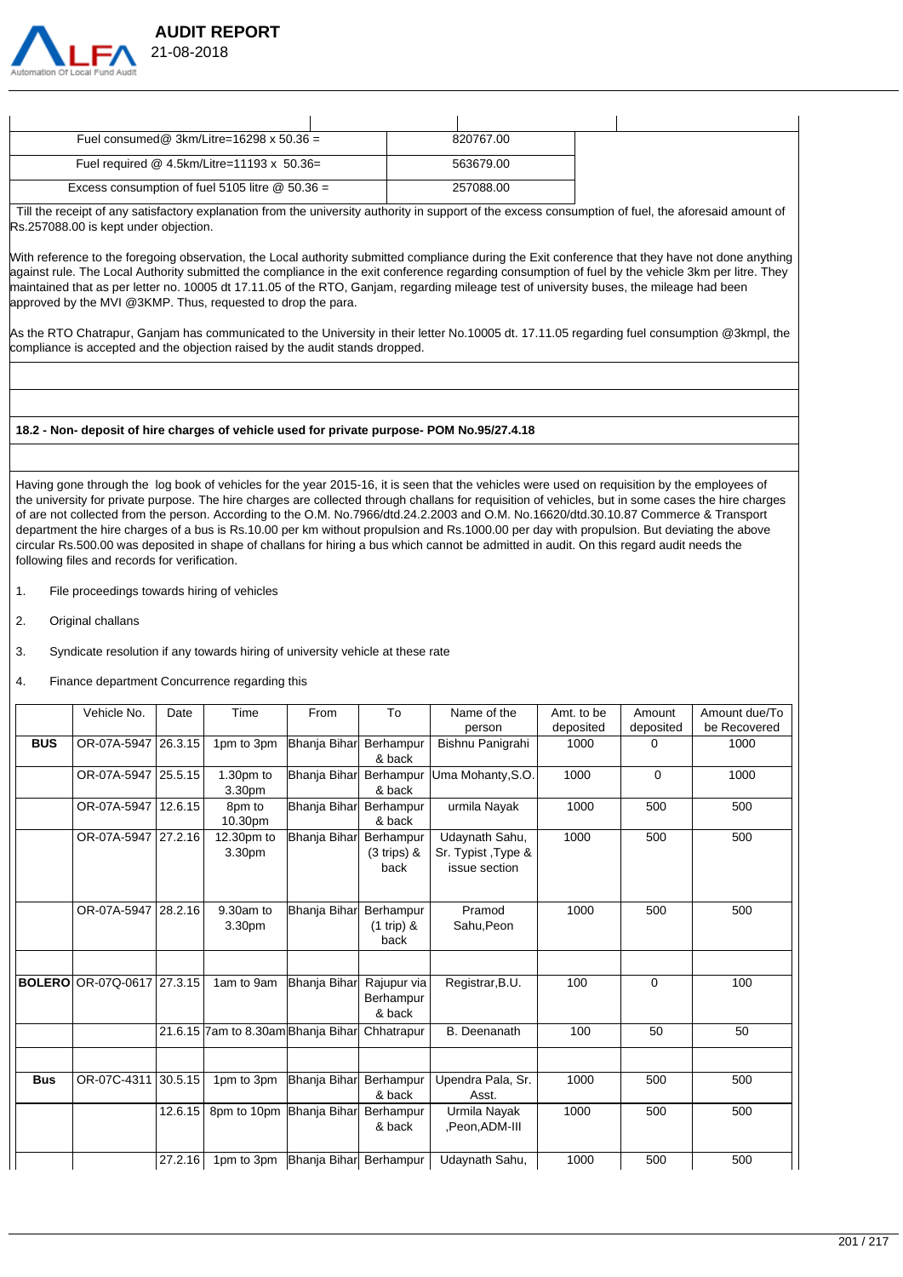

| Fuel consumed@ 3km/Litre=16298 x 50.36 =          | 820767.00 |  |
|---------------------------------------------------|-----------|--|
| Fuel required $@$ 4.5km/Litre=11193 x 50.36=      | 563679.00 |  |
| Excess consumption of fuel 5105 litre $@$ 50.36 = | 257088.00 |  |

 Till the receipt of any satisfactory explanation from the university authority in support of the excess consumption of fuel, the aforesaid amount of Rs.257088.00 is kept under objection.

With reference to the foregoing observation, the Local authority submitted compliance during the Exit conference that they have not done anything against rule. The Local Authority submitted the compliance in the exit conference regarding consumption of fuel by the vehicle 3km per litre. They maintained that as per letter no. 10005 dt 17.11.05 of the RTO, Ganjam, regarding mileage test of university buses, the mileage had been approved by the MVI @3KMP. Thus, requested to drop the para.

As the RTO Chatrapur, Ganjam has communicated to the University in their letter No.10005 dt. 17.11.05 regarding fuel consumption @3kmpl, the compliance is accepted and the objection raised by the audit stands dropped.

#### **18.2 - Non- deposit of hire charges of vehicle used for private purpose- POM No.95/27.4.18**

 **AUDIT REPORT** 

Having gone through the log book of vehicles for the year 2015-16, it is seen that the vehicles were used on requisition by the employees of the university for private purpose. The hire charges are collected through challans for requisition of vehicles, but in some cases the hire charges of are not collected from the person. According to the O.M. No.7966/dtd.24.2.2003 and O.M. No.16620/dtd.30.10.87 Commerce & Transport department the hire charges of a bus is Rs.10.00 per km without propulsion and Rs.1000.00 per day with propulsion. But deviating the above circular Rs.500.00 was deposited in shape of challans for hiring a bus which cannot be admitted in audit. On this regard audit needs the following files and records for verification.

- 1. File proceedings towards hiring of vehicles
- 2. Original challans
- 3. Syndicate resolution if any towards hiring of university vehicle at these rate
- 4. Finance department Concurrence regarding this

|            | Vehicle No.                       | Date    | Time                               | From                | To                                   | Name of the<br>person                                  | Amt. to be<br>deposited | Amount<br>deposited | Amount due/To<br>be Recovered |
|------------|-----------------------------------|---------|------------------------------------|---------------------|--------------------------------------|--------------------------------------------------------|-------------------------|---------------------|-------------------------------|
| <b>BUS</b> | OR-07A-5947                       | 26.3.15 | 1pm to 3pm                         | Bhanja Bihar        | Berhampur<br>& back                  | Bishnu Panigrahi                                       | 1000                    | $\Omega$            | 1000                          |
|            | OR-07A-5947                       | 25.5.15 | 1.30pm to<br>3.30pm                | Bhanja Bihar        | Berhampur<br>& back                  | Uma Mohanty, S.O.                                      | 1000                    | $\mathbf 0$         | 1000                          |
|            | OR-07A-5947                       | 12.6.15 | 8pm to<br>10.30pm                  | Bhanja Bihar        | Berhampur<br>& back                  | urmila Nayak                                           | 1000                    | 500                 | 500                           |
|            | OR-07A-5947 27.2.16               |         | 12.30pm to<br>3.30pm               | Bhanja Bihar        | Berhampur<br>$(3$ trips) $8$<br>back | Udaynath Sahu,<br>Sr. Typist , Type &<br>issue section | 1000                    | 500                 | 500                           |
|            | OR-07A-5947 28.2.16               |         | 9.30am to<br>3.30pm                | <b>Bhanja Bihar</b> | Berhampur<br>$(1$ trip) &<br>back    | Pramod<br>Sahu, Peon                                   | 1000                    | 500                 | 500                           |
|            | <b>BOLERO OR-07Q-0617 27.3.15</b> |         | 1am to 9am                         | <b>Bhanja Bihar</b> | Rajupur via<br>Berhampur<br>& back   | Registrar, B.U.                                        | 100                     | 0                   | 100                           |
|            |                                   |         | 21.6.15 7am to 8.30am Bhanja Bihar |                     | Chhatrapur                           | <b>B.</b> Deenanath                                    | 100                     | 50                  | 50                            |
| <b>Bus</b> | OR-07C-4311                       | 30.5.15 | 1pm to 3pm                         | Bhanja Bihar        | Berhampur<br>& back                  | Upendra Pala, Sr.<br>Asst.                             | 1000                    | 500                 | 500                           |
|            |                                   | 12.6.15 | 8pm to 10pm Bhanja Bihar           |                     | Berhampur<br>& back                  | Urmila Nayak<br>,Peon,ADM-III                          | 1000                    | 500                 | 500                           |
|            |                                   | 27.2.16 | 1pm to 3pm                         | Bhanja Bihar        | Berhampur                            | Udaynath Sahu,                                         | 1000                    | 500                 | 500                           |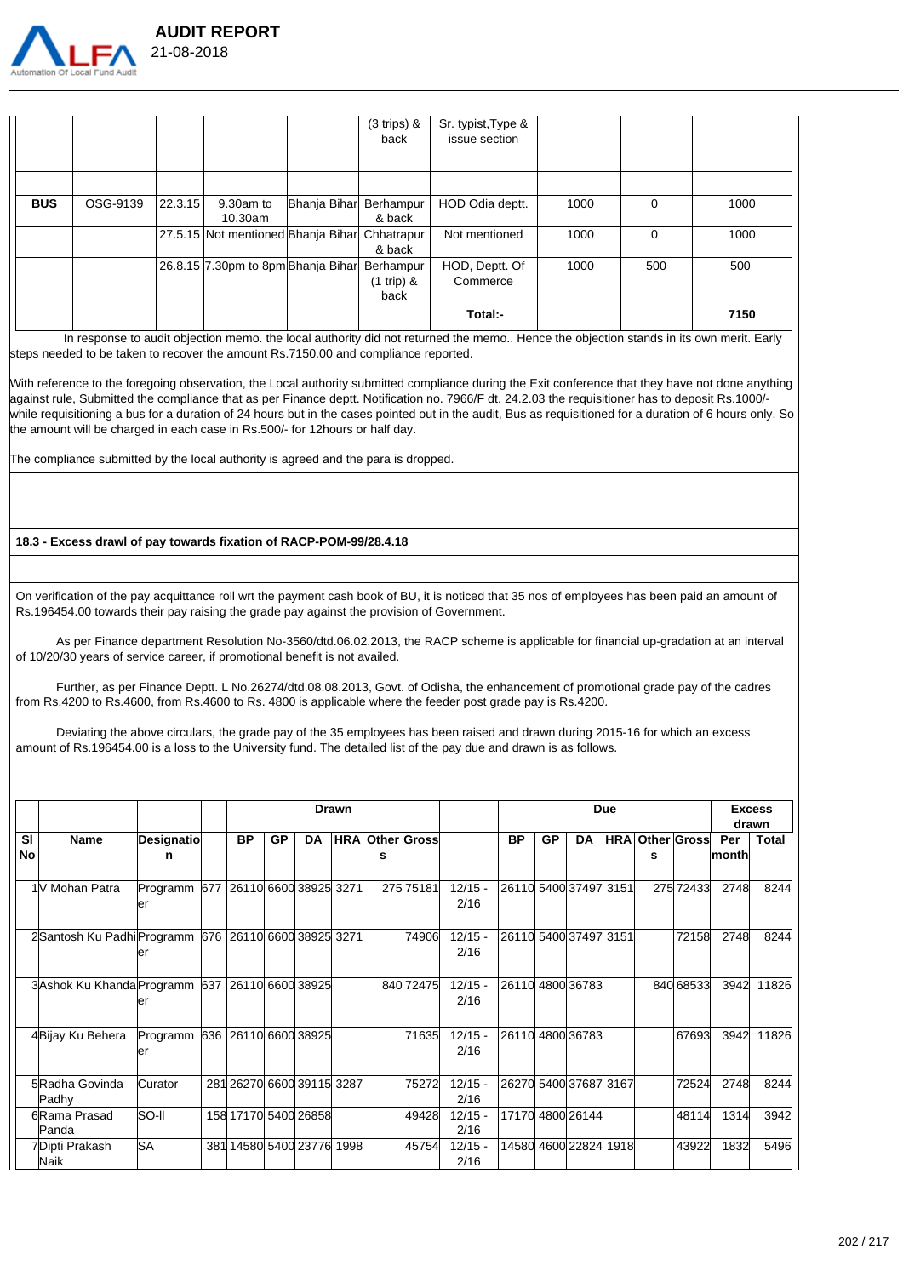

|            |          |         |                                               |                        | $(3$ trips) &<br>back             | Sr. typist, Type &<br>issue section |      |          |      |
|------------|----------|---------|-----------------------------------------------|------------------------|-----------------------------------|-------------------------------------|------|----------|------|
|            |          |         |                                               |                        |                                   |                                     |      |          |      |
| <b>BUS</b> | OSG-9139 | 22.3.15 | 9.30am to<br>10.30am                          | Bhanja Bihar Berhampur | & back                            | HOD Odia deptt.                     | 1000 | 0        | 1000 |
|            |          |         | 27.5.15 Not mentioned Bhanja Bihar Chhatrapur |                        | & back                            | Not mentioned                       | 1000 | $\Omega$ | 1000 |
|            |          |         | 26.8.15 7.30pm to 8pm Bhanja Bihar            |                        | Berhampur<br>$(1$ trip) &<br>back | HOD, Deptt. Of<br>Commerce          | 1000 | 500      | 500  |
|            |          |         |                                               |                        |                                   | Total:-                             |      |          | 7150 |

 In response to audit objection memo. the local authority did not returned the memo.. Hence the objection stands in its own merit. Early steps needed to be taken to recover the amount Rs.7150.00 and compliance reported.

With reference to the foregoing observation, the Local authority submitted compliance during the Exit conference that they have not done anything against rule, Submitted the compliance that as per Finance deptt. Notification no. 7966/F dt. 24.2.03 the requisitioner has to deposit Rs.1000/ while requisitioning a bus for a duration of 24 hours but in the cases pointed out in the audit, Bus as requisitioned for a duration of 6 hours only. So the amount will be charged in each case in Rs.500/- for 12hours or half day.

The compliance submitted by the local authority is agreed and the para is dropped.

 **AUDIT REPORT** 

#### **18.3 - Excess drawl of pay towards fixation of RACP-POM-99/28.4.18**

On verification of the pay acquittance roll wrt the payment cash book of BU, it is noticed that 35 nos of employees has been paid an amount of Rs.196454.00 towards their pay raising the grade pay against the provision of Government.

 As per Finance department Resolution No-3560/dtd.06.02.2013, the RACP scheme is applicable for financial up-gradation at an interval of 10/20/30 years of service career, if promotional benefit is not availed.

 Further, as per Finance Deptt. L No.26274/dtd.08.08.2013, Govt. of Odisha, the enhancement of promotional grade pay of the cadres from Rs.4200 to Rs.4600, from Rs.4600 to Rs. 4800 is applicable where the feeder post grade pay is Rs.4200.

 Deviating the above circulars, the grade pay of the 35 employees has been raised and drawn during 2015-16 for which an excess amount of Rs.196454.00 is a loss to the University fund. The detailed list of the pay due and drawn is as follows.

|           |                                                      |                                           |           |    |                           | <b>Drawn</b> |                        |           |                   |           |           |                       | <b>Due</b> |                          |           | drawn          | <b>Excess</b> |
|-----------|------------------------------------------------------|-------------------------------------------|-----------|----|---------------------------|--------------|------------------------|-----------|-------------------|-----------|-----------|-----------------------|------------|--------------------------|-----------|----------------|---------------|
| <b>SI</b> | <b>Name</b>                                          | Designatio                                | <b>BP</b> | GP | DA                        |              | <b>HRA</b> Other Gross |           |                   | <b>BP</b> | <b>GP</b> | DA                    |            | <b>HRAI Other Grossl</b> |           | Per            | <b>Total</b>  |
| No        |                                                      | n                                         |           |    |                           |              | s                      |           |                   |           |           |                       |            | s                        |           | <b>Imonthl</b> |               |
|           | 1V Mohan Patra                                       | Programm 677 26110 6600 38925 3271<br>ler |           |    |                           |              |                        | 275 75181 | $12/15 -$<br>2/16 |           |           | 26110 5400 37497 3151 |            |                          | 275 72433 | 2748           | 8244          |
|           | 2Santosh Ku Padhi Programm 676 26110 6600 38925 3271 | ler                                       |           |    |                           |              |                        | 74906     | $12/15 -$<br>2/16 |           |           | 26110 5400 37497 3151 |            |                          | 72158     | 2748           | 8244          |
|           | 3Ashok Ku Khanda Programm 637 26110 6600 38925       | ler                                       |           |    |                           |              |                        | 840 72475 | $12/15 -$<br>2/16 |           |           | 26110 4800 36783      |            |                          | 840 68533 | 3942           | 11826         |
|           | 4Bijay Ku Behera                                     | Programm 636 26110 6600 38925<br>ler      |           |    |                           |              |                        | 71635     | $12/15 -$<br>2/16 |           |           | 26110 4800 36783      |            |                          | 67693     | 3942           | 11826         |
|           | 5Radha Govinda<br>Padhy                              | Curator                                   |           |    | 281 26270 6600 39115 3287 |              |                        | 75272     | $12/15 -$<br>2/16 |           |           | 26270 5400 37687 3167 |            |                          | 72524     | 2748           | 8244          |
|           | 6Rama Prasad<br>Panda                                | SO-II                                     |           |    | 158 17170 5400 26858      |              |                        | 49428     | $12/15 -$<br>2/16 |           |           | 17170 4800 26144      |            |                          | 48114     | 1314           | 3942          |
|           | 7Dipti Prakash<br>Naik                               | <b>SA</b>                                 |           |    | 381 14580 5400 23776 1998 |              |                        | 45754     | $12/15 -$<br>2/16 |           |           | 14580 4600 22824 1918 |            |                          | 43922     | 1832           | 5496          |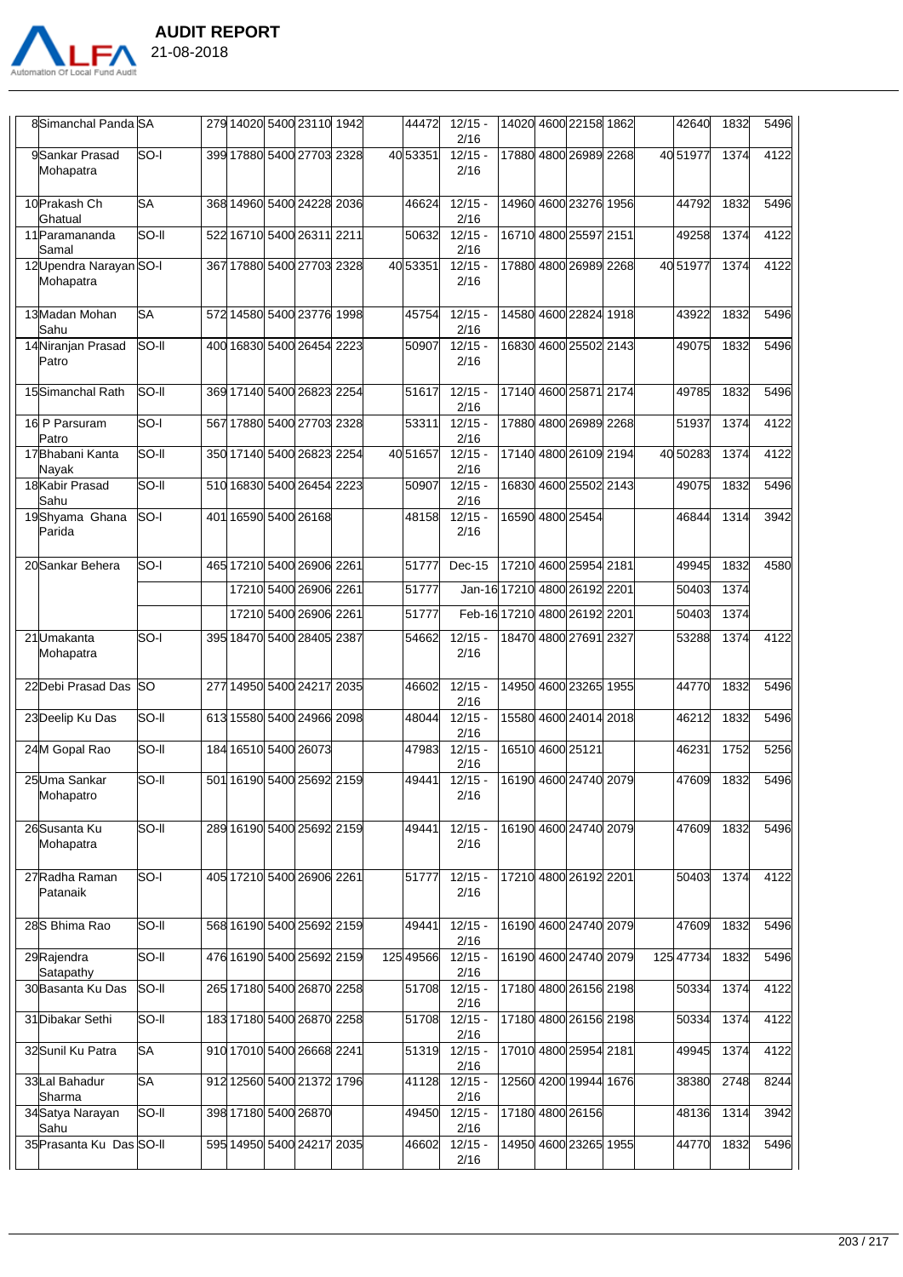

| 8Simanchal Panda SA                 |              |  | 279 14020 5400 23110 1942 |  | 44472          | $12/15 -$<br>2/16            |       | 14020 4600 22158 1862 |  | 42640     | 1832 | 5496 |
|-------------------------------------|--------------|--|---------------------------|--|----------------|------------------------------|-------|-----------------------|--|-----------|------|------|
| 9Sankar Prasad<br>Mohapatra         | lso-i        |  | 399 17880 5400 27703 2328 |  | 40 53351       | $12/15 -$<br>2/16            |       | 17880 4800 26989 2268 |  | 40 51977  | 1374 | 4122 |
| 10 Prakash Ch<br>Ghatual            | lsa          |  | 368 14960 5400 24228 2036 |  | 46624          | $12/15 -$<br>2/16            |       | 14960 4600 23276 1956 |  | 44792     | 1832 | 5496 |
| 11 Paramananda<br>Samal             | SO-II        |  | 522 16710 5400 26311 2211 |  | 50632          | $12/15 -$<br>2/16            |       | 16710 4800 25597 2151 |  | 49258     | 1374 | 4122 |
| 12Upendra Narayan SO-I<br>Mohapatra |              |  | 367 17880 5400 27703 2328 |  | 40 53351       | $12/15 -$<br>2/16            |       | 17880 4800 26989 2268 |  | 40 51977  | 1374 | 4122 |
| 13 Madan Mohan<br>Sahu              | <b>SA</b>    |  | 572 14580 5400 23776 1998 |  | 45754          | $12/15 -$<br>2/16            | 14580 | 4600 22824 1918       |  | 43922     | 1832 | 5496 |
| 14 Niranjan Prasad<br>Patro         | $ SO-H $     |  | 400 16830 5400 26454 2223 |  | 50907          | $12/15 -$<br>2/16            |       | 16830 4600 25502 2143 |  | 49075     | 1832 | 5496 |
| 15Simanchal Rath                    | <b>SO-II</b> |  | 369 17140 5400 26823 2254 |  | 51617          | $12/15 -$<br>2/16            |       | 17140 4600 25871 2174 |  | 49785     | 1832 | 5496 |
| 16 P Parsuram<br>Patro              | SO-I         |  | 567 17880 5400 27703 2328 |  | 33311          | $12/15 -$<br>2/16            |       | 17880 4800 26989 2268 |  | 51937     | 1374 | 4122 |
| 17 Bhabani Kanta<br>Navak           | SO-II        |  | 350 17140 5400 26823 2254 |  | 40 51657       | $12/15 -$<br>2/16            |       | 17140 4800 26109 2194 |  | 40 50 283 | 1374 | 4122 |
| 18 Kabir Prasad<br>Sahu             | lso-ii       |  | 510 16830 5400 26454 2223 |  | 50907          | $12/15 -$<br>2/16            |       | 16830 4600 25502 2143 |  | 49075     | 1832 | 5496 |
| 19Shyama Ghana<br>Parida            | $ SO-I $     |  | 401 16590 5400 26168      |  | 48158          | $12/15 -$<br>2/16            |       | 16590 4800 25454      |  | 46844     | 1314 | 3942 |
| 20 Sankar Behera                    | lso-ı        |  | 465 17210 5400 26906 2261 |  | 51777          | $Dec-15$                     |       | 17210 4600 25954 2181 |  | 49945     | 1832 | 4580 |
|                                     |              |  | 17210 5400 26906 2261     |  | 51777          | Jan-16 17210 4800 26192 2201 |       |                       |  | 50403     | 1374 |      |
|                                     | $ SO-I $     |  | 17210 5400 26906 2261     |  | 51777<br>54662 | Feb-16 17210 4800 26192 2201 |       |                       |  | 50403     | 1374 |      |
| 21Umakanta<br>Mohapatra             |              |  | 395 18470 5400 28405 2387 |  |                | $12/15 -$<br>2/16            |       | 18470 4800 27691 2327 |  | 53288     | 1374 | 4122 |
| 22 Debi Prasad Das                  | lso          |  | 277 14950 5400 24217 2035 |  | 46602          | $12/15 -$<br>2/16            |       | 14950 4600 23265 1955 |  | 44770     | 1832 | 5496 |
| 23 Deelip Ku Das                    | $SO-II$      |  | 613 15580 5400 24966 2098 |  | 48044          | $12/15 -$<br>2/16            |       | 15580 4600 24014 2018 |  | 46212     | 1832 | 5496 |
| 24M Gopal Rao                       | SO-II        |  | 184 16510 5400 26073      |  | 47983          | $12/15 -$<br>2/16            |       | 16510 4600 25121      |  | 46231     | 1752 | 5256 |
| 25Uma Sankar<br>Mohapatro           | SO-II        |  | 501 16190 5400 25692 2159 |  | 49441          | $12/15 -$<br>2/16            |       | 16190 4600 24740 2079 |  | 47609     | 1832 | 5496 |
| 26 Susanta Ku<br>Mohapatra          | SO-II        |  | 289 16190 5400 25692 2159 |  | 49441          | $12/15 -$<br>2/16            |       | 16190 4600 24740 2079 |  | 47609     | 1832 | 5496 |
| 27 Radha Raman<br>Patanaik          | SO-I         |  | 405 17210 5400 26906 2261 |  | 51777          | $12/15 -$<br>2/16            |       | 17210 4800 26192 2201 |  | 50403     | 1374 | 4122 |
| 28S Bhima Rao                       | $SO-II$      |  | 568 16190 5400 25692 2159 |  | 49441          | $12/15 -$<br>2/16            |       | 16190 4600 24740 2079 |  | 47609     | 1832 | 5496 |
| 29 Rajendra<br>Satapathy            | SO-II        |  | 476 16190 5400 25692 2159 |  | 125 49566      | $12/15 -$<br>2/16            |       | 16190 4600 24740 2079 |  | 12547734  | 1832 | 5496 |
| 30 Basanta Ku Das                   | SO-II        |  | 265 17180 5400 26870 2258 |  | 51708          | $12/15 -$<br>2/16            |       | 17180 4800 26156 2198 |  | 50334     | 1374 | 4122 |
| 31 Dibakar Sethi                    | $ SO-I $     |  | 183 17180 5400 26870 2258 |  | 51708          | $12/15 -$<br>2/16            |       | 17180 4800 26156 2198 |  | 50334     | 1374 | 4122 |
| 32 Sunil Ku Patra                   | <b>SA</b>    |  | 910 17010 5400 26668 2241 |  | 51319          | $12/15 -$<br>2/16            |       | 17010 4800 25954 2181 |  | 49945     | 1374 | 4122 |
| 33Lal Bahadur<br>Sharma             | <b>SA</b>    |  | 912 12560 5400 21372 1796 |  | 41128          | $12/15 -$<br>2/16            |       | 12560 4200 19944 1676 |  | 38380     | 2748 | 8244 |
| 34 Satya Narayan<br>Sahu            | SO-II        |  | 398 17180 5400 26870      |  | 49450          | $12/15 -$<br>2/16            |       | 17180 4800 26156      |  | 48136     | 1314 | 3942 |
| 35 Prasanta Ku Das SO-II            |              |  | 595 14950 5400 24217 2035 |  | 46602          | $12/15 -$<br>2/16            |       | 14950 4600 23265 1955 |  | 44770     | 1832 | 5496 |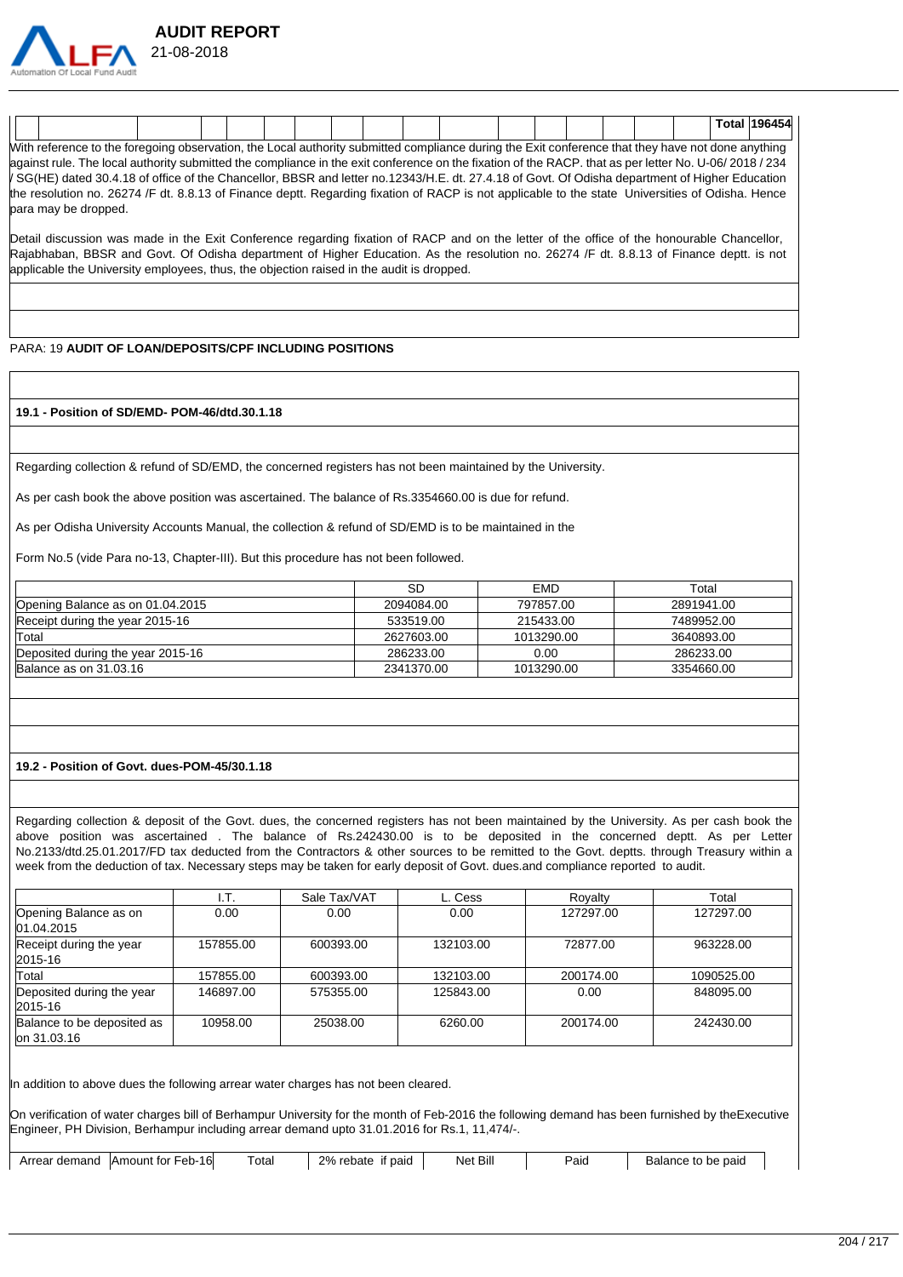

|                                                                                                                                                                                                                                                                                                                             |                                                                                                                                                                                                                                                                                       |  |  |  |  |  |  |  |  |  |  |  |  |  | Total 196454 |
|-----------------------------------------------------------------------------------------------------------------------------------------------------------------------------------------------------------------------------------------------------------------------------------------------------------------------------|---------------------------------------------------------------------------------------------------------------------------------------------------------------------------------------------------------------------------------------------------------------------------------------|--|--|--|--|--|--|--|--|--|--|--|--|--|--------------|
| With reference to the foregoing observation, the Local authority submitted compliance during the Exit conference that they have not done anything<br>against rule. The local authority submitted the compliance in the exit conference on the fixation of the RACP, that as per letter No. U-06/2018 / 234                  |                                                                                                                                                                                                                                                                                       |  |  |  |  |  |  |  |  |  |  |  |  |  |              |
|                                                                                                                                                                                                                                                                                                                             |                                                                                                                                                                                                                                                                                       |  |  |  |  |  |  |  |  |  |  |  |  |  |              |
|                                                                                                                                                                                                                                                                                                                             |                                                                                                                                                                                                                                                                                       |  |  |  |  |  |  |  |  |  |  |  |  |  |              |
| V SG(HE) dated 30.4.18 of office of the Chancellor, BBSR and letter no.12343/H.E. dt. 27.4.18 of Govt. Of Odisha department of Higher Education<br>the resolution no. 26274 /F dt. 8.8.13 of Finance deptt. Regarding fixation of RACP is not applicable to the state Universities of Odisha. Hence<br>para may be dropped. |                                                                                                                                                                                                                                                                                       |  |  |  |  |  |  |  |  |  |  |  |  |  |              |
|                                                                                                                                                                                                                                                                                                                             | Detail discussion was made in the Exit Conference regarding fixation of RACP and on the letter of the office of the honourable Chancellor,<br>Rajabhaban, BBSR and Govt. Of Odisha department of Higher Education. As the resolution no. 26274 /F dt. 8.8.13 of Finance deptt. is not |  |  |  |  |  |  |  |  |  |  |  |  |  |              |

#### PARA: 19 **AUDIT OF LOAN/DEPOSITS/CPF INCLUDING POSITIONS**

applicable the University employees, thus, the objection raised in the audit is dropped.

 **AUDIT REPORT** 

#### **19.1 - Position of SD/EMD- POM-46/dtd.30.1.18**

Regarding collection & refund of SD/EMD, the concerned registers has not been maintained by the University.

As per cash book the above position was ascertained. The balance of Rs.3354660.00 is due for refund.

As per Odisha University Accounts Manual, the collection & refund of SD/EMD is to be maintained in the

Form No.5 (vide Para no-13, Chapter-III). But this procedure has not been followed.

|                                   | SD         | <b>EMD</b> | Total      |
|-----------------------------------|------------|------------|------------|
| Opening Balance as on 01.04.2015  | 2094084.00 | 797857.00  | 2891941.00 |
| Receipt during the year 2015-16   | 533519.00  | 215433.00  | 7489952.00 |
| Total                             | 2627603.00 | 1013290.00 | 3640893.00 |
| Deposited during the year 2015-16 | 286233.00  | 0.00       | 286233.00  |
| Balance as on 31.03.16            | 2341370.00 | 1013290.00 | 3354660.00 |

#### **19.2 - Position of Govt. dues-POM-45/30.1.18**

Regarding collection & deposit of the Govt. dues, the concerned registers has not been maintained by the University. As per cash book the above position was ascertained . The balance of Rs.242430.00 is to be deposited in the concerned deptt. As per Letter No.2133/dtd.25.01.2017/FD tax deducted from the Contractors & other sources to be remitted to the Govt. deptts. through Treasury within a week from the deduction of tax. Necessary steps may be taken for early deposit of Govt. dues.and compliance reported to audit.

|                            | I.T.      | Sale Tax/VAT | L. Cess   | Royalty   | Total      |
|----------------------------|-----------|--------------|-----------|-----------|------------|
| Opening Balance as on      | 0.00      | 0.00         | 0.00      | 127297.00 | 127297.00  |
| 01.04.2015                 |           |              |           |           |            |
| Receipt during the year    | 157855.00 | 600393.00    | 132103.00 | 72877.00  | 963228.00  |
| 2015-16                    |           |              |           |           |            |
| Total                      | 157855.00 | 600393.00    | 132103.00 | 200174.00 | 1090525.00 |
| Deposited during the year  | 146897.00 | 575355.00    | 125843.00 | 0.00      | 848095.00  |
| 2015-16                    |           |              |           |           |            |
| Balance to be deposited as | 10958.00  | 25038.00     | 6260.00   | 200174.00 | 242430.00  |
| lon 31.03.16               |           |              |           |           |            |

In addition to above dues the following arrear water charges has not been cleared.

On verification of water charges bill of Berhampur University for the month of Feb-2016 the following demand has been furnished by theExecutive Engineer, PH Division, Berhampur including arrear demand upto 31.01.2016 for Rs.1, 11,474/-.

| Arrear demand | Amount for Feb-16 | ⊺otal | 2% rebate<br>if paid | Net Bill | Paid | Balance to be paid |  |
|---------------|-------------------|-------|----------------------|----------|------|--------------------|--|
|---------------|-------------------|-------|----------------------|----------|------|--------------------|--|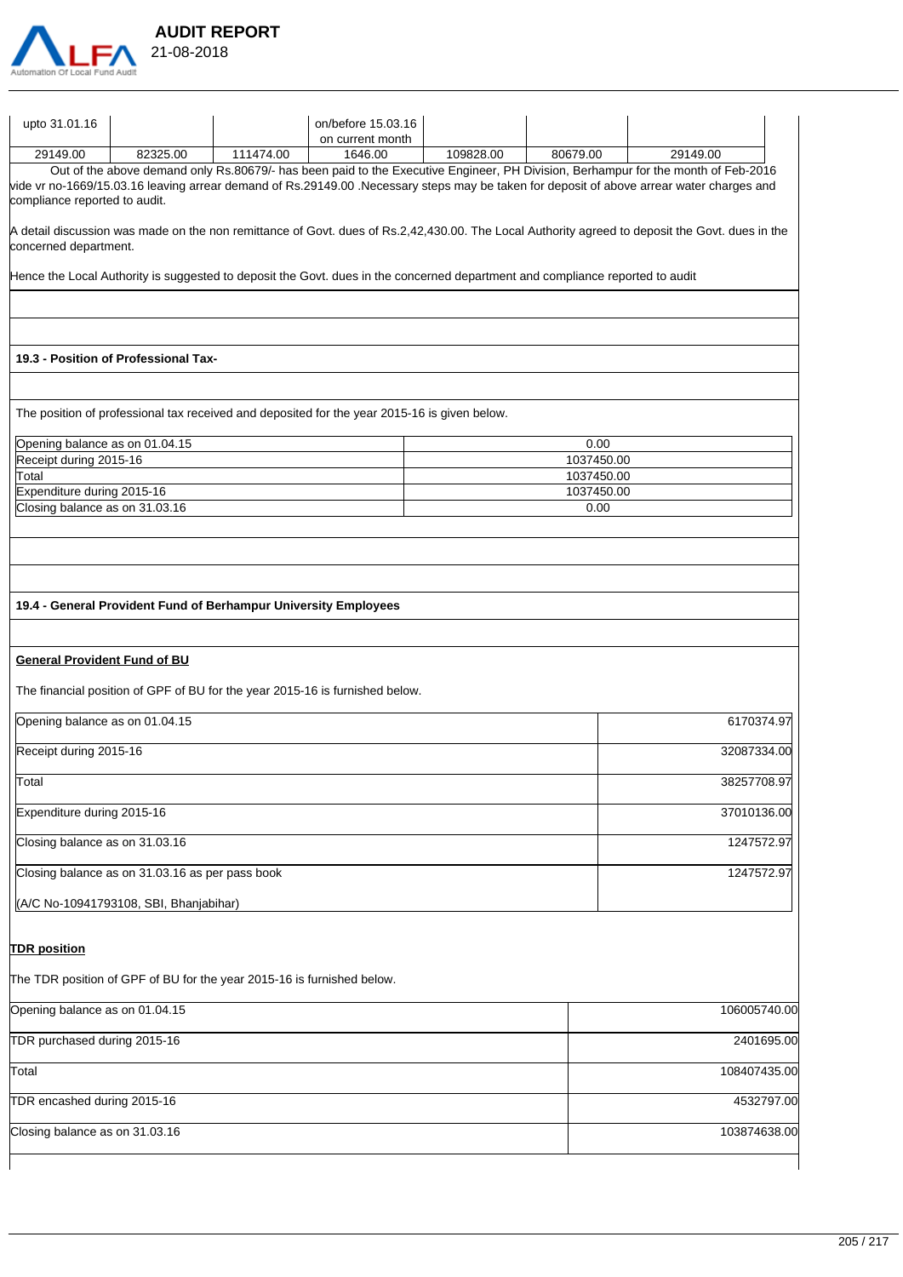

| upto 31.01.16                                                          |                                                                 |           | on/before 15.03.16<br>on current month                                                                                        |           |            |                                                                                                                                                                                                                                                                                |
|------------------------------------------------------------------------|-----------------------------------------------------------------|-----------|-------------------------------------------------------------------------------------------------------------------------------|-----------|------------|--------------------------------------------------------------------------------------------------------------------------------------------------------------------------------------------------------------------------------------------------------------------------------|
| 29149.00                                                               | 82325.00                                                        | 111474.00 | 1646.00                                                                                                                       | 109828.00 | 80679.00   | 29149.00                                                                                                                                                                                                                                                                       |
| compliance reported to audit.                                          |                                                                 |           |                                                                                                                               |           |            | Out of the above demand only Rs.80679/- has been paid to the Executive Engineer, PH Division, Berhampur for the month of Feb-2016<br>vide vr no-1669/15.03.16 leaving arrear demand of Rs.29149.00 .Necessary steps may be taken for deposit of above arrear water charges and |
| concerned department.                                                  |                                                                 |           |                                                                                                                               |           |            | A detail discussion was made on the non remittance of Govt. dues of Rs.2,42,430.00. The Local Authority agreed to deposit the Govt. dues in the                                                                                                                                |
|                                                                        |                                                                 |           | Hence the Local Authority is suggested to deposit the Govt. dues in the concerned department and compliance reported to audit |           |            |                                                                                                                                                                                                                                                                                |
|                                                                        |                                                                 |           |                                                                                                                               |           |            |                                                                                                                                                                                                                                                                                |
|                                                                        | 19.3 - Position of Professional Tax-                            |           |                                                                                                                               |           |            |                                                                                                                                                                                                                                                                                |
|                                                                        |                                                                 |           | The position of professional tax received and deposited for the year 2015-16 is given below.                                  |           |            |                                                                                                                                                                                                                                                                                |
| Opening balance as on 01.04.15                                         |                                                                 |           |                                                                                                                               |           | 0.00       |                                                                                                                                                                                                                                                                                |
| Receipt during 2015-16                                                 |                                                                 |           |                                                                                                                               |           | 1037450.00 |                                                                                                                                                                                                                                                                                |
| Total                                                                  |                                                                 |           |                                                                                                                               |           | 1037450.00 |                                                                                                                                                                                                                                                                                |
| Expenditure during 2015-16                                             |                                                                 |           |                                                                                                                               |           | 1037450.00 |                                                                                                                                                                                                                                                                                |
| Closing balance as on 31.03.16                                         |                                                                 |           |                                                                                                                               |           | 0.00       |                                                                                                                                                                                                                                                                                |
|                                                                        |                                                                 |           |                                                                                                                               |           |            |                                                                                                                                                                                                                                                                                |
|                                                                        |                                                                 |           |                                                                                                                               |           |            |                                                                                                                                                                                                                                                                                |
|                                                                        | 19.4 - General Provident Fund of Berhampur University Employees |           |                                                                                                                               |           |            |                                                                                                                                                                                                                                                                                |
| <b>General Provident Fund of BU</b>                                    |                                                                 |           |                                                                                                                               |           |            |                                                                                                                                                                                                                                                                                |
|                                                                        |                                                                 |           | The financial position of GPF of BU for the year 2015-16 is furnished below.                                                  |           |            |                                                                                                                                                                                                                                                                                |
| Opening balance as on 01.04.15                                         |                                                                 |           |                                                                                                                               |           |            | 6170374.97                                                                                                                                                                                                                                                                     |
| Receipt during 2015-16                                                 |                                                                 |           |                                                                                                                               |           |            | 32087334.00                                                                                                                                                                                                                                                                    |
|                                                                        |                                                                 |           |                                                                                                                               |           |            |                                                                                                                                                                                                                                                                                |
| Total                                                                  |                                                                 |           |                                                                                                                               |           |            | 38257708.97                                                                                                                                                                                                                                                                    |
| Expenditure during 2015-16                                             |                                                                 |           |                                                                                                                               |           |            | 37010136.00                                                                                                                                                                                                                                                                    |
| Closing balance as on 31.03.16                                         |                                                                 |           |                                                                                                                               |           |            | 1247572.97                                                                                                                                                                                                                                                                     |
|                                                                        | Closing balance as on 31.03.16 as per pass book                 |           |                                                                                                                               |           |            | 1247572.97                                                                                                                                                                                                                                                                     |
|                                                                        | (A/C No-10941793108, SBI, Bhanjabihar)                          |           |                                                                                                                               |           |            |                                                                                                                                                                                                                                                                                |
| <b>TDR</b> position                                                    |                                                                 |           |                                                                                                                               |           |            |                                                                                                                                                                                                                                                                                |
| The TDR position of GPF of BU for the year 2015-16 is furnished below. |                                                                 |           |                                                                                                                               |           |            |                                                                                                                                                                                                                                                                                |
| Opening balance as on 01.04.15                                         |                                                                 |           |                                                                                                                               |           |            | 106005740.00                                                                                                                                                                                                                                                                   |

| Opening balance as on 01.04.15 | 106005740.00 |
|--------------------------------|--------------|
| TDR purchased during 2015-16   | 2401695.00   |
| Total                          | 108407435.00 |
| TDR encashed during 2015-16    | 4532797.00   |
| Closing balance as on 31.03.16 | 103874638.00 |
|                                |              |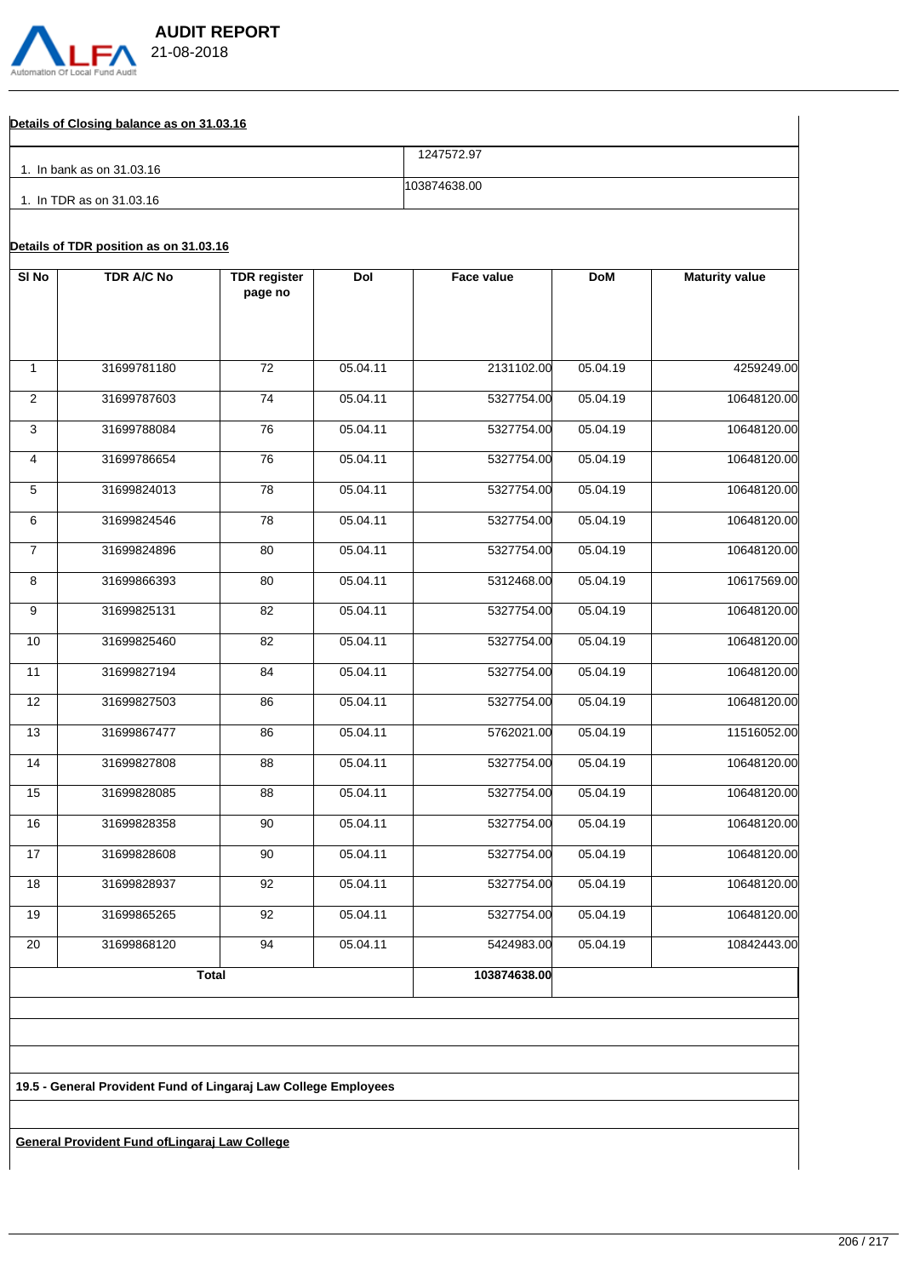

# **Details of Closing balance as on 31.03.16**

|                          | 1247572.97   |
|--------------------------|--------------|
| . In bank as on 31.03.16 |              |
|                          | 103874638.00 |
| 1. In TDR as on 31.03.16 |              |

# **Details of TDR position as on 31.03.16**

| SI <sub>No</sub> | <b>TDR A/C No</b> | <b>TDR</b> register<br>page no | Dol      | Face value   | <b>DoM</b> | <b>Maturity value</b> |
|------------------|-------------------|--------------------------------|----------|--------------|------------|-----------------------|
| $\mathbf{1}$     | 31699781180       | 72                             | 05.04.11 | 2131102.00   | 05.04.19   | 4259249.00            |
|                  |                   |                                |          |              |            |                       |
| $\overline{2}$   | 31699787603       | 74                             | 05.04.11 | 5327754.00   | 05.04.19   | 10648120.00           |
| 3                | 31699788084       | 76                             | 05.04.11 | 5327754.00   | 05.04.19   | 10648120.00           |
| 4                | 31699786654       | 76                             | 05.04.11 | 5327754.00   | 05.04.19   | 10648120.00           |
| 5                | 31699824013       | 78                             | 05.04.11 | 5327754.00   | 05.04.19   | 10648120.00           |
| 6                | 31699824546       | 78                             | 05.04.11 | 5327754.00   | 05.04.19   | 10648120.00           |
| $\overline{7}$   | 31699824896       | 80                             | 05.04.11 | 5327754.00   | 05.04.19   | 10648120.00           |
| 8                | 31699866393       | 80                             | 05.04.11 | 5312468.00   | 05.04.19   | 10617569.00           |
| 9                | 31699825131       | 82                             | 05.04.11 | 5327754.00   | 05.04.19   | 10648120.00           |
| 10 <sup>10</sup> | 31699825460       | 82                             | 05.04.11 | 5327754.00   | 05.04.19   | 10648120.00           |
| 11               | 31699827194       | 84                             | 05.04.11 | 5327754.00   | 05.04.19   | 10648120.00           |
| 12               | 31699827503       | 86                             | 05.04.11 | 5327754.00   | 05.04.19   | 10648120.00           |
| 13               | 31699867477       | 86                             | 05.04.11 | 5762021.00   | 05.04.19   | 11516052.00           |
| 14               | 31699827808       | 88                             | 05.04.11 | 5327754.00   | 05.04.19   | 10648120.00           |
| 15               | 31699828085       | 88                             | 05.04.11 | 5327754.00   | 05.04.19   | 10648120.00           |
| 16               | 31699828358       | 90                             | 05.04.11 | 5327754.00   | 05.04.19   | 10648120.00           |
| 17               | 31699828608       | 90                             | 05.04.11 | 5327754.00   | 05.04.19   | 10648120.00           |
| 18               | 31699828937       | 92                             | 05.04.11 | 5327754.00   | 05.04.19   | 10648120.00           |
| 19               | 31699865265       | 92                             | 05.04.11 | 5327754.00   | 05.04.19   | 10648120.00           |
| 20               | 31699868120       | 94                             | 05.04.11 | 5424983.00   | 05.04.19   | 10842443.00           |
|                  |                   | <b>Total</b>                   |          | 103874638.00 |            |                       |
|                  |                   |                                |          |              |            |                       |
|                  |                   |                                |          |              |            |                       |

**19.5 - General Provident Fund of Lingaraj Law College Employees**

**General Provident Fund ofLingaraj Law College**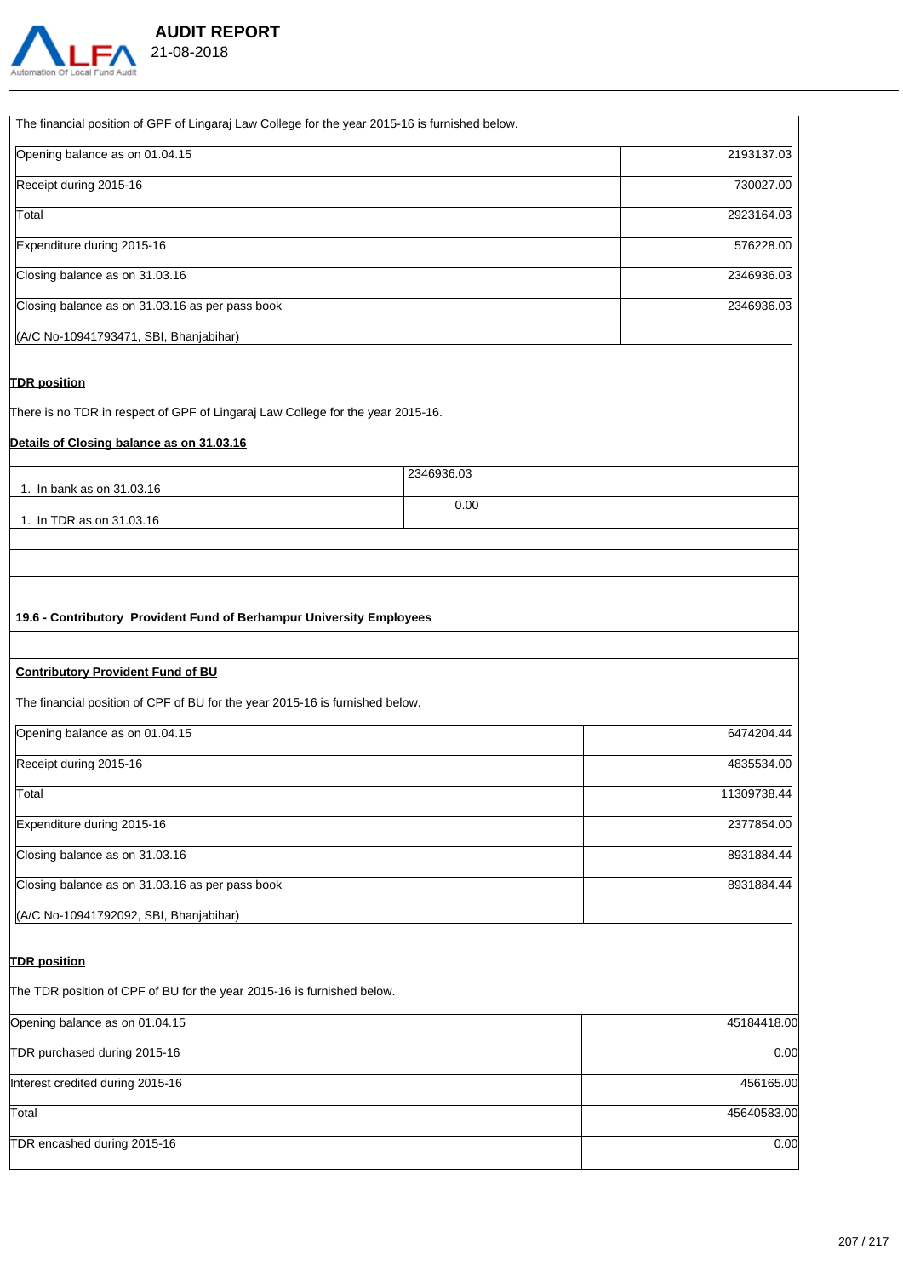

The financial position of GPF of Lingaraj Law College for the year 2015-16 is furnished below.

| Opening balance as on 01.04.15                  | 2193137.03 |
|-------------------------------------------------|------------|
| Receipt during 2015-16                          | 730027.00  |
| Total                                           | 2923164.03 |
| Expenditure during 2015-16                      | 576228.00  |
| Closing balance as on 31.03.16                  | 2346936.03 |
| Closing balance as on 31.03.16 as per pass book | 2346936.03 |
| (A/C No-10941793471, SBI, Bhanjabihar)          |            |

#### **TDR position**

There is no TDR in respect of GPF of Lingaraj Law College for the year 2015-16.

#### **Details of Closing balance as on 31.03.16**

|                           | 2346936.03 |
|---------------------------|------------|
| 1. In bank as on 31.03.16 |            |
|                           | 0.00       |
| 1. In TDR as on 31.03.16  |            |

#### **19.6 - Contributory Provident Fund of Berhampur University Employees**

#### **Contributory Provident Fund of BU**

The financial position of CPF of BU for the year 2015-16 is furnished below.

| Opening balance as on 01.04.15                  | 6474204.44  |
|-------------------------------------------------|-------------|
| Receipt during 2015-16                          | 4835534.00  |
| Total                                           | 11309738.44 |
| Expenditure during 2015-16                      | 2377854.00  |
| Closing balance as on 31.03.16                  | 8931884.44  |
| Closing balance as on 31.03.16 as per pass book | 8931884.44  |
| (A/C No-10941792092, SBI, Bhanjabihar)          |             |

#### **TDR position**

The TDR position of CPF of BU for the year 2015-16 is furnished below.

| Opening balance as on 01.04.15   | 45184418.00 |
|----------------------------------|-------------|
| TDR purchased during 2015-16     | 0.00        |
| Interest credited during 2015-16 | 456165.00   |
| Total                            | 45640583.00 |
| TDR encashed during 2015-16      | 0.00        |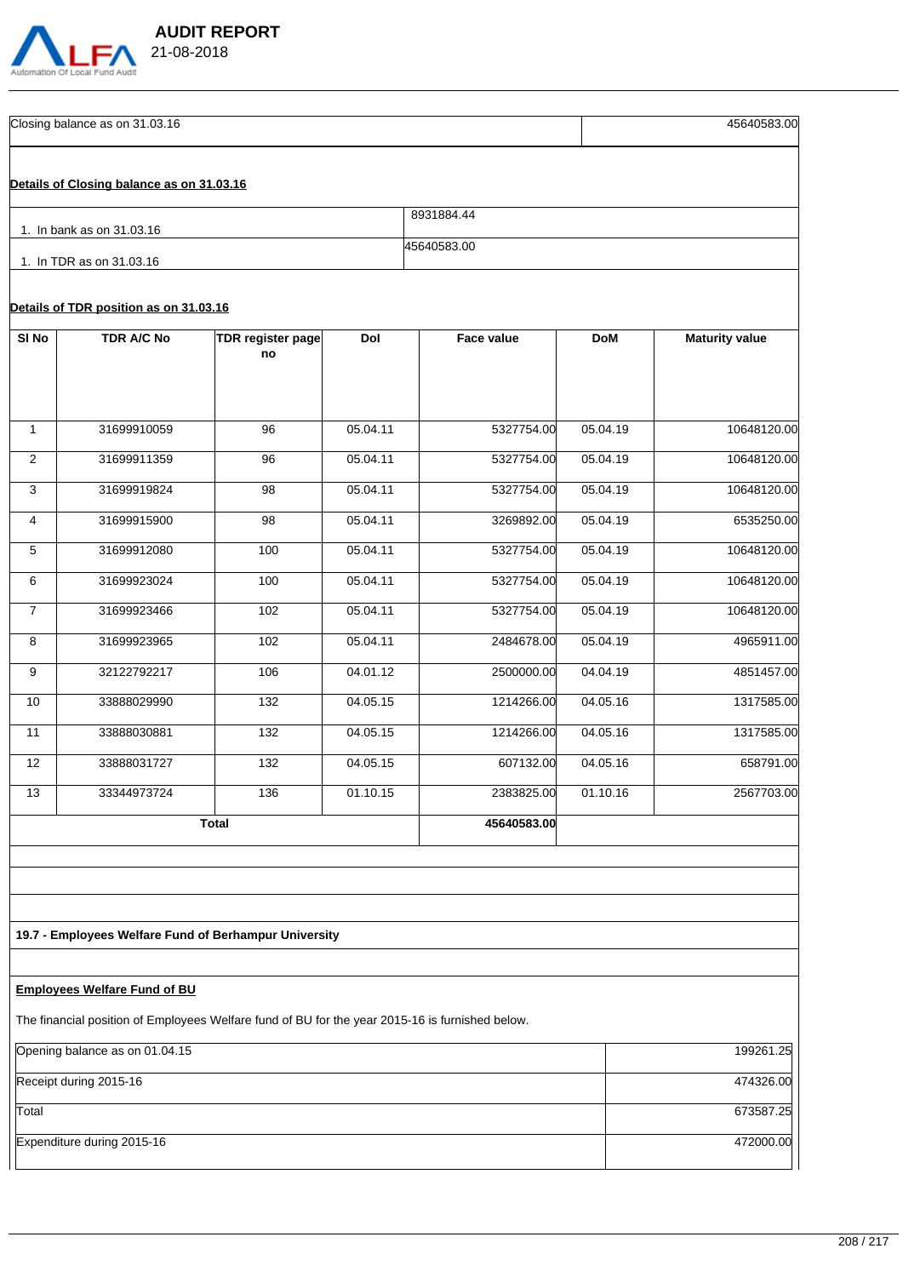

Closing balance as on 31.03.16 45640583.00 **Details of Closing balance as on 31.03.16** 1. In bank as on 31.03.16 8931884.44 1. In TDR as on 31.03.16 45640583.00 **Details of TDR position as on 31.03.16**

| SI <sub>No</sub> | <b>TDR A/C No</b> | <b>TDR</b> register page<br>no | Dol      | Face value  | <b>DoM</b> | <b>Maturity value</b> |
|------------------|-------------------|--------------------------------|----------|-------------|------------|-----------------------|
| $\mathbf{1}$     | 31699910059       | 96                             | 05.04.11 | 5327754.00  | 05.04.19   | 10648120.00           |
| 2                | 31699911359       | 96                             | 05.04.11 | 5327754.00  | 05.04.19   | 10648120.00           |
| 3                | 31699919824       | 98                             | 05.04.11 | 5327754.00  | 05.04.19   | 10648120.00           |
| 4                | 31699915900       | 98                             | 05.04.11 | 3269892.00  | 05.04.19   | 6535250.00            |
| 5                | 31699912080       | 100                            | 05.04.11 | 5327754.00  | 05.04.19   | 10648120.00           |
| 6                | 31699923024       | 100                            | 05.04.11 | 5327754.00  | 05.04.19   | 10648120.00           |
| $\overline{7}$   | 31699923466       | 102                            | 05.04.11 | 5327754.00  | 05.04.19   | 10648120.00           |
| 8                | 31699923965       | 102                            | 05.04.11 | 2484678.00  | 05.04.19   | 4965911.00            |
| 9                | 32122792217       | 106                            | 04.01.12 | 2500000.00  | 04.04.19   | 4851457.00            |
| 10               | 33888029990       | 132                            | 04.05.15 | 1214266.00  | 04.05.16   | 1317585.00            |
| 11               | 33888030881       | 132                            | 04.05.15 | 1214266.00  | 04.05.16   | 1317585.00            |
| 12               | 33888031727       | 132                            | 04.05.15 | 607132.00   | 04.05.16   | 658791.00             |
| 13               | 33344973724       | 136                            | 01.10.15 | 2383825.00  | 01.10.16   | 2567703.00            |
|                  |                   | <b>Total</b>                   |          | 45640583.00 |            |                       |

**19.7 - Employees Welfare Fund of Berhampur University**

# **Employees Welfare Fund of BU**

The financial position of Employees Welfare fund of BU for the year 2015-16 is furnished below.

| Opening balance as on 01.04.15 | 199261.25 |
|--------------------------------|-----------|
| Receipt during 2015-16         | 474326.00 |
| Total                          | 673587.25 |
| Expenditure during 2015-16     | 472000.00 |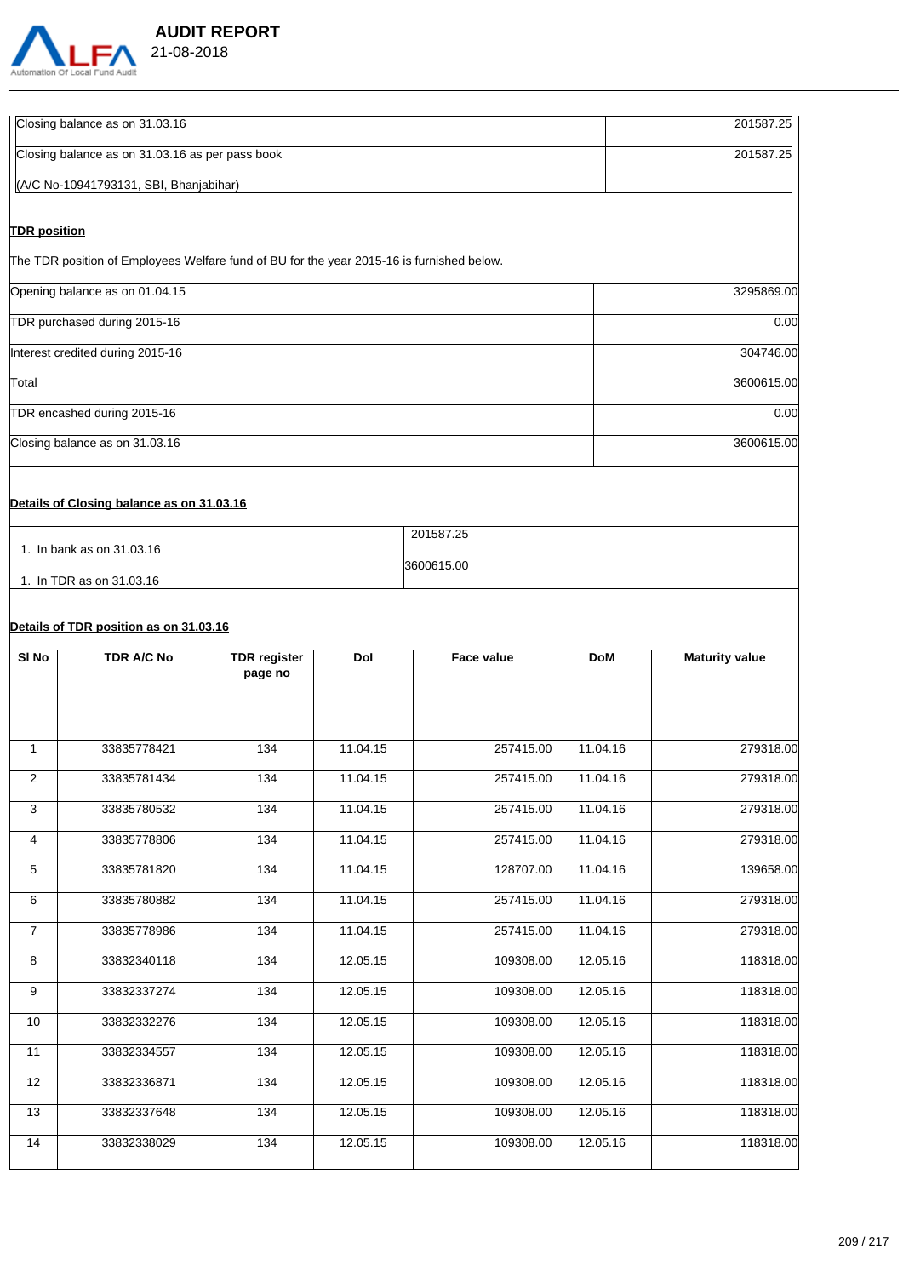

| Closing balance as on 31.03.16                                                            | 201587.25  |
|-------------------------------------------------------------------------------------------|------------|
| Closing balance as on 31.03.16 as per pass book                                           | 201587.25  |
| (A/C No-10941793131, SBI, Bhanjabihar)                                                    |            |
| <b>TDR</b> position                                                                       |            |
| The TDR position of Employees Welfare fund of BU for the year 2015-16 is furnished below. |            |
|                                                                                           |            |
| Opening balance as on 01.04.15                                                            | 3295869.00 |
| TDR purchased during 2015-16                                                              | 0.00       |
| Interest credited during 2015-16                                                          | 304746.00  |
| Total                                                                                     | 3600615.00 |
| TDR encashed during 2015-16                                                               | 0.00       |
|                                                                                           |            |

Closing balance as on 31.03.16 3600615.00

### **Details of Closing balance as on 31.03.16**

|                           | 201587.25  |
|---------------------------|------------|
| 1. In bank as on 31.03.16 |            |
|                           | 3600615.00 |
| 1. In TDR as on 31.03.16  |            |

# **Details of TDR position as on 31.03.16**

| SI <sub>No</sub> | TDR A/C No  | <b>TDR</b> register<br>page no | Dol      | <b>Face value</b> | <b>DoM</b> | <b>Maturity value</b> |
|------------------|-------------|--------------------------------|----------|-------------------|------------|-----------------------|
| $\mathbf{1}$     | 33835778421 | 134                            | 11.04.15 | 257415.00         | 11.04.16   | 279318.00             |
| 2                | 33835781434 | 134                            | 11.04.15 | 257415.00         | 11.04.16   | 279318.00             |
| 3                | 33835780532 | 134                            | 11.04.15 | 257415.00         | 11.04.16   | 279318.00             |
| 4                | 33835778806 | 134                            | 11.04.15 | 257415.00         | 11.04.16   | 279318.00             |
| $5\phantom{.0}$  | 33835781820 | 134                            | 11.04.15 | 128707.00         | 11.04.16   | 139658.00             |
| 6                | 33835780882 | 134                            | 11.04.15 | 257415.00         | 11.04.16   | 279318.00             |
| $\overline{7}$   | 33835778986 | 134                            | 11.04.15 | 257415.00         | 11.04.16   | 279318.00             |
| 8                | 33832340118 | 134                            | 12.05.15 | 109308.00         | 12.05.16   | 118318.00             |
| 9                | 33832337274 | 134                            | 12.05.15 | 109308.00         | 12.05.16   | 118318.00             |
| 10               | 33832332276 | 134                            | 12.05.15 | 109308.00         | 12.05.16   | 118318.00             |
| 11               | 33832334557 | 134                            | 12.05.15 | 109308.00         | 12.05.16   | 118318.00             |
| 12               | 33832336871 | 134                            | 12.05.15 | 109308.00         | 12.05.16   | 118318.00             |
| 13               | 33832337648 | 134                            | 12.05.15 | 109308.00         | 12.05.16   | 118318.00             |
| 14               | 33832338029 | 134                            | 12.05.15 | 109308.00         | 12.05.16   | 118318.00             |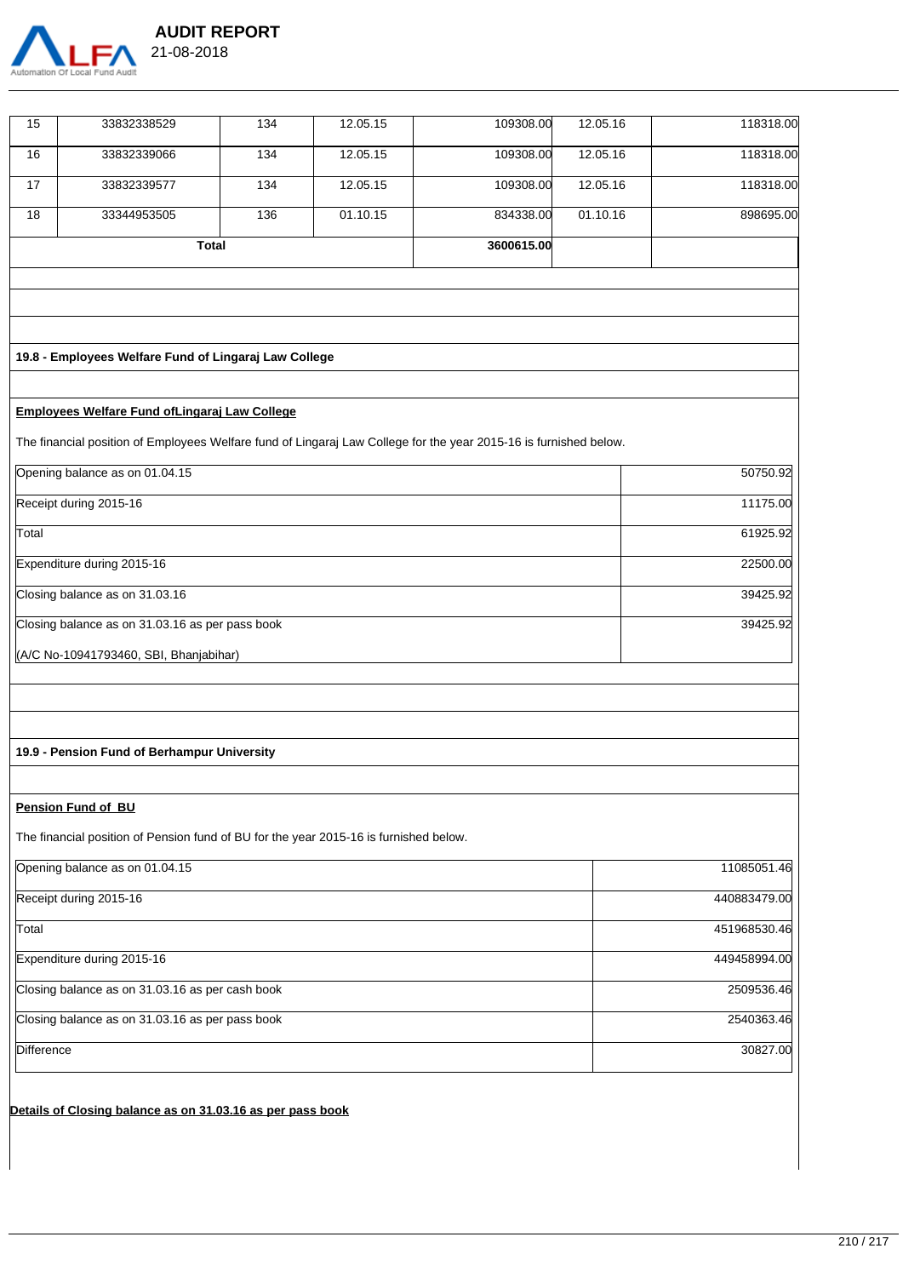

|            | <b>AUDIT REPORT</b> |
|------------|---------------------|
| 21-08-2018 |                     |

15 33832338529 134 12.05.15 109308.00 12.05.16 118318.00 16 33832339066 134 12.05.15 109308.00 12.05.16 118318.00 17 33832339577 134 12.05.15 109308.00 12.05.16 118318.00 18 | 33344953505 | 136 | 01.10.15 | 834338.00 01.10.16 | 898695.00 **Total 3600615.00 19.8 - Employees Welfare Fund of Lingaraj Law College Employees Welfare Fund ofLingaraj Law College** The financial position of Employees Welfare fund of Lingaraj Law College for the year 2015-16 is furnished below. **Opening balance as on 01.04.15** 50750.92 Receipt during 2015-16 11175.00 Total 61925.92 Expenditure during 2015-16 22500.00 Closing balance as on 31.03.16 39425.92 Closing balance as on 31.03.16 as per pass book (A/C No-10941793460, SBI, Bhanjabihar) 39425.92 **19.9 - Pension Fund of Berhampur University Pension Fund of BU**

The financial position of Pension fund of BU for the year 2015-16 is furnished below.

| Opening balance as on 01.04.15                  | 11085051.46  |
|-------------------------------------------------|--------------|
| Receipt during 2015-16                          | 440883479.00 |
| Total                                           | 451968530.46 |
| Expenditure during 2015-16                      | 449458994.00 |
| Closing balance as on 31.03.16 as per cash book | 2509536.46   |
| Closing balance as on 31.03.16 as per pass book | 2540363.46   |
| Difference                                      | 30827.00     |
|                                                 |              |

**Details of Closing balance as on 31.03.16 as per pass book**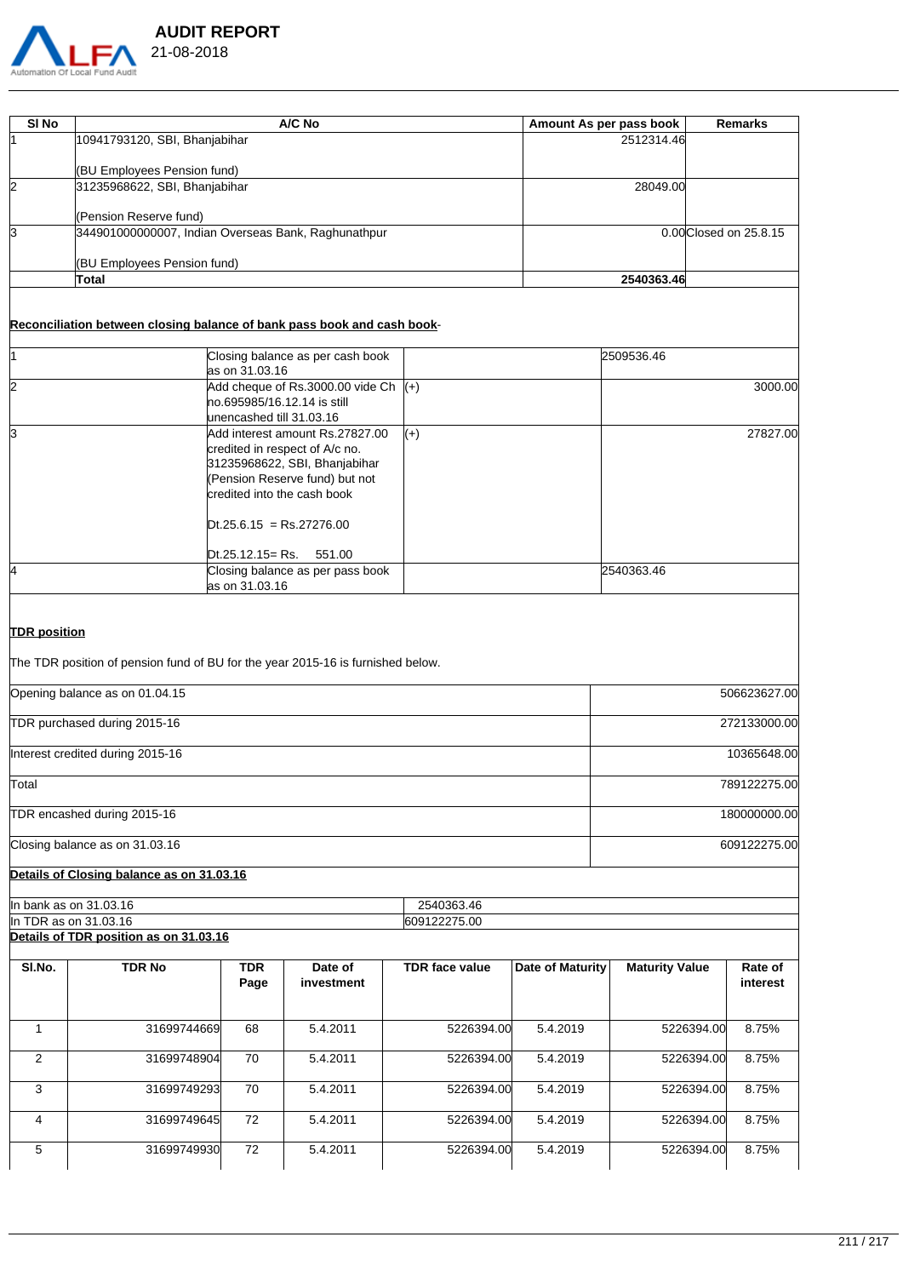

| SI No | A/C No                                              | Amount As per pass book | Remarks                |
|-------|-----------------------------------------------------|-------------------------|------------------------|
|       | 10941793120, SBI, Bhanjabihar                       | 2512314.46              |                        |
|       | (BU Employees Pension fund)                         |                         |                        |
| l2    | 31235968622, SBI, Bhanjabihar                       | 28049.00                |                        |
|       | (Pension Reserve fund)                              |                         |                        |
| IЗ    | 344901000000007, Indian Overseas Bank, Raghunathpur |                         | 0.00 Closed on 25.8.15 |
|       | (BU Employees Pension fund)                         |                         |                        |
|       | Total                                               | 2540363.46              |                        |

# **Reconciliation between closing balance of bank pass book and cash book**-

|    | Closing balance as per cash book<br>as on 31.03.16                                                                                                                                                                              | 2509536.46 |          |
|----|---------------------------------------------------------------------------------------------------------------------------------------------------------------------------------------------------------------------------------|------------|----------|
| l2 | Add cheque of Rs.3000.00 vide Ch $(+)$<br>no.695985/16.12.14 is still<br>unencashed till 31.03.16                                                                                                                               |            | 3000.00  |
| lЗ | Add interest amount Rs.27827.00<br>credited in respect of A/c no.<br>31235968622, SBI, Bhanjabihar<br>(Pension Reserve fund) but not<br>credited into the cash book<br>$Dt.25.6.15 = Rs.27276.00$<br>Dt.25.12.15= Rs.<br>551.00 | $(+)$      | 27827.00 |
| 4  | Closing balance as per pass book<br>as on 31.03.16                                                                                                                                                                              | 2540363.46 |          |

#### **TDR position**

The TDR position of pension fund of BU for the year 2015-16 is furnished below.

| Opening balance as on 01.04.15            |               |                    |                       |                       |                         |                       |                     |
|-------------------------------------------|---------------|--------------------|-----------------------|-----------------------|-------------------------|-----------------------|---------------------|
|                                           |               |                    | 506623627.00          |                       |                         |                       |                     |
| TDR purchased during 2015-16              |               |                    |                       |                       |                         |                       | 272133000.00        |
| Interest credited during 2015-16          |               |                    |                       |                       |                         |                       | 10365648.00         |
| Total                                     |               |                    |                       |                       |                         |                       | 789122275.00        |
| TDR encashed during 2015-16               |               |                    |                       |                       |                         |                       | 180000000.00        |
| Closing balance as on 31.03.16            |               |                    |                       |                       |                         |                       | 609122275.00        |
| Details of Closing balance as on 31.03.16 |               |                    |                       |                       |                         |                       |                     |
| In bank as on 31.03.16                    |               |                    |                       | 2540363.46            |                         |                       |                     |
| In TDR as on 31.03.16                     |               |                    |                       | 609122275.00          |                         |                       |                     |
| Details of TDR position as on 31.03.16    |               |                    |                       |                       |                         |                       |                     |
| SI.No.                                    | <b>TDR No</b> | <b>TDR</b><br>Page | Date of<br>investment | <b>TDR</b> face value | <b>Date of Maturity</b> | <b>Maturity Value</b> | Rate of<br>interest |
| $\mathbf{1}$                              | 31699744669   | 68                 | 5.4.2011              | 5226394.00            | 5.4.2019                | 5226394.00            | 8.75%               |
| 2                                         | 31699748904   | 70                 | 5.4.2011              | 5226394.00            | 5.4.2019                | 5226394.00            | 8.75%               |
| 3                                         | 31699749293   | 70                 | 5.4.2011              | 5226394.00            | 5.4.2019                | 5226394.00            | 8.75%               |
| 4                                         | 31699749645   | 72                 | 5.4.2011              | 5226394.00            | 5.4.2019                | 5226394.00            | 8.75%               |
| 5                                         | 31699749930   | 72                 | 5.4.2011              | 5226394.00            | 5.4.2019                | 5226394.00            | 8.75%               |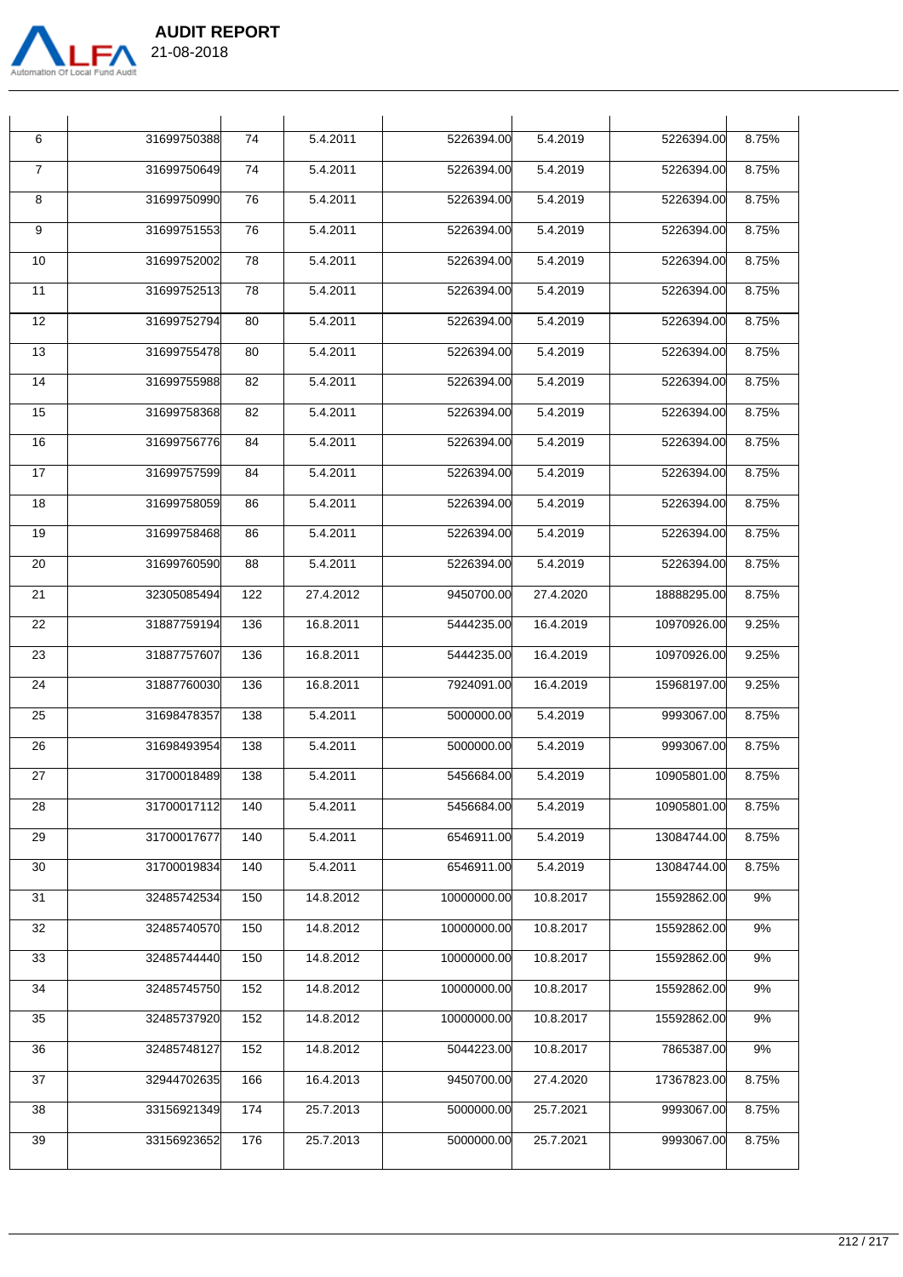

 $\lfloor$ 

| 6              | 31699750388 | 74  | 5.4.2011  | 5226394.00  | 5.4.2019              | 5226394.00  | 8.75% |
|----------------|-------------|-----|-----------|-------------|-----------------------|-------------|-------|
| $\overline{7}$ | 31699750649 | 74  | 5.4.2011  | 5226394.00  | 5.4.2019              | 5226394.00  | 8.75% |
| 8              | 31699750990 | 76  | 5.4.2011  | 5226394.00  | 5.4.2019              | 5226394.00  | 8.75% |
| 9              | 31699751553 | 76  | 5.4.2011  | 5226394.00  | 5.4.2019              | 5226394.00  | 8.75% |
| 10             | 31699752002 | 78  | 5.4.2011  | 5226394.00  | 5.4.2019              | 5226394.00  | 8.75% |
| 11             | 31699752513 | 78  | 5.4.2011  | 5226394.00  | 5.4.2019              | 5226394.00  | 8.75% |
| 12             | 31699752794 | 80  | 5.4.2011  | 5226394.00  | 5.4.2019              | 5226394.00  | 8.75% |
| 13             | 31699755478 | 80  | 5.4.2011  | 5226394.00  | 5.4.2019              | 5226394.00  | 8.75% |
| 14             | 31699755988 | 82  | 5.4.2011  | 5226394.00  | 5.4.2019              | 5226394.00  | 8.75% |
| 15             | 31699758368 | 82  | 5.4.2011  | 5226394.00  | 5.4.2019              | 5226394.00  | 8.75% |
| 16             | 31699756776 | 84  | 5.4.2011  | 5226394.00  | 5.4.2019              | 5226394.00  | 8.75% |
| 17             | 31699757599 | 84  | 5.4.2011  | 5226394.00  | 5.4.2019              | 5226394.00  | 8.75% |
| 18             | 31699758059 | 86  | 5.4.2011  | 5226394.00  | 5.4.2019              | 5226394.00  | 8.75% |
| 19             | 31699758468 | 86  | 5.4.2011  | 5226394.00  | 5.4.2019              | 5226394.00  | 8.75% |
| 20             | 31699760590 | 88  | 5.4.2011  | 5226394.00  | 5.4.2019              | 5226394.00  | 8.75% |
| 21             | 32305085494 | 122 | 27.4.2012 | 9450700.00  | 27.4.2020             | 18888295.00 | 8.75% |
| 22             | 31887759194 | 136 | 16.8.2011 | 5444235.00  | 16.4.2019             | 10970926.00 | 9.25% |
| 23             | 31887757607 | 136 | 16.8.2011 | 5444235.00  | 16.4.2019             | 10970926.00 | 9.25% |
| 24             | 31887760030 | 136 | 16.8.2011 | 7924091.00  | 16.4.2019             | 15968197.00 | 9.25% |
| 25             | 31698478357 | 138 | 5.4.2011  | 5000000.00  | 5.4.2019              | 9993067.00  | 8.75% |
| 26             | 31698493954 | 138 | 5.4.2011  | 5000000.00  | $\overline{5}.4.2019$ | 9993067.00  | 8.75% |
| 27             | 31700018489 | 138 | 5.4.2011  | 5456684.00  | 5.4.2019              | 10905801.00 | 8.75% |
| 28             | 31700017112 | 140 | 5.4.2011  | 5456684.00  | 5.4.2019              | 10905801.00 | 8.75% |
| 29             | 31700017677 | 140 | 5.4.2011  | 6546911.00  | 5.4.2019              | 13084744.00 | 8.75% |
| 30             | 31700019834 | 140 | 5.4.2011  | 6546911.00  | 5.4.2019              | 13084744.00 | 8.75% |
| 31             | 32485742534 | 150 | 14.8.2012 | 10000000.00 | 10.8.2017             | 15592862.00 | 9%    |
| 32             | 32485740570 | 150 | 14.8.2012 | 10000000.00 | 10.8.2017             | 15592862.00 | 9%    |
| 33             | 32485744440 | 150 | 14.8.2012 | 10000000.00 | 10.8.2017             | 15592862.00 | 9%    |
| 34             | 32485745750 | 152 | 14.8.2012 | 10000000.00 | 10.8.2017             | 15592862.00 | 9%    |
| 35             | 32485737920 | 152 | 14.8.2012 | 10000000.00 | 10.8.2017             | 15592862.00 | 9%    |
| 36             | 32485748127 | 152 | 14.8.2012 | 5044223.00  | 10.8.2017             | 7865387.00  | 9%    |
| 37             | 32944702635 | 166 | 16.4.2013 | 9450700.00  | 27.4.2020             | 17367823.00 | 8.75% |
| 38             | 33156921349 | 174 | 25.7.2013 | 5000000.00  | 25.7.2021             | 9993067.00  | 8.75% |
| 39             | 33156923652 | 176 | 25.7.2013 | 5000000.00  | 25.7.2021             | 9993067.00  | 8.75% |
|                |             |     |           |             |                       |             |       |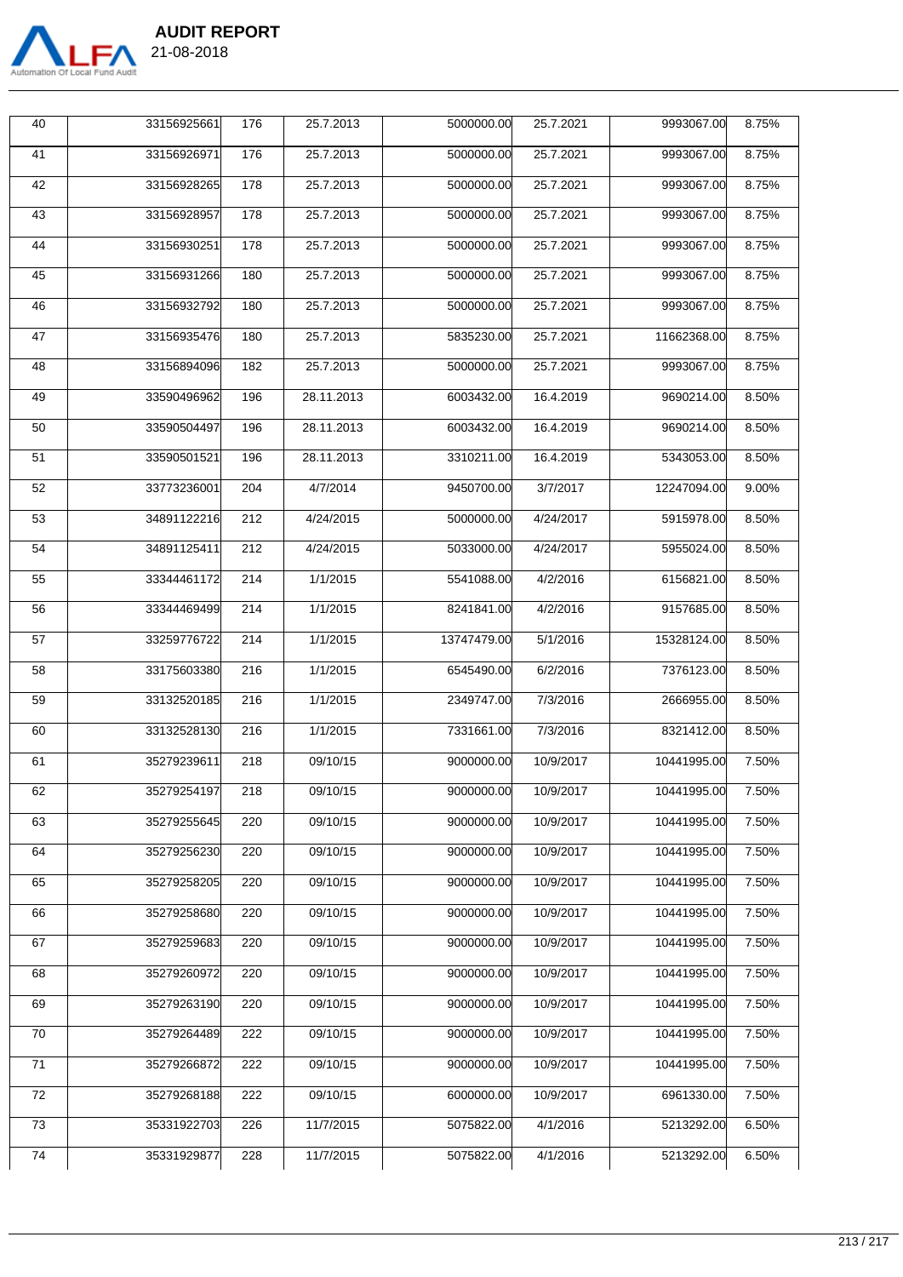

| 40 | 33156925661 | 176              | 25.7.2013  | 5000000.00  | 25.7.2021 | 9993067.00  | 8.75% |
|----|-------------|------------------|------------|-------------|-----------|-------------|-------|
| 41 | 33156926971 | 176              | 25.7.2013  | 5000000.00  | 25.7.2021 | 9993067.00  | 8.75% |
| 42 | 33156928265 | 178              | 25.7.2013  | 5000000.00  | 25.7.2021 | 9993067.00  | 8.75% |
| 43 | 33156928957 | 178              | 25.7.2013  | 5000000.00  | 25.7.2021 | 9993067.00  | 8.75% |
| 44 | 33156930251 | 178              | 25.7.2013  | 5000000.00  | 25.7.2021 | 9993067.00  | 8.75% |
| 45 | 33156931266 | 180              | 25.7.2013  | 5000000.00  | 25.7.2021 | 9993067.00  | 8.75% |
| 46 | 33156932792 | 180              | 25.7.2013  | 5000000.00  | 25.7.2021 | 9993067.00  | 8.75% |
| 47 | 33156935476 | 180              | 25.7.2013  | 5835230.00  | 25.7.2021 | 11662368.00 | 8.75% |
| 48 | 33156894096 | 182              | 25.7.2013  | 5000000.00  | 25.7.2021 | 9993067.00  | 8.75% |
| 49 | 33590496962 | 196              | 28.11.2013 | 6003432.00  | 16.4.2019 | 9690214.00  | 8.50% |
| 50 | 33590504497 | 196              | 28.11.2013 | 6003432.00  | 16.4.2019 | 9690214.00  | 8.50% |
| 51 | 33590501521 | 196              | 28.11.2013 | 3310211.00  | 16.4.2019 | 5343053.00  | 8.50% |
| 52 | 33773236001 | 204              | 4/7/2014   | 9450700.00  | 3/7/2017  | 12247094.00 | 9.00% |
| 53 | 34891122216 | 212              | 4/24/2015  | 5000000.00  | 4/24/2017 | 5915978.00  | 8.50% |
| 54 | 34891125411 | 212              | 4/24/2015  | 5033000.00  | 4/24/2017 | 5955024.00  | 8.50% |
| 55 | 33344461172 | 214              | 1/1/2015   | 5541088.00  | 4/2/2016  | 6156821.00  | 8.50% |
| 56 | 33344469499 | 214              | 1/1/2015   | 8241841.00  | 4/2/2016  | 9157685.00  | 8.50% |
| 57 | 33259776722 | 214              | 1/1/2015   | 13747479.00 | 5/1/2016  | 15328124.00 | 8.50% |
| 58 | 33175603380 | 216              | 1/1/2015   | 6545490.00  | 6/2/2016  | 7376123.00  | 8.50% |
| 59 | 33132520185 | 216              | 1/1/2015   | 2349747.00  | 7/3/2016  | 2666955.00  | 8.50% |
| 60 | 33132528130 | 216              | 1/1/2015   | 7331661.00  | 7/3/2016  | 8321412.00  | 8.50% |
| 61 | 35279239611 | $\overline{218}$ | 09/10/15   | 9000000.00  | 10/9/2017 | 10441995.00 | 7.50% |
| 62 | 35279254197 | 218              | 09/10/15   | 9000000.00  | 10/9/2017 | 10441995.00 | 7.50% |
| 63 | 35279255645 | 220              | 09/10/15   | 9000000.00  | 10/9/2017 | 10441995.00 | 7.50% |
| 64 | 35279256230 | 220              | 09/10/15   | 9000000.00  | 10/9/2017 | 10441995.00 | 7.50% |
| 65 | 35279258205 | 220              | 09/10/15   | 9000000.00  | 10/9/2017 | 10441995.00 | 7.50% |
| 66 | 35279258680 | 220              | 09/10/15   | 9000000.00  | 10/9/2017 | 10441995.00 | 7.50% |
| 67 | 35279259683 | 220              | 09/10/15   | 9000000.00  | 10/9/2017 | 10441995.00 | 7.50% |
| 68 | 35279260972 | 220              | 09/10/15   | 9000000.00  | 10/9/2017 | 10441995.00 | 7.50% |
| 69 | 35279263190 | 220              | 09/10/15   | 9000000.00  | 10/9/2017 | 10441995.00 | 7.50% |
| 70 | 35279264489 | 222              | 09/10/15   | 9000000.00  | 10/9/2017 | 10441995.00 | 7.50% |
| 71 | 35279266872 | 222              | 09/10/15   | 9000000.00  | 10/9/2017 | 10441995.00 | 7.50% |
| 72 | 35279268188 | 222              | 09/10/15   | 6000000.00  | 10/9/2017 | 6961330.00  | 7.50% |
| 73 | 35331922703 | 226              | 11/7/2015  | 5075822.00  | 4/1/2016  | 5213292.00  | 6.50% |
| 74 | 35331929877 | 228              | 11/7/2015  | 5075822.00  | 4/1/2016  | 5213292.00  | 6.50% |
|    |             |                  |            |             |           |             |       |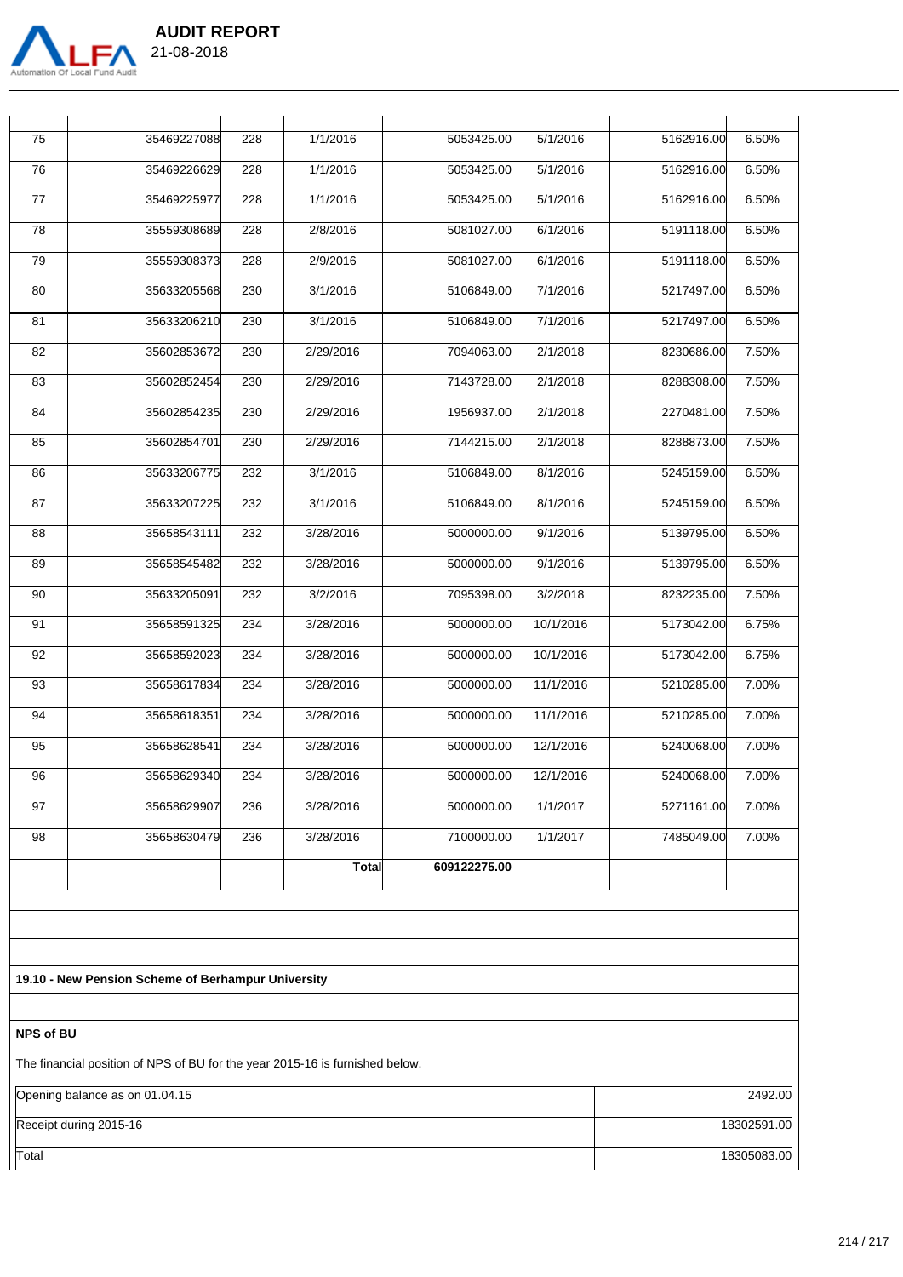

 **AUDIT REPORT** 

 $\overline{1}$ 

 $\overline{\phantom{a}}$ 

| 75 | 35469227088 | 228 | 1/1/2016  | 5053425.00 | 5/1/2016  | 5162916.00 | 6.50% |
|----|-------------|-----|-----------|------------|-----------|------------|-------|
| 76 | 35469226629 | 228 | 1/1/2016  | 5053425.00 | 5/1/2016  | 5162916.00 | 6.50% |
| 77 | 35469225977 | 228 | 1/1/2016  | 5053425.00 | 5/1/2016  | 5162916.00 | 6.50% |
| 78 | 35559308689 | 228 | 2/8/2016  | 5081027.00 | 6/1/2016  | 5191118.00 | 6.50% |
| 79 | 35559308373 | 228 | 2/9/2016  | 5081027.00 | 6/1/2016  | 5191118.00 | 6.50% |
| 80 | 35633205568 | 230 | 3/1/2016  | 5106849.00 | 7/1/2016  | 5217497.00 | 6.50% |
| 81 | 35633206210 | 230 | 3/1/2016  | 5106849.00 | 7/1/2016  | 5217497.00 | 6.50% |
| 82 | 35602853672 | 230 | 2/29/2016 | 7094063.00 | 2/1/2018  | 8230686.00 | 7.50% |
| 83 | 35602852454 | 230 | 2/29/2016 | 7143728.00 | 2/1/2018  | 8288308.00 | 7.50% |
| 84 | 35602854235 | 230 | 2/29/2016 | 1956937.00 | 2/1/2018  | 2270481.00 | 7.50% |
| 85 | 35602854701 | 230 | 2/29/2016 | 7144215.00 | 2/1/2018  | 8288873.00 | 7.50% |
| 86 | 35633206775 | 232 | 3/1/2016  | 5106849.00 | 8/1/2016  | 5245159.00 | 6.50% |
| 87 | 35633207225 | 232 | 3/1/2016  | 5106849.00 | 8/1/2016  | 5245159.00 | 6.50% |
| 88 | 35658543111 | 232 | 3/28/2016 | 5000000.00 | 9/1/2016  | 5139795.00 | 6.50% |
| 89 | 35658545482 | 232 | 3/28/2016 | 5000000.00 | 9/1/2016  | 5139795.00 | 6.50% |
| 90 | 35633205091 | 232 | 3/2/2016  | 7095398.00 | 3/2/2018  | 8232235.00 | 7.50% |
| 91 | 35658591325 | 234 | 3/28/2016 | 5000000.00 | 10/1/2016 | 5173042.00 | 6.75% |
| 92 | 35658592023 | 234 | 3/28/2016 | 5000000.00 | 10/1/2016 | 5173042.00 | 6.75% |
| 93 | 35658617834 | 234 | 3/28/2016 | 5000000.00 | 11/1/2016 | 5210285.00 | 7.00% |
| 94 | 35658618351 | 234 | 3/28/2016 | 5000000.00 | 11/1/2016 | 5210285.00 | 7.00% |
| 95 | 35658628541 | 234 | 3/28/2016 | 5000000.00 | 12/1/2016 | 5240068.00 | 7.00% |
| 96 | 35658629340 | 234 | 3/28/2016 | 5000000.00 | 12/1/2016 | 5240068.00 | 7.00% |
| 97 | 35658629907 | 236 | 3/28/2016 | 5000000.00 | 1/1/2017  | 5271161.00 | 7.00% |
|    | 35658630479 | 236 | 3/28/2016 | 7100000.00 | 1/1/2017  | 7485049.00 | 7.00% |
| 98 |             |     |           |            |           |            |       |

 $\overline{1}$ 

 $\overline{\phantom{a}}$ 

**19.10 - New Pension Scheme of Berhampur University**

**NPS of BU**

The financial position of NPS of BU for the year 2015-16 is furnished below.

| Opening balance as on 01.04.15 | 2492.00     |
|--------------------------------|-------------|
| Receipt during 2015-16         | 18302591.00 |
| Total                          | 18305083.00 |

 $\overline{\phantom{a}}$ 

 $\mathcal{L}(\mathcal{L})$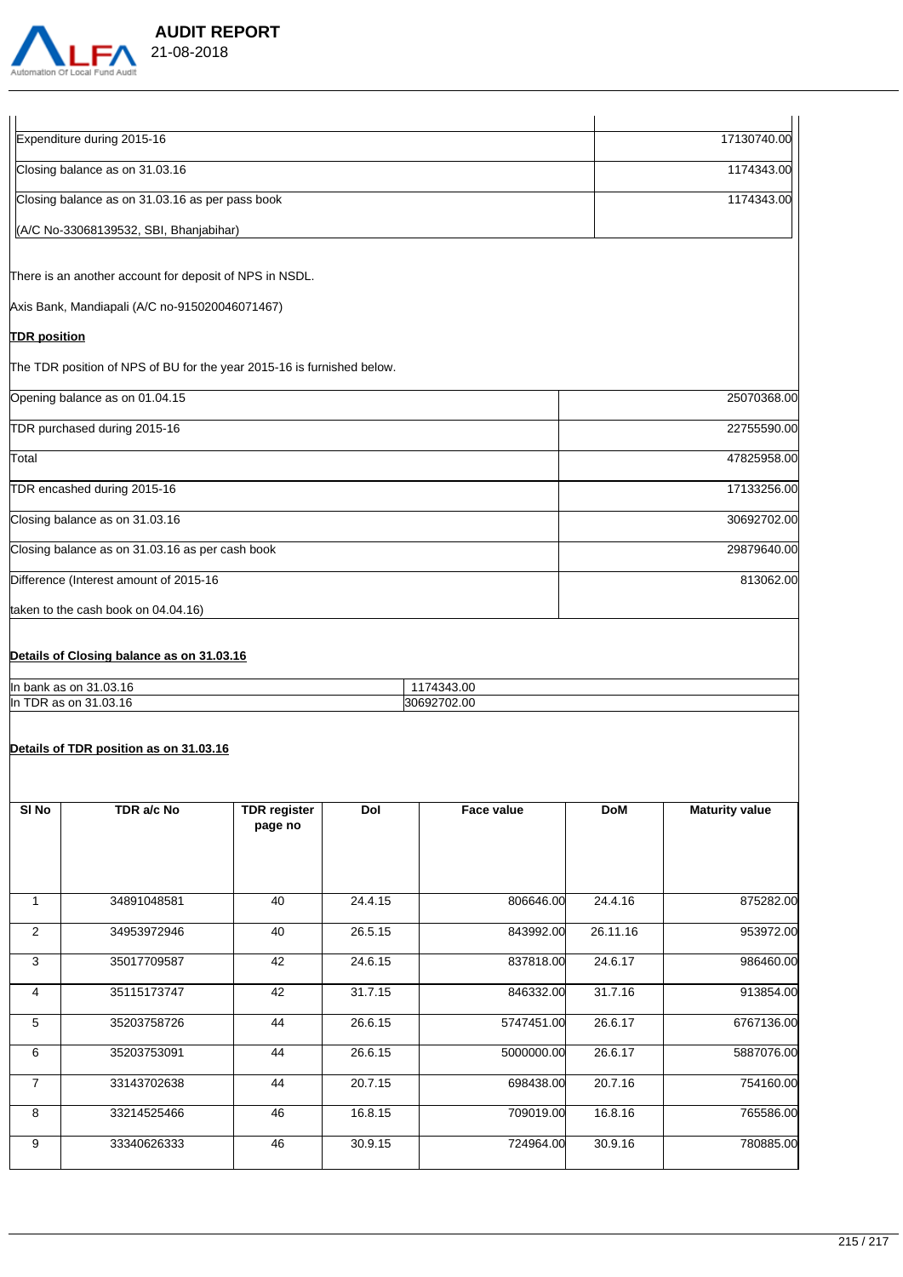

| Expenditure during 2015-16                                             | 17130740.00 |
|------------------------------------------------------------------------|-------------|
|                                                                        |             |
| Closing balance as on 31.03.16                                         | 1174343.00  |
| Closing balance as on 31.03.16 as per pass book                        | 1174343.00  |
| (A/C No-33068139532, SBI, Bhanjabihar)                                 |             |
| There is an another account for deposit of NPS in NSDL.                |             |
| Axis Bank, Mandiapali (A/C no-915020046071467)                         |             |
| <b>TDR</b> position                                                    |             |
| The TDR position of NPS of BU for the year 2015-16 is furnished below. |             |
| Opening balance as on 01.04.15                                         | 25070368.00 |
| TDR purchased during 2015-16                                           | 22755590.00 |
| Total                                                                  | 47825958.00 |
| TDR encashed during 2015-16                                            | 17133256.00 |
| Closing balance as on 31.03.16                                         | 30692702.00 |
| Closing balance as on 31.03.16 as per cash book                        | 29879640.00 |
| Difference (Interest amount of 2015-16                                 | 813062.00   |
| taken to the cash book on 04.04.16)                                    |             |
|                                                                        |             |
| Details of Closing balance as on 31.03.16                              |             |

| 31.03.16<br>lln<br>ı bank as on                                               | 43.00  |
|-------------------------------------------------------------------------------|--------|
| TDR<br>lln<br>$\overline{\phantom{a}}$<br>1.03.16<br>$\sim$<br>as or<br>1 O L | 702.00 |

# **Details of TDR position as on 31.03.16**

| SI <sub>No</sub> | TDR a/c No  | <b>TDR register</b><br>page no | Dol     | <b>Face value</b> | <b>DoM</b> | <b>Maturity value</b> |
|------------------|-------------|--------------------------------|---------|-------------------|------------|-----------------------|
| 1                | 34891048581 | 40                             | 24.4.15 | 806646.00         | 24.4.16    | 875282.00             |
| 2                | 34953972946 | 40                             | 26.5.15 | 843992.00         | 26.11.16   | 953972.00             |
| 3                | 35017709587 | 42                             | 24.6.15 | 837818.00         | 24.6.17    | 986460.00             |
| $\overline{4}$   | 35115173747 | 42                             | 31.7.15 | 846332.00         | 31.7.16    | 913854.00             |
| 5                | 35203758726 | 44                             | 26.6.15 | 5747451.00        | 26.6.17    | 6767136.00            |
| 6                | 35203753091 | 44                             | 26.6.15 | 5000000.00        | 26.6.17    | 5887076.00            |
| $\overline{7}$   | 33143702638 | 44                             | 20.7.15 | 698438.00         | 20.7.16    | 754160.00             |
| 8                | 33214525466 | 46                             | 16.8.15 | 709019.00         | 16.8.16    | 765586.00             |
| 9                | 33340626333 | 46                             | 30.9.15 | 724964.00         | 30.9.16    | 780885.00             |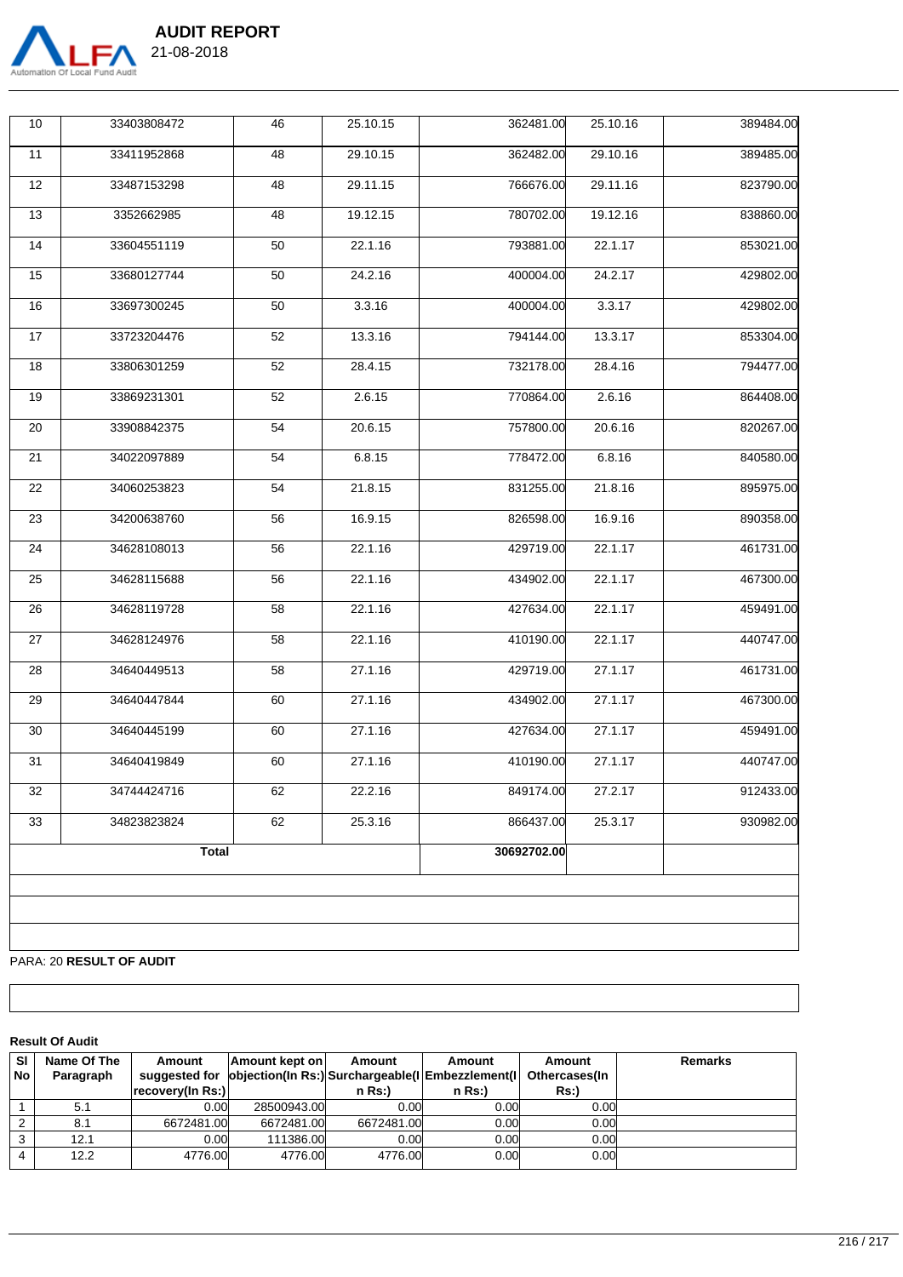

 33403808472 46 25.10.15 362481.00 25.10.16 389484.00 11 | 33411952868 | 48 | 29.10.15 | 362482.00 29.10.16 | 389485.00 33487153298 48 29.11.15 766676.00 29.11.16 823790.00 13 3352662985 48 19.12.15 780702.00 19.12.16 838860.00 33604551119 50 22.1.16 793881.00 22.1.17 853021.00 33680127744 50 24.2.16 400004.00 24.2.17 429802.00 33697300245 50 3.3.16 400004.00 3.3.17 429802.00 33723204476 52 13.3.16 794144.00 13.3.17 853304.00 33806301259 52 28.4.15 732178.00 28.4.16 794477.00 33869231301 52 2.6.15 770864.00 2.6.16 864408.00 20 | 33908842375 | 54 | 20.6.15 | 757800.00| 20.6.16 | 820267.00 34022097889 54 6.8.15 778472.00 6.8.16 840580.00 34060253823 54 21.8.15 831255.00 21.8.16 895975.00 23 | 34200638760 | 56 | 16.9.15 | 826598.00| 16.9.16 | 890358.00 34628108013 56 22.1.16 429719.00 22.1.17 461731.00 25 | 34628115688 | 56 | 22.1.16 | 434902.00 22.1.17 | 467300.00 34628119728 58 22.1.16 427634.00 22.1.17 459491.00 34628124976 58 22.1.16 410190.00 22.1.17 440747.00 34640449513 58 27.1.16 429719.00 27.1.17 461731.00 34640447844 60 27.1.16 434902.00 27.1.17 467300.00 34640445199 60 27.1.16 427634.00 27.1.17 459491.00 34640419849 60 27.1.16 410190.00 27.1.17 440747.00 34744424716 62 22.2.16 849174.00 27.2.17 912433.00 34823823824 62 25.3.16 866437.00 25.3.17 930982.00 **Total 30692702.00**

PARA: 20 **RESULT OF AUDIT**

#### **Result Of Audit**

| Name Of The | Amount        | Amount kept on | Amount                                                                   | Amount                                            | Amount                                                                                                                    | <b>Remarks</b>                                                                                                                        |
|-------------|---------------|----------------|--------------------------------------------------------------------------|---------------------------------------------------|---------------------------------------------------------------------------------------------------------------------------|---------------------------------------------------------------------------------------------------------------------------------------|
| Paragraph   | suggested for |                |                                                                          |                                                   | Othercases(In                                                                                                             |                                                                                                                                       |
|             |               |                | $n$ Rs: $)$                                                              | $n$ Rs: $)$                                       | Rs:                                                                                                                       |                                                                                                                                       |
| 5.1         |               |                |                                                                          |                                                   |                                                                                                                           |                                                                                                                                       |
| 8.1         |               |                |                                                                          |                                                   |                                                                                                                           |                                                                                                                                       |
| 12.1        |               |                |                                                                          |                                                   |                                                                                                                           |                                                                                                                                       |
| 12.2        |               |                |                                                                          |                                                   |                                                                                                                           |                                                                                                                                       |
|             |               |                | recovery(In Rs:) <br>0.00l<br>6672481.00<br>0.00 <sub>l</sub><br>4776.00 | 28500943.00<br>6672481.00<br>111386.00<br>4776.00 | 0.00<br>0.00 <sub>l</sub><br>0.00 <sub>l</sub><br>6672481.00<br>0.00<br>0.00 <sub>l</sub><br>0.00 <sub>l</sub><br>4776.00 | objection(In Rs:) Surchargeable(I Embezzlement(I <br>0.00 <sub>l</sub><br>0.00 <sub>l</sub><br>0.00 <sub>l</sub><br>0.00 <sub>l</sub> |